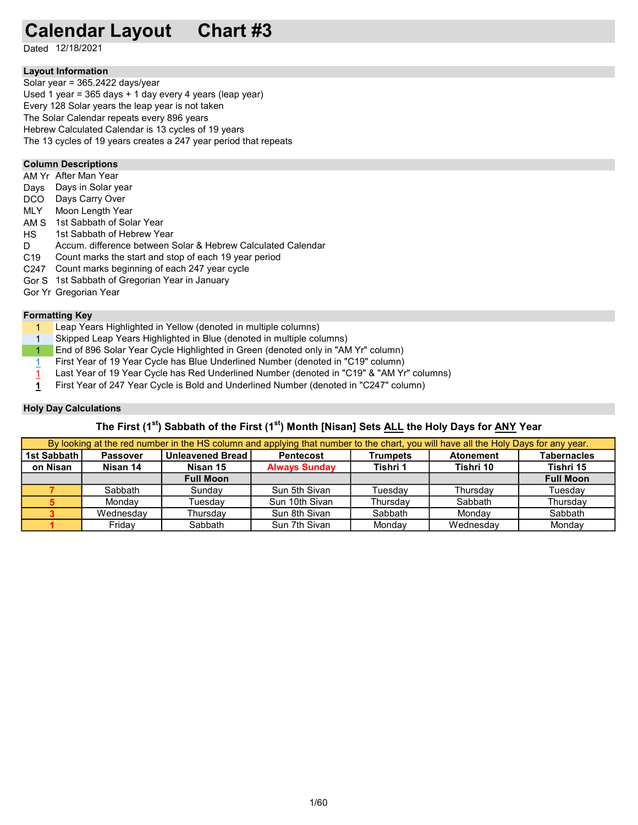# Calendar Layout Chart #3

Dated 12/18/2021

# Layout Information

Used 1 year = 365 days + 1 day every 4 years (leap year) Solar year = 365.2422 days/year Every 128 Solar years the leap year is not taken The Solar Calendar repeats every 896 years Hebrew Calculated Calendar is 13 cycles of 19 years The 13 cycles of 19 years creates a 247 year period that repeats

# Column Descriptions

- AM Yr After Man Year
- Days Days in Solar year
- DCO Days Carry Over
- MLY Moon Length Year
- AM S 1st Sabbath of Solar Year
- HS 1st Sabbath of Hebrew Year
- D. Accum. difference between Solar & Hebrew Calculated Calendar
- C19 Count marks the start and stop of each 19 year period
- C247 Count marks beginning of each 247 year cycle
- Gor S 1st Sabbath of Gregorian Year in January
- Gor Yr Gregorian Year

#### Formatting Key

- 1 Leap Years Highlighted in Yellow (denoted in multiple columns)
- 1 Skipped Leap Years Highlighted in Blue (denoted in multiple columns)
- 1 End of 896 Solar Year Cycle Highlighted in Green (denoted only in "AM Yr" column)
- 1 First Year of 19 Year Cycle has Blue Underlined Number (denoted in "C19" column)
- 1 Last Year of 19 Year Cycle has Red Underlined Number (denoted in "C19" & "AM Yr" columns)
- 1 First Year of 247 Year Cycle is Bold and Underlined Number (denoted in "C247" column)

# Holy Day Calculations

# The First (1<sup>st</sup>) Sabbath of the First (1<sup>st</sup>) Month [Nisan] Sets ALL the Holy Days for ANY Year

|             |                 |                           | By looking at the red number in the HS column and applying that number to the chart, you will have all the Holy Days for any year. |                 |                  |                    |
|-------------|-----------------|---------------------------|------------------------------------------------------------------------------------------------------------------------------------|-----------------|------------------|--------------------|
| 1st Sabbath | <b>Passover</b> | <b>Unleavened Bread  </b> | <b>Pentecost</b>                                                                                                                   | <b>Trumpets</b> | <b>Atonement</b> | <b>Tabernacles</b> |
| on Nisan    | Nisan 14        | Nisan 15                  | <b>Always Sunday</b>                                                                                                               | Tishri 1        | Tishri 10        | Tishri 15          |
|             |                 | <b>Full Moon</b>          |                                                                                                                                    |                 |                  | <b>Full Moon</b>   |
|             | Sabbath         | Sundav                    | Sun 5th Sivan                                                                                                                      | Tuesdav         | Thursdav         | Tuesdav            |
|             | Mondav          | Tuesdav                   | Sun 10th Sivan                                                                                                                     | Thursdav        | Sabbath          | Thursdav           |
|             | Wednesday       | Thursdav                  | Sun 8th Sivan                                                                                                                      | Sabbath         | Mondav           | Sabbath            |
|             | Fridav          | Sabbath                   | Sun 7th Sivan                                                                                                                      | Mondav          | Wednesdav        | Mondav             |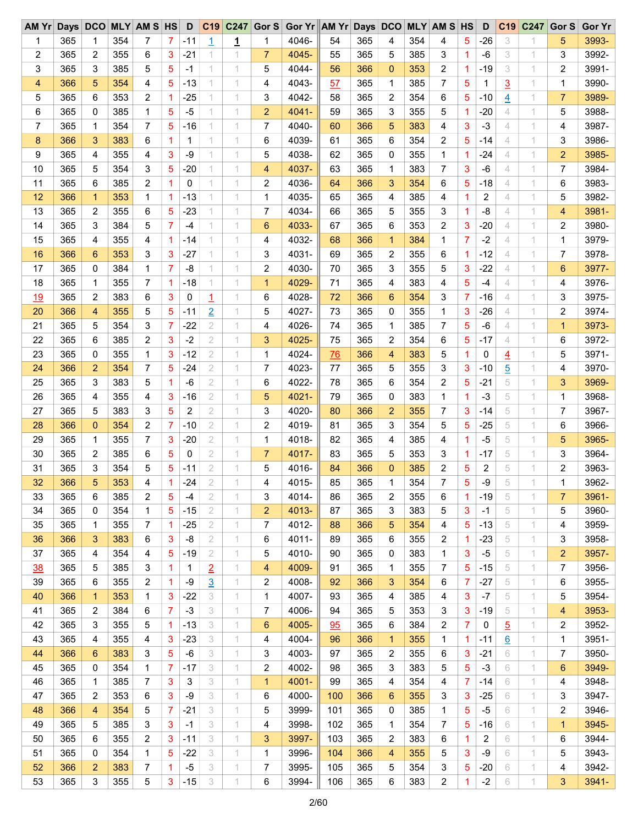| AM Yr |     |                |     | Days DCO MLY AM S HS |                | D            | C <sub>19</sub> | C247 |                | Gor S Gor Yr AM Yr Days DCO MLY AM S HS |     |     |                 |     |                |    | D                       | C <sub>19</sub> | C247 | Gor S          | Gor Yr |
|-------|-----|----------------|-----|----------------------|----------------|--------------|-----------------|------|----------------|-----------------------------------------|-----|-----|-----------------|-----|----------------|----|-------------------------|-----------------|------|----------------|--------|
| 1     | 365 | 1              | 354 | 7                    | 7              | -11          | $\overline{1}$  | 1    |                | 4046-                                   | 54  | 365 | 4               | 354 | 4              | 5  | $-26$                   | 3               | 1    | 5              | 3993-  |
| 2     | 365 | 2              | 355 | 6                    | 3              | $-21$        | 1.              | 1.   | $\overline{7}$ | 4045-                                   | 55  | 365 | 5               | 385 | 3              | 1. | -6                      | 3               | 1    | 3              | 3992-  |
| 3     | 365 | 3              | 385 | 5                    | 5              | $-1$         | 1               | 1    | 5              | 4044-                                   | 56  | 366 | $\mathbf{0}$    | 353 | 2              | 1  | $-19$                   | 3               | 1    | $\overline{2}$ | 3991-  |
| 4     | 366 | 5              | 354 | 4                    | 5              | $-13$        | 1               | 1    | 4              | 4043-                                   | 57  | 365 | 1               | 385 | 7              | 5  | 1                       | $\overline{3}$  | 1    | 1              | 3990-  |
| 5     | 365 | 6              | 353 | 2                    |                | $-25$        | 1               | 1    | 3              | 4042-                                   | 58  | 365 | 2               | 354 | 6              | 5  | $-10$                   | $\overline{4}$  | 1    | $\overline{7}$ | 3989-  |
| 6     | 365 | 0              | 385 | 1                    | 5              | $-5$         | 1.              | 1    | $\overline{2}$ | 4041-                                   | 59  | 365 | 3               | 355 | 5              | 1  | $-20$                   | 4               | 1    | 5              | 3988-  |
| 7     | 365 | 1              | 354 | 7                    | 5              | $-16$        |                 | 1    | 7              | 4040-                                   | 60  | 366 | 5               | 383 | 4              | 3  | $-3$                    | 4               | 1    | 4              | 3987-  |
| 8     | 366 | 3              | 383 | 6                    | 1              | $\mathbf{1}$ | 1               | 1    | 6              | 4039-                                   | 61  | 365 | 6               | 354 | 2              | 5  | $-14$                   | 4               | 1    | 3              | 3986-  |
| 9     | 365 | 4              | 355 | 4                    | 3              | -9           | 1.              | 1    | 5              | 4038-                                   | 62  | 365 | 0               | 355 | 1              | 1. | $-24$                   | 4               | 1    | $\overline{2}$ | 3985-  |
| 10    | 365 | 5              | 354 | 3                    | 5              | $-20$        | 1               | 1    | 4              | 4037-                                   | 63  | 365 | 1               | 383 | 7              | 3  | $-6$                    | 4               | 1    | $\overline{7}$ | 3984-  |
| 11    | 365 | 6              | 385 | 2                    | 1              | 0            | 1               | 1    | 2              | 4036-                                   | 64  | 366 | 3               | 354 | 6              | 5  | $-18$                   | 4               | 1    | 6              | 3983-  |
| 12    | 366 | $\mathbf{1}$   | 353 | 1                    | 1              | $-13$        | 1               | 1    | 1              | 4035-                                   | 65  | 365 | 4               | 385 | 4              | 1  | $\overline{\mathbf{c}}$ | 4               | 1    | 5              | 3982-  |
| 13    | 365 | 2              | 355 | 6                    | 5              | $-23$        | 1.              | 1    | 7              | 4034-                                   | 66  | 365 | 5               | 355 | 3              | 1. | -8                      | 4               | 1    | 4              | 3981-  |
| 14    | 365 | 3              | 384 | 5                    | 7              | $-4$         | 1               | 1    | 6              | 4033-                                   | 67  | 365 | 6               | 353 | 2              | 3  | $-20$                   | 4               | 1    | 2              | 3980-  |
| 15    | 365 | 4              | 355 | 4                    | -1             | $-14$        | 1               | 1    | 4              | 4032-                                   | 68  | 366 | $\mathbf{1}$    | 384 | 1              | 7  | $-2$                    | 4               | 1    | 1              | 3979-  |
|       |     |                | 353 |                      |                |              |                 | 1    |                | 4031-                                   |     |     |                 |     |                |    |                         | 4               |      |                |        |
| 16    | 366 | 6              |     | 3                    | 3              | $-27$        | 1.              |      | 3              |                                         | 69  | 365 | 2               | 355 | 6              | 1. | $-12$                   |                 | 1    | 7              | 3978-  |
| 17    | 365 | 0              | 384 | 1                    | 7              | -8           | 1               | 1    | 2              | 4030-                                   | 70  | 365 | 3               | 355 | 5              | 3  | $-22$                   | 4               | 1    | 6              | 3977-  |
| 18    | 365 | 1              | 355 | 7                    | 1              | $-18$        |                 | 1    | 1              | 4029-                                   | 71  | 365 | 4               | 383 | 4              | 5  | $-4$                    | 4               | 1    | 4              | 3976-  |
| 19    | 365 | 2              | 383 | 6                    | 3              | 0            | <u> 1</u>       | 1    | 6              | 4028-                                   | 72  | 366 | 6               | 354 | 3              | 7  | $-16$                   | 4               | 1    | 3              | 3975-  |
| 20    | 366 | 4              | 355 | 5                    | 5              | $-11$        | $\overline{2}$  | 1    | 5              | 4027-                                   | 73  | 365 | 0               | 355 | 1              | 3  | $-26$                   | 4               | 1    | 2              | 3974-  |
| 21    | 365 | 5              | 354 | 3                    | 7              | $-22$        | 2               | 1    | 4              | 4026-                                   | 74  | 365 | 1               | 385 | 7              | 5  | $-6$                    | 4               | 1    | 1              | 3973-  |
| 22    | 365 | 6              | 385 | 2                    | 3              | $-2$         | 2               | 1    | 3              | 4025-                                   | 75  | 365 | 2               | 354 | 6              | 5  | $-17$                   | 4               | 1    | 6              | 3972-  |
| 23    | 365 | 0              | 355 | 1                    | 3              | $-12$        | 2               | 1    | 1              | 4024-                                   | 76  | 366 | 4               | 383 | 5              | 1. | 0                       | $\overline{4}$  | 1    | 5              | 3971-  |
| 24    | 366 | $\overline{2}$ | 354 | 7                    | 5              | $-24$        | 2               | 1    | 7              | 4023-                                   | 77  | 365 | 5               | 355 | 3              | 3  | $-10$                   | $\overline{5}$  | 1    | 4              | 3970-  |
| 25    | 365 | 3              | 383 | 5                    | 1              | $-6$         | 2               | 1    | 6              | 4022-                                   | 78  | 365 | 6               | 354 | 2              | 5  | $-21$                   | 5               | 1    | 3              | 3969-  |
| 26    | 365 | 4              | 355 | 4                    | 3              | $-16$        | 2               | 1    | 5              | 4021-                                   | 79  | 365 | 0               | 383 | 1              | 1. | $-3$                    | 5               | 1    | 1              | 3968-  |
| 27    | 365 | 5              | 383 | 3                    | 5              | 2            | 2               | 1    | 3              | 4020-                                   | 80  | 366 | $\overline{2}$  | 355 | 7              | 3  | $-14$                   | 5               | 1    | 7              | 3967-  |
| 28    | 366 | $\mathbf{0}$   | 354 | 2                    | $\overline{7}$ | $-10$        | 2               | 1    | $\overline{2}$ | 4019-                                   | 81  | 365 | 3               | 354 | 5              | 5  | $-25$                   | 5               | 1    | 6              | 3966-  |
| 29    | 365 | 1              | 355 | 7                    | 3              | $-20$        | 2               | 1    | 1              | 4018-                                   | 82  | 365 | 4               | 385 | 4              | 1  | $-5$                    | 5               | 1    | 5              | 3965-  |
| 30    | 365 | 2              | 385 | 6                    | 5              | 0            | 2               | 1    | $\overline{7}$ | 4017-                                   | 83  | 365 | 5               | 353 | 3              | 1. | $-17$                   | 5               | 1    | 3              | 3964-  |
| 31    | 365 | 3              | 354 | 5                    | 5              | $-11$        | 2               | 1    | 5              | 4016-                                   | 84  | 366 | $\mathbf{0}$    | 385 | 2              | 5  | 2                       | 5               | 1    | 2              | 3963-  |
| 32    | 366 | 5              | 353 | 4                    |                | $-24$        | $\overline{2}$  | 1    | 4              | 4015-                                   | 85  | 365 | 1               | 354 | $\overline{7}$ | 5  | -9                      | 5               | 1    | 1              | 3962-  |
| 33    | 365 | 6              | 385 | 2                    | 5              | -4           | 2               | 1    | 3              | 4014-                                   | 86  | 365 | 2               | 355 | 6              | 1. | $-19$                   | 5               | 1    | 7              | 3961-  |
| 34    | 365 | 0              | 354 | 1                    | 5              | $-15$        | 2               | 1    | $\overline{2}$ | 4013-                                   | 87  | 365 | 3               | 383 | 5              | 3  | $-1$                    | 5               | 1    | 5              | 3960-  |
| 35    | 365 | 1              | 355 | 7                    | $\mathbf 1$    | $-25$        | 2               | 1    | 7              | 4012-                                   | 88  | 366 | 5               | 354 | 4              | 5  | $-13$                   | 5               | 1    | 4              | 3959-  |
| 36    | 366 | 3              | 383 | 6                    | 3              | -8           | 2               | 1    | 6              | 4011-                                   | 89  | 365 | 6               | 355 | 2              | 1  | $-23$                   | 5               | 1    | 3              | 3958-  |
| 37    | 365 | 4              | 354 | 4                    | 5              | $-19$        | 2               | 1    | 5              | 4010-                                   | 90  | 365 | 0               | 383 | 1              | 3  | $-5$                    | 5               | 1    | $\overline{a}$ | 3957-  |
| 38    | 365 | 5              | 385 | 3                    | 1              | 1            | $\overline{2}$  | 1    | 4              | 4009-                                   | 91  | 365 | 1               | 355 | 7              | 5  | $-15$                   | 5               | 1    | 7              | 3956-  |
| 39    | 365 | 6              | 355 | 2                    | $\mathbf 1$    | $-9$         | $\overline{3}$  | 1    | 2              | 4008-                                   | 92  | 366 | 3               | 354 | 6              | 7  | $-27$                   | 5               | 1    | 6              | 3955-  |
| 40    | 366 | $\mathbf{1}$   | 353 | 1                    |                | $-22$        | 3               | 1    |                | 4007-                                   | 93  | 365 | 4               | 385 | 4              |    | $-7$                    | 5               | 1    | 5              | 3954-  |
|       |     |                |     |                      | 3              |              |                 |      | 1              |                                         |     |     |                 |     |                | 3  |                         |                 |      |                |        |
| 41    | 365 | 2              | 384 | 6                    | 7              | $-3$         | 3               | 1    | 7              | 4006-                                   | 94  | 365 | 5               | 353 | 3              | 3  | $-19$                   | 5               | 1    | 4              | 3953-  |
| 42    | 365 | 3              | 355 | 5                    | 1              | $-13$        | 3               | 1    | 6              | 4005-                                   | 95  | 365 | 6               | 384 | 2              | 7  | 0                       | $\overline{5}$  | 1    | 2              | 3952-  |
| 43    | 365 | 4              | 355 | 4                    | 3              | $-23$        | 3               | 1    | 4              | 4004-                                   | 96  | 366 | $\mathbf 1$     | 355 | 1              | 1  | $-11$                   | $\underline{6}$ | 1    | 1              | 3951-  |
| 44    | 366 | 6              | 383 | 3                    | 5              | $-6$         | 3               | 1    | 3              | 4003-                                   | 97  | 365 | 2               | 355 | 6              | 3  | $-21$                   | 6               | 1    | 7              | 3950-  |
| 45    | 365 | 0              | 354 | 1                    | 7              | $-17$        | 3               | 1    | 2              | 4002-                                   | 98  | 365 | 3               | 383 | 5              | 5  | $-3$                    | 6               | 1    | 6              | 3949-  |
| 46    | 365 | 1              | 385 | $\overline{7}$       | 3              | 3            | 3               | 1    | $\mathbf{1}$   | 4001-                                   | 99  | 365 | 4               | 354 | 4              | 7  | $-14$                   | 6               | 1    | 4              | 3948-  |
| 47    | 365 | 2              | 353 | 6                    | 3              | -9           | 3               | 1    | 6              | 4000-                                   | 100 | 366 | $6\phantom{1}6$ | 355 | 3              | 3  | $-25$                   | 6               | 1    | 3              | 3947-  |
| 48    | 366 | 4              | 354 | 5                    | 7              | $-21$        | 3               | 1    | 5              | 3999-                                   | 101 | 365 | 0               | 385 | 1              | 5  | $-5$                    | 6               | 1    | 2              | 3946-  |
| 49    | 365 | 5              | 385 | 3                    | 3              | $-1$         | 3               | 1    | 4              | 3998-                                   | 102 | 365 | 1               | 354 | 7              | 5  | $-16$                   | 6               | 1    | 1              | 3945-  |
| 50    | 365 | 6              | 355 | 2                    | 3              | $-11$        | 3               | 1    | 3              | 3997-                                   | 103 | 365 | $\overline{c}$  | 383 | 6              | 1  | 2                       | 6               | 1    | 6              | 3944-  |
| 51    | 365 | 0              | 354 | 1                    | 5              | $-22$        | 3               | 1    | 1              | 3996-                                   | 104 | 366 | 4               | 355 | 5              | 3  | -9                      | 6               | 1    | 5              | 3943-  |
| 52    | 366 | $\overline{c}$ | 383 | 7                    | 1              | $-5$         | 3               | 1    | 7              | 3995-                                   | 105 | 365 | 5               | 354 | 3              | 5  | $-20$                   | 6               | 1    | 4              | 3942-  |
| 53    | 365 | 3              | 355 | 5                    | 3              | $-15$        | 3               | 1    | 6              | 3994-                                   | 106 | 365 | 6               | 383 | 2              | 1  | $-2$                    | 6               | 1    | 3              | 3941-  |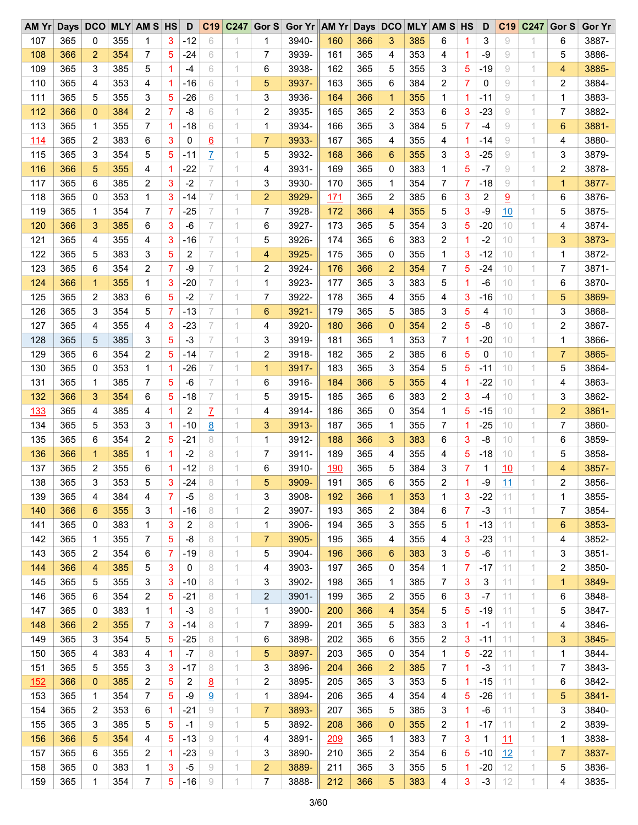| AM Yr      | Days DCO |                |     | <b>MLY AM S HS</b> |                | D     | C19             | C247 | Gor $S$        | Gor Yr AM Yr Days DCO |     |     |                 |     | <b>MLY AM S HS</b> |                | D     | C <sub>19</sub> | C247                       | Gor <sub>S</sub> | Gor Yr |
|------------|----------|----------------|-----|--------------------|----------------|-------|-----------------|------|----------------|-----------------------|-----|-----|-----------------|-----|--------------------|----------------|-------|-----------------|----------------------------|------------------|--------|
| 107        | 365      | 0              | 355 | 1                  | 3              | $-12$ | 6               |      | 1              | 3940-                 | 160 | 366 | 3               | 385 | 6                  | 1              | 3     | 9               | 1                          | 6                | 3887-  |
| 108        | 366      | $\overline{2}$ | 354 | 7                  | 5              | $-24$ | 6               | 1    | 7              | 3939-                 | 161 | 365 | 4               | 353 | 4                  | 1              | -9    | 9               | 1                          | 5                | 3886-  |
| 109        | 365      | 3              | 385 | 5                  | $\overline{1}$ | $-4$  | 6               | 1    | 6              | 3938-                 | 162 | 365 | 5               | 355 | 3                  | 5              | $-19$ | 9               | 1                          | 4                | 3885-  |
| 110        | 365      | 4              | 353 | 4                  | -1             | $-16$ | 6               | 1    | 5              | 3937-                 | 163 | 365 | 6               | 384 | 2                  | 7              | 0     | 9               | 1                          | 2                | 3884-  |
| 111        | 365      | 5              | 355 | 3                  | 5              | $-26$ | 6               | 1    | 3              | 3936-                 | 164 | 366 | $\mathbf 1$     | 355 | 1                  | 1              | $-11$ | 9               | 1                          | 1                | 3883-  |
| 112        | 366      | $\mathbf{0}$   | 384 | 2                  | 7              | -8    | 6               | 1    | 2              | 3935-                 | 165 | 365 | 2               | 353 | 6                  | 3              | $-23$ | 9               | 1                          | 7                | 3882-  |
| 113        | 365      | 1              | 355 | 7                  | $\overline{1}$ | $-18$ | 6               | 1    | 1              | 3934-                 | 166 | 365 | 3               | 384 | 5                  | $\overline{7}$ | $-4$  | 9               | 1                          | 6                | 3881-  |
| <u>114</u> | 365      | $\overline{c}$ | 383 | 6                  | 3              | 0     | <u>6</u>        | 1    | $\overline{7}$ | 3933-                 | 167 | 365 | 4               | 355 | 4                  | 1              | $-14$ | 9               | 1                          | 4                | 3880-  |
| 115        | 365      | 3              | 354 | 5                  | 5              | $-11$ | $\overline{I}$  | 1    | 5              | 3932-                 | 168 | 366 | 6               | 355 | 3                  | 3              | $-25$ | 9               | 1                          | 3                | 3879-  |
| 116        | 366      | 5              | 355 | 4                  | 1              | $-22$ | 7               | 1    | 4              | 3931-                 | 169 | 365 | $\mathbf 0$     | 383 | 1                  | 5              | $-7$  | 9               | 1                          | 2                | 3878-  |
| 117        | 365      | 6              | 385 | 2                  | 3              | $-2$  | 7               | 1    | 3              | 3930-                 | 170 | 365 | 1               | 354 | 7                  | 7              | $-18$ | 9               | 1                          | 1                | 3877-  |
| 118        | 365      | 0              | 353 | 1                  | 3              | $-14$ | 7               | 1    | $\overline{2}$ | 3929-                 | 171 | 365 | 2               | 385 | 6                  | 3              | 2     | 9               | 1                          | 6                | 3876-  |
| 119        | 365      | 1              | 354 | 7                  | 7              | $-25$ | 7               | 1    | $\overline{7}$ | 3928-                 | 172 | 366 | 4               | 355 | 5                  | 3              | $-9$  | 10              | 1                          | 5                | 3875-  |
| 120        | 366      | 3              | 385 | 6                  | 3              | $-6$  | 7               | 1    | 6              | 3927-                 | 173 | 365 | 5               | 354 | 3                  | 5              | $-20$ | 10              | 1                          | 4                | 3874-  |
| 121        | 365      | 4              | 355 | 4                  | 3              | $-16$ | 7               | 1    | 5              | 3926-                 | 174 | 365 | 6               | 383 | 2                  | 1              | $-2$  | 10              | 1                          | 3                | 3873-  |
|            |          |                |     |                    |                |       | 7               |      |                |                       |     |     |                 |     |                    |                |       |                 |                            |                  |        |
| 122        | 365      | 5              | 383 | 3                  | 5              | 2     |                 | 1    | 4              | 3925-                 | 175 | 365 | 0               | 355 | 1                  | 3              | $-12$ | 10              | 1                          | 1                | 3872-  |
| 123        | 365      | 6              | 354 | 2                  | 7              | $-9$  | 7               | 1    | 2              | 3924-                 | 176 | 366 | $\overline{2}$  | 354 | 7                  | 5              | $-24$ | 10              | 1                          | 7                | 3871-  |
| 124        | 366      | $\mathbf 1$    | 355 | 1                  | 3              | $-20$ | 7               | 1    | 1              | 3923-                 | 177 | 365 | 3               | 383 | 5                  | 1              | $-6$  | 10              | 1                          | 6                | 3870-  |
| 125        | 365      | $\overline{c}$ | 383 | 6                  | 5              | $-2$  | 7               | 1    | 7              | 3922-                 | 178 | 365 | 4               | 355 | 4                  | 3              | $-16$ | 10              | 1                          | 5                | 3869-  |
| 126        | 365      | 3              | 354 | 5                  | 7              | $-13$ | 7               | 1    | 6              | 3921-                 | 179 | 365 | 5               | 385 | 3                  | 5              | 4     | 10              | 1                          | 3                | 3868-  |
| 127        | 365      | 4              | 355 | 4                  | 3              | $-23$ | 7               | 1    | 4              | 3920-                 | 180 | 366 | $\mathbf 0$     | 354 | $\overline{2}$     | 5              | -8    | 10              | 1                          | 2                | 3867-  |
| 128        | 365      | 5              | 385 | 3                  | 5              | $-3$  |                 | 1    | 3              | 3919-                 | 181 | 365 | 1               | 353 | 7                  | 1              | $-20$ | 10              | 1                          | 1                | 3866-  |
| 129        | 365      | 6              | 354 | 2                  | 5              | $-14$ | 7               | 1    | 2              | 3918-                 | 182 | 365 | 2               | 385 | 6                  | 5              | 0     | 10              | 1                          | $\overline{7}$   | 3865-  |
| 130        | 365      | 0              | 353 | 1                  | 1              | $-26$ | 7               | 1    | $\mathbf{1}$   | 3917-                 | 183 | 365 | 3               | 354 | 5                  | 5              | $-11$ | 10              | 1                          | 5                | 3864-  |
| 131        | 365      | 1              | 385 | 7                  | 5              | $-6$  | 7               | 1    | 6              | 3916-                 | 184 | 366 | 5               | 355 | 4                  | 1              | $-22$ | 10              | 1                          | 4                | 3863-  |
| 132        | 366      | 3              | 354 | 6                  | 5              | $-18$ | 7               | 1    | 5              | 3915-                 | 185 | 365 | 6               | 383 | 2                  | 3              | $-4$  | 10              | 1                          | 3                | 3862-  |
| 133        | 365      | 4              | 385 | 4                  | 1              | 2     | $\overline{L}$  | 1    | 4              | 3914-                 | 186 | 365 | 0               | 354 | 1                  | 5              | $-15$ | 10              | 1                          | 2                | 3861-  |
| 134        | 365      | 5              | 353 | 3                  | 1              | $-10$ | $\underline{8}$ | 1    | 3              | 3913-                 | 187 | 365 | 1               | 355 | 7                  | 1              | $-25$ | 10              | 1                          | 7                | 3860-  |
| 135        | 365      | 6              | 354 | 2                  | 5              | $-21$ | 8               | 1    | 1              | 3912-                 | 188 | 366 | 3               | 383 | 6                  | 3              | -8    | 10              | 1                          | 6                | 3859-  |
| 136        | 366      | $\mathbf{1}$   | 385 | 1                  | 1              | $-2$  | 8               | 1.   | 7              | 3911-                 | 189 | 365 | 4               | 355 | 4                  | 5              | $-18$ | 10              | 1                          | 5                | 3858-  |
| 137        | 365      | $\overline{c}$ | 355 | 6                  | 1              | $-12$ | 8               | 1    | 6              | 3910-                 | 190 | 365 | 5               | 384 | 3                  | 7              | 1     | 10              | 1                          | 4                | 3857-  |
| 138        | 365      | 3              | 353 | 5                  | 3              | $-24$ | 8               |      | 5              | 3909-                 | 191 | 365 | 6               | 355 | 2                  | 1              | -9    | 11              | 1                          | 2                | 3856-  |
| 139        | 365      | 4              | 384 | 4                  | 7              | $-5$  | 8               | 1.   | 3              | 3908-                 | 192 | 366 | 1               | 353 | 1                  | 3              | $-22$ | 11              | 1                          | 1                | 3855-  |
| 140        | 366      | 6              | 355 | 3                  | 1              | $-16$ | 8               | 1.   | 2              | 3907-                 | 193 | 365 | 2               | 384 | 6                  | 7              | $-3$  | 11              | 1                          | 7                | 3854-  |
| 141        | 365      | 0              | 383 | 1                  | 3              | 2     | 8               | 1    | 1              | 3906-                 | 194 | 365 | 3               | 355 | 5                  | 1              | $-13$ | 11              | 1                          | 6                | 3853-  |
| 142        | 365      | 1              | 355 | 7                  | 5              | -8    | 8               | 1    | 7              | 3905-                 | 195 | 365 | 4               | 355 | 4                  | 3              | $-23$ | 11              | 1                          | 4                | 3852-  |
| 143        | 365      | 2              | 354 | 6                  | 7              | $-19$ | 8               | 1.   | 5              | 3904-                 | 196 | 366 | $6\phantom{1}6$ | 383 | 3                  | 5              | -6    | 11              | 1                          | 3                | 3851-  |
| 144        | 366      | 4              | 385 | 5                  | 3              | 0     | 8               | 1    | 4              | 3903-                 | 197 | 365 | 0               | 354 | 1                  | 7              | $-17$ | 11              | 1                          | 2                | 3850-  |
| 145        | 365      | 5              | 355 | 3                  | 3              | $-10$ | 8               | 1    | 3              | 3902-                 | 198 | 365 | 1               | 385 | 7                  | 3              | 3     | 11              | 1                          | 1                | 3849-  |
| 146        | 365      | 6              | 354 | 2                  | 5              | $-21$ | 8               | 1.   | $\overline{2}$ | 3901-                 | 199 | 365 | 2               | 355 | 6                  | 3              | $-7$  | 11              | 1                          | 6                | 3848-  |
| 147        | 365      | 0              | 383 | 1                  | 1              | $-3$  | 8               | 1    | 1              | 3900-                 | 200 | 366 | 4               | 354 | 5                  | 5              | $-19$ | 11              | 1                          | 5                | 3847-  |
| 148        | 366      | $\overline{2}$ | 355 | 7                  | 3              | $-14$ | 8               | 1    | 7              | 3899-                 | 201 | 365 | 5               | 383 | 3                  | 1              | $-1$  | 11              | 1                          | 4                | 3846-  |
| 149        | 365      | 3              | 354 | 5                  | 5              | $-25$ |                 | 1    |                | 3898-                 | 202 | 365 |                 | 355 |                    |                | $-11$ | 11              | 1                          |                  | 3845-  |
|            |          |                |     |                    |                |       | 8               |      | 6              |                       |     |     | 6               |     | 2                  | 3              |       |                 |                            | 3                |        |
| 150        | 365      | 4              | 383 | 4                  | 1              | $-7$  | 8               | 1.   | 5              | 3897-                 | 203 | 365 | 0               | 354 | 1                  | 5              | $-22$ | 11              | 1                          | 1                | 3844-  |
| 151        | 365      | 5              | 355 | 3                  | 3              | -17   | 8               | 1.   | 3              | 3896-                 | 204 | 366 | $\overline{c}$  | 385 | 7                  | 1              | $-3$  | 11              | 1                          | 7                | 3843-  |
| 152        | 366      | $\mathbf{0}$   | 385 | 2                  | 5              | 2     | $\underline{8}$ | 1    | $\overline{c}$ | 3895-                 | 205 | 365 | 3               | 353 | 5                  | 1              | $-15$ | 11              | 1                          | 6                | 3842-  |
| 153        | 365      | 1              | 354 | 7                  | 5              | -9    | 9               | 1    | 1              | 3894-                 | 206 | 365 | 4               | 354 | 4                  | 5              | $-26$ | 11              | 1                          | 5                | 3841-  |
| 154        | 365      | 2              | 353 | 6                  | 1              | $-21$ | 9               | 1.   | $\overline{7}$ | 3893-                 | 207 | 365 | 5               | 385 | 3                  | 1              | -6    | 11              | 1                          | 3                | 3840-  |
| 155        | 365      | 3              | 385 | 5                  | 5              | $-1$  | 9               | 1    | 5              | 3892-                 | 208 | 366 | $\mathbf{0}$    | 355 | 2                  | 1.             | -17   | 11              | 1                          | 2                | 3839-  |
| 156        | 366      | 5              | 354 | 4                  | 5              | $-13$ | 9               | 1    | 4              | 3891-                 | 209 | 365 | 1               | 383 | 7                  | 3              | 1     | 11              | 1                          | 1                | 3838-  |
| 157        | 365      | 6              | 355 | 2                  | 1              | $-23$ | 9               | 1.   | 3              | 3890-                 | 210 | 365 | 2               | 354 | 6                  | 5              | $-10$ | 12              | 1                          | $\overline{7}$   | 3837-  |
| 158        | 365      | 0              | 383 | 1                  | 3              | $-5$  | 9               | 1    | 2              | 3889-                 | 211 | 365 | 3               | 355 | 5                  | 1              | $-20$ | 12              | 1                          | 5                | 3836-  |
| 159        | 365      | 1              | 354 | 7                  | 5              | $-16$ | 9               | 1    | 7              | 3888-                 | 212 | 366 | 5               | 383 | 4                  | 3              | $-3$  | 12              | $\ensuremath{\mathcal{A}}$ | 4                | 3835-  |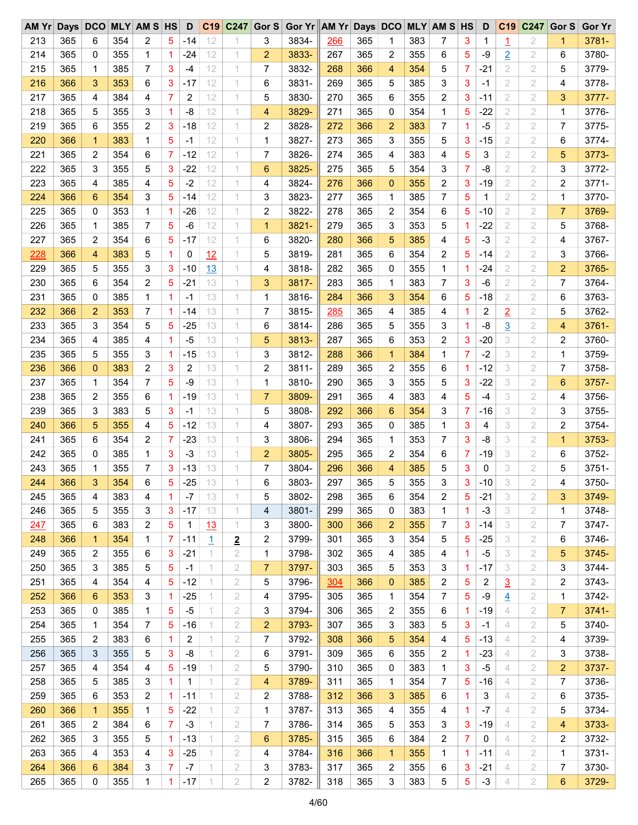| AM Yr |     |              |     | Days DCO MLY AM S HS |   | D     |             | C19 C247                | Gor S          | Gor Yr AM Yr Days DCO MLY AM S HS |     |     |                |     |   |                | D     | C <sub>19</sub> | C247           | Gor S          | <b>Gor Yr</b> |
|-------|-----|--------------|-----|----------------------|---|-------|-------------|-------------------------|----------------|-----------------------------------|-----|-----|----------------|-----|---|----------------|-------|-----------------|----------------|----------------|---------------|
| 213   | 365 | 6            | 354 | 2                    | 5 | $-14$ | 12          |                         | 3              | 3834-                             | 266 | 365 | 1              | 383 | 7 | 3              | 1     | 1               | 2              | 1              | 3781-         |
| 214   | 365 | 0            | 355 | 1                    | 1 | $-24$ | 12          | 1                       | $\overline{2}$ | 3833-                             | 267 | 365 | 2              | 355 | 6 | 5              | -9    | $\overline{2}$  | 2              | 6              | 3780-         |
| 215   | 365 | 1            | 385 | 7                    | 3 | $-4$  | 12          | 1                       | 7              | 3832-                             | 268 | 366 | 4              | 354 | 5 | 7              | $-21$ | $\overline{2}$  | $\mathbf{2}$   | 5              | 3779-         |
| 216   | 366 | 3            | 353 | 6                    | 3 | $-17$ | 12          | 1                       | 6              | 3831-                             | 269 | 365 | 5              | 385 | 3 | 3              | -1    | 2               | 2              | 4              | 3778-         |
| 217   | 365 | 4            | 384 | 4                    | 7 | 2     | 12          | 1                       | 5              | 3830-                             | 270 | 365 | 6              | 355 | 2 | 3              | $-11$ | 2               | 2              | 3              | 3777-         |
| 218   | 365 | 5            | 355 | 3                    | 1 | -8    | 12          | 1                       | 4              | 3829-                             | 271 | 365 | 0              | 354 | 1 | 5              | $-22$ | 2               | 2              | 1              | 3776-         |
| 219   | 365 | 6            | 355 | 2                    | 3 | $-18$ | 12          | 1                       | 2              | 3828-                             | 272 | 366 | $\overline{2}$ | 383 | 7 | 1              | $-5$  | 2               | 2              | 7              | 3775-         |
| 220   | 366 | $\mathbf{1}$ | 383 | 1                    | 5 | -1    | 12          | 1                       | 1              | 3827-                             | 273 | 365 | 3              | 355 | 5 | 3              | $-15$ | 2               | 2              | 6              | 3774-         |
| 221   | 365 | 2            | 354 | 6                    | 7 | $-12$ | 12          | 1.                      | 7              | 3826-                             | 274 | 365 | 4              | 383 | 4 | 5              | 3     | 2               | 2              | 5              | 3773-         |
| 222   | 365 | 3            | 355 | 5                    | 3 | $-22$ | 12          | 1                       | 6              | 3825-                             | 275 | 365 | 5              | 354 | 3 | $\overline{7}$ | -8    | 2               | 2              | 3              | 3772-         |
| 223   | 365 | 4            | 385 | 4                    | 5 | $-2$  | 12          | 1                       | 4              | 3824-                             | 276 | 366 | $\mathbf{0}$   | 355 | 2 | 3              | $-19$ | 2               | 2              | 2              | 3771-         |
| 224   | 366 | 6            | 354 | 3                    | 5 | $-14$ | 12          | 1.                      | 3              | 3823-                             | 277 | 365 | 1              | 385 | 7 | 5              | 1     | 2               | 2              | 1              | 3770-         |
| 225   | 365 | 0            | 353 | 1                    | 1 | $-26$ | 12          | 1                       | 2              | 3822-                             | 278 | 365 | 2              | 354 | 6 | 5              | $-10$ | 2               | 2              | $\overline{7}$ | 3769-         |
| 226   | 365 | 1            | 385 | $\overline{7}$       | 5 | $-6$  | 12          | 1                       | $\mathbf{1}$   | 3821-                             | 279 | 365 | 3              | 353 | 5 | 1              | $-22$ | 2               | 2              | 5              | 3768-         |
| 227   | 365 | 2            | 354 | 6                    | 5 | $-17$ | 12          | 1                       | 6              | 3820-                             | 280 | 366 | 5              | 385 | 4 | 5              | $-3$  | 2               | 2              | 4              | 3767-         |
| 228   | 366 | 4            | 383 | 5                    | 1 | 0     | 12          | 1.                      | 5              | 3819-                             | 281 | 365 | 6              | 354 | 2 | 5              | $-14$ | 2               | 2              | 3              | 3766-         |
| 229   | 365 | 5            | 355 | 3                    | 3 | $-10$ | 13          | 1                       | 4              | 3818-                             | 282 | 365 | 0              | 355 | 1 | 1              | $-24$ | 2               | 2              | $\overline{2}$ | 3765-         |
|       |     |              |     |                      |   |       |             |                         |                |                                   |     |     |                |     |   |                |       |                 |                |                |               |
| 230   | 365 | 6            | 354 | 2                    | 5 | $-21$ | 13          | 1                       | 3              | 3817-                             | 283 | 365 | 1              | 383 | 7 | 3              | $-6$  | 2               | 2              | 7              | 3764-         |
| 231   | 365 | 0            | 385 | 1                    | 1 | -1    | 13          | 1.                      | 1              | 3816-                             | 284 | 366 | 3              | 354 | 6 | 5              | $-18$ | 2               | 2              | 6              | 3763-         |
| 232   | 366 | 2            | 353 | 7                    | 1 | -14   | 13          | 1                       | 7              | 3815-                             | 285 | 365 | 4              | 385 | 4 | 1.             | 2     | $\overline{2}$  | 2              | 5              | 3762-         |
| 233   | 365 | 3            | 354 | 5                    | 5 | $-25$ | 13          | 1                       | 6              | 3814-                             | 286 | 365 | 5              | 355 | 3 | 1              | -8    | $\overline{3}$  | $\mathbf{2}$   | 4              | 3761-         |
| 234   | 365 | 4            | 385 | 4                    | 1 | -5    | 13          | 1                       | 5              | 3813-                             | 287 | 365 | 6              | 353 | 2 | 3              | $-20$ | 3               | 2              | 2              | 3760-         |
| 235   | 365 | 5            | 355 | 3                    | 1 | $-15$ | 13          | 1.                      | 3              | 3812-                             | 288 | 366 | 1              | 384 | 1 | 7              | $-2$  | 3               | 2              | 1              | 3759-         |
| 236   | 366 | $\mathbf{0}$ | 383 | 2                    | 3 | 2     | 13          | 1                       | 2              | 3811-                             | 289 | 365 | 2              | 355 | 6 | $\mathbf 1$    | $-12$ | 3               | 2              | 7              | 3758-         |
| 237   | 365 | 1            | 354 | 7                    | 5 | $-9$  | 13          | 1                       | 1              | 3810-                             | 290 | 365 | 3              | 355 | 5 | 3              | $-22$ | 3               | 2              | 6              | 3757-         |
| 238   | 365 | 2            | 355 | 6                    | 1 | $-19$ | 13          |                         | $\overline{7}$ | 3809-                             | 291 | 365 | 4              | 383 | 4 | 5              | -4    | 3               | 2              | 4              | 3756-         |
| 239   | 365 | 3            | 383 | 5                    | 3 | $-1$  | 13          | 1.                      | 5              | 3808-                             | 292 | 366 | 6              | 354 | 3 | 7              | $-16$ | 3               | 2              | 3              | 3755-         |
| 240   | 366 | 5            | 355 | 4                    | 5 | $-12$ | 13          | 1                       | 4              | 3807-                             | 293 | 365 | 0              | 385 | 1 | 3              | 4     | 3               | 2              | 2              | 3754-         |
| 241   | 365 | 6            | 354 | 2                    | 7 | $-23$ | 13          | 1                       | 3              | 3806-                             | 294 | 365 | 1              | 353 | 7 | 3              | -8    | 3               | 2              | 1              | 3753-         |
| 242   | 365 | 0            | 385 | 1                    | 3 | $-3$  | 13          | 1.                      | $\overline{c}$ | 3805-                             | 295 | 365 | 2              | 354 | 6 | 7              | $-19$ | 3               | 2              | 6              | 3752-         |
| 243   | 365 | 1            | 355 | 7                    | 3 | $-13$ | 13          | 1                       | 7              | 3804-                             | 296 | 366 | 4              | 385 | 5 | 3              | 0     | 3               | 2              | 5              | 3751-         |
| 244   | 366 | 3            | 354 | 6                    | 5 | $-25$ | 13          |                         | 6              | 3803-                             | 297 | 365 | 5              | 355 | 3 | 3              | $-10$ | 3               | $\overline{2}$ | 4              | 3750-         |
| 245   | 365 | 4            | 383 | 4                    | 1 | $-7$  | 13          | 1                       | 5              | 3802-                             | 298 | 365 | 6              | 354 | 2 | 5              | $-21$ | 3               | 2              | 3              | 3749-         |
| 246   | 365 | 5            | 355 | 3                    | 3 | $-17$ | 13          | 1.                      | 4              | 3801-                             | 299 | 365 | 0              | 383 | 1 | 1.             | $-3$  | 3               | 2              | 1              | 3748-         |
| 247   | 365 | 6            | 383 | 2                    | 5 | 1     | 13          | 1.                      | 3              | 3800-                             | 300 | 366 | $\overline{c}$ | 355 | 7 | 3              | $-14$ | 3               | 2              | 7              | 3747-         |
| 248   | 366 | $\mathbf 1$  | 354 | 1                    | 7 | $-11$ | <u>1</u>    | $\overline{\mathbf{2}}$ | 2              | 3799-                             | 301 | 365 | 3              | 354 | 5 | 5              | $-25$ | 3               | 2              | 6              | 3746-         |
| 249   | 365 | 2            | 355 | 6                    | 3 | $-21$ | 1.          | 2                       | 1              | 3798-                             | 302 | 365 | 4              | 385 | 4 | 1              | $-5$  | 3               | 2              | 5              | 3745-         |
| 250   | 365 | 3            | 385 | 5                    | 5 | $-1$  | 1           | 2                       | $\overline{7}$ | 3797-                             | 303 | 365 | 5              | 353 | 3 | 1.             | $-17$ | 3               | 2              | 3              | 3744-         |
| 251   | 365 | 4            | 354 | 4                    | 5 | $-12$ | $\mathbf 1$ | 2                       | 5              | 3796-                             | 304 | 366 | $\mathbf 0$    | 385 | 2 | 5              | 2     | $\overline{3}$  | 2              | 2              | 3743-         |
| 252   | 366 | 6            | 353 | 3                    | 1 | $-25$ | 1.          | 2                       | 4              | 3795-                             | 305 | 365 | 1              | 354 | 7 | 5              | -9    | $\overline{4}$  | 2              | 1              | 3742-         |
| 253   | 365 | 0            | 385 | 1                    | 5 | $-5$  | 1.          | 2                       | 3              | 3794-                             | 306 | 365 | 2              | 355 | 6 | 1.             | $-19$ | 4               | 2              | 7              | 3741-         |
| 254   | 365 | 1            | 354 | 7                    | 5 | $-16$ | 1.          | 2                       | $\overline{2}$ | 3793-                             | 307 | 365 | 3              | 383 | 5 | 3              | $-1$  | 4               | 2              | 5              | 3740-         |
| 255   | 365 | 2            | 383 | 6                    | 1 | 2     | 1.          | 2                       | 7              | 3792-                             | 308 | 366 | 5              | 354 | 4 | 5              | $-13$ | 4               | 2              | 4              | 3739-         |
| 256   | 365 | 3            | 355 | 5                    | 3 | -8    | 1           | 2                       | 6              | 3791-                             | 309 | 365 | 6              | 355 | 2 | 1.             | $-23$ | 4               | $\overline{2}$ | 3              | 3738-         |
| 257   | 365 | 4            | 354 | 4                    | 5 | -19   | 1.          | 2                       | 5              | 3790-                             | 310 | 365 | 0              | 383 | 1 | 3              | -5    | 4               |                | 2              | 3737-         |
|       |     |              |     |                      |   |       |             |                         |                |                                   |     |     |                |     |   |                |       |                 | 2              |                |               |
| 258   | 365 | 5            | 385 | 3                    | 1 | 1     | 1           | 2                       | 4              | 3789-                             | 311 | 365 | 1              | 354 | 7 | 5              | $-16$ | 4               | 2              | 7              | 3736-         |
| 259   | 365 | 6            | 353 | 2                    | 1 | $-11$ | 1           | 2                       | 2              | 3788-                             | 312 | 366 | 3              | 385 | 6 | 1              | 3     | 4               | 2              | 6              | 3735-         |
| 260   | 366 | $\mathbf{1}$ | 355 | 1                    | 5 | $-22$ | 1           | 2                       | 1              | 3787-                             | 313 | 365 | 4              | 355 | 4 | $\mathbf 1$    | -7    | 4               | 2              | 5              | 3734-         |
| 261   | 365 | 2            | 384 | 6                    | 7 | $-3$  | 1.          | 2                       | $\overline{7}$ | 3786-                             | 314 | 365 | 5              | 353 | 3 | 3              | $-19$ | 4               | 2              | 4              | 3733-         |
| 262   | 365 | 3            | 355 | 5                    | 1 | $-13$ | 1           | 2                       | 6              | 3785-                             | 315 | 365 | 6              | 384 | 2 | 7              | 0     | 4               | 2              | 2              | 3732-         |
| 263   | 365 | 4            | 353 | 4                    | 3 | -25   | 1.          | 2                       | 4              | 3784-                             | 316 | 366 | $\mathbf 1$    | 355 | 1 | 1.             | -11   | 4               | 2              | 1              | 3731-         |
| 264   | 366 | 6            | 384 | 3                    | 7 | $-7$  | 1           | 2                       | 3              | 3783-                             | 317 | 365 | 2              | 355 | 6 | 3              | $-21$ | 4               | 2              | 7              | 3730-         |
| 265   | 365 | 0            | 355 | 1                    | 1 | $-17$ | 1           | 2                       | $\overline{c}$ | 3782-                             | 318 | 365 | 3              | 383 | 5 | 5              | $-3$  | 4               | 2              | 6              | 3729-         |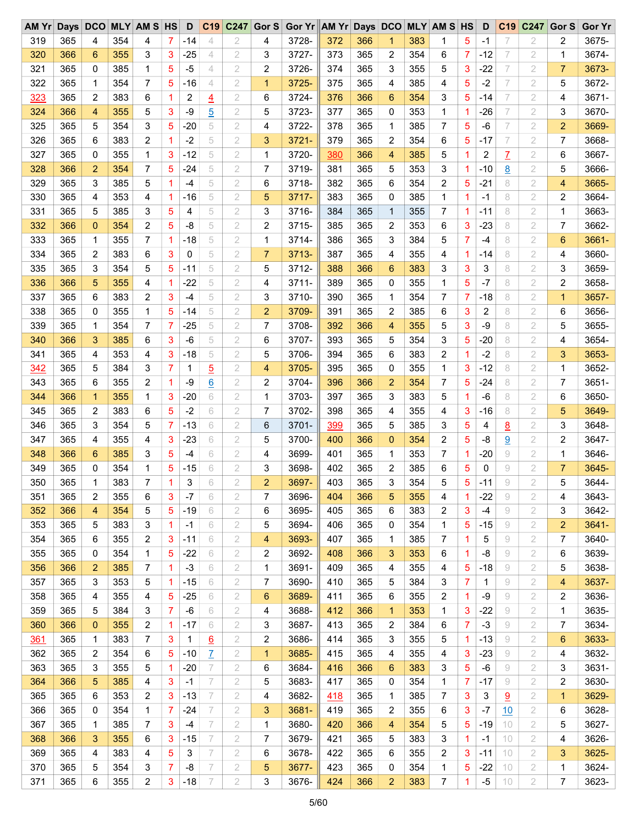| AM Yr      | Days DCO |                |     | <b>MLY AM S HS</b>      |   | D            | C19             | C <sub>247</sub> | Gor S          | Gor Yr AM Yr Days DCO |            |     |                |     | <b>MLY AM S HS</b> |              | D           | C <sub>19</sub> | C247          | Gor S          | <b>Gor Yr</b> |
|------------|----------|----------------|-----|-------------------------|---|--------------|-----------------|------------------|----------------|-----------------------|------------|-----|----------------|-----|--------------------|--------------|-------------|-----------------|---------------|----------------|---------------|
| 319        | 365      | 4              | 354 | 4                       | 7 | -14          | 4               | 2                | 4              | 3728-                 | 372        | 366 | 1              | 383 | 1                  | 5            | -1          | 7               | $\mathbf{2}$  | 2              | 3675-         |
| 320        | 366      | 6              | 355 | 3                       | 3 | $-25$        | 4               | 2                | 3              | 3727-                 | 373        | 365 | 2              | 354 | 6                  | 7            | -12         | 7               | 2             | 1              | 3674-         |
| 321        | 365      | 0              | 385 | 1                       | 5 | $-5$         | 4               | 2                | 2              | 3726-                 | 374        | 365 | 3              | 355 | 5                  | 3            | $-22$       | 7               | $\mathbf{2}$  | 7              | 3673-         |
| 322        | 365      | 1              | 354 | 7                       | 5 | -16          | 4               | 2                | 1              | 3725-                 | 375        | 365 | 4              | 385 | 4                  | 5            | $-2$        | 7               | 2             | 5              | 3672-         |
| 323        | 365      | 2              | 383 | 6                       | 1 | 2            | $\overline{4}$  | 2                | 6              | 3724-                 | 376        | 366 | 6              | 354 | 3                  | 5            | -14         | 7               | 2             | 4              | 3671-         |
| 324        | 366      | 4              | 355 | 5                       | 3 | $-9$         | $\overline{5}$  | 2                | 5              | 3723-                 | 377        | 365 | 0              | 353 | 1                  | 1            | $-26$       | 7               | 2             | 3              | 3670-         |
| 325        | 365      | 5              | 354 | 3                       | 5 | $-20$        | 5               | 2                | 4              | 3722-                 | 378        | 365 | 1              | 385 | 7                  | 5            | $-6$        | 7               | 2             | $\overline{c}$ | 3669-         |
| 326        | 365      | 6              | 383 | 2                       | 1 | $-2$         | 5               | 2                | 3              | 3721-                 | 379        | 365 | 2              | 354 | 6                  | 5            | -17         | 7               | 2             | 7              | 3668-         |
| 327        | 365      | 0              | 355 | 1                       | 3 | $-12$        | 5               | 2                | 1              | 3720-                 | 380        | 366 | 4              | 385 | 5                  | 1            | 2           | $\overline{L}$  | 2             | 6              | 3667-         |
| 328        | 366      | $\overline{2}$ | 354 | 7                       | 5 | $-24$        | 5               | 2                | 7              | 3719-                 | 381        | 365 | 5              | 353 | 3                  | 1            | $-10$       | <u>8</u>        | 2             | 5              | 3666-         |
| 329        | 365      | 3              | 385 | 5                       | 1 | $-4$         | 5               | 2                | 6              | 3718-                 | 382        | 365 | 6              | 354 | 2                  | 5            | $-21$       | 8               | 2             | 4              | 3665-         |
| 330        | 365      | 4              | 353 | 4                       | 1 | -16          | 5               | 2                | 5              | 3717-                 | 383        | 365 | 0              | 385 | 1                  | 1            | $-1$        | 8               | 2             | 2              | 3664-         |
| 331        | 365      | 5              | 385 | 3                       | 5 | 4            | 5               | 2                | 3              | 3716-                 | 384        | 365 | $\mathbf 1$    | 355 | 7                  | 1            | $-11$       | 8               | 2             | 1              | 3663-         |
| 332        | 366      | $\mathbf 0$    | 354 | 2                       | 5 | -8           | 5               | 2                | 2              | 3715-                 | 385        | 365 | 2              | 353 | 6                  | 3            | $-23$       | 8               | 2             | 7              | 3662-         |
| 333        | 365      | 1              | 355 | 7                       | 1 | -18          | 5               | 2                | 1              | 3714-                 | 386        | 365 | 3              | 384 | 5                  | 7            | -4          | 8               | 2             | 6              | 3661-         |
| 334        | 365      | 2              | 383 | 6                       | 3 | 0            | 5               | 2                | $\overline{7}$ | 3713-                 | 387        | 365 | 4              | 355 | 4                  | 1            | -14         | 8               | 2             | 4              | 3660-         |
| 335        | 365      | 3              | 354 | 5                       | 5 | -11          | 5               | 2                | 5              | 3712-                 | 388        | 366 | 6              | 383 | 3                  | 3            | 3           | 8               | 2             | 3              | 3659-         |
|            | 366      | 5              | 355 |                         | 1 | $-22$        | 5               | 2                | 4              | 3711-                 | 389        | 365 | 0              | 355 | 1                  | 5            | $-7$        | 8               | 2             | 2              | 3658-         |
| 336        |          | 6              |     | 4                       | 3 |              | 5               | 2                | 3              |                       | 390        | 365 |                |     |                    |              |             | 8               |               |                |               |
| 337        | 365      |                | 383 | 2                       |   | $-4$         |                 |                  |                | 3710-                 |            |     | 1              | 354 | 7                  | 7            | $-18$       |                 | $\mathbf{2}$  | 1              | 3657-         |
| 338        | 365      | 0              | 355 | 1                       | 5 | -14          | 5               | 2                | $\overline{2}$ | 3709-                 | 391        | 365 | 2              | 385 | 6                  | 3            | 2           | 8               | 2             | 6              | 3656-         |
| 339        | 365      | 1              | 354 | 7                       | 7 | $-25$        | 5               | 2                | 7              | 3708-                 | 392        | 366 | 4              | 355 | 5                  | 3            | -9          | 8               | $\mathbf{2}$  | 5              | 3655-         |
| 340        | 366      | 3              | 385 | 6                       | 3 | -6           | 5               | 2                | 6              | 3707-                 | 393        | 365 | 5              | 354 | 3                  | 5            | $-20$       | 8               | 2             | 4              | 3654-         |
| 341        | 365      | 4              | 353 | 4                       | 3 | $-18$        | 5               | 2                | 5              | 3706-                 | 394        | 365 | 6              | 383 | 2                  | 1            | $-2$        | 8               | 2             | 3              | 3653-         |
| 342        | 365      | 5              | 384 | 3                       | 7 | $\mathbf{1}$ | $\overline{5}$  | 2                | 4              | 3705-                 | 395        | 365 | 0              | 355 | 1                  | 3            | $-12$       | 8               | 2             | 1              | 3652-         |
| 343        | 365      | 6              | 355 | 2                       | 1 | $-9$         | 6               | 2                | 2              | 3704-                 | 396        | 366 | $\overline{2}$ | 354 | 7                  | 5            | $-24$       | 8               | 2             | 7              | 3651-         |
| 344        | 366      | $\mathbf 1$    | 355 | 1                       | 3 | $-20$        | 6               | 2                | 1              | 3703-                 | 397        | 365 | 3              | 383 | 5                  | 1            | $-6$        | 8               | $\mathbf{2}$  | 6              | 3650-         |
| 345        | 365      | 2              | 383 | 6                       | 5 | $-2$         | 6               | 2                | 7              | 3702-                 | 398        | 365 | 4              | 355 | 4                  | 3            | $-16$       | 8               | 2             | 5              | 3649-         |
| 346        | 365      | 3              | 354 | 5                       | 7 | $-13$        | 6               | 2                | 6              | $3701 -$              | <u>399</u> | 365 | 5              | 385 | 3                  | 5            | 4           | <u>8</u>        | $\mathbf{2}$  | 3              | 3648-         |
| 347        | 365      | 4              | 355 | 4                       | 3 | $-23$        | 6               | 2                | 5              | 3700-                 | 400        | 366 | 0              | 354 | 2                  | 5            | -8          | $\overline{6}$  | 2             | 2              | 3647-         |
| 348        | 366      | 6              | 385 | 3                       | 5 | -4           | 6               | 2                | 4              | 3699-                 | 401        | 365 | 1              | 353 | 7                  | 1            | $-20$       | 9               | 2             | 1              | 3646-         |
| 349        | 365      | 0              | 354 | 1                       | 5 | $-15$        | 6               | 2                | 3              | 3698-                 | 402        | 365 | 2              | 385 | 6                  | 5            | 0           | 9               | 2             | 7              | 3645-         |
| 350        | 365      | 1              | 383 | 7                       | 1 | 3            | 6               | 2                | $\overline{2}$ | 3697-                 | 403        | 365 | 3              | 354 | 5                  | 5            | $-11$       | 9               | 2             | 5              | 3644-         |
| 351        | 365      | 2              | 355 | 6                       | 3 | $-7$         | 6               | 2                | 7              | 3696-                 | 404        | 366 | 5              | 355 | 4                  | 1            | $-22$       | 9               | 2             | 4              | 3643-         |
| 352        | 366      | 4              | 354 | 5                       | 5 | $-19$        | 6               | 2                | 6              | 3695-                 | 405        | 365 | 6              | 383 | 2                  | 3            | $-4$        | 9               | 2             | 3              | 3642-         |
| 353        | 365      | 5              | 383 | 3                       | 1 | -1           | 6               | 2                | 5              | 3694-                 | 406        | 365 | 0              | 354 | 1                  | 5            | $-15$       | 9               | 2             | 2              | $3641 -$      |
| 354        | 365      | 6              | 355 | 2                       | 3 | $-11$        | 6               | 2                | 4              | 3693-                 | 407        | 365 | 1              | 385 | 7                  | 1            | 5           | 9               | 2             | 7              | 3640-         |
| 355        | 365      | 0              | 354 | 1                       | 5 | $-22$        | 6               | 2                | 2              | 3692-                 | 408        | 366 | 3              | 353 | 6                  | $\mathbf{1}$ | -8          | 9               | 2             | 6              | 3639-         |
| 356        | 366      | 2              | 385 | 7                       | 1 | $-3$         | 6               | 2                | 1              | 3691-                 | 409        | 365 | 4              | 355 | 4                  | 5            | $-18$       | 9               | 2             | 5              | 3638-         |
| 357        | 365      | 3              | 353 | 5                       | 1 | $-15$        | 6               | 2                | 7              | 3690-                 | 410        | 365 | 5              | 384 | 3                  | 7            | $\mathbf 1$ | 9               | 2             | 4              | 3637-         |
| 358        | 365      | 4              | 355 | 4                       | 5 | $-25$        | 6               | 2                | 6              | 3689-                 | 411        | 365 | 6              | 355 | 2                  | $\mathbf{1}$ | -9          | 9               | 2             | 2              | 3636-         |
| 359        | 365      | 5              | 384 | 3                       | 7 | -6           | 6               | 2                | 4              | 3688-                 | 412        | 366 | 1              | 353 | 1                  | 3            | $-22$       | 9               | 2             | 1              | 3635-         |
| 360        | 366      | $\mathbf{0}$   | 355 | $\overline{\mathbf{c}}$ | 1 | $-17$        | 6               | 2                | 3              | 3687-                 | 413        | 365 | 2              | 384 | 6                  | 7            | $-3$        | 9               | 2             | 7              | 3634-         |
| <u>361</u> | 365      | 1              | 383 | 7                       | 3 | 1            | $\underline{6}$ | 2                | 2              | 3686-                 | 414        | 365 | 3              | 355 | 5                  | 1            | -13         | 9               | 2             | 6              | 3633-         |
| 362        | 365      | 2              | 354 | 6                       | 5 | $-10$        | Z               | 2                | $\mathbf{1}$   | 3685-                 | 415        | 365 | 4              | 355 | 4                  | 3            | $-23$       | 9               | 2             | 4              | 3632-         |
| 363        | 365      | 3              | 355 | 5                       | 1 | $-20$        | 7               | 2                | 6              | 3684-                 | 416        | 366 | 6              | 383 | 3                  | 5            | -6          | 9               | 2             | 3              | 3631-         |
| 364        | 366      | 5              | 385 | 4                       | 3 | $-1$         | 7               | 2                | 5              | 3683-                 | 417        | 365 | 0              | 354 | 1                  | 7            | $-17$       | 9               | $\mathbf{2}$  | 2              | 3630-         |
| 365        | 365      | 6              | 353 | 2                       | 3 | $-13$        | 7               | 2                | 4              | 3682-                 | <u>418</u> | 365 | 1              | 385 | 7                  | 3            | 3           | $\overline{9}$  | 2             | $\mathbf{1}$   | 3629-         |
| 366        | 365      | 0              | 354 | 1                       | 7 | -24          | 7               | 2                | 3              | 3681-                 | 419        | 365 | 2              | 355 | 6                  | 3            | -7          | 10              | 2             | 6              | 3628-         |
| 367        | 365      | 1              | 385 | 7                       | 3 | $-4$         | 7               | 2                | 1              | 3680-                 | 420        | 366 | 4              | 354 | 5                  | 5            | $-19$       | 10              | 2             | 5              | 3627-         |
| 368        | 366      | 3              | 355 | 6                       | 3 | $-15$        | 7               | 2                | 7              | 3679-                 | 421        | 365 | 5              | 383 | 3                  | 1            | $-1$        | 10              | 2             | 4              | 3626-         |
| 369        | 365      | 4              | 383 | 4                       | 5 | 3            | 7               | 2                | 6              | 3678-                 | 422        | 365 | 6              | 355 | 2                  | 3            | $-11$       | 10              | 2             | 3              | 3625-         |
| 370        | 365      | 5              | 354 | 3                       | 7 | -8           | 7               | 2                | 5              | 3677-                 | 423        | 365 | 0              | 354 | 1                  | 5            | $-22$       | 10              | 2             | 1              | 3624-         |
|            |          |                |     |                         |   |              | 7               |                  |                |                       |            |     |                |     |                    |              |             |                 |               |                |               |
| 371        | 365      | 6              | 355 | 2                       | 3 | $-18$        |                 | 2                | 3              | 3676-                 | 424        | 366 | $\overline{c}$ | 383 | 7                  | $\mathbf{1}$ | $-5$        | 10              | $\mathfrak 2$ | 7              | 3623-         |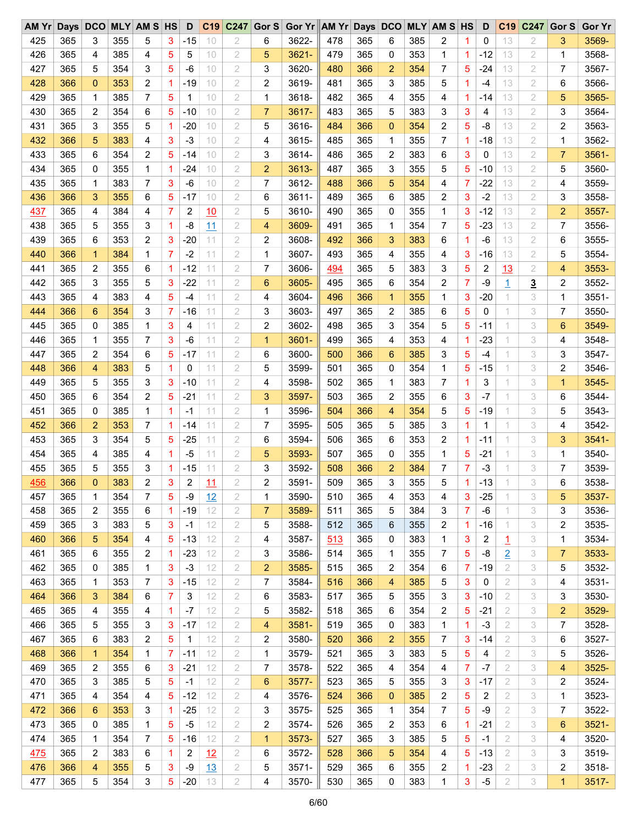| AM Yr      | Days DCO |                |     | <b>MLY AM S HS</b> |                | D     | C19       | C247           | Gor $S$        | Gor Yr AM Yr Days DCO |     |     |                |     | <b>MLY AM S HS</b> |    | D     | C <sub>19</sub> | C247           | Gor S          | <b>Gor Yr</b> |
|------------|----------|----------------|-----|--------------------|----------------|-------|-----------|----------------|----------------|-----------------------|-----|-----|----------------|-----|--------------------|----|-------|-----------------|----------------|----------------|---------------|
| 425        | 365      | 3              | 355 | 5                  | 3              | $-15$ | 10        | 2              | 6              | 3622-                 | 478 | 365 | 6              | 385 | 2                  | 1  | 0     | 13              | 2              | 3              | 3569-         |
| 426        | 365      | 4              | 385 | 4                  | 5              | 5     | 10        | 2              | 5              | 3621-                 | 479 | 365 | 0              | 353 | 1                  | 1. | $-12$ | 13              | 2              | 1              | 3568-         |
| 427        | 365      | 5              | 354 | 3                  | 5              | $-6$  | 10        | 2              | 3              | 3620-                 | 480 | 366 | $\overline{2}$ | 354 | 7                  | 5  | $-24$ | 13              | 2              | 7              | 3567-         |
| 428        | 366      | $\mathbf 0$    | 353 | 2                  | 1              | -19   | 10        | 2              | 2              | 3619-                 | 481 | 365 | 3              | 385 | 5                  | 1  | -4    | 13              | 2              | 6              | 3566-         |
| 429        | 365      | 1              | 385 | 7                  | 5              | 1     | 10        | 2              | 1              | 3618-                 | 482 | 365 | 4              | 355 | 4                  | 1  | $-14$ | 13              | 2              | 5              | 3565-         |
| 430        | 365      | 2              | 354 | 6                  | 5              | $-10$ | 10        | 2              | $\overline{7}$ | 3617-                 | 483 | 365 | 5              | 383 | 3                  | 3  | 4     | 13              | 2              | 3              | 3564-         |
| 431        | 365      | 3              | 355 | 5                  | 1              | $-20$ | 10        | 2              | 5              | 3616-                 | 484 | 366 | $\mathbf{0}$   | 354 | 2                  | 5  | $-8$  | 13              | 2              | 2              | 3563-         |
| 432        | 366      | 5              | 383 | 4                  | 3              | $-3$  | 10        | 2              | 4              | 3615-                 | 485 | 365 | 1              | 355 | 7                  | 1  | $-18$ | 13              | 2              | 1              | 3562-         |
| 433        | 365      | 6              | 354 | 2                  | 5              | $-14$ | 10        | 2              | 3              | 3614-                 | 486 | 365 | 2              | 383 | 6                  | 3  | 0     | 13              | 2              | 7              | 3561-         |
| 434        | 365      | 0              | 355 | 1                  | 1              | $-24$ | 10        | 2              | $\overline{c}$ | 3613-                 | 487 | 365 | 3              | 355 | 5                  | 5  | $-10$ | 13              | 2              | 5              | 3560-         |
| 435        | 365      | 1              | 383 | 7                  | 3              | $-6$  | 10        | 2              | 7              | 3612-                 | 488 | 366 | 5              | 354 | 4                  | 7  | $-22$ | 13              | 2              | 4              | 3559-         |
| 436        | 366      | 3              | 355 | 6                  | 5              | -17   | 10        | 2              | 6              | $3611 -$              | 489 | 365 | 6              | 385 | 2                  | 3  | $-2$  | 13              | $\overline{2}$ | 3              | 3558-         |
| 437        | 365      | 4              | 384 | 4                  | 7              | 2     | 10        | 2              | 5              | 3610-                 | 490 | 365 | 0              | 355 | 1                  | 3  | $-12$ | 13              | 2              | $\overline{2}$ | 3557-         |
| 438        | 365      | 5              | 355 | 3                  | 1              | $-8$  | 11        | 2              | 4              | 3609-                 | 491 | 365 | 1              | 354 | 7                  | 5  | $-23$ | 13              | 2              | 7              | 3556-         |
| 439        | 365      | 6              | 353 | 2                  | 3              | $-20$ | 11        | 2              | 2              | 3608-                 | 492 | 366 | 3              | 383 | 6                  | 1  | -6    | 13              | 2              | 6              | 3555-         |
| 440        | 366      | $\mathbf{1}$   | 384 | 1                  | $\overline{7}$ | $-2$  | 11        | 2              | 1              | 3607-                 | 493 | 365 | 4              | 355 | 4                  | 3  | $-16$ | 13              | 2              | 5              | 3554-         |
|            |          | 2              |     |                    | 1              |       | 11        | 2              | 7              |                       |     | 365 | 5              |     | 3                  |    |       |                 |                | 4              |               |
| 441        | 365      |                | 355 | 6                  |                | $-12$ |           |                |                | 3606-                 | 494 |     |                | 383 |                    | 5  | 2     | 13              | 2              |                | 3553-         |
| 442        | 365      | 3              | 355 | 5                  | 3              | $-22$ | 11        | 2              | 6              | 3605-                 | 495 | 365 | 6              | 354 | 2                  | 7  | -9    | $\overline{1}$  | $\overline{3}$ | 2              | 3552-         |
| 443        | 365      | 4              | 383 | 4                  | 5              | $-4$  | 11        | $\overline{2}$ | 4              | 3604-                 | 496 | 366 | $\mathbf 1$    | 355 | 1                  | 3  | $-20$ | 1               | 3              | 1              | $3551 -$      |
| 444        | 366      | 6              | 354 | 3                  | 7              | -16   | 11        | 2              | 3              | 3603-                 | 497 | 365 | 2              | 385 | 6                  | 5  | 0     | 1               | 3              | 7              | 3550-         |
| 445        | 365      | 0              | 385 | 1                  | 3              | 4     | 11        | $\overline{2}$ | 2              | 3602-                 | 498 | 365 | 3              | 354 | 5                  | 5  | $-11$ | 1               | 3              | 6              | 3549-         |
| 446        | 365      | 1              | 355 | 7                  | 3              | -6    | 11        | 2              | 1              | 3601-                 | 499 | 365 | 4              | 353 | 4                  | 1  | $-23$ | 1               | 3              | 4              | 3548-         |
| 447        | 365      | 2              | 354 | 6                  | 5              | -17   | 11        | 2              | 6              | 3600-                 | 500 | 366 | 6              | 385 | 3                  | 5  | $-4$  | 1               | 3              | 3              | 3547-         |
| 448        | 366      | $\overline{4}$ | 383 | 5                  | 1              | 0     | 11        | 2              | 5              | 3599-                 | 501 | 365 | 0              | 354 | 1                  | 5  | $-15$ | 1               | 3              | 2              | 3546-         |
| 449        | 365      | 5              | 355 | 3                  | 3              | $-10$ | 11        | 2              | 4              | 3598-                 | 502 | 365 | 1              | 383 | 7                  | 1  | 3     | 1               | 3              | $\mathbf{1}$   | 3545-         |
| 450        | 365      | 6              | 354 | 2                  | 5              | $-21$ | 11        | 2              | 3              | 3597-                 | 503 | 365 | 2              | 355 | 6                  | 3  | $-7$  | 1               | 3              | 6              | 3544-         |
| 451        | 365      | 0              | 385 | 1                  | 1              | -1    | 11        | 2              | 1              | 3596-                 | 504 | 366 | 4              | 354 | 5                  | 5  | $-19$ | 1               | 3              | 5              | 3543-         |
| 452        | 366      | $\overline{2}$ | 353 | 7                  | 1              | -14   | 11        | $\overline{2}$ | $\overline{7}$ | 3595-                 | 505 | 365 | 5              | 385 | 3                  | 1  | 1     | 1               | 3              | 4              | 3542-         |
| 453        | 365      | 3              | 354 | 5                  | 5              | $-25$ | 11        | 2              | 6              | 3594-                 | 506 | 365 | 6              | 353 | 2                  | 1  | $-11$ | 1               | 3              | 3              | $3541 -$      |
| 454        | 365      | 4              | 385 | 4                  | 1              | -5    | 11        | 2              | 5              | 3593-                 | 507 | 365 | 0              | 355 | 1                  | 5  | $-21$ | 1               | 3              | 1              | 3540-         |
| 455        | 365      | 5              | 355 | 3                  | 1              | -15   | 11        | 2              | 3              | 3592-                 | 508 | 366 | $\overline{2}$ | 384 | 7                  | 7  | $-3$  | 1               | 3              | 7              | 3539-         |
| 456        | 366      | $\mathbf{0}$   | 383 | 2                  | 3              | 2     | 11        | $\overline{2}$ | 2              | 3591-                 | 509 | 365 | 3              | 355 | 5                  | 1. | $-13$ |                 | 3              | 6              | 3538-         |
| 457        | 365      | 1              | 354 | 7                  | 5              | -9    | 12        | 2              | 1              | 3590-                 | 510 | 365 | 4              | 353 | 4                  | 3  | $-25$ | 1               | 3              | 5              | 3537-         |
| 458        | 365      | 2              | 355 | 6                  | 1              | $-19$ | 12        | 2              | 7              | 3589-                 | 511 | 365 | 5              | 384 | 3                  | 7  | -6    | 1               | 3              | 3              | 3536-         |
| 459        | 365      | 3              | 383 | 5                  | 3              | $-1$  | 12        | 2              | 5              | 3588-                 | 512 | 365 | 6              | 355 | 2                  | 1  | $-16$ | 1               | 3              | 2              | 3535-         |
| 460        | 366      | 5              | 354 | 4                  | 5              | $-13$ | 12        | 2              | 4              | 3587-                 | 513 | 365 | 0              | 383 | 1                  | 3  | 2     | 1               | 3              | 1              | 3534-         |
| 461        | 365      | 6              | 355 | 2                  | 1              | $-23$ | 12        | 2              | 3              | 3586-                 | 514 | 365 | 1              | 355 | 7                  | 5  | -8    | $\overline{2}$  | 3              | $\overline{7}$ | 3533-         |
| 462        | 365      | 0              | 385 | 1                  | 3              | $-3$  | 12        | 2              | $\overline{2}$ | 3585-                 | 515 | 365 | 2              | 354 | 6                  | 7  | $-19$ | 2               | 3              | 5              | 3532-         |
| 463        | 365      | 1              | 353 | 7                  | 3              | $-15$ | 12        | 2              | 7              | 3584-                 | 516 | 366 | 4              | 385 | 5                  | 3  | 0     | 2               | 3              | 4              | 3531-         |
| 464        | 366      | 3              | 384 | 6                  | 7              | 3     | 12        | 2              | 6              | 3583-                 | 517 | 365 | 5              | 355 | 3                  | 3  | $-10$ | 2               | 3              | 3              | 3530-         |
| 465        | 365      | 4              | 355 | 4                  | 1              | $-7$  | 12        | 2              | 5              | 3582-                 | 518 | 365 | 6              | 354 | 2                  | 5  | $-21$ | 2               | 3              | 2              | 3529-         |
| 466        | 365      | 5              | 355 | 3                  | 3              | $-17$ | 12        | 2              | 4              | 3581-                 | 519 | 365 | 0              | 383 | 1                  | 1  | $-3$  | 2               | 3              | 7              | 3528-         |
| 467        | 365      | 6              | 383 | 2                  | 5              | 1     | 12        | 2              | 2              | 3580-                 | 520 | 366 | 2              | 355 | 7                  | 3  | -14   | 2               | 3              | 6              | 3527-         |
| 468        | 366      | $\mathbf{1}$   | 354 | 1                  | 7              | $-11$ | 12        | 2              | 1              | 3579-                 | 521 | 365 | 3              | 383 | 5                  | 5  | 4     | 2               | 3              | 5              | 3526-         |
| 469        | 365      | 2              | 355 | 6                  | 3              | $-21$ | 12        | 2              | 7              | 3578-                 | 522 | 365 | 4              | 354 | 4                  | 7  | $-7$  | 2               | 3              | 4              | 3525-         |
| 470        | 365      | 3              | 385 | 5                  | 5              | $-1$  | 12        | 2              | 6              | 3577-                 | 523 | 365 | 5              | 355 | 3                  | 3  | $-17$ | 2               | 3              | 2              | 3524-         |
|            |          | 4              |     |                    |                |       |           |                |                |                       |     |     |                |     |                    |    |       |                 |                |                |               |
| 471        | 365      |                | 354 | 4                  | 5              | $-12$ | 12        | 2              | 4              | 3576-                 | 524 | 366 | 0              | 385 | 2                  | 5  | 2     | 2               | 3              | 1              | 3523-         |
| 472        | 366      | 6              | 353 | 3                  | 1              | -25   | 12        | 2              | 3              | 3575-                 | 525 | 365 | 1              | 354 | 7                  | 5  | -9    | 2               | 3              | 7              | 3522-         |
| 473        | 365      | 0              | 385 | 1                  | 5              | $-5$  | 12        | 2              | 2              | 3574-                 | 526 | 365 | 2              | 353 | 6                  | 1. | $-21$ | 2               | 3              | 6              | $3521 -$      |
| 474        | 365      | 1              | 354 | 7                  | 5              | $-16$ | 12        | 2              | $\mathbf{1}$   | 3573-                 | 527 | 365 | 3              | 385 | 5                  | 5  | $-1$  | 2               | 3              | 4              | 3520-         |
| <u>475</u> | 365      | 2              | 383 | 6                  | 1              | 2     | 12        | 2              | 6              | 3572-                 | 528 | 366 | 5              | 354 | 4                  | 5  | $-13$ | 2               | 3              | 3              | 3519-         |
| 476        | 366      | 4              | 355 | 5                  | 3              | -9    | <u>13</u> | 2              | 5              | $3571 -$              | 529 | 365 | 6              | 355 | 2                  | 1  | $-23$ | 2               | 3              | 2              | 3518-         |
| 477        | 365      | 5              | 354 | 3                  | 5              | $-20$ | 13        | 2              | 4              | 3570-                 | 530 | 365 | 0              | 383 | 1                  | 3  | $-5$  | 2               | 3              | 1              | 3517-         |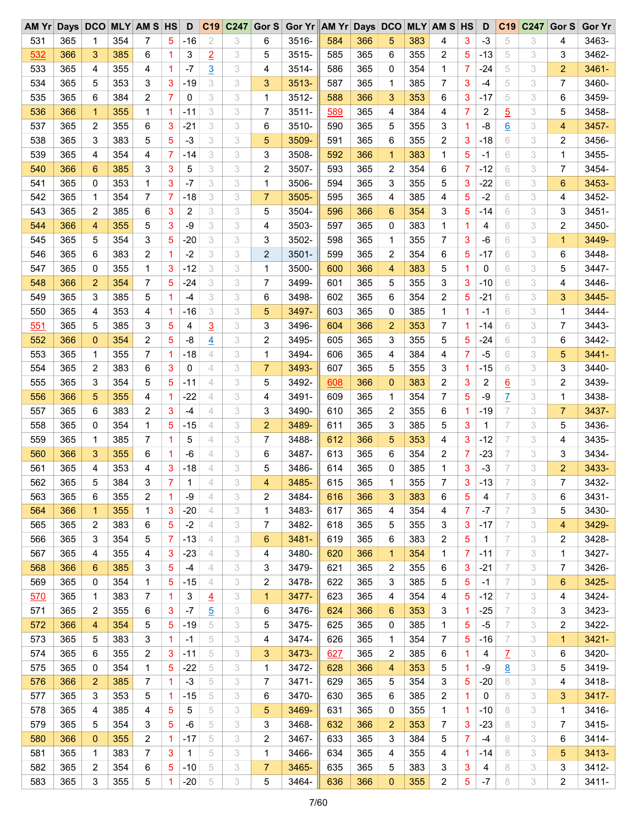| AM Yr |     | Days DCO       |     | <b>MLY AM S HS</b> |             | D     | C19            | C247 | Gor $S$        | Gor Yr AM Yr Days DCO |     |     |                 |     | <b>MLY AM S HS</b> |                | D            | C <sub>19</sub> | C247 | Gor S          | <b>Gor Yr</b> |
|-------|-----|----------------|-----|--------------------|-------------|-------|----------------|------|----------------|-----------------------|-----|-----|-----------------|-----|--------------------|----------------|--------------|-----------------|------|----------------|---------------|
| 531   | 365 | 1              | 354 | 7                  | 5           | -16   | 2              | 3    | 6              | 3516-                 | 584 | 366 | 5               | 383 | 4                  | 3              | $-3$         | 5               | 3    | 4              | 3463-         |
| 532   | 366 | 3              | 385 | 6                  | 1           | 3     | $\overline{2}$ | 3    | 5              | 3515-                 | 585 | 365 | 6               | 355 | 2                  | 5              | $-13$        | 5               | 3    | 3              | 3462-         |
| 533   | 365 | 4              | 355 | 4                  | $\mathbf 1$ | $-7$  | $\overline{3}$ | 3    | 4              | 3514-                 | 586 | 365 | $\Omega$        | 354 | 1                  | 7              | $-24$        | 5               | 3    | 2              | 3461-         |
| 534   | 365 | 5              | 353 | 3                  | 3           | $-19$ | 3              | 3    | 3              | $3513 -$              | 587 | 365 | 1               | 385 | 7                  | 3              | -4           | 5               | 3    | 7              | 3460-         |
| 535   | 365 | 6              | 384 | 2                  | 7           | 0     | 3              | 3    | 1              | 3512-                 | 588 | 366 | 3               | 353 | 6                  | 3              | $-17$        | 5               | 3    | 6              | 3459-         |
| 536   | 366 | $\mathbf{1}$   | 355 | 1                  | 1           | $-11$ | 3              | 3    | 7              | $3511 -$              | 589 | 365 | 4               | 384 | 4                  | $\overline{7}$ | 2            | $\overline{5}$  | 3    | 5              | 3458-         |
| 537   | 365 | 2              | 355 | 6                  | 3           | $-21$ | 3              | 3    | 6              | 3510-                 | 590 | 365 | 5               | 355 | 3                  | 1              | $-8$         | 6               | 3    | 4              | 3457-         |
| 538   | 365 | 3              | 383 | 5                  | 5           | $-3$  | 3              | 3    | 5              | 3509-                 | 591 | 365 | 6               | 355 | 2                  | 3              | $-18$        | 6               | 3    | 2              | 3456-         |
| 539   | 365 | 4              | 354 | 4                  | 7           | -14   | 3              | 3    | 3              | 3508-                 | 592 | 366 | 1               | 383 | 1                  | 5              | $-1$         | 6               | 3    | 1              | 3455-         |
| 540   | 366 | 6              | 385 | 3                  | 3           | 5     | 3              | 3    | 2              | 3507-                 | 593 | 365 | 2               | 354 | 6                  | 7              | $-12$        | 6               | 3    | 7              | 3454-         |
| 541   | 365 | 0              | 353 | 1                  | 3           | $-7$  | 3              | 3    | 1              | 3506-                 | 594 | 365 | 3               | 355 | 5                  | 3              | $-22$        | 6               | 3    | 6              | 3453-         |
| 542   | 365 |                | 354 | 7                  | 7           | -18   | 3              | 3    | $\overline{7}$ | 3505-                 | 595 | 365 | 4               | 385 | 4                  | 5              | $-2$         | 6               | 3    | 4              | 3452-         |
|       |     | 1              |     |                    |             |       |                |      |                |                       |     |     |                 |     |                    |                |              |                 |      |                |               |
| 543   | 365 | 2              | 385 | 6                  | 3           | 2     | 3              | 3    | 5              | 3504-                 | 596 | 366 | 6               | 354 | 3                  | 5              | $-14$        | 6               | 3    | 3              | 3451-         |
| 544   | 366 | 4              | 355 | 5                  | 3           | $-9$  | 3              | 3    | 4              | 3503-                 | 597 | 365 | 0               | 383 | 1                  | 1              | 4            | 6               | 3    | 2              | 3450-         |
| 545   | 365 | 5              | 354 | 3                  | 5           | $-20$ | 3              | 3    | 3              | 3502-                 | 598 | 365 | 1               | 355 | 7                  | 3              | $-6$         | 6               | 3    | $\mathbf{1}$   | 3449-         |
| 546   | 365 | 6              | 383 | 2                  | 1           | $-2$  | 3              | 3    | 2              | $3501 -$              | 599 | 365 | 2               | 354 | 6                  | 5              | $-17$        | 6               | 3    | 6              | 3448-         |
| 547   | 365 | $\mathbf{0}$   | 355 | 1                  | 3           | $-12$ | 3              | 3    | 1              | 3500-                 | 600 | 366 | 4               | 383 | 5                  | 1              | 0            | 6               | 3    | 5              | 3447-         |
| 548   | 366 | 2              | 354 | 7                  | 5           | $-24$ | 3              | 3    | 7              | 3499-                 | 601 | 365 | 5               | 355 | 3                  | 3              | $-10$        | 6               | 3    | 4              | 3446-         |
| 549   | 365 | 3              | 385 | 5                  | 1           | $-4$  | 3              | 3    | 6              | 3498-                 | 602 | 365 | 6               | 354 | 2                  | 5              | $-21$        | 6               | 3    | 3              | 3445-         |
| 550   | 365 | 4              | 353 | 4                  | 1           | -16   | 3              | 3    | 5              | 3497-                 | 603 | 365 | 0               | 385 | 1                  | 1              | $-1$         | 6               | 3    | 1              | 3444-         |
| 551   | 365 | 5              | 385 | 3                  | 5           | 4     | $\overline{3}$ | 3    | 3              | 3496-                 | 604 | 366 | $\overline{2}$  | 353 | 7                  | 1              | $-14$        | 6               | 3    | 7              | 3443-         |
| 552   | 366 | $\mathbf 0$    | 354 | 2                  | 5           | -8    | $\overline{4}$ | 3    | 2              | 3495-                 | 605 | 365 | 3               | 355 | 5                  | 5              | $-24$        | 6               | 3    | 6              | 3442-         |
| 553   | 365 | 1              | 355 | 7                  | 1           | -18   | 4              | 3    | 1              | 3494-                 | 606 | 365 | 4               | 384 | 4                  | 7              | $-5$         | 6               | 3    | 5              | 3441-         |
| 554   | 365 | 2              | 383 | 6                  | 3           | 0     | 4              | 3    | $\overline{7}$ | 3493-                 | 607 | 365 | 5               | 355 | 3                  | 1              | $-15$        | 6               | 3    | 3              | 3440-         |
| 555   | 365 | 3              | 354 | 5                  | 5           | $-11$ | 4              | 3    | 5              | 3492-                 | 608 | 366 | $\Omega$        | 383 | 2                  | 3              | 2            | 6               | 3    | 2              | 3439-         |
| 556   | 366 | 5              | 355 | 4                  | 1           | -22   | 4              | 3    | 4              | 3491-                 | 609 | 365 | 1               | 354 | 7                  | 5              | -9           | $\overline{L}$  | 3    | 1              | 3438-         |
| 557   | 365 | 6              | 383 | 2                  | 3           | -4    | 4              | 3    | 3              | 3490-                 | 610 | 365 | 2               | 355 | 6                  | 1.             | $-19$        | 7               | 3    | $\overline{7}$ | 3437-         |
| 558   | 365 | $\mathbf{0}$   | 354 | 1                  | 5           | $-15$ | $\overline{4}$ | 3    | $\overline{2}$ | 3489-                 | 611 | 365 | 3               | 385 | 5                  | 3              | 1            | 7               | 3    | 5              | 3436-         |
| 559   | 365 | 1              | 385 | 7                  | 1           | 5     | 4              | 3    | 7              | 3488-                 | 612 | 366 | 5               | 353 | 4                  | 3              | $-12$        | 7               | 3    | 4              | 3435-         |
| 560   | 366 | 3              | 355 | 6                  | 1           | $-6$  | 4              | 3    | 6              | 3487-                 | 613 | 365 | 6               | 354 | 2                  | 7              | $-23$        | 7               | 3    | 3              | 3434-         |
| 561   | 365 | 4              | 353 | 4                  | 3           | $-18$ | 4              | 3    | 5              | 3486-                 | 614 | 365 | 0               | 385 | 1                  | 3              | $-3$         | 7               | 3    | 2              | 3433-         |
|       |     | 5              | 384 | 3                  | 7           | 1     | 4              | 3    | 4              | 3485-                 | 615 | 365 | 1               |     | 7                  | 3              | $-13$        | 7               | 3    | 7              | 3432-         |
| 562   | 365 |                |     |                    |             |       |                |      |                |                       |     |     |                 | 355 |                    |                |              |                 |      |                | 3431-         |
| 563   | 365 | 6              | 355 | 2                  | 1           | -9    | 4              | 3    | 2              | 3484-                 | 616 | 366 | 3               | 383 | 6                  | 5              | 4            | 7               | 3    | 6              |               |
| 564   | 366 | $\mathbf{1}$   | 355 | 1                  | 3           | $-20$ | 4              | 3    | 1              | 3483-                 | 617 | 365 | 4               | 354 | 4                  | 7              | -7           | 7               | 3    | 5              | 3430-         |
| 565   | 365 | 2              | 383 | 6                  | 5           | $-2$  | 4              | 3    | 7              | 3482-                 | 618 | 365 | 5               | 355 | 3                  | 3              | $-17$        | 7               | 3    | 4              | 3429-         |
| 566   | 365 | 3              | 354 | 5                  | 7           | $-13$ | 4              | 3    | 6              | 3481-                 | 619 | 365 | 6               | 383 | 2                  | 5              | $\mathbf{1}$ | 7               | 3    | 2              | 3428-         |
| 567   | 365 | 4              | 355 | 4                  | 3           | $-23$ | 4              | 3    | 4              | 3480-                 | 620 | 366 | 1               | 354 | 1                  | 7              | $-11$        | 7               | 3    | 1              | 3427-         |
| 568   | 366 | 6              | 385 | 3                  | 5           | $-4$  | $\overline{4}$ | 3    | 3              | 3479-                 | 621 | 365 | $\overline{c}$  | 355 | 6                  | 3              | $-21$        | 7               | 3    | 7              | 3426-         |
| 569   | 365 | 0              | 354 | 1                  | 5           | $-15$ | $\overline{4}$ | 3    | 2              | 3478-                 | 622 | 365 | 3               | 385 | 5                  | 5              | $-1$         | 7               | 3    | 6              | 3425-         |
| 570   | 365 | 1              | 383 | 7                  | $\mathbf 1$ | 3     | $\overline{4}$ | 3    | $\mathbf{1}$   | 3477-                 | 623 | 365 | 4               | 354 | 4                  | 5              | $-12$        | 7               | 3    | 4              | 3424-         |
| 571   | 365 | 2              | 355 | 6                  | 3           | $-7$  | $\overline{5}$ | 3    | 6              | 3476-                 | 624 | 366 | $6\phantom{1}6$ | 353 | 3                  | 1              | $-25$        | 7               | 3    | 3              | 3423-         |
| 572   | 366 | $\overline{4}$ | 354 | 5                  | 5           | $-19$ | 5              | 3    | 5              | 3475-                 | 625 | 365 | 0               | 385 | 1                  | 5              | $-5$         | 7               | 3    | 2              | 3422-         |
| 573   | 365 | 5              | 383 | 3                  | 1           | -1    | 5              | 3    | 4              | 3474-                 | 626 | 365 | 1               | 354 | 7                  | 5              | $-16$        | 7               | 3    | 1              | 3421-         |
| 574   | 365 | 6              | 355 | 2                  | 3           | $-11$ | 5              | 3    | 3              | 3473-                 | 627 | 365 | 2               | 385 | 6                  | 1.             | 4            | $\overline{L}$  | 3    | 6              | 3420-         |
| 575   | 365 | 0              | 354 | 1                  | 5           | $-22$ | 5              | 3    | 1              | 3472-                 | 628 | 366 | 4               | 353 | 5                  | $\mathbf{1}$   | -9           | <u>8</u>        | 3    | 5              | 3419-         |
| 576   | 366 | $\overline{2}$ | 385 | $\overline{7}$     | $\mathbf 1$ | $-3$  | 5              | 3    | 7              | 3471-                 | 629 | 365 | 5               | 354 | 3                  | 5              | $-20$        | 8               | 3    | 4              | 3418-         |
| 577   | 365 | 3              | 353 | 5                  | -1          | $-15$ | 5              | 3    | 6              | 3470-                 | 630 | 365 | 6               | 385 | 2                  | 1              | 0            | 8               | 3    | 3              | 3417-         |
| 578   | 365 | 4              | 385 | 4                  | 5           | 5     | 5              | 3    | 5              | 3469-                 | 631 | 365 | 0               | 355 | 1                  | 1              | $-10$        | 8               | 3    | 1              | 3416-         |
| 579   | 365 | 5              | 354 | 3                  | 5           | $-6$  | 5              | 3    | 3              | 3468-                 | 632 | 366 | $\overline{c}$  | 353 | 7                  | 3              | $-23$        | 8               | 3    | 7              | 3415-         |
| 580   | 366 | 0              | 355 | 2                  | $\mathbf 1$ | $-17$ | 5              | 3    | 2              | 3467-                 | 633 | 365 | 3               | 384 | 5                  | $\overline{7}$ | $-4$         | 8               | 3    | 6              | 3414-         |
| 581   | 365 | 1              | 383 | 7                  | 3           | 1     | 5              | 3    | 1              | 3466-                 | 634 | 365 | 4               | 355 | 4                  | 1              | $-14$        | 8               | 3    | 5              | $3413 -$      |
|       |     |                |     |                    |             | $-10$ | 5              |      |                |                       |     |     |                 |     |                    |                |              |                 |      |                | 3412-         |
| 582   | 365 | 2              | 354 | 6                  | 5           |       |                | 3    | 7              | 3465-                 | 635 | 365 | 5               | 383 | 3                  | 3              | 4            | 8               | 3    | 3              |               |
| 583   | 365 | 3              | 355 | 5                  | $\mathbf 1$ | $-20$ | 5              | 3    | 5              | 3464-                 | 636 | 366 | $\mathbf 0$     | 355 | 2                  | 5              | $-7$         | 8               | 3    | 2              | $3411 -$      |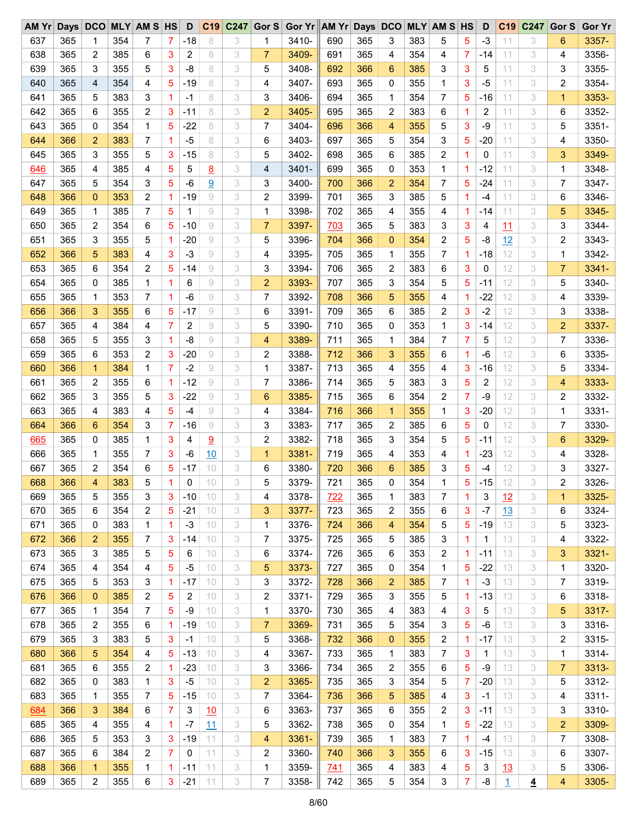| AM Yr | <b>Days</b> | <b>DCO</b>     |     | <b>MLY AM S HS</b> |                | D              | C19            | C247 | Gor S          | Gor Yr AM Yr Days DCO |            |     |                |     | <b>MLY AM S HS</b> |                | D     | C <sub>19</sub> | C247           | Gor S          | <b>Gor Yr</b> |
|-------|-------------|----------------|-----|--------------------|----------------|----------------|----------------|------|----------------|-----------------------|------------|-----|----------------|-----|--------------------|----------------|-------|-----------------|----------------|----------------|---------------|
| 637   | 365         | 1              | 354 | 7                  | 7              | -18            | 8              | 3    | 1              | 3410-                 | 690        | 365 | 3              | 383 | 5                  | 5              | $-3$  | 11              | 3              | 6              | 3357-         |
| 638   | 365         | 2              | 385 | 6                  | 3              | 2              | 8              | 3    | $\overline{7}$ | 3409-                 | 691        | 365 | 4              | 354 | 4                  | 7              | -14   | 11              | 3              | 4              | 3356-         |
| 639   | 365         | 3              | 355 | 5                  | 3              | $-8$           | 8              | 3    | 5              | 3408-                 | 692        | 366 | 6              | 385 | 3                  | 3              | 5     | 11              | 3              | 3              | 3355-         |
| 640   | 365         | $\overline{4}$ | 354 | 4                  | 5              | $-19$          | 8              | 3    | 4              | 3407-                 | 693        | 365 | 0              | 355 | 1                  | 3              | $-5$  | 11              | 3              | 2              | 3354-         |
| 641   | 365         | 5              | 383 | 3                  | 1              | $-1$           | 8              | 3    | 3              | 3406-                 | 694        | 365 | 1              | 354 | 7                  | 5              | $-16$ | 11              | 3              | 1              | 3353-         |
| 642   | 365         | 6              | 355 | 2                  | 3              | $-11$          | 8              | 3    | $\overline{2}$ | 3405-                 | 695        | 365 | 2              | 383 | 6                  | 1              | 2     | 11              | 3              | 6              | 3352-         |
| 643   | 365         | 0              | 354 | 1                  | 5              | $-22$          | 8              | 3    | 7              | 3404-                 | 696        | 366 | 4              | 355 | 5                  | 3              | $-9$  | 11              | 3              | 5              | 3351-         |
| 644   | 366         | $\overline{2}$ | 383 | 7                  | 1              | $-5$           | 8              | 3    | 6              | 3403-                 | 697        | 365 | 5              | 354 | 3                  | 5              | $-20$ | 11              | 3              | 4              | 3350-         |
| 645   | 365         | 3              | 355 | 5                  | 3              | $-15$          | 8              | 3    | 5              | 3402-                 | 698        | 365 | 6              | 385 | $\overline{c}$     | $\mathbf 1$    | 0     | 11              | 3              | 3              | 3349-         |
| 646   | 365         | 4              | 385 | 4                  | 5              | 5              | $\overline{8}$ | 3    | 4              | 3401-                 | 699        | 365 | $\mathbf 0$    | 353 | 1                  | 1              | $-12$ | 11              | 3              | 1              | 3348-         |
| 647   | 365         | 5              | 354 | 3                  | 5              | $-6$           | $\overline{9}$ | 3    | 3              | 3400-                 | 700        | 366 | $\overline{2}$ | 354 | 7                  | 5              | $-24$ | 11              | 3              | 7              | 3347-         |
| 648   | 366         | $\mathbf{0}$   | 353 | 2                  | 1              | -19            | 9              | 3    | 2              | 3399-                 | 701        | 365 | 3              | 385 | 5                  | $\mathbf 1$    | $-4$  | 11              | 3              | 6              | 3346-         |
| 649   | 365         | 1              | 385 | 7                  | 5              | 1              | 9              | 3    | 1              | 3398-                 | 702        | 365 | 4              | 355 | 4                  | 1              | $-14$ | 11              | 3              | 5              | 3345-         |
| 650   | 365         | 2              | 354 | 6                  | 5              | $-10$          | 9              | 3    | $\overline{7}$ | 3397-                 | 703        | 365 | 5              | 383 | 3                  | 3              | 4     | 11              | 3              | 3              | 3344-         |
| 651   | 365         | 3              | 355 | 5                  | -1             | $-20$          | 9              | 3    | 5              | 3396-                 | 704        | 366 | $\mathbf{0}$   | 354 | 2                  | 5              | -8    |                 | 3              | 2              | 3343-         |
|       |             |                |     |                    |                |                |                |      |                |                       |            |     |                |     |                    |                |       | 12              |                |                |               |
| 652   | 366         | 5              | 383 | 4                  | 3              | $-3$           | 9              | 3    | 4              | 3395-                 | 705        | 365 | 1              | 355 | 7                  | 1              | $-18$ | 12              | 3              | 1              | 3342-         |
| 653   | 365         | 6              | 354 | 2                  | 5              | $-14$          | 9              | 3    | 3              | 3394-                 | 706        | 365 | 2              | 383 | 6                  | 3              | 0     | 12              | 3              | $\overline{7}$ | 3341-         |
| 654   | 365         | 0              | 385 | 1                  | 1              | 6              | 9              | 3    | 2              | 3393-                 | 707        | 365 | 3              | 354 | 5                  | 5              | $-11$ | 12              | 3              | 5              | 3340-         |
| 655   | 365         | 1              | 353 | 7                  | 1              | $-6$           | 9              | 3    | 7              | 3392-                 | 708        | 366 | 5              | 355 | 4                  | 1              | $-22$ | 12              | 3              | 4              | 3339-         |
| 656   | 366         | 3              | 355 | 6                  | 5              | $-17$          | 9              | 3    | 6              | 3391-                 | 709        | 365 | 6              | 385 | 2                  | 3              | $-2$  | 12              | 3              | 3              | 3338-         |
| 657   | 365         | 4              | 384 | 4                  | $\overline{7}$ | $\overline{c}$ | 9              | 3    | 5              | 3390-                 | 710        | 365 | 0              | 353 | 1                  | 3              | $-14$ | 12              | 3              | $\overline{2}$ | 3337-         |
| 658   | 365         | 5              | 355 | 3                  | 1              | -8             | 9              | 3    | 4              | 3389-                 | 711        | 365 | 1              | 384 | 7                  | 7              | 5     | 12              | 3              | 7              | 3336-         |
| 659   | 365         | 6              | 353 | 2                  | 3              | $-20$          | 9              | 3    | 2              | 3388-                 | 712        | 366 | 3              | 355 | 6                  | 1              | $-6$  | 12              | 3              | 6              | 3335-         |
| 660   | 366         | $\mathbf{1}$   | 384 | 1                  | 7              | $-2$           | 9              | 3    | 1              | 3387-                 | 713        | 365 | 4              | 355 | 4                  | 3              | $-16$ | 12              | 3              | 5              | 3334-         |
| 661   | 365         | 2              | 355 | 6                  | 1              | $-12$          | 9              | 3    | 7              | 3386-                 | 714        | 365 | 5              | 383 | 3                  | 5              | 2     | 12              | 3              | 4              | 3333-         |
| 662   | 365         | 3              | 355 | 5                  | 3              | $-22$          | 9              | 3    | 6              | 3385-                 | 715        | 365 | 6              | 354 | 2                  | 7              | -9    | 12              | 3              | 2              | 3332-         |
| 663   | 365         | 4              | 383 | 4                  | 5              | $-4$           | 9              | 3    | 4              | 3384-                 | 716        | 366 | 1              | 355 | 1                  | 3              | $-20$ | 12              | 3              | 1              | 3331-         |
| 664   | 366         | 6              | 354 | 3                  | 7              | -16            | 9              | 3    | 3              | 3383-                 | 717        | 365 | $\overline{2}$ | 385 | 6                  | 5              | 0     | 12              | 3              | 7              | 3330-         |
| 665   | 365         | 0              | 385 | 1                  | 3              | 4              | 9              | 3    | 2              | 3382-                 | 718        | 365 | 3              | 354 | 5                  | 5              | $-11$ | 12              | 3              | 6              | 3329-         |
| 666   | 365         | 1              | 355 | 7                  | 3              | $-6$           | 10             | 3    | 1              | 3381-                 | 719        | 365 | 4              | 353 | 4                  | 1              | $-23$ | 12              | 3              | 4              | 3328-         |
| 667   | 365         | 2              | 354 | 6                  | 5              | -17            | 10             | 3    | 6              | 3380-                 | 720        | 366 | 6              | 385 | 3                  | 5              | -4    | 12              | 3              | 3              | 3327-         |
| 668   | 366         | $\overline{4}$ | 383 | 5                  | 1              | 0              | 10             | 3    | 5              | 3379-                 | 721        | 365 | $\mathbf 0$    | 354 | 1                  | 5              | $-15$ | 12              | 3              | 2              | 3326-         |
| 669   | 365         | 5              | 355 | 3                  | 3              | $-10$          | 10             | 3    | 4              | 3378-                 | <b>722</b> | 365 | 1              | 383 | 7                  | 1              | 3     | 12              | 3              | 1              | 3325-         |
| 670   | 365         | 6              | 354 | 2                  | 5              | $-21$          | 10             | 3    | 3              | 3377-                 | 723        | 365 | 2              | 355 | 6                  | 3              | $-7$  | 13              | 3              | 6              | 3324-         |
| 671   | 365         | 0              | 383 | 1                  | 1              | $-3$           | 10             | 3    | 1              | 3376-                 | 724        | 366 | 4              | 354 | 5                  | 5              | $-19$ | 13              | 3              | 5              | 3323-         |
| 672   | 366         | 2              | 355 | 7                  | 3              | -14            | 10             | 3    | 7              | 3375-                 | 725        | 365 | 5              | 385 | 3                  | 1              | 1     | 13              | 3              | 4              | 3322-         |
| 673   | 365         | 3              | 385 | 5                  | 5              | 6              | 10             | 3    | 6              | 3374-                 | 726        | 365 | 6              | 353 | 2                  | 1.             | $-11$ | 13              | 3              | 3              | 3321-         |
| 674   | 365         | 4              | 354 | 4                  | 5              | $-5$           | 10             | 3    | 5              | 3373-                 | 727        | 365 | 0              | 354 | 1                  | 5              | $-22$ | 13              | 3              | 1              | 3320-         |
| 675   | 365         | 5              | 353 | 3                  | $\mathbf 1$    | $-17$          | 10             | 3    | 3              | 3372-                 | 728        | 366 | $\overline{2}$ | 385 | 7                  | 1              | $-3$  | 13              | 3              | 7              | 3319-         |
| 676   | 366         | 0              | 385 | 2                  | 5              | 2              | 10             | 3    | 2              | 3371-                 | 729        | 365 | 3              | 355 | 5                  | 1              | $-13$ | 13              | 3              | 6              | 3318-         |
| 677   | 365         | 1              | 354 | 7                  | 5              | -9             | 10             | 3    | 1              | 3370-                 | 730        | 365 | 4              | 383 | 4                  | 3              | 5     | 13              | 3              | 5              | 3317-         |
| 678   | 365         | 2              | 355 | 6                  | 1              | $-19$          | 10             | 3    | $\overline{7}$ | 3369-                 | 731        | 365 | 5              | 354 | 3                  | 5              | -6    | 13              | 3              | 3              | 3316-         |
| 679   | 365         | 3              | 383 | 5                  | 3              | -1             | 10             | 3    | 5              | 3368-                 | 732        | 366 | 0              | 355 | 2                  | 1              | $-17$ | 13              | 3              | 2              | 3315-         |
|       | 366         | 5              | 354 | 4                  |                | $-13$          | 10             | 3    |                | 3367-                 | 733        | 365 |                | 383 |                    |                |       | 13              | 3              | 1              | 3314-         |
| 680   |             |                |     |                    | 5              |                |                |      | 4              |                       |            |     | 1              |     | 7                  | 3              | 1     |                 |                |                |               |
| 681   | 365         | 6              | 355 | 2                  | 1              | $-23$          | 10             | 3    | 3              | 3366-                 | 734        | 365 | 2              | 355 | 6                  | 5              | -9    | 13              | 3              | 7              | 3313-         |
| 682   | 365         | 0              | 383 | 1                  | 3              | $-5$           | 10             | 3    | $\overline{2}$ | 3365-                 | 735        | 365 | 3              | 354 | 5                  | 7              | $-20$ | 13              | 3              | 5              | 3312-         |
| 683   | 365         | 1              | 355 | 7                  | 5              | $-15$          | 10             | 3    | 7              | 3364-                 | 736        | 366 | 5              | 385 | 4                  | 3              | $-1$  | 13              | 3              | 4              | $3311 -$      |
| 684   | 366         | 3              | 384 | 6                  | 7              | 3              | 10             | 3    | 6              | 3363-                 | 737        | 365 | 6              | 355 | 2                  | 3              | $-11$ | 13              | 3              | 3              | 3310-         |
| 685   | 365         | 4              | 355 | 4                  | 1              | $-7$           | 11             | 3    | 5              | 3362-                 | 738        | 365 | 0              | 354 | 1                  | 5              | $-22$ | 13              | 3              | $\overline{2}$ | 3309-         |
| 686   | 365         | 5              | 353 | 3                  | 3              | $-19$          | 11             | 3    | 4              | 3361-                 | 739        | 365 | 1              | 383 | 7                  | 1              | $-4$  | 13              | 3              | 7              | 3308-         |
| 687   | 365         | 6              | 384 | 2                  | 7              | 0              | 11             | 3    | 2              | 3360-                 | 740        | 366 | 3              | 355 | 6                  | 3              | $-15$ | 13              | 3              | 6              | 3307-         |
| 688   | 366         | $\mathbf{1}$   | 355 | 1                  | 1              | $-11$          | 11             | 3    | 1              | 3359-                 | <u>741</u> | 365 | 4              | 383 | 4                  | 5              | 3     | 13              | 3              | 5              | 3306-         |
| 689   | 365         | $\overline{2}$ | 355 | 6                  | 3              | $-21$          | 11             | 3    | 7              | 3358-                 | 742        | 365 | 5              | 354 | 3                  | $\overline{7}$ | -8    | $\overline{1}$  | $\overline{4}$ | 4              | 3305-         |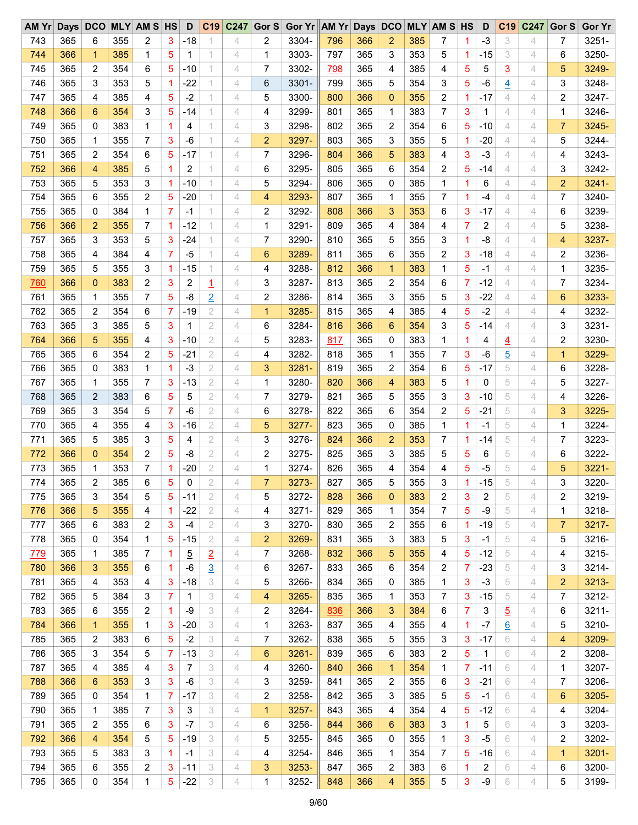| AM Yr      | Days DCO |                |     | <b>MLY AM S HS</b> |                | D              |                | C19 C247 | Gor $S$        | Gor Yr AM Yr Days DCO |            |     |                 |     | <b>MLY AM S HS</b> |              | D            | C <sub>19</sub> | C247 | Gor S          | <b>Gor Yr</b> |
|------------|----------|----------------|-----|--------------------|----------------|----------------|----------------|----------|----------------|-----------------------|------------|-----|-----------------|-----|--------------------|--------------|--------------|-----------------|------|----------------|---------------|
| 743        | 365      | 6              | 355 | 2                  | 3              | $-18$          |                | 4        | 2              | 3304-                 | 796        | 366 | 2               | 385 | 7                  | 1.           | $-3$         | 3               | 4    | 7              | $3251 -$      |
| 744        | 366      | $\mathbf{1}$   | 385 | 1                  | 5              | 1              |                | 4        | 1              | 3303-                 | 797        | 365 | 3               | 353 | 5                  | 1            | $-15$        | 3               | 4    | 6              | 3250-         |
| 745        | 365      | 2              | 354 | 6                  | 5              | -10            |                | 4        | 7              | 3302-                 | <u>798</u> | 365 | 4               | 385 | 4                  | 5            | 5            | $\overline{3}$  | 4    | 5              | 3249-         |
| 746        | 365      | 3              | 353 | 5                  | 1              | $-22$          |                | 4        | 6              | 3301-                 | 799        | 365 | 5               | 354 | 3                  | 5            | $-6$         | $\overline{4}$  | 4    | 3              | 3248-         |
| 747        | 365      | 4              | 385 | 4                  | 5              | $-2$           |                | 4        | 5              | 3300-                 | 800        | 366 | $\mathbf{0}$    | 355 | 2                  | 1            | $-17$        | 4               | 4    | 2              | 3247-         |
| 748        | 366      | 6              | 354 | 3                  | 5              | $-14$          | 1.             | 4        | 4              | 3299-                 | 801        | 365 | 1               | 383 | 7                  | 3            | $\mathbf{1}$ | 4               | 4    | 1              | 3246-         |
| 749        | 365      | 0              | 383 | 1                  | $\mathbf 1$    | 4              |                | 4        | 3              | 3298-                 | 802        | 365 | 2               | 354 | 6                  | 5            | $-10$        | 4               | 4    | $\overline{7}$ | 3245-         |
| 750        | 365      | 1              | 355 | 7                  | 3              | $-6$           |                | 4        | $\overline{2}$ | 3297-                 | 803        | 365 | 3               | 355 | 5                  | 1.           | $-20$        | 4               | 4    | 5              | 3244-         |
| 751        | 365      | 2              | 354 | 6                  | 5              | $-17$          |                | 4        | 7              | 3296-                 | 804        | 366 | 5               | 383 | 4                  | 3            | $-3$         | 4               | 4    | 4              | 3243-         |
| 752        | 366      | 4              | 385 | 5                  | $\mathbf 1$    | $\overline{2}$ |                | 4        | 6              | 3295-                 | 805        | 365 | 6               | 354 | 2                  | 5            | $-14$        | 4               | 4    | 3              | 3242-         |
| 753        | 365      | 5              | 353 | 3                  | -1             | $-10$          |                | 4        | 5              | 3294-                 | 806        | 365 | 0               | 385 | 1                  | 1            | 6            | 4               | 4    | 2              | 3241-         |
| 754        | 365      | 6              | 355 | 2                  | 5              | $-20$          |                | 4        | 4              | 3293-                 | 807        | 365 | 1               | 355 | 7                  | 1            | $-4$         | 4               | 4    | 7              | 3240-         |
| 755        | 365      | 0              | 384 | 1                  | 7              | -1             |                | 4        | 2              | 3292-                 | 808        | 366 | 3               | 353 | 6                  | 3            | $-17$        | 4               | 4    | 6              | 3239-         |
| 756        | 366      | $\overline{2}$ | 355 | 7                  | $\overline{1}$ | $-12$          |                | 4        | 1              | 3291-                 | 809        | 365 | 4               | 384 | 4                  | 7            | 2            | 4               | 4    | 5              | 3238-         |
| 757        | 365      | 3              | 353 | 5                  | 3              | $-24$          |                | 4        | 7              | 3290-                 | 810        | 365 | 5               | 355 | 3                  | 1            | -8           | 4               | 4    | 4              | 3237-         |
| 758        | 365      | 4              | 384 | 4                  | 7              | $-5$           |                | 4        | 6              | 3289-                 | 811        | 365 | 6               | 355 | 2                  | 3            | $-18$        | 4               | 4    | 2              | 3236-         |
| 759        | 365      | 5              | 355 | 3                  | 1              | $-15$          | 1.             | 4        | 4              | 3288-                 | 812        | 366 | $\mathbf{1}$    | 383 | 1                  | 5            | $-1$         | 4               | 4    | 1              | 3235-         |
|            |          |                |     |                    |                |                |                |          |                |                       |            |     |                 |     |                    |              |              |                 |      |                |               |
| 760        | 366      | $\mathbf 0$    | 383 | 2                  | 3              | 2              | 1              | 4        | 3              | 3287-                 | 813        | 365 | 2               | 354 | 6                  | 7            | $-12$        | 4               | 4    | 7              | 3234-         |
| 761        | 365      | 1              | 355 | 7                  | 5              | $-8$           | $\overline{2}$ | 4        | 2              | 3286-                 | 814        | 365 | 3               | 355 | 5                  | 3            | $-22$        | 4               | 4    | 6              | 3233-         |
| 762        | 365      | 2              | 354 | 6                  | 7              | -19            | 2              | 4        | $\mathbf 1$    | 3285-                 | 815        | 365 | 4               | 385 | 4                  | 5            | $-2$         | 4               | 4    | 4              | 3232-         |
| 763        | 365      | 3              | 385 | 5                  | 3              | $\mathbf{1}$   | 2              | 4        | 6              | 3284-                 | 816        | 366 | 6               | 354 | 3                  | 5            | $-14$        | 4               | 4    | 3              | 3231-         |
| 764        | 366      | 5              | 355 | 4                  | 3              | $-10$          | 2              | 4        | 5              | 3283-                 | 817        | 365 | 0               | 383 | 1                  | 1            | 4            | $\overline{4}$  | 4    | 2              | 3230-         |
| 765        | 365      | 6              | 354 | 2                  | 5              | $-21$          | 2              | 4        | 4              | 3282-                 | 818        | 365 | 1               | 355 | 7                  | 3            | -6           | $\overline{5}$  | 4    | 1              | 3229-         |
| 766        | 365      | 0              | 383 | 1                  | $\mathbf 1$    | $-3$           | 2              | 4        | 3              | 3281-                 | 819        | 365 | 2               | 354 | 6                  | 5            | $-17$        | 5               | 4    | 6              | 3228-         |
| 767        | 365      | 1              | 355 | 7                  | 3              | $-13$          | 2              | 4        | 1              | 3280-                 | 820        | 366 | 4               | 383 | 5                  | 1            | 0            | 5               | 4    | 5              | 3227-         |
| 768        | 365      | $\overline{2}$ | 383 | 6                  | 5              | 5              | 2              | 4        | 7              | 3279-                 | 821        | 365 | 5               | 355 | 3                  | 3            | $-10$        | 5               | 4    | 4              | 3226-         |
| 769        | 365      | 3              | 354 | 5                  | 7              | $-6$           | 2              | 4        | 6              | 3278-                 | 822        | 365 | 6               | 354 | 2                  | 5            | $-21$        | 5               | 4    | 3              | 3225-         |
| 770        | 365      | 4              | 355 | 4                  | 3              | $-16$          | 2              | 4        | 5              | 3277-                 | 823        | 365 | 0               | 385 | 1                  | 1            | $-1$         | 5               | 4    | 1              | 3224-         |
| 771        | 365      | 5              | 385 | 3                  | 5              | 4              | 2              | 4        | 3              | 3276-                 | 824        | 366 | 2               | 353 | 7                  | 1            | $-14$        | 5               | 4    | 7              | 3223-         |
| 772        | 366      | $\mathbf 0$    | 354 | 2                  | 5              | -8             | 2              | 4        | 2              | 3275-                 | 825        | 365 | 3               | 385 | 5                  | 5            | 6            | 5               | 4    | 6              | 3222-         |
| 773        | 365      | 1              | 353 | 7                  | -1             | $-20$          | 2              | 4        | 1              | 3274-                 | 826        | 365 | 4               | 354 | 4                  | 5            | $-5$         | 5               | 4    | 5              | 3221-         |
| 774        | 365      | $\overline{2}$ | 385 | 6                  | 5              | 0              | 2              | 4        | $\overline{7}$ | 3273-                 | 827        | 365 | 5               | 355 | 3                  | 1.           | $-15$        | 5               | 4    | 3              | 3220-         |
| 775        | 365      | 3              | 354 | 5                  | 5              | $-11$          | 2              | 4        | 5              | 3272-                 | 828        | 366 | $\mathbf{0}$    | 383 | 2                  | 3            | 2            | 5               | 4    | 2              | 3219-         |
| 776        | 366      | 5              | 355 | 4                  | -1             | $-22$          | 2              | 4        | 4              | $3271 -$              | 829        | 365 | 1               | 354 | 7                  | 5            | -9           | 5               | 4    | 1              | 3218-         |
| 777        | 365      | 6              | 383 | $\overline{2}$     | 3              | $-4$           | 2              | 4        | 3              | 3270-                 | 830        | 365 | 2               | 355 | 6                  | 1            | -19          | 5               | 4    | 7              | 3217-         |
| 778        | 365      | 0              | 354 | 1                  | 5              | $-15$          | 2              | 4        | 2              | 3269-                 | 831        | 365 | 3               | 383 | 5                  | 3            | $-1$         | 5               | 4    | 5              | 3216-         |
| <u>779</u> | 365      | 1              | 385 | 7                  | 1              | $\overline{5}$ | $\overline{2}$ | 4        | 7              | 3268-                 | 832        | 366 | 5               | 355 | 4                  | 5            | $-12$        | 5               | 4    | 4              | 3215-         |
| 780        | 366      | 3              | 355 | 6                  | 1              | $-6$           | $\overline{3}$ | 4        | 6              | 3267-                 | 833        | 365 | 6               | 354 | 2                  | 7            | $-23$        | 5               | 4    | 3              | 3214-         |
| 781        | 365      | 4              | 353 | 4                  | 3              | $-18$          | 3              | 4        | 5              | 3266-                 | 834        | 365 | 0               | 385 | 1                  | 3            | $-3$         | 5               | 4    | 2              | 3213-         |
| 782        | 365      | 5              | 384 | 3                  | 7              | 1              | 3              | 4        | 4              | 3265-                 | 835        | 365 | 1               | 353 | 7                  | 3            | $-15$        | 5               | 4    | 7              | 3212-         |
| 783        | 365      | 6              | 355 | 2                  | -1             | -9             | 3              | 4        | 2              | 3264-                 | 836        | 366 | 3               | 384 | 6                  | 7            | 3            | <u>5</u>        | 4    | 6              | $3211 -$      |
| 784        | 366      | $\mathbf{1}$   | 355 | 1                  | 3              | $-20$          | 3              | 4        | 1              | 3263-                 | 837        | 365 | 4               | 355 | 4                  | $\mathbf{1}$ | $-7$         | 6               | 4    | 5              | 3210-         |
| 785        | 365      | 2              | 383 | 6                  | 5              | $-2$           | 3              | 4        | 7              | 3262-                 | 838        | 365 | 5               | 355 | 3                  | 3            | $-17$        | 6               | 4    | 4              | 3209-         |
| 786        | 365      | 3              | 354 | 5                  | 7              | $-13$          | 3              | 4        | 6              | 3261-                 | 839        | 365 | 6               | 383 | 2                  | 5            | 1            | 6               | 4    | 2              | 3208-         |
| 787        | 365      | 4              | 385 | 4                  | 3              | 7              | 3              | 4        | 4              | 3260-                 |            |     | $\mathbf{1}$    | 354 | 1                  | 7            | $-11$        | 6               | 4    | 1              | 3207-         |
|            |          |                |     |                    |                |                |                |          |                |                       | 840        | 366 |                 |     |                    |              |              |                 |      |                |               |
| 788        | 366      | 6              | 353 | 3                  | 3              | $-6$           | 3              | 4        | 3              | 3259-                 | 841        | 365 | 2               | 355 | 6                  | 3            | $-21$        | 6               | 4    | 7              | 3206-         |
| 789        | 365      | 0              | 354 | 1                  | 7              | -17            | 3              | 4        | 2              | 3258-                 | 842        | 365 | 3               | 385 | 5                  | 5            | $-1$         | 6               | 4    | 6              | 3205-         |
| 790        | 365      | 1              | 385 | 7                  | 3              | 3              | 3              | 4        | 1              | 3257-                 | 843        | 365 | 4               | 354 | 4                  | 5            | $-12$        | 6               | 4    | 4              | 3204-         |
| 791        | 365      | 2              | 355 | 6                  | 3              | $-7$           | 3              | 4        | 6              | 3256-                 | 844        | 366 | $6\phantom{1}6$ | 383 | 3                  | 1            | 5            | 6               | 4    | 3              | 3203-         |
| 792        | 366      | 4              | 354 | 5                  | 5              | $-19$          | 3              | 4        | 5              | 3255-                 | 845        | 365 | 0               | 355 | 1                  | 3            | $-5$         | 6               | 4    | 2              | 3202-         |
| 793        | 365      | 5              | 383 | 3                  | -1             | $-1$           | 3              | 4        | 4              | 3254-                 | 846        | 365 | 1               | 354 | 7                  | 5            | $-16$        | 6               | 4    | 1              | 3201-         |
| 794        | 365      | 6              | 355 | 2                  | 3              | $-11$          | 3              | 4        | 3              | 3253-                 | 847        | 365 | 2               | 383 | 6                  | 1            | 2            | 6               | 4    | 6              | 3200-         |
| 795        | 365      | 0              | 354 | 1                  | 5              | $-22$          | 3              | 4        | 1              | 3252-                 | 848        | 366 | 4               | 355 | 5                  | 3            | $-9$         | 6               | 4    | 5              | 3199-         |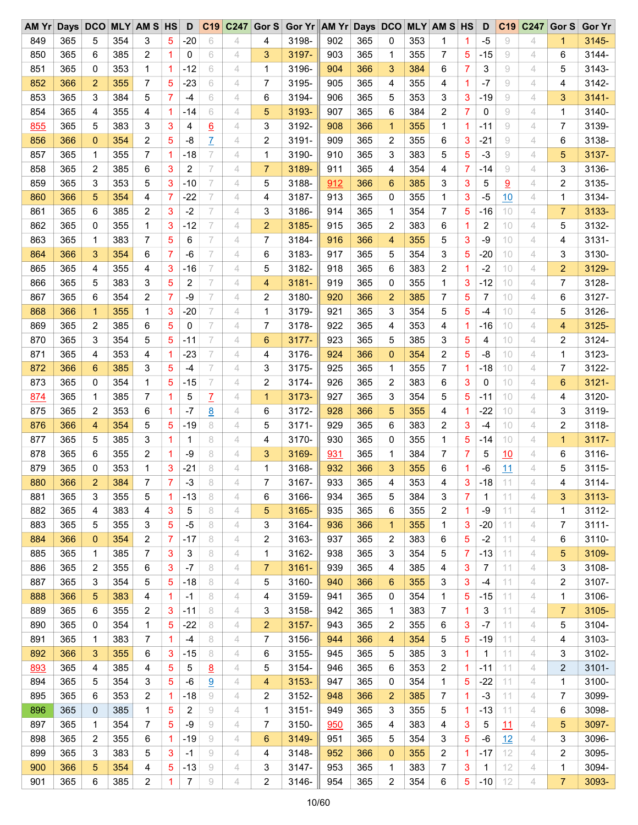| AM Yr |     | Days DCO       |     | <b>MLY AM S HS</b> |                | D              | C19      | C247 | Gor S          | Gor Yr AM Yr Days DCO |     |     |                |     | <b>MLY AM S HS</b> |    | D     | C <sub>19</sub> | C247 | Gor S          | <b>Gor Yr</b> |
|-------|-----|----------------|-----|--------------------|----------------|----------------|----------|------|----------------|-----------------------|-----|-----|----------------|-----|--------------------|----|-------|-----------------|------|----------------|---------------|
| 849   | 365 | 5              | 354 | 3                  | 5              | $-20$          | 6        | 4    | 4              | 3198-                 | 902 | 365 | 0              | 353 | 1                  | 1  | $-5$  | 9               | 4    | 1              | $3145 -$      |
| 850   | 365 | 6              | 385 | 2                  | 1              | 0              | 6        | 4    | 3              | 3197-                 | 903 | 365 | 1              | 355 | 7                  | 5  | $-15$ | 9               | 4    | 6              | 3144-         |
| 851   | 365 | 0              | 353 | 1                  | 1              | $-12$          | 6        | 4    | 1              | 3196-                 | 904 | 366 | 3              | 384 | 6                  | 7  | 3     | 9               | 4    | 5              | 3143-         |
| 852   | 366 | 2              | 355 | 7                  | 5              | $-23$          | 6        | 4    | 7              | 3195-                 | 905 | 365 | 4              | 355 | 4                  | 1  | $-7$  | 9               | 4    | 4              | 3142-         |
| 853   | 365 | 3              | 384 | 5                  | $\overline{7}$ | $-4$           | 6        | 4    | 6              | 3194-                 | 906 | 365 | 5              | 353 | 3                  | 3  | $-19$ | 9               | 4    | 3              | $3141 -$      |
| 854   | 365 | 4              | 355 | 4                  | 1              | $-14$          | 6        | 4    | 5              | 3193-                 | 907 | 365 | 6              | 384 | 2                  | 7  | 0     | 9               | 4    | 1              | 3140-         |
| 855   | 365 | 5              | 383 | 3                  | 3              | 4              | 6        | 4    | 3              | 3192-                 | 908 | 366 | $\mathbf{1}$   | 355 | $\mathbf{1}$       | 1  | $-11$ | 9               | 4    | 7              | 3139-         |
| 856   | 366 | $\mathbf 0$    | 354 | 2                  | 5              | -8             | Z        | 4    | 2              | 3191-                 | 909 | 365 | 2              | 355 | 6                  | 3  | $-21$ | 9               | 4    | 6              | 3138-         |
| 857   | 365 | 1              | 355 | 7                  | -1             | $-18$          | 7        | 4    | 1              | 3190-                 | 910 | 365 | 3              | 383 | 5                  | 5  | $-3$  | 9               | 4    | 5              | 3137-         |
| 858   | 365 | 2              | 385 | 6                  | 3              | $\overline{c}$ | 7        | 4    | $\overline{7}$ | 3189-                 | 911 | 365 | 4              | 354 | 4                  | 7  | $-14$ | 9               | 4    | 3              | 3136-         |
| 859   | 365 | 3              | 353 | 5                  | 3              | $-10$          | 7        | 4    | 5              | 3188-                 | 912 | 366 | 6              | 385 | 3                  | 3  | 5     | $\overline{9}$  | 4    | 2              | 3135-         |
| 860   | 366 | 5              | 354 | 4                  | 7              | $-22$          | 7        | 4    | 4              | 3187-                 | 913 | 365 | 0              | 355 | 1                  | 3  | $-5$  | 10              | 4    | 1              | 3134-         |
| 861   | 365 | 6              | 385 | $\overline{2}$     | 3              | $-2$           | 7        | 4    | 3              | 3186-                 | 914 | 365 | 1              | 354 | 7                  | 5  | $-16$ | 10              | 4    | $\overline{7}$ | 3133-         |
| 862   | 365 | 0              | 355 | 1                  | 3              | $-12$          | 7        | 4    | $\overline{2}$ | 3185-                 | 915 | 365 | 2              | 383 | 6                  | 1  | 2     | 10              | 4    | 5              | 3132-         |
| 863   | 365 | 1              | 383 | 7                  | 5              | 6              | 7        | 4    | 7              | 3184-                 | 916 | 366 | 4              | 355 | 5                  | 3  | $-9$  | 10              | 4    | 4              | 3131-         |
| 864   | 366 | 3              | 354 |                    | $\overline{7}$ | $-6$           | 7        | 4    | 6              | 3183-                 | 917 | 365 | 5              | 354 | 3                  | 5  | $-20$ | 10              | 4    | 3              | 3130-         |
|       |     |                |     | 6                  |                |                | 7        |      |                |                       |     |     |                |     |                    |    |       |                 |      |                |               |
| 865   | 365 | 4              | 355 | 4                  | 3              | $-16$          |          | 4    | 5              | 3182-                 | 918 | 365 | 6              | 383 | 2                  | 1  | $-2$  | 10              | 4    | $\overline{c}$ | 3129-         |
| 866   | 365 | 5              | 383 | 3                  | 5              | 2              | 7        | 4    | 4              | 3181-                 | 919 | 365 | 0              | 355 | 1                  | 3  | $-12$ | 10              | 4    | 7              | 3128-         |
| 867   | 365 | 6              | 354 | 2                  | 7              | -9             | 7        | 4    | 2              | 3180-                 | 920 | 366 | $\overline{2}$ | 385 | 7                  | 5  | 7     | 10              | 4    | 6              | 3127-         |
| 868   | 366 | $\mathbf{1}$   | 355 | 1                  | 3              | $-20$          | 7        | 4    | 1              | 3179-                 | 921 | 365 | 3              | 354 | 5                  | 5  | $-4$  | 10              | 4    | 5              | 3126-         |
| 869   | 365 | 2              | 385 | 6                  | 5              | 0              | 7        | 4    | 7              | 3178-                 | 922 | 365 | 4              | 353 | 4                  | 1  | $-16$ | 10              | 4    | 4              | 3125-         |
| 870   | 365 | 3              | 354 | 5                  | 5              | $-11$          | 7        | 4    | 6              | 3177-                 | 923 | 365 | 5              | 385 | 3                  | 5  | 4     | 10              | 4    | 2              | 3124-         |
| 871   | 365 | 4              | 353 | 4                  | -1             | $-23$          | 7        | 4    | 4              | 3176-                 | 924 | 366 | $\mathbf{0}$   | 354 | 2                  | 5  | -8    | 10              | 4    | 1              | 3123-         |
| 872   | 366 | 6              | 385 | 3                  | 5              | $-4$           | 7        | 4    | 3              | 3175-                 | 925 | 365 | 1              | 355 | 7                  | 1  | $-18$ | 10              | 4    | 7              | 3122-         |
| 873   | 365 | 0              | 354 | 1                  | 5              | $-15$          | 7        | 4    | 2              | 3174-                 | 926 | 365 | $\overline{2}$ | 383 | 6                  | 3  | 0     | 10              | 4    | 6              | 3121-         |
| 874   | 365 | 1              | 385 | 7                  | 1              | 5              | Z        | 4    | 1              | 3173-                 | 927 | 365 | 3              | 354 | 5                  | 5  | $-11$ | 10              | 4    | 4              | 3120-         |
| 875   | 365 | 2              | 353 | 6                  | 1              | $-7$           | <u>8</u> | 4    | 6              | 3172-                 | 928 | 366 | 5              | 355 | 4                  | 1  | $-22$ | 10              | 4    | 3              | 3119-         |
| 876   | 366 | 4              | 354 | 5                  | 5              | $-19$          | 8        | 4    | 5              | 3171-                 | 929 | 365 | 6              | 383 | 2                  | 3  | $-4$  | 10              | 4    | 2              | 3118-         |
| 877   | 365 | 5              | 385 | 3                  | 1              | 1              | 8        | 4    | 4              | 3170-                 | 930 | 365 | 0              | 355 | 1                  | 5  | $-14$ | 10              | 4    | $\mathbf{1}$   | $3117 -$      |
| 878   | 365 | 6              | 355 | 2                  | 1              | -9             | 8        | 4    | 3              | 3169-                 | 931 | 365 | 1              | 384 | 7                  | 7  | 5     | 10              | 4    | 6              | 3116-         |
| 879   | 365 | 0              | 353 | 1                  | 3              | $-21$          | 8        | 4    | 1              | 3168-                 | 932 | 366 | 3              | 355 | 6                  | 1  | -6    | 11              | 4    | 5              | $3115 -$      |
| 880   | 366 | $\overline{2}$ | 384 | $\overline{7}$     | $\overline{7}$ | $-3$           | 8        | 4    | 7              | 3167-                 | 933 | 365 | 4              | 353 | 4                  | 3  | $-18$ | 11              | 4    | 4              | 3114-         |
| 881   | 365 | 3              | 355 | 5                  | -1             | -13            | 8        | 4    | 6              | 3166-                 | 934 | 365 | 5              | 384 | 3                  | 7  | 1     | 11              | 4    | 3              | 3113-         |
| 882   | 365 | 4              | 383 | 4                  | 3              | 5              | 8        | 4    | 5              | 3165-                 | 935 | 365 | 6              | 355 | 2                  | 1  | -9    | 11              | 4    | 1              | 3112-         |
| 883   | 365 | 5              | 355 | 3                  | 5              | $-5$           | 8        | 4    | 3              | 3164-                 | 936 | 366 | $\mathbf{1}$   | 355 | 1                  | 3  | $-20$ | 11              | 4    | 7              | $3111 -$      |
| 884   | 366 | $\mathbf 0$    | 354 | 2                  | 7              | $-17$          | 8        | 4    | 2              | 3163-                 | 937 | 365 | 2              | 383 | 6                  | 5  | $-2$  | 11              | 4    | 6              | 3110-         |
| 885   | 365 | 1              | 385 | 7                  | 3              | 3              | 8        | 4    | 1              | 3162-                 | 938 | 365 | 3              | 354 | 5                  | 7  | $-13$ | 11              | 4    | 5              | 3109-         |
| 886   | 365 | 2              | 355 | 6                  | 3              | $-7$           | 8        | 4    | 7              | 3161-                 | 939 | 365 | 4              | 385 | 4                  | 3  | 7     | 11              | 4    | 3              | 3108-         |
| 887   | 365 | 3              | 354 | 5                  | 5              | $-18$          | 8        | 4    | 5              | 3160-                 | 940 | 366 | 6              | 355 | 3                  | 3  | $-4$  | 11              | 4    | 2              | 3107-         |
| 888   | 366 | 5              | 383 | 4                  | 1              | $-1$           | 8        | 4    | 4              | 3159-                 | 941 | 365 | 0              | 354 | 1                  | 5  | $-15$ | 11              | 4    | 1              | 3106-         |
| 889   | 365 | 6              | 355 | 2                  | 3              | $-11$          | 8        | 4    | 3              | 3158-                 | 942 | 365 | 1              | 383 | 7                  | 1  | 3     | 11              | 4    | 7              | 3105-         |
| 890   | 365 | 0              | 354 | 1                  | 5              | $-22$          | 8        | 4    | $\overline{2}$ | 3157-                 | 943 | 365 | $\overline{c}$ | 355 | 6                  | 3  | $-7$  | 11              | 4    | 5              | 3104-         |
| 891   | 365 |                | 383 | 7                  | -1             | $-4$           | 8        | 4    | 7              | 3156-                 | 944 | 366 |                | 354 | 5                  |    | $-19$ | 11              | 4    | 4              | 3103-         |
|       |     | 1              |     |                    |                |                | 8        |      |                |                       |     |     | 4              |     |                    | 5  |       |                 |      |                |               |
| 892   | 366 | 3              | 355 | 6                  | 3              | $-15$          |          | 4    | 6              | 3155-                 | 945 | 365 | 5              | 385 | 3                  | 1  | 1     | 11              | 4    | 3              | 3102-         |
| 893   | 365 | 4              | 385 | 4                  | 5              | 5              | <u>8</u> | 4    | 5              | 3154-                 | 946 | 365 | 6              | 353 | 2                  | 1  | $-11$ | 11              | 4    | 2              | 3101-         |
| 894   | 365 | 5              | 354 | 3                  | 5              | -6             | 9        | 4    | 4              | 3153-                 | 947 | 365 | 0              | 354 | 1                  | 5  | $-22$ | 11              | 4    | 1              | 3100-         |
| 895   | 365 | 6              | 353 | 2                  | -1             | $-18$          | 9        | 4    | 2              | 3152-                 | 948 | 366 | $\overline{c}$ | 385 | 7                  | 1  | $-3$  | 11              | 4    | 7              | 3099-         |
| 896   | 365 | 0              | 385 | 1                  | 5              | 2              | 9        | 4    | 1              | 3151-                 | 949 | 365 | 3              | 355 | 5                  | 1. | $-13$ | 11              | 4    | 6              | 3098-         |
| 897   | 365 | 1              | 354 | 7                  | 5              | -9             | 9        | 4    | 7              | 3150-                 | 950 | 365 | 4              | 383 | 4                  | 3  | 5     | 11              | 4    | 5              | 3097-         |
| 898   | 365 | 2              | 355 | 6                  | 1              | $-19$          | 9        | 4    | 6              | 3149-                 | 951 | 365 | 5              | 354 | 3                  | 5  | $-6$  | 12              | 4    | 3              | 3096-         |
| 899   | 365 | 3              | 383 | 5                  | 3              | -1             | 9        | 4    | 4              | 3148-                 | 952 | 366 | $\mathbf 0$    | 355 | 2                  | 1. | $-17$ | 12              | 4    | 2              | 3095-         |
| 900   | 366 | 5              | 354 | 4                  | 5              | $-13$          | 9        | 4    | 3              | 3147-                 | 953 | 365 | 1              | 383 | 7                  | 3  | 1     | 12              | 4    | 1              | 3094-         |
| 901   | 365 | 6              | 385 | 2                  | 1              | 7              | 9        | 4    | 2              | 3146-                 | 954 | 365 | 2              | 354 | 6                  | 5  | $-10$ | 12              | 4    | 7              | 3093-         |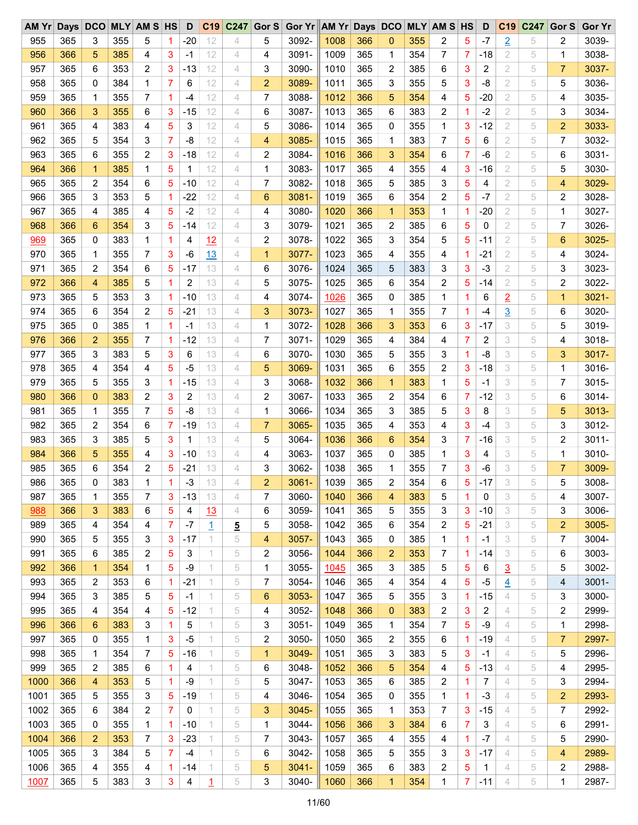| 955<br>365<br>3<br>355<br>$-20$<br>5<br>3092-<br>1008<br>366<br>355<br>2<br>5<br>$\overline{2}$<br>2<br>3039-<br>5<br>12<br>4<br>0<br>-7<br>5<br>1<br>956<br>385<br>12<br>3091-<br>1009<br>365<br>354<br>7<br>2<br>5<br>3038-<br>366<br>5<br>3<br>4<br>4<br>$\mathbf 1$<br>7<br>$-18$<br>1<br>4<br>-1<br>2<br>2<br>3<br>12<br>3<br>3090-<br>1010<br>365<br>2<br>385<br>3<br>2<br>7<br>3037-<br>957<br>365<br>6<br>353<br>-13<br>4<br>6<br>5<br>2<br>12<br>$\overline{2}$<br>3089-<br>1011<br>365<br>3<br>355<br>3<br>-8<br>5<br>3036-<br>958<br>365<br>0<br>384<br>1<br>7<br>6<br>4<br>5<br>5<br>366<br>2<br>959<br>365<br>355<br>7<br>1<br>12<br>7<br>3088-<br>1012<br>5<br>354<br>5<br>$-20$<br>5<br>3035-<br>1<br>-4<br>4<br>4<br>4<br>960<br>355<br>6<br>12<br>6<br>3087-<br>1013<br>365<br>383<br>$-2$<br>2<br>5<br>3<br>3034-<br>366<br>3<br>3<br>$-15$<br>4<br>6<br>2<br>1<br>12<br>3086-<br>365<br>2<br>$\overline{c}$<br>3033-<br>961<br>365<br>383<br>5<br>3<br>5<br>1014<br>0<br>355<br>1<br>3<br>$-12$<br>5<br>4<br>4<br>4<br>365<br>2<br>962<br>365<br>5<br>354<br>3<br>7<br>-8<br>12<br>3085-<br>1015<br>1<br>383<br>5<br>5<br>7<br>3032-<br>4<br>4<br>7<br>6<br>$\overline{7}$<br>963<br>365<br>355<br>2<br>3<br>12<br>2<br>3084-<br>1016<br>366<br>354<br>2<br>6<br>3031-<br>6<br>$-18$<br>4<br>3<br>6<br>-6<br>5<br>5<br>3083-<br>2<br>964<br>366<br>$\mathbf{1}$<br>385<br>$\mathbf{1}$<br>12<br>$\mathbf{1}$<br>1017<br>365<br>355<br>3<br>5<br>5<br>3030-<br>1<br>4<br>4<br>$-16$<br>4<br>354<br>$-10$<br>12<br>7<br>3082-<br>1018<br>365<br>385<br>5<br>4<br>2<br>5<br>3029-<br>965<br>365<br>2<br>6<br>5<br>4<br>5<br>3<br>4<br>2<br>353<br>$-22$<br>12<br>3081-<br>365<br>6<br>5<br>$-7$<br>5<br>2<br>3028-<br>966<br>365<br>3<br>5<br>1<br>4<br>6<br>1019<br>354<br>2<br>967<br>385<br>5<br>$-2$<br>12<br>3080-<br>1020<br>366<br>353<br>$-20$<br>2<br>5<br>3027-<br>365<br>4<br>4<br>4<br>4<br>1<br>1<br>1<br>1<br>365<br>5<br>2<br>968<br>366<br>354<br>3<br>5<br>$-14$<br>12<br>3<br>3079-<br>1021<br>2<br>385<br>0<br>5<br>7<br>3026-<br>6<br>4<br>6<br>383<br>12<br>2<br>3078-<br>1022<br>365<br>3<br>354<br>5<br>5<br>$-11$<br>2<br>5<br>6<br>3025-<br>969<br>365<br>0<br>1<br>1<br>4<br>4<br>1023<br>970<br>355<br>3<br>13<br>3077-<br>365<br>355<br>$-21$<br>2<br>3024-<br>365<br>1<br>7<br>-6<br>4<br>1<br>4<br>4<br>1<br>5<br>4<br>1024<br>971<br>365<br>2<br>354<br>6<br>5<br>$-17$<br>13<br>3076-<br>365<br>5<br>383<br>3<br>$-3$<br>2<br>5<br>3<br>3023-<br>4<br>6<br>3<br>2<br>385<br>2<br>13<br>5<br>3075-<br>1025<br>365<br>354<br>2<br>5<br>$-14$<br>5<br>2<br>3022-<br>972<br>366<br>5<br>1<br>4<br>6<br>4<br>365<br>$\overline{2}$<br>973<br>365<br>5<br>353<br>3<br>$-10$<br>13<br>3074-<br>0<br>385<br>1<br>5<br>1<br>$3021 -$<br>4<br>4<br>1026<br>6<br>1<br>1<br>3020-<br>974<br>354<br>2<br>$-21$<br>13<br>3073-<br>1027<br>365<br>355<br>$\overline{3}$<br>365<br>6<br>5<br>3<br>1<br>7<br>1<br>$-4$<br>5<br>6<br>4<br>1028<br>353<br>975<br>385<br>$-1$<br>13<br>3072-<br>366<br>3<br>3<br>5<br>3019-<br>365<br>0<br>1<br>1<br>4<br>$\mathbf{1}$<br>3<br>6<br>$-17$<br>5<br>$3071 -$<br>1029<br>365<br>384<br>7<br>2<br>3<br>5<br>3018-<br>976<br>366<br>2<br>355<br>7<br>1<br>-12<br>13<br>4<br>7<br>4<br>4<br>4<br>977<br>383<br>3<br>13<br>3070-<br>1030<br>365<br>355<br>$-8$<br>3<br>3<br>3017-<br>365<br>3<br>5<br>6<br>4<br>6<br>5<br>3<br>1.<br>5<br>$-5$<br>1031<br>978<br>365<br>354<br>4<br>5<br>13<br>5<br>3069-<br>365<br>6<br>355<br>2<br>3<br>$-18$<br>3<br>5<br>3016-<br>4<br>4<br>1<br>383<br>979<br>365<br>355<br>3<br>$-15$<br>13<br>3<br>3068-<br>1032<br>366<br>1<br>5<br>$-1$<br>3<br>5<br>7<br>3015-<br>5<br>1<br>4<br>1<br>980<br>366<br>383<br>2<br>3<br>2<br>13<br>2<br>3067-<br>1033<br>365<br>2<br>354<br>3<br>6<br>3014-<br>$\mathbf 0$<br>6<br>7<br>$-12$<br>5<br>4<br>981<br>355<br>7<br>5<br>-8<br>13<br>3066-<br>1034<br>365<br>385<br>3<br>3<br>5<br>5<br>3013-<br>365<br>1<br>4<br>1<br>3<br>5<br>8<br>3065-<br>1035<br>365<br>3<br>3<br>982<br>365<br>2<br>354<br>6<br>7<br>$-19$<br>13<br>$\overline{7}$<br>353<br>5<br>3<br>3012-<br>4<br>4<br>4<br>$-4$<br>385<br>3064-<br>1036<br>366<br>354<br>7<br>$-16$<br>3<br>2<br>$3011 -$<br>983<br>365<br>3<br>5<br>3<br>1<br>13<br>4<br>5<br>6<br>3<br>5<br>984<br>355<br>3063-<br>1037<br>365<br>385<br>3<br>3<br>3010-<br>366<br>5<br>3<br>$-10$<br>13<br>4<br>0<br>1<br>4<br>5<br>1<br>4<br>4<br>985<br>365<br>354<br>3062-<br>1038<br>365<br>355<br>3<br>3<br>7<br>3009-<br>6<br>2<br>5<br>-21<br>13<br>4<br>3<br>1<br>7<br>-6<br>5<br>5<br>383<br>$-3$<br>$\overline{2}$<br>3061-<br>1039<br>365<br>$\overline{2}$<br>354<br>$-17$<br>986<br>365<br>$\mathbf{0}$<br>1<br>13<br>4<br>6<br>3<br>5<br>5<br>3008-<br>1<br>3007-<br>987<br>365<br>355<br>7<br>3<br>$-13$<br>3060-<br>1040<br>366<br>383<br>3<br>1<br>13<br>7<br>5<br>1<br>0<br>5<br>4<br>4<br>4<br>383<br>13<br>3059-<br>1041<br>355<br>3<br>3<br>3006-<br>988<br>366<br>3<br>6<br>5<br>4<br>4<br>6<br>365<br>5<br>3<br>3<br>$-10$<br>5<br>3005-<br>354<br>7<br>5<br>3058-<br>365<br>6<br>5<br>3<br>2<br>989<br>365<br>4<br>$-7$<br>1042<br>354<br>2<br>$-21$<br>5<br>4<br>1<br><u>5</u><br>5<br>355<br>3<br>3057-<br>365<br>3<br>5<br>7<br>3004-<br>990<br>365<br>3<br>-17<br>5<br>4<br>1043<br>0<br>385<br>1<br>-1<br>1<br>1<br>6<br>385<br>2<br>5<br>5<br>2<br>1044<br>366<br>$\overline{2}$<br>353<br>7<br>3<br>5<br>3003-<br>991<br>365<br>3<br>1<br>3056-<br>-14<br>6<br>1<br>992<br>-9<br>3055-<br>365<br>3<br>$\overline{3}$<br>5<br>3002-<br>366<br>$\mathbf{1}$<br>354<br>1<br>5<br>1.<br>5<br>1<br>1045<br>385<br>5<br>5<br>5<br>6<br>5<br>993<br>2<br>353<br>6<br>$-21$<br>5<br>7<br>3054-<br>1046<br>365<br>354<br>$-5$<br>$\overline{4}$<br>5<br>$3001 -$<br>365<br>1<br>1<br>4<br>4<br>4<br>994<br>3<br>385<br>5<br>5<br>5<br>6<br>3053-<br>1047<br>365<br>5<br>355<br>$-15$<br>5<br>3000-<br>365<br>-1<br>1<br>3<br>4<br>3<br>1<br>995<br>354<br>3052-<br>1048<br>366<br>$\mathbf{0}$<br>383<br>2<br>2<br>2999-<br>365<br>4<br>4<br>5<br>$-12$<br>5<br>4<br>3<br>2<br>4<br>5<br>1.<br>5<br>996<br>383<br>3<br>5<br>3<br>3051-<br>1049<br>365<br>354<br>7<br>-9<br>5<br>1<br>2998-<br>366<br>6<br>1<br>1<br>5<br>1<br>4<br>355<br>$-5$<br>2<br>3050-<br>2<br>355<br>4<br>5<br>7<br>2997-<br>997<br>365<br>0<br>3<br>5<br>1050<br>365<br>6<br>-19<br>1<br>1<br>1<br>5<br>3049-<br>365<br>3<br>383<br>5<br>998<br>365<br>1<br>354<br>7<br>5<br>$-16$<br>$\mathbf{1}$<br>1051<br>5<br>3<br>4<br>5<br>2996-<br>1.<br>$-1$<br>999<br>3048-<br>2995-<br>365<br>2<br>385<br>6<br>4<br>1<br>5<br>6<br>1052<br>366<br>5<br>354<br>4<br>5<br>-13<br>4<br>5<br>4<br>1<br>1000<br>366<br>353<br>5<br>-9<br>5<br>5<br>3047-<br>1053<br>365<br>6<br>385<br>7<br>5<br>2994-<br>4<br>1<br>1<br>2<br>1<br>4<br>3<br>1001<br>5<br>355<br>3<br>$-19$<br>5<br>3046-<br>1054<br>365<br>0<br>355<br>5<br>2<br>2993-<br>365<br>5<br>4<br>1<br>1<br>$-3$<br>4<br>1<br>1002<br>2<br>7<br>5<br>3045-<br>1055<br>365<br>7<br>2992-<br>365<br>6<br>384<br>0<br>1.<br>3<br>1<br>353<br>7<br>3<br>$-15$<br>4<br>5<br>1003<br>7<br>365<br>355<br>$-10$<br>3044-<br>1056<br>366<br>3<br>384<br>5<br>2991-<br>0<br>1<br>1<br>1.<br>5<br>1<br>6<br>3<br>4<br>6<br>1004<br>366<br>$\overline{2}$<br>353<br>7<br>3<br>$-23$<br>5<br>7<br>3043-<br>365<br>$\mathbf{1}$<br>$-7$<br>4<br>5<br>2990-<br>1<br>1057<br>4<br>355<br>4<br>5<br>1005<br>365<br>3<br>5<br>5<br>3042-<br>1058<br>365<br>5<br>355<br>5<br>4<br>2989-<br>384<br>7<br>$-4$<br>6<br>3<br>3<br>$-17$<br>4<br>1<br>1006<br>355<br>$3041 -$<br>1059<br>5<br>2<br>2988-<br>365<br>4<br>5<br>5<br>365<br>6<br>383<br>2<br>1<br>4<br>5<br>4<br>1<br>-14<br>1 | AM Yr | Days DCO |   |     | <b>MLY AM S HS</b> |   | D | C19            | C <sub>247</sub> | Gor S | Gor Yr AM Yr Days DCO |      |     |   |     | <b>MLY AM S HS</b> |                | D     | C <sub>19</sub> | C247 | Gor S | <b>Gor Yr</b> |
|-------------------------------------------------------------------------------------------------------------------------------------------------------------------------------------------------------------------------------------------------------------------------------------------------------------------------------------------------------------------------------------------------------------------------------------------------------------------------------------------------------------------------------------------------------------------------------------------------------------------------------------------------------------------------------------------------------------------------------------------------------------------------------------------------------------------------------------------------------------------------------------------------------------------------------------------------------------------------------------------------------------------------------------------------------------------------------------------------------------------------------------------------------------------------------------------------------------------------------------------------------------------------------------------------------------------------------------------------------------------------------------------------------------------------------------------------------------------------------------------------------------------------------------------------------------------------------------------------------------------------------------------------------------------------------------------------------------------------------------------------------------------------------------------------------------------------------------------------------------------------------------------------------------------------------------------------------------------------------------------------------------------------------------------------------------------------------------------------------------------------------------------------------------------------------------------------------------------------------------------------------------------------------------------------------------------------------------------------------------------------------------------------------------------------------------------------------------------------------------------------------------------------------------------------------------------------------------------------------------------------------------------------------------------------------------------------------------------------------------------------------------------------------------------------------------------------------------------------------------------------------------------------------------------------------------------------------------------------------------------------------------------------------------------------------------------------------------------------------------------------------------------------------------------------------------------------------------------------------------------------------------------------------------------------------------------------------------------------------------------------------------------------------------------------------------------------------------------------------------------------------------------------------------------------------------------------------------------------------------------------------------------------------------------------------------------------------------------------------------------------------------------------------------------------------------------------------------------------------------------------------------------------------------------------------------------------------------------------------------------------------------------------------------------------------------------------------------------------------------------------------------------------------------------------------------------------------------------------------------------------------------------------------------------------------------------------------------------------------------------------------------------------------------------------------------------------------------------------------------------------------------------------------------------------------------------------------------------------------------------------------------------------------------------------------------------------------------------------------------------------------------------------------------------------------------------------------------------------------------------------------------------------------------------------------------------------------------------------------------------------------------------------------------------------------------------------------------------------------------------------------------------------------------------------------------------------------------------------------------------------------------------------------------------------------------------------------------------------------------------------------------------------------------------------------------------------------------------------------------------------------------------------------------------------------------------------------------------------------------------------------------------------------------------------------------------------------------------------------------------------------------------------------------------------------------------------------------------------------------------------------------------------------------------------------------------------------------------------------------------------------------------------------------------------------------------------------------------------------------------------------------------------------------------------------------------------------------------------------------------------------------------------------------------------------------------------------------------------------------------------------------------------------------------------------------------------------------------------------------------------------------------------------------------------------------------------------------------------------------------------------------------------------------------------------------------------------------------------------------------------------------------------------------------------------------------------------------------------------------------------------------------------------------------------------------------------------------------------------------------------------------------------------------------------------------------------------------------------------------------------------------------------------------------------------------------------------------------------------------------------------------------------------------------------------------------------------------------------------------------------------------------------------------------------------------------------------------------------------------------------------------------------------------------------------------------------------------------------------------------------------------------------------------------------------------------------------|-------|----------|---|-----|--------------------|---|---|----------------|------------------|-------|-----------------------|------|-----|---|-----|--------------------|----------------|-------|-----------------|------|-------|---------------|
|                                                                                                                                                                                                                                                                                                                                                                                                                                                                                                                                                                                                                                                                                                                                                                                                                                                                                                                                                                                                                                                                                                                                                                                                                                                                                                                                                                                                                                                                                                                                                                                                                                                                                                                                                                                                                                                                                                                                                                                                                                                                                                                                                                                                                                                                                                                                                                                                                                                                                                                                                                                                                                                                                                                                                                                                                                                                                                                                                                                                                                                                                                                                                                                                                                                                                                                                                                                                                                                                                                                                                                                                                                                                                                                                                                                                                                                                                                                                                                                                                                                                                                                                                                                                                                                                                                                                                                                                                                                                                                                                                                                                                                                                                                                                                                                                                                                                                                                                                                                                                                                                                                                                                                                                                                                                                                                                                                                                                                                                                                                                                                                                                                                                                                                                                                                                                                                                                                                                                                                                                                                                                                                                                                                                                                                                                                                                                                                                                                                                                                                                                                                                                                                                                                                                                                                                                                                                                                                                                                                                                                                                                                                                                                                                                                                                                                                                                                                                                                                                                                                                                                                                                                                                                                       |       |          |   |     |                    |   |   |                |                  |       |                       |      |     |   |     |                    |                |       |                 |      |       |               |
|                                                                                                                                                                                                                                                                                                                                                                                                                                                                                                                                                                                                                                                                                                                                                                                                                                                                                                                                                                                                                                                                                                                                                                                                                                                                                                                                                                                                                                                                                                                                                                                                                                                                                                                                                                                                                                                                                                                                                                                                                                                                                                                                                                                                                                                                                                                                                                                                                                                                                                                                                                                                                                                                                                                                                                                                                                                                                                                                                                                                                                                                                                                                                                                                                                                                                                                                                                                                                                                                                                                                                                                                                                                                                                                                                                                                                                                                                                                                                                                                                                                                                                                                                                                                                                                                                                                                                                                                                                                                                                                                                                                                                                                                                                                                                                                                                                                                                                                                                                                                                                                                                                                                                                                                                                                                                                                                                                                                                                                                                                                                                                                                                                                                                                                                                                                                                                                                                                                                                                                                                                                                                                                                                                                                                                                                                                                                                                                                                                                                                                                                                                                                                                                                                                                                                                                                                                                                                                                                                                                                                                                                                                                                                                                                                                                                                                                                                                                                                                                                                                                                                                                                                                                                                                       |       |          |   |     |                    |   |   |                |                  |       |                       |      |     |   |     |                    |                |       |                 |      |       |               |
|                                                                                                                                                                                                                                                                                                                                                                                                                                                                                                                                                                                                                                                                                                                                                                                                                                                                                                                                                                                                                                                                                                                                                                                                                                                                                                                                                                                                                                                                                                                                                                                                                                                                                                                                                                                                                                                                                                                                                                                                                                                                                                                                                                                                                                                                                                                                                                                                                                                                                                                                                                                                                                                                                                                                                                                                                                                                                                                                                                                                                                                                                                                                                                                                                                                                                                                                                                                                                                                                                                                                                                                                                                                                                                                                                                                                                                                                                                                                                                                                                                                                                                                                                                                                                                                                                                                                                                                                                                                                                                                                                                                                                                                                                                                                                                                                                                                                                                                                                                                                                                                                                                                                                                                                                                                                                                                                                                                                                                                                                                                                                                                                                                                                                                                                                                                                                                                                                                                                                                                                                                                                                                                                                                                                                                                                                                                                                                                                                                                                                                                                                                                                                                                                                                                                                                                                                                                                                                                                                                                                                                                                                                                                                                                                                                                                                                                                                                                                                                                                                                                                                                                                                                                                                                       |       |          |   |     |                    |   |   |                |                  |       |                       |      |     |   |     |                    |                |       |                 |      |       |               |
|                                                                                                                                                                                                                                                                                                                                                                                                                                                                                                                                                                                                                                                                                                                                                                                                                                                                                                                                                                                                                                                                                                                                                                                                                                                                                                                                                                                                                                                                                                                                                                                                                                                                                                                                                                                                                                                                                                                                                                                                                                                                                                                                                                                                                                                                                                                                                                                                                                                                                                                                                                                                                                                                                                                                                                                                                                                                                                                                                                                                                                                                                                                                                                                                                                                                                                                                                                                                                                                                                                                                                                                                                                                                                                                                                                                                                                                                                                                                                                                                                                                                                                                                                                                                                                                                                                                                                                                                                                                                                                                                                                                                                                                                                                                                                                                                                                                                                                                                                                                                                                                                                                                                                                                                                                                                                                                                                                                                                                                                                                                                                                                                                                                                                                                                                                                                                                                                                                                                                                                                                                                                                                                                                                                                                                                                                                                                                                                                                                                                                                                                                                                                                                                                                                                                                                                                                                                                                                                                                                                                                                                                                                                                                                                                                                                                                                                                                                                                                                                                                                                                                                                                                                                                                                       |       |          |   |     |                    |   |   |                |                  |       |                       |      |     |   |     |                    |                |       |                 |      |       |               |
|                                                                                                                                                                                                                                                                                                                                                                                                                                                                                                                                                                                                                                                                                                                                                                                                                                                                                                                                                                                                                                                                                                                                                                                                                                                                                                                                                                                                                                                                                                                                                                                                                                                                                                                                                                                                                                                                                                                                                                                                                                                                                                                                                                                                                                                                                                                                                                                                                                                                                                                                                                                                                                                                                                                                                                                                                                                                                                                                                                                                                                                                                                                                                                                                                                                                                                                                                                                                                                                                                                                                                                                                                                                                                                                                                                                                                                                                                                                                                                                                                                                                                                                                                                                                                                                                                                                                                                                                                                                                                                                                                                                                                                                                                                                                                                                                                                                                                                                                                                                                                                                                                                                                                                                                                                                                                                                                                                                                                                                                                                                                                                                                                                                                                                                                                                                                                                                                                                                                                                                                                                                                                                                                                                                                                                                                                                                                                                                                                                                                                                                                                                                                                                                                                                                                                                                                                                                                                                                                                                                                                                                                                                                                                                                                                                                                                                                                                                                                                                                                                                                                                                                                                                                                                                       |       |          |   |     |                    |   |   |                |                  |       |                       |      |     |   |     |                    |                |       |                 |      |       |               |
|                                                                                                                                                                                                                                                                                                                                                                                                                                                                                                                                                                                                                                                                                                                                                                                                                                                                                                                                                                                                                                                                                                                                                                                                                                                                                                                                                                                                                                                                                                                                                                                                                                                                                                                                                                                                                                                                                                                                                                                                                                                                                                                                                                                                                                                                                                                                                                                                                                                                                                                                                                                                                                                                                                                                                                                                                                                                                                                                                                                                                                                                                                                                                                                                                                                                                                                                                                                                                                                                                                                                                                                                                                                                                                                                                                                                                                                                                                                                                                                                                                                                                                                                                                                                                                                                                                                                                                                                                                                                                                                                                                                                                                                                                                                                                                                                                                                                                                                                                                                                                                                                                                                                                                                                                                                                                                                                                                                                                                                                                                                                                                                                                                                                                                                                                                                                                                                                                                                                                                                                                                                                                                                                                                                                                                                                                                                                                                                                                                                                                                                                                                                                                                                                                                                                                                                                                                                                                                                                                                                                                                                                                                                                                                                                                                                                                                                                                                                                                                                                                                                                                                                                                                                                                                       |       |          |   |     |                    |   |   |                |                  |       |                       |      |     |   |     |                    |                |       |                 |      |       |               |
|                                                                                                                                                                                                                                                                                                                                                                                                                                                                                                                                                                                                                                                                                                                                                                                                                                                                                                                                                                                                                                                                                                                                                                                                                                                                                                                                                                                                                                                                                                                                                                                                                                                                                                                                                                                                                                                                                                                                                                                                                                                                                                                                                                                                                                                                                                                                                                                                                                                                                                                                                                                                                                                                                                                                                                                                                                                                                                                                                                                                                                                                                                                                                                                                                                                                                                                                                                                                                                                                                                                                                                                                                                                                                                                                                                                                                                                                                                                                                                                                                                                                                                                                                                                                                                                                                                                                                                                                                                                                                                                                                                                                                                                                                                                                                                                                                                                                                                                                                                                                                                                                                                                                                                                                                                                                                                                                                                                                                                                                                                                                                                                                                                                                                                                                                                                                                                                                                                                                                                                                                                                                                                                                                                                                                                                                                                                                                                                                                                                                                                                                                                                                                                                                                                                                                                                                                                                                                                                                                                                                                                                                                                                                                                                                                                                                                                                                                                                                                                                                                                                                                                                                                                                                                                       |       |          |   |     |                    |   |   |                |                  |       |                       |      |     |   |     |                    |                |       |                 |      |       |               |
|                                                                                                                                                                                                                                                                                                                                                                                                                                                                                                                                                                                                                                                                                                                                                                                                                                                                                                                                                                                                                                                                                                                                                                                                                                                                                                                                                                                                                                                                                                                                                                                                                                                                                                                                                                                                                                                                                                                                                                                                                                                                                                                                                                                                                                                                                                                                                                                                                                                                                                                                                                                                                                                                                                                                                                                                                                                                                                                                                                                                                                                                                                                                                                                                                                                                                                                                                                                                                                                                                                                                                                                                                                                                                                                                                                                                                                                                                                                                                                                                                                                                                                                                                                                                                                                                                                                                                                                                                                                                                                                                                                                                                                                                                                                                                                                                                                                                                                                                                                                                                                                                                                                                                                                                                                                                                                                                                                                                                                                                                                                                                                                                                                                                                                                                                                                                                                                                                                                                                                                                                                                                                                                                                                                                                                                                                                                                                                                                                                                                                                                                                                                                                                                                                                                                                                                                                                                                                                                                                                                                                                                                                                                                                                                                                                                                                                                                                                                                                                                                                                                                                                                                                                                                                                       |       |          |   |     |                    |   |   |                |                  |       |                       |      |     |   |     |                    |                |       |                 |      |       |               |
|                                                                                                                                                                                                                                                                                                                                                                                                                                                                                                                                                                                                                                                                                                                                                                                                                                                                                                                                                                                                                                                                                                                                                                                                                                                                                                                                                                                                                                                                                                                                                                                                                                                                                                                                                                                                                                                                                                                                                                                                                                                                                                                                                                                                                                                                                                                                                                                                                                                                                                                                                                                                                                                                                                                                                                                                                                                                                                                                                                                                                                                                                                                                                                                                                                                                                                                                                                                                                                                                                                                                                                                                                                                                                                                                                                                                                                                                                                                                                                                                                                                                                                                                                                                                                                                                                                                                                                                                                                                                                                                                                                                                                                                                                                                                                                                                                                                                                                                                                                                                                                                                                                                                                                                                                                                                                                                                                                                                                                                                                                                                                                                                                                                                                                                                                                                                                                                                                                                                                                                                                                                                                                                                                                                                                                                                                                                                                                                                                                                                                                                                                                                                                                                                                                                                                                                                                                                                                                                                                                                                                                                                                                                                                                                                                                                                                                                                                                                                                                                                                                                                                                                                                                                                                                       |       |          |   |     |                    |   |   |                |                  |       |                       |      |     |   |     |                    |                |       |                 |      |       |               |
|                                                                                                                                                                                                                                                                                                                                                                                                                                                                                                                                                                                                                                                                                                                                                                                                                                                                                                                                                                                                                                                                                                                                                                                                                                                                                                                                                                                                                                                                                                                                                                                                                                                                                                                                                                                                                                                                                                                                                                                                                                                                                                                                                                                                                                                                                                                                                                                                                                                                                                                                                                                                                                                                                                                                                                                                                                                                                                                                                                                                                                                                                                                                                                                                                                                                                                                                                                                                                                                                                                                                                                                                                                                                                                                                                                                                                                                                                                                                                                                                                                                                                                                                                                                                                                                                                                                                                                                                                                                                                                                                                                                                                                                                                                                                                                                                                                                                                                                                                                                                                                                                                                                                                                                                                                                                                                                                                                                                                                                                                                                                                                                                                                                                                                                                                                                                                                                                                                                                                                                                                                                                                                                                                                                                                                                                                                                                                                                                                                                                                                                                                                                                                                                                                                                                                                                                                                                                                                                                                                                                                                                                                                                                                                                                                                                                                                                                                                                                                                                                                                                                                                                                                                                                                                       |       |          |   |     |                    |   |   |                |                  |       |                       |      |     |   |     |                    |                |       |                 |      |       |               |
|                                                                                                                                                                                                                                                                                                                                                                                                                                                                                                                                                                                                                                                                                                                                                                                                                                                                                                                                                                                                                                                                                                                                                                                                                                                                                                                                                                                                                                                                                                                                                                                                                                                                                                                                                                                                                                                                                                                                                                                                                                                                                                                                                                                                                                                                                                                                                                                                                                                                                                                                                                                                                                                                                                                                                                                                                                                                                                                                                                                                                                                                                                                                                                                                                                                                                                                                                                                                                                                                                                                                                                                                                                                                                                                                                                                                                                                                                                                                                                                                                                                                                                                                                                                                                                                                                                                                                                                                                                                                                                                                                                                                                                                                                                                                                                                                                                                                                                                                                                                                                                                                                                                                                                                                                                                                                                                                                                                                                                                                                                                                                                                                                                                                                                                                                                                                                                                                                                                                                                                                                                                                                                                                                                                                                                                                                                                                                                                                                                                                                                                                                                                                                                                                                                                                                                                                                                                                                                                                                                                                                                                                                                                                                                                                                                                                                                                                                                                                                                                                                                                                                                                                                                                                                                       |       |          |   |     |                    |   |   |                |                  |       |                       |      |     |   |     |                    |                |       |                 |      |       |               |
|                                                                                                                                                                                                                                                                                                                                                                                                                                                                                                                                                                                                                                                                                                                                                                                                                                                                                                                                                                                                                                                                                                                                                                                                                                                                                                                                                                                                                                                                                                                                                                                                                                                                                                                                                                                                                                                                                                                                                                                                                                                                                                                                                                                                                                                                                                                                                                                                                                                                                                                                                                                                                                                                                                                                                                                                                                                                                                                                                                                                                                                                                                                                                                                                                                                                                                                                                                                                                                                                                                                                                                                                                                                                                                                                                                                                                                                                                                                                                                                                                                                                                                                                                                                                                                                                                                                                                                                                                                                                                                                                                                                                                                                                                                                                                                                                                                                                                                                                                                                                                                                                                                                                                                                                                                                                                                                                                                                                                                                                                                                                                                                                                                                                                                                                                                                                                                                                                                                                                                                                                                                                                                                                                                                                                                                                                                                                                                                                                                                                                                                                                                                                                                                                                                                                                                                                                                                                                                                                                                                                                                                                                                                                                                                                                                                                                                                                                                                                                                                                                                                                                                                                                                                                                                       |       |          |   |     |                    |   |   |                |                  |       |                       |      |     |   |     |                    |                |       |                 |      |       |               |
|                                                                                                                                                                                                                                                                                                                                                                                                                                                                                                                                                                                                                                                                                                                                                                                                                                                                                                                                                                                                                                                                                                                                                                                                                                                                                                                                                                                                                                                                                                                                                                                                                                                                                                                                                                                                                                                                                                                                                                                                                                                                                                                                                                                                                                                                                                                                                                                                                                                                                                                                                                                                                                                                                                                                                                                                                                                                                                                                                                                                                                                                                                                                                                                                                                                                                                                                                                                                                                                                                                                                                                                                                                                                                                                                                                                                                                                                                                                                                                                                                                                                                                                                                                                                                                                                                                                                                                                                                                                                                                                                                                                                                                                                                                                                                                                                                                                                                                                                                                                                                                                                                                                                                                                                                                                                                                                                                                                                                                                                                                                                                                                                                                                                                                                                                                                                                                                                                                                                                                                                                                                                                                                                                                                                                                                                                                                                                                                                                                                                                                                                                                                                                                                                                                                                                                                                                                                                                                                                                                                                                                                                                                                                                                                                                                                                                                                                                                                                                                                                                                                                                                                                                                                                                                       |       |          |   |     |                    |   |   |                |                  |       |                       |      |     |   |     |                    |                |       |                 |      |       |               |
|                                                                                                                                                                                                                                                                                                                                                                                                                                                                                                                                                                                                                                                                                                                                                                                                                                                                                                                                                                                                                                                                                                                                                                                                                                                                                                                                                                                                                                                                                                                                                                                                                                                                                                                                                                                                                                                                                                                                                                                                                                                                                                                                                                                                                                                                                                                                                                                                                                                                                                                                                                                                                                                                                                                                                                                                                                                                                                                                                                                                                                                                                                                                                                                                                                                                                                                                                                                                                                                                                                                                                                                                                                                                                                                                                                                                                                                                                                                                                                                                                                                                                                                                                                                                                                                                                                                                                                                                                                                                                                                                                                                                                                                                                                                                                                                                                                                                                                                                                                                                                                                                                                                                                                                                                                                                                                                                                                                                                                                                                                                                                                                                                                                                                                                                                                                                                                                                                                                                                                                                                                                                                                                                                                                                                                                                                                                                                                                                                                                                                                                                                                                                                                                                                                                                                                                                                                                                                                                                                                                                                                                                                                                                                                                                                                                                                                                                                                                                                                                                                                                                                                                                                                                                                                       |       |          |   |     |                    |   |   |                |                  |       |                       |      |     |   |     |                    |                |       |                 |      |       |               |
|                                                                                                                                                                                                                                                                                                                                                                                                                                                                                                                                                                                                                                                                                                                                                                                                                                                                                                                                                                                                                                                                                                                                                                                                                                                                                                                                                                                                                                                                                                                                                                                                                                                                                                                                                                                                                                                                                                                                                                                                                                                                                                                                                                                                                                                                                                                                                                                                                                                                                                                                                                                                                                                                                                                                                                                                                                                                                                                                                                                                                                                                                                                                                                                                                                                                                                                                                                                                                                                                                                                                                                                                                                                                                                                                                                                                                                                                                                                                                                                                                                                                                                                                                                                                                                                                                                                                                                                                                                                                                                                                                                                                                                                                                                                                                                                                                                                                                                                                                                                                                                                                                                                                                                                                                                                                                                                                                                                                                                                                                                                                                                                                                                                                                                                                                                                                                                                                                                                                                                                                                                                                                                                                                                                                                                                                                                                                                                                                                                                                                                                                                                                                                                                                                                                                                                                                                                                                                                                                                                                                                                                                                                                                                                                                                                                                                                                                                                                                                                                                                                                                                                                                                                                                                                       |       |          |   |     |                    |   |   |                |                  |       |                       |      |     |   |     |                    |                |       |                 |      |       |               |
|                                                                                                                                                                                                                                                                                                                                                                                                                                                                                                                                                                                                                                                                                                                                                                                                                                                                                                                                                                                                                                                                                                                                                                                                                                                                                                                                                                                                                                                                                                                                                                                                                                                                                                                                                                                                                                                                                                                                                                                                                                                                                                                                                                                                                                                                                                                                                                                                                                                                                                                                                                                                                                                                                                                                                                                                                                                                                                                                                                                                                                                                                                                                                                                                                                                                                                                                                                                                                                                                                                                                                                                                                                                                                                                                                                                                                                                                                                                                                                                                                                                                                                                                                                                                                                                                                                                                                                                                                                                                                                                                                                                                                                                                                                                                                                                                                                                                                                                                                                                                                                                                                                                                                                                                                                                                                                                                                                                                                                                                                                                                                                                                                                                                                                                                                                                                                                                                                                                                                                                                                                                                                                                                                                                                                                                                                                                                                                                                                                                                                                                                                                                                                                                                                                                                                                                                                                                                                                                                                                                                                                                                                                                                                                                                                                                                                                                                                                                                                                                                                                                                                                                                                                                                                                       |       |          |   |     |                    |   |   |                |                  |       |                       |      |     |   |     |                    |                |       |                 |      |       |               |
|                                                                                                                                                                                                                                                                                                                                                                                                                                                                                                                                                                                                                                                                                                                                                                                                                                                                                                                                                                                                                                                                                                                                                                                                                                                                                                                                                                                                                                                                                                                                                                                                                                                                                                                                                                                                                                                                                                                                                                                                                                                                                                                                                                                                                                                                                                                                                                                                                                                                                                                                                                                                                                                                                                                                                                                                                                                                                                                                                                                                                                                                                                                                                                                                                                                                                                                                                                                                                                                                                                                                                                                                                                                                                                                                                                                                                                                                                                                                                                                                                                                                                                                                                                                                                                                                                                                                                                                                                                                                                                                                                                                                                                                                                                                                                                                                                                                                                                                                                                                                                                                                                                                                                                                                                                                                                                                                                                                                                                                                                                                                                                                                                                                                                                                                                                                                                                                                                                                                                                                                                                                                                                                                                                                                                                                                                                                                                                                                                                                                                                                                                                                                                                                                                                                                                                                                                                                                                                                                                                                                                                                                                                                                                                                                                                                                                                                                                                                                                                                                                                                                                                                                                                                                                                       |       |          |   |     |                    |   |   |                |                  |       |                       |      |     |   |     |                    |                |       |                 |      |       |               |
|                                                                                                                                                                                                                                                                                                                                                                                                                                                                                                                                                                                                                                                                                                                                                                                                                                                                                                                                                                                                                                                                                                                                                                                                                                                                                                                                                                                                                                                                                                                                                                                                                                                                                                                                                                                                                                                                                                                                                                                                                                                                                                                                                                                                                                                                                                                                                                                                                                                                                                                                                                                                                                                                                                                                                                                                                                                                                                                                                                                                                                                                                                                                                                                                                                                                                                                                                                                                                                                                                                                                                                                                                                                                                                                                                                                                                                                                                                                                                                                                                                                                                                                                                                                                                                                                                                                                                                                                                                                                                                                                                                                                                                                                                                                                                                                                                                                                                                                                                                                                                                                                                                                                                                                                                                                                                                                                                                                                                                                                                                                                                                                                                                                                                                                                                                                                                                                                                                                                                                                                                                                                                                                                                                                                                                                                                                                                                                                                                                                                                                                                                                                                                                                                                                                                                                                                                                                                                                                                                                                                                                                                                                                                                                                                                                                                                                                                                                                                                                                                                                                                                                                                                                                                                                       |       |          |   |     |                    |   |   |                |                  |       |                       |      |     |   |     |                    |                |       |                 |      |       |               |
|                                                                                                                                                                                                                                                                                                                                                                                                                                                                                                                                                                                                                                                                                                                                                                                                                                                                                                                                                                                                                                                                                                                                                                                                                                                                                                                                                                                                                                                                                                                                                                                                                                                                                                                                                                                                                                                                                                                                                                                                                                                                                                                                                                                                                                                                                                                                                                                                                                                                                                                                                                                                                                                                                                                                                                                                                                                                                                                                                                                                                                                                                                                                                                                                                                                                                                                                                                                                                                                                                                                                                                                                                                                                                                                                                                                                                                                                                                                                                                                                                                                                                                                                                                                                                                                                                                                                                                                                                                                                                                                                                                                                                                                                                                                                                                                                                                                                                                                                                                                                                                                                                                                                                                                                                                                                                                                                                                                                                                                                                                                                                                                                                                                                                                                                                                                                                                                                                                                                                                                                                                                                                                                                                                                                                                                                                                                                                                                                                                                                                                                                                                                                                                                                                                                                                                                                                                                                                                                                                                                                                                                                                                                                                                                                                                                                                                                                                                                                                                                                                                                                                                                                                                                                                                       |       |          |   |     |                    |   |   |                |                  |       |                       |      |     |   |     |                    |                |       |                 |      |       |               |
|                                                                                                                                                                                                                                                                                                                                                                                                                                                                                                                                                                                                                                                                                                                                                                                                                                                                                                                                                                                                                                                                                                                                                                                                                                                                                                                                                                                                                                                                                                                                                                                                                                                                                                                                                                                                                                                                                                                                                                                                                                                                                                                                                                                                                                                                                                                                                                                                                                                                                                                                                                                                                                                                                                                                                                                                                                                                                                                                                                                                                                                                                                                                                                                                                                                                                                                                                                                                                                                                                                                                                                                                                                                                                                                                                                                                                                                                                                                                                                                                                                                                                                                                                                                                                                                                                                                                                                                                                                                                                                                                                                                                                                                                                                                                                                                                                                                                                                                                                                                                                                                                                                                                                                                                                                                                                                                                                                                                                                                                                                                                                                                                                                                                                                                                                                                                                                                                                                                                                                                                                                                                                                                                                                                                                                                                                                                                                                                                                                                                                                                                                                                                                                                                                                                                                                                                                                                                                                                                                                                                                                                                                                                                                                                                                                                                                                                                                                                                                                                                                                                                                                                                                                                                                                       |       |          |   |     |                    |   |   |                |                  |       |                       |      |     |   |     |                    |                |       |                 |      |       |               |
|                                                                                                                                                                                                                                                                                                                                                                                                                                                                                                                                                                                                                                                                                                                                                                                                                                                                                                                                                                                                                                                                                                                                                                                                                                                                                                                                                                                                                                                                                                                                                                                                                                                                                                                                                                                                                                                                                                                                                                                                                                                                                                                                                                                                                                                                                                                                                                                                                                                                                                                                                                                                                                                                                                                                                                                                                                                                                                                                                                                                                                                                                                                                                                                                                                                                                                                                                                                                                                                                                                                                                                                                                                                                                                                                                                                                                                                                                                                                                                                                                                                                                                                                                                                                                                                                                                                                                                                                                                                                                                                                                                                                                                                                                                                                                                                                                                                                                                                                                                                                                                                                                                                                                                                                                                                                                                                                                                                                                                                                                                                                                                                                                                                                                                                                                                                                                                                                                                                                                                                                                                                                                                                                                                                                                                                                                                                                                                                                                                                                                                                                                                                                                                                                                                                                                                                                                                                                                                                                                                                                                                                                                                                                                                                                                                                                                                                                                                                                                                                                                                                                                                                                                                                                                                       |       |          |   |     |                    |   |   |                |                  |       |                       |      |     |   |     |                    |                |       |                 |      |       |               |
|                                                                                                                                                                                                                                                                                                                                                                                                                                                                                                                                                                                                                                                                                                                                                                                                                                                                                                                                                                                                                                                                                                                                                                                                                                                                                                                                                                                                                                                                                                                                                                                                                                                                                                                                                                                                                                                                                                                                                                                                                                                                                                                                                                                                                                                                                                                                                                                                                                                                                                                                                                                                                                                                                                                                                                                                                                                                                                                                                                                                                                                                                                                                                                                                                                                                                                                                                                                                                                                                                                                                                                                                                                                                                                                                                                                                                                                                                                                                                                                                                                                                                                                                                                                                                                                                                                                                                                                                                                                                                                                                                                                                                                                                                                                                                                                                                                                                                                                                                                                                                                                                                                                                                                                                                                                                                                                                                                                                                                                                                                                                                                                                                                                                                                                                                                                                                                                                                                                                                                                                                                                                                                                                                                                                                                                                                                                                                                                                                                                                                                                                                                                                                                                                                                                                                                                                                                                                                                                                                                                                                                                                                                                                                                                                                                                                                                                                                                                                                                                                                                                                                                                                                                                                                                       |       |          |   |     |                    |   |   |                |                  |       |                       |      |     |   |     |                    |                |       |                 |      |       |               |
|                                                                                                                                                                                                                                                                                                                                                                                                                                                                                                                                                                                                                                                                                                                                                                                                                                                                                                                                                                                                                                                                                                                                                                                                                                                                                                                                                                                                                                                                                                                                                                                                                                                                                                                                                                                                                                                                                                                                                                                                                                                                                                                                                                                                                                                                                                                                                                                                                                                                                                                                                                                                                                                                                                                                                                                                                                                                                                                                                                                                                                                                                                                                                                                                                                                                                                                                                                                                                                                                                                                                                                                                                                                                                                                                                                                                                                                                                                                                                                                                                                                                                                                                                                                                                                                                                                                                                                                                                                                                                                                                                                                                                                                                                                                                                                                                                                                                                                                                                                                                                                                                                                                                                                                                                                                                                                                                                                                                                                                                                                                                                                                                                                                                                                                                                                                                                                                                                                                                                                                                                                                                                                                                                                                                                                                                                                                                                                                                                                                                                                                                                                                                                                                                                                                                                                                                                                                                                                                                                                                                                                                                                                                                                                                                                                                                                                                                                                                                                                                                                                                                                                                                                                                                                                       |       |          |   |     |                    |   |   |                |                  |       |                       |      |     |   |     |                    |                |       |                 |      |       |               |
|                                                                                                                                                                                                                                                                                                                                                                                                                                                                                                                                                                                                                                                                                                                                                                                                                                                                                                                                                                                                                                                                                                                                                                                                                                                                                                                                                                                                                                                                                                                                                                                                                                                                                                                                                                                                                                                                                                                                                                                                                                                                                                                                                                                                                                                                                                                                                                                                                                                                                                                                                                                                                                                                                                                                                                                                                                                                                                                                                                                                                                                                                                                                                                                                                                                                                                                                                                                                                                                                                                                                                                                                                                                                                                                                                                                                                                                                                                                                                                                                                                                                                                                                                                                                                                                                                                                                                                                                                                                                                                                                                                                                                                                                                                                                                                                                                                                                                                                                                                                                                                                                                                                                                                                                                                                                                                                                                                                                                                                                                                                                                                                                                                                                                                                                                                                                                                                                                                                                                                                                                                                                                                                                                                                                                                                                                                                                                                                                                                                                                                                                                                                                                                                                                                                                                                                                                                                                                                                                                                                                                                                                                                                                                                                                                                                                                                                                                                                                                                                                                                                                                                                                                                                                                                       |       |          |   |     |                    |   |   |                |                  |       |                       |      |     |   |     |                    |                |       |                 |      |       |               |
|                                                                                                                                                                                                                                                                                                                                                                                                                                                                                                                                                                                                                                                                                                                                                                                                                                                                                                                                                                                                                                                                                                                                                                                                                                                                                                                                                                                                                                                                                                                                                                                                                                                                                                                                                                                                                                                                                                                                                                                                                                                                                                                                                                                                                                                                                                                                                                                                                                                                                                                                                                                                                                                                                                                                                                                                                                                                                                                                                                                                                                                                                                                                                                                                                                                                                                                                                                                                                                                                                                                                                                                                                                                                                                                                                                                                                                                                                                                                                                                                                                                                                                                                                                                                                                                                                                                                                                                                                                                                                                                                                                                                                                                                                                                                                                                                                                                                                                                                                                                                                                                                                                                                                                                                                                                                                                                                                                                                                                                                                                                                                                                                                                                                                                                                                                                                                                                                                                                                                                                                                                                                                                                                                                                                                                                                                                                                                                                                                                                                                                                                                                                                                                                                                                                                                                                                                                                                                                                                                                                                                                                                                                                                                                                                                                                                                                                                                                                                                                                                                                                                                                                                                                                                                                       |       |          |   |     |                    |   |   |                |                  |       |                       |      |     |   |     |                    |                |       |                 |      |       |               |
|                                                                                                                                                                                                                                                                                                                                                                                                                                                                                                                                                                                                                                                                                                                                                                                                                                                                                                                                                                                                                                                                                                                                                                                                                                                                                                                                                                                                                                                                                                                                                                                                                                                                                                                                                                                                                                                                                                                                                                                                                                                                                                                                                                                                                                                                                                                                                                                                                                                                                                                                                                                                                                                                                                                                                                                                                                                                                                                                                                                                                                                                                                                                                                                                                                                                                                                                                                                                                                                                                                                                                                                                                                                                                                                                                                                                                                                                                                                                                                                                                                                                                                                                                                                                                                                                                                                                                                                                                                                                                                                                                                                                                                                                                                                                                                                                                                                                                                                                                                                                                                                                                                                                                                                                                                                                                                                                                                                                                                                                                                                                                                                                                                                                                                                                                                                                                                                                                                                                                                                                                                                                                                                                                                                                                                                                                                                                                                                                                                                                                                                                                                                                                                                                                                                                                                                                                                                                                                                                                                                                                                                                                                                                                                                                                                                                                                                                                                                                                                                                                                                                                                                                                                                                                                       |       |          |   |     |                    |   |   |                |                  |       |                       |      |     |   |     |                    |                |       |                 |      |       |               |
|                                                                                                                                                                                                                                                                                                                                                                                                                                                                                                                                                                                                                                                                                                                                                                                                                                                                                                                                                                                                                                                                                                                                                                                                                                                                                                                                                                                                                                                                                                                                                                                                                                                                                                                                                                                                                                                                                                                                                                                                                                                                                                                                                                                                                                                                                                                                                                                                                                                                                                                                                                                                                                                                                                                                                                                                                                                                                                                                                                                                                                                                                                                                                                                                                                                                                                                                                                                                                                                                                                                                                                                                                                                                                                                                                                                                                                                                                                                                                                                                                                                                                                                                                                                                                                                                                                                                                                                                                                                                                                                                                                                                                                                                                                                                                                                                                                                                                                                                                                                                                                                                                                                                                                                                                                                                                                                                                                                                                                                                                                                                                                                                                                                                                                                                                                                                                                                                                                                                                                                                                                                                                                                                                                                                                                                                                                                                                                                                                                                                                                                                                                                                                                                                                                                                                                                                                                                                                                                                                                                                                                                                                                                                                                                                                                                                                                                                                                                                                                                                                                                                                                                                                                                                                                       |       |          |   |     |                    |   |   |                |                  |       |                       |      |     |   |     |                    |                |       |                 |      |       |               |
|                                                                                                                                                                                                                                                                                                                                                                                                                                                                                                                                                                                                                                                                                                                                                                                                                                                                                                                                                                                                                                                                                                                                                                                                                                                                                                                                                                                                                                                                                                                                                                                                                                                                                                                                                                                                                                                                                                                                                                                                                                                                                                                                                                                                                                                                                                                                                                                                                                                                                                                                                                                                                                                                                                                                                                                                                                                                                                                                                                                                                                                                                                                                                                                                                                                                                                                                                                                                                                                                                                                                                                                                                                                                                                                                                                                                                                                                                                                                                                                                                                                                                                                                                                                                                                                                                                                                                                                                                                                                                                                                                                                                                                                                                                                                                                                                                                                                                                                                                                                                                                                                                                                                                                                                                                                                                                                                                                                                                                                                                                                                                                                                                                                                                                                                                                                                                                                                                                                                                                                                                                                                                                                                                                                                                                                                                                                                                                                                                                                                                                                                                                                                                                                                                                                                                                                                                                                                                                                                                                                                                                                                                                                                                                                                                                                                                                                                                                                                                                                                                                                                                                                                                                                                                                       |       |          |   |     |                    |   |   |                |                  |       |                       |      |     |   |     |                    |                |       |                 |      |       |               |
|                                                                                                                                                                                                                                                                                                                                                                                                                                                                                                                                                                                                                                                                                                                                                                                                                                                                                                                                                                                                                                                                                                                                                                                                                                                                                                                                                                                                                                                                                                                                                                                                                                                                                                                                                                                                                                                                                                                                                                                                                                                                                                                                                                                                                                                                                                                                                                                                                                                                                                                                                                                                                                                                                                                                                                                                                                                                                                                                                                                                                                                                                                                                                                                                                                                                                                                                                                                                                                                                                                                                                                                                                                                                                                                                                                                                                                                                                                                                                                                                                                                                                                                                                                                                                                                                                                                                                                                                                                                                                                                                                                                                                                                                                                                                                                                                                                                                                                                                                                                                                                                                                                                                                                                                                                                                                                                                                                                                                                                                                                                                                                                                                                                                                                                                                                                                                                                                                                                                                                                                                                                                                                                                                                                                                                                                                                                                                                                                                                                                                                                                                                                                                                                                                                                                                                                                                                                                                                                                                                                                                                                                                                                                                                                                                                                                                                                                                                                                                                                                                                                                                                                                                                                                                                       |       |          |   |     |                    |   |   |                |                  |       |                       |      |     |   |     |                    |                |       |                 |      |       |               |
|                                                                                                                                                                                                                                                                                                                                                                                                                                                                                                                                                                                                                                                                                                                                                                                                                                                                                                                                                                                                                                                                                                                                                                                                                                                                                                                                                                                                                                                                                                                                                                                                                                                                                                                                                                                                                                                                                                                                                                                                                                                                                                                                                                                                                                                                                                                                                                                                                                                                                                                                                                                                                                                                                                                                                                                                                                                                                                                                                                                                                                                                                                                                                                                                                                                                                                                                                                                                                                                                                                                                                                                                                                                                                                                                                                                                                                                                                                                                                                                                                                                                                                                                                                                                                                                                                                                                                                                                                                                                                                                                                                                                                                                                                                                                                                                                                                                                                                                                                                                                                                                                                                                                                                                                                                                                                                                                                                                                                                                                                                                                                                                                                                                                                                                                                                                                                                                                                                                                                                                                                                                                                                                                                                                                                                                                                                                                                                                                                                                                                                                                                                                                                                                                                                                                                                                                                                                                                                                                                                                                                                                                                                                                                                                                                                                                                                                                                                                                                                                                                                                                                                                                                                                                                                       |       |          |   |     |                    |   |   |                |                  |       |                       |      |     |   |     |                    |                |       |                 |      |       |               |
|                                                                                                                                                                                                                                                                                                                                                                                                                                                                                                                                                                                                                                                                                                                                                                                                                                                                                                                                                                                                                                                                                                                                                                                                                                                                                                                                                                                                                                                                                                                                                                                                                                                                                                                                                                                                                                                                                                                                                                                                                                                                                                                                                                                                                                                                                                                                                                                                                                                                                                                                                                                                                                                                                                                                                                                                                                                                                                                                                                                                                                                                                                                                                                                                                                                                                                                                                                                                                                                                                                                                                                                                                                                                                                                                                                                                                                                                                                                                                                                                                                                                                                                                                                                                                                                                                                                                                                                                                                                                                                                                                                                                                                                                                                                                                                                                                                                                                                                                                                                                                                                                                                                                                                                                                                                                                                                                                                                                                                                                                                                                                                                                                                                                                                                                                                                                                                                                                                                                                                                                                                                                                                                                                                                                                                                                                                                                                                                                                                                                                                                                                                                                                                                                                                                                                                                                                                                                                                                                                                                                                                                                                                                                                                                                                                                                                                                                                                                                                                                                                                                                                                                                                                                                                                       |       |          |   |     |                    |   |   |                |                  |       |                       |      |     |   |     |                    |                |       |                 |      |       |               |
|                                                                                                                                                                                                                                                                                                                                                                                                                                                                                                                                                                                                                                                                                                                                                                                                                                                                                                                                                                                                                                                                                                                                                                                                                                                                                                                                                                                                                                                                                                                                                                                                                                                                                                                                                                                                                                                                                                                                                                                                                                                                                                                                                                                                                                                                                                                                                                                                                                                                                                                                                                                                                                                                                                                                                                                                                                                                                                                                                                                                                                                                                                                                                                                                                                                                                                                                                                                                                                                                                                                                                                                                                                                                                                                                                                                                                                                                                                                                                                                                                                                                                                                                                                                                                                                                                                                                                                                                                                                                                                                                                                                                                                                                                                                                                                                                                                                                                                                                                                                                                                                                                                                                                                                                                                                                                                                                                                                                                                                                                                                                                                                                                                                                                                                                                                                                                                                                                                                                                                                                                                                                                                                                                                                                                                                                                                                                                                                                                                                                                                                                                                                                                                                                                                                                                                                                                                                                                                                                                                                                                                                                                                                                                                                                                                                                                                                                                                                                                                                                                                                                                                                                                                                                                                       |       |          |   |     |                    |   |   |                |                  |       |                       |      |     |   |     |                    |                |       |                 |      |       |               |
|                                                                                                                                                                                                                                                                                                                                                                                                                                                                                                                                                                                                                                                                                                                                                                                                                                                                                                                                                                                                                                                                                                                                                                                                                                                                                                                                                                                                                                                                                                                                                                                                                                                                                                                                                                                                                                                                                                                                                                                                                                                                                                                                                                                                                                                                                                                                                                                                                                                                                                                                                                                                                                                                                                                                                                                                                                                                                                                                                                                                                                                                                                                                                                                                                                                                                                                                                                                                                                                                                                                                                                                                                                                                                                                                                                                                                                                                                                                                                                                                                                                                                                                                                                                                                                                                                                                                                                                                                                                                                                                                                                                                                                                                                                                                                                                                                                                                                                                                                                                                                                                                                                                                                                                                                                                                                                                                                                                                                                                                                                                                                                                                                                                                                                                                                                                                                                                                                                                                                                                                                                                                                                                                                                                                                                                                                                                                                                                                                                                                                                                                                                                                                                                                                                                                                                                                                                                                                                                                                                                                                                                                                                                                                                                                                                                                                                                                                                                                                                                                                                                                                                                                                                                                                                       |       |          |   |     |                    |   |   |                |                  |       |                       |      |     |   |     |                    |                |       |                 |      |       |               |
|                                                                                                                                                                                                                                                                                                                                                                                                                                                                                                                                                                                                                                                                                                                                                                                                                                                                                                                                                                                                                                                                                                                                                                                                                                                                                                                                                                                                                                                                                                                                                                                                                                                                                                                                                                                                                                                                                                                                                                                                                                                                                                                                                                                                                                                                                                                                                                                                                                                                                                                                                                                                                                                                                                                                                                                                                                                                                                                                                                                                                                                                                                                                                                                                                                                                                                                                                                                                                                                                                                                                                                                                                                                                                                                                                                                                                                                                                                                                                                                                                                                                                                                                                                                                                                                                                                                                                                                                                                                                                                                                                                                                                                                                                                                                                                                                                                                                                                                                                                                                                                                                                                                                                                                                                                                                                                                                                                                                                                                                                                                                                                                                                                                                                                                                                                                                                                                                                                                                                                                                                                                                                                                                                                                                                                                                                                                                                                                                                                                                                                                                                                                                                                                                                                                                                                                                                                                                                                                                                                                                                                                                                                                                                                                                                                                                                                                                                                                                                                                                                                                                                                                                                                                                                                       |       |          |   |     |                    |   |   |                |                  |       |                       |      |     |   |     |                    |                |       |                 |      |       |               |
|                                                                                                                                                                                                                                                                                                                                                                                                                                                                                                                                                                                                                                                                                                                                                                                                                                                                                                                                                                                                                                                                                                                                                                                                                                                                                                                                                                                                                                                                                                                                                                                                                                                                                                                                                                                                                                                                                                                                                                                                                                                                                                                                                                                                                                                                                                                                                                                                                                                                                                                                                                                                                                                                                                                                                                                                                                                                                                                                                                                                                                                                                                                                                                                                                                                                                                                                                                                                                                                                                                                                                                                                                                                                                                                                                                                                                                                                                                                                                                                                                                                                                                                                                                                                                                                                                                                                                                                                                                                                                                                                                                                                                                                                                                                                                                                                                                                                                                                                                                                                                                                                                                                                                                                                                                                                                                                                                                                                                                                                                                                                                                                                                                                                                                                                                                                                                                                                                                                                                                                                                                                                                                                                                                                                                                                                                                                                                                                                                                                                                                                                                                                                                                                                                                                                                                                                                                                                                                                                                                                                                                                                                                                                                                                                                                                                                                                                                                                                                                                                                                                                                                                                                                                                                                       |       |          |   |     |                    |   |   |                |                  |       |                       |      |     |   |     |                    |                |       |                 |      |       |               |
|                                                                                                                                                                                                                                                                                                                                                                                                                                                                                                                                                                                                                                                                                                                                                                                                                                                                                                                                                                                                                                                                                                                                                                                                                                                                                                                                                                                                                                                                                                                                                                                                                                                                                                                                                                                                                                                                                                                                                                                                                                                                                                                                                                                                                                                                                                                                                                                                                                                                                                                                                                                                                                                                                                                                                                                                                                                                                                                                                                                                                                                                                                                                                                                                                                                                                                                                                                                                                                                                                                                                                                                                                                                                                                                                                                                                                                                                                                                                                                                                                                                                                                                                                                                                                                                                                                                                                                                                                                                                                                                                                                                                                                                                                                                                                                                                                                                                                                                                                                                                                                                                                                                                                                                                                                                                                                                                                                                                                                                                                                                                                                                                                                                                                                                                                                                                                                                                                                                                                                                                                                                                                                                                                                                                                                                                                                                                                                                                                                                                                                                                                                                                                                                                                                                                                                                                                                                                                                                                                                                                                                                                                                                                                                                                                                                                                                                                                                                                                                                                                                                                                                                                                                                                                                       |       |          |   |     |                    |   |   |                |                  |       |                       |      |     |   |     |                    |                |       |                 |      |       |               |
|                                                                                                                                                                                                                                                                                                                                                                                                                                                                                                                                                                                                                                                                                                                                                                                                                                                                                                                                                                                                                                                                                                                                                                                                                                                                                                                                                                                                                                                                                                                                                                                                                                                                                                                                                                                                                                                                                                                                                                                                                                                                                                                                                                                                                                                                                                                                                                                                                                                                                                                                                                                                                                                                                                                                                                                                                                                                                                                                                                                                                                                                                                                                                                                                                                                                                                                                                                                                                                                                                                                                                                                                                                                                                                                                                                                                                                                                                                                                                                                                                                                                                                                                                                                                                                                                                                                                                                                                                                                                                                                                                                                                                                                                                                                                                                                                                                                                                                                                                                                                                                                                                                                                                                                                                                                                                                                                                                                                                                                                                                                                                                                                                                                                                                                                                                                                                                                                                                                                                                                                                                                                                                                                                                                                                                                                                                                                                                                                                                                                                                                                                                                                                                                                                                                                                                                                                                                                                                                                                                                                                                                                                                                                                                                                                                                                                                                                                                                                                                                                                                                                                                                                                                                                                                       |       |          |   |     |                    |   |   |                |                  |       |                       |      |     |   |     |                    |                |       |                 |      |       |               |
|                                                                                                                                                                                                                                                                                                                                                                                                                                                                                                                                                                                                                                                                                                                                                                                                                                                                                                                                                                                                                                                                                                                                                                                                                                                                                                                                                                                                                                                                                                                                                                                                                                                                                                                                                                                                                                                                                                                                                                                                                                                                                                                                                                                                                                                                                                                                                                                                                                                                                                                                                                                                                                                                                                                                                                                                                                                                                                                                                                                                                                                                                                                                                                                                                                                                                                                                                                                                                                                                                                                                                                                                                                                                                                                                                                                                                                                                                                                                                                                                                                                                                                                                                                                                                                                                                                                                                                                                                                                                                                                                                                                                                                                                                                                                                                                                                                                                                                                                                                                                                                                                                                                                                                                                                                                                                                                                                                                                                                                                                                                                                                                                                                                                                                                                                                                                                                                                                                                                                                                                                                                                                                                                                                                                                                                                                                                                                                                                                                                                                                                                                                                                                                                                                                                                                                                                                                                                                                                                                                                                                                                                                                                                                                                                                                                                                                                                                                                                                                                                                                                                                                                                                                                                                                       |       |          |   |     |                    |   |   |                |                  |       |                       |      |     |   |     |                    |                |       |                 |      |       |               |
|                                                                                                                                                                                                                                                                                                                                                                                                                                                                                                                                                                                                                                                                                                                                                                                                                                                                                                                                                                                                                                                                                                                                                                                                                                                                                                                                                                                                                                                                                                                                                                                                                                                                                                                                                                                                                                                                                                                                                                                                                                                                                                                                                                                                                                                                                                                                                                                                                                                                                                                                                                                                                                                                                                                                                                                                                                                                                                                                                                                                                                                                                                                                                                                                                                                                                                                                                                                                                                                                                                                                                                                                                                                                                                                                                                                                                                                                                                                                                                                                                                                                                                                                                                                                                                                                                                                                                                                                                                                                                                                                                                                                                                                                                                                                                                                                                                                                                                                                                                                                                                                                                                                                                                                                                                                                                                                                                                                                                                                                                                                                                                                                                                                                                                                                                                                                                                                                                                                                                                                                                                                                                                                                                                                                                                                                                                                                                                                                                                                                                                                                                                                                                                                                                                                                                                                                                                                                                                                                                                                                                                                                                                                                                                                                                                                                                                                                                                                                                                                                                                                                                                                                                                                                                                       |       |          |   |     |                    |   |   |                |                  |       |                       |      |     |   |     |                    |                |       |                 |      |       |               |
|                                                                                                                                                                                                                                                                                                                                                                                                                                                                                                                                                                                                                                                                                                                                                                                                                                                                                                                                                                                                                                                                                                                                                                                                                                                                                                                                                                                                                                                                                                                                                                                                                                                                                                                                                                                                                                                                                                                                                                                                                                                                                                                                                                                                                                                                                                                                                                                                                                                                                                                                                                                                                                                                                                                                                                                                                                                                                                                                                                                                                                                                                                                                                                                                                                                                                                                                                                                                                                                                                                                                                                                                                                                                                                                                                                                                                                                                                                                                                                                                                                                                                                                                                                                                                                                                                                                                                                                                                                                                                                                                                                                                                                                                                                                                                                                                                                                                                                                                                                                                                                                                                                                                                                                                                                                                                                                                                                                                                                                                                                                                                                                                                                                                                                                                                                                                                                                                                                                                                                                                                                                                                                                                                                                                                                                                                                                                                                                                                                                                                                                                                                                                                                                                                                                                                                                                                                                                                                                                                                                                                                                                                                                                                                                                                                                                                                                                                                                                                                                                                                                                                                                                                                                                                                       |       |          |   |     |                    |   |   |                |                  |       |                       |      |     |   |     |                    |                |       |                 |      |       |               |
|                                                                                                                                                                                                                                                                                                                                                                                                                                                                                                                                                                                                                                                                                                                                                                                                                                                                                                                                                                                                                                                                                                                                                                                                                                                                                                                                                                                                                                                                                                                                                                                                                                                                                                                                                                                                                                                                                                                                                                                                                                                                                                                                                                                                                                                                                                                                                                                                                                                                                                                                                                                                                                                                                                                                                                                                                                                                                                                                                                                                                                                                                                                                                                                                                                                                                                                                                                                                                                                                                                                                                                                                                                                                                                                                                                                                                                                                                                                                                                                                                                                                                                                                                                                                                                                                                                                                                                                                                                                                                                                                                                                                                                                                                                                                                                                                                                                                                                                                                                                                                                                                                                                                                                                                                                                                                                                                                                                                                                                                                                                                                                                                                                                                                                                                                                                                                                                                                                                                                                                                                                                                                                                                                                                                                                                                                                                                                                                                                                                                                                                                                                                                                                                                                                                                                                                                                                                                                                                                                                                                                                                                                                                                                                                                                                                                                                                                                                                                                                                                                                                                                                                                                                                                                                       |       |          |   |     |                    |   |   |                |                  |       |                       |      |     |   |     |                    |                |       |                 |      |       |               |
|                                                                                                                                                                                                                                                                                                                                                                                                                                                                                                                                                                                                                                                                                                                                                                                                                                                                                                                                                                                                                                                                                                                                                                                                                                                                                                                                                                                                                                                                                                                                                                                                                                                                                                                                                                                                                                                                                                                                                                                                                                                                                                                                                                                                                                                                                                                                                                                                                                                                                                                                                                                                                                                                                                                                                                                                                                                                                                                                                                                                                                                                                                                                                                                                                                                                                                                                                                                                                                                                                                                                                                                                                                                                                                                                                                                                                                                                                                                                                                                                                                                                                                                                                                                                                                                                                                                                                                                                                                                                                                                                                                                                                                                                                                                                                                                                                                                                                                                                                                                                                                                                                                                                                                                                                                                                                                                                                                                                                                                                                                                                                                                                                                                                                                                                                                                                                                                                                                                                                                                                                                                                                                                                                                                                                                                                                                                                                                                                                                                                                                                                                                                                                                                                                                                                                                                                                                                                                                                                                                                                                                                                                                                                                                                                                                                                                                                                                                                                                                                                                                                                                                                                                                                                                                       |       |          |   |     |                    |   |   |                |                  |       |                       |      |     |   |     |                    |                |       |                 |      |       |               |
|                                                                                                                                                                                                                                                                                                                                                                                                                                                                                                                                                                                                                                                                                                                                                                                                                                                                                                                                                                                                                                                                                                                                                                                                                                                                                                                                                                                                                                                                                                                                                                                                                                                                                                                                                                                                                                                                                                                                                                                                                                                                                                                                                                                                                                                                                                                                                                                                                                                                                                                                                                                                                                                                                                                                                                                                                                                                                                                                                                                                                                                                                                                                                                                                                                                                                                                                                                                                                                                                                                                                                                                                                                                                                                                                                                                                                                                                                                                                                                                                                                                                                                                                                                                                                                                                                                                                                                                                                                                                                                                                                                                                                                                                                                                                                                                                                                                                                                                                                                                                                                                                                                                                                                                                                                                                                                                                                                                                                                                                                                                                                                                                                                                                                                                                                                                                                                                                                                                                                                                                                                                                                                                                                                                                                                                                                                                                                                                                                                                                                                                                                                                                                                                                                                                                                                                                                                                                                                                                                                                                                                                                                                                                                                                                                                                                                                                                                                                                                                                                                                                                                                                                                                                                                                       |       |          |   |     |                    |   |   |                |                  |       |                       |      |     |   |     |                    |                |       |                 |      |       |               |
|                                                                                                                                                                                                                                                                                                                                                                                                                                                                                                                                                                                                                                                                                                                                                                                                                                                                                                                                                                                                                                                                                                                                                                                                                                                                                                                                                                                                                                                                                                                                                                                                                                                                                                                                                                                                                                                                                                                                                                                                                                                                                                                                                                                                                                                                                                                                                                                                                                                                                                                                                                                                                                                                                                                                                                                                                                                                                                                                                                                                                                                                                                                                                                                                                                                                                                                                                                                                                                                                                                                                                                                                                                                                                                                                                                                                                                                                                                                                                                                                                                                                                                                                                                                                                                                                                                                                                                                                                                                                                                                                                                                                                                                                                                                                                                                                                                                                                                                                                                                                                                                                                                                                                                                                                                                                                                                                                                                                                                                                                                                                                                                                                                                                                                                                                                                                                                                                                                                                                                                                                                                                                                                                                                                                                                                                                                                                                                                                                                                                                                                                                                                                                                                                                                                                                                                                                                                                                                                                                                                                                                                                                                                                                                                                                                                                                                                                                                                                                                                                                                                                                                                                                                                                                                       |       |          |   |     |                    |   |   |                |                  |       |                       |      |     |   |     |                    |                |       |                 |      |       |               |
|                                                                                                                                                                                                                                                                                                                                                                                                                                                                                                                                                                                                                                                                                                                                                                                                                                                                                                                                                                                                                                                                                                                                                                                                                                                                                                                                                                                                                                                                                                                                                                                                                                                                                                                                                                                                                                                                                                                                                                                                                                                                                                                                                                                                                                                                                                                                                                                                                                                                                                                                                                                                                                                                                                                                                                                                                                                                                                                                                                                                                                                                                                                                                                                                                                                                                                                                                                                                                                                                                                                                                                                                                                                                                                                                                                                                                                                                                                                                                                                                                                                                                                                                                                                                                                                                                                                                                                                                                                                                                                                                                                                                                                                                                                                                                                                                                                                                                                                                                                                                                                                                                                                                                                                                                                                                                                                                                                                                                                                                                                                                                                                                                                                                                                                                                                                                                                                                                                                                                                                                                                                                                                                                                                                                                                                                                                                                                                                                                                                                                                                                                                                                                                                                                                                                                                                                                                                                                                                                                                                                                                                                                                                                                                                                                                                                                                                                                                                                                                                                                                                                                                                                                                                                                                       |       |          |   |     |                    |   |   |                |                  |       |                       |      |     |   |     |                    |                |       |                 |      |       |               |
|                                                                                                                                                                                                                                                                                                                                                                                                                                                                                                                                                                                                                                                                                                                                                                                                                                                                                                                                                                                                                                                                                                                                                                                                                                                                                                                                                                                                                                                                                                                                                                                                                                                                                                                                                                                                                                                                                                                                                                                                                                                                                                                                                                                                                                                                                                                                                                                                                                                                                                                                                                                                                                                                                                                                                                                                                                                                                                                                                                                                                                                                                                                                                                                                                                                                                                                                                                                                                                                                                                                                                                                                                                                                                                                                                                                                                                                                                                                                                                                                                                                                                                                                                                                                                                                                                                                                                                                                                                                                                                                                                                                                                                                                                                                                                                                                                                                                                                                                                                                                                                                                                                                                                                                                                                                                                                                                                                                                                                                                                                                                                                                                                                                                                                                                                                                                                                                                                                                                                                                                                                                                                                                                                                                                                                                                                                                                                                                                                                                                                                                                                                                                                                                                                                                                                                                                                                                                                                                                                                                                                                                                                                                                                                                                                                                                                                                                                                                                                                                                                                                                                                                                                                                                                                       |       |          |   |     |                    |   |   |                |                  |       |                       |      |     |   |     |                    |                |       |                 |      |       |               |
|                                                                                                                                                                                                                                                                                                                                                                                                                                                                                                                                                                                                                                                                                                                                                                                                                                                                                                                                                                                                                                                                                                                                                                                                                                                                                                                                                                                                                                                                                                                                                                                                                                                                                                                                                                                                                                                                                                                                                                                                                                                                                                                                                                                                                                                                                                                                                                                                                                                                                                                                                                                                                                                                                                                                                                                                                                                                                                                                                                                                                                                                                                                                                                                                                                                                                                                                                                                                                                                                                                                                                                                                                                                                                                                                                                                                                                                                                                                                                                                                                                                                                                                                                                                                                                                                                                                                                                                                                                                                                                                                                                                                                                                                                                                                                                                                                                                                                                                                                                                                                                                                                                                                                                                                                                                                                                                                                                                                                                                                                                                                                                                                                                                                                                                                                                                                                                                                                                                                                                                                                                                                                                                                                                                                                                                                                                                                                                                                                                                                                                                                                                                                                                                                                                                                                                                                                                                                                                                                                                                                                                                                                                                                                                                                                                                                                                                                                                                                                                                                                                                                                                                                                                                                                                       |       |          |   |     |                    |   |   |                |                  |       |                       |      |     |   |     |                    |                |       |                 |      |       |               |
|                                                                                                                                                                                                                                                                                                                                                                                                                                                                                                                                                                                                                                                                                                                                                                                                                                                                                                                                                                                                                                                                                                                                                                                                                                                                                                                                                                                                                                                                                                                                                                                                                                                                                                                                                                                                                                                                                                                                                                                                                                                                                                                                                                                                                                                                                                                                                                                                                                                                                                                                                                                                                                                                                                                                                                                                                                                                                                                                                                                                                                                                                                                                                                                                                                                                                                                                                                                                                                                                                                                                                                                                                                                                                                                                                                                                                                                                                                                                                                                                                                                                                                                                                                                                                                                                                                                                                                                                                                                                                                                                                                                                                                                                                                                                                                                                                                                                                                                                                                                                                                                                                                                                                                                                                                                                                                                                                                                                                                                                                                                                                                                                                                                                                                                                                                                                                                                                                                                                                                                                                                                                                                                                                                                                                                                                                                                                                                                                                                                                                                                                                                                                                                                                                                                                                                                                                                                                                                                                                                                                                                                                                                                                                                                                                                                                                                                                                                                                                                                                                                                                                                                                                                                                                                       |       |          |   |     |                    |   |   |                |                  |       |                       |      |     |   |     |                    |                |       |                 |      |       |               |
|                                                                                                                                                                                                                                                                                                                                                                                                                                                                                                                                                                                                                                                                                                                                                                                                                                                                                                                                                                                                                                                                                                                                                                                                                                                                                                                                                                                                                                                                                                                                                                                                                                                                                                                                                                                                                                                                                                                                                                                                                                                                                                                                                                                                                                                                                                                                                                                                                                                                                                                                                                                                                                                                                                                                                                                                                                                                                                                                                                                                                                                                                                                                                                                                                                                                                                                                                                                                                                                                                                                                                                                                                                                                                                                                                                                                                                                                                                                                                                                                                                                                                                                                                                                                                                                                                                                                                                                                                                                                                                                                                                                                                                                                                                                                                                                                                                                                                                                                                                                                                                                                                                                                                                                                                                                                                                                                                                                                                                                                                                                                                                                                                                                                                                                                                                                                                                                                                                                                                                                                                                                                                                                                                                                                                                                                                                                                                                                                                                                                                                                                                                                                                                                                                                                                                                                                                                                                                                                                                                                                                                                                                                                                                                                                                                                                                                                                                                                                                                                                                                                                                                                                                                                                                                       |       |          |   |     |                    |   |   |                |                  |       |                       |      |     |   |     |                    |                |       |                 |      |       |               |
|                                                                                                                                                                                                                                                                                                                                                                                                                                                                                                                                                                                                                                                                                                                                                                                                                                                                                                                                                                                                                                                                                                                                                                                                                                                                                                                                                                                                                                                                                                                                                                                                                                                                                                                                                                                                                                                                                                                                                                                                                                                                                                                                                                                                                                                                                                                                                                                                                                                                                                                                                                                                                                                                                                                                                                                                                                                                                                                                                                                                                                                                                                                                                                                                                                                                                                                                                                                                                                                                                                                                                                                                                                                                                                                                                                                                                                                                                                                                                                                                                                                                                                                                                                                                                                                                                                                                                                                                                                                                                                                                                                                                                                                                                                                                                                                                                                                                                                                                                                                                                                                                                                                                                                                                                                                                                                                                                                                                                                                                                                                                                                                                                                                                                                                                                                                                                                                                                                                                                                                                                                                                                                                                                                                                                                                                                                                                                                                                                                                                                                                                                                                                                                                                                                                                                                                                                                                                                                                                                                                                                                                                                                                                                                                                                                                                                                                                                                                                                                                                                                                                                                                                                                                                                                       |       |          |   |     |                    |   |   |                |                  |       |                       |      |     |   |     |                    |                |       |                 |      |       |               |
|                                                                                                                                                                                                                                                                                                                                                                                                                                                                                                                                                                                                                                                                                                                                                                                                                                                                                                                                                                                                                                                                                                                                                                                                                                                                                                                                                                                                                                                                                                                                                                                                                                                                                                                                                                                                                                                                                                                                                                                                                                                                                                                                                                                                                                                                                                                                                                                                                                                                                                                                                                                                                                                                                                                                                                                                                                                                                                                                                                                                                                                                                                                                                                                                                                                                                                                                                                                                                                                                                                                                                                                                                                                                                                                                                                                                                                                                                                                                                                                                                                                                                                                                                                                                                                                                                                                                                                                                                                                                                                                                                                                                                                                                                                                                                                                                                                                                                                                                                                                                                                                                                                                                                                                                                                                                                                                                                                                                                                                                                                                                                                                                                                                                                                                                                                                                                                                                                                                                                                                                                                                                                                                                                                                                                                                                                                                                                                                                                                                                                                                                                                                                                                                                                                                                                                                                                                                                                                                                                                                                                                                                                                                                                                                                                                                                                                                                                                                                                                                                                                                                                                                                                                                                                                       |       |          |   |     |                    |   |   |                |                  |       |                       |      |     |   |     |                    |                |       |                 |      |       |               |
|                                                                                                                                                                                                                                                                                                                                                                                                                                                                                                                                                                                                                                                                                                                                                                                                                                                                                                                                                                                                                                                                                                                                                                                                                                                                                                                                                                                                                                                                                                                                                                                                                                                                                                                                                                                                                                                                                                                                                                                                                                                                                                                                                                                                                                                                                                                                                                                                                                                                                                                                                                                                                                                                                                                                                                                                                                                                                                                                                                                                                                                                                                                                                                                                                                                                                                                                                                                                                                                                                                                                                                                                                                                                                                                                                                                                                                                                                                                                                                                                                                                                                                                                                                                                                                                                                                                                                                                                                                                                                                                                                                                                                                                                                                                                                                                                                                                                                                                                                                                                                                                                                                                                                                                                                                                                                                                                                                                                                                                                                                                                                                                                                                                                                                                                                                                                                                                                                                                                                                                                                                                                                                                                                                                                                                                                                                                                                                                                                                                                                                                                                                                                                                                                                                                                                                                                                                                                                                                                                                                                                                                                                                                                                                                                                                                                                                                                                                                                                                                                                                                                                                                                                                                                                                       |       |          |   |     |                    |   |   |                |                  |       |                       |      |     |   |     |                    |                |       |                 |      |       |               |
|                                                                                                                                                                                                                                                                                                                                                                                                                                                                                                                                                                                                                                                                                                                                                                                                                                                                                                                                                                                                                                                                                                                                                                                                                                                                                                                                                                                                                                                                                                                                                                                                                                                                                                                                                                                                                                                                                                                                                                                                                                                                                                                                                                                                                                                                                                                                                                                                                                                                                                                                                                                                                                                                                                                                                                                                                                                                                                                                                                                                                                                                                                                                                                                                                                                                                                                                                                                                                                                                                                                                                                                                                                                                                                                                                                                                                                                                                                                                                                                                                                                                                                                                                                                                                                                                                                                                                                                                                                                                                                                                                                                                                                                                                                                                                                                                                                                                                                                                                                                                                                                                                                                                                                                                                                                                                                                                                                                                                                                                                                                                                                                                                                                                                                                                                                                                                                                                                                                                                                                                                                                                                                                                                                                                                                                                                                                                                                                                                                                                                                                                                                                                                                                                                                                                                                                                                                                                                                                                                                                                                                                                                                                                                                                                                                                                                                                                                                                                                                                                                                                                                                                                                                                                                                       |       |          |   |     |                    |   |   |                |                  |       |                       |      |     |   |     |                    |                |       |                 |      |       |               |
|                                                                                                                                                                                                                                                                                                                                                                                                                                                                                                                                                                                                                                                                                                                                                                                                                                                                                                                                                                                                                                                                                                                                                                                                                                                                                                                                                                                                                                                                                                                                                                                                                                                                                                                                                                                                                                                                                                                                                                                                                                                                                                                                                                                                                                                                                                                                                                                                                                                                                                                                                                                                                                                                                                                                                                                                                                                                                                                                                                                                                                                                                                                                                                                                                                                                                                                                                                                                                                                                                                                                                                                                                                                                                                                                                                                                                                                                                                                                                                                                                                                                                                                                                                                                                                                                                                                                                                                                                                                                                                                                                                                                                                                                                                                                                                                                                                                                                                                                                                                                                                                                                                                                                                                                                                                                                                                                                                                                                                                                                                                                                                                                                                                                                                                                                                                                                                                                                                                                                                                                                                                                                                                                                                                                                                                                                                                                                                                                                                                                                                                                                                                                                                                                                                                                                                                                                                                                                                                                                                                                                                                                                                                                                                                                                                                                                                                                                                                                                                                                                                                                                                                                                                                                                                       | 1007  | 365      | 5 | 383 | 3                  | 3 | 4 | $\overline{1}$ | 5                | 3     | 3040-                 | 1060 | 366 | 1 | 354 | 1                  | $\overline{7}$ | $-11$ | 4               | 5    | 1     | 2987-         |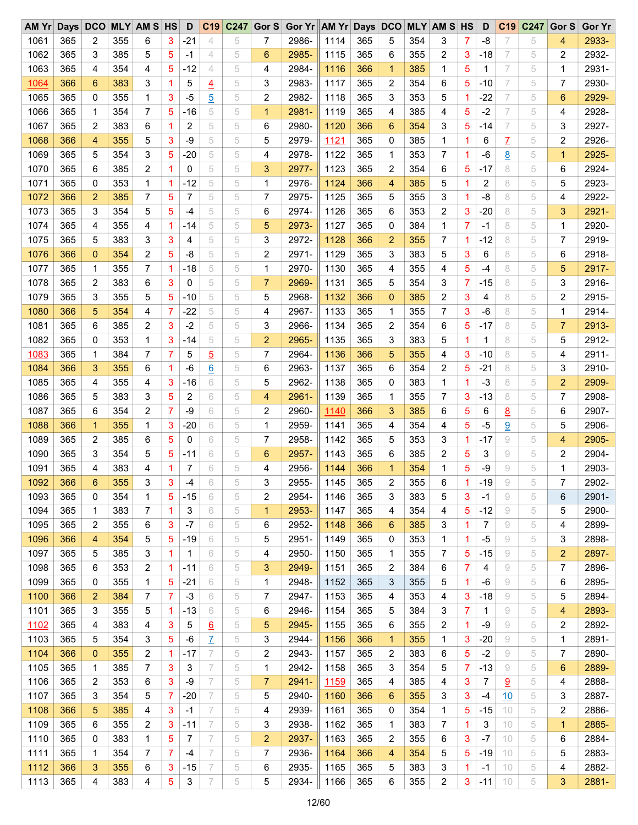| $AM$ $Yr$ |     | Days DCO       |     | <b>MLY AM S HS</b> |                | D     | C19             | C247 | Gor $S$        | Gor Yr AM Yr Days DCO |             |     |                |     | <b>MLY AM S HS</b> |    | D     | C <sub>19</sub> | C247 | Gor S | <b>Gor Yr</b> |
|-----------|-----|----------------|-----|--------------------|----------------|-------|-----------------|------|----------------|-----------------------|-------------|-----|----------------|-----|--------------------|----|-------|-----------------|------|-------|---------------|
| 1061      | 365 | 2              | 355 | 6                  | 3              | $-21$ | 4               | 5    | 7              | 2986-                 | 1114        | 365 | 5              | 354 | 3                  | 7  | -8    | 7               | 5    | 4     | 2933-         |
| 1062      | 365 | 3              | 385 | 5                  | 5              | -1    | 4               | 5    | 6              | 2985-                 | 1115        | 365 | 6              | 355 | 2                  | 3  | $-18$ | 7               | 5    | 2     | 2932-         |
| 1063      | 365 | 4              | 354 | 4                  | 5              | $-12$ | $\overline{4}$  | 5    | 4              | 2984-                 | 1116        | 366 | $\mathbf{1}$   | 385 | 1                  | 5  | 1     | 7               | 5    | 1     | 2931-         |
| 1064      | 366 | 6              | 383 | 3                  | 1              | 5     | $\overline{4}$  | 5    | 3              | 2983-                 | 1117        | 365 | 2              | 354 | 6                  | 5  | $-10$ | 7               | 5    | 7     | 2930-         |
| 1065      | 365 | 0              | 355 | 1                  | 3              | $-5$  | $\overline{5}$  | 5    | 2              | 2982-                 | 1118        | 365 | 3              | 353 | 5                  | 1  | $-22$ | 7               | 5    | 6     | 2929-         |
| 1066      | 365 | $\mathbf 1$    | 354 | 7                  | 5              | $-16$ | 5               | 5    | $\mathbf{1}$   | 2981-                 | 1119        | 365 | 4              | 385 | 4                  | 5  | $-2$  | 7               | 5    | 4     | 2928-         |
| 1067      | 365 | 2              | 383 | 6                  | 1              | 2     | 5               | 5    | 6              | 2980-                 | 1120        | 366 | 6              | 354 | 3                  | 5  | $-14$ | 7               | 5    | 3     | 2927-         |
| 1068      | 366 | $\overline{4}$ | 355 | 5                  | 3              | $-9$  | 5               | 5    | 5              | 2979-                 | 1121        | 365 | 0              | 385 | 1                  | 1. | 6     | Z               | 5    | 2     | 2926-         |
| 1069      | 365 | 5              | 354 | 3                  | 5              | $-20$ | 5               | 5    | 4              | 2978-                 | 1122        | 365 | 1              | 353 | 7                  | 1  | -6    | 8               | 5    | 1     | 2925-         |
| 1070      | 365 | 6              | 385 | 2                  | 1              | 0     | 5               | 5    | 3              | 2977-                 | 1123        | 365 | $\overline{c}$ | 354 | 6                  | 5  | $-17$ | 8               | 5    | 6     | 2924-         |
| 1071      | 365 | 0              | 353 | 1                  | 1              | $-12$ | 5               | 5    | 1              | 2976-                 | 1124        | 366 | 4              | 385 | 5                  | 1  | 2     | 8               | 5    | 5     | 2923-         |
| 1072      | 366 | $\overline{2}$ | 385 | 7                  | 5              | 7     | 5               | 5    | 7              | 2975-                 | 1125        | 365 | 5              | 355 | 3                  | 1  | $-8$  | 8               | 5    | 4     | 2922-         |
| 1073      | 365 | 3              | 354 | 5                  | 5              | $-4$  | 5               | 5    | 6              | 2974-                 | 1126        | 365 | 6              | 353 | 2                  | 3  | $-20$ | 8               | 5    | 3     | 2921-         |
| 1074      | 365 | 4              | 355 | 4                  | $\mathbf{1}$   | -14   | 5               | 5    | 5              | 2973-                 | 1127        | 365 | 0              | 384 | 1                  | 7  | $-1$  | 8               | 5    | 1     | 2920-         |
| 1075      | 365 | 5              | 383 | 3                  | 3              | 4     | 5               | 5    | 3              | 2972-                 | 1128        | 366 | $\overline{2}$ | 355 | 7                  | 1  | $-12$ | 8               | 5    | 7     | 2919-         |
| 1076      | 366 | $\mathbf{0}$   | 354 | 2                  | 5              | -8    | 5               | 5    | 2              | 2971-                 | 1129        | 365 | 3              | 383 | 5                  | 3  | 6     | 8               | 5    | 6     | 2918-         |
| 1077      |     | $\mathbf 1$    |     | 7                  | $\overline{1}$ |       | 5               | 5    |                |                       | 1130        | 365 | 4              |     | 4                  |    | $-4$  | 8               | 5    |       | 2917-         |
|           | 365 |                | 355 |                    |                | $-18$ |                 |      | 1              | 2970-                 |             |     |                | 355 |                    | 5  |       |                 |      | 5     |               |
| 1078      | 365 | 2              | 383 | 6                  | 3              | 0     | 5               | 5    | $\overline{7}$ | 2969-                 | 1131        | 365 | 5              | 354 | 3                  | 7  | $-15$ | 8               | 5    | 3     | 2916-         |
| 1079      | 365 | 3              | 355 | 5                  | 5              | $-10$ | 5               | 5    | 5              | 2968-                 | 1132        | 366 | $\overline{0}$ | 385 | 2                  | 3  | 4     | 8               | 5    | 2     | 2915-         |
| 1080      | 366 | 5              | 354 | 4                  | 7              | $-22$ | 5               | 5    | 4              | 2967-                 | 1133        | 365 | 1              | 355 | 7                  | 3  | -6    | 8               | 5    | 1     | 2914-         |
| 1081      | 365 | 6              | 385 | 2                  | 3              | $-2$  | 5               | 5    | 3              | 2966-                 | 1134        | 365 | 2              | 354 | 6                  | 5  | $-17$ | 8               | 5    | 7     | 2913-         |
| 1082      | 365 | 0              | 353 | 1                  | 3              | $-14$ | 5               | 5    | $\overline{2}$ | 2965-                 | 1135        | 365 | 3              | 383 | 5                  | 1  | 1     | 8               | 5    | 5     | 2912-         |
| 1083      | 365 | 1              | 384 | 7                  | 7              | 5     | $\overline{5}$  | 5    | 7              | 2964-                 | 1136        | 366 | 5              | 355 | 4                  | 3  | $-10$ | 8               | 5    | 4     | 2911-         |
| 1084      | 366 | 3              | 355 | 6                  | 1              | $-6$  | $\underline{6}$ | 5    | 6              | 2963-                 | 1137        | 365 | 6              | 354 | 2                  | 5  | $-21$ | 8               | 5    | 3     | 2910-         |
| 1085      | 365 | 4              | 355 | 4                  | 3              | $-16$ | 6               | 5    | 5              | 2962-                 | 1138        | 365 | $\Omega$       | 383 | 1                  | 1  | $-3$  | 8               | 5    | 2     | 2909-         |
| 1086      | 365 | 5              | 383 | 3                  | 5              | 2     | 6               | 5    | 4              | 2961-                 | 1139        | 365 | 1              | 355 | 7                  | 3  | $-13$ | 8               | 5    | 7     | 2908-         |
| 1087      | 365 | 6              | 354 | 2                  | 7              | $-9$  | 6               | 5    | 2              | 2960-                 | <u>1140</u> | 366 | 3              | 385 | 6                  | 5  | 6     | 8               | 5    | 6     | 2907-         |
| 1088      | 366 | $\mathbf{1}$   | 355 | 1                  | 3              | $-20$ | 6               | 5    | 1              | 2959-                 | 1141        | 365 | 4              | 354 | 4                  | 5  | $-5$  | 9               | 5    | 5     | 2906-         |
| 1089      | 365 | 2              | 385 | 6                  | 5              | 0     | 6               | 5    | $\overline{7}$ | 2958-                 | 1142        | 365 | 5              | 353 | 3                  | 1  | $-17$ | 9               | 5    | 4     | 2905-         |
| 1090      | 365 | 3              | 354 | 5                  | 5              | $-11$ | 6               | 5    | 6              | 2957-                 | 1143        | 365 | 6              | 385 | 2                  | 5  | 3     | 9               | 5    | 2     | 2904-         |
| 1091      | 365 | 4              | 383 | 4                  | 1              | 7     | 6               | 5    | 4              | 2956-                 | 1144        | 366 | $\mathbf{1}$   | 354 | 1                  | 5  | -9    | 9               | 5    | 1     | 2903-         |
| 1092      | 366 | 6              | 355 | 3                  | 3              | $-4$  | 6               | 5    | 3              | 2955-                 | 1145        | 365 | $\overline{2}$ | 355 | 6                  |    | $-19$ | 9               | 5    | 7     | 2902-         |
| 1093      | 365 | 0              | 354 | 1                  | 5              | $-15$ | 6               | 5    | 2              | 2954-                 | 1146        | 365 | 3              | 383 | 5                  | 3  | -1    | 9               | 5    | 6     | 2901-         |
| 1094      | 365 | 1              | 383 | 7                  | 1              | 3     | 6               | 5    | 1              | 2953-                 | 1147        | 365 | 4              | 354 | 4                  | 5  | $-12$ | 9               | 5    | 5     | 2900-         |
| 1095      | 365 | 2              | 355 | 6                  | 3              | $-7$  | 6               | 5    | 6              | 2952-                 | 1148        | 366 | 6              | 385 | 3                  | 1  | 7     | 9               | 5    | 4     | 2899-         |
| 1096      | 366 | 4              | 354 | 5                  | 5              | $-19$ | 6               | 5    | 5              | 2951-                 | 1149        | 365 | 0              | 353 | 1                  | 1  | -5    | 9               | 5    | 3     | 2898-         |
| 1097      | 365 | 5              | 385 | 3                  | 1              | 1     | 6               | 5    | 4              | 2950-                 | 1150        | 365 | 1              | 355 | 7                  | 5  | -15   | 9               | 5    | 2     | 2897-         |
| 1098      | 365 | 6              | 353 | 2                  | $\mathbf 1$    | $-11$ | 6               | 5    | 3              | 2949-                 | 1151        | 365 | 2              | 384 | 6                  | 7  | 4     | 9               | 5    | 7     | 2896-         |
| 1099      | 365 | 0              | 355 | 1                  | 5              | $-21$ | 6               | 5    | 1              | 2948-                 | 1152        | 365 | 3              | 355 | 5                  | 1  | $-6$  | 9               | 5    | 6     | 2895-         |
| 1100      | 366 | $\overline{2}$ | 384 | 7                  | 7              | $-3$  | 6               | 5    | 7              | 2947-                 | 1153        | 365 | 4              | 353 | 4                  | 3  | $-18$ | 9               | 5    | 5     | 2894-         |
| 1101      | 365 | 3              | 355 | 5                  | 1              | $-13$ | 6               | 5    | 6              | 2946-                 | 1154        | 365 | 5              | 384 | 3                  | 7  | 1     | 9               | 5    | 4     | 2893-         |
| 1102      | 365 | 4              | 383 | 4                  | 3              | 5     | $\underline{6}$ | 5    | 5              | 2945-                 | 1155        | 365 | 6              | 355 | 2                  | 1  | -9    | 9               | 5    | 2     | 2892-         |
| 1103      | 365 | 5              | 354 | 3                  | 5              | $-6$  | Z               | 5    | 3              | 2944-                 | 1156        | 366 | 1              | 355 | 1                  | 3  | $-20$ | 9               | 5    | 1     | 2891-         |
| 1104      | 366 | 0              | 355 | 2                  | 1              | -17   | 7               | 5    | 2              | 2943-                 | 1157        | 365 | 2              | 383 | 6                  | 5  | $-2$  | 9               | 5    | 7     | 2890-         |
|           |     |                |     |                    |                |       |                 |      |                |                       |             |     |                |     |                    |    |       |                 |      |       |               |
| 1105      | 365 | 1              | 385 | 7                  | 3              | 3     | 7               | 5    | 1              | 2942-                 | 1158        | 365 | 3              | 354 | 5                  | 7  | $-13$ | 9               | 5    | 6     | 2889-         |
| 1106      | 365 | 2              | 353 | 6                  | 3              | -9    | 7               | 5    | $\overline{7}$ | 2941-                 | <u>1159</u> | 365 | 4              | 385 | 4                  | 3  | 7     | 9               | 5    | 4     | 2888-         |
| 1107      | 365 | 3              | 354 | 5                  | 7              | $-20$ | 7               | 5    | 5              | 2940-                 | 1160        | 366 | 6              | 355 | 3                  | 3  | $-4$  | 10              | 5    | 3     | 2887-         |
| 1108      | 366 | 5              | 385 | 4                  | 3              | -1    | 7               | 5    | 4              | 2939-                 | 1161        | 365 | 0              | 354 | 1                  | 5  | -15   | 10              | 5    | 2     | 2886-         |
| 1109      | 365 | 6              | 355 | 2                  | 3              | $-11$ | 7               | 5    | 3              | 2938-                 | 1162        | 365 | 1              | 383 | 7                  | 1  | 3     | 10              | 5    | 1     | 2885-         |
| 1110      | 365 | 0              | 383 | 1                  | 5              | 7     | 7               | 5    | 2              | 2937-                 | 1163        | 365 | 2              | 355 | 6                  | 3  | $-7$  | 10              | 5    | 6     | 2884-         |
| 1111      | 365 | 1              | 354 | 7                  | 7              | $-4$  | 7               | 5    | 7              | 2936-                 | 1164        | 366 | 4              | 354 | 5                  | 5  | $-19$ | 10              | 5    | 5     | 2883-         |
| 1112      | 366 | 3              | 355 | 6                  | 3              | $-15$ | 7               | 5    | 6              | 2935-                 | 1165        | 365 | 5              | 383 | 3                  | 1  | -1    | 10              | 5    | 4     | 2882-         |
| 1113      | 365 | 4              | 383 | 4                  | 5              | 3     | 7               | 5    | 5              | 2934-                 | 1166        | 365 | 6              | 355 | 2                  | 3  | $-11$ | 10              | 5    | 3     | 2881-         |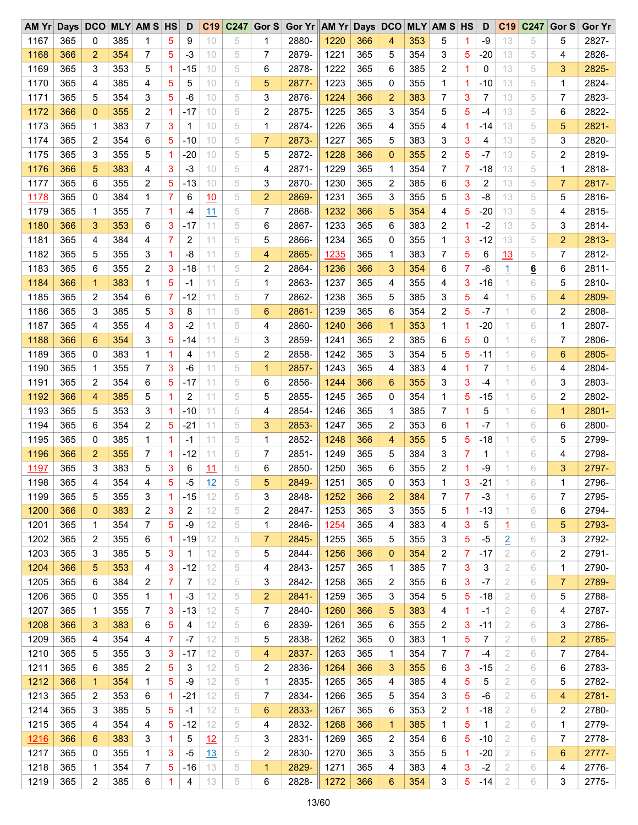| $AM$ $Yr$   | Days DCO |                |     | <b>MLY AM S HS</b> |             | D     |           | C19 C247 | Gor S          | Gor Yr AM Yr Days DCO |      |     |                |     | <b>MLY AM S HS</b> |    | D            | C <sub>19</sub> | C247            | Gor S | <b>Gor Yr</b> |
|-------------|----------|----------------|-----|--------------------|-------------|-------|-----------|----------|----------------|-----------------------|------|-----|----------------|-----|--------------------|----|--------------|-----------------|-----------------|-------|---------------|
| 1167        | 365      | 0              | 385 | 1                  | 5           | 9     | 10        | 5        | 1              | 2880-                 | 1220 | 366 | 4              | 353 | 5                  | 1  | $-9$         | 13              | 5               | 5     | 2827-         |
| 1168        | 366      | 2              | 354 | 7                  | 5           | $-3$  | 10        | 5        | 7              | 2879-                 | 1221 | 365 | 5              | 354 | 3                  | 5  | $-20$        | 13              | 5               | 4     | 2826-         |
| 1169        | 365      | 3              | 353 | 5                  | $\mathbf 1$ | -15   | 10        | 5        | 6              | 2878-                 | 1222 | 365 | 6              | 385 | 2                  | 1  | 0            | 13              | 5               | 3     | 2825-         |
| 1170        | 365      | 4              | 385 | 4                  | 5           | 5     | 10        | 5        | 5              | 2877-                 | 1223 | 365 | 0              | 355 | 1                  | 1  | $-10$        | 13              | 5               | 1     | 2824-         |
| 1171        | 365      | 5              | 354 | 3                  | 5           | $-6$  | 10        | 5        | 3              | 2876-                 | 1224 | 366 | $\overline{2}$ | 383 | 7                  | 3  | 7            | 13              | 5               | 7     | 2823-         |
| 1172        | 366      | $\mathbf{0}$   | 355 | 2                  | 1           | $-17$ | 10        | 5        | 2              | 2875-                 | 1225 | 365 | 3              | 354 | 5                  | 5  | $-4$         | 13              | 5               | 6     | 2822-         |
| 1173        | 365      | 1              | 383 | 7                  | 3           | 1     | 10        | 5        | 1              | 2874-                 | 1226 | 365 | 4              | 355 | 4                  | 1  | $-14$        | 13              | 5               | 5     | 2821-         |
| 1174        | 365      | $\overline{c}$ | 354 | 6                  | 5           | $-10$ | 10        | 5        | $\overline{7}$ | 2873-                 | 1227 | 365 | 5              | 383 | 3                  | 3  | 4            | 13              | 5               | 3     | 2820-         |
| 1175        | 365      | 3              | 355 | 5                  | 1           | $-20$ | 10        | 5        | 5              | 2872-                 | 1228 | 366 | $\mathbf{0}$   | 355 | 2                  | 5  | $-7$         | 13              | 5               | 2     | 2819-         |
| 1176        | 366      | 5              | 383 | 4                  | 3           | $-3$  | 10        | 5        | 4              | 2871-                 | 1229 | 365 | 1              | 354 | 7                  | 7  | $-18$        | 13              | 5               | 1     | 2818-         |
| 1177        | 365      | 6              | 355 | 2                  | 5           | $-13$ | 10        | 5        | 3              | 2870-                 | 1230 | 365 | 2              | 385 | 6                  | 3  | 2            | 13              | 5               | 7     | 2817-         |
|             | 365      | 0              | 384 | 1                  | 7           | 6     |           | 5        | $\overline{2}$ | 2869-                 | 1231 | 365 | 3              | 355 | 5                  | 3  | -8           | 13              | 5               | 5     | 2816-         |
| <u>1178</u> |          |                |     |                    |             |       | 10        |          |                |                       |      |     |                |     |                    |    |              |                 |                 |       |               |
| 1179        | 365      | 1              | 355 | 7                  | 1           | -4    | 11        | 5        | $\overline{7}$ | 2868-                 | 1232 | 366 | 5              | 354 | 4                  | 5  | $-20$        | 13              | 5               | 4     | 2815-         |
| 1180        | 366      | 3              | 353 | 6                  | 3           | $-17$ | 11        | 5        | 6              | 2867-                 | 1233 | 365 | 6              | 383 | 2                  | 1  | $-2$         | 13              | 5               | 3     | 2814-         |
| 1181        | 365      | 4              | 384 | 4                  | 7           | 2     | 11        | 5        | 5              | 2866-                 | 1234 | 365 | 0              | 355 | 1                  | 3  | $-12$        | 13              | 5               | 2     | 2813-         |
| 1182        | 365      | 5              | 355 | 3                  | 1           | -8    | 11        | 5        | 4              | 2865-                 | 1235 | 365 | 1              | 383 | 7                  | 5  | 6            | 13              | 5               | 7     | 2812-         |
| 1183        | 365      | 6              | 355 | 2                  | 3           | $-18$ | 11        | 5        | 2              | 2864-                 | 1236 | 366 | 3              | 354 | 6                  | 7  | -6           | $\overline{1}$  | $6\overline{6}$ | 6     | 2811-         |
| 1184        | 366      | $\mathbf 1$    | 383 | 1                  | 5           | -1    | 11        | 5        | 1              | 2863-                 | 1237 | 365 | 4              | 355 | 4                  | 3  | $-16$        | 1               | 6               | 5     | 2810-         |
| 1185        | 365      | 2              | 354 | 6                  | 7           | $-12$ | 11        | 5        | 7              | 2862-                 | 1238 | 365 | 5              | 385 | 3                  | 5  | 4            | 1               | 6               | 4     | 2809-         |
| 1186        | 365      | 3              | 385 | 5                  | 3           | 8     | 11        | 5        | 6              | 2861-                 | 1239 | 365 | 6              | 354 | 2                  | 5  | $-7$         | 1               | 6               | 2     | 2808-         |
| 1187        | 365      | 4              | 355 | 4                  | 3           | $-2$  | 11        | 5        | 4              | 2860-                 | 1240 | 366 | $\mathbf{1}$   | 353 | 1                  | 1  | $-20$        | 1               | 6               | 1     | 2807-         |
| 1188        | 366      | 6              | 354 | 3                  | 5           | $-14$ | 11        | 5        | 3              | 2859-                 | 1241 | 365 | 2              | 385 | 6                  | 5  | 0            | 1               | 6               | 7     | 2806-         |
| 1189        | 365      | 0              | 383 | 1                  | 1           | 4     | 11        | 5        | 2              | 2858-                 | 1242 | 365 | 3              | 354 | 5                  | 5  | $-11$        | 1               | 6               | 6     | 2805-         |
| 1190        | 365      | 1              | 355 | 7                  | 3           | $-6$  | 11        | 5        | $\mathbf{1}$   | 2857-                 | 1243 | 365 | 4              | 383 | 4                  | 1  | 7            | 1               | 6               | 4     | 2804-         |
| 1191        | 365      | 2              | 354 | 6                  | 5           | -17   | 11        | 5        | 6              | 2856-                 | 1244 | 366 | 6              | 355 | 3                  | 3  | $-4$         | 1               | 6               | 3     | 2803-         |
| 1192        | 366      | 4              | 385 | 5                  | 1           | 2     | 11        | 5        | 5              | 2855-                 | 1245 | 365 | 0              | 354 | 1                  | 5  | $-15$        | 1               | 6               | 2     | 2802-         |
| 1193        | 365      | 5              | 353 | 3                  | 1           | $-10$ | 11        | 5        | 4              | 2854-                 | 1246 | 365 | 1              | 385 | 7                  | 1  | 5            | 1               | 6               | 1     | 2801-         |
| 1194        | 365      | 6              | 354 | 2                  | 5           | $-21$ | 11        | 5        | 3              | 2853-                 | 1247 | 365 | $\overline{2}$ | 353 | 6                  | 1  | $-7$         | 1               | 6               | 6     | 2800-         |
| 1195        | 365      | 0              | 385 | 1                  | -1          | -1    | 11        | 5        | 1              | 2852-                 | 1248 | 366 | 4              | 355 | 5                  | 5  | $-18$        | 1               | 6               | 5     | 2799-         |
| 1196        | 366      | 2              | 355 | 7                  | 1           | $-12$ | 11        | 5        | 7              | 2851-                 | 1249 | 365 | 5              | 384 | 3                  | 7  | 1            | 1               | 6               | 4     | 2798-         |
| 1197        | 365      | 3              | 383 | 5                  | 3           | 6     |           | 5        | 6              | 2850-                 | 1250 | 365 | 6              | 355 | 2                  | 1  | -9           | 1               | 6               | 3     | 2797-         |
|             |          | $\overline{4}$ |     |                    | 5           |       | <u>11</u> |          | 5              |                       |      |     |                |     |                    |    | $-21$        |                 |                 |       |               |
| 1198        | 365      |                | 354 | 4                  |             | $-5$  | 12        | 5        |                | 2849-                 | 1251 | 365 | $\mathbf 0$    | 353 | 1                  | 3  |              |                 | 6               | 1     | 2796-         |
| 1199        | 365      | 5              | 355 | 3                  | 1           | $-15$ | 12        | 5        | 3              | 2848-                 | 1252 | 366 | $\overline{c}$ | 384 | 7                  | 7  | $-3$         | 1               | 6               | 7     | 2795-         |
| 1200        | 366      | 0              | 383 | 2                  | 3           | 2     | 12        | 5        | 2              | 2847-                 | 1253 | 365 | 3              | 355 | 5                  | 1. | $-13$        | 1               | 6               | 6     | 2794-         |
| 1201        | 365      | 1              | 354 | 7                  | 5           | -9    | 12        | 5        | 1              | 2846-                 | 1254 | 365 | 4              | 383 | 4                  | 3  | 5            | 1               | 6               | 5     | 2793-         |
| 1202        | 365      | 2              | 355 | 6                  | -1          | $-19$ | 12        | 5        | 7              | 2845-                 | 1255 | 365 | 5              | 355 | 3                  | 5  | $-5$         | $\overline{2}$  | 6               | 3     | 2792-         |
| 1203        | 365      | 3              | 385 | 5                  | 3           | 1     | 12        | 5        | 5              | 2844-                 | 1256 | 366 | $\mathbf{0}$   | 354 | 2                  | 7  | -17          | 2               | 6               | 2     | 2791-         |
| 1204        | 366      | 5              | 353 | 4                  | 3           | $-12$ | 12        | 5        | 4              | 2843-                 | 1257 | 365 | 1              | 385 | 7                  | 3  | 3            | 2               | 6               | 1     | 2790-         |
| 1205        | 365      | 6              | 384 | 2                  | 7           | 7     | 12        | 5        | 3              | 2842-                 | 1258 | 365 | 2              | 355 | 6                  | 3  | $-7$         | 2               | 6               | 7     | 2789-         |
| 1206        | 365      | 0              | 355 | 1                  | -1          | $-3$  | 12        | 5        | 2              | 2841-                 | 1259 | 365 | 3              | 354 | 5                  | 5  | $-18$        | 2               | 6               | 5     | 2788-         |
| 1207        | 365      | 1              | 355 | 7                  | 3           | $-13$ | 12        | 5        | 7              | 2840-                 | 1260 | 366 | 5              | 383 | 4                  | 1  | -1           | 2               | 6               | 4     | 2787-         |
| 1208        | 366      | 3              | 383 | 6                  | 5           | 4     | 12        | 5        | 6              | 2839-                 | 1261 | 365 | 6              | 355 | 2                  | 3  | $-11$        | 2               | 6               | 3     | 2786-         |
| 1209        | 365      | 4              | 354 | 4                  | 7           | $-7$  | 12        | 5        | 5              | 2838-                 | 1262 | 365 | 0              | 383 | 1                  | 5  | 7            | 2               | 6               | 2     | 2785-         |
| 1210        | 365      | 5              | 355 | 3                  | 3           | -17   | 12        | 5        | 4              | 2837-                 | 1263 | 365 | 1              | 354 | 7                  | 7  | -4           | 2               | 6               | 7     | 2784-         |
| 1211        | 365      | 6              | 385 | 2                  | 5           | 3     | 12        | 5        | 2              | 2836-                 | 1264 | 366 | 3              | 355 | 6                  | 3  | $-15$        | 2               | 6               | 6     | 2783-         |
| 1212        | 366      | $\mathbf{1}$   | 354 | 1                  | 5           | -9    | 12        | 5        | 1              | 2835-                 | 1265 | 365 | 4              | 385 | 4                  | 5  | 5            | 2               | 6               | 5     | 2782-         |
| 1213        | 365      | 2              | 353 | 6                  | 1           | $-21$ | 12        | 5        | 7              | 2834-                 | 1266 | 365 | 5              | 354 | 3                  | 5  | -6           | 2               | 6               | 4     | 2781-         |
| 1214        | 365      | 3              | 385 | 5                  | 5           | $-1$  | 12        | 5        | 6              | 2833-                 | 1267 | 365 | 6              | 353 | 2                  | 1  | -18          | 2               | 6               | 2     | 2780-         |
| 1215        | 365      | 4              | 354 | 4                  | 5           | $-12$ | 12        | 5        | 4              | 2832-                 | 1268 | 366 | $\mathbf{1}$   | 385 | 1                  | 5  | $\mathbf{1}$ | 2               | 6               | 1     | 2779-         |
| <u>1216</u> | 366      | 6              | 383 | 3                  | 1           | 5     | 12        | 5        | 3              | 2831-                 | 1269 | 365 | 2              | 354 | 6                  | 5  | $-10$        | 2               | 6               | 7     | 2778-         |
|             |          |                |     |                    |             |       |           |          |                |                       |      |     |                |     |                    |    |              |                 |                 |       |               |
| 1217        | 365      | 0              | 355 | 1                  | 3           | $-5$  | <u>13</u> | 5        | 2              | 2830-                 | 1270 | 365 | 3              | 355 | 5                  | 1  | $-20$        | 2               | 6               | 6     | 2777-         |
| 1218        | 365      | 1              | 354 | 7                  | 5           | $-16$ | 13        | 5        | 1              | 2829-                 | 1271 | 365 | 4              | 383 | 4                  | 3  | $-2$         | 2               | 6               | 4     | 2776-         |
| 1219        | 365      | 2              | 385 | 6                  | 1           | 4     | 13        | 5        | 6              | 2828-                 | 1272 | 366 | 6              | 354 | 3                  | 5  | $-14$        | 2               | 6               | 3     | 2775-         |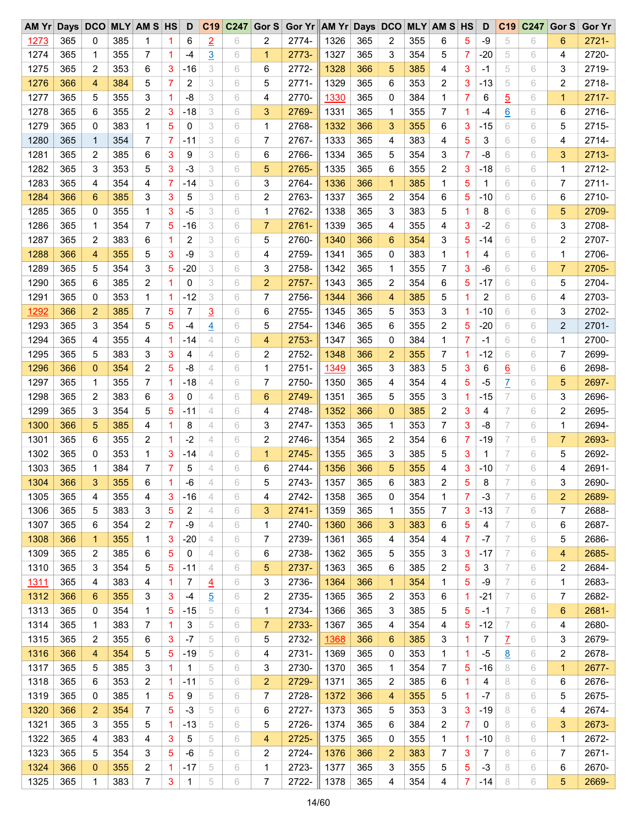| $AM$ $Yr$   |     | Days DCO     |     | <b>MLY AM S HS</b> |             | D     |                | C19 C247 | Gor S          | Gor Yr AM Yr Days DCO |      |     |                |     | <b>MLY AM S HS</b> |    | D            | C <sub>19</sub> | C247 | Gor S | <b>Gor Yr</b> |
|-------------|-----|--------------|-----|--------------------|-------------|-------|----------------|----------|----------------|-----------------------|------|-----|----------------|-----|--------------------|----|--------------|-----------------|------|-------|---------------|
| 1273        | 365 | 0            | 385 | 1                  | 1           | 6     | $\overline{2}$ | 6        | 2              | 2774-                 | 1326 | 365 | 2              | 355 | 6                  | 5  | -9           | 5               | 6    | 6     | $2721 -$      |
| 1274        | 365 | 1            | 355 | 7                  | 1           | -4    | $\overline{3}$ | 6        | 1              | 2773-                 | 1327 | 365 | 3              | 354 | 5                  | 7  | $-20$        | 5               | 6    | 4     | 2720-         |
| 1275        | 365 | 2            | 353 | 6                  | 3           | -16   | 3              | 6        | 6              | 2772-                 | 1328 | 366 | 5              | 385 | 4                  | 3  | $-1$         | 5               | 6    | 3     | 2719-         |
| 1276        | 366 | 4            | 384 | 5                  | 7           | 2     | 3              | 6        | 5              | 2771-                 | 1329 | 365 | 6              | 353 | 2                  | 3  | $-13$        | 5               | 6    | 2     | 2718-         |
| 1277        | 365 | 5            | 355 | 3                  | 1           | -8    | 3              | 6        | 4              | 2770-                 | 1330 | 365 | 0              | 384 | 1                  | 7  | 6            | $\overline{5}$  | 6    | 1     | $2717 -$      |
| 1278        | 365 | 6            | 355 | 2                  | 3           | $-18$ | 3              | 6        | 3              | 2769-                 | 1331 | 365 | $\mathbf 1$    | 355 | 7                  | 1  | $-4$         | $6\overline{6}$ | 6    | 6     | 2716-         |
| 1279        | 365 | 0            | 383 | 1                  | 5           | 0     | 3              | 6        | 1              | 2768-                 | 1332 | 366 | 3              | 355 | 6                  | 3  | $-15$        | 6               | 6    | 5     | 2715-         |
| 1280        | 365 | $\mathbf{1}$ | 354 | 7                  | 7           | -11   | 3              | 6        | 7              | 2767-                 | 1333 | 365 | 4              | 383 | 4                  | 5  | 3            | 6               | 6    | 4     | 2714-         |
| 1281        | 365 | 2            | 385 | 6                  | 3           | 9     | 3              | 6        | 6              | 2766-                 | 1334 | 365 | 5              | 354 | 3                  | 7  | -8           | 6               | 6    | 3     | 2713-         |
| 1282        | 365 | 3            | 353 | 5                  | 3           | $-3$  | 3              | 6        | 5              | 2765-                 | 1335 | 365 | 6              | 355 | 2                  | 3  | $-18$        | 6               | 6    | 1     | 2712-         |
| 1283        | 365 | 4            | 354 | 4                  | 7           | -14   | 3              | 6        | 3              | 2764-                 | 1336 | 366 | 1              | 385 | 1                  | 5  | $\mathbf{1}$ | 6               | 6    | 7     | $2711 -$      |
| 1284        | 366 | 6            | 385 | 3                  | 3           | 5     | 3              | 6        | 2              | 2763-                 | 1337 | 365 | 2              | 354 | 6                  | 5  | $-10$        | 6               | 6    | 6     | 2710-         |
| 1285        | 365 | 0            | 355 | 1                  | 3           | $-5$  | 3              | 6        | 1              | 2762-                 | 1338 | 365 | 3              | 383 | 5                  | 1  | 8            | 6               | 6    | 5     | 2709-         |
| 1286        | 365 | 1            | 354 | 7                  | 5           | $-16$ | 3              | 6        | $\overline{7}$ | 2761-                 | 1339 | 365 | 4              | 355 | 4                  | 3  | $-2$         | 6               | 6    | 3     | 2708-         |
| 1287        | 365 | 2            | 383 | 6                  | 1           | 2     | 3              | 6        | 5              | 2760-                 | 1340 | 366 | 6              | 354 | 3                  | 5  | $-14$        | 6               | 6    | 2     | 2707-         |
|             |     |              |     |                    |             |       |                |          |                |                       |      |     |                |     |                    |    |              |                 |      |       |               |
| 1288        | 366 | 4            | 355 | 5                  | 3           | $-9$  | 3              | 6        | 4              | 2759-                 | 1341 | 365 | 0              | 383 | 1                  | 1  | 4            | 6               | 6    | 1     | 2706-         |
| 1289        | 365 | 5            | 354 | 3                  | 5           | $-20$ | 3              | 6        | 3              | 2758-                 | 1342 | 365 | 1              | 355 | 7                  | 3  | -6           | 6               | 6    | 7     | 2705-         |
| 1290        | 365 | 6            | 385 | 2                  | 1           | 0     | 3              | 6        | $\overline{c}$ | 2757-                 | 1343 | 365 | 2              | 354 | 6                  | 5  | $-17$        | 6               | 6    | 5     | 2704-         |
| 1291        | 365 | 0            | 353 | 1                  | 1           | $-12$ | 3              | 6        | 7              | 2756-                 | 1344 | 366 | 4              | 385 | 5                  | 1  | 2            | 6               | 6    | 4     | 2703-         |
| 1292        | 366 | 2            | 385 | 7                  | 5           | 7     | $\overline{3}$ | 6        | 6              | 2755-                 | 1345 | 365 | 5              | 353 | 3                  | 1. | $-10$        | 6               | 6    | 3     | 2702-         |
| 1293        | 365 | 3            | 354 | 5                  | 5           | $-4$  | $\overline{4}$ | 6        | 5              | 2754-                 | 1346 | 365 | 6              | 355 | 2                  | 5  | $-20$        | 6               | 6    | 2     | 2701-         |
| 1294        | 365 | 4            | 355 | 4                  | -1          | -14   | 4              | 6        | 4              | 2753-                 | 1347 | 365 | 0              | 384 | 1                  | 7  | $-1$         | 6               | 6    | 1     | 2700-         |
| 1295        | 365 | 5            | 383 | 3                  | 3           | 4     | 4              | 6        | 2              | 2752-                 | 1348 | 366 | $\overline{2}$ | 355 | 7                  | 1  | $-12$        | 6               | 6    | 7     | 2699-         |
| 1296        | 366 | $\mathbf{0}$ | 354 | 2                  | 5           | -8    | 4              | 6        | 1              | 2751-                 | 1349 | 365 | 3              | 383 | 5                  | 3  | 6            | <u>6</u>        | 6    | 6     | 2698-         |
| 1297        | 365 | 1            | 355 | 7                  | 1           | $-18$ | $\overline{4}$ | 6        | 7              | 2750-                 | 1350 | 365 | 4              | 354 | 4                  | 5  | $-5$         | $\overline{I}$  | 6    | 5     | 2697-         |
| 1298        | 365 | 2            | 383 | 6                  | 3           | 0     | 4              | 6        | 6              | 2749-                 | 1351 | 365 | 5              | 355 | 3                  | 1  | $-15$        | 7               | 6    | 3     | 2696-         |
| 1299        | 365 | 3            | 354 | 5                  | 5           | -11   | 4              | 6        | 4              | 2748-                 | 1352 | 366 | $\mathbf{0}$   | 385 | 2                  | 3  | 4            | 7               | 6    | 2     | 2695-         |
| 1300        | 366 | 5            | 385 | 4                  | 1           | 8     | 4              | 6        | 3              | 2747-                 | 1353 | 365 | 1              | 353 | 7                  | 3  | -8           | 7               | 6    | 1     | 2694-         |
| 1301        | 365 | 6            | 355 | 2                  | -1          | $-2$  | 4              | 6        | 2              | 2746-                 | 1354 | 365 | 2              | 354 | 6                  | 7  | $-19$        | 7               | 6    | 7     | 2693-         |
| 1302        | 365 | 0            | 353 | 1                  | 3           | $-14$ | 4              | 6        | 1              | 2745-                 | 1355 | 365 | 3              | 385 | 5                  | 3  | 1            | 7               | 6    | 5     | 2692-         |
| 1303        | 365 | $\mathbf 1$  | 384 | 7                  | 7           | 5     | 4              | 6        | 6              | 2744-                 | 1356 | 366 | 5              | 355 | 4                  | 3  | $-10$        | 7               | 6    | 4     | 2691-         |
| 1304        | 366 | 3            | 355 | 6                  | 1           | $-6$  | 4              | 6        | 5              | 2743-                 | 1357 | 365 | 6              | 383 | 2                  | 5  | 8            | 7               | 6    | 3     | 2690-         |
| 1305        | 365 | 4            | 355 | 4                  | 3           | $-16$ | 4              | 6        | 4              | 2742-                 | 1358 | 365 | 0              | 354 | 1                  | 7  | $-3$         | 7               | 6    | 2     | 2689-         |
| 1306        | 365 | 5            | 383 | 3                  | 5           | 2     | 4              | 6        | 3              | 2741-                 | 1359 | 365 | 1              | 355 | 7                  | 3  | $-13$        | 7               | 6    | 7     | 2688-         |
| 1307        | 365 | 6            | 354 | 2                  | 7           | -9    | 4              | 6        | 1              | 2740-                 | 1360 | 366 | 3              | 383 | 6                  | 5  | 4            | 7               | 6    | 6     | 2687-         |
| 1308        | 366 | $\mathbf{1}$ | 355 | 1                  | 3           | $-20$ | 4              | 6        | 7              | 2739-                 | 1361 | 365 | 4              | 354 | 4                  | 7  | $-7$         | 7               | 6    | 5     | 2686-         |
| 1309        | 365 | 2            | 385 | 6                  | 5           | 0     | 4              | 6        | 6              | 2738-                 | 1362 | 365 | 5              | 355 | 3                  | 3  | $-17$        | 7               | 6    | 4     | 2685-         |
| 1310        | 365 | 3            | 354 | 5                  | 5           | $-11$ | 4              | 6        | 5              | 2737-                 | 1363 | 365 | 6              | 385 | 2                  | 5  | 3            | 7               | 6    | 2     | 2684-         |
| <u>1311</u> | 365 | 4            | 383 | 4                  | $\mathbf 1$ | 7     | $\overline{4}$ | 6        | 3              | 2736-                 | 1364 | 366 | $\mathbf{1}$   | 354 | 1                  | 5  | -9           | 7               | 6    | 1     | 2683-         |
| 1312        | 366 | 6            | 355 | 3                  | 3           | $-4$  | $\overline{5}$ | 6        | 2              | 2735-                 | 1365 | 365 | 2              | 353 | 6                  | 1  | $-21$        | 7               | 6    | 7     | 2682-         |
| 1313        | 365 | 0            | 354 | 1                  | 5           | $-15$ | 5              | 6        | 1              | 2734-                 | 1366 | 365 | 3              | 385 | 5                  | 5  | -1           | 7               | 6    | 6     | 2681-         |
| 1314        | 365 | 1            | 383 | 7                  | $\mathbf 1$ | 3     | 5              | 6        | $\overline{7}$ | 2733-                 | 1367 | 365 | 4              | 354 | 4                  | 5  | $-12$        | 7               | 6    | 4     | 2680-         |
| 1315        | 365 | 2            | 355 | 6                  | 3           | $-7$  | 5              | 6        | 5              | 2732-                 | 1368 | 366 | 6              | 385 | 3                  | 1  | 7            |                 | 6    | 3     | 2679-         |
| 1316        | 366 | 4            | 354 | 5                  | 5           | $-19$ | 5              | 6        | 4              | 2731-                 | 1369 | 365 | 0              | 353 |                    |    | $-5$         | Z               | 6    |       |               |
|             |     |              |     |                    |             |       |                |          |                |                       |      |     |                |     | 1                  | 1. |              | $\underline{8}$ |      | 2     | 2678-         |
| 1317        | 365 | 5            | 385 | 3                  | 1           | 1     | 5              | 6        | 3              | 2730-                 | 1370 | 365 | 1              | 354 | 7                  | 5  | -16          | 8               | 6    | 1     | 2677-         |
| 1318        | 365 | 6            | 353 | 2                  | 1           | $-11$ | 5              | 6        | $\overline{2}$ | 2729-                 | 1371 | 365 | 2              | 385 | 6                  | 1  | 4            | 8               | 6    | 6     | 2676-         |
| 1319        | 365 | 0            | 385 | 1                  | 5           | 9     | 5              | 6        | 7              | 2728-                 | 1372 | 366 | 4              | 355 | 5                  | 1  | $-7$         | 8               | 6    | 5     | 2675-         |
| 1320        | 366 | 2            | 354 | 7                  | 5           | -3    | 5              | 6        | 6              | 2727-                 | 1373 | 365 | 5              | 353 | 3                  | 3  | $-19$        | 8               | 6    | 4     | 2674-         |
| 1321        | 365 | 3            | 355 | 5                  | 1           | $-13$ | 5              | 6        | 5              | 2726-                 | 1374 | 365 | 6              | 384 | 2                  | 7  | 0            | 8               | 6    | 3     | 2673-         |
| 1322        | 365 | 4            | 383 | 4                  | 3           | 5     | 5              | 6        | 4              | 2725-                 | 1375 | 365 | 0              | 355 | 1                  | 1  | $-10$        | 8               | 6    | 1     | 2672-         |
| 1323        | 365 | 5            | 354 | 3                  | 5           | -6    | 5              | 6        | 2              | 2724-                 | 1376 | 366 | 2              | 383 | 7                  | 3  | 7            | 8               | 6    | 7     | 2671-         |
| 1324        | 366 | $\mathbf 0$  | 355 | 2                  | 1           | -17   | 5              | 6        | 1              | 2723-                 | 1377 | 365 | 3              | 355 | 5                  | 5  | -3           | 8               | 6    | 6     | 2670-         |
| 1325        | 365 | 1            | 383 | 7                  | 3           | 1     | 5              | 6        | 7              | 2722-                 | 1378 | 365 | 4              | 354 | 4                  | 7  | $-14$        | 8               | 6    | 5     | 2669-         |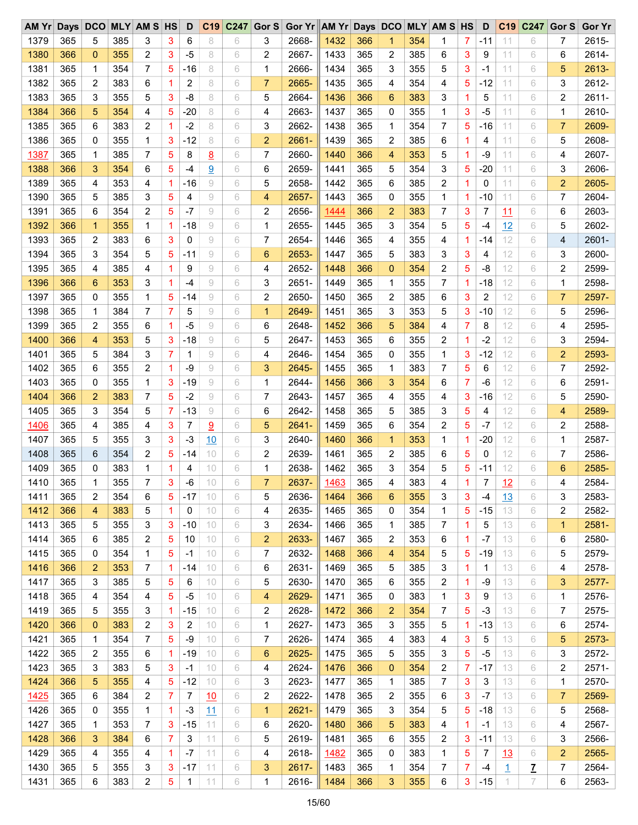| AM Yr |     | Days DCO       |     | <b>MLY AM S HS</b> |             | D     | C19            | C247 | Gor $S$        | Gor Yr AM Yr Days DCO |      |     |                |     | <b>MLY AM S HS</b> |                | D     | C <sub>19</sub> | C247           | Gor S | <b>Gor Yr</b> |
|-------|-----|----------------|-----|--------------------|-------------|-------|----------------|------|----------------|-----------------------|------|-----|----------------|-----|--------------------|----------------|-------|-----------------|----------------|-------|---------------|
| 1379  | 365 | 5              | 385 | 3                  | 3           | 6     | 8              | 6    | 3              | 2668-                 | 1432 | 366 | 1              | 354 | 1                  | 7              | -11   | 11              | 6              | 7     | 2615-         |
| 1380  | 366 | $\mathbf 0$    | 355 | 2                  | 3           | $-5$  | 8              | 6    | 2              | 2667-                 | 1433 | 365 | 2              | 385 | 6                  | 3              | 9     | 11              | 6              | 6     | 2614-         |
| 1381  | 365 | $\mathbf 1$    | 354 | 7                  | 5           | -16   | 8              | 6    | 1              | 2666-                 | 1434 | 365 | 3              | 355 | 5                  | 3              | -1    | 11              | 6              | 5     | 2613-         |
| 1382  | 365 | 2              | 383 | 6                  | 1           | 2     | 8              | 6    | $\overline{7}$ | 2665-                 | 1435 | 365 | 4              | 354 | 4                  | 5              | $-12$ | 11              | 6              | 3     | 2612-         |
| 1383  | 365 | 3              | 355 | 5                  | 3           | -8    | 8              | 6    | 5              | 2664-                 | 1436 | 366 | 6              | 383 | 3                  | 1              | 5     | 11              | 6              | 2     | 2611-         |
| 1384  | 366 | 5              | 354 | 4                  | 5           | $-20$ | 8              | 6    | 4              | 2663-                 | 1437 | 365 | 0              | 355 | 1                  | 3              | $-5$  | 11              | 6              | 1     | 2610-         |
| 1385  | 365 | 6              | 383 | 2                  | 1           | $-2$  | 8              | 6    | 3              | 2662-                 | 1438 | 365 | 1              | 354 | 7                  | 5              | $-16$ | 11              | 6              | 7     | 2609-         |
| 1386  | 365 | 0              | 355 | 1                  | 3           | $-12$ | 8              | 6    | $\overline{2}$ | 2661-                 | 1439 | 365 | 2              | 385 | 6                  | 1              | 4     | 11              | 6              | 5     | 2608-         |
| 1387  | 365 | 1              | 385 | 7                  | 5           | 8     | 8              | 6    | 7              | 2660-                 | 1440 | 366 | 4              | 353 | 5                  | 1              | -9    | 11              | 6              | 4     | 2607-         |
| 1388  | 366 | 3              | 354 | 6                  | 5           | $-4$  | $\overline{9}$ | 6    | 6              | 2659-                 | 1441 | 365 | 5              | 354 | 3                  | 5              | $-20$ | 11              | 6              | 3     | 2606-         |
| 1389  | 365 | 4              | 353 | 4                  | 1           | $-16$ | 9              | 6    | 5              | 2658-                 | 1442 | 365 | 6              | 385 | 2                  | 1              | 0     | 11              | 6              | 2     | 2605-         |
| 1390  | 365 | 5              | 385 | 3                  | 5           | 4     | 9              | 6    | 4              | 2657-                 | 1443 | 365 | 0              | 355 | 1                  | 1              | $-10$ | 11              | 6              | 7     | 2604-         |
| 1391  | 365 | 6              | 354 | 2                  | 5           | $-7$  | 9              | 6    | 2              | 2656-                 | 1444 | 366 | $\overline{2}$ | 383 | 7                  | 3              | 7     | 11              | 6              | 6     | 2603-         |
| 1392  | 366 | $\mathbf{1}$   | 355 | 1                  | $\mathbf 1$ | $-18$ | 9              | 6    | 1              | 2655-                 | 1445 | 365 | 3              | 354 | 5                  | 5              | $-4$  | 12              | 6              | 5     | 2602-         |
| 1393  | 365 | 2              | 383 | 6                  | 3           | 0     | 9              | 6    | 7              | 2654-                 | 1446 | 365 | 4              | 355 | 4                  | 1              | $-14$ | 12              | 6              | 4     | 2601-         |
| 1394  | 365 | 3              | 354 | 5                  | 5           | $-11$ | 9              | 6    | 6              | 2653-                 | 1447 | 365 | 5              | 383 | 3                  | 3              | 4     | 12              | 6              | 3     | 2600-         |
| 1395  | 365 | 4              | 385 | 4                  | 1           | 9     | 9              | 6    | 4              | 2652-                 | 1448 | 366 | $\mathbf{0}$   | 354 | 2                  | 5              | -8    | 12              | 6              | 2     | 2599-         |
|       |     |                |     |                    |             |       |                |      |                |                       |      |     |                |     |                    |                |       |                 |                |       |               |
| 1396  | 366 | 6              | 353 | 3                  | 1           | $-4$  | 9              | 6    | 3              | 2651-                 | 1449 | 365 | 1              | 355 | 7                  | 1              | $-18$ | 12              | 6              | 1     | 2598-         |
| 1397  | 365 | 0              | 355 | 1                  | 5           | -14   | 9              | 6    | 2              | 2650-                 | 1450 | 365 | $\overline{c}$ | 385 | 6                  | 3              | 2     | 12              | 6              | 7     | 2597-         |
| 1398  | 365 | 1              | 384 | 7                  | 7           | 5     | 9              | 6    | 1              | 2649-                 | 1451 | 365 | 3              | 353 | 5                  | 3              | $-10$ | 12              | 6              | 5     | 2596-         |
| 1399  | 365 | 2              | 355 | 6                  | $\mathbf 1$ | $-5$  | 9              | 6    | 6              | 2648-                 | 1452 | 366 | 5              | 384 | 4                  | 7              | 8     | 12              | 6              | 4     | 2595-         |
| 1400  | 366 | 4              | 353 | 5                  | 3           | $-18$ | 9              | 6    | 5              | 2647-                 | 1453 | 365 | 6              | 355 | 2                  | 1              | $-2$  | 12              | 6              | 3     | 2594-         |
| 1401  | 365 | 5              | 384 | 3                  | 7           | 1     | 9              | 6    | 4              | 2646-                 | 1454 | 365 | 0              | 355 | 1                  | 3              | $-12$ | 12              | 6              | 2     | 2593-         |
| 1402  | 365 | 6              | 355 | 2                  | 1           | -9    | 9              | 6    | 3              | 2645-                 | 1455 | 365 | 1              | 383 | 7                  | 5              | 6     | 12              | 6              | 7     | 2592-         |
| 1403  | 365 | 0              | 355 | 1                  | 3           | $-19$ | 9              | 6    | 1              | 2644-                 | 1456 | 366 | 3              | 354 | 6                  | $\overline{7}$ | $-6$  | 12              | 6              | 6     | 2591-         |
| 1404  | 366 | $\overline{2}$ | 383 | 7                  | 5           | $-2$  | 9              | 6    | 7              | 2643-                 | 1457 | 365 | 4              | 355 | 4                  | 3              | $-16$ | 12              | 6              | 5     | 2590-         |
| 1405  | 365 | 3              | 354 | 5                  | 7           | $-13$ | 9              | 6    | 6              | 2642-                 | 1458 | 365 | 5              | 385 | 3                  | 5              | 4     | 12              | 6              | 4     | 2589-         |
| 1406  | 365 | 4              | 385 | 4                  | 3           | 7     | 9              | 6    | 5              | 2641-                 | 1459 | 365 | 6              | 354 | $\overline{c}$     | 5              | $-7$  | 12              | 6              | 2     | 2588-         |
| 1407  | 365 | 5              | 355 | 3                  | 3           | $-3$  | 10             | 6    | 3              | 2640-                 | 1460 | 366 | 1              | 353 | 1                  | 1              | $-20$ | 12              | 6              | 1     | 2587-         |
| 1408  | 365 | 6              | 354 | 2                  | 5           | -14   | 10             | 6    | 2              | 2639-                 | 1461 | 365 | 2              | 385 | 6                  | 5              | 0     | 12              | 6              | 7     | 2586-         |
| 1409  | 365 | 0              | 383 | 1                  | 1           | 4     | 10             | 6    | 1              | 2638-                 | 1462 | 365 | 3              | 354 | 5                  | 5              | $-11$ | 12              | 6              | 6     | 2585-         |
| 1410  | 365 | 1              | 355 | 7                  | 3           | $-6$  | 10             | 6    | $\overline{7}$ | 2637-                 | 1463 | 365 | 4              | 383 | 4                  |                | 7     | 12              | 6              | 4     | 2584-         |
| 1411  | 365 | 2              | 354 | 6                  | 5           | $-17$ | 10             | 6    | 5              | 2636-                 | 1464 | 366 | 6              | 355 | 3                  | 3              | $-4$  | 13              | 6              | 3     | 2583-         |
| 1412  | 366 | 4              | 383 | 5                  | 1           | 0     | 10             | 6    | 4              | 2635-                 | 1465 | 365 | 0              | 354 | 1                  | 5              | $-15$ | 13              | 6              | 2     | 2582-         |
| 1413  | 365 | 5              | 355 | 3                  | 3           | $-10$ | 10             | 6    | 3              | 2634-                 | 1466 | 365 | 1              | 385 | 7                  | 1              | 5     | 13              | 6              | 1     | 2581-         |
| 1414  | 365 | 6              | 385 | 2                  | 5           | 10    | 10             | 6    | 2              | 2633-                 | 1467 | 365 | 2              | 353 | 6                  | 1              | $-7$  | 13              | 6              | 6     | 2580-         |
| 1415  | 365 | 0              | 354 | 1                  | 5           | $-1$  | 10             | 6    | 7              | 2632-                 | 1468 | 366 | 4              | 354 | 5                  | 5              | $-19$ | 13              | 6              | 5     | 2579-         |
| 1416  | 366 | 2              | 353 | 7                  | $\mathbf 1$ | -14   | 10             | 6    | 6              | 2631-                 | 1469 | 365 | 5              | 385 | 3                  | 1              | 1     | 13              | 6              | 4     | 2578-         |
| 1417  | 365 | 3              | 385 | 5                  | 5           | 6     | 10             | 6    | 5              | 2630-                 | 1470 | 365 | 6              | 355 | 2                  | 1              | -9    | 13              | 6              | 3     | 2577-         |
| 1418  | 365 | 4              | 354 | 4                  | 5           | $-5$  | 10             | 6    | 4              | 2629-                 | 1471 | 365 | 0              | 383 | 1                  | 3              | 9     | 13              | 6              | 1     | 2576-         |
| 1419  | 365 | 5              | 355 | 3                  | 1           | $-15$ | 10             | 6    | 2              | 2628-                 | 1472 | 366 | $\overline{c}$ | 354 | 7                  | 5              | -3    | 13              | 6              | 7     | 2575-         |
| 1420  | 366 | $\mathbf{0}$   | 383 | 2                  | 3           | 2     | 10             | 6    | 1              | 2627-                 | 1473 | 365 | 3              | 355 | 5                  | 1              | $-13$ | 13              | 6              | 6     | 2574-         |
| 1421  | 365 | 1              | 354 | 7                  | 5           | -9    | 10             | 6    | 7              | 2626-                 | 1474 | 365 | 4              | 383 | 4                  | 3              | 5     | 13              | 6              | 5     | 2573-         |
| 1422  | 365 | 2              | 355 | 6                  | 1           | $-19$ | 10             | 6    | 6              | 2625-                 | 1475 | 365 | 5              | 355 | 3                  | 5              | $-5$  | 13              | 6              | 3     | 2572-         |
| 1423  | 365 | 3              | 383 | 5                  | 3           | $-1$  | 10             | 6    | 4              | 2624-                 | 1476 | 366 | $\mathbf 0$    | 354 | 2                  | 7              | $-17$ | 13              | 6              | 2     | 2571-         |
| 1424  | 366 | 5              | 355 | 4                  | 5           | $-12$ | 10             | 6    | 3              | 2623-                 | 1477 | 365 | 1              | 385 | 7                  | 3              | 3     | 13              | 6              | 1     | 2570-         |
| 1425  | 365 | 6              | 384 | 2                  | 7           | 7     | 10             | 6    | 2              | 2622-                 | 1478 | 365 | 2              | 355 | 6                  | 3              | $-7$  | 13              | 6              | 7     | 2569-         |
| 1426  | 365 | 0              |     | 1                  | 1           | -3    |                | 6    | 1              | 2621-                 |      |     | 3              |     | 5                  | 5              |       | 13              | 6              |       | 2568-         |
|       |     |                | 355 |                    |             |       | 11             |      |                |                       | 1479 | 365 |                | 354 |                    |                | $-18$ |                 |                | 5     |               |
| 1427  | 365 | 1              | 353 | 7                  | 3           | $-15$ | 11             | 6    | 6              | 2620-                 | 1480 | 366 | 5              | 383 | 4                  | 1              | $-1$  | 13              | 6              | 4     | 2567-         |
| 1428  | 366 | 3              | 384 | 6                  | 7           | 3     | 11             | 6    | 5              | 2619-                 | 1481 | 365 | 6              | 355 | 2                  | 3              | $-11$ | 13              | 6              | 3     | 2566-         |
| 1429  | 365 | 4              | 355 | 4                  | 1           | $-7$  | 11             | 6    | 4              | 2618-                 | 1482 | 365 | 0              | 383 | 1                  | 5              | 7     | 13              | 6              | 2     | 2565-         |
| 1430  | 365 | 5              | 355 | 3                  | 3           | $-17$ | 11             | 6    | 3              | 2617-                 | 1483 | 365 | 1              | 354 | 7                  | 7              | -4    | 1               | $\overline{1}$ | 7     | 2564-         |
| 1431  | 365 | 6              | 383 | 2                  | 5           | 1     | 11             | 6    | 1              | 2616-                 | 1484 | 366 | 3              | 355 | 6                  | 3              | $-15$ | 1               | 7              | 6     | 2563-         |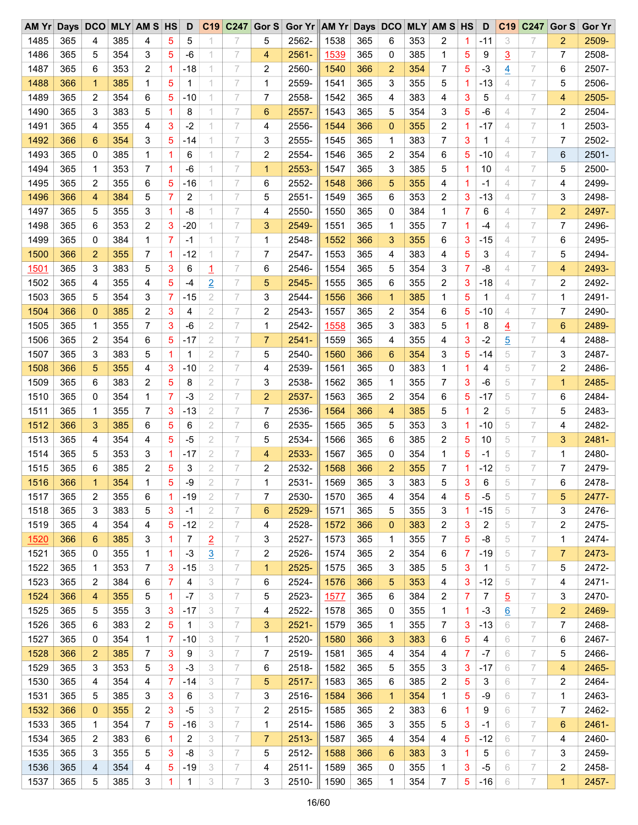| AM Yr |     | Days DCO     |     | <b>MLY AM S HS</b>      |             | D            | C19            | C <sub>247</sub> | Gor $S$        | Gor Yr AM Yr Days DCO |      |     |                |     | <b>MLY AM S HS</b> |                | D            | C <sub>19</sub> | C247 | Gor S | <b>Gor Yr</b> |
|-------|-----|--------------|-----|-------------------------|-------------|--------------|----------------|------------------|----------------|-----------------------|------|-----|----------------|-----|--------------------|----------------|--------------|-----------------|------|-------|---------------|
| 1485  | 365 | 4            | 385 | 4                       | 5           | 5            |                |                  | 5              | 2562-                 | 1538 | 365 | 6              | 353 | 2                  | 1.             | -11          | 3               | 7    | 2     | 2509-         |
| 1486  | 365 | 5            | 354 | 3                       | 5           | -6           |                | 7                | 4              | 2561-                 | 1539 | 365 | 0              | 385 | 1                  | 5              | 9            | <u>3</u>        | 7    | 7     | 2508-         |
| 1487  | 365 | 6            | 353 | 2                       | $\mathbf 1$ | -18          |                | 7                | 2              | 2560-                 | 1540 | 366 | 2              | 354 | 7                  | 5              | $-3$         | $\overline{4}$  | 7    | 6     | 2507-         |
| 1488  | 366 | 1            | 385 | 1                       | 5           | 1            |                | 7                | 1              | 2559-                 | 1541 | 365 | 3              | 355 | 5                  | 1              | $-13$        | 4               | 7    | 5     | 2506-         |
| 1489  | 365 | 2            | 354 | 6                       | 5           | $-10$        |                | 7                | 7              | 2558-                 | 1542 | 365 | 4              | 383 | 4                  | 3              | 5            | 4               | 7    | 4     | 2505-         |
| 1490  | 365 | 3            | 383 | 5                       | 1           | 8            | 1              | 7                | 6              | 2557-                 | 1543 | 365 | 5              | 354 | 3                  | 5              | -6           | 4               | 7    | 2     | 2504-         |
| 1491  | 365 | 4            | 355 | 4                       | 3           | $-2$         |                | 7                | 4              | 2556-                 | 1544 | 366 | $\mathbf{0}$   | 355 | 2                  | 1              | $-17$        | 4               | 7    | 1     | 2503-         |
| 1492  | 366 | 6            | 354 | 3                       | 5           | -14          |                | 7                | 3              | 2555-                 | 1545 | 365 | 1              | 383 | 7                  | 3              | 1            | 4               | 7    | 7     | 2502-         |
| 1493  | 365 | 0            | 385 | 1                       | 1           | 6            |                | 7                | 2              | 2554-                 | 1546 | 365 | 2              | 354 | 6                  | 5              | $-10$        | 4               | 7    | 6     | 2501-         |
| 1494  | 365 | 1            | 353 | 7                       | 1           | $-6$         | 1              | 7                | 1              | 2553-                 | 1547 | 365 | 3              | 385 | 5                  | 1              | 10           | 4               | 7    | 5     | 2500-         |
| 1495  | 365 | 2            | 355 | 6                       | 5           | $-16$        |                | 7                | 6              | 2552-                 | 1548 | 366 | 5              | 355 | 4                  | 1              | -1           | 4               | 7    | 4     | 2499-         |
| 1496  | 366 | 4            | 384 | 5                       | 7           | 2            |                | 7                | 5              | 2551-                 | 1549 | 365 | 6              | 353 | 2                  | 3              | $-13$        | 4               | 7    | 3     | 2498-         |
| 1497  | 365 | 5            | 355 | 3                       | 1           | -8           |                | 7                | 4              | 2550-                 | 1550 | 365 | 0              | 384 | 1                  | 7              | 6            | 4               | 7    | 2     | 2497-         |
| 1498  | 365 | 6            | 353 | 2                       | 3           | $-20$        |                | 7                | 3              | 2549-                 | 1551 | 365 | 1              | 355 | 7                  | 1              | $-4$         | 4               | 7    | 7     | 2496-         |
| 1499  | 365 | 0            | 384 | 1                       | 7           | -1           |                | 7                | 1              | 2548-                 | 1552 | 366 | 3              | 355 | 6                  | 3              | $-15$        | 4               | 7    | 6     | 2495-         |
|       |     |              |     |                         |             |              |                |                  |                |                       |      |     |                |     |                    |                |              |                 | 7    |       |               |
| 1500  | 366 | 2            | 355 | 7                       | 1           | $-12$        |                | 7                | 7              | 2547-                 | 1553 | 365 | 4              | 383 | 4                  | 5              | 3            | 4               |      | 5     | 2494-         |
| 1501  | 365 | 3            | 383 | 5                       | 3           | 6            | 1              | 7                | 6              | 2546-                 | 1554 | 365 | 5              | 354 | 3                  | $\overline{7}$ | -8           | 4               | 7    | 4     | 2493-         |
| 1502  | 365 | 4            | 355 | 4                       | 5           | $-4$         | $\overline{2}$ | 7                | 5              | 2545-                 | 1555 | 365 | 6              | 355 | 2                  | 3              | $-18$        | 4               | 7    | 2     | 2492-         |
| 1503  | 365 | 5            | 354 | 3                       | 7           | $-15$        | 2              | 7                | 3              | 2544-                 | 1556 | 366 | 1              | 385 | 1                  | 5              | 1            | 4               | 7    | 1     | 2491-         |
| 1504  | 366 | $\mathbf 0$  | 385 | 2                       | 3           | 4            | 2              | 7                | 2              | 2543-                 | 1557 | 365 | 2              | 354 | 6                  | 5              | $-10$        | 4               | 7    | 7     | 2490-         |
| 1505  | 365 | 1            | 355 | 7                       | 3           | $-6$         | 2              | 7                | 1              | 2542-                 | 1558 | 365 | 3              | 383 | 5                  | 1              | 8            | $\overline{4}$  | 7    | 6     | 2489-         |
| 1506  | 365 | 2            | 354 | 6                       | 5           | -17          | 2              | 7                | $\overline{7}$ | $2541 -$              | 1559 | 365 | 4              | 355 | 4                  | 3              | $-2$         | $\overline{5}$  | 7    | 4     | 2488-         |
| 1507  | 365 | 3            | 383 | 5                       | 1           | 1            | 2              | 7                | 5              | 2540-                 | 1560 | 366 | 6              | 354 | 3                  | 5              | $-14$        | 5               | 7    | 3     | 2487-         |
| 1508  | 366 | 5            | 355 | 4                       | 3           | $-10$        | 2              | 7                | 4              | 2539-                 | 1561 | 365 | 0              | 383 | 1                  | 1              | 4            | 5               | 7    | 2     | 2486-         |
| 1509  | 365 | 6            | 383 | 2                       | 5           | 8            | 2              | 7                | 3              | 2538-                 | 1562 | 365 | 1              | 355 | 7                  | 3              | $-6$         | 5               | 7    | 1     | 2485-         |
| 1510  | 365 | 0            | 354 | 1                       | 7           | -3           | 2              | 7                | $\overline{2}$ | 2537-                 | 1563 | 365 | 2              | 354 | 6                  | 5              | $-17$        | 5               | 7    | 6     | 2484-         |
| 1511  | 365 | 1            | 355 | 7                       | 3           | -13          | 2              | 7                | 7              | 2536-                 | 1564 | 366 | 4              | 385 | 5                  | 1              | 2            | 5               | 7    | 5     | 2483-         |
| 1512  | 366 | 3            | 385 | 6                       | 5           | 6            | 2              | 7                | 6              | 2535-                 | 1565 | 365 | 5              | 353 | 3                  | 1              | $-10$        | 5               | 7    | 4     | 2482-         |
| 1513  | 365 | 4            | 354 | 4                       | 5           | -5           | 2              | 7                | 5              | 2534-                 | 1566 | 365 | 6              | 385 | 2                  | 5              | 10           | 5               | 7    | 3     | 2481-         |
| 1514  | 365 | 5            | 353 | 3                       | 1           | -17          | 2              | 7                | 4              | 2533-                 | 1567 | 365 | 0              | 354 | 1                  | 5              | -1           | 5               | 7    | 1     | 2480-         |
| 1515  | 365 | 6            | 385 | 2                       | 5           | 3            | 2              | 7                | 2              | 2532-                 | 1568 | 366 | $\overline{2}$ | 355 | 7                  | 1              | $-12$        | 5               | 7    | 7     | 2479-         |
| 1516  | 366 | $\mathbf{1}$ | 354 | 1                       | 5           | -9           | $\overline{2}$ | 7                | 1              | 2531-                 | 1569 | 365 | 3              | 383 | 5                  | 3              | 6            | 5               | 7    | 6     | 2478-         |
| 1517  | 365 | 2            | 355 | 6                       | 1           | $-19$        | 2              | 7                | 7              | 2530-                 | 1570 | 365 | 4              | 354 | 4                  | 5              | $-5$         | 5               | 7    | 5     | 2477-         |
| 1518  | 365 | 3            | 383 | 5                       | 3           | -1           | 2              | 7                | 6              | 2529-                 | 1571 | 365 | 5              | 355 | 3                  | 1.             | $-15$        | 5               | 7    | 3     | 2476-         |
| 1519  | 365 | 4            | 354 | 4                       | 5           | $-12$        | $\mathbf{2}$   | 7                | 4              | 2528-                 | 1572 | 366 | $\mathbf 0$    | 383 | 2                  | 3              | 2            | 5               | 7    | 2     | 2475-         |
| 1520  | 366 | 6            | 385 | 3                       | 1           | 7            | $\overline{2}$ | 7                | 3              | 2527-                 | 1573 | 365 | 1              | 355 | 7                  | 5              | -8           | 5               | 7    | 1     | 2474-         |
| 1521  | 365 | 0            | 355 | 1                       | $\mathbf 1$ | $-3$         | $\overline{3}$ | 7                | 2              | 2526-                 | 1574 | 365 | 2              | 354 | 6                  | 7              | $-19$        | 5               | 7    | 7     | 2473-         |
| 1522  | 365 | 1            | 353 | 7                       | 3           | $-15$        | 3              | 7                | $\mathbf{1}$   | 2525-                 | 1575 | 365 | 3              | 385 | 5                  | 3              | $\mathbf{1}$ | 5               | 7    | 5     | 2472-         |
| 1523  | 365 | 2            | 384 | 6                       | 7           | 4            | 3              | 7                | 6              | 2524-                 | 1576 | 366 | 5              | 353 | 4                  | 3              | $-12$        | 5               | 7    | 4     | 2471-         |
| 1524  | 366 | 4            | 355 | 5                       | -1          | $-7$         | 3              | 7                | 5              | 2523-                 | 1577 | 365 | 6              | 384 | 2                  | 7              | 7            | $\overline{5}$  | 7    | 3     | 2470-         |
| 1525  | 365 | 5            | 355 | 3                       | 3           | -17          | 3              | 7                | 4              | 2522-                 | 1578 | 365 | 0              | 355 | 1                  | $\mathbf{1}$   | $-3$         | $\underline{6}$ | 7    | 2     | 2469-         |
| 1526  | 365 | 6            | 383 | $\overline{\mathbf{c}}$ | 5           | $\mathbf{1}$ | 3              | 7                | 3              | $2521 -$              | 1579 | 365 | 1              | 355 | 7                  | 3              | $-13$        | 6               | 7    | 7     | 2468-         |
| 1527  | 365 | 0            | 354 | 1                       | 7           | -10          | 3              | 7                | 1              | 2520-                 |      | 366 | 3              |     | 6                  | 5              | 4            | 6               | 7    | 6     | 2467-         |
|       |     |              |     |                         |             |              |                |                  |                |                       | 1580 |     |                | 383 |                    |                |              |                 | 7    |       |               |
| 1528  | 366 | 2            | 385 | 7                       | 3           | 9            | 3              | 7                | 7              | 2519-                 | 1581 | 365 | 4              | 354 | 4                  | 7              | $-7$         | 6               |      | 5     | 2466-         |
| 1529  | 365 | 3            | 353 | 5                       | 3           | $-3$         | 3              | 7                | 6              | 2518-                 | 1582 | 365 | 5              | 355 | 3                  | 3              | $-17$        | 6               | 7    | 4     | 2465-         |
| 1530  | 365 | 4            | 354 | 4                       | 7           | $-14$        | 3              | 7                | 5              | 2517-                 | 1583 | 365 | 6              | 385 | 2                  | 5              | 3            | 6               | 7    | 2     | 2464-         |
| 1531  | 365 | 5            | 385 | 3                       | 3           | 6            | 3              | 7                | 3              | 2516-                 | 1584 | 366 | $\mathbf 1$    | 354 | 1                  | 5              | -9           | 6               | 7    | 1     | 2463-         |
| 1532  | 366 | 0            | 355 | 2                       | 3           | -5           | 3              | 7                | 2              | 2515-                 | 1585 | 365 | 2              | 383 | 6                  | 1              | 9            | 6               | 7    | 7     | 2462-         |
| 1533  | 365 | 1            | 354 | 7                       | 5           | $-16$        | 3              | 7                | 1              | 2514-                 | 1586 | 365 | 3              | 355 | 5                  | 3              | $-1$         | 6               | 7    | 6     | 2461-         |
| 1534  | 365 | 2            | 383 | 6                       | 1           | 2            | 3              | 7                | $\overline{7}$ | 2513-                 | 1587 | 365 | 4              | 354 | 4                  | 5              | $-12$        | 6               | 7    | 4     | 2460-         |
| 1535  | 365 | 3            | 355 | 5                       | 3           | -8           | 3              | 7                | 5              | 2512-                 | 1588 | 366 | 6              | 383 | 3                  | 1              | 5            | 6               | 7    | 3     | 2459-         |
| 1536  | 365 | 4            | 354 | 4                       | 5           | $-19$        | 3              | 7                | 4              | $2511 -$              | 1589 | 365 | 0              | 355 | 1                  | 3              | $-5$         | 6               | 7    | 2     | 2458-         |
| 1537  | 365 | 5            | 385 | 3                       | 1           | $\mathbf{1}$ | 3              | 7                | 3              | 2510-                 | 1590 | 365 | 1              | 354 | 7                  | 5              | $-16$        | 6               | 7    | 1     | 2457-         |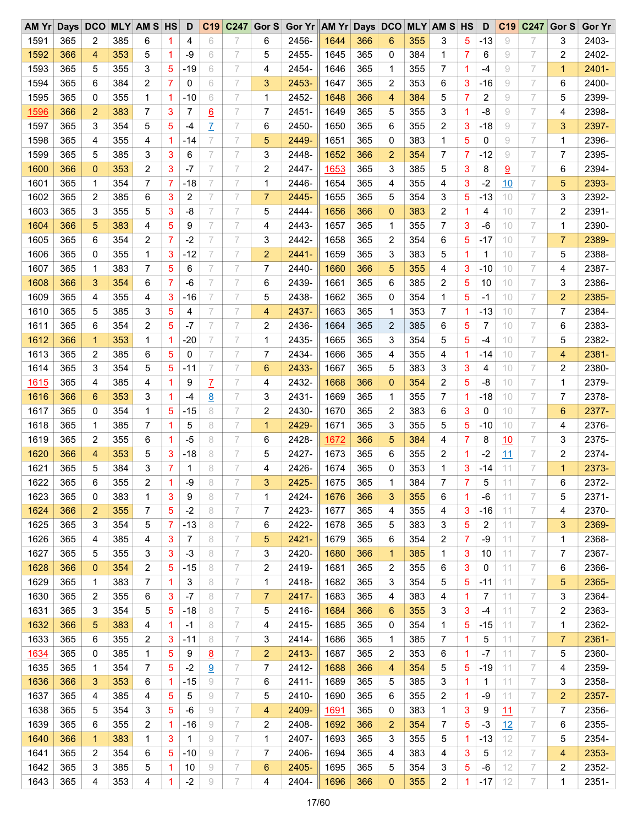| AM Yr       | Days DCO |                |     | <b>MLY AM S HS</b> |             | D     | C19                     | C247 | Gor $S$        | Gor Yr AM Yr Days DCO |             |     |                 |     | <b>MLY AM S HS</b> |                | D            | C <sub>19</sub> | C247 | Gor S          | <b>Gor Yr</b> |
|-------------|----------|----------------|-----|--------------------|-------------|-------|-------------------------|------|----------------|-----------------------|-------------|-----|-----------------|-----|--------------------|----------------|--------------|-----------------|------|----------------|---------------|
| 1591        | 365      | 2              | 385 | 6                  | 1           | 4     | 6                       |      | 6              | 2456-                 | 1644        | 366 | 6               | 355 | 3                  | 5              | $-13$        | 9               |      | 3              | 2403-         |
| 1592        | 366      | 4              | 353 | 5                  | 1           | $-9$  | 6                       | 7    | 5              | 2455-                 | 1645        | 365 | 0               | 384 | 1                  | 7              | 6            | 9               | 7    | 2              | 2402-         |
| 1593        | 365      | 5              | 355 | 3                  | 5           | -19   | 6                       | 7    | 4              | 2454-                 | 1646        | 365 | 1               | 355 | 7                  | 1              | -4           | 9               | 7    | 1              | 2401-         |
| 1594        | 365      | 6              | 384 | 2                  | 7           | 0     | 6                       | 7    | 3              | 2453-                 | 1647        | 365 | 2               | 353 | 6                  | 3              | $-16$        | 9               | 7    | 6              | 2400-         |
| 1595        | 365      | 0              | 355 | 1                  | -1          | -10   | 6                       | 7    | 1              | 2452-                 | 1648        | 366 | 4               | 384 | 5                  | 7              | 2            | 9               | 7    | 5              | 2399-         |
| 1596        | 366      | $\overline{2}$ | 383 | $\overline{7}$     | 3           | 7     | <u>6</u>                | 7    | 7              | 2451-                 | 1649        | 365 | 5               | 355 | 3                  | 1              | -8           | 9               | 7    | 4              | 2398-         |
| 1597        | 365      | 3              | 354 | 5                  | 5           | $-4$  | Z                       | 7    | 6              | 2450-                 | 1650        | 365 | 6               | 355 | 2                  | 3              | $-18$        | 9               | 7    | 3              | 2397-         |
| 1598        | 365      | 4              | 355 | 4                  | $\mathbf 1$ | $-14$ | 7                       | 7    | 5              | 2449-                 | 1651        | 365 | 0               | 383 | 1                  | 5              | 0            | 9               | 7    | 1              | 2396-         |
| 1599        | 365      | 5              | 385 | 3                  | 3           | 6     | 7                       | 7    | 3              | 2448-                 | 1652        | 366 | $\overline{2}$  | 354 | 7                  | 7              | $-12$        | 9               | 7    | 7              | 2395-         |
| 1600        | 366      | $\mathbf{0}$   | 353 | 2                  | 3           | $-7$  | 7                       | 7    | 2              | 2447-                 | 1653        | 365 | 3               | 385 | 5                  | 3              | 8            | 9               | 7    | 6              | 2394-         |
| 1601        | 365      | 1              | 354 | 7                  | 7           | $-18$ | 7                       | 7    | 1              | 2446-                 | 1654        | 365 | 4               | 355 | 4                  | 3              | $-2$         | 10              | 7    | 5              | 2393-         |
| 1602        | 365      | 2              | 385 | 6                  | 3           | 2     | 7                       | 7    | $\overline{7}$ | 2445-                 | 1655        | 365 | 5               | 354 | 3                  | 5              | $-13$        | 10              | 7    | 3              | 2392-         |
|             |          |                |     |                    |             |       | 7                       | 7    |                |                       |             |     |                 |     |                    |                |              |                 |      |                |               |
| 1603        | 365      | 3              | 355 | 5                  | 3           | -8    |                         |      | 5              | 2444-                 | 1656        | 366 | $\mathbf{0}$    | 383 | 2                  | 1              | 4            | 10              | 7    | 2              | 2391-         |
| 1604        | 366      | 5              | 383 | 4                  | 5           | 9     | 7                       | 7    | 4              | 2443-                 | 1657        | 365 | 1               | 355 | 7                  | 3              | $-6$         | 10              | 7    | 1              | 2390-         |
| 1605        | 365      | 6              | 354 | 2                  | 7           | $-2$  |                         | 7    | 3              | 2442-                 | 1658        | 365 | 2               | 354 | 6                  | 5              | $-17$        | 10              | 7    | 7              | 2389-         |
| 1606        | 365      | 0              | 355 | 1                  | 3           | $-12$ | 7                       | 7    | $\overline{2}$ | 2441-                 | 1659        | 365 | 3               | 383 | 5                  | $\mathbf 1$    | $\mathbf{1}$ | 10              | 7    | 5              | 2388-         |
| 1607        | 365      | $\mathbf 1$    | 383 | 7                  | 5           | 6     | 7                       | 7    | 7              | 2440-                 | 1660        | 366 | 5               | 355 | 4                  | 3              | $-10$        | 10              | 7    | 4              | 2387-         |
| 1608        | 366      | 3              | 354 | 6                  | 7           | $-6$  |                         | 7    | 6              | 2439-                 | 1661        | 365 | 6               | 385 | 2                  | 5              | 10           | 10              | 7    | 3              | 2386-         |
| 1609        | 365      | 4              | 355 | 4                  | 3           | $-16$ | 7                       | 7    | 5              | 2438-                 | 1662        | 365 | 0               | 354 | 1                  | 5              | -1           | 10              | 7    | $\overline{a}$ | 2385-         |
| 1610        | 365      | 5              | 385 | 3                  | 5           | 4     | 7                       | 7    | 4              | 2437-                 | 1663        | 365 | 1               | 353 | 7                  | 1              | $-13$        | 10              | 7    | 7              | 2384-         |
| 1611        | 365      | 6              | 354 | 2                  | 5           | $-7$  | 7                       | 7    | 2              | 2436-                 | 1664        | 365 | $\overline{2}$  | 385 | 6                  | 5              | 7            | 10              | 7    | 6              | 2383-         |
| 1612        | 366      | 1              | 353 | 1                  | -1          | $-20$ |                         | 7    | 1              | 2435-                 | 1665        | 365 | 3               | 354 | 5                  | 5              | -4           | 10              | 7    | 5              | 2382-         |
| 1613        | 365      | 2              | 385 | 6                  | 5           | 0     | 7                       | 7    | 7              | 2434-                 | 1666        | 365 | 4               | 355 | 4                  | 1              | $-14$        | 10              | 7    | 4              | 2381-         |
| 1614        | 365      | 3              | 354 | 5                  | 5           | $-11$ | 7                       | 7    | 6              | 2433-                 | 1667        | 365 | 5               | 383 | 3                  | 3              | 4            | 10              | 7    | 2              | 2380-         |
| <u>1615</u> | 365      | 4              | 385 | 4                  | 1           | 9     | $\overline{I}$          | 7    | 4              | 2432-                 | 1668        | 366 | $\mathbf{0}$    | 354 | $\overline{2}$     | 5              | -8           | 10              | 7    | 1              | 2379-         |
| 1616        | 366      | 6              | 353 | 3                  | 1           | $-4$  | $\underline{8}$         | 7    | 3              | 2431-                 | 1669        | 365 | 1               | 355 | 7                  | 1              | $-18$        | 10              | 7    | 7              | 2378-         |
| 1617        | 365      | 0              | 354 | 1                  | 5           | $-15$ | 8                       | 7    | 2              | 2430-                 | 1670        | 365 | 2               | 383 | 6                  | 3              | 0            | 10              | 7    | 6              | 2377-         |
| 1618        | 365      | 1              | 385 | 7                  | 1           | 5     | 8                       | 7    | $\mathbf 1$    | 2429-                 | 1671        | 365 | 3               | 355 | 5                  | 5              | $-10$        | 10              | 7    | 4              | 2376-         |
| 1619        | 365      | 2              | 355 | 6                  | 1           | -5    | 8                       | 7    | 6              | 2428-                 | 1672        | 366 | 5               | 384 | 4                  | 7              | 8            | 10              | 7    | 3              | 2375-         |
| 1620        | 366      | 4              | 353 | 5                  | 3           | $-18$ | 8                       | 7    | 5              | 2427-                 | 1673        | 365 | 6               | 355 | 2                  | $\mathbf{1}$   | $-2$         | 11              | 7    | 2              | 2374-         |
| 1621        | 365      | 5              | 384 | 3                  | 7           | 1     | 8                       | 7    | 4              | 2426-                 | 1674        | 365 | 0               | 353 | 1                  | 3              | $-14$        | 11              | 7    | 1              | 2373-         |
|             |          | 6              |     |                    | 1           |       |                         | 7    |                |                       |             |     |                 |     | 7                  |                |              |                 | 7    |                |               |
| 1622        | 365      |                | 355 | 2                  |             | -9    | 8                       |      | 3              | 2425-                 | 1675        | 365 | 1               | 384 |                    | $\overline{7}$ | 5            | 11              |      | 6              | 2372-         |
| 1623        | 365      | 0              | 383 | 1                  | 3           | 9     | 8                       | 7    | 1              | 2424-                 | 1676        | 366 | 3               | 355 | 6                  | 1              | -6           | 11              | 7    | 5              | 2371-         |
| 1624        | 366      | 2              | 355 | 7                  | 5           | $-2$  | 8                       | 7    | 7              | 2423-                 | 1677        | 365 | 4               | 355 | 4                  | 3              | $-16$        | 11              | 7    | 4              | 2370-         |
| 1625        | 365      | 3              | 354 | 5                  | 7           | $-13$ | 8                       | 7    | 6              | 2422-                 | 1678        | 365 | 5               | 383 | 3                  | 5              | 2            | 11              | 7    | 3              | 2369-         |
| 1626        | 365      | 4              | 385 | 4                  | 3           | 7     | 8                       | 7    | 5              | 2421-                 | 1679        | 365 | 6               | 354 | 2                  | 7              | -9           | 11              | 7    | 1              | 2368-         |
| 1627        | 365      | 5              | 355 | 3                  | 3           | $-3$  | 8                       | 7    | 3              | 2420-                 | 1680        | 366 | 1               | 385 | 1                  | 3              | 10           | 11              | 7    | 7              | 2367-         |
| 1628        | 366      | 0              | 354 | 2                  | 5           | $-15$ | 8                       | 7    | 2              | 2419-                 | 1681        | 365 | 2               | 355 | 6                  | 3              | 0            | 11              | 7    | 6              | 2366-         |
| 1629        | 365      | 1              | 383 | 7                  | $\mathbf 1$ | 3     | 8                       | 7    | 1              | 2418-                 | 1682        | 365 | 3               | 354 | 5                  | 5              | $-11$        | 11              | 7    | 5              | 2365-         |
| 1630        | 365      | 2              | 355 | 6                  | 3           | $-7$  | 8                       | 7    | 7              | 2417-                 | 1683        | 365 | 4               | 383 | 4                  | 1              | 7            | 11              | 7    | 3              | 2364-         |
| 1631        | 365      | 3              | 354 | 5                  | 5           | $-18$ | 8                       | 7    | 5              | 2416-                 | 1684        | 366 | $6\phantom{1}6$ | 355 | 3                  | 3              | $-4$         | 11              | 7    | 2              | 2363-         |
| 1632        | 366      | 5              | 383 | 4                  | $\mathbf 1$ | $-1$  | 8                       | 7    | 4              | 2415-                 | 1685        | 365 | 0               | 354 | 1                  | 5              | $-15$        | 11              | 7    | 1              | 2362-         |
| 1633        | 365      | 6              | 355 | 2                  | 3           | -11   | 8                       | 7    | 3              | 2414-                 | 1686        | 365 | 1               | 385 | 7                  | 1              | 5            | 11              | 7    | 7              | 2361-         |
| 1634        | 365      | 0              | 385 | 1                  | 5           | 9     | <u>8</u>                | 7    | 2              | 2413-                 | 1687        | 365 | 2               | 353 | 6                  | $\mathbf{1}$   | $-7$         | 11              | 7    | 5              | 2360-         |
| 1635        | 365      | 1              | 354 | 7                  | 5           | $-2$  | $\overline{\mathsf{a}}$ | 7    | 7              | 2412-                 | 1688        | 366 | 4               | 354 | 5                  | 5              | $-19$        | 11              | 7    | 4              | 2359-         |
| 1636        | 366      | 3              | 353 | 6                  | $\mathbf 1$ | $-15$ | 9                       | 7    | 6              | 2411-                 | 1689        | 365 | 5               | 385 | 3                  | 1              | 1            | 11              | 7    | 3              | 2358-         |
| 1637        | 365      | 4              | 385 | 4                  | 5           | 5     | 9                       | 7    | 5              | 2410-                 | 1690        | 365 | 6               | 355 | 2                  | 1              | -9           | 11              | 7    | 2              | 2357-         |
| 1638        | 365      | 5              | 354 | 3                  | 5           | -6    | 9                       | 7    | 4              | 2409-                 | <u>1691</u> | 365 | 0               | 383 | 1                  | 3              | 9            | <u>11</u>       | 7    | 7              | 2356-         |
| 1639        | 365      | 6              | 355 | 2                  | 1           | $-16$ | 9                       | 7    | 2              | 2408-                 | 1692        | 366 | $\overline{c}$  | 354 | 7                  | 5              | $-3$         | 12              | 7    | 6              | 2355-         |
| 1640        | 366      | $\mathbf{1}$   | 383 | 1                  | 3           | 1     | 9                       | 7    | 1              | 2407-                 | 1693        | 365 | 3               | 355 | 5                  | 1              | $-13$        | 12              | 7    | 5              | 2354-         |
|             |          |                |     |                    |             |       |                         | 7    |                |                       |             |     |                 |     |                    |                |              |                 | 7    |                |               |
| 1641        | 365      | 2              | 354 | 6                  | 5           | $-10$ | 9                       |      | 7              | 2406-                 | 1694        | 365 | 4               | 383 | 4                  | 3              | 5            | 12              |      | 4              | 2353-         |
| 1642        | 365      | 3              | 385 | 5                  | 1           | 10    | 9                       | 7    | 6              | 2405-                 | 1695        | 365 | 5               | 354 | 3                  | 5              | -6           | 12              | 7    | 2              | 2352-         |
| 1643        | 365      | 4              | 353 | 4                  | 1           | $-2$  | $\Theta$                | 7    | 4              | 2404-                 | 1696        | 366 | $\mathbf 0$     | 355 | 2                  | 1.             | -17          | 12              | 7    | 1              | 2351-         |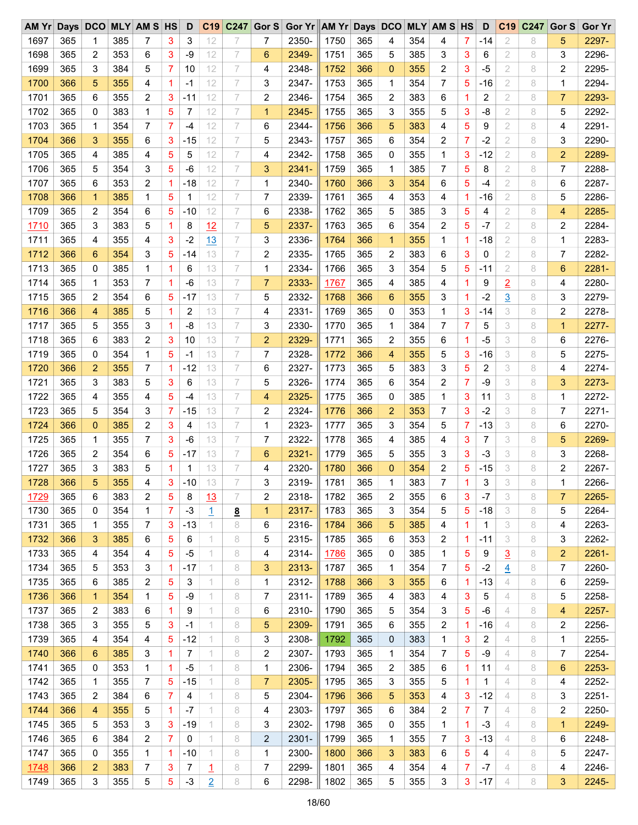| $AM$ $Yr$    |            |                |            | Days DCO MLY AM S HS |                | D           |                | C19 C247        | Gor S               | Gor $Yr$ AM $Yr$ Days DCO |              |            |                |            | <b>MLY AM S HS</b> |                | D            | C <sub>19</sub> | C247 | Gor S        | <b>Gor Yr</b>  |
|--------------|------------|----------------|------------|----------------------|----------------|-------------|----------------|-----------------|---------------------|---------------------------|--------------|------------|----------------|------------|--------------------|----------------|--------------|-----------------|------|--------------|----------------|
| 1697         | 365        | 1              | 385        | 7                    | 3              | 3           | 12             |                 | 7                   | 2350-                     | 1750         | 365        | 4              | 354        | 4                  | 7              | -14          | 2               | 8    | 5            | 2297-          |
| 1698         | 365        | 2              | 353        | 6                    | 3              | -9          | 12             | 7               | 6                   | 2349-                     | 1751         | 365        | 5              | 385        | 3                  | 3              | 6            | 2               | 8    | 3            | 2296-          |
| 1699         | 365        | 3              | 384        | 5                    | 7              | 10          | 12             | 7               | 4                   | 2348-                     | 1752         | 366        | $\Omega$       | 355        | 2                  | 3              | $-5$         | 2               | 8    | 2            | 2295-          |
| 1700         | 366        | 5              | 355        | 4                    | 1              | -1          | 12             | 7               | 3                   | 2347-                     | 1753         | 365        | 1              | 354        | 7                  | 5              | $-16$        | 2               | 8    | 1            | 2294-          |
| 1701         | 365        | 6              | 355        | 2                    | 3              | $-11$       | 12             | 7               | 2                   | 2346-                     | 1754         | 365        | 2              | 383        | 6                  | 1              | 2            | 2               | 8    | 7            | 2293-          |
| 1702         | 365        | 0              | 383        | 1                    | 5              | 7           | 12             | 7               | $\mathbf 1$         | 2345-                     | 1755         | 365        | 3              | 355        | 5                  | 3              | -8           | 2               | 8    | 5            | 2292-          |
| 1703         | 365        | $\mathbf 1$    | 354        | 7                    | $\overline{7}$ | $-4$        | 12             | 7               | 6                   | 2344-                     | 1756         | 366        | 5              | 383        | 4                  | 5              | 9            | 2               | 8    | 4            | 2291-          |
| 1704         | 366        | 3              | 355        | 6                    | 3              | $-15$       | 12             | 7               | 5                   | 2343-                     | 1757         | 365        | 6              | 354        | 2                  | 7              | $-2$         | 2               | 8    | 3            | 2290-          |
| 1705         | 365        | 4              | 385        | 4                    | 5              | 5           | 12             | 7               | 4                   | 2342-                     | 1758         | 365        | $\Omega$       | 355        | 1                  | 3              | $-12$        | 2               | 8    | 2            | 2289-          |
| 1706         | 365        | 5              | 354        | 3                    | 5              | $-6$        | 12             | 7               | 3                   | 2341-                     | 1759         | 365        | 1              | 385        | 7                  | 5              | 8            | 2               | 8    | 7            | 2288-          |
| 1707         | 365        | 6              | 353        | 2                    | 1              | -18         | 12             | 7               | 1                   | 2340-                     | 1760         | 366        | 3              | 354        | 6                  | 5              | -4           | 2               | 8    | 6            | 2287-          |
| 1708         | 366        | $\mathbf{1}$   | 385        | 1                    | 5              | 1           | 12             | 7               | 7                   | 2339-                     | 1761         | 365        | 4              | 353        | 4                  | 1              | $-16$        | 2               | 8    | 5            | 2286-          |
| 1709         | 365        | 2              | 354        | 6                    | 5              | -10         | 12             | 7               | 6                   | 2338-                     | 1762         | 365        | 5              | 385        | 3                  | 5              | 4            | 2               | 8    | 4            | 2285-          |
| 1710         | 365        | 3              | 383        | 5                    | 1              | 8           | 12             | 7               | 5                   | 2337-                     | 1763         | 365        | 6              | 354        | 2                  | 5              | $-7$         | $\overline{2}$  | 8    | 2            | 2284-          |
| 1711         | 365        | 4              | 355        | 4                    | 3              | $-2$        | 13             | 7               | 3                   | 2336-                     | 1764         | 366        | 1              | 355        | 1                  | 1              | $-18$        | 2               | 8    | 1            | 2283-          |
| 1712         | 366        | 6              | 354        | 3                    | 5              | -14         | 13             | 7               | 2                   | 2335-                     | 1765         | 365        | 2              | 383        | 6                  | 3              | 0            | 2               | 8    | 7            | 2282-          |
| 1713         | 365        | $\mathbf{0}$   | 385        | 1                    | 1              | 6           | 13             | 7               | 1                   | 2334-                     | 1766         | 365        | 3              | 354        | 5                  | 5              | $-11$        | 2               | 8    | 6            | 2281-          |
|              |            |                |            |                      |                |             |                |                 |                     |                           |              |            |                |            |                    |                |              |                 |      |              |                |
| 1714         | 365        | 1              | 353        | 7                    | 1              | $-6$        | 13             | 7               | $\overline{7}$      | 2333-                     | 1767         | 365        | 4              | 385        | 4                  | 1              | 9            | $\overline{2}$  | 8    | 4            | 2280-          |
| 1715         | 365        | 2              | 354        | 6                    | 5              | -17         | 13             | 7               | 5                   | 2332-                     | 1768         | 366        | 6              | 355        | 3                  | 1              | $-2$         | $\overline{3}$  | 8    | 3            | 2279-          |
| 1716         | 366        | 4              | 385        | 5                    | 1              | 2           | 13             | 7               | 4                   | 2331-                     | 1769         | 365        | 0              | 353        | 1                  | 3              | $-14$        | 3               | 8    | 2            | 2278-          |
| 1717         | 365        | 5              | 355        | 3                    | $\mathbf 1$    | -8          | 13             | 7               | 3                   | 2330-                     | 1770         | 365        | 1              | 384        | 7                  | $\overline{7}$ | 5            | 3               | 8    | $\mathbf{1}$ | 2277-          |
| 1718         | 365        | 6              | 383        | 2                    | 3              | 10          | 13             | 7               | $\overline{2}$      | 2329-                     | 1771         | 365        | 2              | 355        | 6                  | 1              | $-5$         | 3               | 8    | 6            | 2276-          |
| 1719         | 365        | 0              | 354        | 1                    | 5              | -1          | 13             | 7               | 7                   | 2328-                     | 1772         | 366        | 4              | 355        | 5                  | 3              | $-16$        | 3               | 8    | 5            | 2275-          |
| 1720         | 366        | $\overline{2}$ | 355        | 7                    | 1              | $-12$       | 13             | 7               | 6                   | 2327-                     | 1773         | 365        | 5              | 383        | 3                  | 5              | 2            | 3               | 8    | 4            | 2274-          |
| 1721         | 365        | 3              | 383        | 5                    | 3              | 6           | 13             | 7               | 5                   | 2326-                     | 1774         | 365        | 6              | 354        | 2                  | $\overline{7}$ | $-9$         | 3               | 8    | 3            | 2273-          |
| 1722         | 365        | 4              | 355        | 4                    | 5              | -4          | 13             | 7               | 4                   | 2325-                     | 1775         | 365        | $\Omega$       | 385        | 1                  | 3              | 11           | 3               | 8    | 1            | 2272-          |
| 1723         | 365        | 5              | 354        | 3                    | 7              | $-15$       | 13             | 7               | 2                   | 2324-                     | 1776         | 366        | $\overline{2}$ | 353        | 7                  | 3              | $-2$         | 3               | 8    | 7            | 2271-          |
| 1724         | 366        | $\mathbf{0}$   | 385        | 2                    | 3              | 4           | 13             | 7               | 1                   | 2323-                     | 1777         | 365        | 3              | 354        | 5                  | 7              | $-13$        | 3               | 8    | 6            | 2270-          |
| 1725         | 365        | 1              | 355        | 7                    | 3              | $-6$        | 13             | 7               | 7                   | 2322-                     | 1778         | 365        | 4              | 385        | 4                  | 3              | 7            | 3               | 8    | 5            | 2269-          |
| 1726         | 365        | 2              | 354        | 6                    | 5              | -17         | 13             | 7               | 6                   | 2321-                     | 1779         | 365        | 5              | 355        | 3                  | 3              | $-3$         | 3               | 8    | 3            | 2268-          |
| 1727         | 365        | 3              | 383        | 5                    | 1              | 1           | 13             | 7               | 4                   | 2320-                     | 1780         | 366        | $\mathbf{0}$   | 354        | 2                  | 5              | $-15$        | 3               | 8    | 2            | 2267-          |
| 1728         | 366        | 5              | 355        | 4                    | 3              | $-10$       | 13             | 7               | 3                   | 2319-                     | 1781         | 365        | 1              | 383        | 7                  |                | 3            | 3               | 8    | 1            | 2266-          |
| 1729         | 365        | 6              | 383        | 2                    | 5              | 8           | 13             | 7               | 2                   | 2318-                     | 1782         | 365        | 2              | 355        | 6                  | 3              | $-7$         | 3               | 8    | 7            | 2265-          |
| 1730         | 365        | 0              | 354        | 1                    | 7              | -3          | 1              | $\underline{8}$ | 1                   | 2317-                     | 1783         | 365        | 3              | 354        | 5                  | 5              | $-18$        | 3               | 8    | 5            | 2264-          |
| 1731         | 365        | 1              | 355        | 7                    | 3              | $-13$       | 1.             | 8               | 6                   | 2316-                     | 1784         | 366        | 5              | 385        | 4                  | 1              | $\mathbf{1}$ | 3               | 8    | 4            | 2263-          |
| 1732         | 366        | 3              | 385        | 6                    | 5              | 6           |                | 8               | 5                   | 2315-                     | 1785         | 365        | 6              | 353        | 2                  | 1              | -11          | 3               | 8    | 3            | 2262-          |
| 1733         | 365        | 4              | 354        | 4                    | 5              | $-5$        | 1.             | 8               | 4                   | 2314-                     | 1786         | 365        | 0              | 385        | 1                  | 5              | 9            | $\overline{3}$  | 8    | 2            | 2261-          |
| 1734         | 365        | 5              | 353        | 3                    | 1              | -17         | 1              | 8               | 3                   | 2313-                     | 1787         | 365        | 1              | 354        | 7                  | 5              | $-2$         | $\overline{4}$  | 8    | 7            | 2260-          |
| 1735         | 365        | 6              | 385        | 2                    | 5              | 3           | 1              | 8               | 1                   | 2312-                     | 1788         | 366        | 3              | 355        | 6                  | 1              | $-13$        | 4               | 8    | 6            | 2259-          |
| 1736         | 366        | $\mathbf{1}$   | 354        | 1                    | 5              | -9          | 1              | 8               | 7                   | 2311-                     | 1789         | 365        | 4              | 383        | 4                  | 3              | 5            | 4               | 8    | 5            | 2258-          |
| 1737         | 365        | 2              | 383        | 6                    | 1              | 9           | 1              | 8               | 6                   | 2310-                     | 1790         | 365        | 5              | 354        | 3                  | 5              | -6           | 4               | 8    | 4            | 2257-          |
| 1738         | 365        | 3              | 355        | 5                    | 3              | -1          | 1              | 8               | 5                   | 2309-                     | 1791         | 365        | 6              | 355        | 2                  | 1              | $-16$        | 4               | 8    | 2            | 2256-          |
| 1739         | 365        | 4              | 354        | 4                    | 5              | $-12$       |                | 8               | 3                   | 2308-                     | 1792         | 365        | 0              | 383        | 1                  | 3              | 2            | 4               | 8    | 1            | 2255-          |
| 1740         | 366        | 6              | 385        | 3                    | 1              | 7           | 1.             | 8               | 2                   | 2307-                     | 1793         | 365        | 1              | 354        | 7                  | 5              | -9           | 4               | 8    | 7            | 2254-          |
|              |            |                |            |                      |                |             | 1.             |                 |                     |                           |              |            |                |            |                    |                |              |                 |      |              |                |
| 1741<br>1742 | 365<br>365 | 0              | 353<br>355 | 1<br>$\overline{7}$  | 1<br>5         | -5<br>$-15$ | 1              | 8<br>8          | 1<br>$\overline{7}$ | 2306-<br>2305-            | 1794<br>1795 | 365<br>365 | 2              | 385<br>355 | 6                  | 1              | 11           | 4<br>4          | 8    | 6            | 2253-<br>2252- |
|              |            | 1              |            |                      |                |             |                |                 |                     |                           |              |            | 3              |            | 5                  | 1              | 1            |                 | 8    | 4            |                |
| 1743         | 365        | 2              | 384        | 6                    | 7              | 4           | 1              | 8               | 5                   | 2304-                     | 1796         | 366        | 5              | 353        | 4                  | 3              | $-12$        | 4               | 8    | 3            | 2251-          |
| 1744         | 366        | 4              | 355        | 5                    | 1              | $-7$        | 1.             | 8               | 4                   | 2303-                     | 1797         | 365        | 6              | 384        | 2                  | 7              | 7            | 4               | 8    | 2            | 2250-          |
| 1745         | 365        | 5              | 353        | 3                    | 3              | $-19$       | 1              | 8               | 3                   | 2302-                     | 1798         | 365        | 0              | 355        | 1                  | $\mathbf{1}$   | $-3$         | 4               | 8    | 1            | 2249-          |
| 1746         | 365        | 6              | 384        | 2                    | 7              | 0           |                | 8               | 2                   | 2301-                     | 1799         | 365        | 1              | 355        | 7                  | 3              | $-13$        | 4               | 8    | 6            | 2248-          |
| 1747         | 365        | 0              | 355        | 1                    | -1             | $-10$       |                | 8               | 1                   | 2300-                     | 1800         | 366        | 3              | 383        | 6                  | 5              | 4            | 4               | 8    | 5            | 2247-          |
| 1748         | 366        | 2              | 383        | 7                    | 3              | 7           | 1              | 8               | 7                   | 2299-                     | 1801         | 365        | 4              | 354        | 4                  | 7              | $-7$         | 4               | 8    | 4            | 2246-          |
| 1749         | 365        | 3              | 355        | 5                    | 5              | $-3$        | $\overline{2}$ | 8               | 6                   | 2298-                     | 1802         | 365        | 5              | 355        | 3                  | 3              | -17          | 4               | 8    | 3            | 2245-          |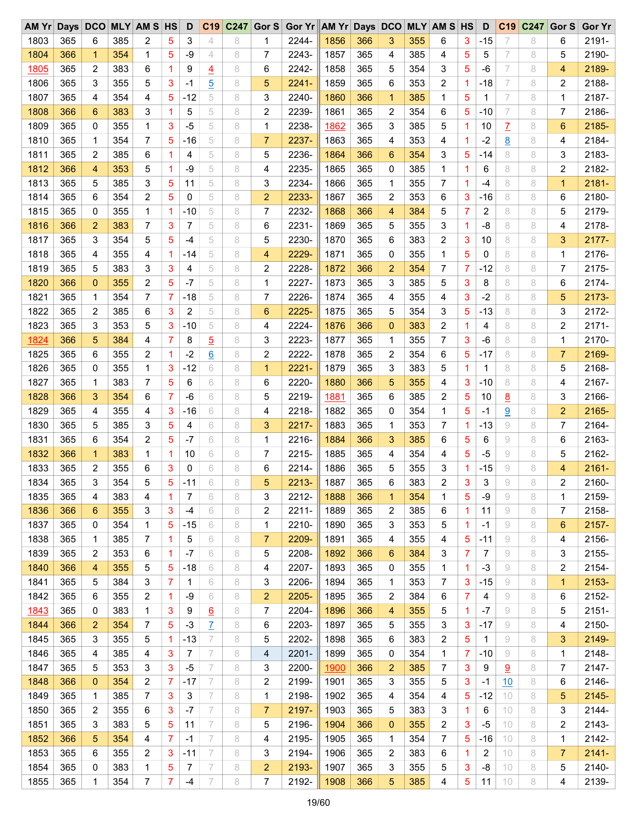| $AM$ $Yr$   | Days DCO |                |     | <b>MLY AM S HS</b> |             | D            | C19              | C <sub>247</sub> | Gor S          | Gor Yr AM Yr Days DCO |      |     |                 |     | <b>MLY AM S HS</b> |                | D            | C <sub>19</sub> | C247 | Gor S          | <b>Gor Yr</b> |
|-------------|----------|----------------|-----|--------------------|-------------|--------------|------------------|------------------|----------------|-----------------------|------|-----|-----------------|-----|--------------------|----------------|--------------|-----------------|------|----------------|---------------|
| 1803        | 365      | 6              | 385 | 2                  | 5           | 3            | 4                | 8                | 1              | 2244-                 | 1856 | 366 | 3               | 355 | 6                  | 3              | $-15$        | 7               | 8    | 6              | 2191-         |
| 1804        | 366      | $\mathbf{1}$   | 354 | 1                  | 5           | -9           | 4                | 8                | 7              | 2243-                 | 1857 | 365 | 4               | 385 | 4                  | 5              | 5            | 7               | 8    | 5              | 2190-         |
| <u>1805</u> | 365      | 2              | 383 | 6                  | 1           | 9            | $\overline{4}$   | 8                | 6              | 2242-                 | 1858 | 365 | 5               | 354 | 3                  | 5              | $-6$         | 7               | 8    | 4              | 2189-         |
| 1806        | 365      | 3              | 355 | 5                  | 3           | -1           | $\overline{5}$   | 8                | 5              | $2241 -$              | 1859 | 365 | 6               | 353 | 2                  | 1              | $-18$        | 7               | 8    | 2              | 2188-         |
| 1807        | 365      | 4              | 354 | 4                  | 5           | $-12$        | 5                | 8                | 3              | 2240-                 | 1860 | 366 | 1               | 385 | 1                  | 5              | 1            | 7               | 8    | 1              | 2187-         |
| 1808        | 366      | 6              | 383 | 3                  | 1           | 5            | 5                | 8                | 2              | 2239-                 | 1861 | 365 | 2               | 354 | 6                  | 5              | $-10$        | 7               | 8    | 7              | 2186-         |
| 1809        | 365      | 0              | 355 | 1                  | 3           | $-5$         | 5                | 8                | 1              | 2238-                 | 1862 | 365 | 3               | 385 | 5                  | 1              | 10           | Z               | 8    | 6              | 2185-         |
| 1810        | 365      | $\mathbf 1$    | 354 | 7                  | 5           | $-16$        | 5                | 8                | $\overline{7}$ | 2237-                 | 1863 | 365 | 4               | 353 | 4                  | 1              | $-2$         | $\underline{8}$ | 8    | 4              | 2184-         |
| 1811        | 365      | 2              | 385 | 6                  | 1           | 4            | 5                | 8                | 5              | 2236-                 | 1864 | 366 | 6               | 354 | 3                  | 5              | $-14$        | 8               | 8    | 3              | 2183-         |
| 1812        | 366      | 4              | 353 | 5                  | 1           | $-9$         | 5                | 8                | 4              | 2235-                 | 1865 | 365 | 0               | 385 | 1                  | 1              | 6            | 8               | 8    | 2              | 2182-         |
| 1813        | 365      | 5              | 385 | 3                  | 5           | 11           | 5                | 8                | 3              | 2234-                 | 1866 | 365 | 1               | 355 | 7                  | 1              | $-4$         | 8               | 8    | $\mathbf{1}$   | 2181-         |
| 1814        | 365      | 6              | 354 | 2                  | 5           | 0            | 5                | 8                | $\overline{2}$ | 2233-                 | 1867 | 365 | 2               | 353 | 6                  |                | $-16$        | 8               |      | 6              | 2180-         |
|             |          |                |     |                    |             |              |                  |                  |                | 2232-                 |      |     |                 |     |                    | 3              |              |                 | 8    |                |               |
| 1815        | 365      | 0              | 355 | 1                  | $\mathbf 1$ | -10          | 5                | 8                | $\overline{7}$ |                       | 1868 | 366 | 4               | 384 | 5                  | $\overline{7}$ | 2            | 8               | 8    | 5              | 2179-         |
| 1816        | 366      | $\overline{2}$ | 383 | 7                  | 3           | 7            | 5                | 8                | 6              | 2231-                 | 1869 | 365 | 5               | 355 | 3                  | 1              | -8           | 8               | 8    | 4              | 2178-         |
| 1817        | 365      | 3              | 354 | 5                  | 5           | $-4$         | 5                | 8                | 5              | 2230-                 | 1870 | 365 | 6               | 383 | 2                  | 3              | 10           | 8               | 8    | 3              | 2177-         |
| 1818        | 365      | 4              | 355 | 4                  | 1           | -14          | 5                | 8                | 4              | 2229-                 | 1871 | 365 | 0               | 355 | 1                  | 5              | 0            | 8               | 8    | 1              | 2176-         |
| 1819        | 365      | 5              | 383 | 3                  | 3           | 4            | 5                | 8                | 2              | 2228-                 | 1872 | 366 | $\overline{2}$  | 354 | 7                  | $\overline{7}$ | $-12$        | 8               | 8    | 7              | 2175-         |
| 1820        | 366      | $\mathbf 0$    | 355 | 2                  | 5           | $-7$         | 5                | 8                | 1              | 2227-                 | 1873 | 365 | 3               | 385 | 5                  | 3              | 8            | 8               | 8    | 6              | 2174-         |
| 1821        | 365      | 1              | 354 | 7                  | 7           | $-18$        | 5                | 8                | 7              | 2226-                 | 1874 | 365 | 4               | 355 | 4                  | 3              | $-2$         | 8               | 8    | 5              | 2173-         |
| 1822        | 365      | 2              | 385 | 6                  | 3           | 2            | 5                | 8                | 6              | 2225-                 | 1875 | 365 | 5               | 354 | 3                  | 5              | $-13$        | 8               | 8    | 3              | 2172-         |
| 1823        | 365      | 3              | 353 | 5                  | 3           | $-10$        | 5                | 8                | 4              | 2224-                 | 1876 | 366 | $\mathbf{0}$    | 383 | 2                  | 1              | 4            | 8               | 8    | 2              | $2171 -$      |
| 1824        | 366      | 5              | 384 | 4                  | 7           | 8            | $\overline{5}$   | 8                | 3              | 2223-                 | 1877 | 365 | 1               | 355 | 7                  | 3              | -6           | 8               | 8    | 1              | 2170-         |
| 1825        | 365      | 6              | 355 | 2                  | 1           | $-2$         | $6 \overline{6}$ | 8                | 2              | 2222-                 | 1878 | 365 | 2               | 354 | 6                  | 5              | $-17$        | 8               | 8    | 7              | 2169-         |
| 1826        | 365      | 0              | 355 | 1                  | 3           | $-12$        | 6                | 8                | $\mathbf{1}$   | $2221 -$              | 1879 | 365 | 3               | 383 | 5                  | 1              | 1            | 8               | 8    | 5              | 2168-         |
| 1827        | 365      | 1              | 383 | 7                  | 5           | 6            | 6                | 8                | 6              | 2220-                 | 1880 | 366 | 5               | 355 | 4                  | 3              | $-10$        | 8               | 8    | 4              | 2167-         |
| 1828        | 366      | 3              | 354 | 6                  | 7           | $-6$         | 6                | 8                | 5              | 2219-                 | 1881 | 365 | 6               | 385 | 2                  | 5              | 10           | 8               | 8    | 3              | 2166-         |
| 1829        | 365      | 4              | 355 | 4                  | 3           | -16          | 6                | 8                | 4              | 2218-                 | 1882 | 365 | 0               | 354 | 1                  | 5              | $-1$         | 9               | 8    | 2              | 2165-         |
| 1830        | 365      | 5              | 385 | 3                  | 5           | 4            | 6                | 8                | 3              | 2217-                 | 1883 | 365 | 1               | 353 | 7                  | 1              | $-13$        | 9               | 8    | 7              | 2164-         |
| 1831        | 365      | 6              | 354 | 2                  | 5           | $-7$         | 6                | 8                | 1              | 2216-                 | 1884 | 366 | 3               | 385 | 6                  | 5              | 6            | 9               | 8    | 6              | 2163-         |
| 1832        | 366      | $\mathbf{1}$   | 383 | 1                  | 1           | 10           | 6                | 8                | 7              | 2215-                 | 1885 | 365 | 4               | 354 | 4                  | 5              | $-5$         | 9               | 8    | 5              | 2162-         |
| 1833        | 365      | 2              | 355 | 6                  | 3           | 0            | 6                | 8                | 6              | 2214-                 | 1886 | 365 | 5               | 355 | 3                  | 1              | $-15$        | 9               | 8    | 4              | $2161 -$      |
|             |          | 3              |     | 5                  |             |              |                  |                  |                |                       |      |     |                 |     |                    |                |              |                 |      |                |               |
| 1834        | 365      |                | 354 |                    | 5           | $-11$        | 6                | 8                | 5              | $2213 -$              | 1887 | 365 | 6               | 383 | 2                  | 3              | 3            | 9               | 8    | 2              | 2160-         |
| 1835        | 365      | 4              | 383 | 4                  | 1           | 7            | 6                | 8                | 3              | 2212-                 | 1888 | 366 | 1               | 354 | 1                  | 5              | -9           | 9               | 8    | 1              | 2159-         |
| 1836        | 366      | 6              | 355 | 3                  | 3           | -4           | 6                | 8                | 2              | 2211-                 | 1889 | 365 | 2               | 385 | 6                  | $\mathbf{1}$   | 11           | 9               | 8    | 7              | 2158-         |
| 1837        | 365      | 0              | 354 | 1                  | 5           | $-15$        | 6                | 8                | 1              | 2210-                 | 1890 | 365 | 3               | 353 | 5                  | 1              | -1           | 9               | 8    | 6              | 2157-         |
| 1838        | 365      | 1              | 385 | 7                  | -1          | 5            | 6                | 8                | $\overline{7}$ | 2209-                 | 1891 | 365 | 4               | 355 | 4                  | 5              | $-11$        | 9               | 8    | 4              | 2156-         |
| 1839        | 365      | 2              | 353 | 6                  | 1           | $-7$         | 6                | 8                | 5              | 2208-                 | 1892 | 366 | $6\phantom{1}6$ | 384 | 3                  | 7              | 7            | 9               | 8    | 3              | 2155-         |
| 1840        | 366      | 4              | 355 | 5                  | 5           | $-18$        | 6                | 8                | 4              | 2207-                 | 1893 | 365 | 0               | 355 | 1                  | $\mathbf{1}$   | $-3$         | 9               | 8    | 2              | 2154-         |
| 1841        | 365      | 5              | 384 | 3                  | 7           | $\mathbf{1}$ | 6                | 8                | 3              | 2206-                 | 1894 | 365 | 1               | 353 | 7                  | 3              | $-15$        | 9               | 8    | 1              | 2153-         |
| 1842        | 365      | 6              | 355 | 2                  | 1           | -9           | 6                | 8                | $\overline{2}$ | 2205-                 | 1895 | 365 | 2               | 384 | 6                  | 7              | 4            | 9               | 8    | 6              | 2152-         |
| 1843        | 365      | 0              | 383 | 1                  | 3           | 9            | 6                | 8                | 7              | 2204-                 | 1896 | 366 | 4               | 355 | 5                  | $\mathbf{1}$   | $-7$         | 9               | 8    | 5              | $2151 -$      |
| 1844        | 366      | $\overline{2}$ | 354 | $\overline{7}$     | 5           | $-3$         | $\overline{I}$   | 8                | 6              | 2203-                 | 1897 | 365 | 5               | 355 | 3                  | 3              | $-17$        | 9               | 8    | 4              | 2150-         |
| 1845        | 365      | 3              | 355 | 5                  | -1          | $-13$        | 7                | 8                | 5              | 2202-                 | 1898 | 365 | 6               | 383 | 2                  | 5              | $\mathbf{1}$ | 9               | 8    | 3              | 2149-         |
| 1846        | 365      | 4              | 385 | 4                  | 3           | 7            | 7                | 8                | 4              | 2201-                 | 1899 | 365 | 0               | 354 | 1                  | 7              | -10          | 9               | 8    | 1              | 2148-         |
| 1847        | 365      | 5              | 353 | 3                  | 3           | $-5$         | 7                | 8                | 3              | 2200-                 | 1900 | 366 | $\overline{c}$  | 385 | 7                  | 3              | 9            | 9               | 8    | 7              | 2147-         |
| 1848        | 366      | $\mathbf{0}$   | 354 | $\overline{c}$     | 7           | $-17$        | 7                | 8                | 2              | 2199-                 | 1901 | 365 | 3               | 355 | 5                  | 3              | $-1$         | 10              | 8    | 6              | 2146-         |
| 1849        | 365      | 1              | 385 | $\overline{7}$     | 3           | 3            | 7                | 8                | 1              | 2198-                 | 1902 | 365 | 4               | 354 | 4                  | 5              | $-12$        | 10              | 8    | 5              | 2145-         |
| 1850        | 365      | 2              | 355 | 6                  | 3           | $-7$         | 7                | 8                | $\overline{7}$ | 2197-                 | 1903 | 365 | 5               | 383 | 3                  | 1              | 6            | 10              | 8    | 3              | 2144-         |
| 1851        | 365      | 3              | 383 | 5                  | 5           | 11           | 7                | 8                | 5              | 2196-                 | 1904 | 366 | $\mathbf{0}$    | 355 | 2                  | 3              | $-5$         | 10              | 8    | 2              | 2143-         |
| 1852        | 366      | 5              | 354 | 4                  | 7           | -1           | 7                | 8                | 4              | 2195-                 | 1905 | 365 | 1               | 354 | 7                  | 5              | $-16$        | 10              | 8    | 1              | 2142-         |
|             |          |                |     |                    |             |              | 7                |                  |                |                       |      |     |                 |     |                    |                |              |                 |      |                |               |
| 1853        | 365      | 6              | 355 | 2                  | 3           | $-11$        |                  | 8                | 3              | 2194-                 | 1906 | 365 | 2               | 383 | 6                  | 1              | 2            | 10              | 8    | $\overline{7}$ | $2141 -$      |
| 1854        | 365      | 0              | 383 | 1                  | 5           | 7            | 7                | 8                | 2              | 2193-                 | 1907 | 365 | 3               | 355 | 5                  | 3              | -8           | 10              | 8    | 5              | 2140-         |
| 1855        | 365      | 1              | 354 | 7                  | 7           | $-4$         | 7                | 8                | 7              | 2192-                 | 1908 | 366 | 5               | 385 | 4                  | $\sqrt{5}$     | 11           | 10              | 8    | 4              | 2139-         |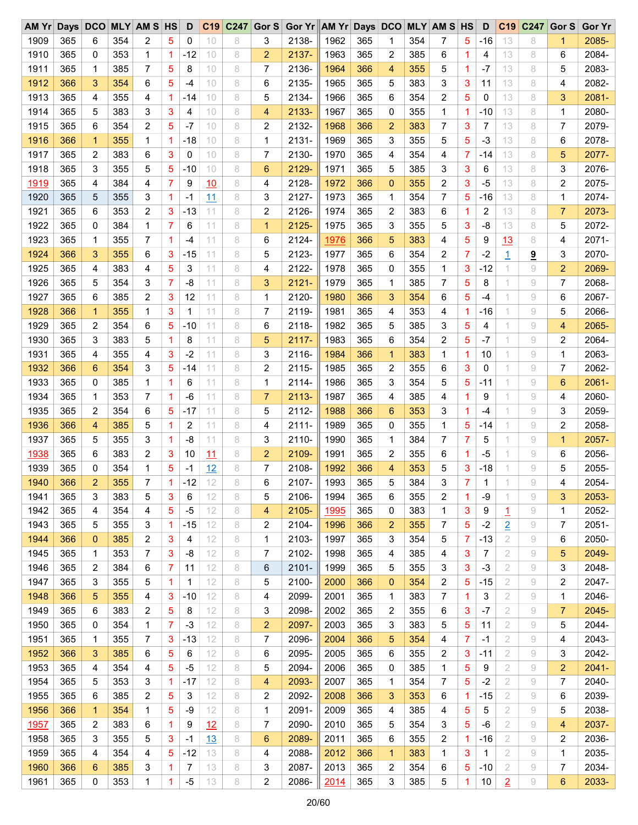| AM Yr       |     | Days DCO       |     | <b>MLY AM S HS</b> |                | D            |          | C19 C247 | Gor S          | Gor Yr AM Yr Days DCO |      |     |                |     | <b>MLY AM S HS</b> |                | D     | C <sub>19</sub> | C247                    | Gor S | <b>Gor Yr</b> |
|-------------|-----|----------------|-----|--------------------|----------------|--------------|----------|----------|----------------|-----------------------|------|-----|----------------|-----|--------------------|----------------|-------|-----------------|-------------------------|-------|---------------|
| 1909        | 365 | 6              | 354 | 2                  | 5              | 0            | 10       | 8        | 3              | 2138-                 | 1962 | 365 | 1              | 354 | 7                  | 5              | $-16$ | 13              | 8                       | 1     | 2085-         |
| 1910        | 365 | 0              | 353 | 1                  | 1              | $-12$        | 10       | 8        | $\overline{2}$ | 2137-                 | 1963 | 365 | 2              | 385 | 6                  | 1              | 4     | 13              | 8                       | 6     | 2084-         |
| 1911        | 365 | $\mathbf 1$    | 385 | 7                  | 5              | 8            | 10       | 8        | 7              | 2136-                 | 1964 | 366 | 4              | 355 | 5                  | 1              | $-7$  | 13              | 8                       | 5     | 2083-         |
| 1912        | 366 | 3              | 354 | 6                  | 5              | -4           | 10       | 8        | 6              | 2135-                 | 1965 | 365 | 5              | 383 | 3                  | 3              | 11    | 13              | 8                       | 4     | 2082-         |
| 1913        | 365 | 4              | 355 | 4                  | 1              | -14          | 10       | 8        | 5              | 2134-                 | 1966 | 365 | 6              | 354 | 2                  | 5              | 0     | 13              | 8                       | 3     | 2081-         |
| 1914        | 365 | 5              | 383 | 3                  | 3              | 4            | 10       | 8        | 4              | 2133-                 | 1967 | 365 | 0              | 355 | 1                  | 1              | $-10$ | 13              | 8                       | 1     | 2080-         |
| 1915        | 365 | 6              | 354 | 2                  | 5              | $-7$         | 10       | 8        | 2              | 2132-                 | 1968 | 366 | $\overline{2}$ | 383 | 7                  | 3              | 7     | 13              | 8                       | 7     | 2079-         |
| 1916        | 366 | $\mathbf{1}$   | 355 | 1                  | $\mathbf 1$    | $-18$        | 10       | 8        | 1              | 2131-                 | 1969 | 365 | 3              | 355 | 5                  | 5              | $-3$  | 13              | 8                       | 6     | 2078-         |
| 1917        | 365 | 2              | 383 | 6                  | 3              | 0            | 10       | 8        | 7              | 2130-                 | 1970 | 365 | 4              | 354 | 4                  | 7              | $-14$ | 13              | 8                       | 5     | 2077-         |
| 1918        | 365 | 3              | 355 | 5                  | 5              | $-10$        | 10       | 8        | 6              | 2129-                 | 1971 | 365 | 5              | 385 | 3                  | 3              | 6     | 13              | 8                       | 3     | 2076-         |
| <u>1919</u> | 365 | 4              | 384 | 4                  | 7              | 9            | 10       | 8        | 4              | 2128-                 | 1972 | 366 | $\mathbf{0}$   | 355 | 2                  | 3              | $-5$  | 13              | 8                       | 2     | 2075-         |
| 1920        | 365 | 5              | 355 | 3                  | 1              | $-1$         | 11       | 8        | 3              | 2127-                 | 1973 | 365 | 1              | 354 | 7                  | 5              | $-16$ | 13              | 8                       | 1     | 2074-         |
| 1921        | 365 | 6              | 353 | 2                  | 3              | $-13$        | 11       | 8        | 2              | 2126-                 | 1974 | 365 | 2              | 383 | 6                  | 1              | 2     | 13              | 8                       | 7     | 2073-         |
| 1922        | 365 | 0              | 384 | 1                  | $\overline{7}$ | 6            | 11       | 8        | $\mathbf{1}$   | 2125-                 | 1975 | 365 | 3              | 355 | 5                  | 3              | -8    | 13              | 8                       | 5     | 2072-         |
| 1923        | 365 | 1              | 355 | 7                  | $\mathbf 1$    | -4           | 11       | 8        | 6              | 2124-                 | 1976 | 366 | 5              | 383 | 4                  | 5              | 9     | 13              | 8                       | 4     | 2071-         |
| 1924        | 366 | 3              | 355 | 6                  | 3              | $-15$        | 11       | 8        | 5              | 2123-                 | 1977 | 365 | 6              | 354 | 2                  | 7              | $-2$  | $\overline{1}$  | $\overline{\mathbf{a}}$ | 3     | 2070-         |
| 1925        | 365 | 4              | 383 | 4                  | 5              | 3            | 11       | 8        | 4              | 2122-                 | 1978 | 365 | 0              | 355 | 1                  | 3              | $-12$ | 1               | 9                       | 2     | 2069-         |
| 1926        | 365 | 5              | 354 | 3                  | 7              | -8           | 11       | 8        | 3              | $2121 -$              | 1979 | 365 | 1              | 385 | 7                  | 5              | 8     | 1               | 9                       | 7     | 2068-         |
| 1927        | 365 | 6              | 385 | 2                  | 3              | 12           | 11       | 8        | 1              | 2120-                 | 1980 | 366 | 3              | 354 | 6                  | 5              | $-4$  | 1               | 9                       | 6     | 2067-         |
| 1928        |     |                |     |                    | 3              |              |          |          | 7              |                       |      | 365 |                |     |                    |                |       | 1               |                         |       | 2066-         |
|             | 366 | $\mathbf{1}$   | 355 | 1                  |                | 1            | 11<br>11 | 8        |                | 2119-                 | 1981 | 365 | 4              | 353 | 4                  | 1              | $-16$ | 1               | 9                       | 5     | 2065-         |
| 1929        | 365 | 2              | 354 | 6                  | 5              | $-10$        |          | 8        | 6              | 2118-                 | 1982 |     | 5              | 385 | 3                  | 5              | 4     |                 | 9                       | 4     |               |
| 1930        | 365 | 3              | 383 | 5                  | 1              | 8            | 11       | 8        | 5              | 2117-                 | 1983 | 365 | 6              | 354 | 2                  | 5              | $-7$  | 1               | 9                       | 2     | 2064-         |
| 1931        | 365 | 4              | 355 | 4                  | 3              | $-2$         | 11       | 8        | 3              | 2116-                 | 1984 | 366 | 1              | 383 | 1                  | 1              | 10    | 1               | 9                       | 1     | 2063-         |
| 1932        | 366 | 6              | 354 | 3                  | 5              | $-14$        | 11       | 8        | 2              | 2115-                 | 1985 | 365 | 2              | 355 | 6                  | 3              | 0     | 1               | 9                       | 7     | 2062-         |
| 1933        | 365 | 0              | 385 | 1                  | 1              | 6            | 11       | 8        | 1              | 2114-                 | 1986 | 365 | 3              | 354 | 5                  | 5              | $-11$ | 1               | 9                       | 6     | 2061-         |
| 1934        | 365 | 1              | 353 | 7                  | 1              | $-6$         | 11       | 8        | $\overline{7}$ | 2113-                 | 1987 | 365 | 4              | 385 | 4                  | 1              | 9     | 1               | 9                       | 4     | 2060-         |
| 1935        | 365 | 2              | 354 | 6                  | 5              | -17          | 11       | 8        | 5              | 2112-                 | 1988 | 366 | 6              | 353 | 3                  | 1              | -4    | 1               | 9                       | 3     | 2059-         |
| 1936        | 366 | 4              | 385 | 5                  | 1              | 2            | 11       | 8        | 4              | $2111 -$              | 1989 | 365 | 0              | 355 | 1                  | 5              | $-14$ | 1               | 9                       | 2     | 2058-         |
| 1937        | 365 | 5              | 355 | 3                  | -1             | -8           | 11       | 8        | 3              | 2110-                 | 1990 | 365 | 1              | 384 | 7                  | 7              | 5     | 1               | 9                       | 1     | 2057-         |
| 1938        | 365 | 6              | 383 | 2                  | 3              | 10           | 11       | 8        | $\overline{2}$ | 2109-                 | 1991 | 365 | 2              | 355 | 6                  | 1              | $-5$  | 1               | 9                       | 6     | 2056-         |
| 1939        | 365 | 0              | 354 | 1                  | 5              | -1           | 12       | 8        | 7              | 2108-                 | 1992 | 366 | 4              | 353 | 5                  | 3              | $-18$ | 1               | 9                       | 5     | 2055-         |
| 1940        | 366 | $\overline{2}$ | 355 | 7                  | 1              | $-12$        | 12       | 8        | 6              | 2107-                 | 1993 | 365 | 5              | 384 | 3                  | $\overline{7}$ | 1     |                 | 9                       | 4     | 2054-         |
| 1941        | 365 | 3              | 383 | 5                  | 3              | 6            | 12       | 8        | 5              | 2106-                 | 1994 | 365 | 6              | 355 | 2                  | 1              | -9    | 1               | 9                       | 3     | 2053-         |
| 1942        | 365 | 4              | 354 | 4                  | 5              | -5           | 12       | 8        | 4              | 2105-                 | 1995 | 365 | 0              | 383 | 1                  | 3              | 9     | <u>1</u>        | 9                       | 1     | 2052-         |
| 1943        | 365 | 5              | 355 | 3                  | $\mathbf 1$    | $-15$        | 12       | 8        | 2              | 2104-                 | 1996 | 366 | $\overline{c}$ | 355 | 7                  | 5              | $-2$  | $\overline{2}$  | 9                       | 7     | $2051 -$      |
| 1944        | 366 | $\mathbf 0$    | 385 | 2                  | 3              | 4            | 12       | 8        | 1              | 2103-                 | 1997 | 365 | 3              | 354 | 5                  | 7              | $-13$ | 2               | 9                       | 6     | 2050-         |
| 1945        | 365 | 1              | 353 | 7                  | 3              | -8           | 12       | 8        | 7              | 2102-                 | 1998 | 365 | 4              | 385 | 4                  | 3              | 7     | 2               | 9                       | 5     | 2049-         |
| 1946        | 365 | 2              | 384 | 6                  | 7              | 11           | 12       | 8        | 6              | 2101-                 | 1999 | 365 | 5              | 355 | 3                  | 3              | $-3$  | 2               | 9                       | 3     | 2048-         |
| 1947        | 365 | 3              | 355 | 5                  | $\mathbf 1$    | $\mathbf{1}$ | 12       | 8        | 5              | 2100-                 | 2000 | 366 | $\mathbf{0}$   | 354 | 2                  | 5              | $-15$ | 2               | 9                       | 2     | 2047-         |
| 1948        | 366 | 5              | 355 | 4                  | 3              | $-10$        | 12       | 8        | 4              | 2099-                 | 2001 | 365 | 1              | 383 | 7                  | 1              | 3     | 2               | 9                       | 1     | 2046-         |
| 1949        | 365 | 6              | 383 | 2                  | 5              | 8            | 12       | 8        | 3              | 2098-                 | 2002 | 365 | 2              | 355 | 6                  | 3              | $-7$  | 2               | 9                       | 7     | 2045-         |
| 1950        | 365 | 0              | 354 | 1                  | 7              | $-3$         | 12       | 8        | $\overline{a}$ | 2097-                 | 2003 | 365 | 3              | 383 | 5                  | 5              | 11    | 2               | 9                       | 5     | 2044-         |
| 1951        | 365 | 1              | 355 | 7                  | 3              | $-13$        | 12       | 8        | 7              | 2096-                 | 2004 | 366 | 5              | 354 | 4                  | 7              | $-1$  | 2               | 9                       | 4     | 2043-         |
| 1952        | 366 | 3              | 385 | 6                  | 5              | 6            | 12       | 8        | 6              | 2095-                 | 2005 | 365 | 6              | 355 | 2                  | 3              | $-11$ | 2               | 9                       | 3     | 2042-         |
| 1953        | 365 | 4              | 354 | 4                  | 5              | -5           | 12       | 8        | 5              | 2094-                 | 2006 | 365 | 0              | 385 | 1                  | 5              | 9     | 2               | 9                       | 2     | 2041-         |
| 1954        | 365 | 5              | 353 | 3                  | $\mathbf 1$    | $-17$        | 12       | 8        | 4              | 2093-                 | 2007 | 365 | 1              | 354 | 7                  | 5              | $-2$  | 2               | 9                       | 7     | 2040-         |
| 1955        | 365 | 6              | 385 | 2                  | 5              | 3            | 12       | 8        | 2              | 2092-                 | 2008 | 366 | 3              | 353 | 6                  | 1              | $-15$ | 2               | 9                       | 6     | 2039-         |
| 1956        | 366 | $\mathbf{1}$   | 354 | 1                  | 5              | -9           | 12       | 8        | 1              | 2091-                 | 2009 | 365 | 4              | 385 | 4                  | 5              | 5     | 2               | 9                       | 5     | 2038-         |
| <u>1957</u> | 365 | 2              | 383 | 6                  | 1              | 9            | 12       | 8        | 7              | 2090-                 | 2010 | 365 | 5              | 354 | 3                  | 5              | -6    | 2               | 9                       | 4     | 2037-         |
| 1958        | 365 | 3              | 355 | 5                  | 3              | $-1$         | 13       | 8        | 6              | 2089-                 | 2011 | 365 | 6              | 355 | 2                  | 1              | $-16$ | 2               | 9                       | 2     | 2036-         |
| 1959        | 365 | 4              | 354 | 4                  | 5              | $-12$        | 13       | 8        | 4              | 2088-                 | 2012 | 366 | 1              | 383 | 1                  | 3              | 1     | 2               | 9                       | 1     | 2035-         |
| 1960        | 366 | 6              | 385 | 3                  | 1              | 7            | 13       | 8        | 3              | 2087-                 | 2013 | 365 | 2              | 354 | 6                  | 5              | $-10$ | 2               | 9                       | 7     | 2034-         |
| 1961        | 365 | 0              | 353 | 1                  | 1              | $-5$         | 13       | 8        | 2              | 2086-                 | 2014 | 365 | 3              | 385 | 5                  | 1              | 10    | $\overline{2}$  | 9                       | 6     | 2033-         |
|             |     |                |     |                    |                |              |          |          |                |                       |      |     |                |     |                    |                |       |                 |                         |       |               |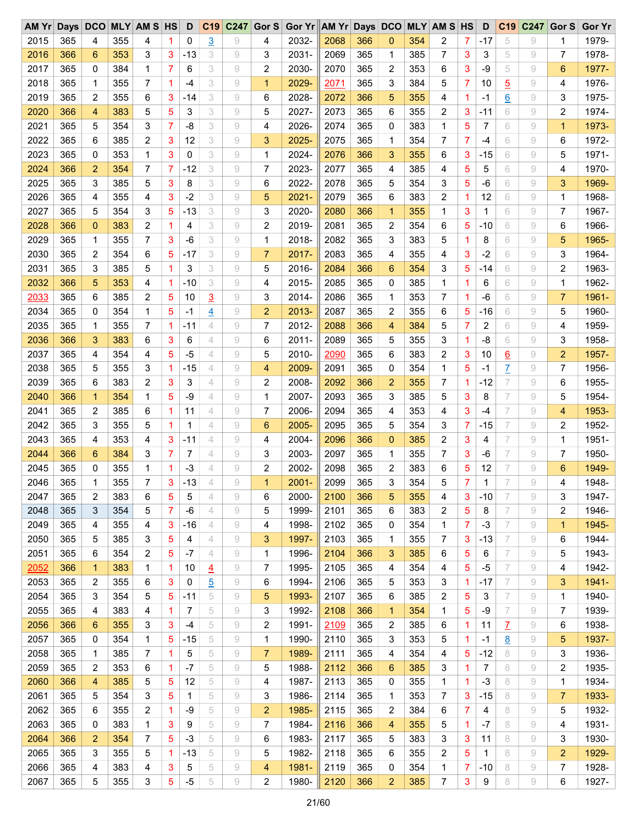| $AM$ $Yr$ |     |                |     | Days DCO MLY AM S HS    |                | D     |                | C19 C247 | Gor $S$        | Gor Yr AM Yr Days DCO |      |     |                |     | <b>MLY AM S HS</b> |             | D     | C <sub>19</sub> | C247 | Gor S        | <b>Gor Yr</b> |
|-----------|-----|----------------|-----|-------------------------|----------------|-------|----------------|----------|----------------|-----------------------|------|-----|----------------|-----|--------------------|-------------|-------|-----------------|------|--------------|---------------|
| 2015      | 365 | 4              | 355 | 4                       | 1              | 0     | $\overline{3}$ | 9        | 4              | 2032-                 | 2068 | 366 | $\mathbf 0$    | 354 | 2                  | 7           | $-17$ | 5               | 9    | 1            | 1979-         |
| 2016      | 366 | 6              | 353 | 3                       | 3              | $-13$ | 3              | 9        | 3              | 2031-                 | 2069 | 365 | 1              | 385 | 7                  | 3           | 3     | 5               | 9    | 7            | 1978-         |
| 2017      | 365 | 0              | 384 | 1                       | 7              | 6     | 3              | 9        | 2              | 2030-                 | 2070 | 365 | 2              | 353 | 6                  | 3           | $-9$  | 5               | 9    | 6            | 1977-         |
| 2018      | 365 | 1              | 355 | 7                       | 1              | -4    | 3              | 9        | $\mathbf{1}$   | 2029-                 | 2071 | 365 | 3              | 384 | 5                  | 7           | 10    | $\overline{5}$  | 9    | 4            | 1976-         |
| 2019      | 365 | 2              | 355 | 6                       | 3              | $-14$ | 3              | 9        | 6              | 2028-                 | 2072 | 366 | 5              | 355 | 4                  | 1.          | -1    | $\underline{6}$ | 9    | 3            | 1975-         |
| 2020      | 366 | 4              | 383 | 5                       | 5              | 3     | 3              | 9        | 5              | 2027-                 | 2073 | 365 | 6              | 355 | 2                  | 3           | $-11$ | 6               | 9    | 2            | 1974-         |
| 2021      | 365 | 5              | 354 | 3                       | 7              | $-8$  | 3              | 9        | 4              | 2026-                 | 2074 | 365 | 0              | 383 | $\mathbf{1}$       | 5           | 7     | 6               | 9    | $\mathbf{1}$ | 1973-         |
| 2022      | 365 | 6              | 385 | $\overline{\mathbf{c}}$ | 3              | 12    | 3              | 9        | 3              | 2025-                 | 2075 | 365 | 1              | 354 | 7                  | 7           | $-4$  | 6               | 9    | 6            | 1972-         |
| 2023      | 365 | 0              | 353 | 1                       | 3              | 0     | 3              | 9        | 1              | 2024-                 | 2076 | 366 | 3              | 355 | 6                  | 3           | $-15$ | 6               | 9    | 5            | 1971-         |
| 2024      | 366 | $\overline{2}$ | 354 | 7                       | 7              | $-12$ | 3              | 9        | $\overline{7}$ | 2023-                 | 2077 | 365 | 4              | 385 | 4                  | 5           | 5     | 6               | 9    | 4            | 1970-         |
| 2025      | 365 | 3              | 385 | 5                       | 3              | 8     | 3              | 9        | 6              | 2022-                 | 2078 | 365 | 5              | 354 | 3                  | 5           | $-6$  | 6               | 9    | 3            | 1969-         |
| 2026      | 365 | 4              | 355 | 4                       | 3              | $-2$  | 3              | 9        | 5              | $2021 -$              | 2079 | 365 | 6              | 383 | 2                  | 1           | 12    | 6               | 9    | 1            | 1968-         |
| 2027      | 365 | 5              | 354 | 3                       | 5              | $-13$ | 3              | 9        | 3              | 2020-                 | 2080 | 366 | $\mathbf{1}$   | 355 | 1                  | 3           | 1     | 6               | 9    | 7            | 1967-         |
| 2028      |     | 0              |     |                         | 1              | 4     | 3              | 9        | 2              | 2019-                 | 2081 | 365 |                |     | 6                  |             |       | 6               | 9    | 6            |               |
|           | 366 |                | 383 | 2                       |                |       |                |          |                |                       |      |     | $\overline{2}$ | 354 |                    | 5           | $-10$ |                 |      |              | 1966-         |
| 2029      | 365 | 1              | 355 | 7                       | 3              | -6    | 3              | 9        | 1              | 2018-                 | 2082 | 365 | 3              | 383 | 5                  | 1           | 8     | 6               | 9    | 5            | 1965-         |
| 2030      | 365 | 2              | 354 | 6                       | 5              | $-17$ | 3              | 9        | $\overline{7}$ | 2017-                 | 2083 | 365 | 4              | 355 | 4                  | 3           | $-2$  | 6               | 9    | 3            | 1964-         |
| 2031      | 365 | 3              | 385 | 5                       | $\overline{1}$ | 3     | 3              | 9        | 5              | 2016-                 | 2084 | 366 | 6              | 354 | 3                  | 5           | $-14$ | 6               | 9    | 2            | 1963-         |
| 2032      | 366 | 5              | 353 | 4                       | 1              | $-10$ | 3              | 9        | 4              | 2015-                 | 2085 | 365 | 0              | 385 | 1                  | 1           | 6     | 6               | 9    | 1            | 1962-         |
| 2033      | 365 | 6              | 385 | $\overline{c}$          | 5              | 10    | $\overline{3}$ | 9        | 3              | 2014-                 | 2086 | 365 | 1              | 353 | 7                  | $\mathbf 1$ | -6    | 6               | 9    | 7            | 1961-         |
| 2034      | 365 | 0              | 354 | 1                       | 5              | -1    | 4              | 9        | $\overline{2}$ | 2013-                 | 2087 | 365 | 2              | 355 | 6                  | 5           | $-16$ | 6               | 9    | 5            | 1960-         |
| 2035      | 365 | 1              | 355 | 7                       | 1              | $-11$ | 4              | 9        | $\overline{7}$ | 2012-                 | 2088 | 366 | 4              | 384 | 5                  | 7           | 2     | 6               | 9    | 4            | 1959-         |
| 2036      | 366 | 3              | 383 | 6                       | 3              | 6     | 4              | 9        | 6              | $2011 -$              | 2089 | 365 | 5              | 355 | 3                  | 1.          | -8    | 6               | 9    | 3            | 1958-         |
| 2037      | 365 | 4              | 354 | 4                       | 5              | -5    | 4              | 9        | 5              | 2010-                 | 2090 | 365 | 6              | 383 | 2                  | 3           | 10    | $\underline{6}$ | 9    | 2            | 1957-         |
| 2038      | 365 | 5              | 355 | 3                       | 1              | $-15$ | 4              | 9        | $\overline{4}$ | 2009-                 | 2091 | 365 | 0              | 354 | 1                  | 5           | $-1$  | $\overline{L}$  | 9    | 7            | 1956-         |
| 2039      | 365 | 6              | 383 | $\overline{c}$          | 3              | 3     | 4              | 9        | 2              | 2008-                 | 2092 | 366 | $\overline{2}$ | 355 | 7                  | 1           | $-12$ | 7               | 9    | 6            | 1955-         |
| 2040      | 366 | $\mathbf{1}$   | 354 | 1                       | 5              | -9    | 4              | 9        | 1              | 2007-                 | 2093 | 365 | 3              | 385 | 5                  | 3           | 8     | 7               | 9    | 5            | 1954-         |
| 2041      | 365 | 2              | 385 | 6                       | 1              | 11    | 4              | 9        | 7              | 2006-                 | 2094 | 365 | 4              | 353 | 4                  | 3           | -4    | 7               | 9    | 4            | 1953-         |
| 2042      | 365 | 3              | 355 | 5                       | 1              | 1     | 4              | 9        | 6              | 2005-                 | 2095 | 365 | 5              | 354 | 3                  | 7           | $-15$ | 7               | 9    | 2            | 1952-         |
| 2043      | 365 | 4              | 353 | 4                       | 3              | -11   | 4              | 9        | 4              | 2004-                 | 2096 | 366 | $\mathbf{0}$   | 385 | 2                  | 3           | 4     | 7               | 9    | 1            | 1951-         |
| 2044      | 366 | 6              | 384 | 3                       | 7              | 7     | 4              | 9        | 3              | 2003-                 | 2097 | 365 | 1              | 355 | 7                  | 3           | -6    | 7               | 9    | 7            | 1950-         |
| 2045      | 365 | 0              | 355 | 1                       | 1              | -3    | 4              | 9        | 2              | 2002-                 | 2098 | 365 | 2              | 383 | 6                  | 5           | 12    | 7               | 9    | 6            | 1949-         |
| 2046      | 365 | 1              | 355 | $\overline{7}$          | 3              | $-13$ | 4              | 9        | 1              | $2001 -$              | 2099 | 365 | 3              | 354 | 5                  | 7           | 1     | 7               | 9    | 4            | 1948-         |
| 2047      | 365 | 2              | 383 | 6                       | 5              | 5     | 4              | 9        | 6              | 2000-                 | 2100 | 366 | 5              | 355 | 4                  | 3           | $-10$ | 7               | 9    | 3            | 1947-         |
| 2048      | 365 | 3              | 354 | 5                       | 7              | -6    | 4              | 9        | 5              | 1999-                 | 2101 | 365 | 6              | 383 | 2                  | 5           | 8     | 7               | 9    | 2            | 1946-         |
| 2049      | 365 | 4              | 355 | 4                       | 3              | $-16$ | 4              | 9        | 4              | 1998-                 | 2102 | 365 | 0              | 354 | 1                  | 7           | $-3$  | 7               | 9    | $\mathbf{1}$ | 1945-         |
| 2050      | 365 | 5              | 385 | 3                       | 5              | 4     | 4              | 9        | 3              | 1997-                 | 2103 | 365 | 1              | 355 | 7                  | 3           | $-13$ | 7               | 9    | 6            | 1944-         |
| 2051      | 365 | 6              | 354 | $\overline{\mathbf{c}}$ | 5              | $-7$  | 4              | 9        | 1              | 1996-                 | 2104 | 366 | 3              | 385 | 6                  | 5           | 6     | 7               | 9    | 5            | 1943-         |
| 2052      | 366 | $\mathbf{1}$   | 383 | 1                       | 1              | 10    | $\overline{4}$ | 9        | 7              | 1995-                 | 2105 | 365 | 4              | 354 | 4                  | 5           | -5    | 7               | 9    | 4            | 1942-         |
| 2053      | 365 | 2              | 355 | 6                       | 3              | 0     | $\overline{5}$ | 9        | 6              | 1994-                 | 2106 | 365 | 5              | 353 | 3                  | 1           | $-17$ | 7               | 9    | 3            | 1941-         |
| 2054      | 365 | 3              | 354 | 5                       | 5              | $-11$ | 5              | 9        | 5              | 1993-                 | 2107 | 365 | 6              | 385 | 2                  | 5           | 3     | 7               | 9    | 1            | 1940-         |
| 2055      | 365 | 4              | 383 | 4                       | 1              | 7     | 5              | 9        | 3              | 1992-                 | 2108 | 366 | $\mathbf 1$    | 354 | 1                  | 5           | -9    | 7               | 9    | 7            | 1939-         |
| 2056      | 366 | 6              | 355 | 3                       | 3              | $-4$  | 5              | 9        | 2              | 1991-                 | 2109 | 365 | 2              | 385 | 6                  | 1           | 11    | $\overline{L}$  | 9    | 6            | 1938-         |
| 2057      | 365 | 0              | 354 | 1                       | 5              | $-15$ | 5              | 9        | 1              | 1990-                 | 2110 | 365 | 3              | 353 | 5                  | 1           | -1    | $\underline{8}$ | 9    | 5            | 1937-         |
| 2058      | 365 | 1              | 385 | 7                       | 1              | 5     | 5              | 9        | 7              | 1989-                 | 2111 | 365 | 4              | 354 | 4                  | 5           | $-12$ | 8               | 9    | 3            | 1936-         |
|           |     |                |     |                         |                |       |                |          |                |                       |      |     |                |     |                    |             |       |                 |      |              |               |
| 2059      | 365 | 2              | 353 | 6                       | 1              | $-7$  | 5              | 9        | 5              | 1988-                 | 2112 | 366 | 6              | 385 | 3                  | 1           | 7     | 8               | 9    | 2            | 1935-         |
| 2060      | 366 | 4              | 385 | 5                       | 5              | 12    | 5              | 9        | 4              | 1987-                 | 2113 | 365 | 0              | 355 | 1                  | 1           | $-3$  | 8               | 9    | 1            | 1934-         |
| 2061      | 365 | 5              | 354 | 3                       | 5              | 1     | 5              | 9        | 3              | 1986-                 | 2114 | 365 | 1              | 353 | 7                  | 3           | $-15$ | 8               | 9    | 7            | 1933-         |
| 2062      | 365 | 6              | 355 | 2                       | 1              | -9    | 5              | 9        | $\overline{2}$ | 1985-                 | 2115 | 365 | 2              | 384 | 6                  | 7           | 4     | 8               | 9    | 5            | 1932-         |
| 2063      | 365 | 0              | 383 | $\mathbf{1}$            | 3              | 9     | 5              | 9        | 7              | 1984-                 | 2116 | 366 | 4              | 355 | 5                  | $\mathbf 1$ | -7    | 8               | 9    | 4            | 1931-         |
| 2064      | 366 | 2              | 354 | 7                       | 5              | $-3$  | 5              | 9        | 6              | 1983-                 | 2117 | 365 | 5              | 383 | 3                  | 3           | 11    | 8               | 9    | 3            | 1930-         |
| 2065      | 365 | 3              | 355 | 5                       | 1              | $-13$ | 5              | 9        | 5              | 1982-                 | 2118 | 365 | 6              | 355 | 2                  | 5           | 1     | 8               | 9    | 2            | 1929-         |
| 2066      | 365 | 4              | 383 | 4                       | 3              | 5     | 5              | 9        | 4              | 1981-                 | 2119 | 365 | 0              | 354 | 1                  | 7           | -10   | 8               | 9    | 7            | 1928-         |
| 2067      | 365 | 5              | 355 | 3                       | 5              | $-5$  | 5              | 9        | $\overline{c}$ | 1980-                 | 2120 | 366 | $\overline{c}$ | 385 | 7                  | 3           | 9     | 8               | 9    | 6            | 1927-         |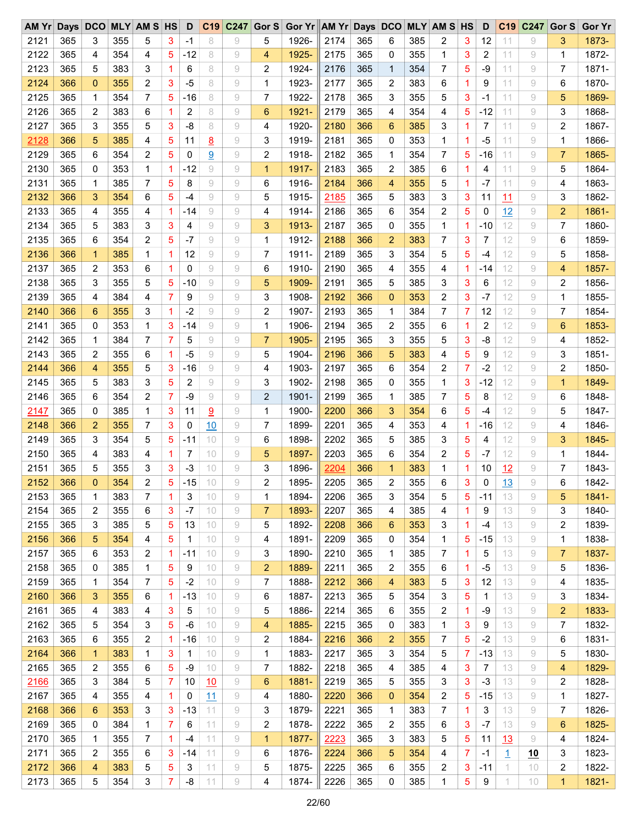| AM Yr Days DCO |     |              |     | <b>MLY AM S HS</b>      |   | D     | C <sub>19</sub> |   |                | C247 Gor S Gor Yr AM Yr Days DCO |      |     |                |     | <b>MLY AM S HS</b> |                | D     | C <sub>19</sub> | C247      | Gor S          | <b>Gor Yr</b> |
|----------------|-----|--------------|-----|-------------------------|---|-------|-----------------|---|----------------|----------------------------------|------|-----|----------------|-----|--------------------|----------------|-------|-----------------|-----------|----------------|---------------|
| 2121           | 365 | 3            | 355 | 5                       | 3 | -1    | 8               | 9 | 5              | 1926-                            | 2174 | 365 | 6              | 385 | 2                  | 3              | 12    | 11              | 9         | 3              | 1873-         |
| 2122           | 365 | 4            | 354 | 4                       | 5 | $-12$ | 8               | 9 | 4              | 1925-                            | 2175 | 365 | 0              | 355 | 1                  | 3              | 2     | 11              | 9         | 1              | 1872-         |
| 2123           | 365 | 5            | 383 | 3                       | 1 | 6     | 8               | 9 | $\overline{2}$ | 1924-                            | 2176 | 365 | 1              | 354 | 7                  | 5              | $-9$  | 11              | 9         | 7              | 1871-         |
| 2124           | 366 | 0            | 355 | 2                       | 3 | $-5$  | 8               | 9 | 1              | 1923-                            | 2177 | 365 | 2              | 383 | 6                  | 1              | 9     | 11              | 9         | 6              | 1870-         |
| 2125           | 365 | 1            | 354 | 7                       | 5 | $-16$ | 8               | 9 | 7              | 1922-                            | 2178 | 365 | 3              | 355 | 5                  | 3              | $-1$  | 11              | 9         | 5              | 1869-         |
| 2126           | 365 | 2            | 383 | 6                       | 1 | 2     | 8               | 9 | 6              | 1921-                            | 2179 | 365 | 4              | 354 | 4                  | 5              | $-12$ | 11              | 9         | 3              | 1868-         |
| 2127           | 365 | 3            | 355 | 5                       | 3 | $-8$  | 8               | 9 | 4              | 1920-                            | 2180 | 366 | 6              | 385 | 3                  | 1              | 7     | 11              | 9         | 2              | 1867-         |
| 2128           | 366 | 5            | 385 | 4                       | 5 | 11    | 8               | 9 | 3              | 1919-                            | 2181 | 365 | 0              | 353 | 1                  | $\mathbf{1}$   | $-5$  | 11              | 9         | 1              | 1866-         |
| 2129           | 365 | 6            | 354 | $\overline{\mathbf{c}}$ | 5 | 0     | 9               | 9 | 2              | 1918-                            | 2182 | 365 | 1              | 354 | 7                  | 5              | $-16$ | 11              | 9         | 7              | 1865-         |
| 2130           | 365 | 0            | 353 | 1                       | 1 | $-12$ | 9               | 9 | $\mathbf{1}$   | 1917-                            | 2183 | 365 | 2              | 385 | 6                  | 1              | 4     | 11              | 9         | 5              | 1864-         |
| 2131           | 365 | 1            | 385 | 7                       | 5 | 8     | 9               | 9 | 6              | 1916-                            | 2184 | 366 | 4              | 355 | 5                  | 1              | $-7$  | 11              | 9         | 4              | 1863-         |
| 2132           | 366 | 3            | 354 | 6                       | 5 | $-4$  | 9               | 9 | 5              | 1915-                            | 2185 | 365 | 5              | 383 | 3                  | 3              | 11    | 11              | 9         | 3              | 1862-         |
| 2133           | 365 | 4            | 355 | 4                       | 1 | -14   | 9               | 9 | 4              | 1914-                            | 2186 | 365 | 6              | 354 | 2                  | 5              | 0     | 12              | 9         | $\overline{2}$ | 1861-         |
| 2134           | 365 | 5            | 383 | 3                       | 3 | 4     | 9               | 9 | 3              | 1913-                            | 2187 | 365 | 0              | 355 | $\mathbf{1}$       | $\mathbf{1}$   | $-10$ | 12              | $\rm{g}$  | 7              | 1860-         |
| 2135           | 365 | 6            | 354 | 2                       | 5 | $-7$  | 9               | 9 | 1              | 1912-                            | 2188 | 366 | $\overline{2}$ | 383 | 7                  | 3              | 7     | 12              | 9         | 6              | 1859-         |
| 2136           | 366 | $\mathbf{1}$ | 385 | 1                       | 1 | 12    | 9               | 9 | 7              | 1911-                            | 2189 | 365 | 3              | 354 | 5                  | 5              | $-4$  | 12              | 9         | 5              | 1858-         |
| 2137           | 365 | 2            | 353 | 6                       | 1 | 0     | 9               | 9 | 6              | 1910-                            | 2190 | 365 | 4              | 355 | 4                  | $\mathbf{1}$   | $-14$ | 12              | 9         | 4              | 1857-         |
|                |     |              |     |                         |   |       |                 |   |                |                                  |      |     |                |     |                    |                |       |                 |           |                |               |
| 2138           | 365 | 3            | 355 | 5                       | 5 | $-10$ | 9               | 9 | 5              | 1909-                            | 2191 | 365 | 5              | 385 | 3                  | 3              | 6     | 12              | 9         | 2              | 1856-         |
| 2139           | 365 | 4            | 384 | 4                       | 7 | 9     | 9               | 9 | 3              | 1908-                            | 2192 | 366 | $\overline{0}$ | 353 | 2                  | 3              | $-7$  | 12              | 9         | 1              | 1855-         |
| 2140           | 366 | 6            | 355 | 3                       | 1 | $-2$  | 9               | 9 | 2              | 1907-                            | 2193 | 365 | $\mathbf 1$    | 384 | 7                  | 7              | 12    | 12              | 9         | 7              | 1854-         |
| 2141           | 365 | 0            | 353 | 1                       | 3 | $-14$ | $\rm{g}$        | 9 | $\mathbf 1$    | 1906-                            | 2194 | 365 | $\overline{2}$ | 355 | 6                  | 1              | 2     | 12              | 9         | 6              | 1853-         |
| 2142           | 365 | 1            | 384 | 7                       | 7 | 5     | 9               | 9 | $\overline{7}$ | 1905-                            | 2195 | 365 | 3              | 355 | 5                  | 3              | -8    | 12              | 9         | 4              | 1852-         |
| 2143           | 365 | 2            | 355 | 6                       | 1 | $-5$  | 9               | 9 | 5              | 1904-                            | 2196 | 366 | 5              | 383 | 4                  | 5              | 9     | 12              | 9         | 3              | 1851-         |
| 2144           | 366 | 4            | 355 | 5                       | 3 | $-16$ | 9               | 9 | 4              | 1903-                            | 2197 | 365 | 6              | 354 | 2                  | $\overline{7}$ | $-2$  | 12              | 9         | 2              | 1850-         |
| 2145           | 365 | 5            | 383 | 3                       | 5 | 2     | 9               | 9 | 3              | 1902-                            | 2198 | 365 | 0              | 355 | 1                  | 3              | $-12$ | 12              | 9         | $\mathbf{1}$   | 1849-         |
| 2146           | 365 | 6            | 354 | $\overline{c}$          | 7 | $-9$  | 9               | 9 | $\overline{2}$ | 1901-                            | 2199 | 365 | 1              | 385 | 7                  | 5              | 8     | 12              | 9         | 6              | 1848-         |
| 2147           | 365 | 0            | 385 | 1                       | 3 | 11    | 9               | 9 | 1              | 1900-                            | 2200 | 366 | 3              | 354 | 6                  | 5              | $-4$  | 12              | 9         | 5              | 1847-         |
| 2148           | 366 | 2            | 355 | 7                       | 3 | 0     | 10              | 9 | 7              | 1899-                            | 2201 | 365 | 4              | 353 | 4                  | $\mathbf{1}$   | $-16$ | 12              | 9         | 4              | 1846-         |
| 2149           | 365 | 3            | 354 | 5                       | 5 | -11   | 10              | 9 | 6              | 1898-                            | 2202 | 365 | 5              | 385 | 3                  | 5              | 4     | 12              | 9         | 3              | 1845-         |
| 2150           | 365 | 4            | 383 | 4                       | 1 | 7     | 10              | 9 | 5              | 1897-                            | 2203 | 365 | 6              | 354 | 2                  | 5              | $-7$  | 12              | 9         | 1              | 1844-         |
| 2151           | 365 | 5            | 355 | 3                       | 3 | $-3$  | 10              | 9 | 3              | 1896-                            | 2204 | 366 | $\mathbf 1$    | 383 | 1                  | 1.             | 10    | 12              | 9         | 7              | 1843-         |
| 2152           | 366 | 0            | 354 | $\overline{2}$          | 5 | $-15$ | 10              | 9 | $\overline{2}$ | 1895-                            | 2205 | 365 | $\overline{2}$ | 355 | 6                  | 3              | 0     | 13              | 9         | 6              | 1842-         |
| 2153           | 365 | 1            | 383 | 7                       | 1 | 3     | 10              | 9 | 1              | 1894-                            | 2206 | 365 | 3              | 354 | 5                  | 5              | $-11$ | 13              | 9         | 5              | 1841-         |
| 2154           | 365 | 2            | 355 | 6                       | 3 | $-7$  | 10              | 9 | 7              | 1893-                            | 2207 | 365 | 4              | 385 | 4                  | $\mathbf{1}$   | 9     | 13              | 9         | 3              | 1840-         |
| 2155           | 365 | 3            | 385 | 5                       | 5 | 13    | 10              | 9 | 5              | 1892-                            | 2208 | 366 | 6              | 353 | 3                  | $\mathbf{1}$   | $-4$  | 13              | 9         | 2              | 1839-         |
| 2156           | 366 | 5            | 354 | 4                       | 5 | 1     | 10              | 9 | 4              | 1891-                            | 2209 | 365 | 0              | 354 | 1                  | 5              | $-15$ | 13              | 9         | 1              | 1838-         |
| 2157           | 365 | 6            | 353 | $\overline{c}$          | 1 | $-11$ | 10              | 9 | 3              | 1890-                            | 2210 | 365 | 1              | 385 | 7                  | $\mathbf{1}$   | 5     | 13              | 9         | 7              | 1837-         |
| 2158           | 365 | 0            | 385 | 1                       | 5 | 9     | 10              | 9 | $\overline{2}$ | 1889-                            | 2211 | 365 | 2              | 355 | 6                  | $\mathbf{1}$   | -5    | 13              | 9         | 5              | 1836-         |
| 2159           | 365 | 1            | 354 | 7                       | 5 | $-2$  | 10              | 9 | 7              | 1888-                            | 2212 | 366 | 4              | 383 | 5                  | 3              | 12    | 13              | 9         | 4              | 1835-         |
| 2160           | 366 | 3            | 355 | 6                       | 1 | $-13$ | 10              | 9 | 6              | 1887-                            | 2213 | 365 | 5              | 354 | 3                  | 5              | 1     | 13              | 9         | 3              | 1834-         |
| 2161           | 365 | 4            | 383 | 4                       | 3 | 5     | 10              | 9 | 5              | 1886-                            | 2214 | 365 | 6              | 355 | 2                  | $\mathbf{1}$   | -9    | 13              | 9         | 2              | 1833-         |
| 2162           | 365 | 5            | 354 | 3                       | 5 | $-6$  | 10              | 9 | 4              | 1885-                            | 2215 | 365 | 0              | 383 | 1                  | 3              | 9     | 13              | 9         | 7              | 1832-         |
| 2163           | 365 | 6            | 355 | 2                       | 1 | -16   | 10              | 9 | 2              | 1884-                            | 2216 | 366 | 2              | 355 | 7                  | 5              | $-2$  | 13              | 9         | 6              | 1831-         |
| 2164           | 366 | 1            | 383 | 1                       | 3 | 1     | 10              | 9 | 1              | 1883-                            | 2217 | 365 | 3              | 354 | 5                  | 7              | -13   | 13              | 9         | 5              | 1830-         |
| 2165           | 365 | 2            | 355 | 6                       | 5 | -9    | 10              | 9 | 7              | 1882-                            | 2218 | 365 | 4              | 385 | 4                  | 3              | 7     | 13              | 9         | 4              | 1829-         |
| 2166           | 365 | 3            | 384 | 5                       | 7 | 10    | 10              | 9 | 6              | 1881-                            | 2219 | 365 | 5              | 355 | 3                  | 3              | $-3$  | 13              | 9         | 2              | 1828-         |
| 2167           | 365 | 4            | 355 | 4                       | 1 | 0     | 11              | 9 | 4              | 1880-                            | 2220 | 366 | $\mathbf 0$    | 354 | 2                  | 5              | $-15$ | 13              | 9         | 1              | 1827-         |
| 2168           | 366 | 6            | 353 | 3                       | 3 | $-13$ | 11              | 9 | 3              | 1879-                            | 2221 | 365 | 1              | 383 | 7                  | 1              | 3     | 13              | 9         | 7              | 1826-         |
| 2169           | 365 | 0            | 384 | 1                       | 7 | 6     | 11              | 9 | 2              | 1878-                            | 2222 | 365 | 2              | 355 | 6                  | 3              | -7    | 13              | 9         | 6              | 1825-         |
| 2170           | 365 | 1            | 355 | 7                       | 1 | $-4$  | 11              | 9 | $\mathbf{1}$   | 1877-                            | 2223 | 365 | 3              | 383 | 5                  | 5              | 11    | 13              | 9         | 4              | 1824-         |
| 2171           | 365 | 2            | 355 | 6                       | 3 | $-14$ | 11              | 9 | 6              | 1876-                            | 2224 | 366 | 5              | 354 | 4                  | 7              | -1    | 1               | <u>10</u> | 3              | 1823-         |
| 2172           | 366 | 4            | 383 | 5                       | 5 | 3     | 11              | 9 | 5              | 1875-                            | 2225 | 365 | 6              | 355 | 2                  | 3              | -11   | 1.              | 10        | 2              | 1822-         |
| 2173           | 365 | 5            | 354 | 3                       | 7 | -8    | 11              | 9 | 4              | 1874-                            | 2226 | 365 | 0              | 385 | 1                  | 5              | 9     | 1               | 10        | $\mathbf{1}$   | 1821-         |
|                |     |              |     |                         |   |       |                 |   |                |                                  |      |     |                |     |                    |                |       |                 |           |                |               |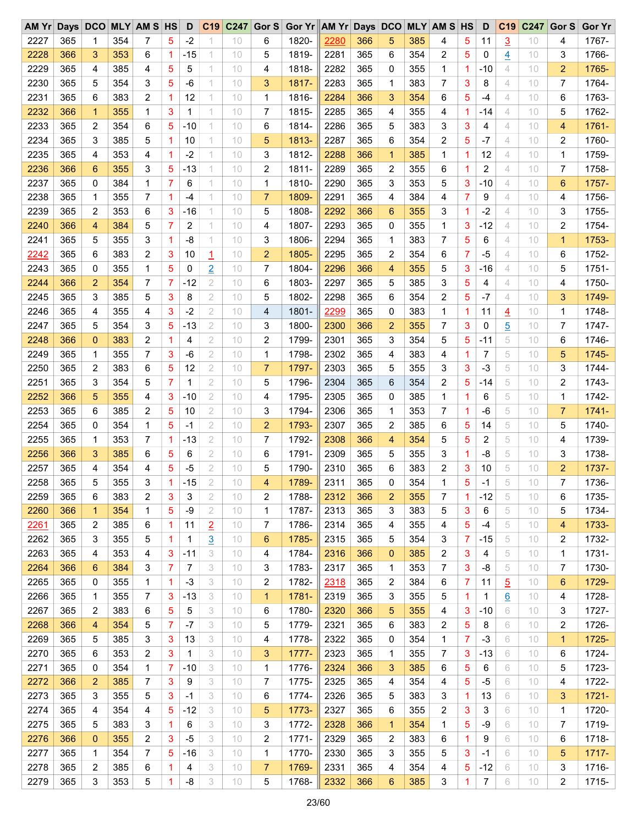| AM Yr Days DCO MLY AM S HS |     |              |     |                         |                | D     |                |    |                | C19 C247 Gor S Gor Yr AM Yr Days DCO |      |     |                 |     | <b>MLY AM S HS</b> |                | D     | C <sub>19</sub> | C247 | Gor S          | <b>Gor Yr</b> |
|----------------------------|-----|--------------|-----|-------------------------|----------------|-------|----------------|----|----------------|--------------------------------------|------|-----|-----------------|-----|--------------------|----------------|-------|-----------------|------|----------------|---------------|
| 2227                       | 365 | 1            | 354 | 7                       | 5              | $-2$  |                | 10 | 6              | 1820-                                | 2280 | 366 | 5               | 385 | 4                  | 5              | 11    | $\overline{3}$  | 10   | 4              | 1767-         |
| 2228                       | 366 | 3            | 353 | 6                       | 1              | $-15$ | 1              | 10 | 5              | 1819-                                | 2281 | 365 | 6               | 354 | 2                  | 5              | 0     | $\overline{4}$  | 10   | 3              | 1766-         |
| 2229                       | 365 | 4            | 385 | 4                       | 5              | 5     | 1              | 10 | 4              | 1818-                                | 2282 | 365 | 0               | 355 | 1                  | $\mathbf{1}$   | $-10$ | 4               | 10   | $\overline{c}$ | 1765-         |
| 2230                       | 365 | 5            | 354 | 3                       | 5              | -6    | 1              | 10 | 3              | 1817-                                | 2283 | 365 | 1               | 383 | 7                  | 3              | 8     | 4               | 10   | 7              | 1764-         |
| 2231                       | 365 | 6            | 383 | $\overline{c}$          | 1              | 12    | 1              | 10 | $\mathbf{1}$   | 1816-                                | 2284 | 366 | 3               | 354 | 6                  | 5              | $-4$  | 4               | 10   | 6              | 1763-         |
| 2232                       | 366 | $\mathbf{1}$ | 355 | 1                       | 3              | 1     | 1              | 10 | 7              | 1815-                                | 2285 | 365 | 4               | 355 | 4                  | $\mathbf{1}$   | $-14$ | 4               | 10   | 5              | 1762-         |
| 2233                       | 365 | 2            | 354 | 6                       | 5              | $-10$ | 1              | 10 | 6              | 1814-                                | 2286 | 365 | 5               | 383 | 3                  | 3              | 4     | 4               | 10   | 4              | 1761-         |
| 2234                       | 365 | 3            | 385 | 5                       | 1              | 10    | 1              | 10 | 5              | 1813-                                | 2287 | 365 | 6               | 354 | 2                  | 5              | $-7$  | 4               | 10   | 2              | 1760-         |
| 2235                       | 365 | 4            | 353 | 4                       | 1              | $-2$  | 1              | 10 | 3              | 1812-                                | 2288 | 366 | 1               | 385 | 1                  | $\mathbf{1}$   | 12    | 4               | 10   | 1              | 1759-         |
| 2236                       | 366 | 6            | 355 | 3                       | 5              | $-13$ | 1              | 10 | 2              | 1811-                                | 2289 | 365 | $\overline{2}$  | 355 | 6                  | 1              | 2     | 4               | 10   | 7              | 1758-         |
| 2237                       | 365 | 0            | 384 | 1                       | 7              | 6     | 1              | 10 | 1              | 1810-                                | 2290 | 365 | 3               | 353 | 5                  | 3              | $-10$ | 4               | 10   | 6              | 1757-         |
| 2238                       | 365 | 1            | 355 | 7                       | 1              | $-4$  | 1              | 10 | $\overline{7}$ | 1809-                                | 2291 | 365 | 4               | 384 | 4                  | 7              | 9     | 4               | 10   | 4              | 1756-         |
| 2239                       | 365 | 2            | 353 | 6                       | 3              | $-16$ | 1              | 10 | 5              | 1808-                                | 2292 | 366 | $6\phantom{1}6$ | 355 | 3                  | $\mathbf{1}$   | $-2$  | 4               | 10   | 3              | 1755-         |
| 2240                       | 366 | 4            | 384 | 5                       | 7              | 2     | 1              | 10 | 4              | 1807-                                | 2293 | 365 | $\mathbf 0$     | 355 | $\mathbf{1}$       | 3              | $-12$ | 4               | 10   | 2              | 1754-         |
| 2241                       | 365 | 5            | 355 | 3                       | 1              | -8    | 1              | 10 | 3              | 1806-                                | 2294 | 365 | 1               | 383 | 7                  | 5              | 6     | 4               | 10   | $\mathbf{1}$   | 1753-         |
| 2242                       | 365 | 6            | 383 | $\overline{\mathbf{c}}$ | 3              | 10    |                | 10 | $\overline{2}$ | 1805-                                | 2295 | 365 | 2               | 354 | 6                  | $\overline{7}$ | $-5$  | 4               | 10   | 6              | 1752-         |
| 2243                       | 365 | 0            | 355 | 1                       | 5              | 0     | $\overline{1}$ | 10 | $\overline{7}$ | 1804-                                | 2296 | 366 | $\overline{4}$  | 355 | 5                  | 3              | $-16$ | 4               | 10   | 5              | 1751-         |
|                            |     |              |     |                         |                |       | $\overline{2}$ |    |                |                                      |      |     |                 |     |                    |                |       |                 |      |                |               |
| 2244                       | 366 | 2            | 354 | 7                       | 7              | $-12$ | $\mathbf{2}$   | 10 | 6              | 1803-                                | 2297 | 365 | 5               | 385 | 3                  | 5              | 4     | 4               | 10   | 4              | 1750-         |
| 2245                       | 365 | 3            | 385 | 5                       | 3              | 8     | $\overline{2}$ | 10 | 5              | 1802-                                | 2298 | 365 | 6               | 354 | 2                  | 5              | $-7$  | 4               | 10   | 3              | 1749-         |
| 2246                       | 365 | 4            | 355 | 4                       | 3              | $-2$  | 2              | 10 | 4              | 1801-                                | 2299 | 365 | 0               | 383 | 1                  | $\mathbf{1}$   | 11    | 4               | 10   | 1              | 1748-         |
| 2247                       | 365 | 5            | 354 | 3                       | 5              | $-13$ | 2              | 10 | 3              | 1800-                                | 2300 | 366 | $\overline{2}$  | 355 | 7                  | 3              | 0     | $\overline{5}$  | 10   | 7              | 1747-         |
| 2248                       | 366 | 0            | 383 | 2                       | 1              | 4     | $\mathbf{2}$   | 10 | 2              | 1799-                                | 2301 | 365 | 3               | 354 | 5                  | 5              | $-11$ | 5               | 10   | 6              | 1746-         |
| 2249                       | 365 | 1            | 355 | 7                       | 3              | $-6$  | 2              | 10 | 1              | 1798-                                | 2302 | 365 | 4               | 383 | 4                  | 1.             | 7     | 5               | 10   | 5              | 1745-         |
| 2250                       | 365 | 2            | 383 | 6                       | 5              | 12    | 2              | 10 | $\overline{7}$ | 1797-                                | 2303 | 365 | 5               | 355 | 3                  | 3              | $-3$  | 5               | 10   | 3              | 1744-         |
| 2251                       | 365 | 3            | 354 | 5                       | $\overline{7}$ | 1     | $\mathbf{2}$   | 10 | 5              | 1796-                                | 2304 | 365 | 6               | 354 | 2                  | 5              | $-14$ | 5               | 10   | 2              | 1743-         |
| 2252                       | 366 | 5            | 355 | 4                       | 3              | $-10$ | $\mathbf{2}$   | 10 | 4              | 1795-                                | 2305 | 365 | $\mathbf 0$     | 385 | 1                  | $\mathbf{1}$   | 6     | 5               | 10   | 1              | 1742-         |
| 2253                       | 365 | 6            | 385 | $\overline{c}$          | 5              | 10    | $\mathbf{2}$   | 10 | 3              | 1794-                                | 2306 | 365 | 1               | 353 | 7                  | $\mathbf{1}$   | -6    | 5               | 10   | $\overline{7}$ | $1741 -$      |
| 2254                       | 365 | 0            | 354 | 1                       | 5              | $-1$  | $\mathbf{2}$   | 10 | $\overline{2}$ | 1793-                                | 2307 | 365 | $\overline{2}$  | 385 | 6                  | 5              | 14    | 5               | 10   | 5              | 1740-         |
| 2255                       | 365 | 1            | 353 | 7                       | 1              | $-13$ | $\mathbf{2}$   | 10 | $\overline{7}$ | 1792-                                | 2308 | 366 | 4               | 354 | 5                  | 5              | 2     | 5               | 10   | 4              | 1739-         |
| 2256                       | 366 | 3            | 385 | 6                       | 5              | 6     | 2              | 10 | 6              | 1791-                                | 2309 | 365 | 5               | 355 | 3                  | $\mathbf{1}$   | -8    | 5               | 10   | 3              | 1738-         |
| 2257                       | 365 | 4            | 354 | 4                       | 5              | $-5$  | 2              | 10 | 5              | 1790-                                | 2310 | 365 | 6               | 383 | 2                  | 3              | 10    | 5               | 10   | $\overline{2}$ | 1737-         |
| 2258                       | 365 | 5            | 355 | 3                       | 1              | $-15$ | $\overline{2}$ | 10 | 4              | 1789-                                | 2311 | 365 | 0               | 354 | 1                  | 5              | $-1$  | 5               | 10   | 7              | 1736-         |
| 2259                       | 365 | 6            | 383 | 2                       | 3              | 3     | 2              | 10 | 2              | 1788-                                | 2312 | 366 | $\overline{2}$  | 355 | 7                  | 1.             | $-12$ | 5               | 10   | 6              | 1735-         |
| 2260                       | 366 | 1            | 354 | 1                       | 5              | -9    | 2              | 10 | 1              | 1787-                                | 2313 | 365 | 3               | 383 | 5                  | 3              | 6     | 5               | 10   | 5              | 1734-         |
| 2261                       | 365 | 2            | 385 | 6                       | 1              | 11    | $\overline{2}$ | 10 | 7              | 1786-                                | 2314 | 365 | 4               | 355 | 4                  | 5              | -4    | 5               | 10   | 4              | 1733-         |
| 2262                       | 365 | 3            | 355 | 5                       | 1              | 1     | $\overline{3}$ | 10 | 6              | 1785-                                | 2315 | 365 | 5               | 354 | 3                  | 7              | -15   | 5               | 10   | 2              | 1732-         |
| 2263                       | 365 | 4            | 353 | 4                       | 3              | $-11$ | 3              | 10 | 4              | 1784-                                | 2316 | 366 | $\mathbf 0$     | 385 | 2                  | 3              | 4     | 5               | 10   | 1              | 1731-         |
| 2264                       | 366 | 6            | 384 | 3                       | 7              | 7     | 3              | 10 | 3              | 1783-                                | 2317 | 365 | 1               | 353 | 7                  | 3              | -8    | 5               | 10   | 7              | 1730-         |
| 2265                       | 365 | 0            | 355 | 1                       | 1              | $-3$  | 3              | 10 | 2              | 1782-                                | 2318 | 365 | 2               | 384 | 6                  | 7              | 11    | $\overline{5}$  | 10   | 6              | 1729-         |
| 2266                       | 365 | 1            | 355 | 7                       | 3              | $-13$ | 3              | 10 | $\mathbf{1}$   | 1781-                                | 2319 | 365 | 3               | 355 | 5                  | 1              | 1     | <u>6</u>        | 10   | 4              | 1728-         |
| 2267                       | 365 | 2            | 383 | 6                       | 5              | 5     | 3              | 10 | 6              | 1780-                                | 2320 | 366 | 5               | 355 | 4                  | 3              | -10   | 6               | 10   | 3              | 1727-         |
| 2268                       | 366 | 4            | 354 | 5                       | 7              | $-7$  | 3              | 10 | 5              | 1779-                                | 2321 | 365 | 6               | 383 | 2                  | 5              | 8     | 6               | 10   | 2              | 1726-         |
| 2269                       | 365 | 5            | 385 | 3                       | 3              | 13    | 3              | 10 | 4              | 1778-                                | 2322 | 365 | 0               | 354 | 1                  | 7              | $-3$  | 6               | 10   | 1              | 1725-         |
| 2270                       | 365 | 6            | 353 | $\overline{\mathbf{c}}$ | 3              | 1     | 3              | 10 | 3              | 1777-                                | 2323 | 365 | 1               | 355 | 7                  | 3              | -13   | 6               | 10   | 6              | 1724-         |
| 2271                       | 365 | 0            | 354 | 1                       | 7              | $-10$ | 3              | 10 | 1              | 1776-                                | 2324 | 366 | 3               | 385 | 6                  | 5              | 6     | 6               | 10   | 5              | 1723-         |
| 2272                       | 366 | 2            | 385 | 7                       | 3              | 9     | 3              | 10 | 7              | 1775-                                | 2325 | 365 | 4               | 354 | 4                  | 5              | -5    | 6               | 10   | 4              | 1722-         |
| 2273                       | 365 | 3            | 355 | 5                       | 3              | $-1$  | 3              | 10 | 6              | 1774-                                | 2326 | 365 | 5               | 383 | 3                  | 1              | 13    | 6               | 10   | 3              | $1721 -$      |
| 2274                       | 365 | 4            | 354 | 4                       | 5              | $-12$ | 3              | 10 | 5              | 1773-                                | 2327 | 365 | 6               | 355 | 2                  | 3              | 3     | 6               | 10   | 1              | 1720-         |
| 2275                       | 365 | 5            | 383 | 3                       | 1              | 6     | 3              | 10 | 3              | 1772-                                | 2328 | 366 | $\mathbf 1$     | 354 | $\mathbf{1}$       | 5              | -9    | 6               | 10   | 7              | 1719-         |
| 2276                       | 366 | 0            | 355 | 2                       | 3              | $-5$  | 3              | 10 | 2              | 1771-                                | 2329 | 365 | 2               | 383 | 6                  | 1              | 9     | 6               | 10   | 6              | 1718-         |
| 2277                       | 365 |              | 354 | 7                       |                | $-16$ | 3              | 10 |                | 1770-                                |      | 365 |                 | 355 |                    |                |       | 6               |      |                | $1717 -$      |
|                            |     | 1            |     |                         | 5              |       |                |    | 1              |                                      | 2330 |     | 3               |     | 5                  | 3              | -1    |                 | 10   | 5              |               |
| 2278                       | 365 | 2            | 385 | 6                       | 1              | 4     | 3              | 10 | 7              | 1769-                                | 2331 | 365 | 4               | 354 | 4                  | 5              | -12   | 6               | 10   | 3              | 1716-         |
| 2279                       | 365 | 3            | 353 | 5                       | 1              | -8    | 3              | 10 | 5              | 1768-                                | 2332 | 366 | 6               | 385 | 3                  | 1              | 7     | 6               | 10   | 2              | 1715-         |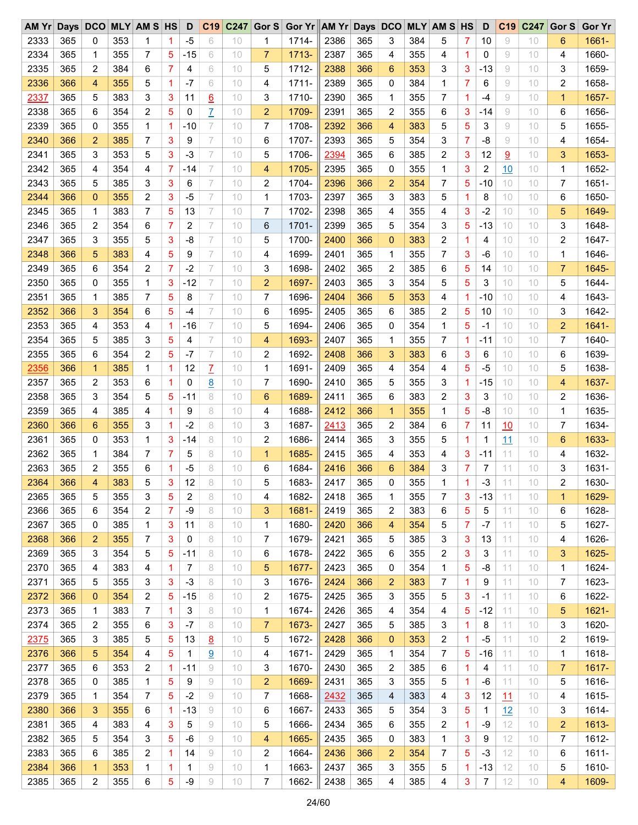| AM Yr Days DCO |     |                |     | <b>MLY AM S HS</b> |                | D     | C <sub>19</sub> | C <sub>247</sub> |                | Gor S Gor Yr AM Yr Days DCO |      |     |                |     | <b>MLY AM S HS</b> |              | D     | C <sub>19</sub> | C247 | Gor S        | <b>Gor Yr</b> |
|----------------|-----|----------------|-----|--------------------|----------------|-------|-----------------|------------------|----------------|-----------------------------|------|-----|----------------|-----|--------------------|--------------|-------|-----------------|------|--------------|---------------|
| 2333           | 365 | 0              | 353 | 1                  | 1              | $-5$  | 6               | 10               | 1              | 1714-                       | 2386 | 365 | 3              | 384 | 5                  | 7            | 10    | 9               | 10   | 6            | 1661-         |
| 2334           | 365 | 1              | 355 | 7                  | 5              | $-15$ | 6               | 10               | $\overline{7}$ | 1713-                       | 2387 | 365 | 4              | 355 | 4                  | 1            | 0     | 9               | 10   | 4            | 1660-         |
| 2335           | 365 | 2              | 384 | 6                  | $\overline{7}$ | 4     | 6               | 10               | 5              | 1712-                       | 2388 | 366 | 6              | 353 | 3                  | 3            | $-13$ | 9               | 10   | 3            | 1659-         |
| 2336           | 366 | 4              | 355 | 5                  | 1              | $-7$  | 6               | 10               | 4              | 1711-                       | 2389 | 365 | 0              | 384 | 1                  | 7            | 6     | 9               | 10   | 2            | 1658-         |
| 2337           | 365 | 5              | 383 | 3                  | 3              | 11    | 6               | 10               | 3              | 1710-                       | 2390 | 365 | 1              | 355 | 7                  | 1            | -4    | 9               | 10   | $\mathbf{1}$ | 1657-         |
| 2338           | 365 | 6              | 354 | $\overline{c}$     | 5              | 0     | Z               | 10               | $\overline{2}$ | 1709-                       | 2391 | 365 | 2              | 355 | 6                  | 3            | -14   | 9               | 10   | 6            | 1656-         |
| 2339           | 365 | 0              | 355 | 1                  | 1              | $-10$ | 7               | 10               | 7              | 1708-                       | 2392 | 366 | 4              | 383 | 5                  | 5            | 3     | 9               | 10   | 5            | 1655-         |
| 2340           | 366 | $\overline{a}$ | 385 | 7                  | 3              | 9     | 7               | 10               | 6              | 1707-                       | 2393 | 365 | 5              | 354 | 3                  | 7            | -8    | 9               | 10   | 4            | 1654-         |
| 2341           | 365 | 3              | 353 | 5                  | 3              | $-3$  | 7               | 10               | 5              | 1706-                       | 2394 | 365 | 6              | 385 | 2                  | 3            | 12    | 9               | 10   | 3            | 1653-         |
| 2342           | 365 | 4              | 354 | 4                  | 7              | -14   | 7               | 10               | 4              | 1705-                       | 2395 | 365 | $\mathbf 0$    | 355 | 1                  | 3            | 2     | 10              | 10   | 1            | 1652-         |
| 2343           | 365 | 5              | 385 | 3                  | 3              | 6     | 7               | 10               | 2              | 1704-                       | 2396 | 366 | $\overline{2}$ | 354 | 7                  | 5            | $-10$ | 10              | 10   | 7            | 1651-         |
| 2344           | 366 | 0              | 355 | $\overline{c}$     | 3              | $-5$  | 7               | 10               | $\mathbf{1}$   | 1703-                       | 2397 | 365 | 3              | 383 | 5                  | 1.           | 8     | 10              | 10   | 6            | 1650-         |
| 2345           | 365 | 1              | 383 | 7                  | 5              | 13    | 7               | 10               | 7              | 1702-                       | 2398 | 365 | 4              | 355 | 4                  | 3            | $-2$  | 10              | 10   | 5            | 1649-         |
| 2346           | 365 | 2              | 354 | 6                  | 7              | 2     | 7               | 10               | 6              | 1701-                       | 2399 | 365 | 5              | 354 | 3                  | 5            | $-13$ | 10              | 10   | 3            | 1648-         |
| 2347           | 365 | 3              | 355 | 5                  | 3              | -8    | 7               | 10               | 5              | 1700-                       | 2400 | 366 | 0              | 383 | 2                  | $\mathbf{1}$ | 4     | 10              | 10   | 2            | 1647-         |
|                |     |                |     |                    |                |       |                 |                  |                |                             |      |     |                |     |                    |              |       |                 |      |              |               |
| 2348           | 366 | 5              | 383 | 4                  | 5              | 9     | 7               | 10               | 4              | 1699-                       | 2401 | 365 | 1              | 355 | 7                  | 3            | $-6$  | 10              | 10   | 1            | 1646-         |
| 2349           | 365 | 6              | 354 | $\overline{c}$     | $\overline{7}$ | $-2$  | 7               | 10               | 3              | 1698-                       | 2402 | 365 | $\overline{2}$ | 385 | 6                  | 5            | 14    | 10              | 10   | 7            | 1645-         |
| 2350           | 365 | 0              | 355 | 1                  | 3              | $-12$ | 7               | 10               | $\overline{2}$ | 1697-                       | 2403 | 365 | 3              | 354 | 5                  | 5            | 3     | 10              | 10   | 5            | 1644-         |
| 2351           | 365 | 1              | 385 | 7                  | 5              | 8     | 7               | 10               | 7              | 1696-                       | 2404 | 366 | 5              | 353 | 4                  | 1.           | $-10$ | 10              | 10   | 4            | 1643-         |
| 2352           | 366 | 3              | 354 | 6                  | 5              | -4    | 7               | 10               | 6              | 1695-                       | 2405 | 365 | 6              | 385 | 2                  | 5            | 10    | 10              | 10   | 3            | 1642-         |
| 2353           | 365 | 4              | 353 | 4                  | 1              | $-16$ | 7               | 10               | 5              | 1694-                       | 2406 | 365 | 0              | 354 | 1                  | 5            | $-1$  | 10              | 10   | 2            | $1641 -$      |
| 2354           | 365 | 5              | 385 | 3                  | 5              | 4     | 7               | 10               | 4              | 1693-                       | 2407 | 365 | 1              | 355 | 7                  | $\vert$ 1    | $-11$ | 10              | 10   | 7            | 1640-         |
| 2355           | 365 | 6              | 354 | 2                  | 5              | $-7$  | 7               | 10               | 2              | 1692-                       | 2408 | 366 | 3              | 383 | 6                  | 3            | 6     | 10              | 10   | 6            | 1639-         |
| 2356           | 366 | $\mathbf{1}$   | 385 | 1                  | 1              | 12    | $\mathcal{I}$   | 10               | $\mathbf{1}$   | 1691-                       | 2409 | 365 | 4              | 354 | 4                  | 5            | $-5$  | 10              | 10   | 5            | 1638-         |
| 2357           | 365 | 2              | 353 | 6                  | 1              | 0     | 8               | 10               | 7              | 1690-                       | 2410 | 365 | 5              | 355 | 3                  | 1            | $-15$ | 10              | 10   | 4            | 1637-         |
| 2358           | 365 | 3              | 354 | 5                  | 5              | -11   | 8               | 10               | 6              | 1689-                       | 2411 | 365 | 6              | 383 | 2                  | 3            | 3     | 10              | 10   | 2            | 1636-         |
| 2359           | 365 | 4              | 385 | 4                  | 1              | 9     | 8               | 10               | 4              | 1688-                       | 2412 | 366 | $\mathbf{1}$   | 355 | 1                  | 5            | -8    | 10              | 10   | 1            | 1635-         |
| 2360           | 366 | 6              | 355 | 3                  | 1              | $-2$  | 8               | 10               | 3              | 1687-                       | 2413 | 365 | $\overline{2}$ | 384 | 6                  | 7            | 11    | 10              | 10   | 7            | 1634-         |
| 2361           | 365 | 0              | 353 | 1                  | 3              | -14   | 8               | 10               | 2              | 1686-                       | 2414 | 365 | 3              | 355 | 5                  | 1            | 1     | 11              | 10   | 6            | 1633-         |
| 2362           | 365 | 1              | 384 | 7                  | 7              | 5     | 8               | 10               | $\mathbf{1}$   | 1685-                       | 2415 | 365 | 4              | 353 | 4                  | 3            | $-11$ | 11              | 10   | 4            | 1632-         |
| 2363           | 365 | 2              | 355 | 6                  | 1              | $-5$  | 8               | 10               | 6              | 1684-                       | 2416 | 366 | 6              | 384 | 3                  | 7            | 7     | 11              | 10   | 3            | 1631-         |
| 2364           | 366 | $\overline{4}$ | 383 | 5                  | 3              | 12    | 8               | 10               | 5              | 1683-                       | 2417 | 365 | 0              | 355 | 1                  | 1            | $-3$  | 11              | 10   | 2            | 1630-         |
| 2365           | 365 | 5              | 355 | 3                  | 5              | 2     | 8               | 10               | 4              | 1682-                       | 2418 | 365 | 1              | 355 | 7                  | 3            | -13   | 11              | 10   | 1            | 1629-         |
| 2366           | 365 | 6              | 354 | 2                  | 7              | -9    | 8               | 10               | 3              | 1681-                       | 2419 | 365 | 2              | 383 | 6                  | 5            | 5     | 11              | 10   | 6            | 1628-         |
| 2367           | 365 | 0              | 385 | 1                  | 3              | 11    | 8               | 10               | 1              | 1680-                       | 2420 | 366 | 4              | 354 | 5                  | 7            | -7    | 11              | 10   | 5            | 1627-         |
| 2368           | 366 | 2              | 355 | 7                  | 3              | 0     | 8               | 10               | 7              | 1679-                       | 2421 | 365 | 5              | 385 | 3                  | 3            | 13    | 11              | 10   | 4            | 1626-         |
| 2369           | 365 | 3              | 354 | 5                  | 5              | $-11$ | 8               | 10               | 6              | 1678-                       | 2422 | 365 | 6              | 355 | 2                  | 3            | 3     | 11              | 10   | 3            | 1625-         |
| 2370           | 365 | 4              | 383 | 4                  | 1              | 7     | 8               | 10               | 5              | 1677-                       | 2423 | 365 | 0              | 354 | 1                  | 5            | -8    | 11              | 10   | 1            | 1624-         |
| 2371           | 365 | 5              | 355 | 3                  | 3              | $-3$  | 8               | 10               | 3              | 1676-                       | 2424 | 366 | $\overline{c}$ | 383 | 7                  | $\mathbf{1}$ | 9     | 11              | 10   | 7            | 1623-         |
| 2372           | 366 | 0              | 354 | 2                  | 5              | $-15$ | 8               | 10               | 2              | 1675-                       | 2425 | 365 | 3              | 355 | 5                  | 3            | -1    | 11              | 10   | 6            | 1622-         |
| 2373           | 365 | 1              | 383 | 7                  | 1              | 3     | 8               | 10               | 1              | 1674-                       | 2426 | 365 | 4              | 354 | 4                  | 5            | $-12$ | 11              | 10   | 5            | 1621-         |
| 2374           | 365 | 2              | 355 | 6                  | 3              | $-7$  | 8               | 10               | 7              | 1673-                       | 2427 | 365 | 5              | 385 | 3                  | 1            | 8     | 11              | 10   | 3            | 1620-         |
|                | 365 | 3              | 385 |                    | 5              | 13    |                 | 10               |                |                             |      |     | $\mathbf 0$    | 353 |                    |              | $-5$  | 11              |      |              |               |
| 2375           |     |                |     | 5                  |                |       | 8               |                  | 5              | 1672-                       | 2428 | 366 |                |     | 2                  | 1            |       |                 | 10   | 2            | 1619-         |
| 2376           | 366 | 5              | 354 | 4                  | 5              | 1     | 9               | 10               | 4              | 1671-                       | 2429 | 365 | 1              | 354 | 7                  | 5            | $-16$ | 11              | 10   | 1            | 1618-         |
| 2377           | 365 | 6              | 353 | 2                  | 1              | -11   | 9               | 10               | 3              | 1670-                       | 2430 | 365 | 2              | 385 | 6                  | $\mathbf{1}$ | 4     | 11              | 10   | 7            | $1617 -$      |
| 2378           | 365 | 0              | 385 | 1                  | 5              | 9     | 9               | 10               | $\overline{c}$ | 1669-                       | 2431 | 365 | 3              | 355 | 5                  | $\mathbf{1}$ | -6    | 11              | 10   | 5            | 1616-         |
| 2379           | 365 | 1              | 354 | 7                  | 5              | $-2$  | 9               | 10               | 7              | 1668-                       | 2432 | 365 | 4              | 383 | 4                  | 3            | 12    | 11              | 10   | 4            | 1615-         |
| 2380           | 366 | 3              | 355 | 6                  | 1              | $-13$ | 9               | 10               | 6              | 1667-                       | 2433 | 365 | 5              | 354 | 3                  | 5            | 1     | 12              | 10   | 3            | 1614-         |
| 2381           | 365 | 4              | 383 | 4                  | 3              | 5     | 9               | 10               | 5              | 1666-                       | 2434 | 365 | 6              | 355 | 2                  | $\mathbf 1$  | -9    | 12              | 10   | 2            | 1613-         |
| 2382           | 365 | 5              | 354 | 3                  | 5              | $-6$  | 9               | 10               | 4              | 1665-                       | 2435 | 365 | 0              | 383 | 1                  | 3            | 9     | 12              | 10   | 7            | 1612-         |
| 2383           | 365 | 6              | 385 | 2                  | 1              | 14    | 9               | 10               | 2              | 1664-                       | 2436 | 366 | 2              | 354 | 7                  | 5            | $-3$  | 12              | 10   | 6            | $1611 -$      |
| 2384           | 366 | 1              | 353 | 1                  | 1              | 1     | 9               | 10               | 1              | 1663-                       | 2437 | 365 | 3              | 355 | 5                  | 1            | -13   | 12              | 10   | 5            | 1610-         |
| 2385           | 365 | 2              | 355 | 6                  | 5              | -9    | 9               | 10               | 7              | 1662-                       | 2438 | 365 | 4              | 385 | 4                  | 3            | 7     | 12              | 10   | 4            | 1609-         |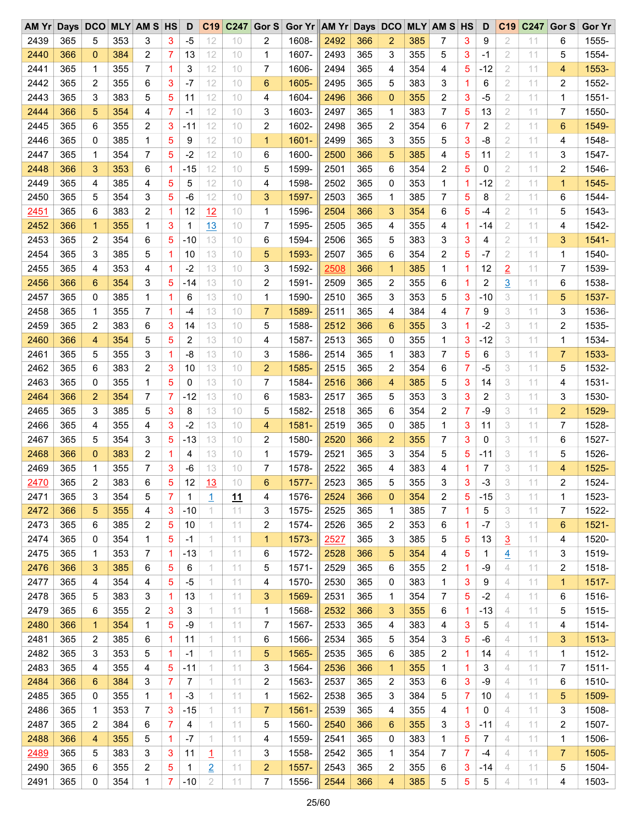| AM Yr Days DCO |     |                |     | <b>MLY AM S HS</b>      |   | D     | C <sub>19</sub>         | C <sub>247</sub> | Gor S          | Gor Yr AM Yr Days DCO |      |     |                |     | <b>MLY AM S HS</b> |                | D              | C <sub>19</sub> | C247 | Gor S          | <b>Gor Yr</b> |
|----------------|-----|----------------|-----|-------------------------|---|-------|-------------------------|------------------|----------------|-----------------------|------|-----|----------------|-----|--------------------|----------------|----------------|-----------------|------|----------------|---------------|
| 2439           | 365 | 5              | 353 | 3                       | 3 | $-5$  | 12                      | 10               | 2              | 1608-                 | 2492 | 366 | 2              | 385 | 7                  | 3              | 9              | 2               | 11   | 6              | 1555-         |
| 2440           | 366 | $\mathbf{0}$   | 384 | 2                       | 7 | 13    | 12                      | 10               | 1              | 1607-                 | 2493 | 365 | 3              | 355 | 5                  | 3              | -1             | 2               | 11   | 5              | 1554-         |
| 2441           | 365 | 1              | 355 | 7                       | 1 | 3     | 12                      | 10               | $\overline{7}$ | 1606-                 | 2494 | 365 | 4              | 354 | 4                  | 5              | $-12$          | 2               | 11   | 4              | 1553-         |
| 2442           | 365 | 2              | 355 | 6                       | 3 | $-7$  | 12                      | 10               | 6              | 1605-                 | 2495 | 365 | 5              | 383 | 3                  | 1              | 6              | 2               | 11   | 2              | 1552-         |
| 2443           | 365 | 3              | 383 | 5                       | 5 | 11    | 12                      | 10               | 4              | 1604-                 | 2496 | 366 | $\mathbf{0}$   | 355 | 2                  | 3              | $-5$           | $\overline{2}$  | 11   | 1              | 1551-         |
| 2444           | 366 | 5              | 354 | 4                       | 7 | -1    | 12                      | 10               | 3              | 1603-                 | 2497 | 365 | $\mathbf 1$    | 383 | 7                  | 5              | 13             | 2               | 11   | 7              | 1550-         |
| 2445           | 365 | 6              | 355 | $\overline{c}$          | 3 | $-11$ | 12                      | 10               | 2              | 1602-                 | 2498 | 365 | 2              | 354 | 6                  | 7              | 2              | $\overline{2}$  | 11   | 6              | 1549-         |
| 2446           | 365 | 0              | 385 | 1                       | 5 | 9     | 12                      | 10               | $\mathbf{1}$   | 1601-                 | 2499 | 365 | 3              | 355 | 5                  | 3              | -8             | $\overline{2}$  | 11   | 4              | 1548-         |
| 2447           | 365 | 1              | 354 | 7                       | 5 | $-2$  | 12                      | 10               | 6              | 1600-                 | 2500 | 366 | 5              | 385 | 4                  | 5              | 11             | 2               | 11   | 3              | 1547-         |
| 2448           | 366 | 3              | 353 | 6                       | 1 | $-15$ | 12                      | 10               | 5              | 1599-                 | 2501 | 365 | 6              | 354 | 2                  | 5              | 0              | 2               | 11   | 2              | 1546-         |
| 2449           | 365 | 4              | 385 | 4                       | 5 | 5     | 12                      | 10               | 4              | 1598-                 | 2502 | 365 | 0              | 353 | 1                  | 1              | $-12$          | 2               | 11   | 1              | 1545-         |
| 2450           | 365 | 5              | 354 | 3                       | 5 | $-6$  | 12                      | 10               | 3              | 1597-                 | 2503 | 365 | 1              | 385 | 7                  | 5              | 8              | $\overline{2}$  | 11   | 6              | 1544-         |
| 2451           | 365 | 6              | 383 | $\overline{c}$          | 1 | 12    | 12                      | 10               | $\mathbf{1}$   | 1596-                 | 2504 | 366 | 3              | 354 | 6                  | 5              | $-4$           | 2               | 11   | 5              | 1543-         |
| 2452           | 366 | $\mathbf{1}$   | 355 | 1                       | 3 | 1     | 13                      | 10               | 7              | 1595-                 | 2505 | 365 | 4              | 355 | 4                  | 1              | $-14$          | $\overline{2}$  | 11   | 4              | 1542-         |
| 2453           | 365 | 2              | 354 | 6                       | 5 | $-10$ | 13                      | 10               | 6              | 1594-                 | 2506 | 365 | 5              | 383 | 3                  | 3              | 4              | 2               | 11   | 3              | 1541-         |
| 2454           | 365 | 3              | 385 | 5                       | 1 | 10    | 13                      | 10               | 5              | 1593-                 | 2507 | 365 | 6              | 354 | 2                  | 5              | $-7$           | $\overline{2}$  | 11   | 1              | 1540-         |
| 2455           | 365 | 4              | 353 | 4                       | 1 | $-2$  | 13                      | 10               | 3              | 1592-                 | 2508 | 366 | $\mathbf{1}$   | 385 | 1                  | 1.             | 12             |                 | 11   | 7              | 1539-         |
|                |     |                |     |                         |   |       |                         |                  |                |                       |      |     |                |     |                    |                |                | $\overline{2}$  |      |                |               |
| 2456           | 366 | 6              | 354 | 3                       | 5 | $-14$ | 13                      | 10               | 2              | 1591-                 | 2509 | 365 | $\overline{2}$ | 355 | 6                  | 1              | $\overline{c}$ | $\overline{3}$  | 11   | 6              | 1538-         |
| 2457           | 365 | 0              | 385 | 1                       | 1 | 6     | 13                      | 10               | 1              | 1590-                 | 2510 | 365 | 3              | 353 | 5                  | 3              | $-10$          | 3               | 11   | 5              | 1537-         |
| 2458           | 365 | 1              | 355 | 7                       | 1 | -4    | 13                      | 10               | $\overline{7}$ | 1589-                 | 2511 | 365 | 4              | 384 | 4                  | 7              | 9              | 3               | 11   | 3              | 1536-         |
| 2459           | 365 | 2              | 383 | 6                       | 3 | 14    | 13                      | 10               | 5              | 1588-                 | 2512 | 366 | 6              | 355 | 3                  | $\mathbf{1}$   | $-2$           | 3               | 11   | 2              | 1535-         |
| 2460           | 366 | 4              | 354 | 5                       | 5 | 2     | 13                      | 10               | 4              | 1587-                 | 2513 | 365 | 0              | 355 | 1                  | 3              | $-12$          | 3               | 11   | 1              | 1534-         |
| 2461           | 365 | 5              | 355 | 3                       | 1 | -8    | 13                      | 10               | 3              | 1586-                 | 2514 | 365 | 1              | 383 | 7                  | 5              | 6              | 3               | 11   | $\overline{7}$ | 1533-         |
| 2462           | 365 | 6              | 383 | $\overline{\mathbf{c}}$ | 3 | 10    | 13                      | 10               | $\overline{2}$ | 1585-                 | 2515 | 365 | 2              | 354 | 6                  | $\overline{7}$ | $-5$           | 3               | 11   | 5              | 1532-         |
| 2463           | 365 | 0              | 355 | 1                       | 5 | 0     | 13                      | 10               | 7              | 1584-                 | 2516 | 366 | 4              | 385 | 5                  | 3              | 14             | 3               | 11   | 4              | 1531-         |
| 2464           | 366 | $\overline{2}$ | 354 | 7                       | 7 | $-12$ | 13                      | 10               | 6              | 1583-                 | 2517 | 365 | 5              | 353 | 3                  | 3              | 2              | 3               | 11   | 3              | 1530-         |
| 2465           | 365 | 3              | 385 | 5                       | 3 | 8     | 13                      | 10               | 5              | 1582-                 | 2518 | 365 | 6              | 354 | 2                  | 7              | -9             | 3               | 11   | $\overline{2}$ | 1529-         |
| 2466           | 365 | 4              | 355 | 4                       | 3 | $-2$  | 13                      | 10               | 4              | 1581-                 | 2519 | 365 | 0              | 385 | $\mathbf{1}$       | 3              | 11             | 3               | 11   | 7              | 1528-         |
| 2467           | 365 | 5              | 354 | 3                       | 5 | $-13$ | 13                      | 10               | $\overline{c}$ | 1580-                 | 2520 | 366 | 2              | 355 | 7                  | 3              | 0              | 3               | 11   | 6              | 1527-         |
| 2468           | 366 | 0              | 383 | 2                       | 1 | 4     | 13                      | 10               | 1              | 1579-                 | 2521 | 365 | 3              | 354 | 5                  | 5              | $-11$          | 3               | 11   | 5              | 1526-         |
| 2469           | 365 | 1              | 355 | 7                       | 3 | -6    | 13                      | 10               | 7              | 1578-                 | 2522 | 365 | 4              | 383 | 4                  | 1              | 7              | 3               | 11   | 4              | 1525-         |
| 2470           | 365 | 2              | 383 | 6                       | 5 | 12    | 13                      | 10               | 6              | 1577-                 | 2523 | 365 | 5              | 355 | 3                  | 3              | $-3$           | 3               | 11   | 2              | 1524-         |
| 2471           | 365 | 3              | 354 | 5                       | 7 | 1     | 1                       | 11               | 4              | 1576-                 | 2524 | 366 | $\mathbf 0$    | 354 | 2                  | 5              | $-15$          | 3               | 11   | 1              | 1523-         |
| 2472           | 366 | 5              | 355 | 4                       | 3 | $-10$ | 1                       | 11               | 3              | 1575-                 | 2525 | 365 | 1              | 385 | 7                  | $\mathbf{1}$   | 5              | 3               | 11   | 7              | 1522-         |
| 2473           | 365 | 6              | 385 | 2                       | 5 | 10    | 1                       | 11               | 2              | 1574-                 | 2526 | 365 | 2              | 353 | 6                  | $\mathbf{1}$   | -7             | 3               | 11   | 6              | 1521-         |
| 2474           | 365 | 0              | 354 | 1                       | 5 | $-1$  | 1                       | 11               | 1              | 1573-                 | 2527 | 365 | 3              | 385 | 5                  | 5              | 13             | $\overline{3}$  | 11   | 4              | 1520-         |
| 2475           | 365 | 1              | 353 | 7                       | 1 | $-13$ | 1                       | 11               | 6              | 1572-                 | 2528 | 366 | 5              | 354 | 4                  | 5              | 1              | 4               | 11   | 3              | 1519-         |
| 2476           | 366 | 3              | 385 | 6                       | 5 | 6     | 1                       | 11               | 5              | 1571-                 | 2529 | 365 | 6              | 355 | 2                  | $\mathbf{1}$   | -9             | 4               | 11   | 2              | 1518-         |
| 2477           | 365 | 4              | 354 | 4                       | 5 | $-5$  | 1                       | 11               | 4              | 1570-                 | 2530 | 365 | 0              | 383 | 1                  | 3              | 9              | 4               | 11   | 1              | 1517-         |
| 2478           | 365 | 5              | 383 | 3                       | 1 | 13    | 1                       | 11               | 3              | 1569-                 | 2531 | 365 | 1              | 354 | 7                  | 5              | $-2$           | 4               | 11   | 6              | 1516-         |
| 2479           | 365 | 6              | 355 | 2                       | 3 | 3     | 1                       | 11               | 1              | 1568-                 | 2532 | 366 | 3              | 355 | 6                  | 1              | -13            | 4               | 11   | 5              | 1515-         |
| 2480           | 366 | $\mathbf{1}$   | 354 | 1                       | 5 | -9    | 1                       | 11               | 7              | 1567-                 | 2533 | 365 | 4              | 383 | 4                  | 3              | 5              | 4               | 11   | 4              | 1514-         |
| 2481           | 365 | 2              | 385 | 6                       | 1 | 11    | 1                       | 11               | 6              | 1566-                 | 2534 | 365 | 5              | 354 | 3                  | 5              | -6             | 4               | 11   | 3              | 1513-         |
| 2482           | 365 | 3              | 353 | 5                       | 1 | $-1$  | 1                       | 11               | 5              | 1565-                 | 2535 | 365 | 6              | 385 | 2                  | 1              | 14             | 4               | 11   | 1              | 1512-         |
| 2483           | 365 | 4              | 355 | 4                       | 5 | $-11$ | 1                       | 11               |                |                       |      |     | $\mathbf 1$    |     | 1                  | $\mathbf{1}$   | 3              | 4               | 11   | 7              | $1511 -$      |
|                |     |                |     |                         |   |       |                         |                  | 3              | 1564-                 | 2536 | 366 |                | 355 |                    |                |                |                 |      |                |               |
| 2484           | 366 | 6              | 384 | 3                       | 7 | 7     | 1                       | 11               | $\overline{c}$ | 1563-                 | 2537 | 365 | 2              | 353 | 6                  | 3              | -9             | 4               | 11   | 6              | 1510-         |
| 2485           | 365 | 0              | 355 | 1                       | 1 | $-3$  | 1                       | 11               | 1              | 1562-                 | 2538 | 365 | 3              | 384 | 5                  | 7              | 10             | 4               | 11   | 5              | 1509-         |
| 2486           | 365 | 1              | 353 | 7                       | 3 | $-15$ | 1                       | 11               | $\overline{7}$ | 1561-                 | 2539 | 365 | 4              | 355 | 4                  | $\mathbf{1}$   | 0              | 4               | 11   | 3              | 1508-         |
| 2487           | 365 | 2              | 384 | 6                       | 7 | 4     | 1                       | 11               | 5              | 1560-                 | 2540 | 366 | 6              | 355 | 3                  | 3              | $-11$          | 4               | 11   | 2              | 1507-         |
| 2488           | 366 | 4              | 355 | 5                       | 1 | $-7$  | 1                       | 11               | 4              | 1559-                 | 2541 | 365 | 0              | 383 | 1                  | 5              | 7              | 4               | 11   | 1              | 1506-         |
| 2489           | 365 | 5              | 383 | 3                       | 3 | 11    | $\mathbf{\overline{1}}$ | 11               | 3              | 1558-                 | 2542 | 365 | 1              | 354 | 7                  | 7              | $-4$           | 4               | 11   | 7              | 1505-         |
| 2490           | 365 | 6              | 355 | 2                       | 5 | 1     | $\overline{2}$          | 11               | $\overline{c}$ | 1557-                 | 2543 | 365 | 2              | 355 | 6                  | 3              | -14            | 4               | 11   | 5              | 1504-         |
| 2491           | 365 | 0              | 354 | 1                       | 7 | $-10$ | $\mathbf 2$             | 11               | 7              | 1556-                 | 2544 | 366 | 4              | 385 | 5                  | $\sqrt{5}$     | 5              | 4               | 11   | 4              | 1503-         |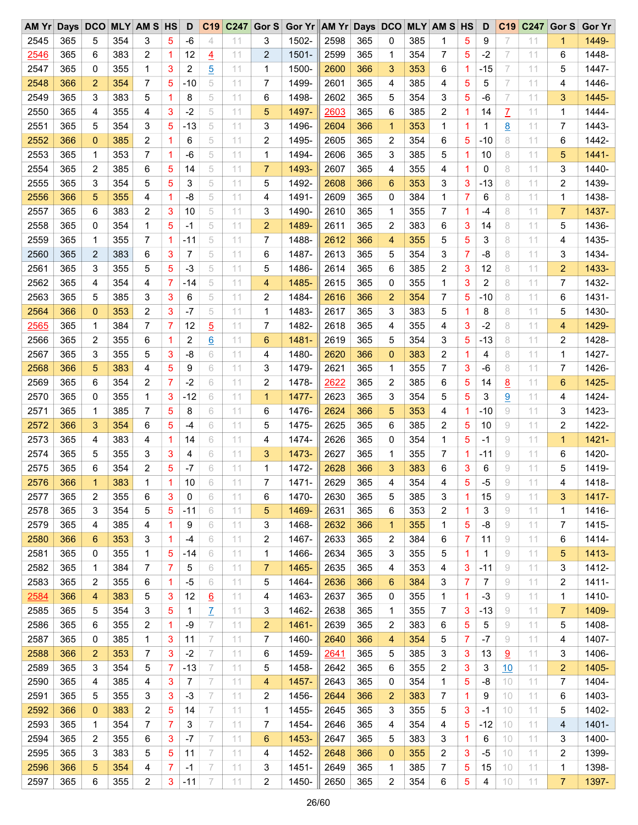| AMYr | Days DCO |              |     | <b>MLY AM S HS</b> |             | D     | C <sub>19</sub> | C <sub>247</sub> | Gor S          | Gor Yr AM Yr Days DCO |      |            |                |     | <b>MLY AM S HS</b> |                | D            | C <sub>19</sub> | C247 | Gor S | <b>Gor Yr</b> |
|------|----------|--------------|-----|--------------------|-------------|-------|-----------------|------------------|----------------|-----------------------|------|------------|----------------|-----|--------------------|----------------|--------------|-----------------|------|-------|---------------|
| 2545 | 365      | 5            | 354 | 3                  | 5           | $-6$  | $\overline{4}$  | 11               | 3              | 1502-                 | 2598 | 365        | 0              | 385 | 1                  | 5              | 9            | 7               | 11   | 1     | 1449-         |
| 2546 | 365      | 6            | 383 | 2                  | 1           | 12    | $\overline{4}$  | 11               | $\overline{2}$ | 1501-                 | 2599 | 365        | 1              | 354 | 7                  | 5              | $-2$         | 7               | 11   | 6     | 1448-         |
| 2547 | 365      | 0            | 355 | 1                  | 3           | 2     | $\overline{5}$  | 11               | 1              | 1500-                 | 2600 | 366        | 3              | 353 | 6                  | 1              | -15          | 7               | 11   | 5     | 1447-         |
| 2548 | 366      | 2            | 354 | 7                  | 5           | $-10$ | 5               | 11               | 7              | 1499-                 | 2601 | 365        | 4              | 385 | 4                  | 5              | 5            | 7               | 11   | 4     | 1446-         |
| 2549 | 365      | 3            | 383 | 5                  | 1           | 8     | 5               | 11               | 6              | 1498-                 | 2602 | 365        | 5              | 354 | 3                  | 5              | $-6$         | 7               | 11   | 3     | 1445-         |
| 2550 | 365      | 4            | 355 | 4                  | 3           | $-2$  | 5               | 11               | 5              | 1497-                 | 2603 | 365        | 6              | 385 | 2                  | 1.             | 14           | Z               | 11   | 1     | 1444-         |
| 2551 | 365      | 5            | 354 | 3                  | 5           | $-13$ | 5               | 11               | 3              | 1496-                 | 2604 | 366        | $\mathbf{1}$   | 353 | 1                  | 1              | $\mathbf{1}$ | <u>8</u>        | 11   | 7     | 1443-         |
| 2552 | 366      | 0            | 385 | 2                  | 1           | 6     | 5               | 11               | 2              | 1495-                 | 2605 | 365        | 2              | 354 | 6                  | 5              | -10          | 8               | 11   | 6     | 1442-         |
| 2553 | 365      | 1            | 353 | 7                  | 1           | -6    | 5               | 11               | 1              | 1494-                 | 2606 | 365        | 3              | 385 | 5                  | 1.             | 10           | 8               | 11   | 5     | $1441 -$      |
| 2554 | 365      | 2            | 385 | 6                  | 5           | 14    | 5               | 11               | $\overline{7}$ | 1493-                 | 2607 | 365        | 4              | 355 | 4                  | 1              | 0            | 8               | 11   | 3     | 1440-         |
| 2555 | 365      | 3            | 354 | 5                  | 5           | 3     | 5               | 11               | 5              | 1492-                 | 2608 | 366        | 6              | 353 | 3                  | 3              | $-13$        | 8               | 11   | 2     | 1439-         |
| 2556 | 366      | 5            | 355 | 4                  | 1           | -8    | 5               | 11               | 4              | 1491-                 | 2609 | 365        | 0              | 384 | 1                  | 7              | 6            | 8               | 11   | 1     | 1438-         |
| 2557 | 365      | 6            | 383 | 2                  | 3           | 10    | 5               | 11               | 3              | 1490-                 | 2610 | 365        | 1              | 355 | 7                  | $\mathbf{1}$   | -4           | 8               | 11   | 7     | 1437-         |
| 2558 | 365      | 0            | 354 | 1                  | 5           | $-1$  | 5               | 11               | $\overline{2}$ | 1489-                 | 2611 | 365        | 2              | 383 | 6                  | 3              | 14           | 8               | 11   | 5     | 1436-         |
| 2559 | 365      | 1            | 355 | 7                  | $\mathbf 1$ | -11   | 5               | 11               | 7              | 1488-                 | 2612 | 366        | 4              | 355 | 5                  | 5              | 3            | 8               | 11   | 4     | 1435-         |
| 2560 | 365      | 2            | 383 | 6                  | 3           | 7     | 5               | 11               | 6              | 1487-                 | 2613 | 365        | 5              | 354 | 3                  | 7              | -8           | 8               | 11   | 3     | 1434-         |
| 2561 | 365      | 3            | 355 | 5                  | 5           | $-3$  | 5               | 11               | 5              | 1486-                 | 2614 | 365        | 6              | 385 | 2                  | 3              | 12           | 8               | 11   | 2     | 1433-         |
| 2562 | 365      | 4            | 354 | 4                  | 7           | -14   | 5               | 11               | 4              | 1485-                 | 2615 | 365        | 0              | 355 | 1                  | 3              | 2            | 8               | 11   | 7     | 1432-         |
| 2563 | 365      | 5            | 385 | 3                  | 3           | 6     | 5               | 11               | 2              | 1484-                 | 2616 | 366        | $\overline{2}$ | 354 | 7                  | 5              | $-10$        | 8               | 11   | 6     | 1431-         |
|      |          |              |     |                    |             |       | 5               |                  |                |                       |      |            | 3              |     |                    |                |              |                 |      |       |               |
| 2564 | 366      | 0            | 353 | 2                  | 3           | -7    |                 | 11               | 1              | 1483-                 | 2617 | 365<br>365 |                | 383 | 5                  | 1              | 8            | 8<br>8          | 11   | 5     | 1430-         |
| 2565 | 365      | 1            | 384 | 7                  | 7           | 12    | $\overline{5}$  | 11               | 7              | 1482-                 | 2618 |            | 4              | 355 | 4                  | 3              | $-2$         |                 | 11   | 4     | 1429-         |
| 2566 | 365      | 2            | 355 | 6                  | 1           | 2     | 6               | 11               | 6              | 1481-                 | 2619 | 365        | 5              | 354 | 3                  | 5              | $-13$        | 8               | 11   | 2     | 1428-         |
| 2567 | 365      | 3            | 355 | 5                  | 3           | -8    | 6               | 11               | 4              | 1480-                 | 2620 | 366        | $\mathbf{0}$   | 383 | 2                  | 1.             | 4            | 8               | 11   | 1     | 1427-         |
| 2568 | 366      | 5            | 383 | 4                  | 5           | 9     | 6               | 11               | 3              | 1479-                 | 2621 | 365        | 1              | 355 | 7                  | 3              | -6           | 8               | 11   | 7     | 1426-         |
| 2569 | 365      | 6            | 354 | 2                  | 7           | $-2$  | 6               | 11               | 2              | 1478-                 | 2622 | 365        | 2              | 385 | 6                  | 5              | 14           | 8               | 11   | 6     | 1425-         |
| 2570 | 365      | 0            | 355 | 1                  | 3           | $-12$ | 6               | 11               | $\mathbf{1}$   | 1477-                 | 2623 | 365        | 3              | 354 | 5                  | 5              | 3            | $\overline{9}$  | 11   | 4     | 1424-         |
| 2571 | 365      | 1            | 385 | 7                  | 5           | 8     | 6               | 11               | 6              | 1476-                 | 2624 | 366        | 5              | 353 | 4                  | 1.             | $-10$        | 9               | 11   | 3     | 1423-         |
| 2572 | 366      | 3            | 354 | 6                  | 5           | $-4$  | 6               | 11               | 5              | 1475-                 | 2625 | 365        | 6              | 385 | 2                  | 5              | 10           | 9               | 11   | 2     | 1422-         |
| 2573 | 365      | 4            | 383 | 4                  | -1          | 14    | 6               | 11               | 4              | 1474-                 | 2626 | 365        | 0              | 354 | 1                  | 5              | -1           | 9               | 11   | 1     | 1421-         |
| 2574 | 365      | 5            | 355 | 3                  | 3           | 4     | 6               | 11               | 3              | 1473-                 | 2627 | 365        | 1              | 355 | 7                  | 1.             | $-11$        | 9               | 11   | 6     | 1420-         |
| 2575 | 365      | 6            | 354 | 2                  | 5           | -7    | 6               | 11               | 1              | 1472-                 | 2628 | 366        | 3              | 383 | 6                  | 3              | 6            | 9               | 11   | 5     | 1419-         |
| 2576 | 366      | $\mathbf{1}$ | 383 | 1                  | 1           | 10    | 6               | 11               | $\overline{7}$ | 1471-                 | 2629 | 365        | 4              | 354 | 4                  | 5              | $-5$         | 9               | 11   | 4     | 1418-         |
| 2577 | 365      | 2            | 355 | 6                  | 3           | 0     | 6               | 11               | 6              | 1470-                 | 2630 | 365        | 5              | 385 | 3                  | 1.             | 15           | 9               | 11   | 3     | 1417-         |
| 2578 | 365      | 3            | 354 | 5                  | 5           | $-11$ | 6               | 11               | 5              | 1469-                 | 2631 | 365        | 6              | 353 | 2                  | $\mathbf{1}$   | 3            | 9               | 11   | 1     | 1416-         |
| 2579 | 365      | 4            | 385 | 4                  | 1           | 9     | 6               | 11               | 3              | 1468-                 | 2632 | 366        | $\mathbf 1$    | 355 | 1                  | 5              | -8           | 9               | 11   | 7     | 1415-         |
| 2580 | 366      | 6            | 353 | 3                  | 1           | -4    | 6               | 11               | 2              | 1467-                 | 2633 | 365        | 2              | 384 | 6                  | 7              | 11           | 9               | 11   | 6     | 1414-         |
| 2581 | 365      | 0            | 355 | 1                  | 5           | $-14$ | 6               | 11               | 1              | 1466-                 | 2634 | 365        | 3              | 355 | 5                  | $\mathbf{1}$   | 1            | 9               | 11   | 5     | 1413-         |
| 2582 | 365      | 1            | 384 | 7                  | 7           | 5     | 6               | 11               | 7              | 1465-                 | 2635 | 365        | 4              | 353 | 4                  | 3              | $-11$        | 9               | 11   | 3     | 1412-         |
| 2583 | 365      | 2            | 355 | 6                  | 1           | $-5$  | 6               | 11               | 5              | 1464-                 | 2636 | 366        | 6              | 384 | 3                  | 7              | 7            | 9               | 11   | 2     | $1411 -$      |
| 2584 | 366      | 4            | 383 | 5                  | 3           | 12    | $\underline{6}$ | 11               | 4              | 1463-                 | 2637 | 365        | 0              | 355 | 1                  | 1              | $-3$         | 9               | 11   | 1     | 1410-         |
| 2585 | 365      | 5            | 354 | 3                  | 5           | 1     | $\mathbf{Z}$    | 11               | 3              | 1462-                 | 2638 | 365        | 1              | 355 | 7                  | 3              | -13          | 9               | 11   | 7     | 1409-         |
| 2586 | 365      | 6            | 355 | 2                  | 1           | -9    | 7               | 11               | $\overline{a}$ | 1461-                 | 2639 | 365        | 2              | 383 | 6                  | 5              | 5            | 9               | 11   | 5     | 1408-         |
| 2587 | 365      | 0            | 385 | 1                  | 3           | 11    | 7               | 11               | 7              | 1460-                 | 2640 | 366        | 4              | 354 | 5                  | $\overline{7}$ | $-7$         | 9               | 11   | 4     | 1407-         |
| 2588 | 366      | 2            | 353 | 7                  | 3           | $-2$  | 7               | 11               | 6              | 1459-                 | 2641 | 365        | 5              | 385 | 3                  | 3              | 13           | 9               | 11   | 3     | 1406-         |
| 2589 | 365      | 3            | 354 | 5                  | 7           | $-13$ | 7               | 11               | 5              | 1458-                 | 2642 | 365        | 6              | 355 | 2                  | 3              | 3            | 10              | 11   | 2     | 1405-         |
| 2590 | 365      | 4            | 385 | 4                  | 3           | 7     | 7               | 11               | 4              | 1457-                 | 2643 | 365        | 0              | 354 | 1                  | 5              | -8           | 10              | 11   | 7     | 1404-         |
| 2591 | 365      | 5            | 355 | 3                  | 3           | -3    | 7               | 11               | 2              | 1456-                 | 2644 | 366        | $\overline{c}$ | 383 | 7                  | 1              | 9            | 10              | 11   | 6     | 1403-         |
| 2592 | 366      | 0            | 383 | 2                  | 5           | 14    | 7               | 11               | 1              | 1455-                 | 2645 | 365        | 3              | 355 | 5                  | 3              | -1           | 10              | 11   | 5     | 1402-         |
| 2593 | 365      | 1            | 354 | 7                  | 7           | 3     | 7               | 11               | 7              | 1454-                 | 2646 | 365        | 4              | 354 | 4                  | 5              | -12          | 10              | 11   | 4     | 1401-         |
| 2594 | 365      | 2            | 355 | 6                  | 3           | $-7$  | 7               | 11               | 6              | 1453-                 | 2647 | 365        | 5              | 383 | 3                  | 1              | 6            | 10              | 11   | 3     | 1400-         |
| 2595 | 365      | 3            | 383 | 5                  | 5           | 11    | 7               | 11               | 4              | 1452-                 | 2648 | 366        | $\mathbf 0$    | 355 | 2                  | 3              | -5           | 10              | 11   | 2     | 1399-         |
| 2596 | 366      | 5            | 354 | 4                  | 7           | $-1$  | 7               | 11               | 3              | 1451-                 | 2649 | 365        | 1              | 385 | 7                  | 5              | 15           | 10              | 11   | 1     | 1398-         |
| 2597 | 365      | 6            | 355 | $\overline{c}$     | 3           | $-11$ | 7               | 11               | 2              | 1450-                 | 2650 | 365        | $\overline{c}$ | 354 | 6                  | 5              | 4            | 10              | 11   | 7     | 1397-         |
|      |          |              |     |                    |             |       |                 |                  |                |                       |      |            |                |     |                    |                |              |                 |      |       |               |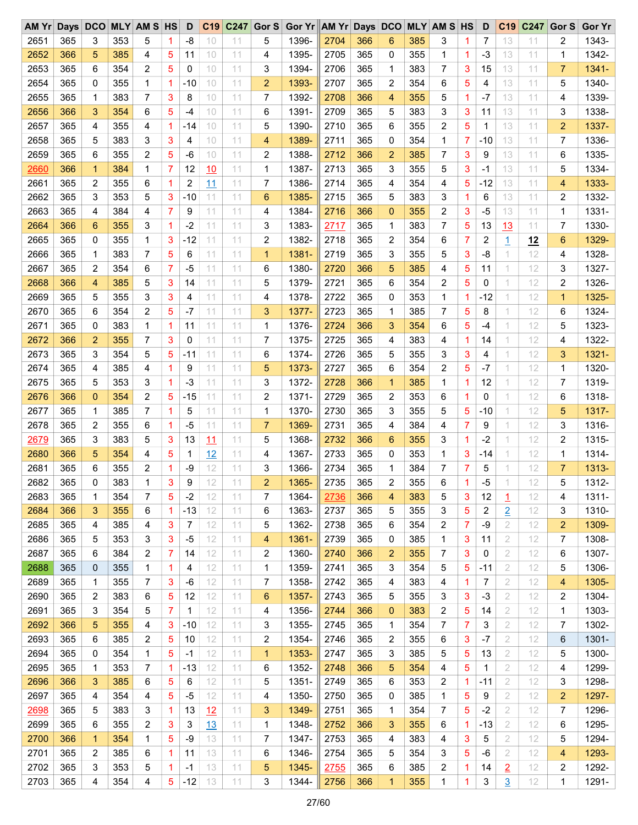| AM Yr Days DCO |     |              |     | <b>MLY AM S HS</b> |                | D         | C <sub>19</sub> |    |                | C247 Gor S Gor Yr AM Yr Days DCO |      |     |                |     | <b>MLY AM S HS</b> |                | D            | C <sub>19</sub>     | C247     | Gor S          | <b>Gor Yr</b> |
|----------------|-----|--------------|-----|--------------------|----------------|-----------|-----------------|----|----------------|----------------------------------|------|-----|----------------|-----|--------------------|----------------|--------------|---------------------|----------|----------------|---------------|
| 2651           | 365 | 3            | 353 | 5                  | 1              | -8        | 10              | 11 | 5              | 1396-                            | 2704 | 366 | 6              | 385 | 3                  | 1.             | 7            | 13                  | 11       | 2              | 1343-         |
| 2652           | 366 | 5            | 385 | 4                  | 5              | 11        | 10              | 11 | 4              | 1395-                            | 2705 | 365 | 0              | 355 | 1                  | $\mathbf{1}$   | -3           | 13                  | 11       | 1              | 1342-         |
| 2653           | 365 | 6            | 354 | 2                  | 5              | 0         | 10              | 11 | 3              | 1394-                            | 2706 | 365 | 1              | 383 | 7                  | 3              | 15           | 13                  | 11       | $\overline{7}$ | 1341-         |
| 2654           | 365 | 0            | 355 | 1                  | $\mathbf 1$    | -10       | 10              | 11 | $\overline{2}$ | 1393-                            | 2707 | 365 | $\overline{2}$ | 354 | 6                  | 5              | 4            | 13                  | 11       | 5              | 1340-         |
| 2655           | 365 | 1            | 383 | 7                  | 3              | 8         | 10              | 11 | 7              | 1392-                            | 2708 | 366 | $\overline{4}$ | 355 | 5                  | $\mathbf{1}$   | $-7$         | 13                  | 11       | 4              | 1339-         |
| 2656           | 366 | 3            | 354 | 6                  | 5              | $-4$      | 10              | 11 | 6              | 1391-                            | 2709 | 365 | 5              | 383 | 3                  | 3              | 11           | 13                  | 11       | 3              | 1338-         |
| 2657           | 365 | 4            | 355 | 4                  | $\overline{1}$ | $-14$     | 10              | 11 | 5              | 1390-                            | 2710 | 365 | 6              | 355 | 2                  | 5              | $\mathbf{1}$ | 13                  | 11       | $\overline{c}$ | 1337-         |
| 2658           | 365 | 5            | 383 | 3                  | 3              | 4         | 10              | 11 | 4              | 1389-                            | 2711 | 365 | 0              | 354 | 1                  | 7              | $-10$        | 13                  | 11       | 7              | 1336-         |
| 2659           | 365 | 6            | 355 | 2                  | 5              | -6        | 10              | 11 | 2              | 1388-                            | 2712 | 366 | $\overline{2}$ | 385 | 7                  | 3              | 9            | 13                  | 11       | 6              | 1335-         |
| 2660           | 366 | $\mathbf{1}$ | 384 | 1                  | 7              | 12        | 10              | 11 | $\mathbf 1$    | 1387-                            | 2713 | 365 | 3              | 355 | 5                  | 3              | $-1$         | 13                  | 11       | 5              | 1334-         |
| 2661           | 365 | 2            | 355 | 6                  | 1              | 2         | 11              | 11 | 7              | 1386-                            | 2714 | 365 | 4              | 354 | 4                  | 5              | $-12$        | 13                  | 11       | 4              | 1333-         |
| 2662           | 365 | 3            | 353 | 5                  | 3              | $-10$     | 11              | 11 | 6              | 1385-                            | 2715 | 365 | 5              | 383 | 3                  | 1.             | 6            | 13                  | 11       | 2              | 1332-         |
| 2663           | 365 | 4            | 384 | 4                  | 7              | 9         | 11              | 11 | 4              | 1384-                            | 2716 | 366 | $\mathbf{0}$   | 355 | 2                  | 3              | $-5$         | 13                  | 11       | 1              | 1331-         |
| 2664           | 366 | 6            | 355 | 3                  | 1              | $-2$      | 11              | 11 | 3              | 1383-                            | 2717 | 365 | $\mathbf 1$    | 383 | 7                  | 5              | 13           | 13                  | 11       | 7              | 1330-         |
| 2665           | 365 | 0            | 355 | 1                  | 3              | $-12$     | 11              | 11 | 2              | 1382-                            | 2718 | 365 | 2              | 354 | 6                  | 7              | 2            |                     |          | 6              | 1329-         |
| 2666           | 365 | 1            | 383 | 7                  | 5              |           | 11              | 11 | $\mathbf{1}$   | 1381-                            | 2719 | 365 | 3              | 355 | 5                  | 3              | -8           | $\overline{1}$<br>1 | 12<br>12 |                | 1328-         |
|                | 365 |              | 354 |                    |                | 6<br>$-5$ |                 |    |                |                                  |      | 366 |                |     | 4                  |                |              | 1                   |          | 4              |               |
| 2667           |     | 2            |     | 6                  | 7              |           | 11              | 11 | 6              | 1380-                            | 2720 |     | 5              | 385 |                    | 5              | 11           |                     | 12       | 3              | 1327-         |
| 2668           | 366 | 4            | 385 | 5                  | 3              | 14        | 11              | 11 | 5              | 1379-                            | 2721 | 365 | 6              | 354 | 2                  | 5              | 0            | 1                   | 12       | 2              | 1326-         |
| 2669           | 365 | 5            | 355 | 3                  | 3              | 4         | 11              | 11 | 4              | 1378-                            | 2722 | 365 | $\mathbf 0$    | 353 | $\mathbf{1}$       | 1.             | $-12$        | 1                   | 12       | $\mathbf{1}$   | 1325-         |
| 2670           | 365 | 6            | 354 | 2                  | 5              | -7        | 11              | 11 | 3              | 1377-                            | 2723 | 365 | 1              | 385 | 7                  | 5              | 8            | 1                   | 12       | 6              | 1324-         |
| 2671           | 365 | 0            | 383 | 1                  | $\mathbf 1$    | 11        | 11              | 11 | $\mathbf 1$    | 1376-                            | 2724 | 366 | 3              | 354 | 6                  | 5              | $-4$         | 1                   | 12       | 5              | 1323-         |
| 2672           | 366 | 2            | 355 | $\overline{7}$     | 3              | 0         | 11              | 11 | 7              | 1375-                            | 2725 | 365 | 4              | 383 | 4                  | 1              | 14           | 1                   | 12       | 4              | 1322-         |
| 2673           | 365 | 3            | 354 | 5                  | 5              | -11       | 11              | 11 | 6              | 1374-                            | 2726 | 365 | 5              | 355 | 3                  | 3              | 4            | 1                   | 12       | 3              | 1321-         |
| 2674           | 365 | 4            | 385 | 4                  | 1              | 9         | 11              | 11 | 5              | 1373-                            | 2727 | 365 | 6              | 354 | 2                  | 5              | -7           | 1                   | 12       | 1              | 1320-         |
| 2675           | 365 | 5            | 353 | 3                  | 1              | $-3$      | 11              | 11 | 3              | 1372-                            | 2728 | 366 | $\mathbf{1}$   | 385 | $\mathbf{1}$       | 1              | 12           | 1                   | 12       | 7              | 1319-         |
| 2676           | 366 | 0            | 354 | 2                  | 5              | $-15$     | 11              | 11 | 2              | 1371-                            | 2729 | 365 | $\overline{2}$ | 353 | 6                  | 1              | 0            | 1                   | 12       | 6              | 1318-         |
| 2677           | 365 | 1            | 385 | 7                  | 1              | 5         | 11              | 11 | $\mathbf 1$    | 1370-                            | 2730 | 365 | 3              | 355 | 5                  | 5              | $-10$        | 1                   | 12       | 5              | 1317-         |
| 2678           | 365 | 2            | 355 | 6                  | 1              | $-5$      | 11              | 11 | $\overline{7}$ | 1369-                            | 2731 | 365 | 4              | 384 | 4                  | $\overline{7}$ | 9            | 1                   | 12       | 3              | 1316-         |
| 2679           | 365 | 3            | 383 | 5                  | 3              | 13        | 11              | 11 | 5              | 1368-                            | 2732 | 366 | 6              | 355 | 3                  | 1              | $-2$         | 1                   | 12       | 2              | 1315-         |
| 2680           | 366 | 5            | 354 | 4                  | 5              | 1         | 12              | 11 | 4              | 1367-                            | 2733 | 365 | 0              | 353 | 1                  | 3              | -14          | 1                   | 12       | 1              | 1314-         |
| 2681           | 365 | 6            | 355 | 2                  | 1              | -9        | 12              | 11 | 3              | 1366-                            | 2734 | 365 | 1              | 384 | 7                  | 7              | 5            | 1                   | 12       | $\overline{7}$ | 1313-         |
| 2682           | 365 | 0            | 383 | $\mathbf{1}$       | 3              | 9         | 12              | 11 | $\overline{2}$ | 1365-                            | 2735 | 365 | 2              | 355 | 6                  | 1              | $-5$         |                     | 12       | 5              | 1312-         |
| 2683           | 365 | 1            | 354 | 7                  | 5              | $-2$      | 12              | 11 | 7              | 1364-                            | 2736 | 366 | 4              | 383 | 5                  | 3              | 12           | 1                   | 12       | 4              | 1311-         |
| 2684           | 366 | 3            | 355 | 6                  | 1              | $-13$     | 12              | 11 | 6              | 1363-                            | 2737 | 365 | 5              | 355 | 3                  | 5              | 2            | $\overline{2}$      | 12       | 3              | 1310-         |
| 2685           | 365 | 4            | 385 | 4                  | 3              | 7         | 12              | 11 | 5              | 1362-                            | 2738 | 365 | 6              | 354 | 2                  | $\overline{7}$ | -9           | 2                   | 12       | 2              | 1309-         |
| 2686           | 365 | 5            | 353 | 3                  | 3              | $-5$      | 12              | 11 | 4              | 1361-                            | 2739 | 365 | 0              | 385 | 1                  | 3              | 11           | 2                   | 12       | 7              | 1308-         |
| 2687           | 365 | 6            | 384 | $\overline{c}$     | 7              | 14        | 12              | 11 | 2              | 1360-                            | 2740 | 366 | $\overline{2}$ | 355 | 7                  | 3              | 0            | 2                   | 12       | 6              | 1307-         |
| 2688           | 365 | 0            | 355 | 1                  | 1              | 4         | 12              | 11 | 1              | 1359-                            | 2741 | 365 | 3              | 354 | 5                  | 5              | $-11$        | 2                   | 12       | 5              | 1306-         |
| 2689           | 365 | 1            | 355 | 7                  | 3              | -6        | 12              | 11 | 7              | 1358-                            | 2742 | 365 | 4              | 383 | 4                  | 1              | 7            | 2                   | 12       | 4              | 1305-         |
| 2690           | 365 | 2            | 383 | 6                  | 5              | 12        | 12              | 11 | 6              | 1357-                            | 2743 | 365 | 5              | 355 | 3                  | 3              | -3           | 2                   | 12       | 2              | 1304-         |
| 2691           | 365 | 3            | 354 | 5                  | 7              | 1         | 12              | 11 | 4              | 1356-                            | 2744 | 366 | $\bf{0}$       | 383 | 2                  | 5              | 14           | 2                   | 12       | 1              | 1303-         |
| 2692           | 366 | 5            | 355 | 4                  | 3              | $-10$     | 12              | 11 | 3              | 1355-                            | 2745 | 365 | 1              | 354 | 7                  | $\overline{7}$ | 3            | 2                   | 12       | 7              | 1302-         |
| 2693           | 365 | 6            | 385 | 2                  | 5              | 10        | 12              | 11 | 2              | 1354-                            | 2746 | 365 | 2              | 355 | 6                  | 3              | $-7$         | 2                   | 12       | 6              | 1301-         |
| 2694           | 365 | 0            | 354 | $\mathbf 1$        | 5              | $-1$      | 12              | 11 | $\mathbf{1}$   | 1353-                            | 2747 | 365 | 3              | 385 | 5                  | 5              | 13           | 2                   | 12       | 5              | 1300-         |
| 2695           | 365 | 1            | 353 | 7                  | 1              | $-13$     | 12              | 11 | 6              | 1352-                            | 2748 | 366 | 5              | 354 | 4                  | 5              | 1            | 2                   | 12       | 4              | 1299-         |
| 2696           | 366 | 3            | 385 | 6                  | 5              | 6         | 12              | 11 | 5              | 1351-                            | 2749 | 365 | 6              | 353 | 2                  | 1              | $-11$        | $\mathbf{2}$        | 12       | 3              | 1298-         |
| 2697           | 365 | 4            | 354 | 4                  | 5              | $-5$      | 12              | 11 | 4              | 1350-                            | 2750 | 365 | 0              | 385 | 1                  | 5              | 9            | 2                   | 12       | 2              | 1297-         |
| 2698           | 365 | 5            | 383 | 3                  | 1              | 13        | 12              | 11 | 3              | 1349-                            | 2751 | 365 | 1              | 354 | 7                  | 5              | $-2$         | 2                   | 12       | 7              | 1296-         |
| 2699           | 365 | 6            | 355 |                    |                | 3         |                 | 11 |                | 1348-                            | 2752 | 366 | 3              | 355 | 6                  | 1              |              | 2                   | 12       | 6              | 1295-         |
| 2700           | 366 | 1            | 354 | 2<br>$\mathbf 1$   | 3<br>5         | -9        | 13<br>13        | 11 | $\mathbf 1$    | 1347-                            |      | 365 | 4              | 383 | 4                  | 3              | -13<br>5     | 2                   |          |                | 1294-         |
|                |     |              |     |                    |                |           |                 |    | 7              |                                  | 2753 |     |                |     |                    |                |              |                     | 12       | 5              |               |
| 2701           | 365 | 2            | 385 | 6                  | 1              | 11        | 13              | 11 | 6              | 1346-                            | 2754 | 365 | 5              | 354 | 3                  | 5              | -6           | $\mathbf{2}$        | 12       | 4              | 1293-         |
| 2702           | 365 | 3            | 353 | 5                  | 1              | $-1$      | 13              | 11 | 5              | 1345-                            | 2755 | 365 | 6              | 385 | 2                  | 1.             | 14           | $\overline{2}$      | 12       | 2              | 1292-         |
| 2703           | 365 | 4            | 354 | 4                  | 5              | $-12$     | 13              | 11 | 3              | 1344-                            | 2756 | 366 | 1              | 355 | 1                  | 1              | 3            | $\overline{3}$      | 12       | 1              | 1291-         |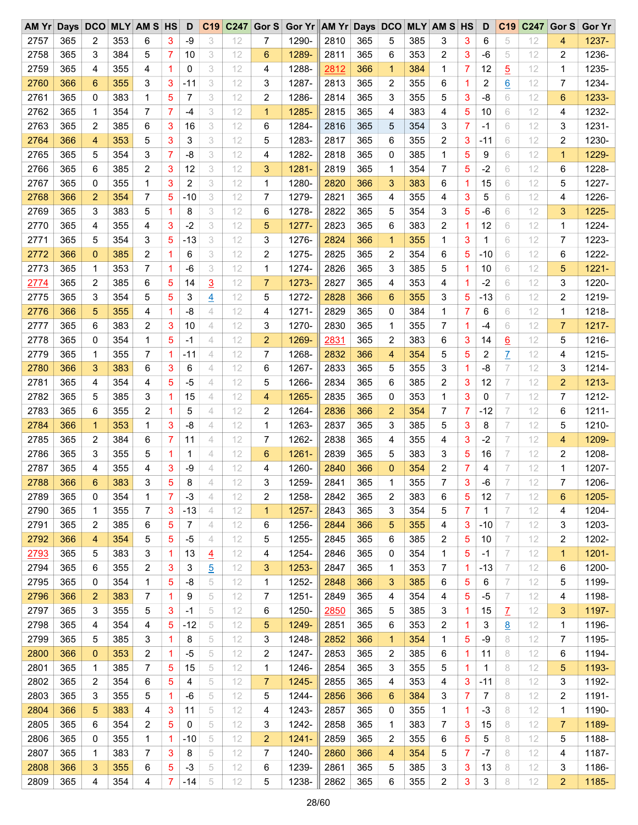| AMYr |     |              |     | Days DCO MLY AM S HS |   | D     |                | C19 C247 | Gor S          | Gor Yr AM Yr Days DCO MLY AM S HS |      |     |                |     |              |                | D            | C <sub>19</sub> | C247 | Gor S          | <b>Gor Yr</b> |
|------|-----|--------------|-----|----------------------|---|-------|----------------|----------|----------------|-----------------------------------|------|-----|----------------|-----|--------------|----------------|--------------|-----------------|------|----------------|---------------|
| 2757 | 365 | 2            | 353 | 6                    | 3 | -9    | 3              | 12       | 7              | 1290-                             | 2810 | 365 | 5              | 385 | 3            | 3              | 6            | 5               | 12   | 4              | 1237-         |
| 2758 | 365 | 3            | 384 | 5                    | 7 | 10    | 3              | 12       | 6              | 1289-                             | 2811 | 365 | 6              | 353 | 2            | 3              | -6           | 5               | 12   | 2              | 1236-         |
| 2759 | 365 | 4            | 355 | 4                    | 1 | 0     | 3              | 12       | 4              | 1288-                             | 2812 | 366 | 1              | 384 | 1            | 7              | 12           | $\overline{5}$  | 12   | 1              | 1235-         |
| 2760 | 366 | 6            | 355 | 3                    | 3 | $-11$ | 3              | 12       | 3              | 1287-                             | 2813 | 365 | 2              | 355 | 6            | 1              | 2            | 6               | 12   | 7              | 1234-         |
| 2761 | 365 | 0            | 383 | 1                    | 5 | 7     | 3              | 12       | 2              | 1286-                             | 2814 | 365 | 3              | 355 | 5            | 3              | -8           | 6               | 12   | 6              | 1233-         |
| 2762 | 365 | 1            | 354 | 7                    | 7 | $-4$  | 3              | 12       | $\mathbf{1}$   | 1285-                             | 2815 | 365 | 4              | 383 | 4            | 5              | 10           | 6               | 12   | 4              | 1232-         |
| 2763 | 365 | 2            | 385 | 6                    | 3 | 16    | 3              | 12       | 6              | 1284-                             | 2816 | 365 | 5              | 354 | 3            | $\overline{7}$ | $-1$         | 6               | 12   | 3              | 1231-         |
| 2764 | 366 | 4            | 353 | 5                    | 3 | 3     | 3              | 12       | 5              | 1283-                             | 2817 | 365 | 6              | 355 | 2            | 3              | $-11$        | 6               | 12   | 2              | 1230-         |
| 2765 | 365 | 5            | 354 | 3                    | 7 | -8    | 3              | 12       | 4              | 1282-                             | 2818 | 365 | 0              | 385 | $\mathbf{1}$ | 5              | 9            | 6               | 12   | $\mathbf{1}$   | 1229-         |
| 2766 | 365 | 6            | 385 | 2                    | 3 | 12    | 3              | 12       | 3              | 1281-                             | 2819 | 365 | 1              | 354 | 7            | 5              | $-2$         | 6               | 12   | 6              | 1228-         |
| 2767 | 365 | 0            | 355 | 1                    | 3 | 2     | 3              | 12       | 1              | 1280-                             | 2820 | 366 | 3              | 383 | 6            | 1              | 15           | 6               | 12   | 5              | 1227-         |
| 2768 | 366 | 2            | 354 | 7                    | 5 | $-10$ | 3              | 12       | 7              | 1279-                             | 2821 | 365 | 4              | 355 | 4            | 3              | 5            | 6               | 12   | 4              | 1226-         |
| 2769 | 365 | 3            | 383 | 5                    | 1 | 8     | 3              | 12       | 6              | 1278-                             | 2822 | 365 | 5              | 354 | 3            | 5              | $-6$         | 6               | 12   | 3              | 1225-         |
| 2770 | 365 | 4            | 355 | 4                    | 3 | $-2$  | 3              | 12       | 5              | 1277-                             | 2823 | 365 | 6              | 383 | 2            | 1              | 12           | 6               | 12   | 1              | 1224-         |
| 2771 | 365 | 5            | 354 | 3                    | 5 | $-13$ | 3              | 12       | 3              | 1276-                             | 2824 | 366 | $\mathbf{1}$   | 355 | 1            | 3              | $\mathbf{1}$ | 6               | 12   | 7              | 1223-         |
| 2772 | 366 | 0            | 385 | 2                    | 1 | 6     | 3              | 12       | $\overline{2}$ | 1275-                             | 2825 | 365 | 2              | 354 | 6            | 5              | $-10$        | 6               | 12   | 6              | 1222-         |
| 2773 | 365 | 1            | 353 | 7                    | 1 | $-6$  | 3              | 12       | $\mathbf{1}$   | 1274-                             | 2826 | 365 | 3              | 385 | 5            | 1              | 10           | 6               | 12   | 5              | $1221 -$      |
|      |     |              |     |                      |   |       |                |          |                |                                   |      |     |                |     |              |                |              |                 |      |                |               |
| 2774 | 365 | 2            | 385 | 6                    | 5 | 14    | $\overline{3}$ | 12       | $\overline{7}$ | 1273-                             | 2827 | 365 | 4              | 353 | 4            | 1              | $-2$         | 6               | 12   | 3              | 1220-         |
| 2775 | 365 | 3            | 354 | 5                    | 5 | 3     | $\overline{4}$ | 12       | 5              | 1272-                             | 2828 | 366 | 6              | 355 | 3            | 5              | $-13$        | 6               | 12   | $\overline{c}$ | 1219-         |
| 2776 | 366 | 5            | 355 | 4                    | 1 | -8    | 4              | 12       | 4              | $1271 -$                          | 2829 | 365 | 0              | 384 | 1            | 7              | 6            | 6               | 12   | 1              | 1218-         |
| 2777 | 365 | 6            | 383 | $\overline{c}$       | 3 | 10    | 4              | 12       | 3              | 1270-                             | 2830 | 365 | 1              | 355 | 7            | 1              | $-4$         | 6               | 12   | $\overline{7}$ | $1217 -$      |
| 2778 | 365 | 0            | 354 | 1                    | 5 | -1    | 4              | 12       | $\overline{2}$ | 1269-                             | 2831 | 365 | 2              | 383 | 6            | 3              | 14           | $\underline{6}$ | 12   | 5              | 1216-         |
| 2779 | 365 | 1            | 355 | 7                    | 1 | $-11$ | 4              | 12       | 7              | 1268-                             | 2832 | 366 | 4              | 354 | 5            | 5              | 2            | $\overline{1}$  | 12   | 4              | 1215-         |
| 2780 | 366 | 3            | 383 | 6                    | 3 | 6     | 4              | 12       | 6              | 1267-                             | 2833 | 365 | 5              | 355 | 3            | 1              | -8           | 7               | 12   | 3              | 1214-         |
| 2781 | 365 | 4            | 354 | 4                    | 5 | $-5$  | 4              | 12       | 5              | 1266-                             | 2834 | 365 | 6              | 385 | 2            | 3              | 12           | 7               | 12   | $\overline{c}$ | 1213-         |
| 2782 | 365 | 5            | 385 | 3                    | 1 | 15    | 4              | 12       | 4              | 1265-                             | 2835 | 365 | 0              | 353 | $\mathbf{1}$ | 3              | 0            | $\overline{7}$  | 12   | 7              | 1212-         |
| 2783 | 365 | 6            | 355 | 2                    | 1 | 5     | 4              | 12       | 2              | 1264-                             | 2836 | 366 | $\overline{2}$ | 354 | 7            | 7              | $-12$        | 7               | 12   | 6              | $1211 -$      |
| 2784 | 366 | $\mathbf{1}$ | 353 | 1                    | 3 | $-8$  | 4              | 12       | $\mathbf{1}$   | 1263-                             | 2837 | 365 | 3              | 385 | 5            | 3              | 8            | $\overline{7}$  | 12   | 5              | 1210-         |
| 2785 | 365 | 2            | 384 | 6                    | 7 | 11    | $\overline{4}$ | 12       | $\overline{7}$ | 1262-                             | 2838 | 365 | 4              | 355 | 4            | 3              | $-2$         | 7               | 12   | 4              | 1209-         |
| 2786 | 365 | 3            | 355 | 5                    | 1 | 1     | 4              | 12       | 6              | 1261-                             | 2839 | 365 | 5              | 383 | 3            | 5              | 16           | 7               | 12   | 2              | 1208-         |
| 2787 | 365 | 4            | 355 | 4                    | 3 | -9    | 4              | 12       | 4              | 1260-                             | 2840 | 366 | $\mathbf{0}$   | 354 | 2            | 7              | 4            | 7               | 12   | 1              | 1207-         |
| 2788 | 366 | 6            | 383 | 3                    | 5 | 8     | 4              | 12       | 3              | 1259-                             | 2841 | 365 | 1              | 355 | 7            | 3              | $-6$         | 7               | 12   | $\overline{7}$ | 1206-         |
| 2789 | 365 | 0            | 354 | 1                    | 7 | -3    | 4              | 12       | 2              | 1258-                             | 2842 | 365 | 2              | 383 | 6            | 5              | 12           | 7               | 12   | 6              | 1205-         |
| 2790 | 365 | 1            | 355 | 7                    | 3 | $-13$ | 4              | 12       | 1              | 1257-                             | 2843 | 365 | 3              | 354 | 5            | 7              | 1            | 7               | 12   | 4              | 1204-         |
| 2791 | 365 | 2            | 385 | 6                    | 5 | 7     | 4              | 12       | 6              | 1256-                             | 2844 | 366 | 5              | 355 | 4            | 3              | $-10$        | 7               | 12   | 3              | 1203-         |
| 2792 | 366 | 4            | 354 | 5                    | 5 | $-5$  | 4              | 12       | 5              | 1255-                             | 2845 | 365 | 6              | 385 | 2            | 5              | 10           | 7               | 12   | 2              | 1202-         |
| 2793 | 365 | 5            | 383 | 3                    | 1 | 13    | $\overline{4}$ | 12       | 4              | 1254-                             | 2846 | 365 | 0              | 354 | 1            | 5              | $-1$         | 7               | 12   | $\mathbf{1}$   | $1201 -$      |
| 2794 | 365 | 6            | 355 | 2                    | 3 | 3     | <u>5</u>       | 12       | 3              | 1253-                             | 2847 | 365 | 1              | 353 | 7            | 1              | $-13$        | 7               | 12   | 6              | 1200-         |
| 2795 | 365 | 0            | 354 | 1                    | 5 | -8    | 5              | 12       | $\mathbf{1}$   | 1252-                             | 2848 | 366 | 3              | 385 | 6            | 5              | 6            | 7               | 12   | 5              | 1199-         |
| 2796 | 366 | 2            | 383 | 7                    | 1 | 9     | 5              | 12       | 7              | 1251-                             | 2849 | 365 | 4              | 354 | 4            | 5              | -5           | 7               | 12   | 4              | 1198-         |
| 2797 | 365 | 3            | 355 | 5                    | 3 | $-1$  | 5              | 12       | 6              | 1250-                             | 2850 | 365 | 5              | 385 | 3            | 1              | 15           | Z               | 12   | 3              | 1197-         |
| 2798 | 365 | 4            | 354 | 4                    | 5 | $-12$ | 5              | 12       | 5              | 1249-                             | 2851 | 365 | 6              | 353 | 2            | 1              | 3            | 8               | 12   | 1              | 1196-         |
| 2799 | 365 | 5            | 385 | 3                    | 1 | 8     | 5              | 12       | 3              | 1248-                             | 2852 | 366 | 1              | 354 | 1            | 5              | -9           | 8               | 12   | 7              | 1195-         |
| 2800 | 366 | 0            | 353 | 2                    | 1 | -5    | 5              | 12       | 2              | 1247-                             | 2853 | 365 | 2              | 385 | 6            | 1              | 11           | 8               | 12   | 6              | 1194-         |
| 2801 | 365 | 1            | 385 | 7                    | 5 | 15    | 5              | 12       | 1              | 1246-                             | 2854 | 365 | 3              | 355 | 5            | 1              | 1            | 8               | 12   | 5              | 1193-         |
| 2802 | 365 | 2            | 354 | 6                    | 5 | 4     | 5              | 12       | $\overline{7}$ | 1245-                             | 2855 | 365 | 4              | 353 | 4            | 3              | $-11$        | 8               | 12   | 3              | 1192-         |
| 2803 | 365 | 3            | 355 | 5                    | 1 | -6    | 5              | 12       | 5              | 1244-                             | 2856 | 366 | 6              | 384 | 3            | 7              | 7            | 8               | 12   | 2              | 1191-         |
| 2804 | 366 | 5            | 383 | 4                    | 3 | 11    | 5              | 12       | 4              | 1243-                             | 2857 | 365 | 0              | 355 | 1            | 1              | $-3$         | 8               | 12   | 1              | 1190-         |
| 2805 | 365 | 6            | 354 | 2                    | 5 | 0     | 5              | 12       | 3              | 1242-                             | 2858 | 365 | 1              | 383 | 7            | 3              | 15           | 8               | 12   | 7              | 1189-         |
| 2806 | 365 | 0            | 355 | 1                    | 1 | $-10$ | 5              | 12       | $\overline{c}$ | $1241 -$                          | 2859 | 365 | 2              | 355 | 6            | 5              | 5            | 8               | 12   | 5              | 1188-         |
| 2807 | 365 | 1            | 383 | 7                    | 3 | 8     | 5              | 12       | 7              | 1240-                             | 2860 | 366 | 4              | 354 | 5            | 7              | $-7$         | 8               | 12   | 4              | 1187-         |
| 2808 | 366 |              | 355 |                      | 5 | $-3$  |                | 12       |                | 1239-                             | 2861 | 365 |                | 385 |              |                |              |                 |      |                | 1186-         |
|      |     | 3            |     | 6                    |   |       | 5              |          | 6              |                                   |      |     | 5              |     | 3            | 3              | 13           | 8               | 12   | 3              |               |
| 2809 | 365 | 4            | 354 | 4                    | 7 | $-14$ | 5              | 12       | 5              | 1238-                             | 2862 | 365 | 6              | 355 | 2            | 3              | 3            | 8               | 12   | $\overline{a}$ | 1185-         |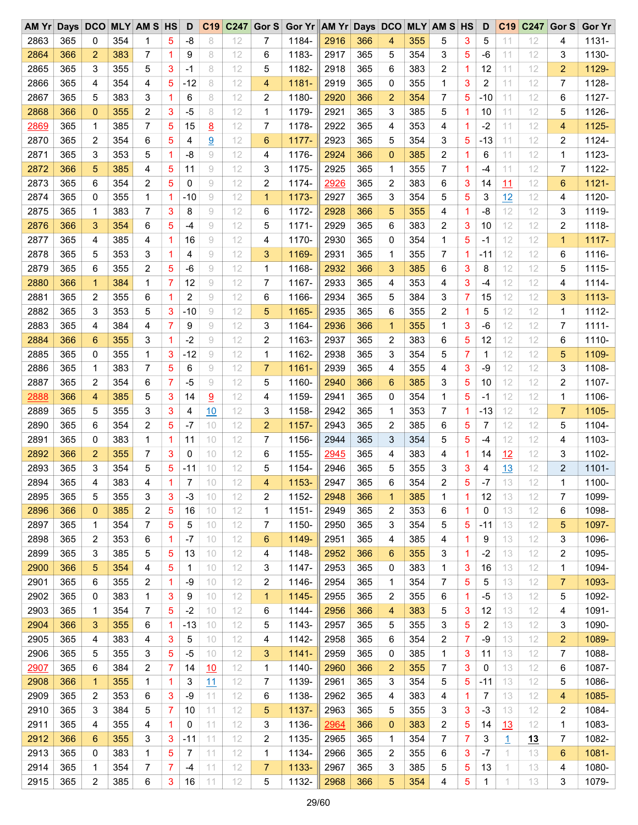| AM Yr Days DCO MLY AM S HS |     |                |     |                |                | D     | C <sub>19</sub> |    |                | C247 Gor S Gor Yr AM Yr Days DCO |      |     |                 |     | <b>MLY AM S HS</b> |              | D              | C <sub>19</sub> | C247 | Gor S          | <b>Gor Yr</b> |
|----------------------------|-----|----------------|-----|----------------|----------------|-------|-----------------|----|----------------|----------------------------------|------|-----|-----------------|-----|--------------------|--------------|----------------|-----------------|------|----------------|---------------|
| 2863                       | 365 | 0              | 354 | 1              | 5              | -8    | 8               | 12 | 7              | 1184-                            | 2916 | 366 | 4               | 355 | 5                  | 3            | 5              | 11              | 12   | 4              | $1131 -$      |
| 2864                       | 366 | 2              | 383 | 7              | 1              | 9     | 8               | 12 | 6              | 1183-                            | 2917 | 365 | 5               | 354 | 3                  | 5            | -6             | 11              | 12   | 3              | 1130-         |
| 2865                       | 365 | 3              | 355 | 5              | 3              | $-1$  | 8               | 12 | 5              | 1182-                            | 2918 | 365 | 6               | 383 | 2                  | $\mathbf{1}$ | 12             | 11              | 12   | 2              | 1129-         |
| 2866                       | 365 | 4              | 354 | 4              | 5              | $-12$ | 8               | 12 | 4              | 1181-                            | 2919 | 365 | 0               | 355 | $\mathbf{1}$       | 3            | 2              | 11              | 12   | 7              | 1128-         |
| 2867                       | 365 | 5              | 383 | 3              | 1              | 6     | 8               | 12 | 2              | 1180-                            | 2920 | 366 | $\overline{2}$  | 354 | 7                  | 5            | $-10$          | 11              | 12   | 6              | 1127-         |
| 2868                       | 366 | $\mathbf{0}$   | 355 | $\overline{c}$ | 3              | $-5$  | 8               | 12 | $\mathbf 1$    | 1179-                            | 2921 | 365 | 3               | 385 | 5                  | 1            | 10             | 11              | 12   | 5              | 1126-         |
| 2869                       | 365 | 1              | 385 | $\overline{7}$ | 5              | 15    | 8               | 12 | 7              | 1178-                            | 2922 | 365 | 4               | 353 | 4                  | 1            | $-2$           | 11              | 12   | 4              | 1125-         |
| 2870                       | 365 | 2              | 354 | 6              | 5              | 4     | 9               | 12 | 6              | 1177-                            | 2923 | 365 | 5               | 354 | 3                  | 5            | $-13$          | 11              | 12   | 2              | 1124-         |
| 2871                       | 365 | 3              | 353 | 5              | 1              | -8    | 9               | 12 | 4              | 1176-                            | 2924 | 366 | $\mathbf{0}$    | 385 | 2                  | 1.           | 6              | 11              | 12   | 1              | 1123-         |
| 2872                       | 366 | 5              | 385 | 4              | 5              | 11    | 9               | 12 | 3              | 1175-                            | 2925 | 365 | $\mathbf 1$     | 355 | 7                  | $\mathbf{1}$ | $-4$           | 11              | 12   | 7              | 1122-         |
| 2873                       | 365 | 6              | 354 | $\overline{c}$ | 5              | 0     | 9               | 12 | $\overline{c}$ | 1174-                            | 2926 | 365 | $\overline{2}$  | 383 | 6                  | 3            | 14             | 11              | 12   | 6              | 1121-         |
| 2874                       | 365 | 0              | 355 | 1              | 1              | $-10$ | 9               | 12 | $\mathbf{1}$   | 1173-                            | 2927 | 365 | 3               | 354 | 5                  | 5            | 3              | 12              | 12   | 4              | 1120-         |
| 2875                       | 365 | 1              | 383 | 7              | 3              | 8     | 9               | 12 | 6              | 1172-                            | 2928 | 366 | 5               | 355 | 4                  | $\mathbf{1}$ | -8             | 12              | 12   | 3              | 1119-         |
| 2876                       | 366 | 3              | 354 | 6              | 5              | $-4$  | $\rm{g}$        | 12 | 5              | $1171 -$                         | 2929 | 365 | 6               | 383 | 2                  | 3            | 10             | 12              | 12   | 2              | 1118-         |
| 2877                       | 365 | 4              | 385 | 4              | 1              | 16    | 9               | 12 | 4              | 1170-                            | 2930 | 365 | 0               | 354 | $\mathbf{1}$       | 5            | -1             | 12              | 12   | $\mathbf{1}$   | $1117 -$      |
| 2878                       | 365 | 5              | 353 | 3              | 1              | 4     | 9               | 12 | 3              | 1169-                            | 2931 | 365 | 1               | 355 | 7                  | 1.           | $-11$          | 12              | 12   | 6              | 1116-         |
| 2879                       | 365 | 6              | 355 | $\overline{c}$ | 5              | -6    | 9               | 12 | $\mathbf{1}$   | 1168-                            | 2932 | 366 | 3               | 385 | 6                  | 3            | 8              | 12              | 12   | 5              | 1115-         |
| 2880                       | 366 | $\mathbf{1}$   | 384 | 1              | 7              | 12    | 9               | 12 | $\overline{7}$ | 1167-                            | 2933 | 365 | 4               | 353 | 4                  | 3            | $-4$           | 12              | 12   | 4              | 1114-         |
| 2881                       | 365 | 2              | 355 | 6              | 1              | 2     | $\rm{g}$        | 12 | 6              | 1166-                            | 2934 | 365 | 5               | 384 | 3                  | 7            | 15             | 12              | 12   | 3              | $1113 -$      |
| 2882                       | 365 | 3              | 353 | 5              | 3              | $-10$ | 9               | 12 | 5              | 1165-                            | 2935 | 365 | 6               | 355 | 2                  | $\mathbf{1}$ |                | 12              | 12   |                | 1112-         |
| 2883                       | 365 | 4              | 384 | 4              | $\overline{7}$ | 9     | $\rm{g}$        | 12 | 3              | 1164-                            | 2936 | 366 | 1               | 355 | 1                  | 3            | 5<br>$-6$      | 12              | 12   | 1<br>7         | $1111 -$      |
|                            |     |                |     |                |                |       |                 |    |                |                                  |      |     |                 |     |                    |              |                |                 |      |                |               |
| 2884                       | 366 | 6              | 355 | 3              | 1              | $-2$  | 9               | 12 | 2              | 1163-                            | 2937 | 365 | 2               | 383 | 6                  | 5            | 12             | 12              | 12   | 6              | 1110-         |
| 2885                       | 365 | 0              | 355 | 1              | 3              | $-12$ | 9               | 12 | 1              | 1162-                            | 2938 | 365 | 3               | 354 | 5                  | 7            | 1              | 12              | 12   | 5              | 1109-         |
| 2886                       | 365 | 1              | 383 | 7              | 5              | 6     | 9               | 12 | $\overline{7}$ | 1161-                            | 2939 | 365 | 4               | 355 | 4                  | 3            | -9             | 12              | 12   | 3              | 1108-         |
| 2887                       | 365 | 2              | 354 | 6              | 7              | $-5$  | 9               | 12 | 5              | 1160-                            | 2940 | 366 | $6\phantom{1}6$ | 385 | 3                  | 5            | 10             | 12              | 12   | 2              | 1107-         |
| 2888                       | 366 | 4              | 385 | 5              | 3              | 14    | 9               | 12 | 4              | 1159-                            | 2941 | 365 | 0               | 354 | $\mathbf{1}$       | 5            | -1             | 12              | 12   | 1              | 1106-         |
| 2889                       | 365 | 5              | 355 | 3              | 3              | 4     | 10              | 12 | 3              | 1158-                            | 2942 | 365 | 1               | 353 | 7                  | 1.           | -13            | 12              | 12   | $\overline{7}$ | 1105-         |
| 2890                       | 365 | 6              | 354 | $\overline{c}$ | 5              | $-7$  | 10              | 12 | $\overline{2}$ | 1157-                            | 2943 | 365 | $\overline{2}$  | 385 | 6                  | 5            | $\overline{7}$ | 12              | 12   | 5              | 1104-         |
| 2891                       | 365 | 0              | 383 | 1              | 1              | 11    | 10              | 12 | 7              | 1156-                            | 2944 | 365 | 3               | 354 | 5                  | 5            | $-4$           | 12              | 12   | 4              | 1103-         |
| 2892                       | 366 | $\overline{2}$ | 355 | 7              | 3              | 0     | 10              | 12 | 6              | 1155-                            | 2945 | 365 | 4               | 383 | 4                  | 1.           | 14             | 12              | 12   | 3              | 1102-         |
| 2893                       | 365 | 3              | 354 | 5              | 5              | $-11$ | 10              | 12 | 5              | 1154-                            | 2946 | 365 | 5               | 355 | 3                  | 3            | 4              | 13              | 12   | 2              | 1101-         |
| 2894                       | 365 | 4              | 383 | 4              | 1              | 7     | 10              | 12 | 4              | 1153-                            | 2947 | 365 | 6               | 354 | $\overline{2}$     | 5            | $-7$           | 13              | 12   | 1              | 1100-         |
| 2895                       | 365 | 5              | 355 | 3              | 3              | $-3$  | 10              | 12 | 2              | 1152-                            | 2948 | 366 | 1               | 385 | 1                  | 1.           | 12             | 13              | 12   | 7              | 1099-         |
| 2896                       | 366 | 0              | 385 | 2              | 5              | 16    | 10              | 12 | 1              | $1151 -$                         | 2949 | 365 | 2               | 353 | 6                  | $\mathbf{1}$ | 0              | 13              | 12   | 6              | 1098-         |
| 2897                       | 365 | 1              | 354 | 7              | 5              | 5     | 10              | 12 | 7              | 1150-                            | 2950 | 365 | 3               | 354 | 5                  | 5            | $-11$          | 13              | 12   | 5              | 1097-         |
| 2898                       | 365 | 2              | 353 | 6              | 1              | $-7$  | 10              | 12 | 6              | 1149-                            | 2951 | 365 | 4               | 385 | 4                  | 1            | 9              | 13              | 12   | 3              | 1096-         |
| 2899                       | 365 | 3              | 385 | 5              | 5              | 13    | 10              | 12 | 4              | 1148-                            | 2952 | 366 | $6\phantom{1}6$ | 355 | 3                  | $\mathbf{1}$ | $-2$           | 13              | 12   | 2              | 1095-         |
| 2900                       | 366 | 5              | 354 | 4              | 5              | 1     | 10              | 12 | 3              | 1147-                            | 2953 | 365 | 0               | 383 | 1                  | 3            | 16             | 13              | 12   | 1              | 1094-         |
| 2901                       | 365 | 6              | 355 | 2              | 1              | -9    | 10              | 12 | 2              | 1146-                            | 2954 | 365 | 1               | 354 | 7                  | 5            | 5              | 13              | 12   | 7              | 1093-         |
| 2902                       | 365 | 0              | 383 | 1              | 3              | 9     | 10              | 12 | $\mathbf{1}$   | 1145-                            | 2955 | 365 | 2               | 355 | 6                  | $\mathbf{1}$ | $-5$           | 13              | 12   | 5              | 1092-         |
| 2903                       | 365 | 1              | 354 | 7              | 5              | $-2$  | 10              | 12 | 6              | 1144-                            | 2956 | 366 | 4               | 383 | 5                  | 3            | 12             | 13              | 12   | 4              | 1091-         |
| 2904                       | 366 | 3              | 355 | 6              | 1              | $-13$ | 10              | 12 | 5              | 1143-                            | 2957 | 365 | 5               | 355 | 3                  | 5            | 2              | 13              | 12   | 3              | 1090-         |
| 2905                       | 365 | 4              | 383 | 4              | 3              | 5     | 10              | 12 | 4              | 1142-                            | 2958 | 365 | 6               | 354 | 2                  | 7            | -9             | 13              | 12   | 2              | 1089-         |
| 2906                       | 365 | 5              | 355 | 3              | 5              | $-5$  | 10              | 12 | 3              | 1141-                            | 2959 | 365 | 0               | 385 | 1                  | 3            | 11             | 13              | 12   | 7              | 1088-         |
| 2907                       | 365 | 6              | 384 | 2              | 7              | 14    | 10              | 12 | 1              | 1140-                            | 2960 | 366 | $\overline{c}$  | 355 | 7                  | 3            | 0              | 13              | 12   | 6              | 1087-         |
| 2908                       | 366 | $\mathbf{1}$   | 355 | 1              | 1              | 3     | 11              | 12 | 7              | 1139-                            | 2961 | 365 | 3               | 354 | 5                  | 5            | $-11$          | 13              | 12   | 5              | 1086-         |
| 2909                       | 365 | 2              | 353 | 6              | 3              | -9    | 11              | 12 | 6              | 1138-                            | 2962 | 365 | 4               | 383 | 4                  | 1            | 7              | 13              | 12   | 4              | 1085-         |
| 2910                       | 365 | 3              | 384 | 5              | 7              | 10    | 11              | 12 | 5              | 1137-                            | 2963 | 365 | 5               | 355 | 3                  | 3            | $-3$           | 13              | 12   | 2              | 1084-         |
| 2911                       | 365 | 4              | 355 | 4              | 1              | 0     | 11              | 12 | 3              | 1136-                            | 2964 | 366 | $\mathbf 0$     | 383 | 2                  | 5            | 14             | 13              | 12   | 1              | 1083-         |
| 2912                       | 366 | 6              | 355 | 3              | 3              | $-11$ | 11              | 12 | 2              | 1135-                            | 2965 | 365 | 1               | 354 | 7                  | 7            | 3              | $\overline{1}$  | 13   | 7              | 1082-         |
| 2913                       | 365 | 0              | 383 | 1              | 5              | 7     | 11              | 12 | 1              | 1134-                            | 2966 | 365 | 2               | 355 | 6                  | 3            | -7             | 1               | 13   | 6              | 1081-         |
| 2914                       | 365 | 1              | 354 | 7              | 7              | $-4$  | 11              | 12 | 7              | 1133-                            | 2967 | 365 | 3               | 385 | 5                  | 5            | 13             | 1.              | 13   | 4              | 1080-         |
| 2915                       | 365 | 2              | 385 | 6              | 3              | 16    | 11              | 12 | 5              | 1132-                            | 2968 | 366 | 5               | 354 | 4                  | 5            | 1              | 1               | 13   | 3              | 1079-         |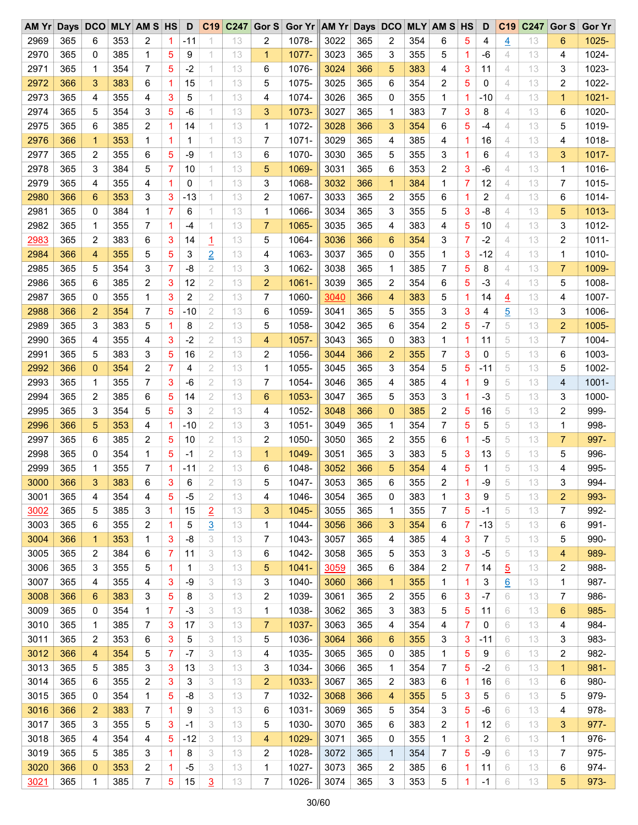| AM Yr |     |              |     | Days DCO MLY AM S HS |                | D     |                     | C19 C247 | Gor S          | Gor Yr AM Yr Days DCO |      |     |                |     | <b>MLY AM S HS</b> |    | D     | C <sub>19</sub> | C247 | Gor S          | <b>Gor Yr</b> |
|-------|-----|--------------|-----|----------------------|----------------|-------|---------------------|----------|----------------|-----------------------|------|-----|----------------|-----|--------------------|----|-------|-----------------|------|----------------|---------------|
| 2969  | 365 | 6            | 353 | 2                    | 1              | -11   |                     | 13       | 2              | 1078-                 | 3022 | 365 | 2              | 354 | 6                  | 5  | 4     | 4               | 13   | 6              | $1025 -$      |
| 2970  | 365 | 0            | 385 | 1                    | 5              | 9     | 1                   | 13       | 1              | 1077-                 | 3023 | 365 | 3              | 355 | 5                  | 1. | -6    | 4               | 13   | 4              | 1024-         |
| 2971  | 365 | 1            | 354 | 7                    | 5              | $-2$  | 1                   | 13       | 6              | 1076-                 | 3024 | 366 | 5              | 383 | 4                  | 3  | 11    | 4               | 13   | 3              | 1023-         |
| 2972  | 366 | 3            | 383 | 6                    | 1              | 15    |                     | 13       | 5              | 1075-                 | 3025 | 365 | 6              | 354 | 2                  | 5  | 0     | 4               | 13   | 2              | 1022-         |
| 2973  | 365 | 4            | 355 | 4                    | 3              | 5     | 1                   | 13       | 4              | 1074-                 | 3026 | 365 | 0              | 355 | 1                  | 1. | $-10$ | 4               | 13   | $\mathbf{1}$   | $1021 -$      |
| 2974  | 365 | 5            | 354 | 3                    | 5              | $-6$  | 1.                  | 13       | 3              | 1073-                 | 3027 | 365 | $\mathbf 1$    | 383 | 7                  | 3  | 8     | 4               | 13   | 6              | 1020-         |
| 2975  | 365 | 6            | 385 | 2                    | 1              | 14    | 1                   | 13       | 1              | 1072-                 | 3028 | 366 | 3              | 354 | 6                  | 5  | $-4$  | 4               | 13   | 5              | 1019-         |
| 2976  | 366 | $\mathbf{1}$ | 353 | 1                    | 1              | 1     | 1                   | 13       | 7              | $1071 -$              | 3029 | 365 | 4              | 385 | 4                  | 1. | 16    | 4               | 13   | 4              | 1018-         |
| 2977  | 365 | 2            | 355 | 6                    | 5              | -9    | 1.                  | 13       | 6              | 1070-                 | 3030 | 365 | 5              | 355 | 3                  | 1. | 6     | 4               | 13   | 3              | $1017 -$      |
| 2978  | 365 | 3            | 384 | 5                    | 7              | 10    | 1                   | 13       | 5              | 1069-                 | 3031 | 365 | 6              | 353 | 2                  | 3  | $-6$  | 4               | 13   | 1              | 1016-         |
| 2979  | 365 | 4            | 355 | 4                    | 1              | 0     | 1                   | 13       | 3              | 1068-                 | 3032 | 366 | $\mathbf 1$    | 384 | 1                  | 7  | 12    | 4               | 13   | 7              | 1015-         |
| 2980  | 366 | 6            | 353 | 3                    | 3              | $-13$ | 1                   | 13       | 2              | 1067-                 | 3033 | 365 | 2              | 355 | 6                  | 1  | 2     | 4               | 13   | 6              | 1014-         |
| 2981  | 365 | 0            | 384 | 1                    | 7              | 6     | 1.                  | 13       | 1              | 1066-                 | 3034 | 365 | 3              | 355 | 5                  | 3  | -8    | 4               | 13   | 5              | $1013 -$      |
| 2982  | 365 | 1            | 355 | 7                    | 1              | $-4$  | 1                   | 13       | $\overline{7}$ | 1065-                 | 3035 | 365 | 4              | 383 | 4                  | 5  | 10    | 4               | 13   | 3              | 1012-         |
| 2983  | 365 | 2            | 383 | 6                    | 3              | 14    |                     | 13       | 5              | 1064-                 | 3036 | 366 | 6              | 354 | 3                  | 7  | $-2$  | 4               | 13   | 2              | $1011 -$      |
| 2984  | 366 | 4            | 355 | 5                    | 5              | 3     | $\overline{1}$      | 13       | 4              | 1063-                 | 3037 | 365 | 0              | 355 | 1                  | 3  | $-12$ | 4               | 13   | 1              | 1010-         |
| 2985  |     | 5            |     |                      | $\overline{7}$ | $-8$  | $\overline{2}$<br>2 | 13       | 3              | 1062-                 |      | 365 |                |     | 7                  |    |       | 4               |      |                | 1009-         |
|       | 365 |              | 354 | 3                    |                |       |                     |          |                |                       | 3038 |     | 1              | 385 |                    | 5  | 8     |                 | 13   | 7              |               |
| 2986  | 365 | 6            | 385 | 2                    | 3              | 12    | $\mathbf{2}$        | 13       | $\overline{2}$ | $1061 -$              | 3039 | 365 | 2              | 354 | 6                  | 5  | $-3$  | 4               | 13   | 5              | 1008-         |
| 2987  | 365 | 0            | 355 | 1                    | 3              | 2     | $\overline{2}$      | 13       | 7              | 1060-                 | 3040 | 366 | 4              | 383 | 5                  | 1. | 14    | $\overline{4}$  | 13   | 4              | 1007-         |
| 2988  | 366 | 2            | 354 | 7                    | 5              | -10   | 2                   | 13       | 6              | 1059-                 | 3041 | 365 | 5              | 355 | 3                  | 3  | 4     | $\overline{5}$  | 13   | 3              | 1006-         |
| 2989  | 365 | 3            | 383 | 5                    | 1              | 8     | $\overline{2}$      | 13       | 5              | 1058-                 | 3042 | 365 | 6              | 354 | 2                  | 5  | $-7$  | 5               | 13   | $\overline{2}$ | 1005-         |
| 2990  | 365 | 4            | 355 | 4                    | 3              | $-2$  | 2                   | 13       | 4              | 1057-                 | 3043 | 365 | 0              | 383 | 1                  | 1  | 11    | 5               | 13   | 7              | 1004-         |
| 2991  | 365 | 5            | 383 | 3                    | 5              | 16    | 2                   | 13       | 2              | 1056-                 | 3044 | 366 | $\overline{2}$ | 355 | 7                  | 3  | 0     | 5               | 13   | 6              | 1003-         |
| 2992  | 366 | 0            | 354 | 2                    | 7              | 4     | 2                   | 13       | 1              | 1055-                 | 3045 | 365 | 3              | 354 | 5                  | 5  | $-11$ | 5               | 13   | 5              | 1002-         |
| 2993  | 365 | 1            | 355 | 7                    | 3              | $-6$  | $\mathbf{2}$        | 13       | $\overline{7}$ | 1054-                 | 3046 | 365 | 4              | 385 | 4                  | 1  | 9     | 5               | 13   | 4              | 1001-         |
| 2994  | 365 | 2            | 385 | 6                    | 5              | 14    | $\overline{2}$      | 13       | 6              | 1053-                 | 3047 | 365 | 5              | 353 | 3                  | 1. | $-3$  | 5               | 13   | 3              | 1000-         |
| 2995  | 365 | 3            | 354 | 5                    | 5              | 3     | 2                   | 13       | 4              | 1052-                 | 3048 | 366 | $\mathbf{0}$   | 385 | 2                  | 5  | 16    | 5               | 13   | 2              | 999-          |
| 2996  | 366 | 5            | 353 | 4                    | 1              | $-10$ | $\mathbf{2}$        | 13       | 3              | 1051-                 | 3049 | 365 | 1              | 354 | 7                  | 5  | 5     | 5               | 13   | 1              | 998-          |
| 2997  | 365 | 6            | 385 | $\overline{2}$       | 5              | 10    | $\mathbf{2}$        | 13       | 2              | 1050-                 | 3050 | 365 | 2              | 355 | 6                  | 1. | $-5$  | 5               | 13   | 7              | 997-          |
| 2998  | 365 | 0            | 354 | 1                    | 5              | -1    | $\overline{2}$      | 13       | $\mathbf{1}$   | 1049-                 | 3051 | 365 | 3              | 383 | 5                  | 3  | 13    | 5               | 13   | 5              | 996-          |
| 2999  | 365 | 1            | 355 | 7                    | 1              | $-11$ | 2                   | 13       | 6              | 1048-                 | 3052 | 366 | 5              | 354 | 4                  | 5  | 1     | 5               | 13   | 4              | 995-          |
| 3000  | 366 | 3            | 383 | 6                    | 3              | 6     | $\overline{2}$      | 13       | 5              | 1047-                 | 3053 | 365 | 6              | 355 | 2                  | 1  | $-9$  | 5               | 13   | 3              | 994-          |
| 3001  | 365 | 4            | 354 | 4                    | 5              | -5    | 2                   | 13       | 4              | 1046-                 | 3054 | 365 | 0              | 383 | 1                  | 3  | 9     | 5               | 13   | 2              | 993-          |
| 3002  | 365 | 5            | 385 | 3                    | 1              | 15    | $\overline{2}$      | 13       | 3              | 1045-                 | 3055 | 365 | 1              | 355 | 7                  | 5  | $-1$  | 5               | 13   | 7              | 992-          |
| 3003  | 365 | 6            | 355 | 2                    | 1              | 5     | $\overline{3}$      | 13       | 1              | 1044-                 | 3056 | 366 | 3              | 354 | 6                  | 7  | $-13$ | 5               | 13   | 6              | 991-          |
| 3004  | 366 | $\mathbf 1$  | 353 | 1                    | 3              | -8    | 3                   | 13       | 7              | 1043-                 | 3057 | 365 | 4              | 385 | 4                  | 3  | 7     | 5               | 13   | 5              | 990-          |
| 3005  | 365 | 2            | 384 | 6                    | 7              | 11    | 3                   | 13       | 6              | 1042-                 | 3058 | 365 | 5              | 353 | 3                  | 3  | -5    | 5               | 13   | 4              | 989-          |
| 3006  | 365 | 3            | 355 | 5                    | 1              | 1     | 3                   | 13       | 5              | 1041-                 | 3059 | 365 | 6              | 384 | 2                  | 7  | 14    | $\overline{5}$  | 13   | 2              | 988-          |
| 3007  | 365 | 4            | 355 | 4                    | 3              | -9    | 3                   | 13       | 3              | 1040-                 | 3060 | 366 | $\mathbf 1$    | 355 | 1                  | 1  | 3     | $\underline{6}$ | 13   | 1              | 987-          |
| 3008  | 366 | 6            | 383 | 3                    | 5              | 8     | 3                   | 13       | 2              | 1039-                 | 3061 | 365 | 2              | 355 | 6                  | 3  | $-7$  | 6               | 13   | 7              | 986-          |
| 3009  | 365 | 0            | 354 | 1                    | 7              | -3    | 3                   | 13       | 1              | 1038-                 | 3062 | 365 | 3              | 383 | 5                  | 5  | 11    | 6               | 13   | 6              | 985-          |
| 3010  | 365 | 1            | 385 | 7                    | 3              | 17    | 3                   | 13       | $\overline{7}$ | 1037-                 | 3063 | 365 | 4              | 354 | 4                  | 7  | 0     | 6               | 13   | 4              | 984-          |
| 3011  | 365 | 2            | 353 | 6                    | 3              | 5     | 3                   | 13       | 5              | 1036-                 | 3064 | 366 | 6              | 355 | 3                  | 3  | $-11$ | 6               | 13   | 3              | 983-          |
| 3012  | 366 | 4            | 354 | 5                    | 7              | $-7$  | 3                   | 13       | 4              | 1035-                 | 3065 | 365 | 0              | 385 | 1                  | 5  | 9     | 6               | 13   | 2              | 982-          |
| 3013  | 365 | 5            | 385 | 3                    | 3              | 13    | 3                   | 13       | 3              | 1034-                 | 3066 | 365 | 1              | 354 | 7                  | 5  | $-2$  | 6               | 13   | 1              | 981-          |
| 3014  | 365 | 6            | 355 | 2                    | 3              | 3     | 3                   | 13       | $\overline{2}$ | 1033-                 | 3067 | 365 | 2              | 383 | 6                  | 1  | 16    | 6               | 13   | 6              | 980-          |
| 3015  | 365 | 0            | 354 | 1                    | 5              | -8    | 3                   | 13       | 7              | 1032-                 | 3068 | 366 | 4              | 355 | 5                  | 3  | 5     | 6               | 13   | 5              | 979-          |
| 3016  | 366 | 2            | 383 | 7                    | 1              | 9     | 3                   | 13       | 6              | 1031-                 | 3069 | 365 | 5              | 354 | 3                  | 5  | -6    | 6               | 13   | 4              | 978-          |
| 3017  | 365 | 3            | 355 | 5                    | 3              | $-1$  | 3                   | 13       | 5              | 1030-                 | 3070 | 365 | 6              | 383 | 2                  | 1  | 12    | 6               | 13   | 3              | 977-          |
| 3018  | 365 | 4            | 354 | 4                    | 5              | $-12$ | 3                   | 13       | 4              | 1029-                 | 3071 | 365 | 0              | 355 | 1                  | 3  | 2     | 6               | 13   | 1              | 976-          |
| 3019  | 365 |              | 385 | 3                    |                |       | 3                   | 13       |                |                       |      | 365 |                | 354 |                    |    | -9    | 6               |      |                | 975-          |
|       |     | 5            |     |                      | 1              | 8     |                     |          | 2              | 1028-                 | 3072 |     | 1              |     | 7                  | 5  |       |                 | 13   | 7              | 974-          |
| 3020  | 366 | 0            | 353 | 2                    | 1              | -5    | 3                   | 13       | 1              | 1027-                 | 3073 | 365 | 2              | 385 | 6                  | 1. | 11    | 6               | 13   | 6              |               |
| 3021  | 365 | 1            | 385 | 7                    | 5              | 15    | $\overline{3}$      | 13       | 7              | 1026-                 | 3074 | 365 | 3              | 353 | 5                  | 1  | $-1$  | 6               | 13   | 5              | 973-          |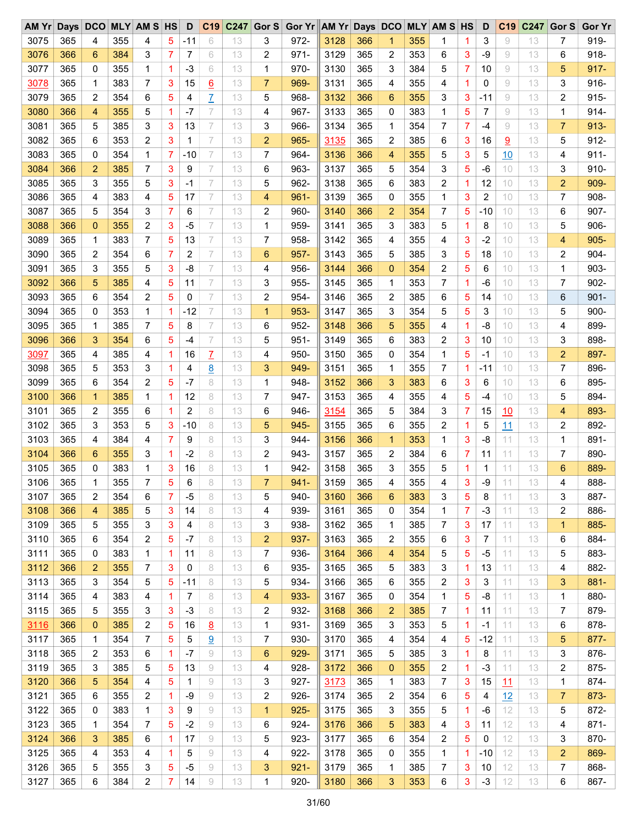| $AM$ $Yr$ | Days | <b>DCO</b>     |     | <b>MLY AM S HS</b>      |   | D     | C19             | C247 | Gor S          | Gor Yr AM Yr Days DCO |      |     |                |     | <b>MLY AM S HS</b> |    | D              | C <sub>19</sub> | C247 | Gor S          | <b>Gor Yr</b> |
|-----------|------|----------------|-----|-------------------------|---|-------|-----------------|------|----------------|-----------------------|------|-----|----------------|-----|--------------------|----|----------------|-----------------|------|----------------|---------------|
| 3075      | 365  | 4              | 355 | 4                       | 5 | -11   | 6               | 13   | 3              | 972-                  | 3128 | 366 | 1              | 355 | 1                  | 1  | 3              | 9               | 13   | 7              | 919-          |
| 3076      | 366  | 6              | 384 | 3                       | 7 | 7     | 6               | 13   | 2              | $971 -$               | 3129 | 365 | 2              | 353 | 6                  | 3  | -9             | 9               | 13   | 6              | 918-          |
| 3077      | 365  | 0              | 355 | 1                       | 1 | $-3$  | 6               | 13   | 1              | 970-                  | 3130 | 365 | 3              | 384 | 5                  | 7  | 10             | 9               | 13   | 5              | 917-          |
| 3078      | 365  | 1              | 383 | 7                       | 3 | 15    | $\underline{6}$ | 13   | $\overline{7}$ | 969-                  | 3131 | 365 | 4              | 355 | 4                  | 1  | 0              | 9               | 13   | 3              | 916-          |
| 3079      | 365  | 2              | 354 | 6                       | 5 | 4     | Z               | 13   | 5              | 968-                  | 3132 | 366 | 6              | 355 | 3                  | 3  | $-11$          | 9               | 13   | 2              | $915 -$       |
| 3080      | 366  | 4              | 355 | 5                       | 1 | $-7$  | 7               | 13   | 4              | 967-                  | 3133 | 365 | 0              | 383 | $\mathbf{1}$       | 5  | 7              | 9               | 13   | 1              | 914-          |
| 3081      | 365  | 5              | 385 | 3                       | 3 | 13    | 7               | 13   | 3              | 966-                  | 3134 | 365 | 1              | 354 | 7                  | 7  | $-4$           | 9               | 13   | $\overline{7}$ | $913 -$       |
| 3082      | 365  | 6              | 353 | 2                       | 3 | 1     | 7               | 13   | $\overline{2}$ | 965-                  | 3135 | 365 | 2              | 385 | 6                  | 3  | 16             | $\overline{a}$  | 13   | 5              | 912-          |
| 3083      | 365  | 0              | 354 | 1                       | 7 | -10   | 7               | 13   | 7              | 964-                  | 3136 | 366 | 4              | 355 | 5                  | 3  | 5              | 10              | 13   | 4              | $911 -$       |
| 3084      | 366  | $\overline{2}$ | 385 | 7                       | 3 | 9     | 7               | 13   | 6              | 963-                  | 3137 | 365 | 5              | 354 | 3                  | 5  | -6             | 10              | 13   | 3              | 910-          |
| 3085      | 365  | 3              | 355 | 5                       | 3 | $-1$  | 7               | 13   | 5              | 962-                  | 3138 | 365 | 6              | 383 | 2                  | 1  | 12             | 10              | 13   | 2              | 909-          |
| 3086      | 365  | 4              | 383 | 4                       | 5 | 17    | 7               | 13   | 4              | $961 -$               | 3139 | 365 | 0              | 355 | 1                  | 3  | $\overline{c}$ | 10              | 13   | 7              | 908-          |
| 3087      | 365  | 5              | 354 | 3                       | 7 | 6     | 7               | 13   | 2              | 960-                  | 3140 | 366 | $\overline{2}$ | 354 | 7                  | 5  | $-10$          | 10              | 13   | 6              | 907-          |
| 3088      | 366  | 0              | 355 | 2                       | 3 | $-5$  | 7               | 13   | 1              | 959-                  | 3141 | 365 | 3              | 383 | 5                  | 1  | 8              | 10              | 13   | 5              | 906-          |
| 3089      | 365  | 1              | 383 | 7                       | 5 | 13    | 7               | 13   | 7              | 958-                  | 3142 | 365 | 4              | 355 | 4                  | 3  | $-2$           | 10              | 13   | 4              | 905-          |
| 3090      | 365  | 2              | 354 | 6                       | 7 | 2     | 7               | 13   | 6              | 957-                  | 3143 | 365 | 5              | 385 | 3                  | 5  | 18             | 10              | 13   | 2              | 904-          |
| 3091      | 365  | 3              | 355 | 5                       | 3 | -8    | 7               | 13   | 4              | 956-                  | 3144 | 366 | $\overline{0}$ | 354 | 2                  | 5  | 6              | 10              | 13   | 1              | 903-          |
| 3092      | 366  | 5              | 385 | 4                       | 5 | 11    | 7               | 13   | 3              | 955-                  | 3145 | 365 | 1              | 353 | 7                  | 1  | -6             | 10              | 13   | 7              | 902-          |
| 3093      | 365  | 6              | 354 | $\overline{c}$          | 5 | 0     | 7               | 13   | $\overline{c}$ | 954-                  | 3146 | 365 | 2              | 385 | 6                  | 5  | 14             | 10              | 13   | 6              | $901 -$       |
| 3094      | 365  | 0              | 353 | 1                       | 1 | $-12$ | 7               | 13   | $\mathbf 1$    | $953-$                | 3147 | 365 | 3              | 354 | 5                  | 5  |                | 10              | 13   |                | 900-          |
| 3095      | 365  |                |     | 7                       |   | 8     | 7               |      | 6              |                       |      | 366 |                |     |                    | 1  | 3              |                 |      | 5              |               |
|           |      | 1              | 385 |                         | 5 |       |                 | 13   |                | 952-                  | 3148 |     | 5              | 355 | 4                  |    | -8             | 10              | 13   | 4              | 899-          |
| 3096      | 366  | 3              | 354 | 6                       | 5 | -4    | 7               | 13   | 5              | $951 -$               | 3149 | 365 | 6              | 383 | 2                  | 3  | 10             | 10              | 13   | 3              | 898-          |
| 3097      | 365  | 4              | 385 | 4                       | 1 | 16    | $\overline{L}$  | 13   | 4              | $950 -$               | 3150 | 365 | 0              | 354 | 1                  | 5  | -1             | 10              | 13   | 2              | 897-          |
| 3098      | 365  | 5              | 353 | 3                       | 1 | 4     | $\underline{8}$ | 13   | 3              | 949-                  | 3151 | 365 | 1              | 355 | 7                  | 1  | $-11$          | 10              | 13   | 7              | 896-          |
| 3099      | 365  | 6              | 354 | 2                       | 5 | $-7$  | 8               | 13   | 1              | 948-                  | 3152 | 366 | 3              | 383 | 6                  | 3  | 6              | 10              | 13   | 6              | 895-          |
| 3100      | 366  | $\mathbf 1$    | 385 | 1                       | 1 | 12    | 8               | 13   | 7              | 947-                  | 3153 | 365 | 4              | 355 | 4                  | 5  | $-4$           | 10              | 13   | 5              | 894-          |
| 3101      | 365  | 2              | 355 | 6                       | 1 | 2     | 8               | 13   | 6              | 946-                  | 3154 | 365 | 5              | 384 | 3                  | 7  | 15             | 10              | 13   | 4              | 893-          |
| 3102      | 365  | 3              | 353 | 5                       | 3 | $-10$ | 8               | 13   | 5              | 945-                  | 3155 | 365 | 6              | 355 | 2                  | 1  | 5              | 11              | 13   | 2              | 892-          |
| 3103      | 365  | 4              | 384 | 4                       | 7 | 9     | 8               | 13   | 3              | 944-                  | 3156 | 366 | 1              | 353 | 1                  | 3  | -8             | 11              | 13   | 1              | 891-          |
| 3104      | 366  | 6              | 355 | 3                       | 1 | $-2$  | 8               | 13   | 2              | 943-                  | 3157 | 365 | 2              | 384 | 6                  | 7  | 11             | 11              | 13   | 7              | 890-          |
| 3105      | 365  | 0              | 383 | 1                       | 3 | 16    | 8               | 13   | 1              | 942-                  | 3158 | 365 | 3              | 355 | 5                  | 1  | 1              | 11              | 13   | 6              | 889-          |
| 3106      | 365  | 1              | 355 | 7                       | 5 | 6     | 8               | 13   | $\overline{7}$ | $941 -$               | 3159 | 365 | 4              | 355 | 4                  | 3  | $-9$           | 11              | 13   | 4              | 888-          |
| 3107      | 365  | 2              | 354 | 6                       | 7 | $-5$  | 8               | 13   | 5              | 940-                  | 3160 | 366 | 6              | 383 | 3                  | 5  | 8              | 11              | 13   | 3              | 887-          |
| 3108      | 366  | 4              | 385 | 5                       | 3 | 14    | 8               | 13   | 4              | 939-                  | 3161 | 365 | 0              | 354 | 1                  | 7  | $-3$           | 11              | 13   | 2              | 886-          |
| 3109      | 365  | 5              | 355 | 3                       | 3 | 4     | 8               | 13   | 3              | 938-                  | 3162 | 365 | 1              | 385 | 7                  | 3  | 17             | 11              | 13   | $\mathbf{1}$   | 885-          |
| 3110      | 365  | 6              | 354 | 2                       | 5 | $-7$  | 8               | 13   | 2              | 937-                  | 3163 | 365 | 2              | 355 | 6                  | 3  | 7              | 11              | 13   | 6              | 884-          |
| 3111      | 365  | 0              | 383 | 1                       | 1 | 11    | 8               | 13   | 7              | 936-                  | 3164 | 366 | 4              | 354 | 5                  | 5  | $-5$           | 11              | 13   | 5              | 883-          |
| 3112      | 366  | 2              | 355 | 7                       | 3 | 0     | 8               | 13   | 6              | 935-                  | 3165 | 365 | 5              | 383 | 3                  | 1  | 13             | 11              | 13   | 4              | 882-          |
| 3113      | 365  | 3              | 354 | 5                       | 5 | $-11$ | 8               | 13   | 5              | 934-                  | 3166 | 365 | 6              | 355 | 2                  | 3  | 3              | 11              | 13   | 3              | 881-          |
| 3114      | 365  | 4              | 383 | 4                       | 1 | 7     | 8               | 13   | 4              | 933-                  | 3167 | 365 | 0              | 354 | 1                  | 5  | -8             | 11              | 13   | 1              | 880-          |
| 3115      | 365  | 5              | 355 | 3                       | 3 | -3    | 8               | 13   | 2              | 932-                  | 3168 | 366 | $\overline{c}$ | 385 | 7                  | 1  | 11             | 11              | 13   | 7              | 879-          |
| 3116      | 366  | 0              | 385 | 2                       | 5 | 16    | <u>8</u>        | 13   | 1              | $931 -$               | 3169 | 365 | 3              | 353 | 5                  | 1  | $-1$           | 11              | 13   | 6              | 878-          |
| 3117      | 365  | 1              | 354 | 7                       | 5 | 5     | 9               | 13   | 7              | 930-                  | 3170 | 365 | 4              | 354 | 4                  | 5  | $-12$          | 11              | 13   | 5              | 877-          |
| 3118      | 365  | 2              | 353 | 6                       | 1 | $-7$  | 9               | 13   | 6              | $929 -$               | 3171 | 365 | 5              | 385 | 3                  | 1  | 8              | 11              | 13   | 3              | 876-          |
| 3119      | 365  | 3              | 385 | 5                       | 5 | 13    | 9               | 13   | 4              | 928-                  | 3172 | 366 | $\mathbf 0$    | 355 | 2                  | 1  | $-3$           | 11              | 13   | 2              | 875-          |
| 3120      | 366  | 5              | 354 | 4                       | 5 | 1     | 9               | 13   | 3              | 927-                  | 3173 | 365 | 1              | 383 | 7                  | 3  | 15             | 11              | 13   | 1              | 874-          |
| 3121      | 365  | 6              | 355 | $\overline{\mathbf{c}}$ | 1 | -9    | 9               | 13   | 2              | $926 -$               | 3174 | 365 | 2              | 354 | 6                  | 5  | 4              | 12              | 13   | 7              | 873-          |
| 3122      | 365  | 0              | 383 | 1                       | 3 | 9     | 9               | 13   | 1              | $925 -$               | 3175 | 365 | 3              | 355 | 5                  | 1. | -6             | 12              | 13   | 5              | 872-          |
| 3123      | 365  | 1              | 354 | 7                       | 5 | $-2$  | 9               | 13   | 6              | 924-                  | 3176 | 366 | 5              | 383 | 4                  | 3  | 11             | 12              | 13   | 4              | $871 -$       |
| 3124      | 366  | 3              | 385 | 6                       | 1 | 17    | 9               | 13   | 5              | $923 -$               | 3177 | 365 | 6              | 354 | 2                  | 5  | 0              | 12              | 13   | 3              | 870-          |
| 3125      | 365  | 4              | 353 | 4                       | 1 | 5     | 9               | 13   | 4              | $922 -$               | 3178 | 365 | 0              | 355 | 1                  | 1. | -10            | 12              | 13   | 2              | 869-          |
| 3126      | 365  | 5              | 355 | 3                       | 5 | -5    | 9               | 13   | 3              | $921 -$               | 3179 | 365 | 1              | 385 | 7                  | 3  | 10             | 12              | 13   | 7              | 868-          |
| 3127      | 365  | 6              | 384 | 2                       | 7 | 14    | 9               | 13   | 1              | $920 -$               | 3180 | 366 | 3              | 353 | 6                  | 3  | $-3$           | 12              | 13   | 6              | 867-          |
|           |      |                |     |                         |   |       |                 |      |                |                       |      |     |                |     |                    |    |                |                 |      |                |               |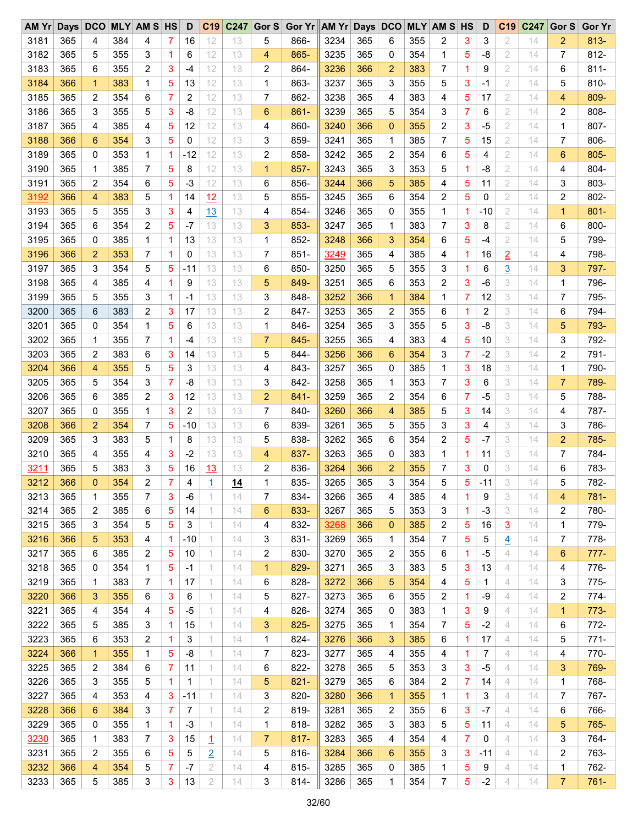| AMYr | Days DCO |              |     | <b>MLY AM S HS</b> |                | D     |                | C19 C247 | Gor S          | Gor Yr AM Yr Days DCO |      |     |                |     | <b>MLY AM S HS</b> |   | D     | C <sub>19</sub> | C247 | Gor S          | <b>Gor Yr</b> |
|------|----------|--------------|-----|--------------------|----------------|-------|----------------|----------|----------------|-----------------------|------|-----|----------------|-----|--------------------|---|-------|-----------------|------|----------------|---------------|
| 3181 | 365      | 4            | 384 | 4                  | 7              | 16    | 12             | 13       | 5              | 866-                  | 3234 | 365 | 6              | 355 | 2                  | 3 | 3     | 2               | 14   | 2              | $813 -$       |
| 3182 | 365      | 5            | 355 | 3                  | 1              | 6     | 12             | 13       | 4              | 865-                  | 3235 | 365 | 0              | 354 | 1                  | 5 | -8    | 2               | 14   | 7              | 812-          |
| 3183 | 365      | 6            | 355 | 2                  | 3              | -4    | 12             | 13       | 2              | 864-                  | 3236 | 366 | 2              | 383 | 7                  | 1 | 9     | $\overline{2}$  | 14   | 6              | $811 -$       |
| 3184 | 366      | 1            | 383 | 1                  | 5              | 13    | 12             | 13       | 1              | 863-                  | 3237 | 365 | 3              | 355 | 5                  | 3 | -1    | 2               | 14   | 5              | 810-          |
| 3185 | 365      | 2            | 354 | 6                  | 7              | 2     | 12             | 13       | 7              | 862-                  | 3238 | 365 | 4              | 383 | 4                  | 5 | 17    | 2               | 14   | 4              | 809-          |
| 3186 | 365      | 3            | 355 | 5                  | 3              | -8    | 12             | 13       | 6              | $861 -$               | 3239 | 365 | 5              | 354 | 3                  | 7 | 6     | 2               | 14   | 2              | 808-          |
| 3187 | 365      | 4            | 385 | 4                  | 5              | 12    | 12             | 13       | 4              | 860-                  | 3240 | 366 | $\overline{0}$ | 355 | 2                  | 3 | $-5$  | $\overline{2}$  | 14   | 1              | 807-          |
| 3188 | 366      | 6            | 354 | 3                  | 5              | 0     | 12             | 13       | 3              | 859-                  | 3241 | 365 | 1              | 385 | 7                  | 5 | 15    | 2               | 14   | 7              | 806-          |
| 3189 | 365      | 0            | 353 | 1                  | 1              | $-12$ | 12             | 13       | 2              | 858-                  | 3242 | 365 | 2              | 354 | 6                  | 5 | 4     | 2               | 14   | 6              | 805-          |
| 3190 | 365      | 1            | 385 | 7                  | 5              | 8     | 12             | 13       | $\mathbf{1}$   | 857-                  | 3243 | 365 | 3              | 353 | 5                  | 1 | -8    | $\overline{2}$  | 14   | 4              | 804-          |
| 3191 | 365      | 2            | 354 | 6                  | 5              | $-3$  | 12             | 13       | 6              | 856-                  | 3244 | 366 | 5              | 385 | 4                  | 5 | 11    | 2               | 14   | 3              | 803-          |
| 3192 | 366      | 4            | 383 | 5                  | 1              | 14    | 12             | 13       | 5              | 855-                  | 3245 | 365 | 6              | 354 | 2                  | 5 | 0     | 2               | 14   | 2              | 802-          |
| 3193 | 365      | 5            | 355 | 3                  | 3              | 4     | 13             | 13       | 4              | 854-                  | 3246 | 365 | 0              | 355 | 1                  | 1 | $-10$ | 2               | 14   | $\mathbf{1}$   | $801 -$       |
| 3194 | 365      | 6            | 354 | 2                  | 5              | $-7$  | 13             | 13       | 3              | 853-                  | 3247 | 365 | 1              | 383 | 7                  | 3 | 8     | $\overline{2}$  | 14   | 6              | 800-          |
| 3195 | 365      | 0            | 385 | 1                  | 1              | 13    | 13             | 13       | 1              | 852-                  | 3248 | 366 | 3              | 354 | 6                  | 5 | $-4$  | 2               | 14   | 5              | 799-          |
|      |          |              |     |                    | 1              |       |                |          |                |                       |      |     |                |     |                    |   |       |                 |      |                |               |
| 3196 | 366      | 2            | 353 | 7                  |                | 0     | 13             | 13       | 7              | $851 -$               | 3249 | 365 | 4              | 385 | 4                  | 1 | 16    | $\overline{2}$  | 14   | 4              | 798-          |
| 3197 | 365      | 3            | 354 | 5                  | 5              | -11   | 13             | 13       | 6              | 850-                  | 3250 | 365 | 5              | 355 | 3                  | 1 | 6     | 3               | 14   | 3              | 797-          |
| 3198 | 365      | 4            | 385 | 4                  | 1              | 9     | 13             | 13       | 5              | 849-                  | 3251 | 365 | 6              | 353 | 2                  | 3 | -6    | 3               | 14   | 1              | 796-          |
| 3199 | 365      | 5            | 355 | 3                  | 1              | -1    | 13             | 13       | 3              | 848-                  | 3252 | 366 | 1              | 384 | 1                  | 7 | 12    | 3               | 14   | 7              | 795-          |
| 3200 | 365      | 6            | 383 | 2                  | 3              | 17    | 13             | 13       | 2              | 847-                  | 3253 | 365 | 2              | 355 | 6                  | 1 | 2     | 3               | 14   | 6              | 794-          |
| 3201 | 365      | 0            | 354 | 1                  | 5              | 6     | 13             | 13       | 1              | 846-                  | 3254 | 365 | 3              | 355 | 5                  | 3 | $-8$  | 3               | 14   | 5              | 793-          |
| 3202 | 365      | 1            | 355 | 7                  | 1              | -4    | 13             | 13       | $\overline{7}$ | 845-                  | 3255 | 365 | 4              | 383 | 4                  | 5 | 10    | 3               | 14   | 3              | 792-          |
| 3203 | 365      | 2            | 383 | 6                  | 3              | 14    | 13             | 13       | 5              | 844-                  | 3256 | 366 | 6              | 354 | 3                  | 7 | $-2$  | 3               | 14   | 2              | 791-          |
| 3204 | 366      | 4            | 355 | 5                  | 5              | 3     | 13             | 13       | 4              | 843-                  | 3257 | 365 | 0              | 385 | $\mathbf{1}$       | 3 | 18    | 3               | 14   | 1              | 790-          |
| 3205 | 365      | 5            | 354 | 3                  | 7              | -8    | 13             | 13       | 3              | 842-                  | 3258 | 365 | 1              | 353 | 7                  | 3 | 6     | 3               | 14   | $\overline{7}$ | 789-          |
| 3206 | 365      | 6            | 385 | $\overline{c}$     | 3              | 12    | 13             | 13       | $\overline{2}$ | $841 -$               | 3259 | 365 | 2              | 354 | 6                  | 7 | $-5$  | 3               | 14   | 5              | 788-          |
| 3207 | 365      | 0            | 355 | 1                  | 3              | 2     | 13             | 13       | 7              | 840-                  | 3260 | 366 | 4              | 385 | 5                  | 3 | 14    | 3               | 14   | 4              | 787-          |
| 3208 | 366      | 2            | 354 | 7                  | 5              | $-10$ | 13             | 13       | 6              | 839-                  | 3261 | 365 | 5              | 355 | 3                  | 3 | 4     | 3               | 14   | 3              | 786-          |
| 3209 | 365      | 3            | 383 | 5                  | 1              | 8     | 13             | 13       | 5              | 838-                  | 3262 | 365 | 6              | 354 | 2                  | 5 | $-7$  | 3               | 14   | 2              | 785-          |
| 3210 | 365      | 4            | 355 | 4                  | 3              | $-2$  | 13             | 13       | 4              | 837-                  | 3263 | 365 | 0              | 383 | 1                  | 1 | 11    | 3               | 14   | 7              | 784-          |
| 3211 | 365      | 5            | 383 | 3                  | 5              | 16    | 13             | 13       | 2              | 836-                  | 3264 | 366 | $\overline{2}$ | 355 | 7                  | 3 | 0     | 3               | 14   | 6              | 783-          |
| 3212 | 366      | $\mathbf{0}$ | 354 | 2                  | $\overline{7}$ | 4     | 1              | 14       | 1              | 835-                  | 3265 | 365 | 3              | 354 | 5                  | 5 | $-11$ | 3               | 14   | 5              | 782-          |
| 3213 | 365      | 1            | 355 | 7                  | 3              | -6    |                | 14       | 7              | 834-                  | 3266 | 365 | 4              | 385 | 4                  | 1 | 9     | 3               | 14   | 4              | 781-          |
| 3214 | 365      | 2            | 385 | 6                  | 5              | 14    | 1.             | 14       | 6              | 833-                  | 3267 | 365 | 5              | 353 | 3                  | 1 | $-3$  | 3               | 14   | 2              | 780-          |
| 3215 | 365      | 3            | 354 | 5                  | 5              | 3     | 1.             | 14       | 4              | 832-                  | 3268 | 366 | 0              | 385 | 2                  | 5 | 16    | <u>3</u>        | 14   | 1              | 779-          |
| 3216 | 366      | 5            | 353 | 4                  | 1              | $-10$ | 1              | 14       | 3              | 831-                  | 3269 | 365 | 1              | 354 | 7                  | 5 | 5     | $\overline{4}$  | 14   | 7              | 778-          |
| 3217 | 365      | 6            | 385 | 2                  | 5              | 10    | 1.             | 14       | 2              | 830-                  | 3270 | 365 | 2              | 355 | 6                  | 1 | -5    | 4               | 14   | 6              | 777-          |
| 3218 | 365      | 0            | 354 | 1                  | 5              | -1    | 1.             | 14       | $\mathbf 1$    | 829-                  | 3271 | 365 | 3              | 383 | 5                  | 3 | 13    | 4               | 14   | 4              | 776-          |
| 3219 | 365      | 1            | 383 | 7                  | 1              | 17    | 1              | 14       | 6              | 828-                  | 3272 | 366 | 5              | 354 | 4                  | 5 | 1     | 4               | 14   | 3              | 775-          |
| 3220 | 366      | 3            | 355 | 6                  | 3              | 6     | 1              | 14       | 5              | 827-                  | 3273 | 365 | 6              | 355 | 2                  | 1 | -9    | 4               | 14   | 2              | 774-          |
| 3221 | 365      | 4            | 354 | 4                  | 5              | -5    | 1.             | 14       | 4              | $826 -$               | 3274 | 365 | 0              | 383 | 1                  | 3 | 9     | 4               | 14   | $\mathbf{1}$   | $773-$        |
| 3222 | 365      | 5            | 385 | 3                  | 1              | 15    | 1.             | 14       | 3              | $825 -$               | 3275 | 365 | 1              | 354 | 7                  | 5 | $-2$  | 4               | 14   | 6              | 772-          |
| 3223 | 365      | 6            | 353 |                    | 1              | 3     | 1              | 14       |                | 824-                  |      | 366 |                |     |                    | 1 | 17    | 4               | 14   |                |               |
|      |          |              |     | 2                  |                |       | 1.             |          | 1              |                       | 3276 |     | 3              | 385 | 6                  |   |       | 4               |      | 5              | 771-          |
| 3224 | 366      | $\mathbf{1}$ | 355 | 1                  | 5              | -8    |                | 14       | 7              | 823-                  | 3277 | 365 | 4              | 355 | 4                  | 1 | 7     |                 | 14   | 4              | 770-          |
| 3225 | 365      | 2            | 384 | 6                  | 7              | 11    | 1.             | 14       | 6              | 822-                  | 3278 | 365 | 5              | 353 | 3                  | 3 | -5    | 4               | 14   | 3              | 769-          |
| 3226 | 365      | 3            | 355 | 5                  | 1              | 1     | 1              | 14       | 5              | $821 -$               | 3279 | 365 | 6              | 384 | 2                  | 7 | 14    | 4               | 14   | 1              | 768-          |
| 3227 | 365      | 4            | 353 | 4                  | 3              | $-11$ | 1              | 14       | 3              | 820-                  | 3280 | 366 | 1              | 355 | 1                  | 1 | 3     | 4               | 14   | 7              | 767-          |
| 3228 | 366      | 6            | 384 | 3                  | 7              | 7     | 1.             | 14       | 2              | 819-                  | 3281 | 365 | 2              | 355 | 6                  | 3 | $-7$  | 4               | 14   | 6              | 766-          |
| 3229 | 365      | 0            | 355 | 1                  | 1              | $-3$  | 1.             | 14       | 1              | 818-                  | 3282 | 365 | 3              | 383 | 5                  | 5 | 11    | 4               | 14   | 5              | 765-          |
| 3230 | 365      | 1            | 383 | 7                  | 3              | 15    | <u> 1</u>      | 14       | 7              | $817 -$               | 3283 | 365 | 4              | 354 | 4                  | 7 | 0     | 4               | 14   | 3              | 764-          |
| 3231 | 365      | 2            | 355 | 6                  | 5              | 5     | $\overline{2}$ | 14       | 5              | $816 -$               | 3284 | 366 | 6              | 355 | 3                  | 3 | $-11$ | 4               | 14   | 2              | 763-          |
| 3232 | 366      | 4            | 354 | 5                  | 7              | -7    | 2              | 14       | 4              | $815 -$               | 3285 | 365 | 0              | 385 | 1                  | 5 | 9     | 4               | 14   | 1              | 762-          |
| 3233 | 365      | 5            | 385 | 3                  | 3              | 13    | 2              | 14       | 3              | 814-                  | 3286 | 365 | 1              | 354 | 7                  | 5 | $-2$  | 4               | 14   | 7              | 761-          |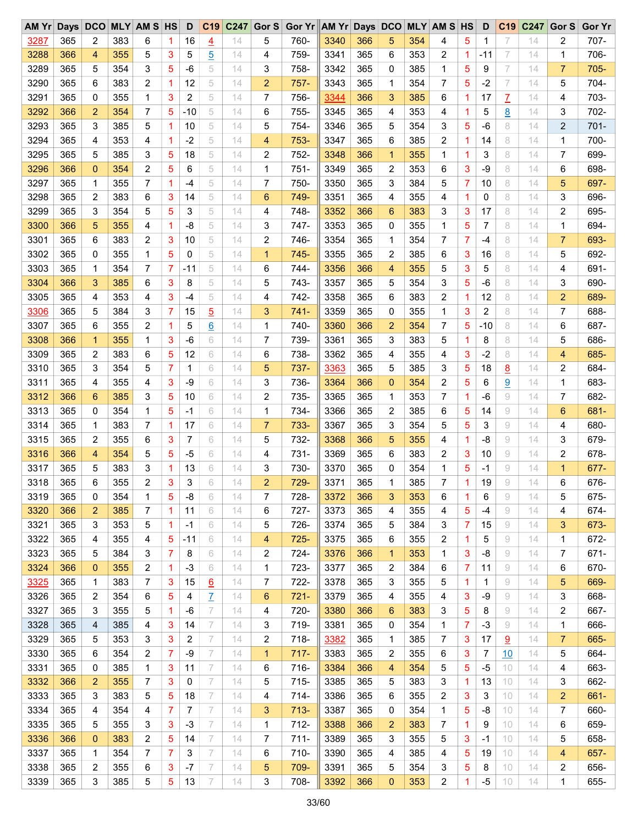| AM Yr | Days | DCO |     | <b>MLY AM S HS</b>      |   | D            | C19             | C247 | Gor S          | Gor Yr AM Yr Days DCO |      |     |                |     | <b>MLY AM S HS</b> |             | D     | C <sub>19</sub> | C247 | Gor S          | <b>Gor Yr</b> |
|-------|------|-----|-----|-------------------------|---|--------------|-----------------|------|----------------|-----------------------|------|-----|----------------|-----|--------------------|-------------|-------|-----------------|------|----------------|---------------|
| 3287  | 365  | 2   | 383 | 6                       | 1 | 16           | $\overline{4}$  | 14   | 5              | 760-                  | 3340 | 366 | 5              | 354 | 4                  | 5           | 1     | 7               | 14   | 2              | 707-          |
| 3288  | 366  | 4   | 355 | 5                       | 3 | 5            | <u>5</u>        | 14   | 4              | 759-                  | 3341 | 365 | 6              | 353 | 2                  | 1           | -11   | 7               | 14   | 1              | 706-          |
| 3289  | 365  | 5   | 354 | 3                       | 5 | -6           | 5               | 14   | 3              | 758-                  | 3342 | 365 | 0              | 385 | 1                  | 5           | 9     | 7               | 14   | $\overline{7}$ | $705 -$       |
| 3290  | 365  | 6   | 383 | 2                       | 1 | 12           | 5               | 14   | 2              | $757 -$               | 3343 | 365 | 1              | 354 | 7                  | 5           | $-2$  | 7               | 14   | 5              | 704-          |
| 3291  | 365  | 0   | 355 | 1                       | 3 | 2            | 5               | 14   | 7              | 756-                  | 3344 | 366 | 3              | 385 | 6                  | 1           | 17    | Z               | 14   | 4              | 703-          |
| 3292  | 366  | 2   | 354 | 7                       | 5 | $-10$        | 5               | 14   | 6              | 755-                  | 3345 | 365 | 4              | 353 | 4                  | 1           | 5     | <u>8</u>        | 14   | 3              | 702-          |
| 3293  | 365  | 3   | 385 | 5                       | 1 | 10           | 5               | 14   | 5              | 754-                  | 3346 | 365 | 5              | 354 | 3                  | 5           | $-6$  | 8               | 14   | 2              | $701 -$       |
| 3294  | 365  | 4   | 353 | 4                       | 1 | $-2$         | 5               | 14   | 4              | 753-                  | 3347 | 365 | 6              | 385 | 2                  | 1           | 14    | 8               | 14   | 1              | 700-          |
| 3295  | 365  | 5   | 385 | 3                       | 5 | 18           | 5               | 14   | 2              | 752-                  | 3348 | 366 | 1              | 355 | 1                  | 1           | 3     | 8               | 14   | 7              | 699-          |
| 3296  | 366  | 0   | 354 | 2                       | 5 | 6            | 5               | 14   | 1              | $751-$                | 3349 | 365 | 2              | 353 | 6                  | 3           | -9    | 8               | 14   | 6              | 698-          |
| 3297  | 365  | 1   | 355 | 7                       | 1 | -4           | 5               | 14   | 7              | 750-                  | 3350 | 365 | 3              | 384 | 5                  | 7           | 10    | 8               | 14   | 5              | 697-          |
| 3298  | 365  | 2   | 383 | 6                       | 3 | 14           | 5               | 14   | 6              | 749-                  | 3351 | 365 | 4              | 355 | 4                  | 1           | 0     | 8               | 14   | 3              | 696-          |
| 3299  | 365  | 3   | 354 | 5                       | 5 | 3            | 5               | 14   | 4              | 748-                  | 3352 | 366 | 6              | 383 | 3                  | 3           | 17    | 8               | 14   | 2              | 695-          |
| 3300  | 366  | 5   | 355 | 4                       | 1 | -8           | 5               | 14   | 3              | 747-                  | 3353 | 365 | 0              | 355 | 1                  | 5           | 7     | 8               | 14   | $\mathbf 1$    | 694-          |
| 3301  | 365  | 6   | 383 | 2                       | 3 | 10           | 5               | 14   | 2              | 746-                  | 3354 | 365 | 1              | 354 | 7                  | 7           | $-4$  | 8               | 14   | $\overline{7}$ | 693-          |
| 3302  | 365  | 0   | 355 | 1                       | 5 | 0            | 5               | 14   | 1              | 745-                  | 3355 | 365 | 2              | 385 | 6                  | 3           | 16    | 8               | 14   | 5              | 692-          |
| 3303  | 365  | 1   | 354 | 7                       | 7 | -11          | 5               | 14   | 6              | 744-                  | 3356 | 366 | 4              | 355 | 5                  | 3           | 5     | 8               | 14   | 4              | 691-          |
| 3304  | 366  | 3   | 385 | 6                       | 3 | 8            | 5               | 14   | 5              | 743-                  | 3357 | 365 | 5              | 354 | 3                  | 5           | -6    | 8               | 14   | 3              | 690-          |
|       |      |     |     | 4                       | 3 |              | 5               |      |                |                       |      | 365 | 6              |     |                    |             |       | 8               |      |                | 689-          |
| 3305  | 365  | 4   | 353 |                         |   | -4           |                 | 14   | 4              | 742-                  | 3358 |     |                | 383 | 2                  | 1           | 12    |                 | 14   | 2              |               |
| 3306  | 365  | 5   | 384 | 3                       | 7 | 15           | <u>5</u>        | 14   | 3              | $741-$                | 3359 | 365 | 0              | 355 | 1                  | 3           | 2     | 8               | 14   | 7              | 688-          |
| 3307  | 365  | 6   | 355 | 2                       | 1 | 5            | 6               | 14   | 1              | 740-                  | 3360 | 366 | $\overline{2}$ | 354 | 7                  | 5           | $-10$ | 8               | 14   | 6              | 687-          |
| 3308  | 366  | 1   | 355 | 1                       | 3 | -6           | 6               | 14   | 7              | 739-                  | 3361 | 365 | 3              | 383 | 5                  | 1           | 8     | 8               | 14   | 5              | 686-          |
| 3309  | 365  | 2   | 383 | 6                       | 5 | 12           | 6               | 14   | 6              | 738-                  | 3362 | 365 | 4              | 355 | 4                  | 3           | $-2$  | 8               | 14   | 4              | 685-          |
| 3310  | 365  | 3   | 354 | 5                       | 7 | $\mathbf{1}$ | 6               | 14   | 5              | 737-                  | 3363 | 365 | 5              | 385 | 3                  | 5           | 18    | <u>8</u>        | 14   | 2              | 684-          |
| 3311  | 365  | 4   | 355 | 4                       | 3 | $-9$         | 6               | 14   | 3              | 736-                  | 3364 | 366 | $\overline{0}$ | 354 | 2                  | 5           | 6     | 9               | 14   | 1              | 683-          |
| 3312  | 366  | 6   | 385 | 3                       | 5 | 10           | 6               | 14   | 2              | 735-                  | 3365 | 365 | 1              | 353 | 7                  | 1           | -6    | 9               | 14   | 7              | 682-          |
| 3313  | 365  | 0   | 354 | 1                       | 5 | -1           | 6               | 14   | 1              | 734-                  | 3366 | 365 | 2              | 385 | 6                  | 5           | 14    | 9               | 14   | 6              | 681-          |
| 3314  | 365  | 1   | 383 | 7                       | 1 | 17           | 6               | 14   | 7              | 733-                  | 3367 | 365 | 3              | 354 | 5                  | 5           | 3     | 9               | 14   | 4              | 680-          |
| 3315  | 365  | 2   | 355 | 6                       | 3 | 7            | 6               | 14   | 5              | 732-                  | 3368 | 366 | 5              | 355 | 4                  | 1           | -8    | 9               | 14   | 3              | 679-          |
| 3316  | 366  | 4   | 354 | 5                       | 5 | -5           | 6               | 14   | 4              | 731-                  | 3369 | 365 | 6              | 383 | 2                  | 3           | 10    | 9               | 14   | 2              | 678-          |
| 3317  | 365  | 5   | 383 | 3                       | 1 | 13           | 6               | 14   | 3              | 730-                  | 3370 | 365 | 0              | 354 | 1                  | 5           | -1    | 9               | 14   | $\mathbf{1}$   | 677-          |
| 3318  | 365  | 6   | 355 | 2                       | 3 | 3            | 6               | 14   | $\overline{2}$ | 729-                  | 3371 | 365 | 1              | 385 | 7                  | 1           | 19    | 9               | 14   | 6              | 676-          |
| 3319  | 365  | 0   | 354 | 1                       | 5 | -8           | 6               | 14   | 7              | 728-                  | 3372 | 366 | 3              | 353 | 6                  | 1           | 6     | 9               | 14   | 5              | 675-          |
| 3320  | 366  | 2   | 385 | 7                       | 1 | 11           | 6               | 14   | 6              | $727 -$               | 3373 | 365 | 4              | 355 | 4                  | 5           | -4    | 9               | 14   | 4              | 674-          |
| 3321  | 365  | 3   | 353 | 5                       | 1 | -1           | 6               | 14   | 5              | 726-                  | 3374 | 365 | 5              | 384 | 3                  | 7           | 15    | 9               | 14   | 3              | 673-          |
| 3322  | 365  | 4   | 355 | 4                       | 5 | $-11$        | 6               | 14   | 4              | $725 -$               | 3375 | 365 | 6              | 355 | 2                  | 1           | 5     | 9               | 14   | 1              | 672-          |
| 3323  | 365  | 5   | 384 | 3                       | 7 | 8            | 6               | 14   | 2              | 724-                  | 3376 | 366 | 1              | 353 | 1                  | 3           | -8    | 9               | 14   | 7              | 671-          |
| 3324  | 366  | 0   | 355 | 2                       | 1 | -3           | 6               | 14   | 1              | 723-                  | 3377 | 365 | 2              | 384 | 6                  | 7           | 11    | 9               | 14   | 6              | 670-          |
| 3325  | 365  | 1   | 383 | 7                       | 3 | 15           | $\underline{6}$ | 14   | 7              | 722-                  | 3378 | 365 | 3              | 355 | 5                  | $\mathbf 1$ | 1     | 9               | 14   | 5              | 669-          |
| 3326  | 365  | 2   | 354 | 6                       | 5 | 4            | $\overline{I}$  | 14   | 6              | $721 -$               | 3379 | 365 | 4              | 355 | 4                  | 3           | -9    | 9               | 14   | 3              | 668-          |
| 3327  | 365  | 3   | 355 | 5                       | 1 | -6           | 7               | 14   | 4              | 720-                  | 3380 | 366 | 6              | 383 | 3                  | 5           | 8     | 9               | 14   | 2              | 667-          |
| 3328  | 365  | 4   | 385 | 4                       | 3 | 14           | 7               | 14   | 3              | 719-                  | 3381 | 365 | 0              | 354 | 1                  | 7           | $-3$  | 9               | 14   | 1              | 666-          |
| 3329  | 365  | 5   | 353 | 3                       | 3 | 2            | 7               | 14   | 2              | 718-                  | 3382 | 365 | 1              | 385 | 7                  | 3           | 17    | <u>១</u>        | 14   | 7              | 665-          |
| 3330  | 365  | 6   | 354 | $\overline{\mathbf{c}}$ | 7 | -9           | 7               | 14   | 1              | $717 -$               | 3383 | 365 | 2              | 355 | 6                  | 3           | 7     | 10              | 14   | 5              | 664-          |
| 3331  | 365  | 0   | 385 | 1                       | 3 | 11           | 7               | 14   | 6              | 716-                  | 3384 | 366 | 4              | 354 | 5                  | 5           | -5    | 10              | 14   | 4              | 663-          |
| 3332  | 366  | 2   | 355 | 7                       | 3 | 0            | 7               | 14   | 5              | 715-                  | 3385 | 365 | 5              | 383 | 3                  | 1           | 13    | 10              | 14   | 3              | 662-          |
| 3333  | 365  | 3   | 383 | 5                       | 5 | 18           | 7               | 14   | 4              | $714-$                | 3386 | 365 | 6              | 355 | 2                  | 3           | 3     | 10              | 14   | 2              | 661-          |
| 3334  | 365  | 4   | 354 | 4                       | 7 | 7            | 7               | 14   | 3              | $713 -$               | 3387 | 365 | 0              | 354 | 1                  | 5           | -8    | 10              | 14   | 7              | 660-          |
| 3335  | 365  | 5   | 355 | 3                       | 3 | $-3$         | 7               | 14   | 1              | $712 -$               | 3388 | 366 | $\overline{c}$ | 383 | 7                  | 1           | 9     | 10              | 14   | 6              | 659-          |
| 3336  | 366  | 0   | 383 | 2                       | 5 | 14           | 7               | 14   | 7              | $711 -$               | 3389 | 365 | 3              | 355 | 5                  | 3           | $-1$  | 10              | 14   | 5              | 658-          |
| 3337  | 365  | 1   | 354 | 7                       | 7 | 3            | 7               | 14   | 6              | 710-                  | 3390 | 365 | 4              | 385 | 4                  | 5           | 19    | 10              | 14   | 4              | 657-          |
| 3338  | 365  | 2   | 355 | 6                       | 3 | $-7$         | 7               | 14   | 5              | 709-                  | 3391 | 365 | 5              | 354 | 3                  | 5           | 8     | 10              | 14   | 2              | 656-          |
| 3339  | 365  | 3   | 385 | 5                       | 5 | 13           | 7               | 14   | 3              | 708-                  | 3392 | 366 | $\mathbf 0$    | 353 | 2                  | 1           | -5    | 10              | 14   | 1              | 655-          |
|       |      |     |     |                         |   |              |                 |      |                |                       |      |     |                |     |                    |             |       |                 |      |                |               |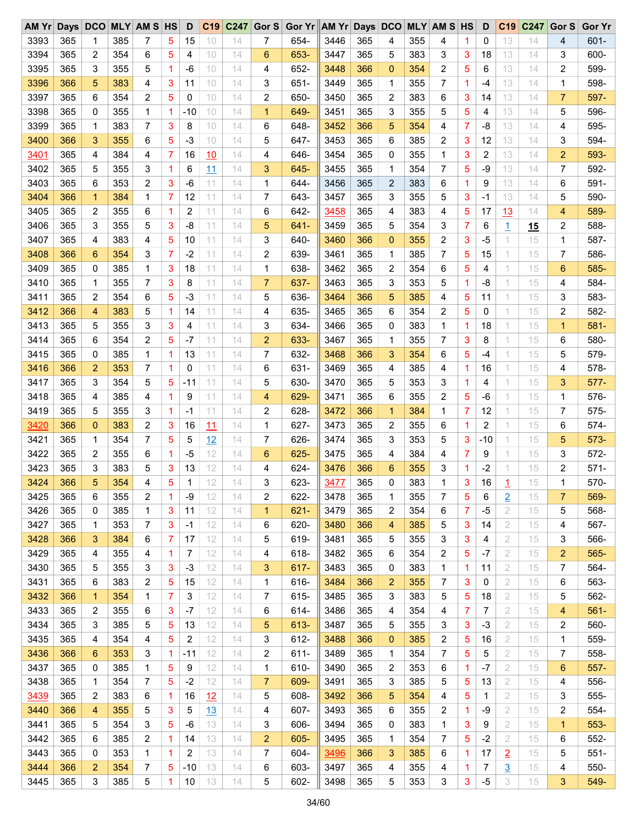| AM Yr | Days | DCO            |     | <b>MLY AM S HS</b> |                | D     | C19 | C <sub>247</sub> | Gor $S$     | Gor Yr AM Yr Days DCO |      |     |                |     | <b>MLY AM S HS</b> |   | D              | C <sub>19</sub> | C <sub>247</sub> | Gor S          | <b>Gor Yr</b> |
|-------|------|----------------|-----|--------------------|----------------|-------|-----|------------------|-------------|-----------------------|------|-----|----------------|-----|--------------------|---|----------------|-----------------|------------------|----------------|---------------|
| 3393  | 365  | 1              | 385 | 7                  | 5              | 15    | 10  | 14               | 7           | 654-                  | 3446 | 365 | 4              | 355 | 4                  | 1 | 0              | 13              | 14               | 4              | $601 -$       |
| 3394  | 365  | 2              | 354 | 6                  | 5              | 4     | 10  | 14               | 6           | 653-                  | 3447 | 365 | 5              | 383 | 3                  | 3 | 18             | 13              | 14               | 3              | 600-          |
| 3395  | 365  | 3              | 355 | 5                  | 1              | $-6$  | 10  | 14               | 4           | 652-                  | 3448 | 366 | $\mathbf{0}$   | 354 | 2                  | 5 | 6              | 13              | 14               | 2              | 599-          |
| 3396  | 366  | 5              | 383 | 4                  | 3              | 11    | 10  | 14               | 3           | $651 -$               | 3449 | 365 | 1              | 355 | 7                  | 1 | -4             | 13              | 14               | 1              | 598-          |
| 3397  | 365  | 6              | 354 | 2                  | 5              | 0     | 10  | 14               | 2           | 650-                  | 3450 | 365 | 2              | 383 | 6                  | 3 | 14             | 13              | 14               | $\overline{7}$ | 597-          |
| 3398  | 365  | 0              | 355 | 1                  | 1              | -10   | 10  | 14               | $\mathbf 1$ | 649-                  | 3451 | 365 | 3              | 355 | 5                  | 5 | 4              | 13              | 14               | 5              | 596-          |
| 3399  | 365  | 1              | 383 | $\overline{7}$     | 3              | 8     | 10  | 14               | 6           | 648-                  | 3452 | 366 | 5              | 354 | 4                  | 7 | $-8$           | 13              | 14               | 4              | 595-          |
| 3400  | 366  | 3              | 355 | 6                  | 5              | $-3$  | 10  | 14               | 5           | 647-                  | 3453 | 365 | 6              | 385 | 2                  | 3 | 12             | 13              | 14               | 3              | 594-          |
| 3401  | 365  | 4              | 384 | 4                  | 7              | 16    | 10  | 14               | 4           | 646-                  | 3454 | 365 | 0              | 355 | 1                  | 3 | 2              | 13              | 14               | $\overline{2}$ | 593-          |
| 3402  | 365  | 5              | 355 | 3                  | 1              | 6     | 11  | 14               | 3           | 645-                  | 3455 | 365 | 1              | 354 | 7                  | 5 | $-9$           | 13              | 14               | 7              | 592-          |
| 3403  | 365  | 6              | 353 | 2                  | 3              | $-6$  | 11  | 14               | 1           | 644-                  | 3456 | 365 | $\overline{2}$ | 383 | 6                  | 1 | 9              | 13              | 14               | 6              | 591-          |
| 3404  | 366  | $\mathbf 1$    | 384 | 1                  | 7              | 12    | 11  | 14               | 7           | 643-                  | 3457 | 365 | 3              | 355 | 5                  | 3 | -1             | 13              | 14               | 5              | 590-          |
| 3405  | 365  | 2              | 355 | 6                  | 1              | 2     | 11  | 14               | 6           | 642-                  | 3458 | 365 | 4              | 383 | 4                  | 5 | 17             | 13              | 14               | 4              | 589-          |
| 3406  | 365  | 3              | 355 | 5                  | 3              | $-8$  | 11  | 14               | 5           | $641 -$               | 3459 | 365 | 5              | 354 | 3                  | 7 | 6              | $\overline{1}$  | 15               | 2              | 588-          |
| 3407  | 365  | 4              | 383 | 4                  | 5              | 10    | 11  | 14               | 3           | 640-                  | 3460 | 366 | $\mathbf 0$    | 355 | 2                  | 3 | $-5$           | 1               | 15               | 1              | 587-          |
|       |      |                |     |                    |                |       |     |                  |             |                       |      |     |                |     |                    |   |                |                 |                  |                |               |
| 3408  | 366  | 6              | 354 | 3                  | $\overline{7}$ | $-2$  | 11  | 14               | 2           | 639-                  | 3461 | 365 | 1              | 385 | 7                  | 5 | 15             | 1               | 15               | 7              | 586-          |
| 3409  | 365  | 0              | 385 | 1                  | 3              | 18    | 11  | 14               | 1           | 638-                  | 3462 | 365 | 2              | 354 | 6                  | 5 | 4              | 1               | 15               | 6              | 585-          |
| 3410  | 365  | 1              | 355 | 7                  | 3              | 8     | 11  | 14               | 7           | 637-                  | 3463 | 365 | 3              | 353 | 5                  | 1 | -8             | 1               | 15               | 4              | 584-          |
| 3411  | 365  | 2              | 354 | 6                  | 5              | $-3$  | 11  | 14               | 5           | 636-                  | 3464 | 366 | 5              | 385 | 4                  | 5 | 11             | 1               | 15               | 3              | 583-          |
| 3412  | 366  | 4              | 383 | 5                  | 1              | 14    | 11  | 14               | 4           | 635-                  | 3465 | 365 | 6              | 354 | 2                  | 5 | 0              | 1               | 15               | 2              | 582-          |
| 3413  | 365  | 5              | 355 | 3                  | 3              | 4     | 11  | 14               | 3           | 634-                  | 3466 | 365 | 0              | 383 | 1                  | 1 | 18             | 1               | 15               | $\mathbf{1}$   | $581 -$       |
| 3414  | 365  | 6              | 354 | 2                  | 5              | $-7$  | 11  | 14               | 2           | 633-                  | 3467 | 365 | 1              | 355 | 7                  | 3 | 8              | 1               | 15               | 6              | 580-          |
| 3415  | 365  | 0              | 385 | 1                  | 1              | 13    | 11  | 14               | 7           | 632-                  | 3468 | 366 | 3              | 354 | 6                  | 5 | -4             | 1               | 15               | 5              | 579-          |
| 3416  | 366  | $\overline{2}$ | 353 | 7                  | 1              | 0     | 11  | 14               | 6           | 631-                  | 3469 | 365 | 4              | 385 | 4                  | 1 | 16             | 1               | 15               | 4              | 578-          |
| 3417  | 365  | 3              | 354 | 5                  | 5              | $-11$ | 11  | 14               | 5           | 630-                  | 3470 | 365 | 5              | 353 | 3                  | 1 | 4              | 1               | 15               | 3              | $577-$        |
| 3418  | 365  | 4              | 385 | 4                  | 1              | 9     | 11  | 14               | 4           | 629-                  | 3471 | 365 | 6              | 355 | 2                  | 5 | -6             | 1               | 15               | 1              | 576-          |
| 3419  | 365  | 5              | 355 | 3                  | 1              | -1    | 11  | 14               | 2           | 628-                  | 3472 | 366 | 1              | 384 | 1                  | 7 | 12             | 1               | 15               | 7              | $575 -$       |
| 3420  | 366  | 0              | 383 | 2                  | 3              | 16    | 11  | 14               | 1           | 627-                  | 3473 | 365 | 2              | 355 | 6                  | 1 | $\overline{c}$ | 1               | 15               | 6              | $574 -$       |
| 3421  | 365  | 1              | 354 | $\overline{7}$     | 5              | 5     | 12  | 14               | 7           | 626-                  | 3474 | 365 | 3              | 353 | 5                  | 3 | $-10$          | 1               | 15               | 5              | 573-          |
| 3422  | 365  | 2              | 355 | 6                  | 1              | $-5$  | 12  | 14               | 6           | 625-                  | 3475 | 365 | 4              | 384 | 4                  | 7 | 9              | 1               | 15               | 3              | 572-          |
| 3423  | 365  | 3              | 383 | 5                  | 3              | 13    | 12  | 14               | 4           | 624-                  | 3476 | 366 | 6              | 355 | 3                  | 1 | -2             | 1               | 15               | 2              | $571 -$       |
| 3424  | 366  | 5              | 354 | 4                  | 5              | 1     | 12  | 14               | 3           | 623-                  | 3477 | 365 | 0              | 383 | 1                  | 3 | 16             | 1               | 15               | 1              | 570-          |
| 3425  | 365  | 6              | 355 | 2                  | 1              | -9    | 12  | 14               | 2           | 622-                  | 3478 | 365 | 1              | 355 | 7                  | 5 | 6              | $\overline{2}$  | 15               | 7              | 569-          |
| 3426  | 365  | 0              | 385 | 1                  | 3              | 11    | 12  | 14               | 1           | $621 -$               | 3479 | 365 | 2              | 354 | 6                  | 7 | $-5$           | 2               | 15               | 5              | 568-          |
| 3427  | 365  | 1              | 353 | 7                  | 3              | -1    | 12  | 14               | 6           | 620-                  | 3480 | 366 | 4              | 385 | 5                  | 3 | 14             | 2               | 15               | 4              | 567-          |
| 3428  | 366  | 3              | 384 | 6                  | 7              | 17    | 12  | 14               | 5           | 619-                  | 3481 | 365 | 5              | 355 | 3                  | 3 | 4              | 2               | 15               | 3              | 566-          |
| 3429  | 365  | 4              | 355 | 4                  | 1              | 7     | 12  | 14               | 4           | 618-                  | 3482 | 365 | 6              | 354 | 2                  | 5 | $-7$           | 2               | 15               | $\overline{2}$ | 565-          |
| 3430  | 365  | 5              | 355 | 3                  | 3              | -3    | 12  | 14               | 3           | 617-                  | 3483 | 365 | 0              | 383 | 1                  | 1 | 11             | 2               | 15               | 7              | 564-          |
| 3431  | 365  | 6              | 383 | 2                  | 5              | 15    | 12  | 14               | 1           | 616-                  | 3484 | 366 | 2              | 355 | 7                  | 3 | 0              | 2               | 15               | 6              | 563-          |
| 3432  | 366  | $\mathbf{1}$   | 354 | 1                  | 7              | 3     | 12  | 14               | 7           | 615-                  | 3485 | 365 | 3              | 383 | 5                  | 5 | 18             | 2               | 15               | 5              | 562-          |
| 3433  | 365  | 2              | 355 | 6                  | 3              | $-7$  | 12  | 14               | 6           | 614-                  | 3486 | 365 | 4              | 354 | 4                  | 7 | 7              | 2               | 15               | 4              | $561 -$       |
| 3434  | 365  | 3              | 385 | 5                  | 5              | 13    | 12  | 14               | 5           | 613-                  | 3487 | 365 | 5              | 355 | 3                  | 3 | -3             | 2               | 15               | 2              | 560-          |
| 3435  | 365  |                | 354 |                    | 5              | 2     | 12  | 14               |             | $612 -$               |      | 366 |                | 385 | 2                  |   | 16             | 2               |                  | 1              | 559-          |
|       |      | 4              |     | 4                  |                |       |     |                  | 3           |                       | 3488 |     | 0              |     |                    | 5 |                |                 | 15               |                |               |
| 3436  | 366  | 6              | 353 | 3                  | 1              | $-11$ | 12  | 14               | 2           | $611 -$               | 3489 | 365 | 1              | 354 | 7                  | 5 | 5              | 2               | 15               | 7              | 558-          |
| 3437  | 365  | 0              | 385 | 1                  | 5              | 9     | 12  | 14               | 1           | 610-                  | 3490 | 365 | 2              | 353 | 6                  | 1 | $-7$           | 2               | 15               | 6              | $557-$        |
| 3438  | 365  | 1              | 354 | 7                  | 5              | $-2$  | 12  | 14               | 7           | 609-                  | 3491 | 365 | 3              | 385 | 5                  | 5 | 13             | 2               | 15               | 4              | 556-          |
| 3439  | 365  | 2              | 383 | 6                  | 1              | 16    | 12  | 14               | 5           | 608-                  | 3492 | 366 | 5              | 354 | 4                  | 5 | 1              | 2               | 15               | 3              | 555-          |
| 3440  | 366  | 4              | 355 | 5                  | 3              | 5     | 13  | 14               | 4           | 607-                  | 3493 | 365 | 6              | 355 | 2                  | 1 | -9             | 2               | 15               | 2              | $554 -$       |
| 3441  | 365  | 5              | 354 | 3                  | 5              | $-6$  | 13  | 14               | 3           | 606-                  | 3494 | 365 | 0              | 383 | 1                  | 3 | 9              | 2               | 15               | $\mathbf{1}$   | $553 -$       |
| 3442  | 365  | 6              | 385 | 2                  | 1              | 14    | 13  | 14               | 2           | 605-                  | 3495 | 365 | 1              | 354 | 7                  | 5 | $-2$           | $\overline{2}$  | 15               | 6              | 552-          |
| 3443  | 365  | 0              | 353 | 1                  | 1              | 2     | 13  | 14               | 7           | 604-                  | 3496 | 366 | 3              | 385 | 6                  | 1 | 17             | $\overline{2}$  | 15               | 5              | $551 -$       |
| 3444  | 366  | 2              | 354 | 7                  | 5              | $-10$ | 13  | 14               | 6           | 603-                  | 3497 | 365 | 4              | 355 | 4                  | 1 | 7              | <u>3</u>        | 15               | 4              | 550-          |
| 3445  | 365  | 3              | 385 | 5                  | 1              | 10    | 13  | 14               | 5           | 602-                  | 3498 | 365 | 5              | 353 | 3                  | 3 | $-5$           | 3               | 15               | 3              | 549-          |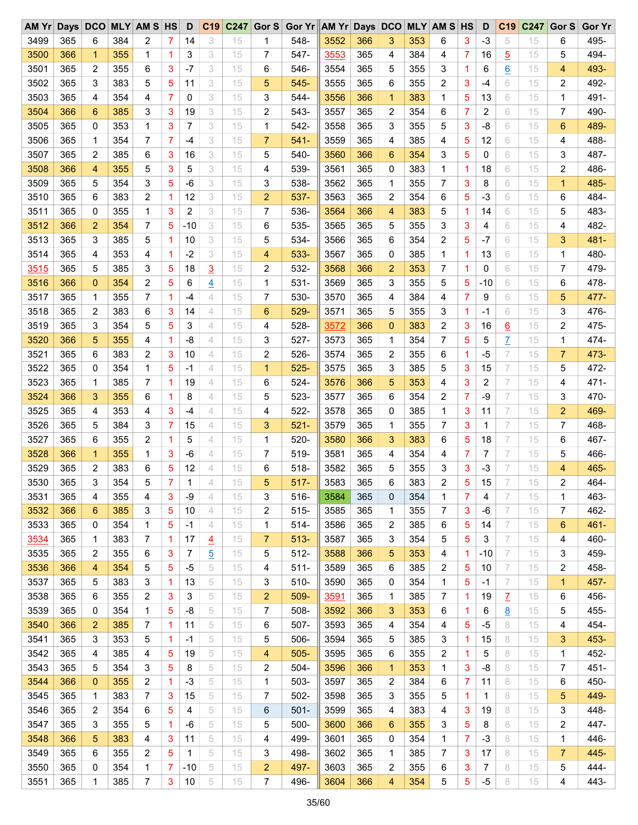| AM Yr |     | Days DCO       |     | <b>MLY AM S HS</b>      |   | D     | C <sub>19</sub> | C <sub>247</sub> | Gor S               | Gor Yr AM Yr Days DCO |      |            |                |     | <b>MLY AM S HS</b> |   | D            | C <sub>19</sub> | C247 | Gor S          | <b>Gor Yr</b> |
|-------|-----|----------------|-----|-------------------------|---|-------|-----------------|------------------|---------------------|-----------------------|------|------------|----------------|-----|--------------------|---|--------------|-----------------|------|----------------|---------------|
| 3499  | 365 | 6              | 384 | 2                       | 7 | 14    | 3               | 15               | 1                   | 548-                  | 3552 | 366        | 3              | 353 | 6                  | 3 | $-3$         | 5               | 15   | 6              | 495-          |
| 3500  | 366 | $\mathbf{1}$   | 355 | 1                       | 1 | 3     | 3               | 15               | 7                   | 547-                  | 3553 | 365        | 4              | 384 | 4                  | 7 | 16           | $\overline{5}$  | 15   | 5              | 494-          |
| 3501  | 365 | 2              | 355 | 6                       | 3 | $-7$  | 3               | 15               | 6                   | 546-                  | 3554 | 365        | 5              | 355 | 3                  | 1 | 6            | 6               | 15   | 4              | 493-          |
| 3502  | 365 | 3              | 383 | 5                       | 5 | 11    | 3               | 15               | 5                   | $545 -$               | 3555 | 365        | 6              | 355 | 2                  | 3 | -4           | 6               | 15   | 2              | 492-          |
| 3503  | 365 | 4              | 354 | 4                       | 7 | 0     | 3               | 15               | 3                   | 544-                  | 3556 | 366        | $\mathbf{1}$   | 383 | 1                  | 5 | 13           | 6               | 15   | 1              | 491-          |
| 3504  | 366 | 6              | 385 | 3                       | 3 | 19    | 3               | 15               | 2                   | 543-                  | 3557 | 365        | 2              | 354 | 6                  | 7 | 2            | 6               | 15   | 7              | 490-          |
| 3505  | 365 | 0              | 353 | 1                       | 3 | 7     | 3               | 15               | 1                   | 542-                  | 3558 | 365        | 3              | 355 | 5                  | 3 | $-8$         | 6               | 15   | 6              | 489-          |
| 3506  | 365 | 1              | 354 | 7                       | 7 | $-4$  | 3               | 15               | 7                   | $541 -$               | 3559 | 365        | 4              | 385 | 4                  | 5 | 12           | 6               | 15   | 4              | 488-          |
| 3507  | 365 | 2              | 385 | 6                       | 3 | 16    | 3               | 15               | 5                   | 540-                  | 3560 | 366        | 6              | 354 | 3                  | 5 | 0            | 6               | 15   | 3              | 487-          |
| 3508  | 366 | 4              | 355 | 5                       | 3 | 5     | 3               | 15               | 4                   | 539-                  | 3561 | 365        | 0              | 383 | 1                  | 1 | 18           | 6               | 15   | 2              | 486-          |
| 3509  | 365 | 5              | 354 | 3                       | 5 | $-6$  | 3               | 15               | 3                   | 538-                  | 3562 | 365        | 1              | 355 | 7                  | 3 | 8            | 6               | 15   | 1              | 485-          |
| 3510  | 365 | 6              | 383 | 2                       | 1 | 12    | 3               | 15               | 2                   | 537-                  | 3563 | 365        | 2              | 354 | 6                  | 5 | $-3$         | 6               | 15   | 6              | 484-          |
| 3511  | 365 | 0              | 355 | 1                       | 3 | 2     | 3               | 15               | 7                   | 536-                  | 3564 | 366        | 4              | 383 | 5                  | 1 | 14           | 6               | 15   | 5              | 483-          |
| 3512  | 366 | $\overline{2}$ | 354 | 7                       | 5 | $-10$ | 3               | 15               | 6                   | 535-                  | 3565 | 365        | 5              | 355 | 3                  | 3 | 4            | 6               | 15   | 4              | 482-          |
| 3513  | 365 | 3              | 385 | 5                       | 1 | 10    | 3               | 15               | 5                   | 534-                  | 3566 | 365        | 6              | 354 | 2                  | 5 | $-7$         | 6               | 15   | 3              | 481-          |
| 3514  | 365 | 4              | 353 | 4                       | 1 | $-2$  | 3               | 15               | 4                   | 533-                  | 3567 | 365        | 0              | 385 | 1                  | 1 | 13           | 6               | 15   | 1              | 480-          |
| 3515  | 365 | 5              | 385 | 3                       | 5 | 18    | $\overline{3}$  | 15               | 2                   | 532-                  | 3568 | 366        | $\overline{2}$ | 353 | 7                  | 1 | 0            | 6               | 15   | 7              | 479-          |
|       |     |                |     |                         | 5 |       |                 |                  |                     |                       |      |            | 3              |     | 5                  |   | $-10$        | 6               |      |                |               |
| 3516  | 366 | 0              | 354 | 2                       |   | 6     | 4               | 15               | 1<br>$\overline{7}$ | $531 -$               | 3569 | 365<br>365 |                | 355 |                    | 5 |              | 6               | 15   | 6              | 478-          |
| 3517  | 365 | 1              | 355 | 7                       | 1 | $-4$  | 4               | 15               |                     | 530-                  | 3570 |            | 4              | 384 | 4                  | 7 | 9            |                 | 15   | 5              | 477-          |
| 3518  | 365 | 2              | 383 | 6                       | 3 | 14    | 4               | 15               | 6                   | 529-                  | 3571 | 365        | 5              | 355 | 3                  | 1 | -1           | 6               | 15   | 3              | 476-          |
| 3519  | 365 | 3              | 354 | 5                       | 5 | 3     | $\overline{4}$  | 15               | 4                   | 528-                  | 3572 | 366        | $\mathbf{0}$   | 383 | 2                  | 3 | 16           | 6               | 15   | 2              | 475-          |
| 3520  | 366 | 5              | 355 | 4                       | 1 | -8    | 4               | 15               | 3                   | 527-                  | 3573 | 365        | 1              | 354 | 7                  | 5 | 5            | $\overline{L}$  | 15   | 1              | 474-          |
| 3521  | 365 | 6              | 383 | 2                       | 3 | 10    | 4               | 15               | 2                   | $526 -$               | 3574 | 365        | 2              | 355 | 6                  | 1 | $-5$         | 7               | 15   | $\overline{7}$ | 473-          |
| 3522  | 365 | 0              | 354 | 1                       | 5 | -1    | $\overline{4}$  | 15               | $\mathbf{1}$        | $525 -$               | 3575 | 365        | 3              | 385 | 5                  | 3 | 15           | 7               | 15   | 5              | 472-          |
| 3523  | 365 | 1              | 385 | 7                       | 1 | 19    | $\overline{4}$  | 15               | 6                   | $524 -$               | 3576 | 366        | 5              | 353 | 4                  | 3 | 2            | 7               | 15   | 4              | 471-          |
| 3524  | 366 | 3              | 355 | 6                       | 1 | 8     | 4               | 15               | 5                   | 523-                  | 3577 | 365        | 6              | 354 | 2                  | 7 | -9           | 7               | 15   | 3              | 470-          |
| 3525  | 365 | 4              | 353 | 4                       | 3 | -4    | 4               | 15               | 4                   | 522-                  | 3578 | 365        | 0              | 385 | 1                  | 3 | 11           | 7               | 15   | $\overline{2}$ | 469-          |
| 3526  | 365 | 5              | 384 | 3                       | 7 | 15    | $\overline{4}$  | 15               | 3                   | $521 -$               | 3579 | 365        | 1              | 355 | 7                  | 3 | $\mathbf{1}$ | 7               | 15   | 7              | 468-          |
| 3527  | 365 | 6              | 355 | 2                       | 1 | 5     | 4               | 15               | 1                   | 520-                  | 3580 | 366        | 3              | 383 | 6                  | 5 | 18           | 7               | 15   | 6              | 467-          |
| 3528  | 366 | $\mathbf{1}$   | 355 | 1                       | 3 | -6    | 4               | 15               | 7                   | 519-                  | 3581 | 365        | 4              | 354 | 4                  | 7 | 7            | 7               | 15   | 5              | 466-          |
| 3529  | 365 | 2              | 383 | 6                       | 5 | 12    | 4               | 15               | 6                   | $518 -$               | 3582 | 365        | 5              | 355 | 3                  | 3 | -3           | 7               | 15   | 4              | 465-          |
| 3530  | 365 | 3              | 354 | 5                       | 7 | 1     | 4               | 15               | 5                   | $517 -$               | 3583 | 365        | 6              | 383 | $\overline{2}$     | 5 | 15           | 7               | 15   | $\overline{2}$ | 464-          |
| 3531  | 365 | 4              | 355 | 4                       | 3 | -9    | 4               | 15               | 3                   | $516 -$               | 3584 | 365        | 0              | 354 | 1                  | 7 | 4            | 7               | 15   | 1              | 463-          |
| 3532  | 366 | 6              | 385 | 3                       | 5 | 10    | 4               | 15               | 2                   | $515 -$               | 3585 | 365        | 1              | 355 | 7                  | 3 | -6           | 7               | 15   | 7              | 462-          |
| 3533  | 365 | 0              | 354 | 1                       | 5 | -1    | 4               | 15               | 1                   | $514 -$               | 3586 | 365        | 2              | 385 | 6                  | 5 | 14           | 7               | 15   | 6              | 461-          |
| 3534  | 365 | 1              | 383 | 7                       | 1 | 17    | $\overline{4}$  | 15               | 7                   | $513 -$               | 3587 | 365        | 3              | 354 | 5                  | 5 | 3            | 7               | 15   | 4              | 460-          |
| 3535  | 365 | 2              | 355 | 6                       | 3 | 7     | $\overline{5}$  | 15               | 5                   | $512 -$               | 3588 | 366        | 5              | 353 | 4                  | 1 | $-10$        | 7               | 15   | 3              | 459-          |
| 3536  | 366 | 4              | 354 | 5                       | 5 | -5    | 5               | 15               | 4                   | $511 -$               | 3589 | 365        | 6              | 385 | 2                  | 5 | 10           | 7               | 15   | 2              | 458-          |
| 3537  | 365 | 5              | 383 | 3                       | 1 | 13    | 5               | 15               | 3                   | $510 -$               | 3590 | 365        | 0              | 354 | 1                  | 5 | $-1$         | 7               | 15   | $\mathbf{1}$   | 457-          |
| 3538  | 365 | 6              | 355 | 2                       | 3 | 3     | 5               | 15               | 2                   | 509-                  | 3591 | 365        | 1              | 385 | 7                  | 1 | 19           | $\overline{1}$  | 15   | 6              | 456-          |
| 3539  | 365 | 0              | 354 | 1                       | 5 | -8    | 5               | 15               | 7                   | 508-                  | 3592 | 366        | 3              | 353 | 6                  | 1 | 6            | $\underline{8}$ | 15   | 5              | 455-          |
| 3540  | 366 | $\overline{2}$ | 385 | 7                       | 1 | 11    | 5               | 15               | 6                   | 507-                  | 3593 | 365        | 4              | 354 | 4                  | 5 | $-5$         | 8               | 15   | 4              | 454-          |
| 3541  | 365 | 3              | 353 | 5                       | 1 | -1    | 5               | 15               | 5                   | 506-                  | 3594 | 365        | 5              | 385 | 3                  | 1 | 15           | 8               | 15   | 3              | 453-          |
| 3542  | 365 | 4              | 385 | 4                       | 5 | 19    | 5               | 15               | 4                   | $505 -$               | 3595 | 365        | 6              | 355 | 2                  | 1 | 5            | 8               | 15   | 1              | 452-          |
| 3543  | 365 | 5              | 354 | 3                       | 5 | 8     | 5               | 15               | 2                   | 504-                  | 3596 | 366        | 1              | 353 | 1                  | 3 | -8           | 8               | 15   | 7              | $451 -$       |
| 3544  | 366 | 0              | 355 | $\overline{\mathbf{c}}$ | 1 | $-3$  | 5               | 15               | 1                   | $503 -$               | 3597 | 365        | 2              | 384 | 6                  | 7 | 11           | 8               | 15   | 6              | 450-          |
| 3545  | 365 | 1              | 383 | 7                       | 3 | 15    | 5               | 15               | 7                   | $502 -$               | 3598 | 365        | 3              | 355 | 5                  | 1 | $\mathbf 1$  | 8               | 15   | 5              | 449-          |
| 3546  | 365 | 2              | 354 | 6                       | 5 | 4     | 5               | 15               | 6                   | $501 -$               | 3599 | 365        | 4              | 383 | 4                  | 3 | 19           | 8               | 15   | 3              | 448-          |
| 3547  | 365 | 3              | 355 | 5                       | 1 | $-6$  | 5               | 15               | 5                   | 500-                  | 3600 | 366        | 6              | 355 | 3                  | 5 | 8            | 8               | 15   | 2              | 447-          |
| 3548  | 366 | 5              | 383 | 4                       | 3 | 11    | 5               | 15               | 4                   | 499-                  | 3601 | 365        | 0              | 354 | 1                  | 7 | $-3$         | 8               | 15   | 1              | 446-          |
| 3549  | 365 | 6              | 355 | 2                       | 5 | 1     | 5               | 15               | 3                   | 498-                  | 3602 | 365        | 1              | 385 | 7                  | 3 | 17           | 8               | 15   | 7              | 445-          |
| 3550  | 365 | 0              | 354 | 1                       | 7 | $-10$ | 5               | 15               | 2                   | 497-                  | 3603 | 365        | 2              | 355 | 6                  | 3 | 7            | 8               | 15   | 5              | 444-          |
| 3551  | 365 | 1              | 385 | 7                       | 3 | 10    | 5               | 15               | 7                   | 496-                  | 3604 | 366        | 4              | 354 | 5                  | 5 | $-5$         | 8               | 15   | 4              | 443-          |
|       |     |                |     |                         |   |       |                 |                  |                     |                       |      |            |                |     |                    |   |              |                 |      |                |               |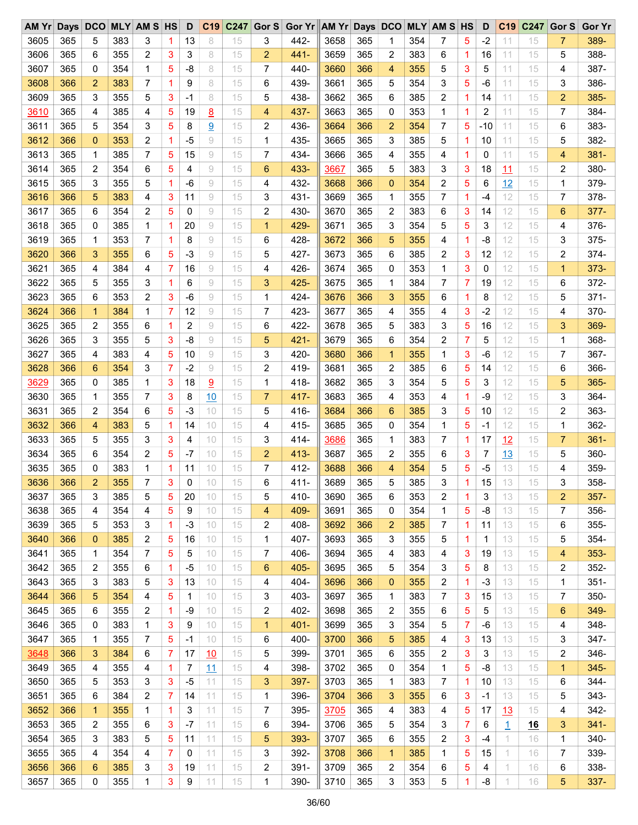| AM Yr |     | Days DCO       |     | <b>MLY AM S HS</b> |   | D    | C19 | C <sub>247</sub> |                | Gor S Gor Yr AM Yr Days DCO MLY AM S HS |      |     |                |     |   |              | D     | C <sub>19</sub> | C247       | Gor S          | <b>Gor Yr</b> |
|-------|-----|----------------|-----|--------------------|---|------|-----|------------------|----------------|-----------------------------------------|------|-----|----------------|-----|---|--------------|-------|-----------------|------------|----------------|---------------|
| 3605  | 365 | 5              | 383 | 3                  | 1 | 13   | 8   | 15               | 3              | 442-                                    | 3658 | 365 | 1              | 354 | 7 | 5            | $-2$  | 11              | 15         | 7              | 389-          |
| 3606  | 365 | 6              | 355 | 2                  | 3 | 3    | 8   | 15               | 2              | $441 -$                                 | 3659 | 365 | 2              | 383 | 6 | 1            | 16    | 11              | 15         | 5              | 388-          |
| 3607  | 365 | 0              | 354 | 1                  | 5 | -8   | 8   | 15               | 7              | 440-                                    | 3660 | 366 | 4              | 355 | 5 | 3            | 5     | 11              | 15         | 4              | 387-          |
| 3608  | 366 | 2              | 383 | 7                  | 1 | 9    | 8   | 15               | 6              | 439-                                    | 3661 | 365 | 5              | 354 | 3 | 5            | $-6$  | 11              | 15         | 3              | 386-          |
| 3609  | 365 | 3              | 355 | 5                  | 3 | $-1$ | 8   | 15               | 5              | 438-                                    | 3662 | 365 | 6              | 385 | 2 | $\mathbf{1}$ | 14    | 11              | 15         | $\overline{c}$ | 385-          |
| 3610  | 365 | 4              | 385 | 4                  | 5 | 19   | 8   | 15               | $\overline{4}$ | 437-                                    | 3663 | 365 | 0              | 353 | 1 | 1            | 2     | 11              | 15         | 7              | 384-          |
| 3611  | 365 | 5              | 354 | 3                  | 5 | 8    | 9   | 15               | 2              | 436-                                    | 3664 | 366 | $\overline{2}$ | 354 | 7 | 5            | $-10$ | 11              | 15         | 6              | 383-          |
| 3612  | 366 | 0              | 353 | 2                  | 1 | $-5$ | 9   | 15               | 1              | 435-                                    | 3665 | 365 | 3              | 385 | 5 | 1            | 10    | 11              | 15         | 5              | 382-          |
| 3613  | 365 | 1              | 385 | 7                  | 5 | 15   | 9   | 15               | 7              | 434-                                    | 3666 | 365 | 4              | 355 | 4 | 1            | 0     | 11              | 15         | 4              | $381 -$       |
| 3614  | 365 | 2              | 354 | 6                  | 5 | 4    | 9   | 15               | 6              | 433-                                    | 3667 | 365 | 5              | 383 | 3 | 3            | 18    | 11              | 15         | 2              | 380-          |
| 3615  | 365 | 3              | 355 | 5                  | 1 | -6   | 9   | 15               | 4              | 432-                                    | 3668 | 366 | 0              | 354 | 2 | 5            | 6     | 12              | 15         | 1              | 379-          |
| 3616  | 366 | 5              | 383 | 4                  | 3 | 11   | 9   | 15               | 3              | $431 -$                                 | 3669 | 365 | 1              | 355 | 7 | $\mathbf{1}$ | $-4$  | 12              | 15         | $\overline{7}$ | 378-          |
| 3617  | 365 | 6              | 354 | 2                  | 5 | 0    | 9   | 15               | 2              | 430-                                    | 3670 | 365 | 2              | 383 | 6 | 3            | 14    | 12              | 15         | 6              | $377 -$       |
| 3618  | 365 | 0              | 385 | 1                  | 1 | 20   | 9   | 15               | $\mathbf{1}$   | 429-                                    | 3671 | 365 | 3              | 354 | 5 | 5            | 3     | 12              | 15         | 4              | 376-          |
| 3619  | 365 | 1              | 353 | 7                  | 1 | 8    | 9   | 15               | 6              | 428-                                    | 3672 | 366 | 5              | 355 | 4 | 1            | -8    | 12              | 15         | 3              | $375 -$       |
|       |     |                |     |                    |   |      |     |                  |                |                                         |      |     |                |     |   |              |       |                 |            |                |               |
| 3620  | 366 | 3              | 355 | 6                  | 5 | $-3$ | 9   | 15               | 5              | 427-                                    | 3673 | 365 | 6              | 385 | 2 | 3            | 12    | 12              | 15         | 2              | $374 -$       |
| 3621  | 365 | 4              | 384 | 4                  | 7 | 16   | 9   | 15               | 4              | 426-                                    | 3674 | 365 | 0              | 353 | 1 | 3            | 0     | 12              | 15         | $\mathbf{1}$   | $373 -$       |
| 3622  | 365 | 5              | 355 | 3                  | 1 | 6    | 9   | 15               | 3              | 425-                                    | 3675 | 365 | 1              | 384 | 7 | 7            | 19    | 12              | 15         | 6              | 372-          |
| 3623  | 365 | 6              | 353 | 2                  | 3 | $-6$ | 9   | 15               | 1              | 424-                                    | 3676 | 366 | 3              | 355 | 6 | 1            | 8     | 12              | 15         | 5              | $371 -$       |
| 3624  | 366 | $\mathbf{1}$   | 384 | 1                  | 7 | 12   | 9   | 15               | 7              | 423-                                    | 3677 | 365 | 4              | 355 | 4 | 3            | $-2$  | 12              | 15         | 4              | 370-          |
| 3625  | 365 | 2              | 355 | 6                  | 1 | 2    | 9   | 15               | 6              | 422-                                    | 3678 | 365 | 5              | 383 | 3 | 5            | 16    | 12              | 15         | 3              | 369-          |
| 3626  | 365 | 3              | 355 | 5                  | 3 | -8   | 9   | 15               | 5              | $421 -$                                 | 3679 | 365 | 6              | 354 | 2 | 7            | 5     | 12              | 15         | 1              | 368-          |
| 3627  | 365 | 4              | 383 | 4                  | 5 | 10   | 9   | 15               | 3              | 420-                                    | 3680 | 366 | $\mathbf{1}$   | 355 | 1 | 3            | -6    | 12              | 15         | 7              | 367-          |
| 3628  | 366 | 6              | 354 | 3                  | 7 | $-2$ | 9   | 15               | 2              | 419-                                    | 3681 | 365 | 2              | 385 | 6 | 5            | 14    | 12              | 15         | 6              | 366-          |
| 3629  | 365 | 0              | 385 | 1                  | 3 | 18   | 9   | 15               | 1              | 418-                                    | 3682 | 365 | 3              | 354 | 5 | 5            | 3     | 12              | 15         | 5              | 365-          |
| 3630  | 365 | 1              | 355 | 7                  | 3 | 8    | 10  | 15               | $\overline{7}$ | 417-                                    | 3683 | 365 | 4              | 353 | 4 | 1            | -9    | 12              | 15         | 3              | 364-          |
| 3631  | 365 | 2              | 354 | 6                  | 5 | $-3$ | 10  | 15               | 5              | 416-                                    | 3684 | 366 | 6              | 385 | 3 | 5            | 10    | 12              | 15         | 2              | 363-          |
| 3632  | 366 | 4              | 383 | 5                  | 1 | 14   | 10  | 15               | 4              | $415 -$                                 | 3685 | 365 | 0              | 354 | 1 | 5            | $-1$  | 12              | 15         | 1              | 362-          |
| 3633  | 365 | 5              | 355 | 3                  | 3 | 4    | 10  | 15               | 3              | 414-                                    | 3686 | 365 | 1              | 383 | 7 | 1            | 17    | 12              | 15         | 7              | $361 -$       |
| 3634  | 365 | 6              | 354 | 2                  | 5 | $-7$ | 10  | 15               | 2              | $413 -$                                 | 3687 | 365 | 2              | 355 | 6 | 3            | 7     | 13              | 15         | 5              | 360-          |
| 3635  | 365 | 0              | 383 | 1                  | 1 | 11   | 10  | 15               | 7              | 412-                                    | 3688 | 366 | 4              | 354 | 5 | 5            | $-5$  | 13              | 15         | 4              | 359-          |
| 3636  | 366 | $\overline{2}$ | 355 | 7                  | 3 | 0    | 10  | 15               | 6              | $411 -$                                 | 3689 | 365 | 5              | 385 | 3 | 1            | 15    | 13              | 15         | 3              | 358-          |
| 3637  | 365 | 3              | 385 | 5                  | 5 | 20   | 10  | 15               | 5              | 410-                                    | 3690 | 365 | 6              | 353 | 2 | 1            | 3     | 13              | 15         | $\overline{2}$ | $357 -$       |
| 3638  | 365 | 4              | 354 | 4                  | 5 | 9    | 10  | 15               | 4              | 409-                                    | 3691 | 365 | 0              | 354 | 1 | 5            | -8    | 13              | 15         | 7              | 356-          |
| 3639  | 365 | 5              | 353 | 3                  | 1 | $-3$ | 10  | 15               | 2              | 408-                                    | 3692 | 366 | 2              | 385 | 7 | 1            | 11    | 13              | 15         | 6              | 355-          |
| 3640  | 366 | 0              | 385 | 2                  | 5 | 16   | 10  | 15               | 1              | 407-                                    | 3693 | 365 | 3              | 355 | 5 | 1            | -1    | 13              | 15         | 5              | 354-          |
| 3641  | 365 | 1              | 354 | 7                  | 5 | 5    | 10  | 15               | 7              | 406-                                    | 3694 | 365 | 4              | 383 | 4 | 3            | 19    | 13              | 15         | 4              | $353 -$       |
| 3642  | 365 | 2              | 355 | 6                  | 1 | -5   | 10  | 15               | 6              | 405-                                    | 3695 | 365 | 5              | 354 | 3 | 5            | 8     | 13              | 15         | 2              | $352 -$       |
| 3643  | 365 | 3              | 383 | 5                  | 3 | 13   | 10  | 15               | 4              | 404-                                    | 3696 | 366 | $\mathbf 0$    | 355 | 2 | 1            | $-3$  | 13              | 15         | 1              | $351 -$       |
|       |     |                |     |                    |   |      |     |                  |                |                                         |      |     |                |     |   |              |       |                 |            |                |               |
| 3644  | 366 | 5              | 354 | 4                  | 5 | 1    | 10  | 15               | 3              | 403-                                    | 3697 | 365 | 1              | 383 | 7 | 3            | 15    | 13              | 15         | 7              | 350-          |
| 3645  | 365 | 6              | 355 | 2                  | 1 | -9   | 10  | 15               | 2              | 402-                                    | 3698 | 365 | 2              | 355 | 6 | 5            | 5     | 13              | 15         | 6              | 349-          |
| 3646  | 365 | 0              | 383 | 1                  | 3 | 9    | 10  | 15               | $\mathbf 1$    | $401 -$                                 | 3699 | 365 | 3              | 354 | 5 | 7            | -6    | 13              | 15         | 4              | 348-          |
| 3647  | 365 | 1              | 355 | 7                  | 5 | -1   | 10  | 15               | 6              | 400-                                    | 3700 | 366 | 5              | 385 | 4 | 3            | 13    | 13              | 15         | 3              | 347-          |
| 3648  | 366 | 3              | 384 | 6                  | 7 | 17   | 10  | 15               | 5              | 399-                                    | 3701 | 365 | 6              | 355 | 2 | 3            | 3     | 13              | 15         | 2              | 346-          |
| 3649  | 365 | 4              | 355 | 4                  | 1 | 7    | 11  | 15               | 4              | 398-                                    | 3702 | 365 | 0              | 354 | 1 | 5            | -8    | 13              | 15         | $\mathbf{1}$   | $345 -$       |
| 3650  | 365 | 5              | 353 | 3                  | 3 | $-5$ | 11  | 15               | 3              | 397-                                    | 3703 | 365 | 1              | 383 | 7 | 1            | 10    | 13              | 15         | 6              | 344-          |
| 3651  | 365 | 6              | 384 | 2                  | 7 | 14   | 11  | 15               | 1              | 396-                                    | 3704 | 366 | 3              | 355 | 6 | 3            | -1    | 13              | 15         | 5              | 343-          |
| 3652  | 366 | $\mathbf 1$    | 355 | 1                  | 1 | 3    | 11  | 15               | 7              | 395-                                    | 3705 | 365 | 4              | 383 | 4 | 5            | 17    | 13              | 15         | 4              | 342-          |
| 3653  | 365 | 2              | 355 | 6                  | 3 | -7   | 11  | 15               | 6              | 394-                                    | 3706 | 365 | 5              | 354 | 3 | 7            | 6     | $\overline{1}$  | <u> 16</u> | 3              | $341 -$       |
| 3654  | 365 | 3              | 383 | 5                  | 5 | 11   | 11  | 15               | 5              | 393-                                    | 3707 | 365 | 6              | 355 | 2 | 3            | $-4$  | 1               | 16         | 1              | 340-          |
| 3655  | 365 | 4              | 354 | 4                  | 7 | 0    | 11  | 15               | 3              | 392-                                    | 3708 | 366 | 1              | 385 | 1 | 5            | 15    | 1               | 16         | 7              | 339-          |
| 3656  | 366 | 6              | 385 | 3                  | 3 | 19   | 11  | 15               | 2              | $391 -$                                 | 3709 | 365 | 2              | 354 | 6 | 5            | 4     | 1               | 16         | 6              | 338-          |
| 3657  | 365 | 0              | 355 | 1                  | 3 | 9    | 11  | 15               | 1              | 390-                                    | 3710 | 365 | 3              | 353 | 5 | 1            | -8    | 1               | 16         | 5              | 337-          |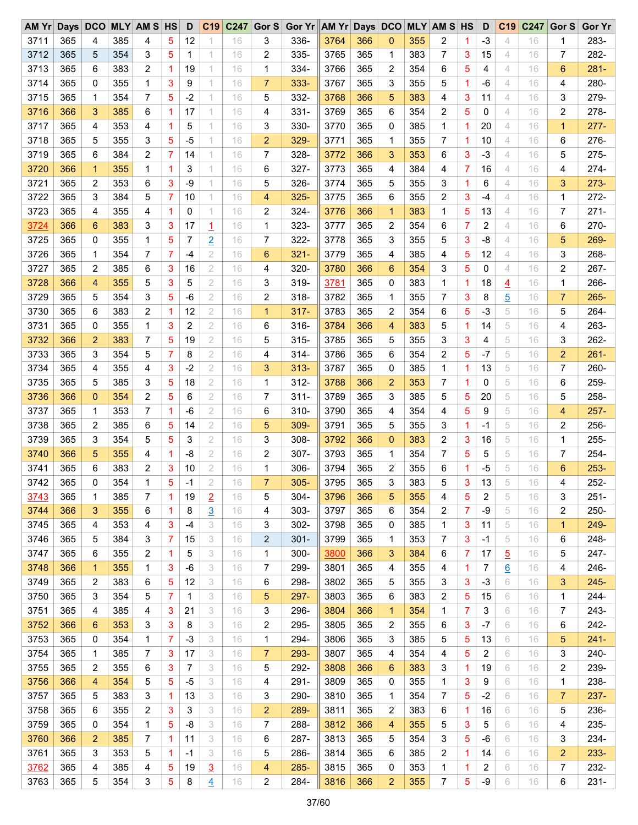| AM Yr Days DCO MLY AM S HS |     |              |     |                |   | D              |                |    |                         | C19 C247 Gor S Gor Yr AM Yr Days DCO MLY AM S HS |      |     |                 |     |              |              | D    | C <sub>19</sub> | C247 | Gor S          | <b>Gor Yr</b> |
|----------------------------|-----|--------------|-----|----------------|---|----------------|----------------|----|-------------------------|--------------------------------------------------|------|-----|-----------------|-----|--------------|--------------|------|-----------------|------|----------------|---------------|
| 3711                       | 365 | 4            | 385 | 4              | 5 | 12             |                | 16 | 3                       | 336-                                             | 3764 | 366 | 0               | 355 | 2            | 1.           | $-3$ | 4               | 16   | 1              | 283-          |
| 3712                       | 365 | 5            | 354 | 3              | 5 | 1              | 1              | 16 | 2                       | 335-                                             | 3765 | 365 | 1               | 383 | 7            | 3            | 15   | 4               | 16   | 7              | 282-          |
| 3713                       | 365 | 6            | 383 | $\overline{c}$ | 1 | 19             | 1              | 16 | 1                       | 334-                                             | 3766 | 365 | 2               | 354 | 6            | 5            | 4    | 4               | 16   | 6              | $281 -$       |
| 3714                       | 365 | 0            | 355 | 1              | 3 | 9              | 1              | 16 | $\overline{7}$          | 333-                                             | 3767 | 365 | 3               | 355 | 5            | 1            | $-6$ | 4               | 16   | 4              | 280-          |
| 3715                       | 365 | 1            | 354 | $\overline{7}$ | 5 | $-2$           | 1              | 16 | 5                       | 332-                                             | 3768 | 366 | 5               | 383 | 4            | 3            | 11   | 4               | 16   | 3              | 279-          |
| 3716                       | 366 | 3            | 385 | 6              | 1 | 17             | 1              | 16 | 4                       | $331 -$                                          | 3769 | 365 | 6               | 354 | 2            | 5            | 0    | 4               | 16   | 2              | 278-          |
| 3717                       | 365 | 4            | 353 | 4              | 1 | 5              | 1              | 16 | 3                       | 330-                                             | 3770 | 365 | 0               | 385 | $\mathbf{1}$ | 1            | 20   | 4               | 16   | $\mathbf{1}$   | $277 -$       |
| 3718                       | 365 | 5            | 355 | 3              | 5 | $-5$           | 1              | 16 | $\overline{2}$          | 329-                                             | 3771 | 365 | 1               | 355 | 7            | $\mathbf{1}$ | 10   | 4               | 16   | 6              | 276-          |
| 3719                       | 365 | 6            | 384 | 2              | 7 | 14             | 1              | 16 | 7                       | 328-                                             | 3772 | 366 | 3               | 353 | 6            | 3            | $-3$ | 4               | 16   | 5              | 275-          |
| 3720                       | 366 | $\mathbf{1}$ | 355 | 1              | 1 | 3              | 1              | 16 | 6                       | 327-                                             | 3773 | 365 | 4               | 384 | 4            | 7            | 16   | 4               | 16   | 4              | $274-$        |
| 3721                       | 365 | 2            | 353 | 6              | 3 | $-9$           | 1              | 16 | 5                       | 326-                                             | 3774 | 365 | 5               | 355 | 3            | 1            | 6    | 4               | 16   | 3              | $273 -$       |
| 3722                       | 365 | 3            | 384 | 5              | 7 | 10             | 1              | 16 | 4                       | $325 -$                                          | 3775 | 365 | 6               | 355 | 2            | 3            | $-4$ | 4               | 16   | 1              | $272 -$       |
| 3723                       | 365 | 4            | 355 | 4              | 1 | 0              | 1              | 16 | $\overline{2}$          | 324-                                             | 3776 | 366 | 1               | 383 | 1            | 5            | 13   | 4               | 16   | 7              | $271 -$       |
| 3724                       | 366 | 6            | 383 | 3              | 3 | 17             | $\overline{1}$ | 16 | 1                       | 323-                                             | 3777 | 365 | $\overline{2}$  | 354 | 6            | 7            | 2    | 4               | 16   | 6              | 270-          |
| 3725                       | 365 | 0            | 355 | 1              | 5 | 7              | $\overline{2}$ | 16 | 7                       | 322-                                             | 3778 | 365 | 3               | 355 | 5            | 3            | -8   | 4               | 16   | 5              | 269-          |
| 3726                       | 365 | 1            | 354 | 7              | 7 | -4             | 2              | 16 | 6                       | $321 -$                                          | 3779 | 365 | 4               | 385 | 4            | 5            | 12   | 4               | 16   | 3              | 268-          |
| 3727                       | 365 | 2            | 385 | 6              | 3 | 16             | 2              | 16 | 4                       | 320-                                             | 3780 | 366 | $6\phantom{1}6$ | 354 | 3            | 5            | 0    | 4               | 16   | 2              | 267-          |
|                            |     |              |     |                |   |                |                |    |                         |                                                  |      |     |                 |     |              |              |      |                 |      |                |               |
| 3728                       | 366 | 4            | 355 | 5              | 3 | 5              | $\mathbf{2}$   | 16 | 3                       | 319-                                             | 3781 | 365 | 0               | 383 | 1            | 1            | 18   | $\overline{4}$  | 16   | 1              | 266-          |
| 3729                       | 365 | 5            | 354 | 3              | 5 | -6             | $\mathbf{2}$   | 16 | $\overline{2}$          | $318 -$                                          | 3782 | 365 | 1               | 355 | 7            | 3            | 8    | $\overline{5}$  | 16   | $\overline{7}$ | $265 -$       |
| 3730                       | 365 | 6            | 383 | $\overline{c}$ | 1 | 12             | 2              | 16 | $\mathbf{1}$            | $317 -$                                          | 3783 | 365 | 2               | 354 | 6            | 5            | $-3$ | 5               | 16   | 5              | 264-          |
| 3731                       | 365 | 0            | 355 | 1              | 3 | $\overline{c}$ | $\overline{2}$ | 16 | 6                       | $316 -$                                          | 3784 | 366 | 4               | 383 | 5            | 1            | 14   | 5               | 16   | 4              | 263-          |
| 3732                       | 366 | 2            | 383 | 7              | 5 | 19             | $\mathbf{2}$   | 16 | 5                       | $315 -$                                          | 3785 | 365 | 5               | 355 | 3            | 3            | 4    | 5               | 16   | 3              | 262-          |
| 3733                       | 365 | 3            | 354 | 5              | 7 | 8              | 2              | 16 | 4                       | $314 -$                                          | 3786 | 365 | 6               | 354 | 2            | 5            | $-7$ | 5               | 16   | 2              | $261 -$       |
| 3734                       | 365 | 4            | 355 | 4              | 3 | $-2$           | $\mathbf{2}$   | 16 | 3                       | $313 -$                                          | 3787 | 365 | 0               | 385 | 1            | $\mathbf{1}$ | 13   | 5               | 16   | 7              | 260-          |
| 3735                       | 365 | 5            | 385 | 3              | 5 | 18             | $\mathbf{2}$   | 16 | 1                       | $312 -$                                          | 3788 | 366 | $\overline{2}$  | 353 | 7            | 1            | 0    | 5               | 16   | 6              | 259-          |
| 3736                       | 366 | 0            | 354 | $\overline{c}$ | 5 | 6              | $\mathbf{2}$   | 16 | 7                       | $311 -$                                          | 3789 | 365 | 3               | 385 | 5            | 5            | 20   | 5               | 16   | 5              | 258-          |
| 3737                       | 365 | 1            | 353 | 7              | 1 | -6             | 2              | 16 | 6                       | $310 -$                                          | 3790 | 365 | 4               | 354 | 4            | 5            | 9    | 5               | 16   | 4              | $257 -$       |
| 3738                       | 365 | 2            | 385 | 6              | 5 | 14             | $\mathbf{2}$   | 16 | 5                       | 309-                                             | 3791 | 365 | 5               | 355 | 3            | $\mathbf{1}$ | -1   | 5               | 16   | 2              | 256-          |
| 3739                       | 365 | 3            | 354 | 5              | 5 | 3              | $\mathbf{2}$   | 16 | 3                       | 308-                                             | 3792 | 366 | 0               | 383 | 2            | 3            | 16   | 5               | 16   | 1              | 255-          |
| 3740                       | 366 | 5            | 355 | 4              | 1 | -8             | 2              | 16 | 2                       | 307-                                             | 3793 | 365 | 1               | 354 | 7            | 5            | 5    | 5               | 16   | 7              | 254-          |
| 3741                       | 365 | 6            | 383 | 2              | 3 | 10             | $\mathbf{2}$   | 16 | 1                       | 306-                                             | 3794 | 365 | $\overline{2}$  | 355 | 6            | $\mathbf{1}$ | $-5$ | 5               | 16   | 6              | $253 -$       |
| 3742                       | 365 | 0            | 354 | 1              | 5 | $-1$           | $\overline{2}$ | 16 | $\overline{7}$          | $305 -$                                          | 3795 | 365 | 3               | 383 | 5            | 3            | 13   | 5               | 16   | 4              | 252-          |
| 3743                       | 365 | 1            | 385 | 7              | 1 | 19             | $\overline{2}$ | 16 | 5                       | $304 -$                                          | 3796 | 366 | 5               | 355 | 4            | 5            | 2    | 5               | 16   | 3              | $251 -$       |
| 3744                       | 366 | 3            | 355 | 6              | 1 | 8              | $\overline{3}$ | 16 | 4                       | $303 -$                                          | 3797 | 365 | 6               | 354 | 2            | 7            | -9   | 5               | 16   | 2              | 250-          |
| 3745                       | 365 | 4            | 353 | 4              | 3 | -4             | 3              | 16 | 3                       | $302 -$                                          | 3798 | 365 | 0               | 385 | 1            | 3            | 11   | 5               | 16   | 1              | 249-          |
| 3746                       | 365 | 5            | 384 | 3              | 7 | 15             | 3              | 16 | $\overline{\mathbf{c}}$ | $301 -$                                          | 3799 | 365 | 1               | 353 | 7            | 3            | -1   | 5               | 16   | 6              | 248-          |
| 3747                       | 365 | 6            | 355 | 2              | 1 | 5              | 3              | 16 | 1                       | $300 -$                                          | 3800 | 366 | 3               | 384 | 6            | 7            | 17   | $\overline{5}$  | 16   | 5              | 247-          |
| 3748                       | 366 | 1            | 355 | 1              | 3 | -6             | 3              | 16 | 7                       | 299-                                             | 3801 | 365 | 4               | 355 | 4            | $\mathbf{1}$ | 7    | 6               | 16   | 4              | 246-          |
| 3749                       | 365 | 2            | 383 | 6              | 5 | 12             | 3              | 16 | 6                       | 298-                                             | 3802 | 365 | 5               | 355 | 3            | 3            | $-3$ | 6               | 16   | 3              | $245 -$       |
| 3750                       | 365 | 3            | 354 | 5              | 7 | 1              | 3              | 16 | 5                       | 297-                                             | 3803 | 365 | 6               | 383 | 2            | 5            | 15   | 6               | 16   | 1              | 244-          |
| 3751                       | 365 | 4            | 385 | 4              | 3 | 21             | 3              | 16 | 3                       | 296-                                             | 3804 | 366 | 1               | 354 | 1            | 7            | 3    | 6               | 16   | 7              | 243-          |
| 3752                       | 366 | 6            | 353 | 3              | 3 | 8              | 3              | 16 | 2                       | 295-                                             | 3805 | 365 | 2               | 355 | 6            | 3            | -7   | 6               | 16   | 6              | 242-          |
| 3753                       | 365 | 0            | 354 | 1              | 7 | $-3$           | 3              | 16 | 1                       | 294-                                             | 3806 | 365 | 3               | 385 | 5            | 5            | 13   | 6               | 16   | 5              | $241 -$       |
| 3754                       | 365 | 1            | 385 | 7              | 3 | 17             | 3              | 16 | $\overline{7}$          | 293-                                             | 3807 | 365 | 4               | 354 | 4            | 5            | 2    | 6               | 16   | 3              | 240-          |
| 3755                       | 365 | 2            | 355 | 6              | 3 | 7              | 3              | 16 | 5                       | 292-                                             | 3808 | 366 | 6               | 383 | 3            | $\mathbf{1}$ | 19   | 6               | 16   | 2              | 239-          |
| 3756                       | 366 | 4            | 354 | 5              | 5 | $-5$           | 3              | 16 | 4                       | 291-                                             | 3809 | 365 | 0               | 355 | 1            | 3            | 9    | 6               | 16   | 1              | 238-          |
| 3757                       | 365 | 5            | 383 | 3              | 1 | 13             | 3              | 16 | 3                       | 290-                                             | 3810 | 365 | 1               | 354 | 7            | 5            | $-2$ | 6               | 16   | 7              | $237 -$       |
| 3758                       | 365 | 6            | 355 | 2              | 3 | 3              | 3              | 16 | 2                       | 289-                                             | 3811 | 365 | 2               | 383 | 6            | 1.           | 16   | 6               | 16   | 5              | 236-          |
| 3759                       | 365 | 0            | 354 | 1              | 5 | -8             | 3              | 16 | 7                       | 288-                                             | 3812 | 366 | 4               | 355 | 5            | 3            | 5    | 6               | 16   | 4              | 235-          |
| 3760                       | 366 | 2            | 385 | 7              | 1 | 11             | 3              | 16 | 6                       | 287-                                             | 3813 | 365 | 5               | 354 | 3            | 5            | -6   | 6               | 16   | 3              | 234-          |
|                            | 365 |              | 353 | 5              |   | $-1$           | 3              | 16 | 5                       | 286-                                             | 3814 | 365 | 6               | 385 |              |              |      | 6               |      |                | 233-          |
| 3761                       |     | 3            |     |                | 1 |                |                |    |                         |                                                  |      |     |                 |     | 2            | 1.           | 14   |                 | 16   | 2              |               |
| 3762                       | 365 | 4            | 385 | 4              | 5 | 19             | $\overline{3}$ | 16 | 4                       | $285 -$                                          | 3815 | 365 | 0               | 353 | 1            | 1.           | 2    | 6               | 16   | 7              | 232-          |
| 3763                       | 365 | 5            | 354 | 3              | 5 | 8              | $\overline{4}$ | 16 | 2                       | 284-                                             | 3816 | 366 | $\overline{c}$  | 355 | 7            | 5            | $-9$ | 6               | 16   | 6              | $231 -$       |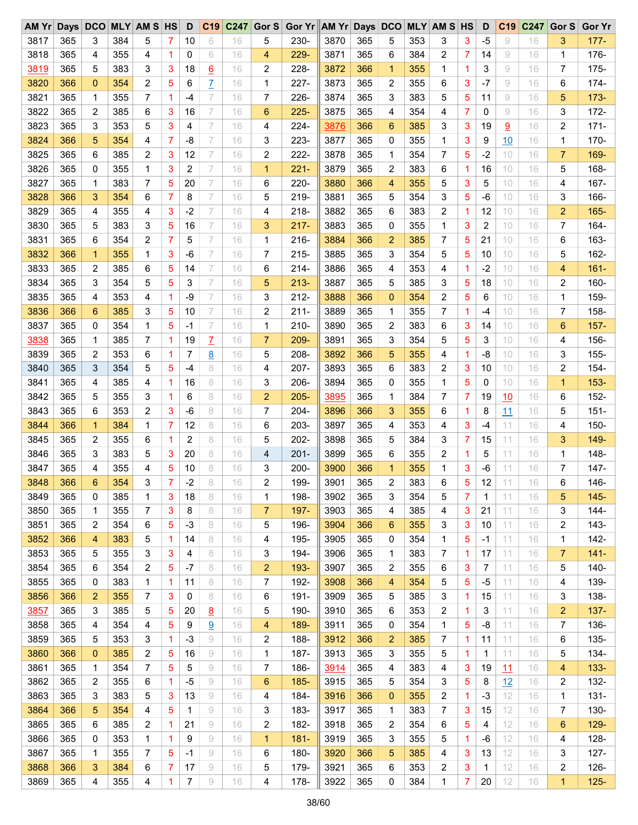| $AM$ $Yr$ |     | Days DCO     |     | <b>MLY AM S HS</b> |   | D    | C19             | C247 | Gor $S$        | Gor Yr AM Yr Days DCO |      |     |                |     | <b>MLY AM S HS</b> |   | D    | C <sub>19</sub> | C247 | Gor S          | <b>Gor Yr</b> |
|-----------|-----|--------------|-----|--------------------|---|------|-----------------|------|----------------|-----------------------|------|-----|----------------|-----|--------------------|---|------|-----------------|------|----------------|---------------|
| 3817      | 365 | 3            | 384 | 5                  | 7 | 10   | 6               | 16   | 5              | 230-                  | 3870 | 365 | 5              | 353 | 3                  | 3 | $-5$ | 9               | 16   | 3              | $177 -$       |
| 3818      | 365 | 4            | 355 | 4                  | 1 | 0    | 6               | 16   | 4              | $229 -$               | 3871 | 365 | 6              | 384 | 2                  | 7 | 14   | 9               | 16   | $\mathbf 1$    | 176-          |
| 3819      | 365 | 5            | 383 | 3                  | 3 | 18   | $\underline{6}$ | 16   | 2              | 228-                  | 3872 | 366 | 1              | 355 | 1                  | 1 | 3    | 9               | 16   | 7              | $175 -$       |
| 3820      | 366 | 0            | 354 | 2                  | 5 | 6    | $\overline{L}$  | 16   | 1              | $227 -$               | 3873 | 365 | 2              | 355 | 6                  | 3 | $-7$ | 9               | 16   | 6              | 174-          |
| 3821      | 365 | 1            | 355 | 7                  | 1 | -4   | 7               | 16   | 7              | $226 -$               | 3874 | 365 | 3              | 383 | 5                  | 5 | 11   | 9               | 16   | 5              | $173 -$       |
| 3822      | 365 | 2            | 385 | 6                  | 3 | 16   | 7               | 16   | 6              | $225 -$               | 3875 | 365 | 4              | 354 | 4                  | 7 | 0    | 9               | 16   | 3              | $172 -$       |
| 3823      | 365 | 3            | 353 | 5                  | 3 | 4    | 7               | 16   | 4              | $224 -$               | 3876 | 366 | 6              | 385 | 3                  | 3 | 19   | 9               | 16   | 2              | $171 -$       |
| 3824      | 366 | 5            | 354 | 4                  | 7 | -8   | 7               | 16   | 3              | 223-                  | 3877 | 365 | 0              | 355 | 1                  | 3 | 9    | 10              | 16   | $\mathbf 1$    | 170-          |
| 3825      | 365 | 6            | 385 | 2                  | 3 | 12   | 7               | 16   | 2              | $222 -$               | 3878 | 365 | 1              | 354 | 7                  | 5 | $-2$ | 10              | 16   | $\overline{7}$ | 169-          |
| 3826      | 365 | 0            | 355 | 1                  | 3 | 2    | 7               | 16   | $\mathbf{1}$   | $221 -$               | 3879 | 365 | 2              | 383 | 6                  | 1 | 16   | 10              | 16   | 5              | 168-          |
| 3827      | 365 | 1            | 383 | 7                  | 5 | 20   | 7               | 16   | 6              | 220-                  | 3880 | 366 | 4              | 355 | 5                  | 3 | 5    | 10              | 16   | 4              | 167-          |
| 3828      | 366 | 3            | 354 | 6                  | 7 | 8    | 7               | 16   | 5              | $219 -$               | 3881 | 365 | 5              | 354 | 3                  | 5 | -6   | 10              | 16   | 3              | 166-          |
| 3829      | 365 | 4            | 355 | 4                  | 3 | $-2$ | 7               | 16   | 4              | $218 -$               | 3882 | 365 | 6              | 383 | 2                  | 1 | 12   | 10              | 16   | 2              | 165-          |
| 3830      | 365 | 5            | 383 | 3                  | 5 | 16   | 7               | 16   | 3              | $217 -$               | 3883 | 365 | 0              | 355 | 1                  | 3 | 2    | 10              | 16   | 7              | 164-          |
| 3831      | 365 | 6            | 354 | 2                  | 7 | 5    | 7               | 16   | 1              | $216 -$               | 3884 | 366 | 2              | 385 | 7                  | 5 | 21   | 10              | 16   | 6              | 163-          |
| 3832      | 366 | $\mathbf{1}$ | 355 | 1                  | 3 | -6   | 7               |      | 7              | $215 -$               | 3885 | 365 | 3              | 354 | 5                  | 5 | 10   | 10              |      | 5              | 162-          |
| 3833      |     | 2            |     | 6                  |   |      | 7               | 16   | 6              |                       |      |     |                |     |                    | 1 |      |                 | 16   | 4              | $161 -$       |
|           | 365 |              | 385 |                    | 5 | 14   |                 | 16   |                | $214 -$               | 3886 | 365 | 4              | 353 | 4                  |   | $-2$ | 10              | 16   |                |               |
| 3834      | 365 | 3            | 354 | 5                  | 5 | 3    | 7               | 16   | 5              | $213 -$               | 3887 | 365 | 5              | 385 | 3                  | 5 | 18   | 10              | 16   | 2              | 160-          |
| 3835      | 365 | 4            | 353 | 4                  | 1 | -9   | 7               | 16   | 3              | $212 -$               | 3888 | 366 | $\overline{0}$ | 354 | 2                  | 5 | 6    | 10              | 16   | $\mathbf 1$    | 159-          |
| 3836      | 366 | 6            | 385 | 3                  | 5 | 10   | 7               | 16   | 2              | $211 -$               | 3889 | 365 | 1              | 355 | 7                  | 1 | -4   | 10              | 16   | 7              | 158-          |
| 3837      | 365 | 0            | 354 | 1                  | 5 | $-1$ | 7               | 16   | 1              | $210 -$               | 3890 | 365 | 2              | 383 | 6                  | 3 | 14   | 10              | 16   | 6              | $157 -$       |
| 3838      | 365 | 1            | 385 | 7                  | 1 | 19   | Z               | 16   | $\overline{7}$ | 209-                  | 3891 | 365 | 3              | 354 | 5                  | 5 | 3    | 10              | 16   | 4              | 156-          |
| 3839      | 365 | 2            | 353 | 6                  | 1 | 7    | <u>8</u>        | 16   | 5              | $208 -$               | 3892 | 366 | 5              | 355 | 4                  | 1 | -8   | 10              | 16   | 3              | $155 -$       |
| 3840      | 365 | 3            | 354 | 5                  | 5 | -4   | 8               | 16   | 4              | 207-                  | 3893 | 365 | 6              | 383 | 2                  | 3 | 10   | 10              | 16   | 2              | $154 -$       |
| 3841      | 365 | 4            | 385 | 4                  | 1 | 16   | 8               | 16   | 3              | 206-                  | 3894 | 365 | 0              | 355 | 1                  | 5 | 0    | 10              | 16   | $\mathbf{1}$   | $153 -$       |
| 3842      | 365 | 5            | 355 | 3                  | 1 | 6    | 8               | 16   | $\overline{2}$ | $205 -$               | 3895 | 365 | 1              | 384 | 7                  | 7 | 19   | 10              | 16   | 6              | $152 -$       |
| 3843      | 365 | 6            | 353 | 2                  | 3 | -6   | 8               | 16   | 7              | $204 -$               | 3896 | 366 | 3              | 355 | 6                  | 1 | 8    | 11              | 16   | 5              | $151 -$       |
| 3844      | 366 | $\mathbf{1}$ | 384 | 1                  | 7 | 12   | 8               | 16   | 6              | 203-                  | 3897 | 365 | 4              | 353 | 4                  | 3 | $-4$ | 11              | 16   | 4              | 150-          |
| 3845      | 365 | 2            | 355 | 6                  | 1 | 2    | 8               | 16   | 5              | $202 -$               | 3898 | 365 | 5              | 384 | 3                  | 7 | 15   | 11              | 16   | 3              | 149-          |
| 3846      | 365 | 3            | 383 | 5                  | 3 | 20   | 8               | 16   | 4              | $201 -$               | 3899 | 365 | 6              | 355 | 2                  | 1 | 5    | 11              | 16   | 1              | 148-          |
| 3847      | 365 | 4            | 355 | 4                  | 5 | 10   | 8               | 16   | 3              | $200 -$               | 3900 | 366 | 1              | 355 | 1                  | 3 | -6   | 11              | 16   | 7              | $147 -$       |
| 3848      | 366 | 6            | 354 | 3                  | 7 | $-2$ | 8               | 16   | 2              | 199-                  | 3901 | 365 | $\overline{2}$ | 383 | 6                  | 5 | 12   | 11              | 16   | 6              | 146-          |
| 3849      | 365 | 0            | 385 | 1                  | 3 | 18   | 8               | 16   | 1              | 198-                  | 3902 | 365 | 3              | 354 | 5                  | 7 | 1    | 11              | 16   | 5              | $145 -$       |
| 3850      | 365 | 1            | 355 | 7                  | 3 | 8    | 8               | 16   | 7              | 197-                  | 3903 | 365 | 4              | 385 | 4                  | 3 | 21   | 11              | 16   | 3              | 144-          |
| 3851      | 365 | 2            | 354 | 6                  | 5 | $-3$ | 8               | 16   | 5              | 196-                  | 3904 | 366 | 6              | 355 | 3                  | 3 | 10   | 11              | 16   | 2              | 143-          |
| 3852      | 366 | 4            | 383 | 5                  | 1 | 14   | 8               | 16   | 4              | 195-                  | 3905 | 365 | 0              | 354 | 1                  | 5 | -1   | 11              | 16   | 1              | $142 -$       |
| 3853      | 365 | 5            | 355 | 3                  | 3 | 4    | 8               | 16   | 3              | 194-                  | 3906 | 365 | 1              | 383 | 7                  | 1 | 17   | 11              | 16   | 7              | $141 -$       |
| 3854      | 365 | 6            | 354 | 2                  | 5 | -7   | 8               | 16   | $\overline{2}$ | 193-                  | 3907 | 365 | 2              | 355 | 6                  | 3 | 7    | 11              | 16   | 5              | 140-          |
| 3855      | 365 | 0            | 383 | 1                  | 1 | 11   | 8               | 16   | 7              | 192-                  | 3908 | 366 | 4              | 354 | 5                  | 5 | $-5$ | 11              | 16   | 4              | 139-          |
| 3856      | 366 | 2            | 355 | 7                  | 3 | 0    | 8               | 16   | 6              | 191-                  | 3909 | 365 | 5              | 385 | 3                  | 1 | 15   | 11              | 16   | 3              | 138-          |
| 3857      | 365 | 3            | 385 | 5                  | 5 | 20   | <u>8</u>        | 16   | 5              | 190-                  | 3910 | 365 | 6              | 353 | 2                  | 1 | 3    | 11              | 16   | 2              | $137 -$       |
| 3858      | 365 | 4            | 354 | 4                  | 5 | 9    | <u>9</u>        | 16   | 4              | 189-                  | 3911 | 365 | 0              | 354 | 1                  | 5 | -8   | 11              | 16   | 7              | 136-          |
| 3859      | 365 | 5            | 353 | 3                  | 1 | $-3$ | 9               | 16   | 2              | 188-                  | 3912 | 366 | 2              | 385 | 7                  | 1 | 11   | 11              | 16   | 6              | 135-          |
| 3860      | 366 | 0            | 385 | 2                  | 5 | 16   | 9               | 16   | 1              | 187-                  | 3913 | 365 | 3              | 355 | 5                  | 1 | 1    | 11              | 16   | 5              | 134-          |
| 3861      | 365 | 1            | 354 | 7                  | 5 | 5    | 9               | 16   | 7              | 186-                  | 3914 | 365 | 4              | 383 | 4                  | 3 | 19   | 11              | 16   | 4              | 133-          |
| 3862      | 365 | 2            | 355 | 6                  | 1 | $-5$ | 9               | 16   | 6              | $185 -$               | 3915 | 365 | 5              | 354 | 3                  | 5 | 8    | 12              | 16   | 2              | 132-          |
| 3863      | 365 | 3            | 383 | 5                  | 3 | 13   | 9               | 16   | 4              | 184-                  | 3916 | 366 | 0              | 355 | 2                  | 1 | $-3$ | 12              | 16   | 1              | $131 -$       |
| 3864      | 366 | 5            | 354 | 4                  | 5 | 1    | 9               | 16   | 3              | 183-                  | 3917 | 365 | 1              | 383 | 7                  | 3 | 15   | 12              | 16   | 7              | 130-          |
| 3865      | 365 | 6            | 385 | 2                  | 1 | 21   | 9               | 16   | 2              | 182-                  | 3918 | 365 | 2              | 354 | 6                  | 5 | 4    | 12              | 16   | 6              | 129-          |
| 3866      | 365 | 0            | 353 | 1                  | 1 | 9    | 9               | 16   | 1              | $181 -$               | 3919 | 365 | 3              | 355 | 5                  | 1 | -6   | 12              | 16   | 4              | $128 -$       |
| 3867      | 365 | 1            | 355 | 7                  | 5 | -1   | 9               | 16   | 6              | 180-                  | 3920 | 366 | 5              | 385 | 4                  | 3 | 13   | 12              | 16   | 3              | $127 -$       |
| 3868      | 366 | 3            | 384 |                    | 7 | 17   | 9               | 16   | 5              | 179-                  | 3921 | 365 | 6              | 353 | 2                  | 3 | 1    | 12              | 16   | 2              | $126 -$       |
|           |     |              |     | 6                  |   |      |                 |      |                |                       |      |     |                |     |                    |   |      |                 |      |                |               |
| 3869      | 365 | 4            | 355 | 4                  | 1 | 7    | 9               | 16   | 4              | 178-                  | 3922 | 365 | 0              | 384 | 1                  | 7 | 20   | 12              | 16   | $\mathbf{1}$   | $125 -$       |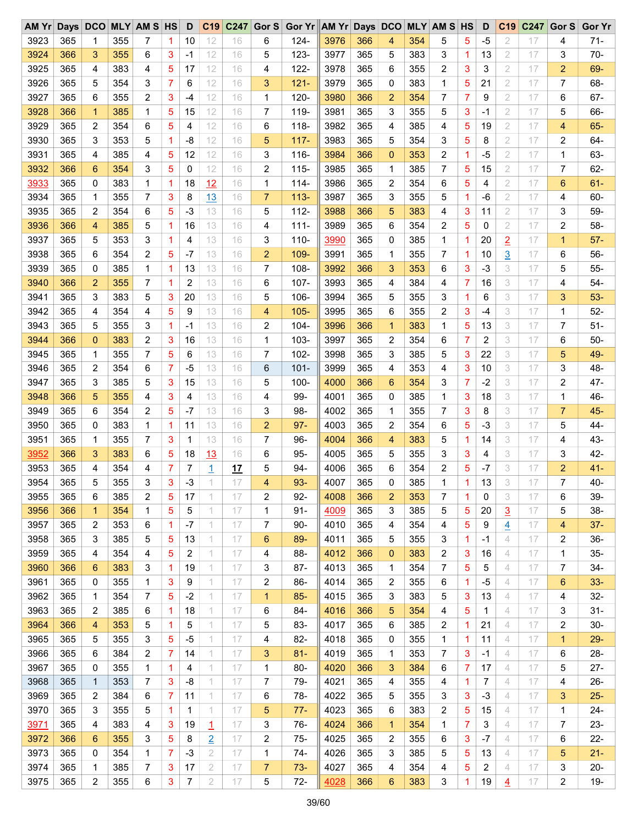| AM Yr | $_{\text{Days}}$ | DCO               |     | <b>MLY AM S HS</b> |   | D              | C <sub>19</sub> | C247 | Gor S               | Gor Yr AM Yr Days DCO |      |     |                |     | <b>MLY AM S HS</b> |                | D    | C <sub>19</sub>     | C247 | Gor S | <b>Gor Yr</b> |
|-------|------------------|-------------------|-----|--------------------|---|----------------|-----------------|------|---------------------|-----------------------|------|-----|----------------|-----|--------------------|----------------|------|---------------------|------|-------|---------------|
| 3923  | 365              | 1                 | 355 | 7                  | 1 | 10             | 12              | 16   | 6                   | $124 -$               | 3976 | 366 | 4              | 354 | 5                  | 5              | $-5$ | $\overline{2}$      | 17   | 4     | $71 -$        |
| 3924  | 366              | 3                 | 355 | 6                  | 3 | -1             | 12              | 16   | 5                   | $123 -$               | 3977 | 365 | 5              | 383 | 3                  | 1.             | 13   | 2                   | 17   | 3     | $70-$         |
| 3925  | 365              | 4                 | 383 | 4                  | 5 | 17             | 12              | 16   | 4                   | $122 -$               | 3978 | 365 | 6              | 355 | 2                  | 3              | 3    | 2                   | 17   | 2     | 69-           |
| 3926  | 365              | 5                 | 354 | 3                  | 7 | 6              | 12              | 16   | 3                   | $121 -$               | 3979 | 365 | 0              | 383 | 1                  | 5              | 21   | 2                   | 17   | 7     | 68-           |
| 3927  | 365              | 6                 | 355 | 2                  | 3 | -4             | 12              | 16   | 1                   | $120 -$               | 3980 | 366 | $\overline{2}$ | 354 | 7                  | 7              | 9    | 2                   | 17   | 6     | $67 -$        |
| 3928  | 366              | $\mathbf{1}$      | 385 | 1                  | 5 | 15             | 12              | 16   | $\overline{7}$      | 119-                  | 3981 | 365 | 3              | 355 | 5                  | 3              | -1   | 2                   | 17   | 5     | 66-           |
| 3929  | 365              | 2                 | 354 | 6                  | 5 | 4              | 12              | 16   | 6                   | $118 -$               | 3982 | 365 | 4              | 385 | 4                  | 5              | 19   | 2                   | 17   | 4     | $65-$         |
| 3930  | 365              | 3                 | 353 | 5                  | 1 | -8             | 12              | 16   | 5                   | $117 -$               | 3983 | 365 | 5              | 354 | 3                  | 5              | 8    | 2                   | 17   | 2     | 64-           |
| 3931  | 365              | 4                 | 385 | 4                  | 5 | 12             | 12              | 16   | 3                   | $116 -$               | 3984 | 366 | $\mathbf 0$    | 353 | 2                  | 1.             | $-5$ | 2                   | 17   | 1     | 63-           |
| 3932  | 366              | 6                 | 354 | 3                  | 5 | 0              | 12              | 16   | $\overline{2}$      | $115 -$               | 3985 | 365 | 1              | 385 | 7                  | 5              | 15   | 2                   | 17   | 7     | $62 -$        |
| 3933  | 365              | 0                 | 383 | 1                  | 1 | 18             | 12              | 16   | 1                   | $114 -$               | 3986 | 365 | 2              | 354 | 6                  | 5              | 4    | 2                   | 17   | 6     | $61 -$        |
| 3934  | 365              | 1                 | 355 | 7                  | 3 | 8              | 13              | 16   | $\overline{7}$      | $113 -$               | 3987 | 365 | 3              | 355 | 5                  | 1              | -6   | 2                   | 17   | 4     | 60-           |
| 3935  | 365              | 2                 | 354 | 6                  | 5 | -3             | 13              | 16   | 5                   | $112 -$               | 3988 | 366 | 5              | 383 | 4                  | 3              | 11   | 2                   | 17   | 3     | 59-           |
| 3936  | 366              | 4                 | 385 | 5                  | 1 | 16             | 13              | 16   | 4                   | $111 -$               | 3989 | 365 | 6              | 354 | 2                  | 5              | 0    | 2                   | 17   | 2     | 58-           |
| 3937  | 365              | 5                 | 353 | 3                  | 1 | 4              | 13              | 16   | 3                   | $110 -$               | 3990 | 365 | 0              | 385 | 1                  | 1              | 20   |                     | 17   | 1     | $57 -$        |
| 3938  | 365              | 6                 | 354 | 2                  | 5 | $-7$           | 13              | 16   | $\overline{2}$      | 109-                  | 3991 | 365 | 1              | 355 | 7                  | 1              | 10   | $\overline{2}$      | 17   | 6     | 56-           |
| 3939  | 365              | 0                 | 385 | 1                  | 1 | 13             | 13              | 16   | $\overline{7}$      | 108-                  | 3992 | 366 | 3              | 353 | 6                  | 3              | $-3$ | $\overline{3}$<br>3 | 17   | 5     | 55-           |
|       |                  |                   |     |                    |   |                |                 |      |                     |                       |      |     |                |     |                    |                |      |                     |      |       |               |
| 3940  | 366              | 2                 | 355 | 7                  | 1 | 2              | 13              | 16   | 6                   | 107-                  | 3993 | 365 | 4              | 384 | 4                  | 7              | 16   | 3                   | 17   | 4     | $54-$         |
| 3941  | 365              | 3                 | 383 | 5                  | 3 | 20             | 13              | 16   | 5                   | 106-                  | 3994 | 365 | 5              | 355 | 3                  | 1.             | 6    | 3                   | 17   | 3     | $53-$         |
| 3942  | 365              | 4                 | 354 | 4                  | 5 | 9              | 13              | 16   | 4                   | $105 -$               | 3995 | 365 | 6              | 355 | 2                  | 3              | -4   | 3                   | 17   | 1     | $52 -$        |
| 3943  | 365              | 5                 | 355 | 3                  | 1 | $-1$           | 13              | 16   | $\overline{2}$      | 104-                  | 3996 | 366 | $\mathbf 1$    | 383 | 1                  | 5              | 13   | 3                   | 17   | 7     | $51-$         |
| 3944  | 366              | 0                 | 383 | 2                  | 3 | 16             | 13              | 16   | 1                   | $103 -$               | 3997 | 365 | 2              | 354 | 6                  | 7              | 2    | 3                   | 17   | 6     | $50-$         |
| 3945  | 365              | 1                 | 355 | 7                  | 5 | 6              | 13              | 16   | 7                   | $102 -$               | 3998 | 365 | 3              | 385 | 5                  | 3              | 22   | 3                   | 17   | 5     | 49-           |
| 3946  | 365              | 2                 | 354 | 6                  | 7 | -5             | 13              | 16   | 6                   | $101 -$               | 3999 | 365 | 4              | 353 | 4                  | 3              | 10   | 3                   | 17   | 3     | 48-           |
| 3947  | 365              | 3                 | 385 | 5                  | 3 | 15             | 13              | 16   | 5                   | $100 -$               | 4000 | 366 | 6              | 354 | 3                  | $\overline{7}$ | $-2$ | 3                   | 17   | 2     | 47-           |
| 3948  | 366              | 5                 | 355 | 4                  | 3 | 4              | 13              | 16   | 4                   | 99-                   | 4001 | 365 | 0              | 385 | 1                  | 3              | 18   | 3                   | 17   | 1     | 46-           |
| 3949  | 365              | 6                 | 354 | 2                  | 5 | -7             | 13              | 16   | 3                   | 98-                   | 4002 | 365 | 1              | 355 | 7                  | 3              | 8    | 3                   | 17   | 7     | 45-           |
| 3950  | 365              | 0                 | 383 | 1                  | 1 | 11             | 13              | 16   | $\overline{2}$      | $97 -$                | 4003 | 365 | 2              | 354 | 6                  | 5              | $-3$ | 3                   | 17   | 5     | 44-           |
| 3951  | 365              | 1                 | 355 | 7                  | 3 | 1              | 13              | 16   | 7                   | 96-                   | 4004 | 366 | 4              | 383 | 5                  | 1              | 14   | 3                   | 17   | 4     | 43-           |
| 3952  | 366              | 3                 | 383 | 6                  | 5 | 18             | 13              | 16   | 6                   | 95-                   | 4005 | 365 | 5              | 355 | 3                  | 3              | 4    | 3                   | 17   | 3     | 42-           |
| 3953  | 365              | 4                 | 354 | 4                  | 7 | 7              | 1               | 17   | 5                   | $94-$                 | 4006 | 365 | 6              | 354 | 2                  | 5              | -7   | 3                   | 17   | 2     | $41 -$        |
| 3954  | 365              | 5                 | 355 | 3                  | 3 | $-3$           |                 | 17   | 4                   | 93-                   | 4007 | 365 | 0              | 385 | 1                  | 1              | 13   | 3                   | 17   | 7     | $40 -$        |
| 3955  | 365              | 6                 | 385 | 2                  | 5 | 17             | 1               | 17   | 2                   | $92 -$                | 4008 | 366 | $\overline{2}$ | 353 | 7                  | 1              | 0    | 3                   | 17   | 6     | 39-           |
| 3956  | 366              | $\mathbf 1$       | 354 | 1                  | 5 | 5              | 1.              | 17   | 1                   | 91-                   | 4009 | 365 | 3              | 385 | 5                  | 5              | 20   | $\overline{3}$      | 17   | 5     | 38-           |
| 3957  | 365              | 2                 | 353 | 6                  | 1 | -7             | 1.              | 17   | 7                   | 90-                   | 4010 | 365 | 4              | 354 | 4                  | 5              | 9    | 4                   | 17   | 4     | $37 -$        |
| 3958  | 365              | 3                 | 385 | 5                  | 5 | 13             | 1               | 17   | 6                   | 89-                   | 4011 | 365 | 5              | 355 | 3                  | 1              | -1   | 4                   | 17   | 2     | 36-           |
| 3959  | 365              | 4                 | 354 | 4                  | 5 | 2              | 1               | 17   | 4                   | 88-                   | 4012 | 366 | $\mathbf 0$    | 383 | 2                  | 3              | 16   | 4                   | 17   | 1     | $35-$         |
| 3960  | 366              | 6                 | 383 | 3                  | 1 | 19             | 1.              | 17   | 3                   | 87-                   | 4013 | 365 | 1              | 354 | 7                  | 5              | 5    | 4                   | 17   | 7     | 34-           |
| 3961  | 365              | 0                 | 355 | 1                  | 3 | 9              | 1               | 17   | 2                   | 86-                   | 4014 | 365 | 2              | 355 | 6                  | 1              | -5   | 4                   | 17   | 6     | $33 -$        |
| 3962  | 365              | 1                 | 354 | 7                  | 5 | -2             | 1.              | 17   | 1                   | $85 -$                | 4015 | 365 | 3              | 383 | 5                  | 3              | 13   | 4                   | 17   | 4     | 32-           |
| 3963  | 365              | 2                 | 385 | 6                  | 1 | 18             | 1.              | 17   | 6                   | 84-                   | 4016 | 366 | 5              | 354 | 4                  | 5              | 1    | 4                   | 17   | 3     | $31 -$        |
| 3964  | 366              | 4                 | 353 | 5                  | 1 | 5              | 1               | 17   | 5                   | 83-                   | 4017 | 365 | 6              | 385 | 2                  | 1              | 21   | 4                   | 17   | 2     | $30-$         |
| 3965  | 365              | 5                 | 355 | 3                  | 5 | -5             | 1               | 17   | 4                   | 82-                   | 4018 | 365 | 0              | 355 | 1                  | 1              | 11   | 4                   | 17   | 1     | $29 -$        |
| 3966  | 365              | 6                 | 384 | 2                  | 7 | 14             | 1.              | 17   | 3                   | 81-                   | 4019 | 365 | 1              | 353 | 7                  | 3              | -1   | 4                   | 17   | 6     | 28-           |
| 3967  | 365              |                   | 355 | 1                  | 1 |                | 1               | 17   |                     | $80 -$                | 4020 | 366 | 3              | 384 |                    | 7              | 17   | 4                   | 17   | 5     | $27 -$        |
| 3968  | 365              | 0<br>$\mathbf{1}$ | 353 | 7                  | 3 | 4<br>-8        | 1               | 17   | 1<br>$\overline{7}$ | 79-                   | 4021 | 365 | 4              | 355 | 6<br>4             | 1              | 7    | 4                   | 17   | 4     | 26-           |
|       |                  |                   |     |                    |   |                | 1               |      |                     |                       |      |     |                |     |                    |                |      |                     |      |       |               |
| 3969  | 365              | 2                 | 384 | 6                  | 7 | 11             |                 | 17   | 6                   | 78-                   | 4022 | 365 | 5              | 355 | 3                  | 3              | -3   | 4                   | 17   | 3     | $25 -$        |
| 3970  | 365              | 3                 | 355 | 5                  | 1 | 1              | 1               | 17   | 5                   | 77-                   | 4023 | 365 | 6              | 383 | 2                  | 5              | 15   | 4                   | 17   | 1     | 24-           |
| 3971  | 365              | 4                 | 383 | 4                  | 3 | 19             | 1               | 17   | 3                   | $76-$                 | 4024 | 366 | $\mathbf 1$    | 354 | 1                  | 7              | 3    | 4                   | 17   | 7     | 23-           |
| 3972  | 366              | 6                 | 355 | 3                  | 5 | 8              | $\overline{2}$  | 17   | 2                   | $75-$                 | 4025 | 365 | 2              | 355 | 6                  | 3              | -7   | 4                   | 17   | 6     | $22 -$        |
| 3973  | 365              | 0                 | 354 | 1                  | 7 | -3             | $\overline{2}$  | 17   | 1                   | 74-                   | 4026 | 365 | 3              | 385 | 5                  | 5              | 13   | 4                   | 17   | 5     | $21 -$        |
| 3974  | 365              | 1                 | 385 | 7                  | 3 | 17             | 2               | 17   | $\overline{7}$      | $73-$                 | 4027 | 365 | 4              | 354 | 4                  | 5              | 2    | 4                   | 17   | 3     | $20 -$        |
| 3975  | 365              | 2                 | 355 | 6                  | 3 | $\overline{7}$ | 2               | 17   | 5                   | $72-$                 | 4028 | 366 | 6              | 383 | 3                  | 1              | 19   | 4                   | 17   | 2     | $19 -$        |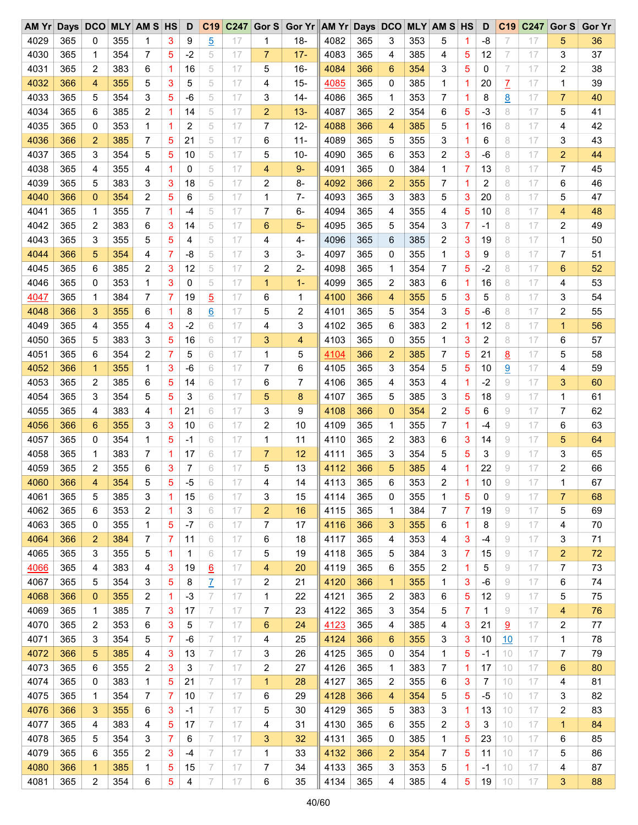| AM Yr |     | Days DCO     |     | <b>MLY AM S HS</b> |   | D    | C19             | C <sub>247</sub> |                | Gor S Gor Yr AM Yr Days DCO |      |     |              |     | <b>MLY AM S HS</b> |                | D    | C <sub>19</sub> | C <sub>247</sub> | Gor S          | <b>Gor Yr</b> |
|-------|-----|--------------|-----|--------------------|---|------|-----------------|------------------|----------------|-----------------------------|------|-----|--------------|-----|--------------------|----------------|------|-----------------|------------------|----------------|---------------|
| 4029  | 365 | 0            | 355 | 1                  | 3 | 9    | $\overline{5}$  | 17               | 1              | $18 -$                      | 4082 | 365 | 3            | 353 | 5                  | 1              | -8   | 7               | 17               | 5              | 36            |
| 4030  | 365 | 1            | 354 | 7                  | 5 | $-2$ | 5               | 17               | 7              | $17-$                       | 4083 | 365 | 4            | 385 | 4                  | 5              | 12   | 7               | 17               | 3              | 37            |
| 4031  | 365 | 2            | 383 | 6                  | 1 | 16   | 5               | 17               | 5              | 16-                         | 4084 | 366 | 6            | 354 | 3                  | 5              | 0    | 7               | 17               | 2              | 38            |
| 4032  | 366 | 4            | 355 | 5                  | 3 | 5    | 5               | 17               | 4              | $15 -$                      | 4085 | 365 | 0            | 385 | 1                  | 1              | 20   | $\overline{L}$  | 17               | 1              | 39            |
| 4033  | 365 | 5            | 354 | 3                  | 5 | -6   | 5               | 17               | 3              | 14-                         | 4086 | 365 | 1            | 353 | 7                  | 1              | 8    | 8               | 17               | $\overline{7}$ | 40            |
| 4034  | 365 | 6            | 385 | 2                  | 1 | 14   | 5               | 17               | $\overline{2}$ | $13 -$                      | 4087 | 365 | 2            | 354 | 6                  | 5              | -3   | 8               | 17               | 5              | 41            |
| 4035  | 365 | 0            | 353 | 1                  | 1 | 2    | 5               | 17               | 7              | $12 -$                      | 4088 | 366 | 4            | 385 | 5                  | 1              | 16   | 8               | 17               | 4              | 42            |
| 4036  | 366 | 2            | 385 | 7                  | 5 | 21   | 5               | 17               | 6              | $11 -$                      | 4089 | 365 | 5            | 355 | 3                  | 1              | 6    | 8               | 17               | 3              | 43            |
| 4037  | 365 | 3            | 354 | 5                  | 5 | 10   | 5               | 17               | 5              | $10 -$                      | 4090 | 365 | 6            | 353 | 2                  | 3              | -6   | 8               | 17               | $\overline{2}$ | 44            |
| 4038  | 365 | 4            | 355 | 4                  | 1 | 0    | 5               | 17               | 4              | $9-$                        | 4091 | 365 | 0            | 384 | 1                  | 7              | 13   | 8               | 17               | 7              | 45            |
| 4039  | 365 | 5            | 383 | 3                  | 3 | 18   | 5               | 17               | 2              | 8-                          | 4092 | 366 | 2            | 355 | 7                  | 1              | 2    | 8               | 17               | 6              | 46            |
| 4040  | 366 | 0            | 354 | 2                  | 5 | 6    | 5               | 17               | 1              | 7-                          | 4093 | 365 | 3            | 383 | 5                  | 3              | 20   | 8               | 17               | 5              | 47            |
| 4041  | 365 | 1            | 355 | 7                  | 1 | $-4$ | 5               | 17               | 7              | 6-                          | 4094 | 365 | 4            | 355 | 4                  | 5              | 10   | 8               | 17               | 4              | 48            |
| 4042  | 365 | 2            | 383 | 6                  | 3 | 14   | 5               | 17               | 6              | 5-                          | 4095 | 365 | 5            | 354 | 3                  | $\overline{7}$ | $-1$ | 8               | 17               | 2              | 49            |
| 4043  | 365 | 3            | 355 | 5                  | 5 | 4    | 5               | 17               | 4              | 4-                          | 4096 | 365 | 6            | 385 | 2                  | 3              | 19   | 8               | 17               | 1              | 50            |
| 4044  | 366 | 5            | 354 |                    | 7 | -8   | 5               | 17               | 3              | 3-                          | 4097 | 365 | 0            | 355 | 1                  | 3              |      | 8               | 17               | 7              | 51            |
|       |     |              |     | 4                  |   |      |                 | 17               |                |                             |      |     |              |     |                    |                | 9    |                 |                  |                |               |
| 4045  | 365 | 6            | 385 | 2                  | 3 | 12   | 5               |                  | 2              | 2-                          | 4098 | 365 | 1            | 354 | 7                  | 5              | $-2$ | 8               | 17               | 6              | 52            |
| 4046  | 365 | 0            | 353 | 1                  | 3 | 0    | 5               | 17               | 1              | $1 -$                       | 4099 | 365 | 2            | 383 | 6                  | 1              | 16   | 8               | 17               | 4              | 53            |
| 4047  | 365 | 1            | 384 | 7                  | 7 | 19   | $\overline{5}$  | 17               | 6              | 1                           | 4100 | 366 | 4            | 355 | 5                  | 3              | 5    | 8               | 17               | 3              | 54            |
| 4048  | 366 | 3            | 355 | 6                  | 1 | 8    | <u>6</u>        | 17               | 5              | 2                           | 4101 | 365 | 5            | 354 | 3                  | 5              | -6   | 8               | 17               | 2              | 55            |
| 4049  | 365 | 4            | 355 | 4                  | 3 | $-2$ | 6               | 17               | 4              | 3                           | 4102 | 365 | 6            | 383 | 2                  | 1              | 12   | 8               | 17               | $\mathbf{1}$   | 56            |
| 4050  | 365 | 5            | 383 | 3                  | 5 | 16   | 6               | 17               | 3              | 4                           | 4103 | 365 | 0            | 355 | 1                  | 3              | 2    | 8               | 17               | 6              | 57            |
| 4051  | 365 | 6            | 354 | 2                  | 7 | 5    | 6               | 17               | 1              | 5                           | 4104 | 366 | 2            | 385 | 7                  | 5              | 21   | 8               | 17               | 5              | 58            |
| 4052  | 366 | $\mathbf{1}$ | 355 | 1                  | 3 | -6   | 6               | 17               | 7              | 6                           | 4105 | 365 | 3            | 354 | 5                  | 5              | 10   | $\overline{9}$  | 17               | 4              | 59            |
| 4053  | 365 | 2            | 385 | 6                  | 5 | 14   | 6               | 17               | 6              | 7                           | 4106 | 365 | 4            | 353 | 4                  | 1              | $-2$ | 9               | 17               | 3              | 60            |
| 4054  | 365 | 3            | 354 | 5                  | 5 | 3    | 6               | 17               | 5              | 8                           | 4107 | 365 | 5            | 385 | 3                  | 5              | 18   | 9               | 17               | 1              | 61            |
| 4055  | 365 | 4            | 383 | 4                  | 1 | 21   | 6               | 17               | 3              | 9                           | 4108 | 366 | $\mathbf 0$  | 354 | 2                  | 5              | 6    | 9               | 17               | 7              | 62            |
| 4056  | 366 | 6            | 355 | 3                  | 3 | 10   | 6               | 17               | 2              | 10                          | 4109 | 365 | 1            | 355 | 7                  | 1              | $-4$ | 9               | 17               | 6              | 63            |
| 4057  | 365 | 0            | 354 | 1                  | 5 | -1   | 6               | 17               | 1              | 11                          | 4110 | 365 | 2            | 383 | 6                  | 3              | 14   | 9               | 17               | 5              | 64            |
| 4058  | 365 | 1            | 383 | 7                  | 1 | 17   | 6               | 17               | 7              | 12                          | 4111 | 365 | 3            | 354 | 5                  | 5              | 3    | 9               | 17               | 3              | 65            |
| 4059  | 365 | 2            | 355 | 6                  | 3 | 7    | 6               | 17               | 5              | 13                          | 4112 | 366 | 5            | 385 | 4                  | 1              | 22   | 9               | 17               | 2              | 66            |
| 4060  | 366 | 4            | 354 | 5                  | 5 | $-5$ | 6               | 17               | 4              | 14                          | 4113 | 365 | 6            | 353 | 2                  | 1              | 10   | 9               | 17               | 1              | 67            |
| 4061  | 365 | 5            | 385 | 3                  | 1 | 15   | 6               | 17               | 3              | 15                          | 4114 | 365 | 0            | 355 | 1                  | 5              | 0    | 9               | 17               | 7              | 68            |
| 4062  | 365 | 6            | 353 | 2                  | 1 | 3    | 6               | 17               | $\overline{2}$ | 16                          | 4115 | 365 | 1            | 384 | 7                  | 7              | 19   | 9               | 17               | 5              | 69            |
| 4063  | 365 | 0            | 355 | 1                  | 5 | -7   | 6               | 17               | 7              | 17                          | 4116 | 366 | 3            | 355 | 6                  | 1              | 8    | 9               | 17               | 4              | 70            |
| 4064  | 366 | 2            | 384 | 7                  | 7 | 11   | 6               | 17               | 6              | 18                          | 4117 | 365 | 4            | 353 | 4                  | 3              | -4   | 9               | 17               | 3              | 71            |
| 4065  | 365 | 3            | 355 | 5                  | 1 | 1    | 6               | 17               | 5              | 19                          | 4118 | 365 | 5            | 384 | 3                  | 7              | 15   | 9               | 17               | $\overline{2}$ | 72            |
| 4066  | 365 | 4            | 383 | 4                  | 3 | 19   | $\underline{6}$ | 17               | 4              | 20                          | 4119 | 365 | 6            | 355 | 2                  | 1              | 5    | 9               | 17               | 7              | 73            |
| 4067  | 365 | 5            | 354 | 3                  | 5 | 8    | $\overline{L}$  | 17               | 2              | 21                          | 4120 | 366 | $\mathbf{1}$ | 355 | 1                  | 3              | -6   | 9               | 17               | 6              | 74            |
| 4068  | 366 | 0            | 355 | 2                  | 1 | -3   | 7               | 17               | 1              | 22                          | 4121 | 365 | 2            | 383 | 6                  | 5              | 12   | 9               | 17               | 5              | 75            |
| 4069  | 365 | 1            | 385 | 7                  | 3 | 17   | 7               | 17               | 7              | 23                          | 4122 | 365 | 3            | 354 | 5                  | 7              | 1    | 9               | 17               | 4              | 76            |
| 4070  | 365 | 2            | 353 | 6                  | 3 | 5    | 7               | 17               | 6              | 24                          | 4123 | 365 | 4            | 385 | 4                  | 3              | 21   | 9               | 17               | 2              | 77            |
| 4071  | 365 | 3            | 354 | 5                  | 7 | -6   | 7               | 17               | 4              | 25                          | 4124 | 366 | 6            | 355 | 3                  | 3              | 10   | 10              | 17               | 1              | 78            |
| 4072  | 366 | 5            | 385 | 4                  | 3 | 13   | 7               | 17               | 3              | 26                          | 4125 | 365 | 0            | 354 | 1                  | 5              | $-1$ | 10              | 17               | 7              | 79            |
|       |     |              |     |                    |   |      |                 |                  |                |                             |      |     |              |     |                    |                |      |                 |                  |                |               |
| 4073  | 365 | 6            | 355 | 2                  | 3 | 3    | 7               | 17               | 2              | 27                          | 4126 | 365 | 1            | 383 | 7                  | 1              | 17   | 10              | 17               | 6              | 80            |
| 4074  | 365 | 0            | 383 | 1                  | 5 | 21   | 7               | 17               | $\mathbf 1$    | 28                          | 4127 | 365 | 2            | 355 | 6                  | 3              | 7    | 10              | 17               | 4              | 81            |
| 4075  | 365 | 1            | 354 | 7                  | 7 | 10   | 7               | 17               | 6              | 29                          | 4128 | 366 | 4            | 354 | 5                  | 5              | $-5$ | 10              | 17               | 3              | 82            |
| 4076  | 366 | 3            | 355 | 6                  | 3 | -1   | 7               | 17               | 5              | 30                          | 4129 | 365 | 5            | 383 | 3                  | 1              | 13   | 10              | 17               | 2              | 83            |
| 4077  | 365 | 4            | 383 | 4                  | 5 | 17   | 7               | 17               | 4              | 31                          | 4130 | 365 | 6            | 355 | 2                  | 3              | 3    | 10              | 17               | $\mathbf{1}$   | 84            |
| 4078  | 365 | 5            | 354 | 3                  | 7 | 6    | 7               | 17               | 3              | 32                          | 4131 | 365 | 0            | 385 | 1                  | 5              | 23   | 10              | 17               | 6              | 85            |
| 4079  | 365 | 6            | 355 | 2                  | 3 | -4   | 7               | 17               | 1              | 33                          | 4132 | 366 | 2            | 354 | 7                  | 5              | 11   | 10              | 17               | 5              | 86            |
| 4080  | 366 | 1            | 385 | 1                  | 5 | 15   | 7               | 17               | 7              | 34                          | 4133 | 365 | 3            | 353 | 5                  | 1              | -1   | 10              | 17               | 4              | 87            |
| 4081  | 365 | 2            | 354 | 6                  | 5 | 4    | 7               | 17               | 6              | 35                          | 4134 | 365 | 4            | 385 | 4                  | 5              | 19   | 10              | 17               | 3              | 88            |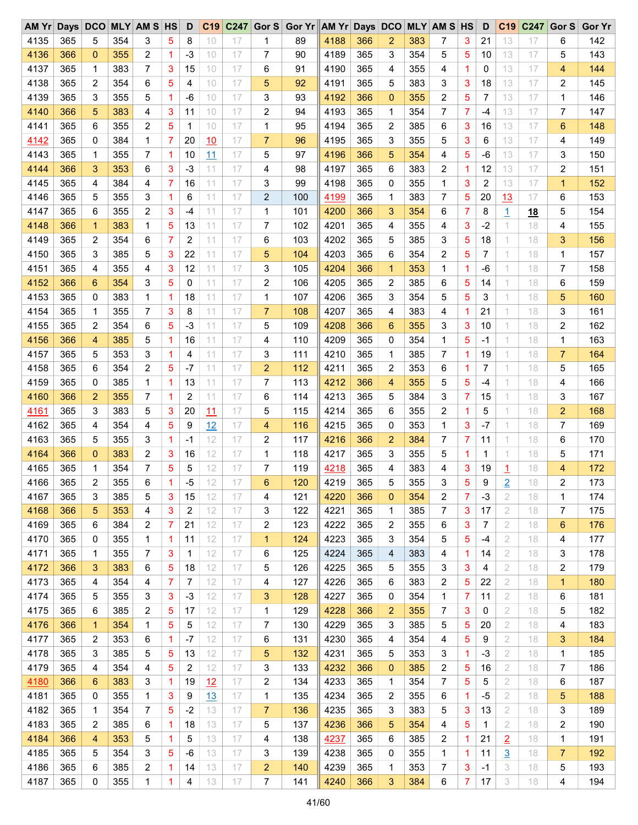| AM Yr | Days DCO |                |     | <b>MLY AM S HS</b> |   | D            | C19 | C <sub>247</sub> |                | Gor S Gor Yr AM Yr Days DCO MLY AM S HS |              |            |                |     |   |              | D    | C <sub>19</sub> | C247     | Gor S          | <b>Gor Yr</b> |
|-------|----------|----------------|-----|--------------------|---|--------------|-----|------------------|----------------|-----------------------------------------|--------------|------------|----------------|-----|---|--------------|------|-----------------|----------|----------------|---------------|
| 4135  | 365      | 5              | 354 | 3                  | 5 | 8            | 10  | 17               | 1              | 89                                      | 4188         | 366        | 2              | 383 | 7 | 3            | 21   | 13              | 17       | 6              | 142           |
| 4136  | 366      | 0              | 355 | 2                  | 1 | -3           | 10  | 17               | 7              | 90                                      | 4189         | 365        | 3              | 354 | 5 | 5            | 10   | 13              | 17       | 5              | 143           |
| 4137  | 365      | 1              | 383 | 7                  | 3 | 15           | 10  | 17               | 6              | 91                                      | 4190         | 365        | 4              | 355 | 4 | 1            | 0    | 13              | 17       | 4              | 144           |
| 4138  | 365      | 2              | 354 | 6                  | 5 | 4            | 10  | 17               | 5              | 92                                      | 4191         | 365        | 5              | 383 | 3 | 3            | 18   | 13              | 17       | 2              | 145           |
| 4139  | 365      | 3              | 355 | 5                  | 1 | -6           | 10  | 17               | 3              | 93                                      | 4192         | 366        | $\mathbf{0}$   | 355 | 2 | 5            | 7    | 13              | 17       | 1              | 146           |
| 4140  | 366      | 5              | 383 | 4                  | 3 | 11           | 10  | 17               | 2              | 94                                      | 4193         | 365        | 1              | 354 | 7 | 7            | -4   | 13              | 17       | 7              | 147           |
| 4141  | 365      | 6              | 355 | $\overline{c}$     | 5 | $\mathbf{1}$ | 10  | 17               | 1              | 95                                      | 4194         | 365        | 2              | 385 | 6 | 3            | 16   | 13              | 17       | 6              | 148           |
| 4142  | 365      | 0              | 384 | 1                  | 7 | 20           | 10  | 17               | $\overline{7}$ | 96                                      | 4195         | 365        | 3              | 355 | 5 | 3            | 6    | 13              | 17       | 4              | 149           |
| 4143  | 365      | 1              | 355 | 7                  | 1 | 10           | 11  | 17               | 5              | 97                                      | 4196         | 366        | 5              | 354 | 4 | 5            | -6   | 13              | 17       | 3              | 150           |
| 4144  | 366      | 3              | 353 | 6                  | 3 | $-3$         | 11  | 17               | 4              | 98                                      | 4197         | 365        | 6              | 383 | 2 | 1            | 12   | 13              | 17       | 2              | 151           |
| 4145  | 365      | 4              | 384 | 4                  | 7 | 16           | 11  | 17               | 3              | 99                                      | 4198         | 365        | 0              | 355 | 1 | 3            | 2    | 13              | 17       | $\mathbf{1}$   | 152           |
| 4146  | 365      | 5              | 355 | 3                  | 1 | 6            | 11  | 17               | 2              | 100                                     | 4199         | 365        | 1              | 383 | 7 | 5            | 20   | 13              | 17       | 6              | 153           |
| 4147  | 365      | 6              | 355 | 2                  | 3 | -4           | 11  | 17               | 1              | 101                                     | 4200         | 366        | 3              | 354 | 6 | 7            | 8    | $\overline{1}$  | 18       | 5              | 154           |
| 4148  | 366      | $\mathbf{1}$   | 383 | 1                  | 5 | 13           | 11  | 17               | 7              | 102                                     | 4201         | 365        | 4              | 355 | 4 | 3            | $-2$ | 1               | 18       | 4              | 155           |
| 4149  | 365      | 2              | 354 | 6                  | 7 | 2            | 11  | 17               | 6              | 103                                     | 4202         | 365        | 5              | 385 | 3 | 5            | 18   | 1               | 18       | 3              | 156           |
| 4150  | 365      | 3              | 385 | 5                  | 3 | 22           | 11  | 17               | 5              | 104                                     | 4203         | 365        | 6              | 354 | 2 | 5            | 7    | 1               | 18       | $\mathbf{1}$   | 157           |
| 4151  |          | 4              |     |                    |   |              | 11  | 17               | 3              |                                         |              | 366        | $\mathbf{1}$   |     |   | $\mathbf{1}$ |      | 1               |          | 7              | 158           |
|       | 365      |                | 355 | 4                  | 3 | 12           |     |                  |                | 105                                     | 4204         |            |                | 353 | 1 |              | -6   |                 | 18       |                |               |
| 4152  | 366      | 6              | 354 | 3                  | 5 | 0            | 11  | 17               | 2              | 106                                     | 4205         | 365        | 2              | 385 | 6 | 5            | 14   | 1               | 18       | 6              | 159           |
| 4153  | 365      | 0              | 383 | 1                  | 1 | 18           | 11  | 17               | 1              | 107                                     | 4206         | 365        | 3              | 354 | 5 | 5            | 3    | 1               | 18       | 5              | 160           |
| 4154  | 365      | 1              | 355 | 7                  | 3 | 8            | 11  | 17               | $\overline{7}$ | 108                                     | 4207         | 365        | 4              | 383 | 4 | 1            | 21   | 1               | 18       | 3              | 161           |
| 4155  | 365      | 2              | 354 | 6                  | 5 | $-3$         | 11  | 17               | 5              | 109                                     | 4208         | 366        | 6              | 355 | 3 | 3            | 10   | 1               | 18       | 2              | 162           |
| 4156  | 366      | 4              | 385 | 5                  | 1 | 16           | 11  | 17               | 4              | 110                                     | 4209         | 365        | 0              | 354 | 1 | 5            | -1   | 1               | 18       | 1              | 163           |
| 4157  | 365      | 5              | 353 | 3                  | 1 | 4            | 11  | 17               | 3              | 111                                     | 4210         | 365        | 1              | 385 | 7 | 1            | 19   | 1               | 18       | $\overline{7}$ | 164           |
| 4158  | 365      | 6              | 354 | 2                  | 5 | -7           | 11  | 17               | $\overline{2}$ | 112                                     | 4211         | 365        | 2              | 353 | 6 | 1            | 7    | 1               | 18       | 5              | 165           |
| 4159  | 365      | 0              | 385 | 1                  | 1 | 13           | 11  | 17               | 7              | 113                                     | 4212         | 366        | 4              | 355 | 5 | 5            | $-4$ | 1               | 18       | 4              | 166           |
| 4160  | 366      | 2              | 355 | 7                  | 1 | 2            | 11  | 17               | 6              | 114                                     | 4213         | 365        | 5              | 384 | 3 | 7            | 15   | 1               | 18       | 3              | 167           |
| 4161  | 365      | 3              | 383 | 5                  | 3 | 20           | 11  | 17               | 5              | 115                                     | 4214         | 365        | 6              | 355 | 2 | 1            | 5    | 1               | 18       | $\overline{2}$ | 168           |
| 4162  | 365      | 4              | 354 | 4                  | 5 | 9            | 12  | 17               | 4              | 116                                     | 4215         | 365        | 0              | 353 | 1 | 3            | $-7$ | 1               | 18       | 7              | 169           |
| 4163  | 365      | 5              | 355 | 3                  | 1 | -1           | 12  | 17               | 2              | 117                                     | 4216         | 366        | 2              | 384 | 7 | 7            | 11   | 1               | 18       | 6              | 170           |
| 4164  | 366      | 0              | 383 | 2                  | 3 | 16           | 12  | 17               | 1              | 118                                     | 4217         | 365        | 3              | 355 | 5 | 1            | 1    | 1               | 18       | 5              | 171           |
| 4165  | 365      | 1              | 354 | 7                  | 5 | 5            | 12  | 17               | 7              | 119                                     | 4218         | 365        | 4              | 383 | 4 | 3            | 19   | 1               | 18       | 4              | 172           |
| 4166  | 365      | $\overline{2}$ | 355 | 6                  | 1 | $-5$         | 12  | 17               | 6              | 120                                     | 4219         | 365        | 5              | 355 | 3 | 5            | 9    | $\overline{2}$  | 18       | $\overline{2}$ | 173           |
| 4167  | 365      | 3              | 385 | 5                  | 3 | 15           | 12  | 17               | 4              | 121                                     | 4220         | 366        | 0              | 354 | 2 | 7            | $-3$ | 2               | 18       | 1              | 174           |
| 4168  | 366      | 5              | 353 | 4                  | 3 | 2            | 12  | 17               | 3              | 122                                     | 4221         | 365        | 1              | 385 | 7 | 3            | 17   | 2               | 18       | 7              | 175           |
| 4169  | 365      | 6              | 384 | 2                  | 7 | 21           | 12  | 17               | 2              | 123                                     | 4222         | 365        | 2              | 355 | 6 | 3            | 7    | 2               | 18       | 6              | 176           |
| 4170  | 365      | 0              | 355 | 1                  | 1 | 11           | 12  | 17               | 1              | 124                                     | 4223         | 365        | 3              | 354 | 5 | 5            | -4   | 2               | 18       | 4              | 177           |
| 4171  | 365      | 1              | 355 | 7                  | 3 | 1            | 12  | 17               | 6              | 125                                     | 4224         | 365        | 4              | 383 | 4 | 1            | 14   | 2               | 18       | 3              | 178           |
| 4172  | 366      | 3              | 383 | 6                  | 5 | 18           | 12  | 17               | 5              | 126                                     | 4225         | 365        | 5              | 355 | 3 | 3            | 4    | 2               | 18       | 2              | 179           |
| 4173  | 365      | 4              | 354 | 4                  | 7 | 7            | 12  | 17               | 4              | 127                                     | 4226         | 365        | 6              | 383 | 2 | 5            | 22   | 2               | 18       | $\mathbf{1}$   | 180           |
| 4174  | 365      | 5              | 355 | 3                  | 3 | -3           | 12  | 17               | 3              | 128                                     | 4227         | 365        | 0              | 354 | 1 | 7            | 11   | 2               | 18       | 6              | 181           |
| 4175  | 365      | 6              | 385 | 2                  | 5 | 17           | 12  | 17               | 1              | 129                                     | 4228         | 366        | $\overline{c}$ | 355 | 7 | 3            | 0    | 2               | 18       | 5              | 182           |
| 4176  | 366      | $\mathbf{1}$   | 354 | 1                  | 5 | 5            | 12  | 17               | 7              | 130                                     | 4229         | 365        | 3              | 385 | 5 | 5            | 20   | 2               | 18       | 4              | 183           |
| 4177  | 365      | 2              | 353 | 6                  | 1 | $-7$         | 12  | 17               | 6              | 131                                     | 4230         | 365        | 4              | 354 | 4 | 5            | 9    | 2               | 18       | 3              | 184           |
| 4178  | 365      | 3              | 385 | 5                  | 5 | 13           | 12  | 17               | 5              | 132                                     | 4231         | 365        | 5              | 353 | 3 | 1            | $-3$ | 2               | 18       | 1              | 185           |
| 4179  | 365      | 4              | 354 | 4                  | 5 | 2            | 12  | 17               | 3              | 133                                     |              |            | $\mathbf 0$    | 385 | 2 |              |      | 2               |          | 7              | 186           |
| 4180  | 366      |                |     |                    | 1 | 19           |     | 17               |                | 134                                     | 4232<br>4233 | 366<br>365 |                | 354 | 7 | 5            | 16   | 2               | 18<br>18 | 6              | 187           |
|       |          | 6              | 383 | 3                  |   |              | 12  |                  | 2              |                                         |              |            | 1              |     |   | 5            | 5    |                 |          |                |               |
| 4181  | 365      | 0              | 355 | 1                  | 3 | 9            | 13  | 17               | 1              | 135                                     | 4234         | 365        | 2              | 355 | 6 | 1            | -5   | 2               | 18       | 5              | 188           |
| 4182  | 365      | 1              | 354 | 7                  | 5 | $-2$         | 13  | 17               | 7              | 136                                     | 4235         | 365        | 3              | 383 | 5 | 3            | 13   | 2               | 18       | 3              | 189           |
| 4183  | 365      | 2              | 385 | 6                  | 1 | 18           | 13  | 17               | 5              | 137                                     | 4236         | 366        | 5              | 354 | 4 | 5            | 1    | 2               | 18       | 2              | 190           |
| 4184  | 366      | 4              | 353 | 5                  | 1 | 5            | 13  | 17               | 4              | 138                                     | 4237         | 365        | 6              | 385 | 2 | 1            | 21   | $\overline{2}$  | 18       | 1              | 191           |
| 4185  | 365      | 5              | 354 | 3                  | 5 | -6           | 13  | 17               | 3              | 139                                     | 4238         | 365        | 0              | 355 | 1 | 1            | 11   | $\overline{3}$  | 18       | 7              | 192           |
| 4186  | 365      | 6              | 385 | 2                  | 1 | 14           | 13  | 17               | 2              | 140                                     | 4239         | 365        | 1              | 353 | 7 | 3            | $-1$ | 3               | 18       | 5              | 193           |
| 4187  | 365      | 0              | 355 | 1                  | 1 | 4            | 13  | 17               | 7              | 141                                     | 4240         | 366        | 3              | 384 | 6 | 7            | 17   | 3               | 18       | 4              | 194           |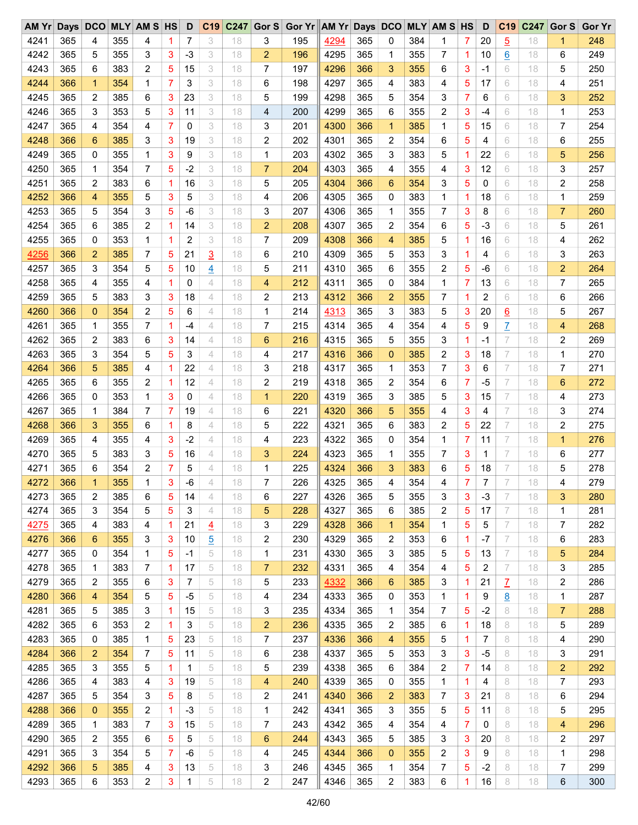| AMYr |     |                |     | Days DCO MLY AM S HS |                | D    | C19            | C <sub>247</sub> |                | Gor S Gor Yr AM Yr Days DCO MLY AM S HS |      |     |                         |     |                |                | D              | C <sub>19</sub> | C247 | Gor $S$        | <b>Gor Yr</b> |
|------|-----|----------------|-----|----------------------|----------------|------|----------------|------------------|----------------|-----------------------------------------|------|-----|-------------------------|-----|----------------|----------------|----------------|-----------------|------|----------------|---------------|
| 4241 | 365 | 4              | 355 | 4                    | 1              | 7    | 3              | 18               | 3              | 195                                     | 4294 | 365 | 0                       | 384 | 1              | 7              | 20             | $\overline{5}$  | 18   | 1              | 248           |
| 4242 | 365 | 5              | 355 | 3                    | 3              | $-3$ | 3              | 18               | 2              | 196                                     | 4295 | 365 | 1                       | 355 | 7              | 1              | 10             | $6\overline{6}$ | 18   | 6              | 249           |
| 4243 | 365 | 6              | 383 | 2                    | 5              | 15   | 3              | 18               | 7              | 197                                     | 4296 | 366 | 3                       | 355 | 6              | 3              | $-1$           | 6               | 18   | 5              | 250           |
| 4244 | 366 | $\mathbf{1}$   | 354 | 1                    | 7              | 3    | 3              | 18               | 6              | 198                                     | 4297 | 365 | 4                       | 383 | 4              | 5              | 17             | 6               | 18   | 4              | 251           |
| 4245 | 365 | 2              | 385 | 6                    | 3              | 23   | 3              | 18               | 5              | 199                                     | 4298 | 365 | 5                       | 354 | 3              | 7              | 6              | 6               | 18   | 3              | 252           |
| 4246 | 365 | 3              | 353 | 5                    | 3              | 11   | 3              | 18               | 4              | 200                                     | 4299 | 365 | 6                       | 355 | $\overline{2}$ | 3              | -4             | 6               | 18   | 1              | 253           |
| 4247 | 365 | 4              | 354 | 4                    | $\overline{7}$ | 0    | 3              | 18               | 3              | 201                                     | 4300 | 366 | $\mathbf 1$             | 385 | 1              | 5              | 15             | 6               | 18   | 7              | 254           |
| 4248 | 366 | 6              | 385 | 3                    | 3              | 19   | 3              | 18               | 2              | 202                                     | 4301 | 365 | 2                       | 354 | 6              | 5              | 4              | 6               | 18   | 6              | 255           |
| 4249 | 365 | 0              | 355 | 1                    | 3              | 9    | 3              | 18               | 1              | 203                                     | 4302 | 365 | 3                       | 383 | 5              | 1              | 22             | 6               | 18   | 5              | 256           |
| 4250 | 365 | 1              | 354 | 7                    | 5              | $-2$ | 3              | 18               | $\overline{7}$ | 204                                     | 4303 | 365 | 4                       | 355 | 4              | 3              | 12             | 6               | 18   | 3              | 257           |
| 4251 | 365 | 2              | 383 | 6                    | 1              | 16   | 3              | 18               | 5              | 205                                     | 4304 | 366 | 6                       | 354 | 3              | 5              | 0              | 6               | 18   | 2              | 258           |
| 4252 | 366 | 4              | 355 | 5                    | 3              | 5    | 3              | 18               | 4              | 206                                     | 4305 | 365 | 0                       | 383 | 1              | 1              | 18             | 6               | 18   | 1              | 259           |
| 4253 | 365 | 5              | 354 | 3                    | 5              | $-6$ | 3              | 18               | 3              | 207                                     | 4306 | 365 | 1                       | 355 | 7              | 3              | 8              | 6               | 18   | $\overline{7}$ | 260           |
| 4254 | 365 | 6              | 385 | 2                    | 1              | 14   | 3              | 18               | 2              | 208                                     | 4307 | 365 | 2                       | 354 | 6              | 5              | $-3$           | 6               | 18   | 5              | 261           |
| 4255 | 365 | 0              | 353 | 1                    | 1              | 2    | 3              | 18               | 7              | 209                                     | 4308 | 366 | 4                       | 385 | 5              | 1              | 16             | 6               | 18   | 4              | 262           |
|      |     |                |     |                      |                |      |                |                  |                |                                         |      |     |                         |     |                |                |                |                 |      |                |               |
| 4256 | 366 | $\overline{2}$ | 385 | 7                    | 5              | 21   | $\overline{3}$ | 18               | 6              | 210                                     | 4309 | 365 | 5                       | 353 | 3              | 1              | 4              | 6               | 18   | 3              | 263           |
| 4257 | 365 | 3              | 354 | 5                    | 5              | 10   | $\overline{4}$ | 18               | 5              | 211                                     | 4310 | 365 | 6                       | 355 | 2              | 5              | -6             | 6               | 18   | $\overline{c}$ | 264           |
| 4258 | 365 | 4              | 355 | 4                    |                | 0    | 4              | 18               | 4              | 212                                     | 4311 | 365 | 0                       | 384 | 1              | 7              | 13             | 6               | 18   | 7              | 265           |
| 4259 | 365 | 5              | 383 | 3                    | 3              | 18   | 4              | 18               | 2              | 213                                     | 4312 | 366 | $\overline{2}$          | 355 | 7              | 1              | 2              | 6               | 18   | 6              | 266           |
| 4260 | 366 | 0              | 354 | 2                    | 5              | 6    | 4              | 18               | 1              | 214                                     | 4313 | 365 | 3                       | 383 | 5              | 3              | 20             | 6               | 18   | 5              | 267           |
| 4261 | 365 | 1              | 355 | 7                    | 1              | $-4$ | $\overline{4}$ | 18               | 7              | 215                                     | 4314 | 365 | 4                       | 354 | 4              | 5              | 9              | $\overline{L}$  | 18   | 4              | 268           |
| 4262 | 365 | 2              | 383 | 6                    | 3              | 14   | $\overline{4}$ | 18               | 6              | 216                                     | 4315 | 365 | 5                       | 355 | 3              | 1              | -1             | 7               | 18   | 2              | 269           |
| 4263 | 365 | 3              | 354 | 5                    | 5              | 3    | 4              | 18               | 4              | 217                                     | 4316 | 366 | $\overline{0}$          | 385 | 2              | 3              | 18             | 7               | 18   | $\mathbf{1}$   | 270           |
| 4264 | 366 | 5              | 385 | 4                    | 1              | 22   | 4              | 18               | 3              | 218                                     | 4317 | 365 | 1                       | 353 | 7              | 3              | 6              | 7               | 18   | 7              | 271           |
| 4265 | 365 | 6              | 355 | 2                    | 1              | 12   | 4              | 18               | 2              | 219                                     | 4318 | 365 | $\overline{\mathbf{c}}$ | 354 | 6              | $\overline{7}$ | $-5$           | 7               | 18   | 6              | 272           |
| 4266 | 365 | 0              | 353 | 1                    | 3              | 0    | $\overline{4}$ | 18               | 1              | 220                                     | 4319 | 365 | 3                       | 385 | 5              | 3              | 15             | 7               | 18   | 4              | 273           |
| 4267 | 365 | 1              | 384 | 7                    | $\overline{7}$ | 19   | 4              | 18               | 6              | 221                                     | 4320 | 366 | 5                       | 355 | 4              | 3              | 4              | 7               | 18   | 3              | 274           |
| 4268 | 366 | 3              | 355 | 6                    | 1              | 8    | 4              | 18               | 5              | 222                                     | 4321 | 365 | 6                       | 383 | $\overline{2}$ | 5              | 22             | 7               | 18   | 2              | 275           |
| 4269 | 365 | 4              | 355 | 4                    | 3              | $-2$ | $\overline{4}$ | 18               | 4              | 223                                     | 4322 | 365 | 0                       | 354 | 1              | 7              | 11             | 7               | 18   | $\mathbf{1}$   | 276           |
| 4270 | 365 | 5              | 383 | 3                    | 5              | 16   | 4              | 18               | 3              | 224                                     | 4323 | 365 | 1                       | 355 | 7              | 3              | 1              | 7               | 18   | 6              | 277           |
| 4271 | 365 | 6              | 354 | 2                    | 7              | 5    | 4              | 18               | 1              | 225                                     | 4324 | 366 | 3                       | 383 | 6              | 5              | 18             | 7               | 18   | 5              | 278           |
| 4272 | 366 | $\mathbf{1}$   | 355 | 1                    | 3              | $-6$ | 4              | 18               | 7              | 226                                     | 4325 | 365 | 4                       | 354 | 4              | 7              | $\overline{7}$ | 7               | 18   | 4              | 279           |
| 4273 | 365 | 2              | 385 | 6                    | 5              | 14   | 4              | 18               | 6              | 227                                     | 4326 | 365 | 5                       | 355 | 3              | 3              | $-3$           | 7               | 18   | 3              | 280           |
| 4274 | 365 | 3              | 354 | 5                    | 5              | 3    | 4              | 18               | 5              | 228                                     | 4327 | 365 | 6                       | 385 | 2              | 5              | 17             | 7               | 18   | 1              | 281           |
| 4275 | 365 | 4              | 383 | 4                    | 1              | 21   | $\overline{4}$ | 18               | 3              | 229                                     | 4328 | 366 | 1                       | 354 | 1              | 5              | 5              | 7               | 18   | 7              | 282           |
| 4276 | 366 | 6              | 355 | 3                    | 3              | 10   | <u>5</u>       | 18               | 2              | 230                                     | 4329 | 365 | 2                       | 353 | 6              | 1              | $-7$           | 7               | 18   | 6              | 283           |
| 4277 | 365 | 0              | 354 | 1                    | 5              | -1   | 5              | 18               | 1              | 231                                     | 4330 | 365 | 3                       | 385 | 5              | 5              | 13             | 7               | 18   | 5              | 284           |
| 4278 | 365 | 1              | 383 | 7                    | 1              | 17   | 5              | 18               | 7              | 232                                     | 4331 | 365 | 4                       | 354 | 4              | 5              | 2              | 7               | 18   | 3              | 285           |
| 4279 | 365 | 2              | 355 | 6                    | 3              | 7    | 5              | 18               | 5              | 233                                     | 4332 | 366 | 6                       | 385 | 3              | 1              | 21             |                 | 18   | 2              | 286           |
| 4280 | 366 | 4              | 354 | 5                    | 5              | -5   | 5              | 18               |                | 234                                     | 4333 | 365 | 0                       |     | 1              |                | 9              | Z               | 18   | 1              | 287           |
|      |     |                |     |                      |                |      |                |                  | 4              |                                         |      |     |                         | 353 |                | 1              |                | <u>8</u>        |      |                |               |
| 4281 | 365 | 5              | 385 | 3                    | 1              | 15   | 5              | 18               | 3              | 235                                     | 4334 | 365 | 1                       | 354 | 7              | 5              | $-2$           | 8               | 18   | 7              | 288           |
| 4282 | 365 | 6              | 353 | 2                    | 1              | 3    | 5              | 18               | 2              | 236                                     | 4335 | 365 | 2                       | 385 | 6              | 1              | 18             | 8               | 18   | 5              | 289           |
| 4283 | 365 | 0              | 385 | 1                    | 5              | 23   | 5              | 18               | 7              | 237                                     | 4336 | 366 | 4                       | 355 | 5              | 1              | 7              | 8               | 18   | 4              | 290           |
| 4284 | 366 | 2              | 354 | 7                    | 5              | 11   | 5              | 18               | 6              | 238                                     | 4337 | 365 | 5                       | 353 | 3              | 3              | -5             | 8               | 18   | 3              | 291           |
| 4285 | 365 | 3              | 355 | 5                    | 1              | 1    | 5              | 18               | 5              | 239                                     | 4338 | 365 | 6                       | 384 | 2              | 7              | 14             | 8               | 18   | 2              | 292           |
| 4286 | 365 | 4              | 383 | 4                    | 3              | 19   | 5              | 18               | 4              | 240                                     | 4339 | 365 | 0                       | 355 | 1              | 1              | 4              | 8               | 18   | 7              | 293           |
| 4287 | 365 | 5              | 354 | 3                    | 5              | 8    | 5              | 18               | 2              | 241                                     | 4340 | 366 | 2                       | 383 | 7              | 3              | 21             | 8               | 18   | 6              | 294           |
| 4288 | 366 | 0              | 355 | 2                    | 1              | -3   | 5              | 18               | 1              | 242                                     | 4341 | 365 | 3                       | 355 | 5              | 5              | 11             | 8               | 18   | 5              | 295           |
| 4289 | 365 | 1              | 383 | 7                    | 3              | 15   | 5              | 18               | 7              | 243                                     | 4342 | 365 | 4                       | 354 | 4              | 7              | 0              | 8               | 18   | 4              | 296           |
| 4290 | 365 | 2              | 355 | 6                    | 5              | 5    | 5              | 18               | 6              | 244                                     | 4343 | 365 | 5                       | 385 | 3              | 3              | 20             | 8               | 18   | 2              | 297           |
| 4291 | 365 | 3              | 354 | 5                    | 7              | -6   | 5              | 18               | 4              | 245                                     | 4344 | 366 | 0                       | 355 | 2              | 3              | 9              | 8               | 18   | 1              | 298           |
| 4292 | 366 | 5              | 385 | 4                    | 3              | 13   | 5              | 18               | 3              | 246                                     | 4345 | 365 | 1                       | 354 | 7              | 5              | -2             | 8               | 18   | 7              | 299           |
| 4293 | 365 | 6              | 353 | 2                    | 3              | 1    | 5              | 18               | 2              | 247                                     | 4346 | 365 | 2                       | 383 | 6              | 1              | 16             | 8               | 18   | 6              | 300           |
|      |     |                |     |                      |                |      |                |                  |                |                                         |      |     |                         |     |                |                |                |                 |      |                |               |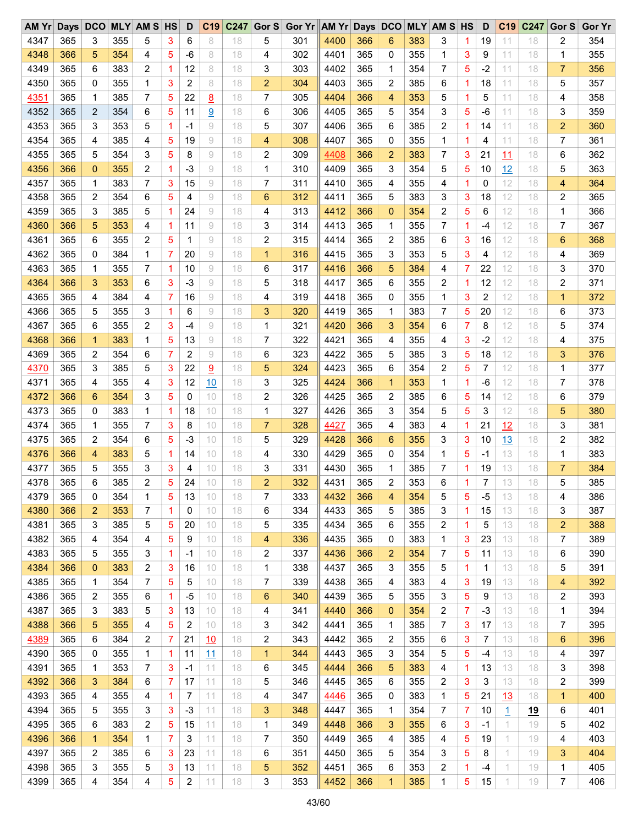| 4347<br>354<br>365<br>3<br>355<br>5<br>6<br>301<br>4400<br>366<br>383<br>19<br>2<br>3<br>8<br>18<br>5<br>6<br>3<br>11<br>18<br>1<br>365<br>355<br>4348<br>366<br>5<br>354<br>4<br>5<br>18<br>302<br>4401<br>0<br>355<br>$\mathbf{1}$<br>3<br>11<br>-6<br>8<br>4<br>9<br>18<br>1<br>5<br>6<br>$\overline{c}$<br>365<br>7<br>$-2$<br>356<br>4349<br>365<br>383<br>1<br>12<br>8<br>18<br>3<br>303<br>4402<br>11<br>7<br>1<br>354<br>18<br>3<br>365<br>6<br>4350<br>365<br>0<br>355<br>2<br>8<br>304<br>4403<br>2<br>385<br>18<br>11<br>5<br>357<br>1<br>18<br>2<br>18<br>1<br>7<br>5<br>8<br>4404<br>366<br>5<br>4351<br>365<br>385<br>22<br>7<br>305<br>4<br>353<br>5<br>11<br>358<br>1<br>18<br>1<br>18<br>4<br>6<br>4405<br>365<br>3<br>359<br>4352<br>365<br>2<br>354<br>5<br>11<br>9<br>18<br>6<br>306<br>5<br>354<br>5<br>11<br>-6<br>18<br>3<br>$-1$<br>4406<br>365<br>$\overline{2}$<br>$\overline{c}$<br>360<br>4353<br>365<br>3<br>353<br>5<br>1<br>9<br>18<br>5<br>307<br>6<br>385<br>1<br>14<br>11<br>18<br>4354<br>365<br>4<br>4407<br>365<br>361<br>385<br>5<br>19<br>9<br>308<br>0<br>355<br>1<br>11<br>7<br>4<br>18<br>4<br>1<br>4<br>18<br>5<br>4355<br>3<br>9<br>366<br>7<br>362<br>365<br>5<br>354<br>8<br>2<br>309<br>4408<br>$\overline{2}$<br>383<br>3<br>21<br>11<br>6<br>18<br>18<br>4356<br>$\overline{c}$<br>$-3$<br>310<br>4409<br>365<br>5<br>363<br>366<br>0<br>355<br>1<br>9<br>18<br>1<br>3<br>354<br>5<br>12<br>5<br>10<br>18<br>7<br>15<br>365<br>12<br>4357<br>365<br>1<br>3<br>9<br>18<br>7<br>311<br>4410<br>4<br>355<br>4<br>364<br>383<br>0<br>18<br>4<br>1<br>4358<br>6<br>5<br>$\rm{g}$<br>365<br>3<br>12<br>365<br>2<br>4<br>6<br>312<br>4411<br>5<br>383<br>2<br>365<br>354<br>18<br>3<br>18<br>18<br>4359<br>5<br>24<br>4412<br>366<br>$\overline{2}$<br>5<br>365<br>385<br>9<br>313<br>$\mathbf{0}$<br>354<br>12<br>1<br>366<br>3<br>1<br>18<br>4<br>6<br>18<br>$\overline{7}$<br>4360<br>365<br>$\mathbf{1}$<br>12<br>7<br>366<br>5<br>353<br>4<br>1<br>11<br>9<br>18<br>3<br>314<br>4413<br>1<br>355<br>$-4$<br>18<br>367<br>365<br>4361<br>365<br>355<br>2<br>5<br>9<br>2<br>315<br>4414<br>2<br>385<br>6<br>12<br>6<br>368<br>6<br>1<br>18<br>3<br>16<br>18<br>365<br>4362<br>$\overline{7}$<br>20<br>4415<br>5<br>365<br>0<br>384<br>1<br>9<br>316<br>3<br>353<br>3<br>12<br>369<br>18<br>1<br>4<br>4<br>18<br>4363<br>7<br>366<br>5<br>4<br>$\overline{7}$<br>370<br>365<br>1<br>355<br>1<br>10<br>9<br>18<br>6<br>317<br>4416<br>384<br>22<br>12<br>3<br>18<br>$-3$<br>365<br>2<br>4364<br>366<br>3<br>353<br>6<br>3<br>9<br>318<br>4417<br>6<br>355<br>12<br>12<br>2<br>371<br>18<br>5<br>18<br>1<br>365<br>12<br>372<br>4365<br>365<br>7<br>16<br>319<br>4418<br>0<br>355<br>1<br>3<br>2<br>1<br>4<br>384<br>4<br>9<br>18<br>4<br>18<br>4366<br>3<br>4419<br>365<br>7<br>5<br>373<br>365<br>355<br>1<br>6<br>320<br>383<br>12<br>5<br>9<br>18<br>3<br>1<br>20<br>18<br>6<br>374<br>4367<br>$\overline{c}$<br>3<br>4420<br>366<br>6<br>7<br>12<br>365<br>6<br>355<br>$-4$<br>9<br>18<br>1<br>321<br>3<br>354<br>8<br>18<br>5<br>4421<br>365<br>4368<br>366<br>383<br>1<br>5<br>13<br>9<br>7<br>322<br>4<br>3<br>$-2$<br>12<br>4<br>375<br>1<br>18<br>4<br>355<br>18<br>$\overline{7}$<br>9<br>365<br>4369<br>365<br>2<br>354<br>6<br>2<br>323<br>4422<br>5<br>385<br>3<br>5<br>12<br>3<br>376<br>18<br>6<br>18<br>18<br>3<br>5<br>4423<br>365<br>2<br>5<br>4370<br>365<br>385<br>3<br>22<br>9<br>5<br>324<br>6<br>354<br>7<br>12<br>1<br>377<br>18<br>18<br>3<br>4424<br>366<br>1<br>$-6$<br>12<br>4371<br>365<br>4<br>355<br>12<br>10<br>3<br>325<br>$\mathbf{1}$<br>353<br>1<br>7<br>378<br>4<br>18<br>18<br>4372<br>3<br>5<br>4425<br>365<br>6<br>366<br>6<br>354<br>0<br>10<br>2<br>326<br>2<br>385<br>12<br>6<br>379<br>18<br>5<br>14<br>18<br>4373<br>4426<br>365<br>5<br>5<br>380<br>365<br>1<br>327<br>3<br>354<br>3<br>12<br>5<br>0<br>383<br>1<br>18<br>10<br>18<br>1<br>18<br>4374<br>7<br>3<br>8<br>365<br>12<br>381<br>365<br>355<br>10<br>18<br>7<br>328<br>4427<br>383<br>4<br>21<br>18<br>3<br>1<br>4<br>1<br>4428<br>366<br>3<br>382<br>4375<br>365<br>2<br>354<br>6<br>5<br>-3<br>10<br>5<br>329<br>13<br>2<br>18<br>6<br>355<br>3<br>10<br>18<br>365<br>383<br>4376<br>366<br>383<br>5<br>1<br>10<br>330<br>4429<br>354<br>1<br>5<br>13<br>1<br>4<br>14<br>18<br>0<br>4<br>-1<br>18<br>5<br>3<br>365<br>7<br>$\overline{7}$<br>384<br>4377<br>365<br>355<br>3<br>4<br>331<br>4430<br>13<br>10<br>18<br>3<br>1<br>385<br>1<br>19<br>18<br>2<br>6<br>365<br>6<br>5<br>24<br>$\overline{2}$<br>332<br>4431<br>365<br>$\overline{2}$<br>7<br>13<br>5<br>385<br>4378<br>385<br>10<br>18<br>353<br>18<br>386<br>4379<br>365<br>354<br>5<br>4432<br>366<br>$-5$<br>0<br>1<br>13<br>18<br>7<br>333<br>354<br>5<br>5<br>13<br>10<br>4<br>18<br>4<br>4380<br>353<br>4433<br>385<br>387<br>366<br>1<br>334<br>365<br>5<br>3<br>15<br>3<br>2<br>7<br>0<br>10<br>18<br>6<br>1.<br>13<br>18<br>4381<br>4434<br>365<br>6<br>2<br>388<br>365<br>3<br>385<br>5<br>5<br>20<br>5<br>335<br>355<br>2<br>1<br>5<br>13<br>10<br>18<br>18<br>4382<br>354<br>5<br>4435<br>7<br>365<br>4<br>9<br>365<br>0<br>383<br>1<br>3<br>23<br>389<br>4<br>10<br>18<br>4<br>336<br>13<br>18<br>4383<br>366<br>$\overline{2}$<br>7<br>365<br>5<br>355<br>3<br>1<br>-1<br>10<br>18<br>2<br>337<br>4436<br>354<br>5<br>11<br>13<br>6<br>390<br>18<br>4384<br>3<br>391<br>383<br>2<br>3<br>338<br>4437<br>365<br>355<br>5<br>1<br>1<br>13<br>5<br>366<br>0<br>16<br>10<br>18<br>1<br>18<br>4385<br>7<br>5<br>5<br>365<br>392<br>365<br>1<br>354<br>10<br>18<br>7<br>339<br>4438<br>4<br>383<br>4<br>3<br>19<br>13<br>18<br>4<br>4386<br>355<br>$-5$<br>4439<br>365<br>5<br>393<br>365<br>2<br>6<br>18<br>6<br>340<br>355<br>3<br>5<br>9<br>13<br>2<br>1<br>10<br>18<br>4387<br>383<br>3<br>366<br>$\mathbf{0}$<br>2<br>7<br>1<br>394<br>365<br>3<br>5<br>13<br>10<br>4440<br>354<br>$-3$<br>18<br>4<br>341<br>13<br>18<br>4388<br>355<br>5<br>2<br>3<br>365<br>385<br>7<br>3<br>7<br>395<br>366<br>5<br>4<br>10<br>18<br>342<br>4441<br>1<br>17<br>13<br>18<br>2<br>21<br>2<br>4389<br>365<br>6<br>384<br>10<br>2<br>4442<br>365<br>355<br>6<br>3<br>6<br>396<br>7<br>18<br>343<br>7<br>13<br>18<br>4390<br>365<br>3<br>354<br>5<br>397<br>365<br>0<br>355<br>1<br>11<br>344<br>4443<br>5<br>13<br>1<br>11<br>18<br>1<br>-4<br>18<br>4<br>4391<br>3<br>398<br>365<br>353<br>7<br>-1<br>11<br>6<br>345<br>4444<br>366<br>5<br>383<br>4<br>3<br>1<br>18<br>1<br>13<br>13<br>18<br>4392<br>384<br>365<br>6<br>3<br>2<br>399<br>366<br>3<br>6<br>7<br>17<br>11<br>18<br>5<br>346<br>4445<br>355<br>2<br>3<br>13<br>18<br>4393<br>365<br>400<br>365<br>355<br>4<br>7<br>11<br>18<br>347<br>4446<br>0<br>383<br>1<br>5<br>21<br>13<br>$\mathbf{1}$<br>4<br>1<br>4<br>18<br>4394<br>3<br>365<br>5<br>355<br>3<br>-3<br>11<br>3<br>4447<br>365<br>1<br>354<br>7<br>7<br>$\overline{1}$<br>6<br>401<br>18<br>348<br>10<br><u>19</u><br>4395<br>365<br>383<br>2<br>5<br>15<br>366<br>3<br>355<br>3<br>1.<br>5<br>402<br>6<br>11<br>18<br>4448<br>6<br>19<br>1<br>349<br>-1<br>7<br>4396<br>354<br>1<br>3<br>7<br>5<br>1<br>403<br>366<br>$\mathbf 1$<br>11<br>18<br>350<br>4449<br>365<br>4<br>385<br>4<br>19<br>19<br>4<br>4397<br>23<br>365<br>3<br>404<br>365<br>2<br>385<br>6<br>3<br>11<br>6<br>4450<br>5<br>354<br>3<br>5<br>8<br>1.<br>18<br>351<br>19<br>4398<br>1<br>405<br>365<br>3<br>355<br>5<br>3<br>13<br>5<br>352<br>4451<br>365<br>6<br>353<br>2<br>1<br>1.<br>11<br>18<br>-4<br>19<br>7<br>4399<br>354<br>5<br>2<br>3<br>4452<br>366<br>5<br>406<br>365<br>4<br>4<br>11<br>18<br>353<br>1<br>385<br>1<br>15<br>1<br>19 | AM Yr | Days DCO | <b>MLY AM S HS</b> | D | C <sub>19</sub> | C247 | Gor S Gor Yr AM Yr Days DCO |  |  | <b>MLY AM S HS</b> | D | C <sub>19</sub> | C <sub>247</sub> | Gor S | <b>Gor Yr</b> |
|-----------------------------------------------------------------------------------------------------------------------------------------------------------------------------------------------------------------------------------------------------------------------------------------------------------------------------------------------------------------------------------------------------------------------------------------------------------------------------------------------------------------------------------------------------------------------------------------------------------------------------------------------------------------------------------------------------------------------------------------------------------------------------------------------------------------------------------------------------------------------------------------------------------------------------------------------------------------------------------------------------------------------------------------------------------------------------------------------------------------------------------------------------------------------------------------------------------------------------------------------------------------------------------------------------------------------------------------------------------------------------------------------------------------------------------------------------------------------------------------------------------------------------------------------------------------------------------------------------------------------------------------------------------------------------------------------------------------------------------------------------------------------------------------------------------------------------------------------------------------------------------------------------------------------------------------------------------------------------------------------------------------------------------------------------------------------------------------------------------------------------------------------------------------------------------------------------------------------------------------------------------------------------------------------------------------------------------------------------------------------------------------------------------------------------------------------------------------------------------------------------------------------------------------------------------------------------------------------------------------------------------------------------------------------------------------------------------------------------------------------------------------------------------------------------------------------------------------------------------------------------------------------------------------------------------------------------------------------------------------------------------------------------------------------------------------------------------------------------------------------------------------------------------------------------------------------------------------------------------------------------------------------------------------------------------------------------------------------------------------------------------------------------------------------------------------------------------------------------------------------------------------------------------------------------------------------------------------------------------------------------------------------------------------------------------------------------------------------------------------------------------------------------------------------------------------------------------------------------------------------------------------------------------------------------------------------------------------------------------------------------------------------------------------------------------------------------------------------------------------------------------------------------------------------------------------------------------------------------------------------------------------------------------------------------------------------------------------------------------------------------------------------------------------------------------------------------------------------------------------------------------------------------------------------------------------------------------------------------------------------------------------------------------------------------------------------------------------------------------------------------------------------------------------------------------------------------------------------------------------------------------------------------------------------------------------------------------------------------------------------------------------------------------------------------------------------------------------------------------------------------------------------------------------------------------------------------------------------------------------------------------------------------------------------------------------------------------------------------------------------------------------------------------------------------------------------------------------------------------------------------------------------------------------------------------------------------------------------------------------------------------------------------------------------------------------------------------------------------------------------------------------------------------------------------------------------------------------------------------------------------------------------------------------------------------------------------------------------------------------------------------------------------------------------------------------------------------------------------------------------------------------------------------------------------------------------------------------------------------------------------------------------------------------------------------------------------------------------------------------------------------------------------------------------------------------------------------------------------------------------------------------------------------------------------------------------------------------------------------------------------------------------------------------------------------------------------------------------------------------------------------------------------------------------------------------------------------------------------------------------------------------------------------------------------------------------------------------------------------------------------------------------------------------------------------------------------------------------------------------------------------------------------------------------------------------------------------------------------------------------------------------------------------------------------------------------------------------------------------------------------------------------------------------------------------------------------------------------------------------------------------------------------------------------------------------------------------------------------------------------------------------------------------|-------|----------|--------------------|---|-----------------|------|-----------------------------|--|--|--------------------|---|-----------------|------------------|-------|---------------|
|                                                                                                                                                                                                                                                                                                                                                                                                                                                                                                                                                                                                                                                                                                                                                                                                                                                                                                                                                                                                                                                                                                                                                                                                                                                                                                                                                                                                                                                                                                                                                                                                                                                                                                                                                                                                                                                                                                                                                                                                                                                                                                                                                                                                                                                                                                                                                                                                                                                                                                                                                                                                                                                                                                                                                                                                                                                                                                                                                                                                                                                                                                                                                                                                                                                                                                                                                                                                                                                                                                                                                                                                                                                                                                                                                                                                                                                                                                                                                                                                                                                                                                                                                                                                                                                                                                                                                                                                                                                                                                                                                                                                                                                                                                                                                                                                                                                                                                                                                                                                                                                                                                                                                                                                                                                                                                                                                                                                                                                                                                                                                                                                                                                                                                                                                                                                                                                                                                                                                                                                                                                                                                                                                                                                                                                                                                                                                                                                                                                                                                                                                                                                                                                                                                                                                                                                                                                                                                                                                                                                                                                                                                                                                                                                                                                                                                                                                                                                                                                                                                                                                                                                                                                           |       |          |                    |   |                 |      |                             |  |  |                    |   |                 |                  |       |               |
|                                                                                                                                                                                                                                                                                                                                                                                                                                                                                                                                                                                                                                                                                                                                                                                                                                                                                                                                                                                                                                                                                                                                                                                                                                                                                                                                                                                                                                                                                                                                                                                                                                                                                                                                                                                                                                                                                                                                                                                                                                                                                                                                                                                                                                                                                                                                                                                                                                                                                                                                                                                                                                                                                                                                                                                                                                                                                                                                                                                                                                                                                                                                                                                                                                                                                                                                                                                                                                                                                                                                                                                                                                                                                                                                                                                                                                                                                                                                                                                                                                                                                                                                                                                                                                                                                                                                                                                                                                                                                                                                                                                                                                                                                                                                                                                                                                                                                                                                                                                                                                                                                                                                                                                                                                                                                                                                                                                                                                                                                                                                                                                                                                                                                                                                                                                                                                                                                                                                                                                                                                                                                                                                                                                                                                                                                                                                                                                                                                                                                                                                                                                                                                                                                                                                                                                                                                                                                                                                                                                                                                                                                                                                                                                                                                                                                                                                                                                                                                                                                                                                                                                                                                                           |       |          |                    |   |                 |      |                             |  |  |                    |   |                 |                  |       |               |
|                                                                                                                                                                                                                                                                                                                                                                                                                                                                                                                                                                                                                                                                                                                                                                                                                                                                                                                                                                                                                                                                                                                                                                                                                                                                                                                                                                                                                                                                                                                                                                                                                                                                                                                                                                                                                                                                                                                                                                                                                                                                                                                                                                                                                                                                                                                                                                                                                                                                                                                                                                                                                                                                                                                                                                                                                                                                                                                                                                                                                                                                                                                                                                                                                                                                                                                                                                                                                                                                                                                                                                                                                                                                                                                                                                                                                                                                                                                                                                                                                                                                                                                                                                                                                                                                                                                                                                                                                                                                                                                                                                                                                                                                                                                                                                                                                                                                                                                                                                                                                                                                                                                                                                                                                                                                                                                                                                                                                                                                                                                                                                                                                                                                                                                                                                                                                                                                                                                                                                                                                                                                                                                                                                                                                                                                                                                                                                                                                                                                                                                                                                                                                                                                                                                                                                                                                                                                                                                                                                                                                                                                                                                                                                                                                                                                                                                                                                                                                                                                                                                                                                                                                                                           |       |          |                    |   |                 |      |                             |  |  |                    |   |                 |                  |       |               |
|                                                                                                                                                                                                                                                                                                                                                                                                                                                                                                                                                                                                                                                                                                                                                                                                                                                                                                                                                                                                                                                                                                                                                                                                                                                                                                                                                                                                                                                                                                                                                                                                                                                                                                                                                                                                                                                                                                                                                                                                                                                                                                                                                                                                                                                                                                                                                                                                                                                                                                                                                                                                                                                                                                                                                                                                                                                                                                                                                                                                                                                                                                                                                                                                                                                                                                                                                                                                                                                                                                                                                                                                                                                                                                                                                                                                                                                                                                                                                                                                                                                                                                                                                                                                                                                                                                                                                                                                                                                                                                                                                                                                                                                                                                                                                                                                                                                                                                                                                                                                                                                                                                                                                                                                                                                                                                                                                                                                                                                                                                                                                                                                                                                                                                                                                                                                                                                                                                                                                                                                                                                                                                                                                                                                                                                                                                                                                                                                                                                                                                                                                                                                                                                                                                                                                                                                                                                                                                                                                                                                                                                                                                                                                                                                                                                                                                                                                                                                                                                                                                                                                                                                                                                           |       |          |                    |   |                 |      |                             |  |  |                    |   |                 |                  |       |               |
|                                                                                                                                                                                                                                                                                                                                                                                                                                                                                                                                                                                                                                                                                                                                                                                                                                                                                                                                                                                                                                                                                                                                                                                                                                                                                                                                                                                                                                                                                                                                                                                                                                                                                                                                                                                                                                                                                                                                                                                                                                                                                                                                                                                                                                                                                                                                                                                                                                                                                                                                                                                                                                                                                                                                                                                                                                                                                                                                                                                                                                                                                                                                                                                                                                                                                                                                                                                                                                                                                                                                                                                                                                                                                                                                                                                                                                                                                                                                                                                                                                                                                                                                                                                                                                                                                                                                                                                                                                                                                                                                                                                                                                                                                                                                                                                                                                                                                                                                                                                                                                                                                                                                                                                                                                                                                                                                                                                                                                                                                                                                                                                                                                                                                                                                                                                                                                                                                                                                                                                                                                                                                                                                                                                                                                                                                                                                                                                                                                                                                                                                                                                                                                                                                                                                                                                                                                                                                                                                                                                                                                                                                                                                                                                                                                                                                                                                                                                                                                                                                                                                                                                                                                                           |       |          |                    |   |                 |      |                             |  |  |                    |   |                 |                  |       |               |
|                                                                                                                                                                                                                                                                                                                                                                                                                                                                                                                                                                                                                                                                                                                                                                                                                                                                                                                                                                                                                                                                                                                                                                                                                                                                                                                                                                                                                                                                                                                                                                                                                                                                                                                                                                                                                                                                                                                                                                                                                                                                                                                                                                                                                                                                                                                                                                                                                                                                                                                                                                                                                                                                                                                                                                                                                                                                                                                                                                                                                                                                                                                                                                                                                                                                                                                                                                                                                                                                                                                                                                                                                                                                                                                                                                                                                                                                                                                                                                                                                                                                                                                                                                                                                                                                                                                                                                                                                                                                                                                                                                                                                                                                                                                                                                                                                                                                                                                                                                                                                                                                                                                                                                                                                                                                                                                                                                                                                                                                                                                                                                                                                                                                                                                                                                                                                                                                                                                                                                                                                                                                                                                                                                                                                                                                                                                                                                                                                                                                                                                                                                                                                                                                                                                                                                                                                                                                                                                                                                                                                                                                                                                                                                                                                                                                                                                                                                                                                                                                                                                                                                                                                                                           |       |          |                    |   |                 |      |                             |  |  |                    |   |                 |                  |       |               |
|                                                                                                                                                                                                                                                                                                                                                                                                                                                                                                                                                                                                                                                                                                                                                                                                                                                                                                                                                                                                                                                                                                                                                                                                                                                                                                                                                                                                                                                                                                                                                                                                                                                                                                                                                                                                                                                                                                                                                                                                                                                                                                                                                                                                                                                                                                                                                                                                                                                                                                                                                                                                                                                                                                                                                                                                                                                                                                                                                                                                                                                                                                                                                                                                                                                                                                                                                                                                                                                                                                                                                                                                                                                                                                                                                                                                                                                                                                                                                                                                                                                                                                                                                                                                                                                                                                                                                                                                                                                                                                                                                                                                                                                                                                                                                                                                                                                                                                                                                                                                                                                                                                                                                                                                                                                                                                                                                                                                                                                                                                                                                                                                                                                                                                                                                                                                                                                                                                                                                                                                                                                                                                                                                                                                                                                                                                                                                                                                                                                                                                                                                                                                                                                                                                                                                                                                                                                                                                                                                                                                                                                                                                                                                                                                                                                                                                                                                                                                                                                                                                                                                                                                                                                           |       |          |                    |   |                 |      |                             |  |  |                    |   |                 |                  |       |               |
|                                                                                                                                                                                                                                                                                                                                                                                                                                                                                                                                                                                                                                                                                                                                                                                                                                                                                                                                                                                                                                                                                                                                                                                                                                                                                                                                                                                                                                                                                                                                                                                                                                                                                                                                                                                                                                                                                                                                                                                                                                                                                                                                                                                                                                                                                                                                                                                                                                                                                                                                                                                                                                                                                                                                                                                                                                                                                                                                                                                                                                                                                                                                                                                                                                                                                                                                                                                                                                                                                                                                                                                                                                                                                                                                                                                                                                                                                                                                                                                                                                                                                                                                                                                                                                                                                                                                                                                                                                                                                                                                                                                                                                                                                                                                                                                                                                                                                                                                                                                                                                                                                                                                                                                                                                                                                                                                                                                                                                                                                                                                                                                                                                                                                                                                                                                                                                                                                                                                                                                                                                                                                                                                                                                                                                                                                                                                                                                                                                                                                                                                                                                                                                                                                                                                                                                                                                                                                                                                                                                                                                                                                                                                                                                                                                                                                                                                                                                                                                                                                                                                                                                                                                                           |       |          |                    |   |                 |      |                             |  |  |                    |   |                 |                  |       |               |
|                                                                                                                                                                                                                                                                                                                                                                                                                                                                                                                                                                                                                                                                                                                                                                                                                                                                                                                                                                                                                                                                                                                                                                                                                                                                                                                                                                                                                                                                                                                                                                                                                                                                                                                                                                                                                                                                                                                                                                                                                                                                                                                                                                                                                                                                                                                                                                                                                                                                                                                                                                                                                                                                                                                                                                                                                                                                                                                                                                                                                                                                                                                                                                                                                                                                                                                                                                                                                                                                                                                                                                                                                                                                                                                                                                                                                                                                                                                                                                                                                                                                                                                                                                                                                                                                                                                                                                                                                                                                                                                                                                                                                                                                                                                                                                                                                                                                                                                                                                                                                                                                                                                                                                                                                                                                                                                                                                                                                                                                                                                                                                                                                                                                                                                                                                                                                                                                                                                                                                                                                                                                                                                                                                                                                                                                                                                                                                                                                                                                                                                                                                                                                                                                                                                                                                                                                                                                                                                                                                                                                                                                                                                                                                                                                                                                                                                                                                                                                                                                                                                                                                                                                                                           |       |          |                    |   |                 |      |                             |  |  |                    |   |                 |                  |       |               |
|                                                                                                                                                                                                                                                                                                                                                                                                                                                                                                                                                                                                                                                                                                                                                                                                                                                                                                                                                                                                                                                                                                                                                                                                                                                                                                                                                                                                                                                                                                                                                                                                                                                                                                                                                                                                                                                                                                                                                                                                                                                                                                                                                                                                                                                                                                                                                                                                                                                                                                                                                                                                                                                                                                                                                                                                                                                                                                                                                                                                                                                                                                                                                                                                                                                                                                                                                                                                                                                                                                                                                                                                                                                                                                                                                                                                                                                                                                                                                                                                                                                                                                                                                                                                                                                                                                                                                                                                                                                                                                                                                                                                                                                                                                                                                                                                                                                                                                                                                                                                                                                                                                                                                                                                                                                                                                                                                                                                                                                                                                                                                                                                                                                                                                                                                                                                                                                                                                                                                                                                                                                                                                                                                                                                                                                                                                                                                                                                                                                                                                                                                                                                                                                                                                                                                                                                                                                                                                                                                                                                                                                                                                                                                                                                                                                                                                                                                                                                                                                                                                                                                                                                                                                           |       |          |                    |   |                 |      |                             |  |  |                    |   |                 |                  |       |               |
|                                                                                                                                                                                                                                                                                                                                                                                                                                                                                                                                                                                                                                                                                                                                                                                                                                                                                                                                                                                                                                                                                                                                                                                                                                                                                                                                                                                                                                                                                                                                                                                                                                                                                                                                                                                                                                                                                                                                                                                                                                                                                                                                                                                                                                                                                                                                                                                                                                                                                                                                                                                                                                                                                                                                                                                                                                                                                                                                                                                                                                                                                                                                                                                                                                                                                                                                                                                                                                                                                                                                                                                                                                                                                                                                                                                                                                                                                                                                                                                                                                                                                                                                                                                                                                                                                                                                                                                                                                                                                                                                                                                                                                                                                                                                                                                                                                                                                                                                                                                                                                                                                                                                                                                                                                                                                                                                                                                                                                                                                                                                                                                                                                                                                                                                                                                                                                                                                                                                                                                                                                                                                                                                                                                                                                                                                                                                                                                                                                                                                                                                                                                                                                                                                                                                                                                                                                                                                                                                                                                                                                                                                                                                                                                                                                                                                                                                                                                                                                                                                                                                                                                                                                                           |       |          |                    |   |                 |      |                             |  |  |                    |   |                 |                  |       |               |
|                                                                                                                                                                                                                                                                                                                                                                                                                                                                                                                                                                                                                                                                                                                                                                                                                                                                                                                                                                                                                                                                                                                                                                                                                                                                                                                                                                                                                                                                                                                                                                                                                                                                                                                                                                                                                                                                                                                                                                                                                                                                                                                                                                                                                                                                                                                                                                                                                                                                                                                                                                                                                                                                                                                                                                                                                                                                                                                                                                                                                                                                                                                                                                                                                                                                                                                                                                                                                                                                                                                                                                                                                                                                                                                                                                                                                                                                                                                                                                                                                                                                                                                                                                                                                                                                                                                                                                                                                                                                                                                                                                                                                                                                                                                                                                                                                                                                                                                                                                                                                                                                                                                                                                                                                                                                                                                                                                                                                                                                                                                                                                                                                                                                                                                                                                                                                                                                                                                                                                                                                                                                                                                                                                                                                                                                                                                                                                                                                                                                                                                                                                                                                                                                                                                                                                                                                                                                                                                                                                                                                                                                                                                                                                                                                                                                                                                                                                                                                                                                                                                                                                                                                                                           |       |          |                    |   |                 |      |                             |  |  |                    |   |                 |                  |       |               |
|                                                                                                                                                                                                                                                                                                                                                                                                                                                                                                                                                                                                                                                                                                                                                                                                                                                                                                                                                                                                                                                                                                                                                                                                                                                                                                                                                                                                                                                                                                                                                                                                                                                                                                                                                                                                                                                                                                                                                                                                                                                                                                                                                                                                                                                                                                                                                                                                                                                                                                                                                                                                                                                                                                                                                                                                                                                                                                                                                                                                                                                                                                                                                                                                                                                                                                                                                                                                                                                                                                                                                                                                                                                                                                                                                                                                                                                                                                                                                                                                                                                                                                                                                                                                                                                                                                                                                                                                                                                                                                                                                                                                                                                                                                                                                                                                                                                                                                                                                                                                                                                                                                                                                                                                                                                                                                                                                                                                                                                                                                                                                                                                                                                                                                                                                                                                                                                                                                                                                                                                                                                                                                                                                                                                                                                                                                                                                                                                                                                                                                                                                                                                                                                                                                                                                                                                                                                                                                                                                                                                                                                                                                                                                                                                                                                                                                                                                                                                                                                                                                                                                                                                                                                           |       |          |                    |   |                 |      |                             |  |  |                    |   |                 |                  |       |               |
|                                                                                                                                                                                                                                                                                                                                                                                                                                                                                                                                                                                                                                                                                                                                                                                                                                                                                                                                                                                                                                                                                                                                                                                                                                                                                                                                                                                                                                                                                                                                                                                                                                                                                                                                                                                                                                                                                                                                                                                                                                                                                                                                                                                                                                                                                                                                                                                                                                                                                                                                                                                                                                                                                                                                                                                                                                                                                                                                                                                                                                                                                                                                                                                                                                                                                                                                                                                                                                                                                                                                                                                                                                                                                                                                                                                                                                                                                                                                                                                                                                                                                                                                                                                                                                                                                                                                                                                                                                                                                                                                                                                                                                                                                                                                                                                                                                                                                                                                                                                                                                                                                                                                                                                                                                                                                                                                                                                                                                                                                                                                                                                                                                                                                                                                                                                                                                                                                                                                                                                                                                                                                                                                                                                                                                                                                                                                                                                                                                                                                                                                                                                                                                                                                                                                                                                                                                                                                                                                                                                                                                                                                                                                                                                                                                                                                                                                                                                                                                                                                                                                                                                                                                                           |       |          |                    |   |                 |      |                             |  |  |                    |   |                 |                  |       |               |
|                                                                                                                                                                                                                                                                                                                                                                                                                                                                                                                                                                                                                                                                                                                                                                                                                                                                                                                                                                                                                                                                                                                                                                                                                                                                                                                                                                                                                                                                                                                                                                                                                                                                                                                                                                                                                                                                                                                                                                                                                                                                                                                                                                                                                                                                                                                                                                                                                                                                                                                                                                                                                                                                                                                                                                                                                                                                                                                                                                                                                                                                                                                                                                                                                                                                                                                                                                                                                                                                                                                                                                                                                                                                                                                                                                                                                                                                                                                                                                                                                                                                                                                                                                                                                                                                                                                                                                                                                                                                                                                                                                                                                                                                                                                                                                                                                                                                                                                                                                                                                                                                                                                                                                                                                                                                                                                                                                                                                                                                                                                                                                                                                                                                                                                                                                                                                                                                                                                                                                                                                                                                                                                                                                                                                                                                                                                                                                                                                                                                                                                                                                                                                                                                                                                                                                                                                                                                                                                                                                                                                                                                                                                                                                                                                                                                                                                                                                                                                                                                                                                                                                                                                                                           |       |          |                    |   |                 |      |                             |  |  |                    |   |                 |                  |       |               |
|                                                                                                                                                                                                                                                                                                                                                                                                                                                                                                                                                                                                                                                                                                                                                                                                                                                                                                                                                                                                                                                                                                                                                                                                                                                                                                                                                                                                                                                                                                                                                                                                                                                                                                                                                                                                                                                                                                                                                                                                                                                                                                                                                                                                                                                                                                                                                                                                                                                                                                                                                                                                                                                                                                                                                                                                                                                                                                                                                                                                                                                                                                                                                                                                                                                                                                                                                                                                                                                                                                                                                                                                                                                                                                                                                                                                                                                                                                                                                                                                                                                                                                                                                                                                                                                                                                                                                                                                                                                                                                                                                                                                                                                                                                                                                                                                                                                                                                                                                                                                                                                                                                                                                                                                                                                                                                                                                                                                                                                                                                                                                                                                                                                                                                                                                                                                                                                                                                                                                                                                                                                                                                                                                                                                                                                                                                                                                                                                                                                                                                                                                                                                                                                                                                                                                                                                                                                                                                                                                                                                                                                                                                                                                                                                                                                                                                                                                                                                                                                                                                                                                                                                                                                           |       |          |                    |   |                 |      |                             |  |  |                    |   |                 |                  |       |               |
|                                                                                                                                                                                                                                                                                                                                                                                                                                                                                                                                                                                                                                                                                                                                                                                                                                                                                                                                                                                                                                                                                                                                                                                                                                                                                                                                                                                                                                                                                                                                                                                                                                                                                                                                                                                                                                                                                                                                                                                                                                                                                                                                                                                                                                                                                                                                                                                                                                                                                                                                                                                                                                                                                                                                                                                                                                                                                                                                                                                                                                                                                                                                                                                                                                                                                                                                                                                                                                                                                                                                                                                                                                                                                                                                                                                                                                                                                                                                                                                                                                                                                                                                                                                                                                                                                                                                                                                                                                                                                                                                                                                                                                                                                                                                                                                                                                                                                                                                                                                                                                                                                                                                                                                                                                                                                                                                                                                                                                                                                                                                                                                                                                                                                                                                                                                                                                                                                                                                                                                                                                                                                                                                                                                                                                                                                                                                                                                                                                                                                                                                                                                                                                                                                                                                                                                                                                                                                                                                                                                                                                                                                                                                                                                                                                                                                                                                                                                                                                                                                                                                                                                                                                                           |       |          |                    |   |                 |      |                             |  |  |                    |   |                 |                  |       |               |
|                                                                                                                                                                                                                                                                                                                                                                                                                                                                                                                                                                                                                                                                                                                                                                                                                                                                                                                                                                                                                                                                                                                                                                                                                                                                                                                                                                                                                                                                                                                                                                                                                                                                                                                                                                                                                                                                                                                                                                                                                                                                                                                                                                                                                                                                                                                                                                                                                                                                                                                                                                                                                                                                                                                                                                                                                                                                                                                                                                                                                                                                                                                                                                                                                                                                                                                                                                                                                                                                                                                                                                                                                                                                                                                                                                                                                                                                                                                                                                                                                                                                                                                                                                                                                                                                                                                                                                                                                                                                                                                                                                                                                                                                                                                                                                                                                                                                                                                                                                                                                                                                                                                                                                                                                                                                                                                                                                                                                                                                                                                                                                                                                                                                                                                                                                                                                                                                                                                                                                                                                                                                                                                                                                                                                                                                                                                                                                                                                                                                                                                                                                                                                                                                                                                                                                                                                                                                                                                                                                                                                                                                                                                                                                                                                                                                                                                                                                                                                                                                                                                                                                                                                                                           |       |          |                    |   |                 |      |                             |  |  |                    |   |                 |                  |       |               |
|                                                                                                                                                                                                                                                                                                                                                                                                                                                                                                                                                                                                                                                                                                                                                                                                                                                                                                                                                                                                                                                                                                                                                                                                                                                                                                                                                                                                                                                                                                                                                                                                                                                                                                                                                                                                                                                                                                                                                                                                                                                                                                                                                                                                                                                                                                                                                                                                                                                                                                                                                                                                                                                                                                                                                                                                                                                                                                                                                                                                                                                                                                                                                                                                                                                                                                                                                                                                                                                                                                                                                                                                                                                                                                                                                                                                                                                                                                                                                                                                                                                                                                                                                                                                                                                                                                                                                                                                                                                                                                                                                                                                                                                                                                                                                                                                                                                                                                                                                                                                                                                                                                                                                                                                                                                                                                                                                                                                                                                                                                                                                                                                                                                                                                                                                                                                                                                                                                                                                                                                                                                                                                                                                                                                                                                                                                                                                                                                                                                                                                                                                                                                                                                                                                                                                                                                                                                                                                                                                                                                                                                                                                                                                                                                                                                                                                                                                                                                                                                                                                                                                                                                                                                           |       |          |                    |   |                 |      |                             |  |  |                    |   |                 |                  |       |               |
|                                                                                                                                                                                                                                                                                                                                                                                                                                                                                                                                                                                                                                                                                                                                                                                                                                                                                                                                                                                                                                                                                                                                                                                                                                                                                                                                                                                                                                                                                                                                                                                                                                                                                                                                                                                                                                                                                                                                                                                                                                                                                                                                                                                                                                                                                                                                                                                                                                                                                                                                                                                                                                                                                                                                                                                                                                                                                                                                                                                                                                                                                                                                                                                                                                                                                                                                                                                                                                                                                                                                                                                                                                                                                                                                                                                                                                                                                                                                                                                                                                                                                                                                                                                                                                                                                                                                                                                                                                                                                                                                                                                                                                                                                                                                                                                                                                                                                                                                                                                                                                                                                                                                                                                                                                                                                                                                                                                                                                                                                                                                                                                                                                                                                                                                                                                                                                                                                                                                                                                                                                                                                                                                                                                                                                                                                                                                                                                                                                                                                                                                                                                                                                                                                                                                                                                                                                                                                                                                                                                                                                                                                                                                                                                                                                                                                                                                                                                                                                                                                                                                                                                                                                                           |       |          |                    |   |                 |      |                             |  |  |                    |   |                 |                  |       |               |
|                                                                                                                                                                                                                                                                                                                                                                                                                                                                                                                                                                                                                                                                                                                                                                                                                                                                                                                                                                                                                                                                                                                                                                                                                                                                                                                                                                                                                                                                                                                                                                                                                                                                                                                                                                                                                                                                                                                                                                                                                                                                                                                                                                                                                                                                                                                                                                                                                                                                                                                                                                                                                                                                                                                                                                                                                                                                                                                                                                                                                                                                                                                                                                                                                                                                                                                                                                                                                                                                                                                                                                                                                                                                                                                                                                                                                                                                                                                                                                                                                                                                                                                                                                                                                                                                                                                                                                                                                                                                                                                                                                                                                                                                                                                                                                                                                                                                                                                                                                                                                                                                                                                                                                                                                                                                                                                                                                                                                                                                                                                                                                                                                                                                                                                                                                                                                                                                                                                                                                                                                                                                                                                                                                                                                                                                                                                                                                                                                                                                                                                                                                                                                                                                                                                                                                                                                                                                                                                                                                                                                                                                                                                                                                                                                                                                                                                                                                                                                                                                                                                                                                                                                                                           |       |          |                    |   |                 |      |                             |  |  |                    |   |                 |                  |       |               |
|                                                                                                                                                                                                                                                                                                                                                                                                                                                                                                                                                                                                                                                                                                                                                                                                                                                                                                                                                                                                                                                                                                                                                                                                                                                                                                                                                                                                                                                                                                                                                                                                                                                                                                                                                                                                                                                                                                                                                                                                                                                                                                                                                                                                                                                                                                                                                                                                                                                                                                                                                                                                                                                                                                                                                                                                                                                                                                                                                                                                                                                                                                                                                                                                                                                                                                                                                                                                                                                                                                                                                                                                                                                                                                                                                                                                                                                                                                                                                                                                                                                                                                                                                                                                                                                                                                                                                                                                                                                                                                                                                                                                                                                                                                                                                                                                                                                                                                                                                                                                                                                                                                                                                                                                                                                                                                                                                                                                                                                                                                                                                                                                                                                                                                                                                                                                                                                                                                                                                                                                                                                                                                                                                                                                                                                                                                                                                                                                                                                                                                                                                                                                                                                                                                                                                                                                                                                                                                                                                                                                                                                                                                                                                                                                                                                                                                                                                                                                                                                                                                                                                                                                                                                           |       |          |                    |   |                 |      |                             |  |  |                    |   |                 |                  |       |               |
|                                                                                                                                                                                                                                                                                                                                                                                                                                                                                                                                                                                                                                                                                                                                                                                                                                                                                                                                                                                                                                                                                                                                                                                                                                                                                                                                                                                                                                                                                                                                                                                                                                                                                                                                                                                                                                                                                                                                                                                                                                                                                                                                                                                                                                                                                                                                                                                                                                                                                                                                                                                                                                                                                                                                                                                                                                                                                                                                                                                                                                                                                                                                                                                                                                                                                                                                                                                                                                                                                                                                                                                                                                                                                                                                                                                                                                                                                                                                                                                                                                                                                                                                                                                                                                                                                                                                                                                                                                                                                                                                                                                                                                                                                                                                                                                                                                                                                                                                                                                                                                                                                                                                                                                                                                                                                                                                                                                                                                                                                                                                                                                                                                                                                                                                                                                                                                                                                                                                                                                                                                                                                                                                                                                                                                                                                                                                                                                                                                                                                                                                                                                                                                                                                                                                                                                                                                                                                                                                                                                                                                                                                                                                                                                                                                                                                                                                                                                                                                                                                                                                                                                                                                                           |       |          |                    |   |                 |      |                             |  |  |                    |   |                 |                  |       |               |
|                                                                                                                                                                                                                                                                                                                                                                                                                                                                                                                                                                                                                                                                                                                                                                                                                                                                                                                                                                                                                                                                                                                                                                                                                                                                                                                                                                                                                                                                                                                                                                                                                                                                                                                                                                                                                                                                                                                                                                                                                                                                                                                                                                                                                                                                                                                                                                                                                                                                                                                                                                                                                                                                                                                                                                                                                                                                                                                                                                                                                                                                                                                                                                                                                                                                                                                                                                                                                                                                                                                                                                                                                                                                                                                                                                                                                                                                                                                                                                                                                                                                                                                                                                                                                                                                                                                                                                                                                                                                                                                                                                                                                                                                                                                                                                                                                                                                                                                                                                                                                                                                                                                                                                                                                                                                                                                                                                                                                                                                                                                                                                                                                                                                                                                                                                                                                                                                                                                                                                                                                                                                                                                                                                                                                                                                                                                                                                                                                                                                                                                                                                                                                                                                                                                                                                                                                                                                                                                                                                                                                                                                                                                                                                                                                                                                                                                                                                                                                                                                                                                                                                                                                                                           |       |          |                    |   |                 |      |                             |  |  |                    |   |                 |                  |       |               |
|                                                                                                                                                                                                                                                                                                                                                                                                                                                                                                                                                                                                                                                                                                                                                                                                                                                                                                                                                                                                                                                                                                                                                                                                                                                                                                                                                                                                                                                                                                                                                                                                                                                                                                                                                                                                                                                                                                                                                                                                                                                                                                                                                                                                                                                                                                                                                                                                                                                                                                                                                                                                                                                                                                                                                                                                                                                                                                                                                                                                                                                                                                                                                                                                                                                                                                                                                                                                                                                                                                                                                                                                                                                                                                                                                                                                                                                                                                                                                                                                                                                                                                                                                                                                                                                                                                                                                                                                                                                                                                                                                                                                                                                                                                                                                                                                                                                                                                                                                                                                                                                                                                                                                                                                                                                                                                                                                                                                                                                                                                                                                                                                                                                                                                                                                                                                                                                                                                                                                                                                                                                                                                                                                                                                                                                                                                                                                                                                                                                                                                                                                                                                                                                                                                                                                                                                                                                                                                                                                                                                                                                                                                                                                                                                                                                                                                                                                                                                                                                                                                                                                                                                                                                           |       |          |                    |   |                 |      |                             |  |  |                    |   |                 |                  |       |               |
|                                                                                                                                                                                                                                                                                                                                                                                                                                                                                                                                                                                                                                                                                                                                                                                                                                                                                                                                                                                                                                                                                                                                                                                                                                                                                                                                                                                                                                                                                                                                                                                                                                                                                                                                                                                                                                                                                                                                                                                                                                                                                                                                                                                                                                                                                                                                                                                                                                                                                                                                                                                                                                                                                                                                                                                                                                                                                                                                                                                                                                                                                                                                                                                                                                                                                                                                                                                                                                                                                                                                                                                                                                                                                                                                                                                                                                                                                                                                                                                                                                                                                                                                                                                                                                                                                                                                                                                                                                                                                                                                                                                                                                                                                                                                                                                                                                                                                                                                                                                                                                                                                                                                                                                                                                                                                                                                                                                                                                                                                                                                                                                                                                                                                                                                                                                                                                                                                                                                                                                                                                                                                                                                                                                                                                                                                                                                                                                                                                                                                                                                                                                                                                                                                                                                                                                                                                                                                                                                                                                                                                                                                                                                                                                                                                                                                                                                                                                                                                                                                                                                                                                                                                                           |       |          |                    |   |                 |      |                             |  |  |                    |   |                 |                  |       |               |
|                                                                                                                                                                                                                                                                                                                                                                                                                                                                                                                                                                                                                                                                                                                                                                                                                                                                                                                                                                                                                                                                                                                                                                                                                                                                                                                                                                                                                                                                                                                                                                                                                                                                                                                                                                                                                                                                                                                                                                                                                                                                                                                                                                                                                                                                                                                                                                                                                                                                                                                                                                                                                                                                                                                                                                                                                                                                                                                                                                                                                                                                                                                                                                                                                                                                                                                                                                                                                                                                                                                                                                                                                                                                                                                                                                                                                                                                                                                                                                                                                                                                                                                                                                                                                                                                                                                                                                                                                                                                                                                                                                                                                                                                                                                                                                                                                                                                                                                                                                                                                                                                                                                                                                                                                                                                                                                                                                                                                                                                                                                                                                                                                                                                                                                                                                                                                                                                                                                                                                                                                                                                                                                                                                                                                                                                                                                                                                                                                                                                                                                                                                                                                                                                                                                                                                                                                                                                                                                                                                                                                                                                                                                                                                                                                                                                                                                                                                                                                                                                                                                                                                                                                                                           |       |          |                    |   |                 |      |                             |  |  |                    |   |                 |                  |       |               |
|                                                                                                                                                                                                                                                                                                                                                                                                                                                                                                                                                                                                                                                                                                                                                                                                                                                                                                                                                                                                                                                                                                                                                                                                                                                                                                                                                                                                                                                                                                                                                                                                                                                                                                                                                                                                                                                                                                                                                                                                                                                                                                                                                                                                                                                                                                                                                                                                                                                                                                                                                                                                                                                                                                                                                                                                                                                                                                                                                                                                                                                                                                                                                                                                                                                                                                                                                                                                                                                                                                                                                                                                                                                                                                                                                                                                                                                                                                                                                                                                                                                                                                                                                                                                                                                                                                                                                                                                                                                                                                                                                                                                                                                                                                                                                                                                                                                                                                                                                                                                                                                                                                                                                                                                                                                                                                                                                                                                                                                                                                                                                                                                                                                                                                                                                                                                                                                                                                                                                                                                                                                                                                                                                                                                                                                                                                                                                                                                                                                                                                                                                                                                                                                                                                                                                                                                                                                                                                                                                                                                                                                                                                                                                                                                                                                                                                                                                                                                                                                                                                                                                                                                                                                           |       |          |                    |   |                 |      |                             |  |  |                    |   |                 |                  |       |               |
|                                                                                                                                                                                                                                                                                                                                                                                                                                                                                                                                                                                                                                                                                                                                                                                                                                                                                                                                                                                                                                                                                                                                                                                                                                                                                                                                                                                                                                                                                                                                                                                                                                                                                                                                                                                                                                                                                                                                                                                                                                                                                                                                                                                                                                                                                                                                                                                                                                                                                                                                                                                                                                                                                                                                                                                                                                                                                                                                                                                                                                                                                                                                                                                                                                                                                                                                                                                                                                                                                                                                                                                                                                                                                                                                                                                                                                                                                                                                                                                                                                                                                                                                                                                                                                                                                                                                                                                                                                                                                                                                                                                                                                                                                                                                                                                                                                                                                                                                                                                                                                                                                                                                                                                                                                                                                                                                                                                                                                                                                                                                                                                                                                                                                                                                                                                                                                                                                                                                                                                                                                                                                                                                                                                                                                                                                                                                                                                                                                                                                                                                                                                                                                                                                                                                                                                                                                                                                                                                                                                                                                                                                                                                                                                                                                                                                                                                                                                                                                                                                                                                                                                                                                                           |       |          |                    |   |                 |      |                             |  |  |                    |   |                 |                  |       |               |
|                                                                                                                                                                                                                                                                                                                                                                                                                                                                                                                                                                                                                                                                                                                                                                                                                                                                                                                                                                                                                                                                                                                                                                                                                                                                                                                                                                                                                                                                                                                                                                                                                                                                                                                                                                                                                                                                                                                                                                                                                                                                                                                                                                                                                                                                                                                                                                                                                                                                                                                                                                                                                                                                                                                                                                                                                                                                                                                                                                                                                                                                                                                                                                                                                                                                                                                                                                                                                                                                                                                                                                                                                                                                                                                                                                                                                                                                                                                                                                                                                                                                                                                                                                                                                                                                                                                                                                                                                                                                                                                                                                                                                                                                                                                                                                                                                                                                                                                                                                                                                                                                                                                                                                                                                                                                                                                                                                                                                                                                                                                                                                                                                                                                                                                                                                                                                                                                                                                                                                                                                                                                                                                                                                                                                                                                                                                                                                                                                                                                                                                                                                                                                                                                                                                                                                                                                                                                                                                                                                                                                                                                                                                                                                                                                                                                                                                                                                                                                                                                                                                                                                                                                                                           |       |          |                    |   |                 |      |                             |  |  |                    |   |                 |                  |       |               |
|                                                                                                                                                                                                                                                                                                                                                                                                                                                                                                                                                                                                                                                                                                                                                                                                                                                                                                                                                                                                                                                                                                                                                                                                                                                                                                                                                                                                                                                                                                                                                                                                                                                                                                                                                                                                                                                                                                                                                                                                                                                                                                                                                                                                                                                                                                                                                                                                                                                                                                                                                                                                                                                                                                                                                                                                                                                                                                                                                                                                                                                                                                                                                                                                                                                                                                                                                                                                                                                                                                                                                                                                                                                                                                                                                                                                                                                                                                                                                                                                                                                                                                                                                                                                                                                                                                                                                                                                                                                                                                                                                                                                                                                                                                                                                                                                                                                                                                                                                                                                                                                                                                                                                                                                                                                                                                                                                                                                                                                                                                                                                                                                                                                                                                                                                                                                                                                                                                                                                                                                                                                                                                                                                                                                                                                                                                                                                                                                                                                                                                                                                                                                                                                                                                                                                                                                                                                                                                                                                                                                                                                                                                                                                                                                                                                                                                                                                                                                                                                                                                                                                                                                                                                           |       |          |                    |   |                 |      |                             |  |  |                    |   |                 |                  |       |               |
|                                                                                                                                                                                                                                                                                                                                                                                                                                                                                                                                                                                                                                                                                                                                                                                                                                                                                                                                                                                                                                                                                                                                                                                                                                                                                                                                                                                                                                                                                                                                                                                                                                                                                                                                                                                                                                                                                                                                                                                                                                                                                                                                                                                                                                                                                                                                                                                                                                                                                                                                                                                                                                                                                                                                                                                                                                                                                                                                                                                                                                                                                                                                                                                                                                                                                                                                                                                                                                                                                                                                                                                                                                                                                                                                                                                                                                                                                                                                                                                                                                                                                                                                                                                                                                                                                                                                                                                                                                                                                                                                                                                                                                                                                                                                                                                                                                                                                                                                                                                                                                                                                                                                                                                                                                                                                                                                                                                                                                                                                                                                                                                                                                                                                                                                                                                                                                                                                                                                                                                                                                                                                                                                                                                                                                                                                                                                                                                                                                                                                                                                                                                                                                                                                                                                                                                                                                                                                                                                                                                                                                                                                                                                                                                                                                                                                                                                                                                                                                                                                                                                                                                                                                                           |       |          |                    |   |                 |      |                             |  |  |                    |   |                 |                  |       |               |
|                                                                                                                                                                                                                                                                                                                                                                                                                                                                                                                                                                                                                                                                                                                                                                                                                                                                                                                                                                                                                                                                                                                                                                                                                                                                                                                                                                                                                                                                                                                                                                                                                                                                                                                                                                                                                                                                                                                                                                                                                                                                                                                                                                                                                                                                                                                                                                                                                                                                                                                                                                                                                                                                                                                                                                                                                                                                                                                                                                                                                                                                                                                                                                                                                                                                                                                                                                                                                                                                                                                                                                                                                                                                                                                                                                                                                                                                                                                                                                                                                                                                                                                                                                                                                                                                                                                                                                                                                                                                                                                                                                                                                                                                                                                                                                                                                                                                                                                                                                                                                                                                                                                                                                                                                                                                                                                                                                                                                                                                                                                                                                                                                                                                                                                                                                                                                                                                                                                                                                                                                                                                                                                                                                                                                                                                                                                                                                                                                                                                                                                                                                                                                                                                                                                                                                                                                                                                                                                                                                                                                                                                                                                                                                                                                                                                                                                                                                                                                                                                                                                                                                                                                                                           |       |          |                    |   |                 |      |                             |  |  |                    |   |                 |                  |       |               |
|                                                                                                                                                                                                                                                                                                                                                                                                                                                                                                                                                                                                                                                                                                                                                                                                                                                                                                                                                                                                                                                                                                                                                                                                                                                                                                                                                                                                                                                                                                                                                                                                                                                                                                                                                                                                                                                                                                                                                                                                                                                                                                                                                                                                                                                                                                                                                                                                                                                                                                                                                                                                                                                                                                                                                                                                                                                                                                                                                                                                                                                                                                                                                                                                                                                                                                                                                                                                                                                                                                                                                                                                                                                                                                                                                                                                                                                                                                                                                                                                                                                                                                                                                                                                                                                                                                                                                                                                                                                                                                                                                                                                                                                                                                                                                                                                                                                                                                                                                                                                                                                                                                                                                                                                                                                                                                                                                                                                                                                                                                                                                                                                                                                                                                                                                                                                                                                                                                                                                                                                                                                                                                                                                                                                                                                                                                                                                                                                                                                                                                                                                                                                                                                                                                                                                                                                                                                                                                                                                                                                                                                                                                                                                                                                                                                                                                                                                                                                                                                                                                                                                                                                                                                           |       |          |                    |   |                 |      |                             |  |  |                    |   |                 |                  |       |               |
|                                                                                                                                                                                                                                                                                                                                                                                                                                                                                                                                                                                                                                                                                                                                                                                                                                                                                                                                                                                                                                                                                                                                                                                                                                                                                                                                                                                                                                                                                                                                                                                                                                                                                                                                                                                                                                                                                                                                                                                                                                                                                                                                                                                                                                                                                                                                                                                                                                                                                                                                                                                                                                                                                                                                                                                                                                                                                                                                                                                                                                                                                                                                                                                                                                                                                                                                                                                                                                                                                                                                                                                                                                                                                                                                                                                                                                                                                                                                                                                                                                                                                                                                                                                                                                                                                                                                                                                                                                                                                                                                                                                                                                                                                                                                                                                                                                                                                                                                                                                                                                                                                                                                                                                                                                                                                                                                                                                                                                                                                                                                                                                                                                                                                                                                                                                                                                                                                                                                                                                                                                                                                                                                                                                                                                                                                                                                                                                                                                                                                                                                                                                                                                                                                                                                                                                                                                                                                                                                                                                                                                                                                                                                                                                                                                                                                                                                                                                                                                                                                                                                                                                                                                                           |       |          |                    |   |                 |      |                             |  |  |                    |   |                 |                  |       |               |
|                                                                                                                                                                                                                                                                                                                                                                                                                                                                                                                                                                                                                                                                                                                                                                                                                                                                                                                                                                                                                                                                                                                                                                                                                                                                                                                                                                                                                                                                                                                                                                                                                                                                                                                                                                                                                                                                                                                                                                                                                                                                                                                                                                                                                                                                                                                                                                                                                                                                                                                                                                                                                                                                                                                                                                                                                                                                                                                                                                                                                                                                                                                                                                                                                                                                                                                                                                                                                                                                                                                                                                                                                                                                                                                                                                                                                                                                                                                                                                                                                                                                                                                                                                                                                                                                                                                                                                                                                                                                                                                                                                                                                                                                                                                                                                                                                                                                                                                                                                                                                                                                                                                                                                                                                                                                                                                                                                                                                                                                                                                                                                                                                                                                                                                                                                                                                                                                                                                                                                                                                                                                                                                                                                                                                                                                                                                                                                                                                                                                                                                                                                                                                                                                                                                                                                                                                                                                                                                                                                                                                                                                                                                                                                                                                                                                                                                                                                                                                                                                                                                                                                                                                                                           |       |          |                    |   |                 |      |                             |  |  |                    |   |                 |                  |       |               |
|                                                                                                                                                                                                                                                                                                                                                                                                                                                                                                                                                                                                                                                                                                                                                                                                                                                                                                                                                                                                                                                                                                                                                                                                                                                                                                                                                                                                                                                                                                                                                                                                                                                                                                                                                                                                                                                                                                                                                                                                                                                                                                                                                                                                                                                                                                                                                                                                                                                                                                                                                                                                                                                                                                                                                                                                                                                                                                                                                                                                                                                                                                                                                                                                                                                                                                                                                                                                                                                                                                                                                                                                                                                                                                                                                                                                                                                                                                                                                                                                                                                                                                                                                                                                                                                                                                                                                                                                                                                                                                                                                                                                                                                                                                                                                                                                                                                                                                                                                                                                                                                                                                                                                                                                                                                                                                                                                                                                                                                                                                                                                                                                                                                                                                                                                                                                                                                                                                                                                                                                                                                                                                                                                                                                                                                                                                                                                                                                                                                                                                                                                                                                                                                                                                                                                                                                                                                                                                                                                                                                                                                                                                                                                                                                                                                                                                                                                                                                                                                                                                                                                                                                                                                           |       |          |                    |   |                 |      |                             |  |  |                    |   |                 |                  |       |               |
|                                                                                                                                                                                                                                                                                                                                                                                                                                                                                                                                                                                                                                                                                                                                                                                                                                                                                                                                                                                                                                                                                                                                                                                                                                                                                                                                                                                                                                                                                                                                                                                                                                                                                                                                                                                                                                                                                                                                                                                                                                                                                                                                                                                                                                                                                                                                                                                                                                                                                                                                                                                                                                                                                                                                                                                                                                                                                                                                                                                                                                                                                                                                                                                                                                                                                                                                                                                                                                                                                                                                                                                                                                                                                                                                                                                                                                                                                                                                                                                                                                                                                                                                                                                                                                                                                                                                                                                                                                                                                                                                                                                                                                                                                                                                                                                                                                                                                                                                                                                                                                                                                                                                                                                                                                                                                                                                                                                                                                                                                                                                                                                                                                                                                                                                                                                                                                                                                                                                                                                                                                                                                                                                                                                                                                                                                                                                                                                                                                                                                                                                                                                                                                                                                                                                                                                                                                                                                                                                                                                                                                                                                                                                                                                                                                                                                                                                                                                                                                                                                                                                                                                                                                                           |       |          |                    |   |                 |      |                             |  |  |                    |   |                 |                  |       |               |
|                                                                                                                                                                                                                                                                                                                                                                                                                                                                                                                                                                                                                                                                                                                                                                                                                                                                                                                                                                                                                                                                                                                                                                                                                                                                                                                                                                                                                                                                                                                                                                                                                                                                                                                                                                                                                                                                                                                                                                                                                                                                                                                                                                                                                                                                                                                                                                                                                                                                                                                                                                                                                                                                                                                                                                                                                                                                                                                                                                                                                                                                                                                                                                                                                                                                                                                                                                                                                                                                                                                                                                                                                                                                                                                                                                                                                                                                                                                                                                                                                                                                                                                                                                                                                                                                                                                                                                                                                                                                                                                                                                                                                                                                                                                                                                                                                                                                                                                                                                                                                                                                                                                                                                                                                                                                                                                                                                                                                                                                                                                                                                                                                                                                                                                                                                                                                                                                                                                                                                                                                                                                                                                                                                                                                                                                                                                                                                                                                                                                                                                                                                                                                                                                                                                                                                                                                                                                                                                                                                                                                                                                                                                                                                                                                                                                                                                                                                                                                                                                                                                                                                                                                                                           |       |          |                    |   |                 |      |                             |  |  |                    |   |                 |                  |       |               |
|                                                                                                                                                                                                                                                                                                                                                                                                                                                                                                                                                                                                                                                                                                                                                                                                                                                                                                                                                                                                                                                                                                                                                                                                                                                                                                                                                                                                                                                                                                                                                                                                                                                                                                                                                                                                                                                                                                                                                                                                                                                                                                                                                                                                                                                                                                                                                                                                                                                                                                                                                                                                                                                                                                                                                                                                                                                                                                                                                                                                                                                                                                                                                                                                                                                                                                                                                                                                                                                                                                                                                                                                                                                                                                                                                                                                                                                                                                                                                                                                                                                                                                                                                                                                                                                                                                                                                                                                                                                                                                                                                                                                                                                                                                                                                                                                                                                                                                                                                                                                                                                                                                                                                                                                                                                                                                                                                                                                                                                                                                                                                                                                                                                                                                                                                                                                                                                                                                                                                                                                                                                                                                                                                                                                                                                                                                                                                                                                                                                                                                                                                                                                                                                                                                                                                                                                                                                                                                                                                                                                                                                                                                                                                                                                                                                                                                                                                                                                                                                                                                                                                                                                                                                           |       |          |                    |   |                 |      |                             |  |  |                    |   |                 |                  |       |               |
|                                                                                                                                                                                                                                                                                                                                                                                                                                                                                                                                                                                                                                                                                                                                                                                                                                                                                                                                                                                                                                                                                                                                                                                                                                                                                                                                                                                                                                                                                                                                                                                                                                                                                                                                                                                                                                                                                                                                                                                                                                                                                                                                                                                                                                                                                                                                                                                                                                                                                                                                                                                                                                                                                                                                                                                                                                                                                                                                                                                                                                                                                                                                                                                                                                                                                                                                                                                                                                                                                                                                                                                                                                                                                                                                                                                                                                                                                                                                                                                                                                                                                                                                                                                                                                                                                                                                                                                                                                                                                                                                                                                                                                                                                                                                                                                                                                                                                                                                                                                                                                                                                                                                                                                                                                                                                                                                                                                                                                                                                                                                                                                                                                                                                                                                                                                                                                                                                                                                                                                                                                                                                                                                                                                                                                                                                                                                                                                                                                                                                                                                                                                                                                                                                                                                                                                                                                                                                                                                                                                                                                                                                                                                                                                                                                                                                                                                                                                                                                                                                                                                                                                                                                                           |       |          |                    |   |                 |      |                             |  |  |                    |   |                 |                  |       |               |
|                                                                                                                                                                                                                                                                                                                                                                                                                                                                                                                                                                                                                                                                                                                                                                                                                                                                                                                                                                                                                                                                                                                                                                                                                                                                                                                                                                                                                                                                                                                                                                                                                                                                                                                                                                                                                                                                                                                                                                                                                                                                                                                                                                                                                                                                                                                                                                                                                                                                                                                                                                                                                                                                                                                                                                                                                                                                                                                                                                                                                                                                                                                                                                                                                                                                                                                                                                                                                                                                                                                                                                                                                                                                                                                                                                                                                                                                                                                                                                                                                                                                                                                                                                                                                                                                                                                                                                                                                                                                                                                                                                                                                                                                                                                                                                                                                                                                                                                                                                                                                                                                                                                                                                                                                                                                                                                                                                                                                                                                                                                                                                                                                                                                                                                                                                                                                                                                                                                                                                                                                                                                                                                                                                                                                                                                                                                                                                                                                                                                                                                                                                                                                                                                                                                                                                                                                                                                                                                                                                                                                                                                                                                                                                                                                                                                                                                                                                                                                                                                                                                                                                                                                                                           |       |          |                    |   |                 |      |                             |  |  |                    |   |                 |                  |       |               |
|                                                                                                                                                                                                                                                                                                                                                                                                                                                                                                                                                                                                                                                                                                                                                                                                                                                                                                                                                                                                                                                                                                                                                                                                                                                                                                                                                                                                                                                                                                                                                                                                                                                                                                                                                                                                                                                                                                                                                                                                                                                                                                                                                                                                                                                                                                                                                                                                                                                                                                                                                                                                                                                                                                                                                                                                                                                                                                                                                                                                                                                                                                                                                                                                                                                                                                                                                                                                                                                                                                                                                                                                                                                                                                                                                                                                                                                                                                                                                                                                                                                                                                                                                                                                                                                                                                                                                                                                                                                                                                                                                                                                                                                                                                                                                                                                                                                                                                                                                                                                                                                                                                                                                                                                                                                                                                                                                                                                                                                                                                                                                                                                                                                                                                                                                                                                                                                                                                                                                                                                                                                                                                                                                                                                                                                                                                                                                                                                                                                                                                                                                                                                                                                                                                                                                                                                                                                                                                                                                                                                                                                                                                                                                                                                                                                                                                                                                                                                                                                                                                                                                                                                                                                           |       |          |                    |   |                 |      |                             |  |  |                    |   |                 |                  |       |               |
|                                                                                                                                                                                                                                                                                                                                                                                                                                                                                                                                                                                                                                                                                                                                                                                                                                                                                                                                                                                                                                                                                                                                                                                                                                                                                                                                                                                                                                                                                                                                                                                                                                                                                                                                                                                                                                                                                                                                                                                                                                                                                                                                                                                                                                                                                                                                                                                                                                                                                                                                                                                                                                                                                                                                                                                                                                                                                                                                                                                                                                                                                                                                                                                                                                                                                                                                                                                                                                                                                                                                                                                                                                                                                                                                                                                                                                                                                                                                                                                                                                                                                                                                                                                                                                                                                                                                                                                                                                                                                                                                                                                                                                                                                                                                                                                                                                                                                                                                                                                                                                                                                                                                                                                                                                                                                                                                                                                                                                                                                                                                                                                                                                                                                                                                                                                                                                                                                                                                                                                                                                                                                                                                                                                                                                                                                                                                                                                                                                                                                                                                                                                                                                                                                                                                                                                                                                                                                                                                                                                                                                                                                                                                                                                                                                                                                                                                                                                                                                                                                                                                                                                                                                                           |       |          |                    |   |                 |      |                             |  |  |                    |   |                 |                  |       |               |
|                                                                                                                                                                                                                                                                                                                                                                                                                                                                                                                                                                                                                                                                                                                                                                                                                                                                                                                                                                                                                                                                                                                                                                                                                                                                                                                                                                                                                                                                                                                                                                                                                                                                                                                                                                                                                                                                                                                                                                                                                                                                                                                                                                                                                                                                                                                                                                                                                                                                                                                                                                                                                                                                                                                                                                                                                                                                                                                                                                                                                                                                                                                                                                                                                                                                                                                                                                                                                                                                                                                                                                                                                                                                                                                                                                                                                                                                                                                                                                                                                                                                                                                                                                                                                                                                                                                                                                                                                                                                                                                                                                                                                                                                                                                                                                                                                                                                                                                                                                                                                                                                                                                                                                                                                                                                                                                                                                                                                                                                                                                                                                                                                                                                                                                                                                                                                                                                                                                                                                                                                                                                                                                                                                                                                                                                                                                                                                                                                                                                                                                                                                                                                                                                                                                                                                                                                                                                                                                                                                                                                                                                                                                                                                                                                                                                                                                                                                                                                                                                                                                                                                                                                                                           |       |          |                    |   |                 |      |                             |  |  |                    |   |                 |                  |       |               |
|                                                                                                                                                                                                                                                                                                                                                                                                                                                                                                                                                                                                                                                                                                                                                                                                                                                                                                                                                                                                                                                                                                                                                                                                                                                                                                                                                                                                                                                                                                                                                                                                                                                                                                                                                                                                                                                                                                                                                                                                                                                                                                                                                                                                                                                                                                                                                                                                                                                                                                                                                                                                                                                                                                                                                                                                                                                                                                                                                                                                                                                                                                                                                                                                                                                                                                                                                                                                                                                                                                                                                                                                                                                                                                                                                                                                                                                                                                                                                                                                                                                                                                                                                                                                                                                                                                                                                                                                                                                                                                                                                                                                                                                                                                                                                                                                                                                                                                                                                                                                                                                                                                                                                                                                                                                                                                                                                                                                                                                                                                                                                                                                                                                                                                                                                                                                                                                                                                                                                                                                                                                                                                                                                                                                                                                                                                                                                                                                                                                                                                                                                                                                                                                                                                                                                                                                                                                                                                                                                                                                                                                                                                                                                                                                                                                                                                                                                                                                                                                                                                                                                                                                                                                           |       |          |                    |   |                 |      |                             |  |  |                    |   |                 |                  |       |               |
|                                                                                                                                                                                                                                                                                                                                                                                                                                                                                                                                                                                                                                                                                                                                                                                                                                                                                                                                                                                                                                                                                                                                                                                                                                                                                                                                                                                                                                                                                                                                                                                                                                                                                                                                                                                                                                                                                                                                                                                                                                                                                                                                                                                                                                                                                                                                                                                                                                                                                                                                                                                                                                                                                                                                                                                                                                                                                                                                                                                                                                                                                                                                                                                                                                                                                                                                                                                                                                                                                                                                                                                                                                                                                                                                                                                                                                                                                                                                                                                                                                                                                                                                                                                                                                                                                                                                                                                                                                                                                                                                                                                                                                                                                                                                                                                                                                                                                                                                                                                                                                                                                                                                                                                                                                                                                                                                                                                                                                                                                                                                                                                                                                                                                                                                                                                                                                                                                                                                                                                                                                                                                                                                                                                                                                                                                                                                                                                                                                                                                                                                                                                                                                                                                                                                                                                                                                                                                                                                                                                                                                                                                                                                                                                                                                                                                                                                                                                                                                                                                                                                                                                                                                                           |       |          |                    |   |                 |      |                             |  |  |                    |   |                 |                  |       |               |
|                                                                                                                                                                                                                                                                                                                                                                                                                                                                                                                                                                                                                                                                                                                                                                                                                                                                                                                                                                                                                                                                                                                                                                                                                                                                                                                                                                                                                                                                                                                                                                                                                                                                                                                                                                                                                                                                                                                                                                                                                                                                                                                                                                                                                                                                                                                                                                                                                                                                                                                                                                                                                                                                                                                                                                                                                                                                                                                                                                                                                                                                                                                                                                                                                                                                                                                                                                                                                                                                                                                                                                                                                                                                                                                                                                                                                                                                                                                                                                                                                                                                                                                                                                                                                                                                                                                                                                                                                                                                                                                                                                                                                                                                                                                                                                                                                                                                                                                                                                                                                                                                                                                                                                                                                                                                                                                                                                                                                                                                                                                                                                                                                                                                                                                                                                                                                                                                                                                                                                                                                                                                                                                                                                                                                                                                                                                                                                                                                                                                                                                                                                                                                                                                                                                                                                                                                                                                                                                                                                                                                                                                                                                                                                                                                                                                                                                                                                                                                                                                                                                                                                                                                                                           |       |          |                    |   |                 |      |                             |  |  |                    |   |                 |                  |       |               |
|                                                                                                                                                                                                                                                                                                                                                                                                                                                                                                                                                                                                                                                                                                                                                                                                                                                                                                                                                                                                                                                                                                                                                                                                                                                                                                                                                                                                                                                                                                                                                                                                                                                                                                                                                                                                                                                                                                                                                                                                                                                                                                                                                                                                                                                                                                                                                                                                                                                                                                                                                                                                                                                                                                                                                                                                                                                                                                                                                                                                                                                                                                                                                                                                                                                                                                                                                                                                                                                                                                                                                                                                                                                                                                                                                                                                                                                                                                                                                                                                                                                                                                                                                                                                                                                                                                                                                                                                                                                                                                                                                                                                                                                                                                                                                                                                                                                                                                                                                                                                                                                                                                                                                                                                                                                                                                                                                                                                                                                                                                                                                                                                                                                                                                                                                                                                                                                                                                                                                                                                                                                                                                                                                                                                                                                                                                                                                                                                                                                                                                                                                                                                                                                                                                                                                                                                                                                                                                                                                                                                                                                                                                                                                                                                                                                                                                                                                                                                                                                                                                                                                                                                                                                           |       |          |                    |   |                 |      |                             |  |  |                    |   |                 |                  |       |               |
|                                                                                                                                                                                                                                                                                                                                                                                                                                                                                                                                                                                                                                                                                                                                                                                                                                                                                                                                                                                                                                                                                                                                                                                                                                                                                                                                                                                                                                                                                                                                                                                                                                                                                                                                                                                                                                                                                                                                                                                                                                                                                                                                                                                                                                                                                                                                                                                                                                                                                                                                                                                                                                                                                                                                                                                                                                                                                                                                                                                                                                                                                                                                                                                                                                                                                                                                                                                                                                                                                                                                                                                                                                                                                                                                                                                                                                                                                                                                                                                                                                                                                                                                                                                                                                                                                                                                                                                                                                                                                                                                                                                                                                                                                                                                                                                                                                                                                                                                                                                                                                                                                                                                                                                                                                                                                                                                                                                                                                                                                                                                                                                                                                                                                                                                                                                                                                                                                                                                                                                                                                                                                                                                                                                                                                                                                                                                                                                                                                                                                                                                                                                                                                                                                                                                                                                                                                                                                                                                                                                                                                                                                                                                                                                                                                                                                                                                                                                                                                                                                                                                                                                                                                                           |       |          |                    |   |                 |      |                             |  |  |                    |   |                 |                  |       |               |
|                                                                                                                                                                                                                                                                                                                                                                                                                                                                                                                                                                                                                                                                                                                                                                                                                                                                                                                                                                                                                                                                                                                                                                                                                                                                                                                                                                                                                                                                                                                                                                                                                                                                                                                                                                                                                                                                                                                                                                                                                                                                                                                                                                                                                                                                                                                                                                                                                                                                                                                                                                                                                                                                                                                                                                                                                                                                                                                                                                                                                                                                                                                                                                                                                                                                                                                                                                                                                                                                                                                                                                                                                                                                                                                                                                                                                                                                                                                                                                                                                                                                                                                                                                                                                                                                                                                                                                                                                                                                                                                                                                                                                                                                                                                                                                                                                                                                                                                                                                                                                                                                                                                                                                                                                                                                                                                                                                                                                                                                                                                                                                                                                                                                                                                                                                                                                                                                                                                                                                                                                                                                                                                                                                                                                                                                                                                                                                                                                                                                                                                                                                                                                                                                                                                                                                                                                                                                                                                                                                                                                                                                                                                                                                                                                                                                                                                                                                                                                                                                                                                                                                                                                                                           |       |          |                    |   |                 |      |                             |  |  |                    |   |                 |                  |       |               |
|                                                                                                                                                                                                                                                                                                                                                                                                                                                                                                                                                                                                                                                                                                                                                                                                                                                                                                                                                                                                                                                                                                                                                                                                                                                                                                                                                                                                                                                                                                                                                                                                                                                                                                                                                                                                                                                                                                                                                                                                                                                                                                                                                                                                                                                                                                                                                                                                                                                                                                                                                                                                                                                                                                                                                                                                                                                                                                                                                                                                                                                                                                                                                                                                                                                                                                                                                                                                                                                                                                                                                                                                                                                                                                                                                                                                                                                                                                                                                                                                                                                                                                                                                                                                                                                                                                                                                                                                                                                                                                                                                                                                                                                                                                                                                                                                                                                                                                                                                                                                                                                                                                                                                                                                                                                                                                                                                                                                                                                                                                                                                                                                                                                                                                                                                                                                                                                                                                                                                                                                                                                                                                                                                                                                                                                                                                                                                                                                                                                                                                                                                                                                                                                                                                                                                                                                                                                                                                                                                                                                                                                                                                                                                                                                                                                                                                                                                                                                                                                                                                                                                                                                                                                           |       |          |                    |   |                 |      |                             |  |  |                    |   |                 |                  |       |               |
|                                                                                                                                                                                                                                                                                                                                                                                                                                                                                                                                                                                                                                                                                                                                                                                                                                                                                                                                                                                                                                                                                                                                                                                                                                                                                                                                                                                                                                                                                                                                                                                                                                                                                                                                                                                                                                                                                                                                                                                                                                                                                                                                                                                                                                                                                                                                                                                                                                                                                                                                                                                                                                                                                                                                                                                                                                                                                                                                                                                                                                                                                                                                                                                                                                                                                                                                                                                                                                                                                                                                                                                                                                                                                                                                                                                                                                                                                                                                                                                                                                                                                                                                                                                                                                                                                                                                                                                                                                                                                                                                                                                                                                                                                                                                                                                                                                                                                                                                                                                                                                                                                                                                                                                                                                                                                                                                                                                                                                                                                                                                                                                                                                                                                                                                                                                                                                                                                                                                                                                                                                                                                                                                                                                                                                                                                                                                                                                                                                                                                                                                                                                                                                                                                                                                                                                                                                                                                                                                                                                                                                                                                                                                                                                                                                                                                                                                                                                                                                                                                                                                                                                                                                                           |       |          |                    |   |                 |      |                             |  |  |                    |   |                 |                  |       |               |
|                                                                                                                                                                                                                                                                                                                                                                                                                                                                                                                                                                                                                                                                                                                                                                                                                                                                                                                                                                                                                                                                                                                                                                                                                                                                                                                                                                                                                                                                                                                                                                                                                                                                                                                                                                                                                                                                                                                                                                                                                                                                                                                                                                                                                                                                                                                                                                                                                                                                                                                                                                                                                                                                                                                                                                                                                                                                                                                                                                                                                                                                                                                                                                                                                                                                                                                                                                                                                                                                                                                                                                                                                                                                                                                                                                                                                                                                                                                                                                                                                                                                                                                                                                                                                                                                                                                                                                                                                                                                                                                                                                                                                                                                                                                                                                                                                                                                                                                                                                                                                                                                                                                                                                                                                                                                                                                                                                                                                                                                                                                                                                                                                                                                                                                                                                                                                                                                                                                                                                                                                                                                                                                                                                                                                                                                                                                                                                                                                                                                                                                                                                                                                                                                                                                                                                                                                                                                                                                                                                                                                                                                                                                                                                                                                                                                                                                                                                                                                                                                                                                                                                                                                                                           |       |          |                    |   |                 |      |                             |  |  |                    |   |                 |                  |       |               |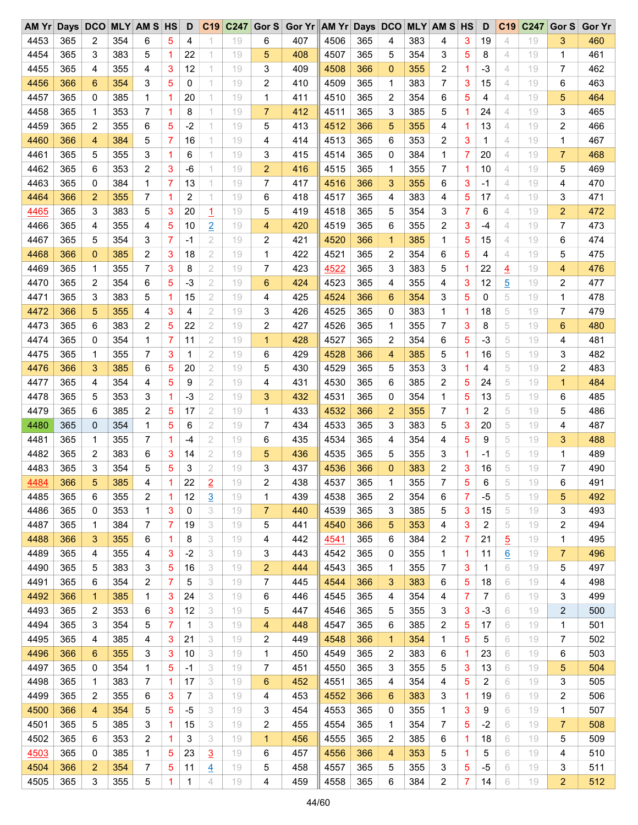| AM Yr | Days | DCO          |     | <b>MLY AM S HS</b> |   | D    | C19            | C247 |                | Gor S Gor Yr AM Yr Days DCO |      |     |             |     | <b>MLY AM S HS</b> |             | D              | C <sub>19</sub> | C247 | Gor S          | <b>Gor Yr</b> |
|-------|------|--------------|-----|--------------------|---|------|----------------|------|----------------|-----------------------------|------|-----|-------------|-----|--------------------|-------------|----------------|-----------------|------|----------------|---------------|
| 4453  | 365  | 2            | 354 | 6                  | 5 | 4    |                | 19   | 6              | 407                         | 4506 | 365 | 4           | 383 | 4                  | 3           | 19             | 4               | 19   | 3              | 460           |
| 4454  | 365  | 3            | 383 | 5                  | 1 | 22   |                | 19   | 5              | 408                         | 4507 | 365 | 5           | 354 | 3                  | 5           | 8              | 4               | 19   | 1              | 461           |
| 4455  | 365  | 4            | 355 | 4                  | 3 | 12   |                | 19   | 3              | 409                         | 4508 | 366 | $\mathbf 0$ | 355 | 2                  | 1           | $-3$           | 4               | 19   | 7              | 462           |
| 4456  | 366  | 6            | 354 | 3                  | 5 | 0    |                | 19   | 2              | 410                         | 4509 | 365 | 1           | 383 | 7                  | 3           | 15             | 4               | 19   | 6              | 463           |
| 4457  | 365  | 0            | 385 | 1                  | 1 | 20   | 1.             | 19   | 1              | 411                         | 4510 | 365 | 2           | 354 | 6                  | 5           | 4              | 4               | 19   | 5              | 464           |
| 4458  | 365  | 1            | 353 | 7                  | 1 | 8    | 1              | 19   | $\overline{7}$ | 412                         | 4511 | 365 | 3           | 385 | 5                  | 1           | 24             | 4               | 19   | 3              | 465           |
| 4459  | 365  | 2            | 355 | 6                  | 5 | $-2$ | 1              | 19   | 5              | 413                         | 4512 | 366 | 5           | 355 | 4                  | 1           | 13             | 4               | 19   | 2              | 466           |
| 4460  | 366  | 4            | 384 | 5                  | 7 | 16   | 1.             | 19   | 4              | 414                         | 4513 | 365 | 6           | 353 | 2                  | 3           | 1              | 4               | 19   | 1              | 467           |
| 4461  | 365  | 5            | 355 | 3                  | 1 | 6    | 1.             | 19   | 3              | 415                         | 4514 | 365 | 0           | 384 | 1                  | 7           | 20             | 4               | 19   | $\overline{7}$ | 468           |
| 4462  | 365  | 6            | 353 | 2                  | 3 | $-6$ | 1              | 19   | $\overline{2}$ | 416                         | 4515 | 365 | 1           | 355 | 7                  | 1           | 10             | 4               | 19   | 5              | 469           |
| 4463  | 365  | 0            | 384 | 1                  | 7 | 13   |                | 19   | 7              | 417                         | 4516 | 366 | 3           | 355 | 6                  | 3           | -1             | 4               | 19   | 4              | 470           |
| 4464  | 366  | 2            | 355 | 7                  | 1 | 2    |                | 19   | 6              | 418                         | 4517 | 365 | 4           | 383 | 4                  | 5           | 17             | 4               | 19   | 3              | 471           |
| 4465  | 365  | 3            | 383 | 5                  | 3 | 20   | $\overline{1}$ | 19   | 5              | 419                         | 4518 | 365 | 5           | 354 | 3                  | 7           | 6              | 4               | 19   | $\overline{2}$ | 472           |
| 4466  | 365  | 4            | 355 | 4                  | 5 | 10   | $\overline{2}$ | 19   | 4              | 420                         | 4519 | 365 | 6           | 355 | 2                  | 3           | $-4$           | 4               | 19   | 7              | 473           |
| 4467  | 365  | 5            | 354 | 3                  | 7 | -1   | 2              | 19   | 2              | 421                         | 4520 | 366 | $\mathbf 1$ | 385 | 1                  | 5           | 15             | 4               | 19   | 6              | 474           |
| 4468  | 366  |              | 385 | 2                  | 3 | 18   | 2              |      |                | 422                         | 4521 | 365 | 2           | 354 |                    | 5           | 4              | 4               |      | 5              | 475           |
|       |      | 0            |     |                    |   |      |                | 19   | 1              |                             |      |     |             |     | 6                  |             |                |                 | 19   |                |               |
| 4469  | 365  | 1            | 355 | 7                  | 3 | 8    | 2              | 19   | 7              | 423                         | 4522 | 365 | 3           | 383 | 5                  | 1           | 22             | $\overline{4}$  | 19   | 4              | 476           |
| 4470  | 365  | 2            | 354 | 6                  | 5 | $-3$ | $\mathbf{2}$   | 19   | 6              | 424                         | 4523 | 365 | 4           | 355 | 4                  | 3           | 12             | $\overline{5}$  | 19   | 2              | 477           |
| 4471  | 365  | 3            | 383 | 5                  | 1 | 15   | 2              | 19   | 4              | 425                         | 4524 | 366 | 6           | 354 | 3                  | 5           | 0              | 5               | 19   | 1              | 478           |
| 4472  | 366  | 5            | 355 | 4                  | 3 | 4    | 2              | 19   | 3              | 426                         | 4525 | 365 | 0           | 383 | 1                  | 1           | 18             | 5               | 19   | 7              | 479           |
| 4473  | 365  | 6            | 383 | 2                  | 5 | 22   | 2              | 19   | 2              | 427                         | 4526 | 365 | 1           | 355 | 7                  | 3           | 8              | 5               | 19   | 6              | 480           |
| 4474  | 365  | 0            | 354 | 1                  | 7 | 11   | 2              | 19   | 1              | 428                         | 4527 | 365 | 2           | 354 | 6                  | 5           | $-3$           | 5               | 19   | 4              | 481           |
| 4475  | 365  | 1            | 355 | 7                  | 3 | 1    | 2              | 19   | 6              | 429                         | 4528 | 366 | 4           | 385 | 5                  | $\mathbf 1$ | 16             | 5               | 19   | 3              | 482           |
| 4476  | 366  | 3            | 385 | 6                  | 5 | 20   | 2              | 19   | 5              | 430                         | 4529 | 365 | 5           | 353 | 3                  | 1           | 4              | 5               | 19   | 2              | 483           |
| 4477  | 365  | 4            | 354 | 4                  | 5 | 9    | 2              | 19   | 4              | 431                         | 4530 | 365 | 6           | 385 | 2                  | 5           | 24             | 5               | 19   | $\mathbf{1}$   | 484           |
| 4478  | 365  | 5            | 353 | 3                  | 1 | -3   | 2              | 19   | 3              | 432                         | 4531 | 365 | 0           | 354 | 1                  | 5           | 13             | 5               | 19   | 6              | 485           |
| 4479  | 365  | 6            | 385 | 2                  | 5 | 17   | 2              | 19   | 1              | 433                         | 4532 | 366 | 2           | 355 | 7                  | 1           | 2              | 5               | 19   | 5              | 486           |
| 4480  | 365  | 0            | 354 | 1                  | 5 | 6    | 2              | 19   | 7              | 434                         | 4533 | 365 | 3           | 383 | 5                  | 3           | 20             | 5               | 19   | 4              | 487           |
| 4481  | 365  | 1            | 355 | 7                  | 1 | -4   | 2              | 19   | 6              | 435                         | 4534 | 365 | 4           | 354 | 4                  | 5           | 9              | 5               | 19   | 3              | 488           |
| 4482  | 365  | 2            | 383 | 6                  | 3 | 14   | 2              | 19   | 5              | 436                         | 4535 | 365 | 5           | 355 | 3                  | $\mathbf 1$ | -1             | 5               | 19   | 1              | 489           |
| 4483  | 365  | 3            | 354 | 5                  | 5 | 3    | 2              | 19   | 3              | 437                         | 4536 | 366 | $\mathbf 0$ | 383 | 2                  | 3           | 16             | 5               | 19   | 7              | 490           |
| 4484  | 366  | 5            | 385 | 4                  | 1 | 22   | $\overline{2}$ | 19   | 2              | 438                         | 4537 | 365 | 1           | 355 | 7                  | 5           | 6              | 5               | 19   | 6              | 491           |
| 4485  | 365  | 6            | 355 | 2                  | 1 | 12   | $\overline{3}$ | 19   | 1              | 439                         | 4538 | 365 | 2           | 354 | 6                  | 7           | $-5$           | 5               | 19   | 5              | 492           |
| 4486  | 365  | 0            | 353 | 1                  | 3 | 0    | 3              | 19   | 7              | 440                         | 4539 | 365 | 3           | 385 | 5                  | 3           | 15             | 5               | 19   | 3              | 493           |
| 4487  | 365  | 1            | 384 | 7                  | 7 | 19   | 3              | 19   | 5              | 441                         | 4540 | 366 | 5           | 353 | 4                  | 3           | 2              | 5               | 19   | 2              | 494           |
| 4488  | 366  | 3            | 355 | 6                  | 1 | 8    | 3              | 19   | 4              | 442                         | 4541 | 365 | 6           | 384 | 2                  | 7           | 21             | $\overline{5}$  | 19   | 1              | 495           |
| 4489  | 365  | 4            | 355 | 4                  | 3 | $-2$ | 3              | 19   | 3              | 443                         | 4542 | 365 | 0           | 355 | 1                  | 1           | 11             | $\underline{6}$ | 19   | 7              | 496           |
| 4490  | 365  | 5            | 383 | 3                  | 5 | 16   | 3              | 19   | $\overline{2}$ | 444                         | 4543 | 365 | 1           | 355 | 7                  | 3           | 1              | 6               | 19   | 5              | 497           |
| 4491  | 365  | 6            | 354 | 2                  | 7 | 5    | 3              | 19   | 7              | 445                         | 4544 | 366 | 3           | 383 | 6                  | 5           | 18             | 6               | 19   | 4              | 498           |
| 4492  | 366  | $\mathbf{1}$ | 385 | 1                  | 3 | 24   | 3              | 19   | 6              | 446                         | 4545 | 365 | 4           | 354 | 4                  | 7           | 7              | 6               | 19   | 3              | 499           |
| 4493  | 365  | 2            | 353 | 6                  | 3 | 12   | 3              | 19   | 5              | 447                         | 4546 | 365 | 5           | 355 | 3                  | 3           | $-3$           | 6               | 19   | 2              | 500           |
| 4494  | 365  | 3            | 354 | 5                  | 7 | 1    | 3              | 19   | 4              | 448                         | 4547 | 365 | 6           | 385 | 2                  | 5           | 17             | 6               | 19   | 1              | 501           |
| 4495  | 365  | 4            | 385 | 4                  | 3 | 21   | 3              | 19   | 2              | 449                         | 4548 | 366 | 1           | 354 | 1                  | 5           | 5              | 6               | 19   | 7              | 502           |
| 4496  | 366  | 6            | 355 | 3                  | 3 | 10   | 3              | 19   | 1              | 450                         | 4549 | 365 | 2           | 383 | 6                  | 1           | 23             | 6               | 19   | 6              | 503           |
| 4497  | 365  |              | 354 | 1                  | 5 | -1   | 3              | 19   | 7              | 451                         | 4550 |     |             | 355 | 5                  |             |                | 6               |      |                | 504           |
|       |      | 0            |     |                    |   |      |                |      |                |                             |      | 365 | 3           |     |                    | 3           | 13             |                 | 19   | 5              |               |
| 4498  | 365  | 1            | 383 | 7                  | 1 | 17   | 3              | 19   | 6              | 452                         | 4551 | 365 | 4           | 354 | 4                  | 5           | $\overline{2}$ | 6               | 19   | 3              | 505           |
| 4499  | 365  | 2            | 355 | 6                  | 3 | 7    | 3              | 19   | 4              | 453                         | 4552 | 366 | 6           | 383 | 3                  | 1           | 19             | 6               | 19   | 2              | 506           |
| 4500  | 366  | 4            | 354 | 5                  | 5 | -5   | 3              | 19   | 3              | 454                         | 4553 | 365 | 0           | 355 | 1                  | 3           | 9              | 6               | 19   | 1              | 507           |
| 4501  | 365  | 5            | 385 | 3                  | 1 | 15   | 3              | 19   | 2              | 455                         | 4554 | 365 | 1           | 354 | 7                  | 5           | $-2$           | 6               | 19   | 7              | 508           |
| 4502  | 365  | 6            | 353 | 2                  | 1 | 3    | 3              | 19   | 1              | 456                         | 4555 | 365 | 2           | 385 | 6                  | 1           | 18             | 6               | 19   | 5              | 509           |
| 4503  | 365  | 0            | 385 | 1                  | 5 | 23   | $\overline{3}$ | 19   | 6              | 457                         | 4556 | 366 | 4           | 353 | 5                  | 1           | 5              | 6               | 19   | 4              | 510           |
| 4504  | 366  | 2            | 354 | 7                  | 5 | 11   | $\overline{4}$ | 19   | 5              | 458                         | 4557 | 365 | 5           | 355 | 3                  | 5           | -5             | 6               | 19   | 3              | 511           |
| 4505  | 365  | 3            | 355 | 5                  | 1 | 1    | 4              | 19   | 4              | 459                         | 4558 | 365 | 6           | 384 | 2                  | 7           | 14             | 6               | 19   | $\overline{a}$ | 512           |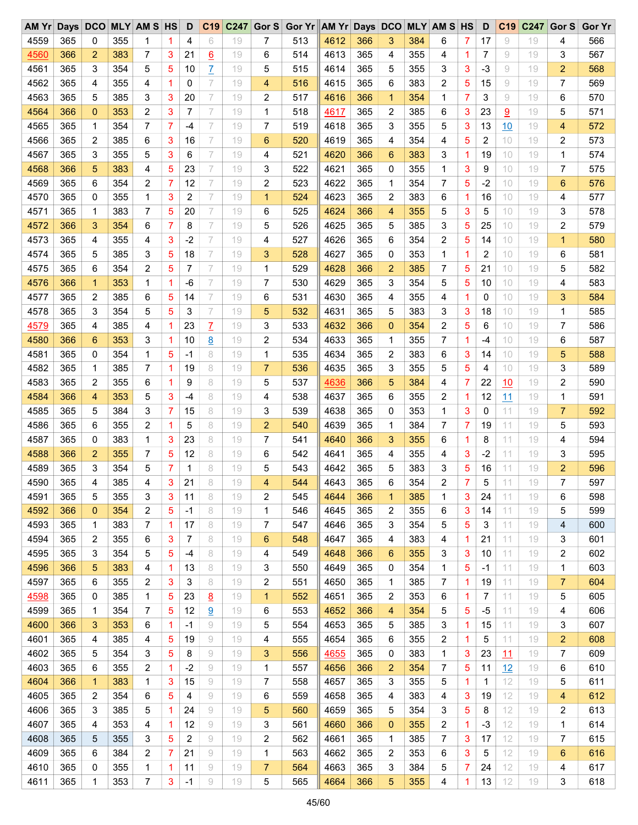| AM Yr | Days DCO |             |     | <b>MLY AM S HS</b> |   | D    | C19             | C <sub>247</sub> |                | Gor S Gor Yr AM Yr Days DCO |      |     |                |     | <b>MLY AM S HS</b> |                | D    | C <sub>19</sub> | C247 | Gor S          | <b>Gor Yr</b> |
|-------|----------|-------------|-----|--------------------|---|------|-----------------|------------------|----------------|-----------------------------|------|-----|----------------|-----|--------------------|----------------|------|-----------------|------|----------------|---------------|
| 4559  | 365      | 0           | 355 | 1                  | 1 | 4    | 6               | 19               | 7              | 513                         | 4612 | 366 | 3              | 384 | 6                  | 7              | 17   | 9               | 19   | 4              | 566           |
| 4560  | 366      | 2           | 383 | 7                  | 3 | 21   | <u>6</u>        | 19               | 6              | 514                         | 4613 | 365 | 4              | 355 | 4                  | 1              | 7    | 9               | 19   | 3              | 567           |
| 4561  | 365      | 3           | 354 | 5                  | 5 | 10   | Z               | 19               | 5              | 515                         | 4614 | 365 | 5              | 355 | 3                  | 3              | $-3$ | 9               | 19   | $\overline{2}$ | 568           |
| 4562  | 365      | 4           | 355 | 4                  | 1 | 0    | 7               | 19               | 4              | 516                         | 4615 | 365 | 6              | 383 | 2                  | 5              | 15   | 9               | 19   | 7              | 569           |
| 4563  | 365      | 5           | 385 | 3                  | 3 | 20   | 7               | 19               | 2              | 517                         | 4616 | 366 | 1              | 354 | 1                  | 7              | 3    | 9               | 19   | 6              | 570           |
| 4564  | 366      | 0           | 353 | 2                  | 3 | 7    | 7               | 19               | 1              | 518                         | 4617 | 365 | 2              | 385 | 6                  | 3              | 23   | 9               | 19   | 5              | 571           |
| 4565  | 365      | 1           | 354 | 7                  | 7 | $-4$ | 7               | 19               | 7              | 519                         | 4618 | 365 | 3              | 355 | 5                  | 3              | 13   | 10              | 19   | 4              | 572           |
| 4566  | 365      | 2           | 385 | 6                  | 3 | 16   | 7               | 19               | 6              | 520                         | 4619 | 365 | 4              | 354 | 4                  | 5              | 2    | 10              | 19   | 2              | 573           |
| 4567  | 365      | 3           | 355 | 5                  | 3 | 6    | 7               | 19               | 4              | 521                         | 4620 | 366 | 6              | 383 | 3                  | $\mathbf{1}$   | 19   | 10              | 19   | 1              | 574           |
| 4568  | 366      | 5           | 383 | 4                  | 5 | 23   | 7               | 19               | 3              | 522                         | 4621 | 365 | 0              | 355 | 1                  | 3              | 9    | 10              | 19   | 7              | 575           |
| 4569  | 365      | 6           | 354 | 2                  | 7 | 12   | 7               | 19               | 2              | 523                         | 4622 | 365 | 1              | 354 | 7                  | 5              | $-2$ | 10              | 19   | 6              | 576           |
| 4570  | 365      | 0           | 355 | 1                  | 3 | 2    | 7               | 19               | 1              | 524                         | 4623 | 365 | 2              | 383 | 6                  | 1              | 16   | 10              | 19   | 4              | 577           |
| 4571  | 365      | 1           | 383 | 7                  | 5 | 20   | 7               | 19               | 6              | 525                         | 4624 | 366 | 4              | 355 | 5                  | 3              | 5    | 10              | 19   | 3              | 578           |
| 4572  | 366      | 3           | 354 | 6                  | 7 | 8    | 7               | 19               | 5              | 526                         | 4625 | 365 | 5              | 385 | 3                  | 5              | 25   | 10              | 19   | 2              | 579           |
| 4573  | 365      | 4           | 355 | 4                  | 3 | $-2$ | 7               | 19               | 4              | 527                         | 4626 | 365 | 6              | 354 | 2                  | 5              | 14   | 10              | 19   | $\mathbf{1}$   | 580           |
| 4574  | 365      | 5           | 385 | 3                  | 5 | 18   | 7               | 19               | 3              | 528                         | 4627 | 365 | 0              | 353 | 1                  | 1              | 2    | 10              | 19   | 6              | 581           |
| 4575  | 365      | 6           | 354 | 2                  | 5 | 7    | 7               | 19               | 1              | 529                         | 4628 | 366 | $\overline{2}$ | 385 | 7                  | 5              | 21   | 10              | 19   | 5              | 582           |
|       |          |             |     |                    |   |      |                 |                  |                |                             |      |     |                |     |                    |                |      |                 |      |                |               |
| 4576  | 366      | $\mathbf 1$ | 353 | 1                  | 1 | $-6$ | 7               | 19               | 7              | 530                         | 4629 | 365 | 3              | 354 | 5                  | 5              | 10   | 10              | 19   | 4              | 583           |
| 4577  | 365      | 2           | 385 | 6                  | 5 | 14   | 7               | 19               | 6              | 531                         | 4630 | 365 | 4              | 355 | 4                  | 1              | 0    | 10              | 19   | 3              | 584           |
| 4578  | 365      | 3           | 354 | 5                  | 5 | 3    | 7               | 19               | 5              | 532                         | 4631 | 365 | 5              | 383 | 3                  | 3              | 18   | 10              | 19   | 1              | 585           |
| 4579  | 365      | 4           | 385 | 4                  | 1 | 23   | $\overline{L}$  | 19               | 3              | 533                         | 4632 | 366 | $\mathbf 0$    | 354 | $\overline{2}$     | 5              | 6    | 10              | 19   | $\overline{7}$ | 586           |
| 4580  | 366      | 6           | 353 | 3                  | 1 | 10   | 8               | 19               | 2              | 534                         | 4633 | 365 | 1              | 355 | 7                  | 1              | -4   | 10              | 19   | 6              | 587           |
| 4581  | 365      | 0           | 354 | 1                  | 5 | -1   | 8               | 19               | 1              | 535                         | 4634 | 365 | 2              | 383 | 6                  | 3              | 14   | 10              | 19   | 5              | 588           |
| 4582  | 365      | 1           | 385 | 7                  | 1 | 19   | 8               | 19               | $\overline{7}$ | 536                         | 4635 | 365 | 3              | 355 | 5                  | 5              | 4    | 10              | 19   | 3              | 589           |
| 4583  | 365      | 2           | 355 | 6                  | 1 | 9    | 8               | 19               | 5              | 537                         | 4636 | 366 | 5              | 384 | 4                  | $\overline{7}$ | 22   | 10              | 19   | $\overline{c}$ | 590           |
| 4584  | 366      | 4           | 353 | 5                  | 3 | $-4$ | 8               | 19               | 4              | 538                         | 4637 | 365 | 6              | 355 | 2                  | 1              | 12   | 11              | 19   | 1              | 591           |
| 4585  | 365      | 5           | 384 | 3                  | 7 | 15   | 8               | 19               | 3              | 539                         | 4638 | 365 | 0              | 353 | 1                  | 3              | 0    | 11              | 19   | $\overline{7}$ | 592           |
| 4586  | 365      | 6           | 355 | 2                  | 1 | 5    | 8               | 19               | $\overline{2}$ | 540                         | 4639 | 365 | 1              | 384 | 7                  | $\overline{7}$ | 19   | 11              | 19   | 5              | 593           |
| 4587  | 365      | 0           | 383 | 1                  | 3 | 23   | 8               | 19               | 7              | 541                         | 4640 | 366 | 3              | 355 | 6                  | 1              | 8    | 11              | 19   | 4              | 594           |
| 4588  | 366      | 2           | 355 | 7                  | 5 | 12   | 8               | 19               | 6              | 542                         | 4641 | 365 | 4              | 355 | 4                  | 3              | $-2$ | 11              | 19   | 3              | 595           |
| 4589  | 365      | 3           | 354 | 5                  | 7 | 1    | 8               | 19               | 5              | 543                         | 4642 | 365 | 5              | 383 | 3                  | 5              | 16   | 11              | 19   | $\overline{2}$ | 596           |
| 4590  | 365      | 4           | 385 | 4                  | 3 | 21   | 8               | 19               | 4              | 544                         | 4643 | 365 | 6              | 354 | $\overline{2}$     | 7              | 5    | 11              | 19   | $\overline{7}$ | 597           |
| 4591  | 365      | 5           | 355 | 3                  | 3 | 11   | 8               | 19               | 2              | 545                         | 4644 | 366 | 1              | 385 | 1                  | 3              | 24   | 11              | 19   | 6              | 598           |
| 4592  | 366      | 0           | 354 | 2                  | 5 | -1   | 8               | 19               | 1              | 546                         | 4645 | 365 | 2              | 355 | 6                  | 3              | 14   | 11              | 19   | 5              | 599           |
| 4593  | 365      | 1           | 383 | 7                  | 1 | 17   | 8               | 19               | 7              | 547                         | 4646 | 365 | 3              | 354 | 5                  | 5              | 3    | 11              | 19   | 4              | 600           |
| 4594  | 365      | 2           | 355 | 6                  | 3 | 7    | 8               | 19               | 6              | 548                         | 4647 | 365 | 4              | 383 | 4                  | 1              | 21   | 11              | 19   | 3              | 601           |
| 4595  | 365      | 3           | 354 | 5                  | 5 | $-4$ | 8               | 19               | 4              | 549                         | 4648 | 366 | 6              | 355 | 3                  | 3              | 10   | 11              | 19   | 2              | 602           |
| 4596  | 366      | 5           | 383 | 4                  | 1 | 13   | 8               | 19               | 3              | 550                         | 4649 | 365 | 0              | 354 | 1                  | 5              | -1   | 11              | 19   | 1              | 603           |
| 4597  | 365      | 6           | 355 | 2                  | 3 | 3    | 8               | 19               | 2              | 551                         | 4650 | 365 | 1              | 385 | 7                  | 1              | 19   | 11              | 19   | 7              | 604           |
| 4598  | 365      | 0           | 385 | 1                  | 5 | 23   | $\underline{8}$ | 19               | $\mathbf 1$    | 552                         | 4651 | 365 | 2              | 353 | 6                  | 1              | 7    | 11              | 19   | 5              | 605           |
| 4599  | 365      | 1           | 354 | 7                  | 5 | 12   | 9               | 19               | 6              | 553                         | 4652 | 366 | 4              | 354 | 5                  | 5              | $-5$ | 11              | 19   | 4              | 606           |
| 4600  | 366      | 3           | 353 | 6                  | 1 | $-1$ | 9               | 19               | 5              | 554                         | 4653 | 365 | 5              | 385 | 3                  | 1              | 15   | 11              | 19   | 3              | 607           |
| 4601  | 365      | 4           | 385 | 4                  | 5 | 19   | 9               | 19               | 4              | 555                         | 4654 | 365 | 6              | 355 | 2                  | 1              | 5    | 11              | 19   | $\overline{c}$ | 608           |
| 4602  | 365      | 5           | 354 | 3                  | 5 | 8    | 9               | 19               | 3              | 556                         | 4655 | 365 | 0              | 383 | 1                  | 3              | 23   | <u> 11</u>      | 19   | 7              | 609           |
| 4603  | 365      | 6           | 355 | 2                  | 1 | $-2$ | 9               | 19               | 1              | 557                         | 4656 | 366 | $\overline{2}$ | 354 | 7                  | 5              | 11   | 12              | 19   | 6              | 610           |
| 4604  | 366      | 1           | 383 | 1                  | 3 | 15   | 9               | 19               | 7              | 558                         | 4657 | 365 | 3              | 355 | 5                  | 1              | 1    | 12              | 19   | 5              | 611           |
| 4605  | 365      | 2           | 354 | 6                  | 5 | 4    | 9               | 19               | 6              | 559                         | 4658 | 365 | 4              | 383 | 4                  | 3              | 19   | 12              | 19   | 4              | 612           |
| 4606  | 365      | 3           | 385 | 5                  | 1 | 24   | 9               | 19               | 5              | 560                         | 4659 | 365 | 5              | 354 | 3                  | 5              | 8    | 12              | 19   | 2              | 613           |
| 4607  | 365      | 4           | 353 |                    | 1 | 12   | 9               | 19               | 3              | 561                         |      | 366 | $\mathbf 0$    | 355 | 2                  | 1              | -3   | 12              |      | 1              | 614           |
| 4608  | 365      | 5           | 355 | 4                  | 5 | 2    | 9               | 19               |                | 562                         | 4660 | 365 | 1              | 385 | 7                  | 3              | 17   | 12              | 19   | 7              | 615           |
|       |          |             |     | 3                  |   |      |                 |                  | 2              |                             | 4661 |     |                |     |                    |                |      |                 | 19   |                |               |
| 4609  | 365      | 6           | 384 | 2                  | 7 | 21   | 9               | 19               | 1              | 563                         | 4662 | 365 | 2              | 353 | 6                  | 3              | 5    | 12              | 19   | 6              | 616           |
| 4610  | 365      | 0           | 355 | 1                  | 1 | 11   | 9               | 19               | 7              | 564                         | 4663 | 365 | 3              | 384 | 5                  | 7              | 24   | 12              | 19   | 4              | 617           |
| 4611  | 365      | 1           | 353 | 7                  | 3 | $-1$ | 9               | 19               | 5              | 565                         | 4664 | 366 | 5              | 355 | 4                  | 1              | 13   | 12              | 19   | 3              | 618           |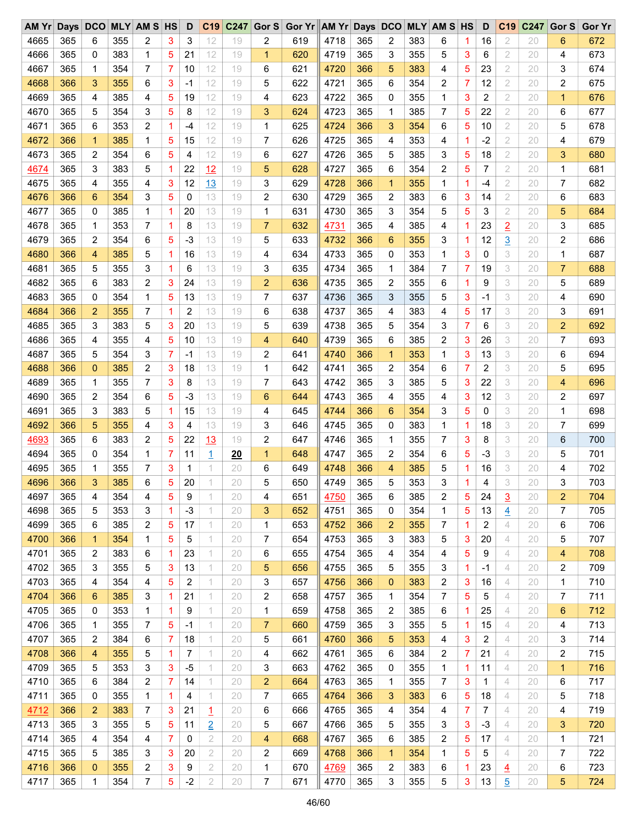| $AM$ $Yr$ | Days | <b>DCO</b>  |     | <b>MLY AM S HS</b> |   | D    | C19            | C247 | Gor $S$        | Gor Yr AM Yr Days DCO |      |     |                |     | <b>MLY AM S HS</b> |   | D    | C <sub>19</sub> | C247 | Gor S          | <b>Gor Yr</b> |
|-----------|------|-------------|-----|--------------------|---|------|----------------|------|----------------|-----------------------|------|-----|----------------|-----|--------------------|---|------|-----------------|------|----------------|---------------|
| 4665      | 365  | 6           | 355 | 2                  | 3 | 3    | 12             | 19   | 2              | 619                   | 4718 | 365 | 2              | 383 | 6                  | 1 | 16   | 2               | 20   | 6              | 672           |
| 4666      | 365  | 0           | 383 | 1                  | 5 | 21   | 12             | 19   | 1              | 620                   | 4719 | 365 | 3              | 355 | 5                  | 3 | 6    | $\overline{2}$  | 20   | 4              | 673           |
| 4667      | 365  | 1           | 354 | 7                  | 7 | 10   | 12             | 19   | 6              | 621                   | 4720 | 366 | 5              | 383 | 4                  | 5 | 23   | 2               | 20   | 3              | 674           |
| 4668      | 366  | 3           | 355 | 6                  | 3 | -1   | 12             | 19   | 5              | 622                   | 4721 | 365 | 6              | 354 | 2                  | 7 | 12   | 2               | 20   | 2              | 675           |
| 4669      | 365  | 4           | 385 | 4                  | 5 | 19   | 12             | 19   | 4              | 623                   | 4722 | 365 | 0              | 355 | 1                  | 3 | 2    | 2               | 20   | $\mathbf{1}$   | 676           |
| 4670      | 365  | 5           | 354 | 3                  | 5 | 8    | 12             | 19   | 3              | 624                   | 4723 | 365 | 1              | 385 | 7                  | 5 | 22   | 2               | 20   | 6              | 677           |
| 4671      | 365  | 6           | 353 | 2                  | 1 | $-4$ | 12             | 19   | 1              | 625                   | 4724 | 366 | 3              | 354 | 6                  | 5 | 10   | 2               | 20   | 5              | 678           |
| 4672      | 366  | $\mathbf 1$ | 385 | 1                  | 5 | 15   | 12             | 19   | 7              | 626                   | 4725 | 365 | 4              | 353 | 4                  | 1 | $-2$ | 2               | 20   | 4              | 679           |
| 4673      | 365  | 2           | 354 | 6                  | 5 | 4    | 12             | 19   | 6              | 627                   | 4726 | 365 | 5              | 385 | 3                  | 5 | 18   | 2               | 20   | 3              | 680           |
| 4674      | 365  | 3           | 383 | 5                  | 1 | 22   | 12             | 19   | 5              | 628                   | 4727 | 365 | 6              | 354 | 2                  | 5 | 7    | $\overline{2}$  | 20   | 1              | 681           |
| 4675      | 365  | 4           | 355 | 4                  | 3 | 12   | 13             | 19   | 3              | 629                   | 4728 | 366 | 1              | 355 | 1                  | 1 | -4   | 2               | 20   | 7              | 682           |
| 4676      | 366  | 6           | 354 | 3                  | 5 | 0    | 13             | 19   | 2              | 630                   | 4729 | 365 | 2              | 383 | 6                  | 3 | 14   | 2               | 20   | 6              | 683           |
| 4677      | 365  | 0           | 385 | 1                  | 1 | 20   | 13             | 19   | 1              | 631                   | 4730 | 365 | 3              | 354 | 5                  | 5 | 3    | 2               | 20   | 5              | 684           |
| 4678      | 365  | 1           | 353 | 7                  | 1 | 8    | 13             | 19   | $\overline{7}$ | 632                   | 4731 | 365 | 4              | 385 | 4                  | 1 | 23   | $\overline{2}$  | 20   | 3              | 685           |
| 4679      | 365  | 2           | 354 | 6                  | 5 | $-3$ | 13             | 19   | 5              | 633                   | 4732 | 366 | 6              | 355 | 3                  | 1 | 12   | $\overline{3}$  | 20   | 2              | 686           |
| 4680      | 366  | 4           | 385 | 5                  | 1 | 16   | 13             | 19   | 4              | 634                   | 4733 | 365 | 0              | 353 | 1                  | 3 | 0    | 3               |      | $\mathbf 1$    | 687           |
|           |      |             |     |                    | 1 |      | 13             |      | 3              |                       |      |     |                |     | 7                  |   |      | 3               | 20   | $\overline{7}$ |               |
| 4681      | 365  | 5           | 355 | 3                  |   | 6    |                | 19   |                | 635                   | 4734 | 365 | 1              | 384 |                    | 7 | 19   |                 | 20   |                | 688           |
| 4682      | 365  | 6           | 383 | 2                  | 3 | 24   | 13             | 19   | 2              | 636                   | 4735 | 365 | 2              | 355 | 6                  | 1 | 9    | 3               | 20   | 5              | 689           |
| 4683      | 365  | 0           | 354 | 1                  | 5 | 13   | 13             | 19   | 7              | 637                   | 4736 | 365 | 3              | 355 | 5                  | 3 | -1   | 3               | 20   | 4              | 690           |
| 4684      | 366  | 2           | 355 | 7                  | 1 | 2    | 13             | 19   | 6              | 638                   | 4737 | 365 | 4              | 383 | 4                  | 5 | 17   | 3               | 20   | 3              | 691           |
| 4685      | 365  | 3           | 383 | 5                  | 3 | 20   | 13             | 19   | 5              | 639                   | 4738 | 365 | 5              | 354 | 3                  | 7 | 6    | 3               | 20   | 2              | 692           |
| 4686      | 365  | 4           | 355 | 4                  | 5 | 10   | 13             | 19   | 4              | 640                   | 4739 | 365 | 6              | 385 | 2                  | 3 | 26   | 3               | 20   | 7              | 693           |
| 4687      | 365  | 5           | 354 | 3                  | 7 | -1   | 13             | 19   | 2              | 641                   | 4740 | 366 | 1              | 353 | 1                  | 3 | 13   | 3               | 20   | 6              | 694           |
| 4688      | 366  | 0           | 385 | 2                  | 3 | 18   | 13             | 19   | 1              | 642                   | 4741 | 365 | 2              | 354 | 6                  | 7 | 2    | 3               | 20   | 5              | 695           |
| 4689      | 365  | 1           | 355 | 7                  | 3 | 8    | 13             | 19   | 7              | 643                   | 4742 | 365 | 3              | 385 | 5                  | 3 | 22   | 3               | 20   | 4              | 696           |
| 4690      | 365  | 2           | 354 | 6                  | 5 | $-3$ | 13             | 19   | 6              | 644                   | 4743 | 365 | 4              | 355 | 4                  | 3 | 12   | 3               | 20   | 2              | 697           |
| 4691      | 365  | 3           | 383 | 5                  | 1 | 15   | 13             | 19   | 4              | 645                   | 4744 | 366 | 6              | 354 | 3                  | 5 | 0    | 3               | 20   | $\mathbf 1$    | 698           |
| 4692      | 366  | 5           | 355 | 4                  | 3 | 4    | 13             | 19   | 3              | 646                   | 4745 | 365 | 0              | 383 | 1                  | 1 | 18   | 3               | 20   | 7              | 699           |
| 4693      | 365  | 6           | 383 | 2                  | 5 | 22   | 13             | 19   | 2              | 647                   | 4746 | 365 | 1              | 355 | 7                  | 3 | 8    | 3               | 20   | 6              | 700           |
| 4694      | 365  | 0           | 354 | 1                  | 7 | 11   | 1              | 20   | 1              | 648                   | 4747 | 365 | 2              | 354 | 6                  | 5 | $-3$ | 3               | 20   | 5              | 701           |
| 4695      | 365  | 1           | 355 | 7                  | 3 | 1    | 1              | 20   | 6              | 649                   | 4748 | 366 | 4              | 385 | 5                  | 1 | 16   | 3               | 20   | 4              | 702           |
| 4696      | 366  | 3           | 385 | 6                  | 5 | 20   |                | 20   | 5              | 650                   | 4749 | 365 | 5              | 353 | 3                  | 1 | 4    | 3               | 20   | 3              | 703           |
| 4697      | 365  | 4           | 354 | 4                  | 5 | 9    | 1              | 20   | 4              | 651                   | 4750 | 365 | 6              | 385 | 2                  | 5 | 24   | $\overline{3}$  | 20   | 2              | 704           |
| 4698      | 365  | 5           | 353 | 3                  | 1 | $-3$ | 1              | 20   | 3              | 652                   | 4751 | 365 | 0              | 354 | 1                  | 5 | 13   | <u>4</u>        | 20   | 7              | 705           |
| 4699      | 365  | 6           | 385 | 2                  | 5 | 17   | 1              | 20   | 1              | 653                   | 4752 | 366 | $\overline{c}$ | 355 | 7                  | 1 | 2    | 4               | 20   | 6              | 706           |
| 4700      | 366  | 1           | 354 | 1                  | 5 | 5    | 1              | 20   | 7              | 654                   | 4753 | 365 | 3              | 383 | 5                  | 3 | 20   | 4               | 20   | 5              | 707           |
| 4701      | 365  | 2           | 383 | 6                  | 1 | 23   | 1              | 20   | 6              | 655                   | 4754 | 365 | 4              | 354 | 4                  | 5 | 9    | 4               | 20   | 4              | 708           |
| 4702      | 365  | 3           | 355 | 5                  | 3 | 13   | 1              | 20   | 5              | 656                   | 4755 | 365 | 5              | 355 | 3                  | 1 | $-1$ | 4               | 20   | 2              | 709           |
| 4703      | 365  | 4           | 354 | 4                  | 5 | 2    | 1              | 20   | 3              | 657                   | 4756 | 366 | $\mathbf 0$    | 383 | 2                  | 3 | 16   | 4               | 20   | 1              | 710           |
| 4704      | 366  | 6           | 385 | 3                  | 1 | 21   | -1             | 20   | 2              | 658                   | 4757 | 365 | 1              | 354 | 7                  | 5 | 5    | 4               | 20   | 7              | 711           |
| 4705      | 365  | 0           | 353 | 1                  | 1 | 9    | 1              | 20   | 1              | 659                   | 4758 | 365 | 2              | 385 | 6                  | 1 | 25   | 4               | 20   | 6              | 712           |
| 4706      | 365  | 1           | 355 | 7                  | 5 | $-1$ | 1              | 20   | $\overline{7}$ | 660                   | 4759 | 365 | 3              | 355 | 5                  | 1 | 15   | 4               | 20   | 4              | 713           |
| 4707      | 365  | 2           | 384 | 6                  | 7 | 18   | 1              | 20   | 5              | 661                   | 4760 | 366 | 5              | 353 | 4                  | 3 | 2    | 4               | 20   | 3              | 714           |
| 4708      | 366  | 4           | 355 | 5                  | 1 | 7    | 1              | 20   | 4              | 662                   | 4761 | 365 | 6              | 384 | 2                  | 7 | 21   | 4               | 20   | 2              | 715           |
| 4709      | 365  | 5           | 353 | 3                  | 3 | -5   | 1              | 20   | 3              | 663                   | 4762 | 365 | 0              | 355 | 1                  | 1 | 11   | 4.              | 20   | 1              | 716           |
| 4710      | 365  | 6           | 384 | 2                  | 7 | 14   | 1              | 20   | $\overline{2}$ | 664                   | 4763 | 365 | 1              | 355 | 7                  | 3 | 1    | 4               | 20   | 6              | 717           |
| 4711      | 365  | 0           | 355 | 1                  | 1 | 4    | 1              | 20   | 7              | 665                   | 4764 | 366 | 3              | 383 | 6                  | 5 | 18   | 4               | 20   | 5              | 718           |
| 4712      | 366  | 2           | 383 | 7                  | 3 | 21   |                | 20   | 6              | 666                   | 4765 | 365 | 4              | 354 | 4                  | 7 | 7    | 4.              | 20   | 4              | 719           |
|           |      |             |     |                    |   |      | $\overline{1}$ |      |                |                       |      |     |                |     |                    |   |      |                 |      |                |               |
| 4713      | 365  | 3           | 355 | 5                  | 5 | 11   | $\overline{2}$ | 20   | 5              | 667                   | 4766 | 365 | 5              | 355 | 3                  | 3 | $-3$ | 4               | 20   | 3              | 720           |
| 4714      | 365  | 4           | 354 | 4                  | 7 | 0    | 2              | 20   | 4              | 668                   | 4767 | 365 | 6              | 385 | 2                  | 5 | 17   | 4               | 20   | 1              | 721           |
| 4715      | 365  | 5           | 385 | 3                  | 3 | 20   | 2              | 20   | 2              | 669                   | 4768 | 366 | 1              | 354 | 1                  | 5 | 5    | 4.              | 20   | 7              | 722           |
| 4716      | 366  | 0           | 355 | 2                  | 3 | 9    | 2              | 20   | 1              | 670                   | 4769 | 365 | 2              | 383 | 6                  | 1 | 23   | <u>4</u>        | 20   | 6              | 723           |
| 4717      | 365  | 1           | 354 | 7                  | 5 | $-2$ | 2              | 20   | 7              | 671                   | 4770 | 365 | 3              | 355 | 5                  | 3 | 13   | $\overline{5}$  | 20   | 5              | 724           |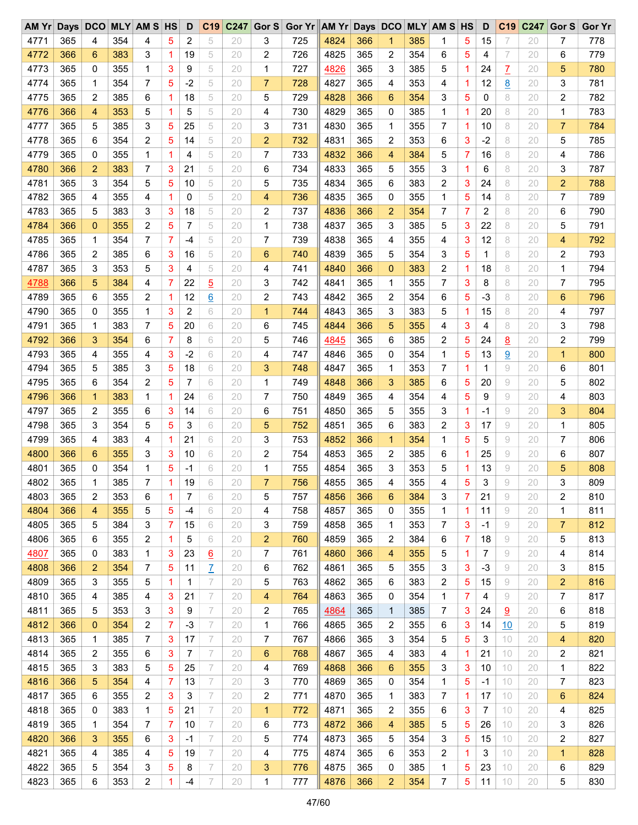| AMYr | Days DCO |             |     | <b>MLY AM S HS</b> |   | D       | C <sub>19</sub> | C247 | Gor S          | Gor Yr AM Yr Days DCO |      |     |                |     | <b>MLY AM S HS</b> |    | D    | C <sub>19</sub> | C247 | Gor S          | <b>Gor Yr</b> |
|------|----------|-------------|-----|--------------------|---|---------|-----------------|------|----------------|-----------------------|------|-----|----------------|-----|--------------------|----|------|-----------------|------|----------------|---------------|
| 4771 | 365      | 4           | 354 | 4                  | 5 | 2       | 5               | 20   | 3              | 725                   | 4824 | 366 | 1              | 385 | 1                  | 5  | 15   | 7               | 20   | 7              | 778           |
| 4772 | 366      | 6           | 383 | 3                  | 1 | 19      | 5               | 20   | 2              | 726                   | 4825 | 365 | 2              | 354 | 6                  | 5  | 4    | 7               | 20   | 6              | 779           |
| 4773 | 365      | 0           | 355 | 1                  | 3 | 9       | 5               | 20   | 1              | 727                   | 4826 | 365 | 3              | 385 | 5                  | 1  | 24   | Z               | 20   | 5              | 780           |
| 4774 | 365      | 1           | 354 | 7                  | 5 | $-2$    | 5               | 20   | 7              | 728                   | 4827 | 365 | 4              | 353 | 4                  | 1  | 12   | <u>8</u>        | 20   | 3              | 781           |
| 4775 | 365      | 2           | 385 | 6                  | 1 | 18      | 5               | 20   | 5              | 729                   | 4828 | 366 | 6              | 354 | 3                  | 5  | 0    | 8               | 20   | 2              | 782           |
| 4776 | 366      | 4           | 353 | 5                  | 1 | 5       | 5               | 20   | 4              | 730                   | 4829 | 365 | 0              | 385 | 1                  | 1  | 20   | 8               | 20   | 1              | 783           |
| 4777 | 365      | 5           | 385 | 3                  | 5 | 25      | 5               | 20   | 3              | 731                   | 4830 | 365 | 1              | 355 | 7                  | 1  | 10   | 8               | 20   | $\overline{7}$ | 784           |
| 4778 | 365      | 6           | 354 | 2                  | 5 | 14      | 5               | 20   | $\overline{2}$ | 732                   | 4831 | 365 | 2              | 353 | 6                  | 3  | $-2$ | 8               | 20   | 5              | 785           |
| 4779 | 365      | 0           | 355 | 1                  | 1 | 4       | 5               | 20   | 7              | 733                   | 4832 | 366 | 4              | 384 | 5                  | 7  | 16   | 8               | 20   | 4              | 786           |
| 4780 | 366      | 2           | 383 | 7                  | 3 | 21      | 5               | 20   | 6              | 734                   | 4833 | 365 | 5              | 355 | 3                  | 1  | 6    | 8               | 20   | 3              | 787           |
| 4781 | 365      | 3           | 354 | 5                  | 5 | 10      | 5               | 20   | 5              | 735                   | 4834 | 365 | 6              | 383 | 2                  | 3  | 24   | 8               | 20   | 2              | 788           |
| 4782 | 365      | 4           | 355 | 4                  | 1 | 0       | 5               | 20   | 4              | 736                   | 4835 | 365 | 0              | 355 | 1                  | 5  | 14   | 8               | 20   | 7              | 789           |
| 4783 | 365      | 5           | 383 | 3                  | 3 | 18      | 5               | 20   | 2              | 737                   | 4836 | 366 | $\overline{2}$ | 354 | 7                  | 7  | 2    | 8               | 20   | 6              | 790           |
| 4784 | 366      | $\mathbf 0$ | 355 | 2                  | 5 | 7       | 5               | 20   | 1              | 738                   | 4837 | 365 | 3              | 385 | 5                  | 3  | 22   | 8               | 20   | 5              | 791           |
| 4785 | 365      | 1           | 354 | 7                  | 7 | -4      | 5               | 20   | 7              | 739                   | 4838 | 365 | 4              | 355 | 4                  | 3  | 12   | 8               | 20   | 4              | 792           |
| 4786 | 365      | 2           | 385 | 6                  | 3 |         | 5               | 20   | 6              | 740                   | 4839 | 365 | 5              | 354 | 3                  | 5  | 1    | 8               | 20   | 2              | 793           |
| 4787 | 365      | 3           | 353 | 5                  | 3 | 16<br>4 | 5               | 20   | 4              | 741                   | 4840 | 366 | $\mathbf{0}$   | 383 | 2                  | 1  | 18   | 8               | 20   | 1              | 794           |
|      |          |             |     |                    |   |         |                 |      |                |                       |      |     |                |     |                    |    |      |                 |      |                |               |
| 4788 | 366      | 5           | 384 | 4                  | 7 | 22      | $\overline{5}$  | 20   | 3              | 742                   | 4841 | 365 | 1              | 355 | 7                  | 3  | 8    | 8               | 20   | 7              | 795           |
| 4789 | 365      | 6           | 355 | 2                  | 1 | 12      | $\underline{6}$ | 20   | 2              | 743                   | 4842 | 365 | 2              | 354 | 6                  | 5  | $-3$ | 8               | 20   | 6              | 796           |
| 4790 | 365      | 0           | 355 | 1                  | 3 | 2       | 6               | 20   | $\mathbf{1}$   | 744                   | 4843 | 365 | 3              | 383 | 5                  | 1  | 15   | 8               | 20   | 4              | 797           |
| 4791 | 365      | 1           | 383 | 7                  | 5 | 20      | 6               | 20   | 6              | 745                   | 4844 | 366 | 5              | 355 | 4                  | 3  | 4    | 8               | 20   | 3              | 798           |
| 4792 | 366      | 3           | 354 | 6                  | 7 | 8       | 6               | 20   | 5              | 746                   | 4845 | 365 | 6              | 385 | 2                  | 5  | 24   | <u>8</u>        | 20   | 2              | 799           |
| 4793 | 365      | 4           | 355 | 4                  | 3 | $-2$    | 6               | 20   | 4              | 747                   | 4846 | 365 | 0              | 354 | 1                  | 5  | 13   | $\overline{9}$  | 20   | $\mathbf{1}$   | 800           |
| 4794 | 365      | 5           | 385 | 3                  | 5 | 18      | 6               | 20   | 3              | 748                   | 4847 | 365 | 1              | 353 | 7                  | 1  | 1    | 9               | 20   | 6              | 801           |
| 4795 | 365      | 6           | 354 | 2                  | 5 | 7       | 6               | 20   | 1              | 749                   | 4848 | 366 | 3              | 385 | 6                  | 5  | 20   | 9               | 20   | 5              | 802           |
| 4796 | 366      | 1           | 383 | 1                  | 1 | 24      | 6               | 20   | 7              | 750                   | 4849 | 365 | 4              | 354 | 4                  | 5  | 9    | 9               | 20   | 4              | 803           |
| 4797 | 365      | 2           | 355 | 6                  | 3 | 14      | 6               | 20   | 6              | 751                   | 4850 | 365 | 5              | 355 | 3                  | 1  | -1   | 9               | 20   | 3              | 804           |
| 4798 | 365      | 3           | 354 | 5                  | 5 | 3       | 6               | 20   | 5              | 752                   | 4851 | 365 | 6              | 383 | 2                  | 3  | 17   | 9               | 20   | $\mathbf 1$    | 805           |
| 4799 | 365      | 4           | 383 | 4                  | 1 | 21      | 6               | 20   | 3              | 753                   | 4852 | 366 | $\mathbf{1}$   | 354 | 1                  | 5  | 5    | 9               | 20   | 7              | 806           |
| 4800 | 366      | 6           | 355 | 3                  | 3 | 10      | 6               | 20   | 2              | 754                   | 4853 | 365 | 2              | 385 | 6                  | 1  | 25   | 9               | 20   | 6              | 807           |
| 4801 | 365      | 0           | 354 | 1                  | 5 | $-1$    | 6               | 20   | 1              | 755                   | 4854 | 365 | 3              | 353 | 5                  | 1  | 13   | 9               | 20   | 5              | 808           |
| 4802 | 365      | 1           | 385 | 7                  | 1 | 19      | 6               | 20   | $\overline{7}$ | 756                   | 4855 | 365 | 4              | 355 | 4                  | 5  | 3    | 9               | 20   | 3              | 809           |
| 4803 | 365      | 2           | 353 | 6                  | 1 | 7       | 6               | 20   | 5              | 757                   | 4856 | 366 | 6              | 384 | 3                  | 7  | 21   | 9               | 20   | 2              | 810           |
| 4804 | 366      | 4           | 355 | 5                  | 5 | -4      | 6               | 20   | 4              | 758                   | 4857 | 365 | 0              | 355 | 1                  | 1  | 11   | 9               | 20   | 1              | 811           |
| 4805 | 365      | 5           | 384 | 3                  | 7 | 15      | 6               | 20   | 3              | 759                   | 4858 | 365 | 1              | 353 | 7                  | 3  | -1   | 9               | 20   | 7              | 812           |
| 4806 | 365      | 6           | 355 | 2                  | 1 | 5       | 6               | 20   | 2              | 760                   | 4859 | 365 | 2              | 384 | 6                  | 7  | 18   | 9               | 20   | 5              | 813           |
| 4807 | 365      | 0           | 383 | 1                  | 3 | 23      | $\underline{6}$ | 20   | 7              | 761                   | 4860 | 366 | 4              | 355 | 5                  | 1  | 7    | 9               | 20   | 4              | 814           |
| 4808 | 366      | 2           | 354 | 7                  | 5 | 11      | $\overline{1}$  | 20   | 6              | 762                   | 4861 | 365 | 5              | 355 | 3                  | 3  | $-3$ | 9               | 20   | 3              | 815           |
| 4809 | 365      | 3           | 355 | 5                  | 1 | 1       | $\overline{ }$  | 20   | 5              | 763                   | 4862 | 365 | 6              | 383 | 2                  | 5  | 15   | 9               | 20   | 2              | 816           |
| 4810 | 365      | 4           | 385 | 4                  | 3 | 21      | 7               | 20   | 4              | 764                   | 4863 | 365 | 0              | 354 | 1                  | 7  | 4    | 9               | 20   | 7              | 817           |
| 4811 | 365      | 5           | 353 | 3                  | 3 | 9       | 7               | 20   | 2              | 765                   | 4864 | 365 | $\mathbf{1}$   | 385 | 7                  | 3  | 24   | <u>9</u>        | 20   | 6              | 818           |
| 4812 | 366      | 0           | 354 | 2                  | 7 | $-3$    | 7               | 20   | 1              | 766                   | 4865 | 365 | 2              | 355 | 6                  | 3  | 14   | 10              | 20   | 5              | 819           |
| 4813 | 365      | 1           | 385 | 7                  | 3 | 17      | 7               | 20   | 7              | 767                   | 4866 | 365 | 3              | 354 | 5                  | 5  | 3    | 10              | 20   | 4              | 820           |
| 4814 | 365      | 2           | 355 | 6                  | 3 | 7       | 7               | 20   | 6              | 768                   | 4867 | 365 | 4              | 383 | 4                  | 1. | 21   | 10              | 20   | 2              | 821           |
| 4815 | 365      | 3           | 383 | 5                  | 5 | 25      | 7               | 20   | 4              | 769                   | 4868 | 366 | 6              | 355 | 3                  | 3  | 10   | 10              | 20   | 1              | 822           |
| 4816 | 366      | 5           | 354 | 4                  | 7 | 13      | $\overline{ }$  | 20   | 3              | 770                   | 4869 | 365 | 0              | 354 | 1                  | 5  | $-1$ | 10              | 20   | 7              | 823           |
| 4817 | 365      | 6           | 355 | 2                  | 3 | 3       | 7               | 20   | 2              | 771                   | 4870 | 365 | 1              | 383 | 7                  | 1  | 17   | 10              | 20   | 6              | 824           |
| 4818 | 365      | 0           | 383 | 1                  | 5 | 21      | 7               | 20   | 1              | 772                   | 4871 | 365 | 2              | 355 | 6                  | 3  | 7    | 10              | 20   | 4              | 825           |
| 4819 | 365      | 1           | 354 | 7                  | 7 | 10      | 7               | 20   | 6              | 773                   | 4872 | 366 | 4              | 385 | 5                  | 5  | 26   | 10              | 20   | 3              | 826           |
| 4820 | 366      | 3           | 355 | 6                  | 3 | $-1$    | 7               | 20   | 5              | 774                   | 4873 | 365 | 5              | 354 | 3                  | 5  | 15   | 10              | 20   | 2              | 827           |
| 4821 | 365      | 4           | 385 | 4                  | 5 | 19      | 7               | 20   | 4              | 775                   | 4874 | 365 | 6              | 353 | 2                  | 1  | 3    | 10              | 20   | 1              | 828           |
| 4822 | 365      |             | 354 |                    |   |         |                 | 20   |                |                       | 4875 | 365 |                | 385 |                    |    |      |                 |      |                | 829           |
|      |          | 5           |     | 3                  | 5 | 8       | 7               |      | 3              | 776                   |      |     | 0              |     | 1                  | 5  | 23   | 10              | 20   | 6              |               |
| 4823 | 365      | 6           | 353 | 2                  | 1 | -4      | 7               | 20   | 1              | 777                   | 4876 | 366 | $\overline{2}$ | 354 | 7                  | 5  | 11   | 10              | 20   | 5              | 830           |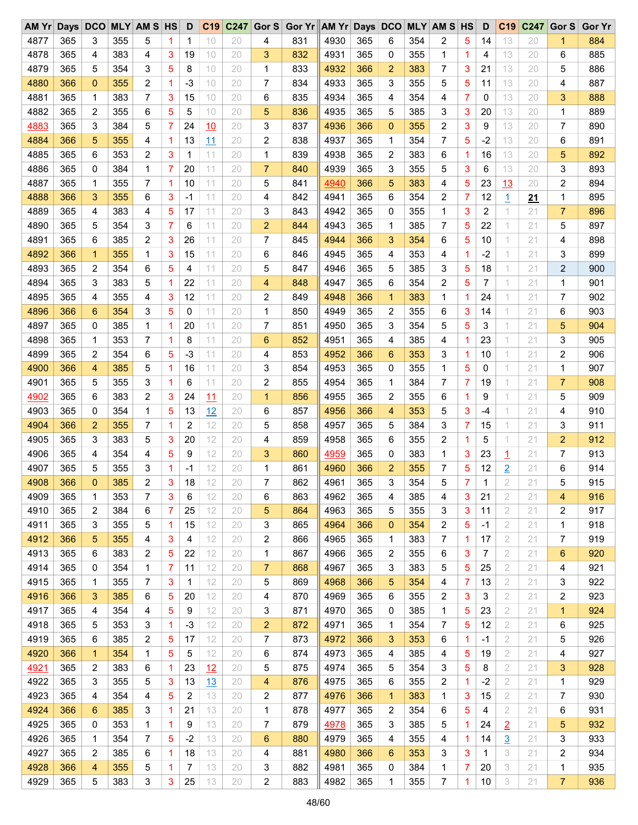| AM Yr | <b>Days</b> | <b>DCO</b>     |     | <b>MLY AM S HS</b> |                | D              | C <sub>19</sub> | C247 | Gor S          | <b>Gor Yr</b> | AM Yr Days DCO |     |                |     | <b>MLY AM S HS</b> |                | D    | C <sub>19</sub> | C247      | Gor S          | <b>Gor Yr</b> |
|-------|-------------|----------------|-----|--------------------|----------------|----------------|-----------------|------|----------------|---------------|----------------|-----|----------------|-----|--------------------|----------------|------|-----------------|-----------|----------------|---------------|
| 4877  | 365         | 3              | 355 | 5                  | 1              | 1              | 10              | 20   | 4              | 831           | 4930           | 365 | 6              | 354 | 2                  | 5              | 14   | 13              | 20        | 1              | 884           |
| 4878  | 365         | 4              | 383 | 4                  | 3              | 19             | 10              | 20   | 3              | 832           | 4931           | 365 | 0              | 355 | 1                  | 1              | 4    | 13              | 20        | 6              | 885           |
| 4879  | 365         | 5              | 354 | 3                  | 5              | 8              | 10              | 20   | 1              | 833           | 4932           | 366 | 2              | 383 | 7                  | 3              | 21   | 13              | 20        | 5              | 886           |
| 4880  | 366         | 0              | 355 | 2                  | -1             | $-3$           | 10              | 20   | 7              | 834           | 4933           | 365 | 3              | 355 | 5                  | 5              | 11   | 13              | 20        | 4              | 887           |
| 4881  | 365         | 1              | 383 | 7                  | 3              | 15             | 10              | 20   | 6              | 835           | 4934           | 365 | 4              | 354 | 4                  | 7              | 0    | 13              | 20        | 3              | 888           |
| 4882  | 365         | 2              | 355 | 6                  | 5              | 5              | 10              | 20   | 5              | 836           | 4935           | 365 | 5              | 385 | 3                  | 3              | 20   | 13              | 20        | 1              | 889           |
| 4883  | 365         | 3              | 384 | 5                  | $\overline{7}$ | 24             | 10              | 20   | 3              | 837           | 4936           | 366 | $\overline{0}$ | 355 | 2                  | 3              | 9    | 13              | 20        | $\overline{7}$ | 890           |
| 4884  | 366         | 5              | 355 | 4                  | 1              | 13             | 11              | 20   | 2              | 838           | 4937           | 365 | 1              | 354 | 7                  | 5              | $-2$ | 13              | 20        | 6              | 891           |
| 4885  | 365         | 6              | 353 | 2                  | 3              | 1              | 11              | 20   | 1              | 839           | 4938           | 365 | 2              | 383 | 6                  | 1              | 16   | 13              | 20        | 5              | 892           |
| 4886  | 365         | 0              | 384 | 1                  | 7              | 20             | 11              | 20   | $\overline{7}$ | 840           | 4939           | 365 | 3              | 355 | 5                  | 3              | 6    | 13              | 20        | 3              | 893           |
| 4887  | 365         | 1              | 355 | 7                  | -1             | 10             | 11              | 20   | 5              | 841           | 4940           | 366 | 5              | 383 | 4                  | 5              | 23   | 13              | 20        | $\overline{c}$ | 894           |
| 4888  | 366         | 3              | 355 | 6                  | 3              | $-1$           | 11              | 20   | 4              | 842           | 4941           | 365 | 6              | 354 | 2                  | 7              | 12   | $\overline{1}$  | <u>21</u> | 1              | 895           |
| 4889  | 365         | 4              | 383 | 4                  | 5              | 17             | 11              | 20   | 3              | 843           | 4942           | 365 | 0              | 355 | 1                  | 3              | 2    | 1               | 21        | 7              | 896           |
| 4890  | 365         | 5              | 354 | 3                  | $\overline{7}$ | 6              | 11              | 20   | 2              | 844           | 4943           | 365 | 1              | 385 | 7                  | 5              | 22   | 1               | 21        | 5              | 897           |
| 4891  | 365         | 6              | 385 | 2                  | 3              | 26             | 11              | 20   | 7              | 845           | 4944           | 366 | 3              | 354 | 6                  | 5              | 10   | 1               | 21        | 4              | 898           |
|       |             |                |     |                    |                |                | 11              |      |                |               |                |     |                |     |                    |                |      | 1               |           |                | 899           |
| 4892  | 366         | $\mathbf 1$    | 355 | 1                  | 3              | 15             |                 | 20   | 6              | 846           | 4945           | 365 | 4              | 353 | 4                  | 1              | $-2$ |                 | 21        | 3              |               |
| 4893  | 365         | 2              | 354 | 6                  | 5              | 4              | 11              | 20   | 5              | 847           | 4946           | 365 | 5              | 385 | 3                  | 5              | 18   | 1               | 21        | $\overline{c}$ | 900           |
| 4894  | 365         | 3              | 383 | 5                  | -1             | 22             | 11              | 20   | 4              | 848           | 4947           | 365 | 6              | 354 | 2                  | 5              | 7    | 1               | 21        | 1              | 901           |
| 4895  | 365         | 4              | 355 | 4                  | 3              | 12             | 11              | 20   | 2              | 849           | 4948           | 366 | 1              | 383 | 1                  | 1              | 24   | 1               | 21        | $\overline{7}$ | 902           |
| 4896  | 366         | 6              | 354 | 3                  | 5              | 0              | 11              | 20   | 1              | 850           | 4949           | 365 | 2              | 355 | 6                  | 3              | 14   | 1               | 21        | 6              | 903           |
| 4897  | 365         | 0              | 385 | 1                  | 1              | 20             | 11              | 20   | 7              | 851           | 4950           | 365 | 3              | 354 | 5                  | 5              | 3    | 1               | 21        | 5              | 904           |
| 4898  | 365         | 1              | 353 | 7                  | 1              | 8              | 11              | 20   | 6              | 852           | 4951           | 365 | 4              | 385 | 4                  | 1              | 23   | 1               | 21        | 3              | 905           |
| 4899  | 365         | 2              | 354 | 6                  | 5              | $-3$           | 11              | 20   | 4              | 853           | 4952           | 366 | 6              | 353 | 3                  | 1              | 10   | 1               | 21        | 2              | 906           |
| 4900  | 366         | 4              | 385 | 5                  | 1              | 16             | 11              | 20   | 3              | 854           | 4953           | 365 | 0              | 355 | $\mathbf 1$        | 5              | 0    | 1               | 21        | $\mathbf{1}$   | 907           |
| 4901  | 365         | 5              | 355 | 3                  | 1              | 6              | 11              | 20   | 2              | 855           | 4954           | 365 | 1              | 384 | 7                  | 7              | 19   | 1               | 21        | $\overline{7}$ | 908           |
| 4902  | 365         | 6              | 383 | 2                  | 3              | 24             | 11              | 20   | 1              | 856           | 4955           | 365 | 2              | 355 | 6                  | 1              | 9    | 1               | 21        | 5              | 909           |
| 4903  | 365         | 0              | 354 | 1                  | 5              | 13             | 12              | 20   | 6              | 857           | 4956           | 366 | 4              | 353 | 5                  | 3              | -4   | 1               | 21        | 4              | 910           |
| 4904  | 366         | $\overline{2}$ | 355 | 7                  | 1              | $\overline{2}$ | 12              | 20   | 5              | 858           | 4957           | 365 | 5              | 384 | 3                  | $\overline{7}$ | 15   | 1               | 21        | 3              | 911           |
| 4905  | 365         | 3              | 383 | 5                  | 3              | 20             | 12              | 20   | 4              | 859           | 4958           | 365 | 6              | 355 | 2                  | 1              | 5    | 1               | 21        | $\overline{a}$ | 912           |
| 4906  | 365         | 4              | 354 | 4                  | 5              | 9              | 12              | 20   | 3              | 860           | 4959           | 365 | 0              | 383 | $\mathbf 1$        | 3              | 23   | 1               | 21        | 7              | 913           |
| 4907  | 365         | 5              | 355 | 3                  | 1              | -1             | 12              | 20   | 1              | 861           | 4960           | 366 | $\overline{2}$ | 355 | 7                  | 5              | 12   | $\overline{2}$  | 21        | 6              | 914           |
| 4908  | 366         | 0              | 385 | 2                  | 3              | 18             | 12              | 20   | 7              | 862           | 4961           | 365 | 3              | 354 | 5                  | 7              | 1    | $\overline{2}$  | 21        | 5              | 915           |
| 4909  | 365         | 1              | 353 | 7                  | 3              | 6              | 12              | 20   | 6              | 863           | 4962           | 365 | 4              | 385 | 4                  | 3              | 21   | 2               | 21        | 4              | 916           |
| 4910  | 365         | 2              | 384 | 6                  | 7              | 25             | 12              | 20   | 5              | 864           | 4963           | 365 | 5              | 355 | 3                  | 3              | 11   | 2               | 21        | 2              | 917           |
| 4911  | 365         | 3              | 355 | 5                  | 1              | 15             | 12              | 20   | 3              | 865           | 4964           | 366 | $\mathbf 0$    | 354 | 2                  | 5              | -1   | 2               | 21        | 1              | 918           |
| 4912  | 366         | 5              | 355 | 4                  | 3              | 4              | 12              | 20   | 2              | 866           | 4965           | 365 | 1              | 383 | 7                  | 1              | 17   | 2               | 21        | 7              | 919           |
| 4913  | 365         | 6              | 383 | 2                  | 5              | 22             | 12              | 20   | 1              | 867           | 4966           | 365 | 2              | 355 | 6                  | 3              | 7    | 2               | 21        | 6              | 920           |
| 4914  | 365         | 0              | 354 | 1                  | 7              | 11             | 12              | 20   | 7              | 868           | 4967           | 365 | 3              | 383 | 5                  | 5              | 25   | 2               | 21        | 4              | 921           |
| 4915  | 365         | 1              | 355 | 7                  | 3              | $\mathbf{1}$   | 12              | 20   | 5              | 869           | 4968           | 366 | 5              | 354 | 4                  | 7              | 13   | 2               | 21        | 3              | 922           |
| 4916  | 366         | 3              | 385 | 6                  | 5              | 20             | 12              | 20   | 4              | 870           | 4969           | 365 | 6              | 355 | 2                  | 3              | 3    | 2               | 21        | 2              | 923           |
| 4917  | 365         | 4              | 354 | 4                  | 5              | 9              | 12              | 20   | 3              | 871           | 4970           | 365 | 0              | 385 | 1                  | 5              | 23   | 2               | 21        | $\mathbf{1}$   | 924           |
| 4918  | 365         | 5              | 353 | 3                  | 1              | $-3$           | 12              | 20   | $\overline{2}$ | 872           | 4971           | 365 | 1              | 354 | 7                  | 5              | 12   | 2               | 21        | 6              | 925           |
| 4919  | 365         | 6              | 385 | 2                  | 5              | 17             | 12              | 20   | 7              | 873           | 4972           | 366 | 3              | 353 | 6                  | 1              | $-1$ | 2               | 21        | 5              | 926           |
| 4920  | 366         |                | 354 |                    | 5              |                | 12              | 20   |                |               | 4973           | 365 |                | 385 |                    |                |      | 2               | 21        |                | 927           |
|       |             | $\mathbf{1}$   |     | 1                  |                | 5              |                 |      | 6              | 874           |                |     | 4              |     | 4                  | 5              | 19   |                 |           | 4              |               |
| 4921  | 365         | 2              | 383 | 6                  | 1              | 23             | 12              | 20   | 5              | 875           | 4974           | 365 | 5              | 354 | 3                  | 5              | 8    | 2               | 21        | 3              | 928           |
| 4922  | 365         | 3              | 355 | 5                  | 3              | 13             | 13              | 20   | 4              | 876           | 4975           | 365 | 6              | 355 | 2                  | 1              | $-2$ | 2               | 21        | 1              | 929           |
| 4923  | 365         | 4              | 354 | 4                  | 5              | 2              | 13              | 20   | 2              | 877           | 4976           | 366 | 1              | 383 | 1                  | 3              | 15   | 2               | 21        | 7              | 930           |
| 4924  | 366         | 6              | 385 | 3                  | 1              | 21             | 13              | 20   | 1              | 878           | 4977           | 365 | 2              | 354 | 6                  | 5              | 4    | 2               | 21        | 6              | 931           |
| 4925  | 365         | 0              | 353 | 1                  | 1              | 9              | 13              | 20   | 7              | 879           | 4978           | 365 | 3              | 385 | 5                  | 1              | 24   | $\overline{2}$  | 21        | 5              | 932           |
| 4926  | 365         | 1              | 354 | 7                  | 5              | $-2$           | 13              | 20   | 6              | 880           | 4979           | 365 | 4              | 355 | 4                  | 1              | 14   | $\overline{3}$  | 21        | 3              | 933           |
| 4927  | 365         | 2              | 385 | 6                  | 1              | 18             | 13              | 20   | 4              | 881           | 4980           | 366 | 6              | 353 | 3                  | 3              | 1    | 3               | 21        | 2              | 934           |
| 4928  | 366         | 4              | 355 | 5                  | 1              | 7              | 13              | 20   | 3              | 882           | 4981           | 365 | 0              | 384 | 1                  | 7              | 20   | 3               | 21        | 1              | 935           |
| 4929  | 365         | 5              | 383 | 3                  | 3              | 25             | 13              | 20   | 2              | 883           | 4982           | 365 | 1              | 355 | 7                  | 1              | 10   | 3               | 21        | 7              | 936           |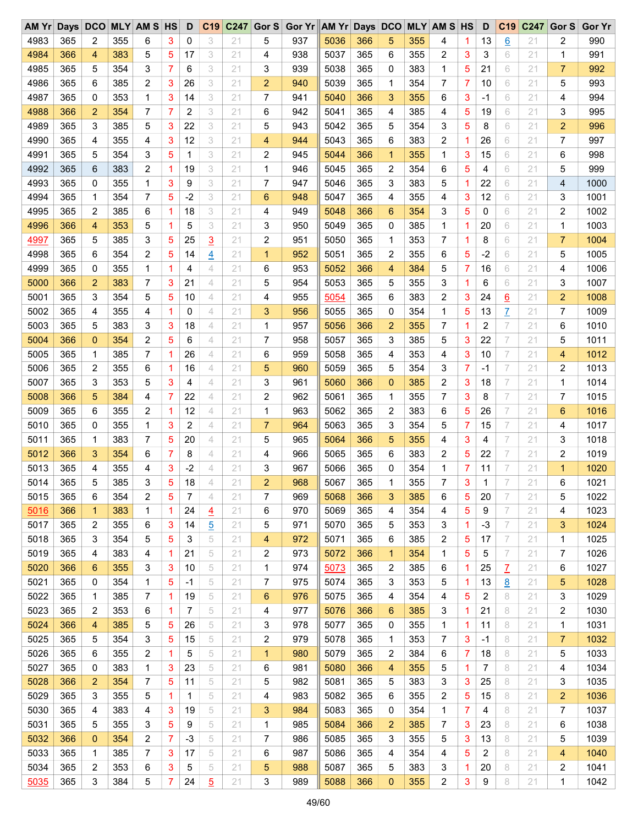| $AM$ $Yr$ | Days | <b>DCO</b> |     | <b>MLY AM S HS</b>      |   | D    | C <sub>19</sub> | C247 | Gor $S$        | Gor Yr AM Yr Days DCO |      |            |                |            | <b>MLY AM S HS</b> |   | D    | C <sub>19</sub> | C247 | Gor S          | <b>Gor Yr</b> |
|-----------|------|------------|-----|-------------------------|---|------|-----------------|------|----------------|-----------------------|------|------------|----------------|------------|--------------------|---|------|-----------------|------|----------------|---------------|
| 4983      | 365  | 2          | 355 | 6                       | 3 | 0    | 3               | 21   | 5              | 937                   | 5036 | 366        | 5              | 355        | 4                  | 1 | 13   | 6               | 21   | 2              | 990           |
| 4984      | 366  | 4          | 383 | 5                       | 5 | 17   | 3               | 21   | 4              | 938                   | 5037 | 365        | 6              | 355        | 2                  | 3 | 3    | 6               | 21   | 1              | 991           |
| 4985      | 365  | 5          | 354 | 3                       | 7 | 6    | 3               | 21   | 3              | 939                   | 5038 | 365        | 0              | 383        | 1                  | 5 | 21   | 6               | 21   | 7              | 992           |
| 4986      | 365  | 6          | 385 | 2                       | 3 | 26   | 3               | 21   | 2              | 940                   | 5039 | 365        | 1              | 354        | 7                  | 7 | 10   | 6               | 21   | 5              | 993           |
| 4987      | 365  | 0          | 353 | 1                       | 3 | 14   | 3               | 21   | 7              | 941                   | 5040 | 366        | 3              | 355        | 6                  | 3 | $-1$ | 6               | 21   | 4              | 994           |
| 4988      | 366  | 2          | 354 | 7                       | 7 | 2    | 3               | 21   | 6              | 942                   | 5041 | 365        | 4              | 385        | 4                  | 5 | 19   | 6               | 21   | 3              | 995           |
| 4989      | 365  | 3          | 385 | 5                       | 3 | 22   | 3               | 21   | 5              | 943                   | 5042 | 365        | 5              | 354        | 3                  | 5 | 8    | 6               | 21   | 2              | 996           |
| 4990      | 365  | 4          | 355 | 4                       | 3 | 12   | 3               | 21   | 4              | 944                   | 5043 | 365        | 6              | 383        | 2                  | 1 | 26   | 6               | 21   | 7              | 997           |
| 4991      | 365  | 5          | 354 | 3                       | 5 | 1    | 3               | 21   | 2              | 945                   | 5044 | 366        | 1              | 355        | 1                  | 3 | 15   | 6               | 21   | 6              | 998           |
| 4992      | 365  | 6          | 383 | 2                       | 1 | 19   | 3               | 21   | 1              | 946                   | 5045 | 365        | 2              | 354        | 6                  | 5 | 4    | 6               | 21   | 5              | 999           |
| 4993      | 365  | 0          | 355 | 1                       | 3 | 9    | 3               | 21   | 7              | 947                   | 5046 | 365        | 3              | 383        | 5                  | 1 | 22   | 6               | 21   | 4              | 1000          |
| 4994      | 365  | 1          | 354 | 7                       | 5 | $-2$ | 3               | 21   | 6              | 948                   | 5047 | 365        | 4              | 355        | 4                  | 3 | 12   | 6               | 21   | 3              | 1001          |
| 4995      | 365  | 2          | 385 | 6                       | 1 | 18   | 3               | 21   | 4              | 949                   | 5048 | 366        | 6              | 354        | 3                  | 5 | 0    | 6               | 21   | 2              | 1002          |
| 4996      | 366  | 4          | 353 | 5                       | 1 | 5    | 3               | 21   | 3              | 950                   | 5049 | 365        | 0              | 385        | 1                  | 1 | 20   | 6               | 21   | 1              | 1003          |
| 4997      | 365  | 5          | 385 | 3                       | 5 | 25   |                 | 21   | 2              | 951                   | 5050 | 365        | 1              | 353        | 7                  | 1 | 8    | 6               | 21   | $\overline{7}$ | 1004          |
|           |      |            |     |                         |   |      | $\overline{3}$  |      |                |                       |      |            |                |            |                    |   |      |                 |      |                |               |
| 4998      | 365  | 6          | 354 | 2                       | 5 | 14   | $\overline{4}$  | 21   | 1              | 952                   | 5051 | 365        | 2              | 355        | 6                  | 5 | $-2$ | 6               | 21   | 5              | 1005          |
| 4999      | 365  | 0          | 355 | 1                       | 1 | 4    | 4               | 21   | 6              | 953                   | 5052 | 366        | 4              | 384        | 5                  | 7 | 16   | 6               | 21   | 4              | 1006          |
| 5000      | 366  | 2          | 383 | 7                       | 3 | 21   | 4               | 21   | 5              | 954                   | 5053 | 365        | 5              | 355        | 3                  | 1 | 6    | 6               | 21   | 3              | 1007          |
| 5001      | 365  | 3          | 354 | 5                       | 5 | 10   | 4               | 21   | 4              | 955                   | 5054 | 365        | 6              | 383        | 2                  | 3 | 24   | <u>6</u>        | 21   | 2              | 1008          |
| 5002      | 365  | 4          | 355 | 4                       | 1 | 0    | 4               | 21   | 3              | 956                   | 5055 | 365        | 0              | 354        | 1                  | 5 | 13   | Z               | 21   | 7              | 1009          |
| 5003      | 365  | 5          | 383 | 3                       | 3 | 18   | 4               | 21   | 1              | 957                   | 5056 | 366        | $\overline{2}$ | 355        | 7                  | 1 | 2    | 7               | 21   | 6              | 1010          |
| 5004      | 366  | 0          | 354 | 2                       | 5 | 6    | 4               | 21   | 7              | 958                   | 5057 | 365        | 3              | 385        | 5                  | 3 | 22   | 7               | 21   | 5              | 1011          |
| 5005      | 365  | 1          | 385 | 7                       | 1 | 26   | 4               | 21   | 6              | 959                   | 5058 | 365        | 4              | 353        | 4                  | 3 | 10   | 7               | 21   | 4              | 1012          |
| 5006      | 365  | 2          | 355 | 6                       | 1 | 16   | 4               | 21   | 5              | 960                   | 5059 | 365        | 5              | 354        | 3                  | 7 | $-1$ | 7               | 21   | 2              | 1013          |
| 5007      | 365  | 3          | 353 | 5                       | 3 | 4    | 4               | 21   | 3              | 961                   | 5060 | 366        | 0              | 385        | 2                  | 3 | 18   | 7               | 21   | 1              | 1014          |
| 5008      | 366  | 5          | 384 | 4                       | 7 | 22   | 4               | 21   | 2              | 962                   | 5061 | 365        | 1              | 355        | 7                  | 3 | 8    | 7               | 21   | 7              | 1015          |
| 5009      | 365  | 6          | 355 | 2                       | 1 | 12   | 4               | 21   | 1              | 963                   | 5062 | 365        | 2              | 383        | 6                  | 5 | 26   | 7               | 21   | 6              | 1016          |
| 5010      | 365  | 0          | 355 | 1                       | 3 | 2    | 4               | 21   | $\overline{7}$ | 964                   | 5063 | 365        | 3              | 354        | 5                  | 7 | 15   | 7               | 21   | 4              | 1017          |
| 5011      | 365  | 1          | 383 | 7                       | 5 | 20   | 4               | 21   | 5              | 965                   | 5064 | 366        | 5              | 355        | 4                  | 3 | 4    | 7               | 21   | 3              | 1018          |
| 5012      | 366  | 3          | 354 | 6                       | 7 | 8    | 4               | 21   | 4              | 966                   | 5065 | 365        | 6              | 383        | 2                  | 5 | 22   | 7               | 21   | 2              | 1019          |
| 5013      | 365  | 4          | 355 | 4                       | 3 | -2   | 4               | 21   | 3              | 967                   | 5066 | 365        | 0              | 354        | 1                  | 7 | 11   | 7               | 21   | $\mathbf{1}$   | 1020          |
| 5014      | 365  | 5          | 385 | 3                       | 5 | 18   | 4               | 21   | $\overline{2}$ | 968                   | 5067 | 365        | 1              | 355        | 7                  | 3 | 1    | 7               | 21   | 6              | 1021          |
| 5015      | 365  | 6          | 354 | 2                       | 5 | 7    | 4               | 21   | 7              | 969                   | 5068 | 366        | 3              | 385        | 6                  | 5 | 20   | 7               | 21   | 5              | 1022          |
| 5016      | 366  | 1          | 383 | 1                       | 1 | 24   | $\overline{4}$  | 21   | 6              | 970                   | 5069 | 365        | 4              | 354        | 4                  | 5 | 9    | 7               | 21   | 4              | 1023          |
| 5017      | 365  | 2          | 355 | 6                       | 3 | 14   | <u>5</u>        | 21   | 5              | 971                   | 5070 | 365        | 5              | 353        | 3                  | 1 | $-3$ | 7               | 21   | 3              | 1024          |
| 5018      | 365  | 3          | 354 | 5                       | 5 | 3    | 5               | 21   | 4              | 972                   | 5071 | 365        | 6              | 385        | 2                  | 5 | 17   | 7               | 21   | 1              | 1025          |
| 5019      | 365  | 4          | 383 | 4                       | 1 | 21   | 5               | 21   | 2              | 973                   | 5072 | 366        | 1              | 354        | 1                  | 5 | 5    | 7               | 21   | 7              | 1026          |
| 5020      | 366  | 6          | 355 | 3                       | 3 | 10   | 5               | 21   | 1              | 974                   | 5073 | 365        | 2              | 385        | 6                  | 1 | 25   | $\overline{L}$  | 21   | 6              | 1027          |
| 5021      | 365  | 0          | 354 | 1                       | 5 | $-1$ | 5               | 21   | 7              | 975                   | 5074 | 365        | 3              | 353        | 5                  | 1 | 13   | <u>8</u>        | 21   | 5              | 1028          |
| 5022      | 365  | 1          | 385 | 7                       | 1 | 19   | 5               | 21   | 6              | 976                   | 5075 | 365        | 4              | 354        | 4                  | 5 | 2    | 8               | 21   | 3              | 1029          |
| 5023      | 365  | 2          | 353 | 6                       | 1 | 7    | 5               | 21   | 4              | 977                   | 5076 | 366        | 6              | 385        | 3                  | 1 | 21   | 8               | 21   | 2              | 1030          |
| 5024      | 366  | 4          | 385 | 5                       | 5 | 26   | 5               | 21   | 3              | 978                   | 5077 | 365        | 0              | 355        | 1                  | 1 | 11   | 8               | 21   | 1              | 1031          |
| 5025      | 365  | 5          | 354 | 3                       | 5 | 15   | 5               | 21   | 2              | 979                   | 5078 | 365        | 1              | 353        | 7                  | 3 | -1   | 8               | 21   | 7              | 1032          |
| 5026      | 365  | 6          | 355 | $\overline{\mathbf{c}}$ | 1 | 5    | 5               | 21   | 1              | 980                   | 5079 | 365        | 2              | 384        | 6                  | 7 | 18   | 8               | 21   | 5              | 1033          |
| 5027      | 365  |            | 383 | 1                       | 3 | 23   | 5               | 21   | 6              | 981                   |      |            | 4              |            | 5                  | 1 | 7    | 8               | 21   | 4              | 1034          |
| 5028      | 366  | 0<br>2     | 354 | 7                       | 5 | 11   | 5               | 21   | 5              | 982                   | 5080 | 366<br>365 |                | 355<br>383 | 3                  | 3 | 25   | 8               | 21   | 3              | 1035          |
|           |      |            |     |                         |   |      |                 |      |                |                       | 5081 |            | 5              |            |                    |   |      |                 |      |                |               |
| 5029      | 365  | 3          | 355 | 5                       | 1 | 1    | 5               | 21   | 4              | 983                   | 5082 | 365        | 6              | 355        | 2                  | 5 | 15   | 8               | 21   | 2              | 1036          |
| 5030      | 365  | 4          | 383 | 4                       | 3 | 19   | 5               | 21   | 3              | 984                   | 5083 | 365        | 0              | 354        | 1                  | 7 | 4    | 8               | 21   | 7              | 1037          |
| 5031      | 365  | 5          | 355 | 3                       | 5 | 9    | 5               | 21   | 1              | 985                   | 5084 | 366        | $\overline{c}$ | 385        | 7                  | 3 | 23   | 8               | 21   | 6              | 1038          |
| 5032      | 366  | 0          | 354 | 2                       | 7 | $-3$ | 5               | 21   | 7              | 986                   | 5085 | 365        | 3              | 355        | 5                  | 3 | 13   | 8               | 21   | 5              | 1039          |
| 5033      | 365  | 1          | 385 | 7                       | 3 | 17   | 5               | 21   | 6              | 987                   | 5086 | 365        | 4              | 354        | 4                  | 5 | 2    | 8               | 21   | 4              | 1040          |
| 5034      | 365  | 2          | 353 | 6                       | 3 | 5    | 5               | 21   | 5              | 988                   | 5087 | 365        | 5              | 383        | 3                  | 1 | 20   | 8               | 21   | 2              | 1041          |
| 5035      | 365  | 3          | 384 | 5                       | 7 | 24   | $\overline{5}$  | 21   | 3              | 989                   | 5088 | 366        | $\mathbf 0$    | 355        | 2                  | 3 | 9    | 8               | 21   | 1              | 1042          |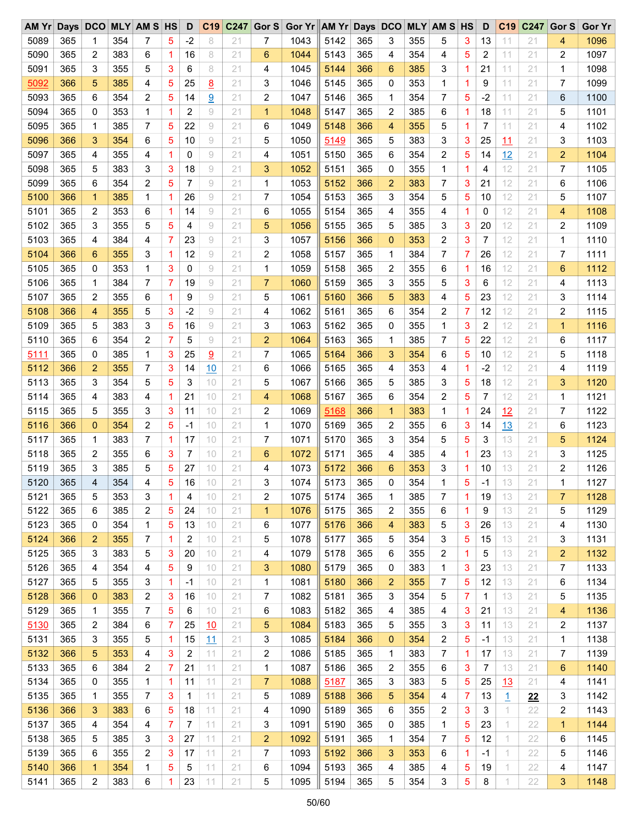| AM Yr Days DCO MLY AM S HS |     |                |     |                |   | D    | C <sub>19</sub> | C <sub>247</sub> | Gor $S$        | Gor Yr AM Yr Days DCO |      |     |                |     | <b>MLY AM S HS</b> |                | D            | C <sub>19</sub> | C247 | Gor S        | <b>Gor Yr</b> |
|----------------------------|-----|----------------|-----|----------------|---|------|-----------------|------------------|----------------|-----------------------|------|-----|----------------|-----|--------------------|----------------|--------------|-----------------|------|--------------|---------------|
| 5089                       | 365 | 1              | 354 | 7              | 5 | $-2$ | 8               | 21               | 7              | 1043                  | 5142 | 365 | 3              | 355 | 5                  | 3              | 13           | 11              | 21   | 4            | 1096          |
| 5090                       | 365 | 2              | 383 | 6              | 1 | 16   | 8               | 21               | 6              | 1044                  | 5143 | 365 | 4              | 354 | 4                  | 5              | 2            | 11              | 21   | 2            | 1097          |
| 5091                       | 365 | 3              | 355 | 5              | 3 | 6    | 8               | 21               | 4              | 1045                  | 5144 | 366 | 6              | 385 | 3                  | 1.             | 21           | 11              | 21   | 1            | 1098          |
| 5092                       | 366 | 5              | 385 | 4              | 5 | 25   | 8               | 21               | 3              | 1046                  | 5145 | 365 | 0              | 353 | 1                  | 1              | 9            | 11              | 21   | 7            | 1099          |
| 5093                       | 365 | 6              | 354 | $\overline{c}$ | 5 | 14   | 9               | 21               | 2              | 1047                  | 5146 | 365 | 1              | 354 | 7                  | 5              | $-2$         | 11              | 21   | 6            | 1100          |
| 5094                       | 365 | 0              | 353 | 1              | 1 | 2    | 9               | 21               | $\mathbf{1}$   | 1048                  | 5147 | 365 | 2              | 385 | 6                  | $\mathbf{1}$   | 18           | 11              | 21   | 5            | 1101          |
| 5095                       | 365 | 1              | 385 | $\overline{7}$ | 5 | 22   | $\rm{g}$        | 21               | 6              | 1049                  | 5148 | 366 | 4              | 355 | 5                  | 1              | 7            | 11              | 21   | 4            | 1102          |
| 5096                       | 366 | 3              | 354 | 6              | 5 | 10   | 9               | 21               | 5              | 1050                  | 5149 | 365 | 5              | 383 | 3                  | 3              | 25           | 11              | 21   | 3            | 1103          |
| 5097                       | 365 | 4              | 355 | 4              | 1 | 0    | 9               | 21               | 4              | 1051                  | 5150 | 365 | 6              | 354 | 2                  | 5              | 14           | 12              | 21   | 2            | 1104          |
| 5098                       | 365 | 5              | 383 | 3              | 3 | 18   | $\rm 9$         | 21               | 3              | 1052                  | 5151 | 365 | 0              | 355 | 1                  | 1              | 4            | 12              | 21   | 7            | 1105          |
| 5099                       | 365 | 6              | 354 | $\overline{c}$ | 5 | 7    | 9               | 21               | 1              | 1053                  | 5152 | 366 | $\overline{2}$ | 383 | 7                  | 3              | 21           | 12              | 21   | 6            | 1106          |
| 5100                       | 366 | 1              | 385 | 1              | 1 | 26   | 9               | 21               | $\overline{7}$ | 1054                  | 5153 | 365 | 3              | 354 | 5                  | 5              | 10           | 12              | 21   | 5            | 1107          |
| 5101                       | 365 | 2              | 353 | 6              | 1 | 14   | $\rm 9$         | 21               | 6              | 1055                  | 5154 | 365 | 4              | 355 | 4                  | 1              | 0            | 12              | 21   | 4            | 1108          |
| 5102                       | 365 | 3              | 355 | 5              | 5 | 4    | $\rm{g}$        | 21               | 5              | 1056                  | 5155 | 365 | 5              | 385 | 3                  | 3              | 20           | 12              | 21   | 2            | 1109          |
| 5103                       | 365 | 4              | 384 | 4              | 7 | 23   | 9               | 21               | 3              | 1057                  | 5156 | 366 | $\mathbf{0}$   | 353 | 2                  | 3              | 7            | 12              | 21   | 1            | 1110          |
| 5104                       | 366 | 6              | 355 | 3              | 1 | 12   | 9               | 21               | 2              | 1058                  | 5157 | 365 | 1              | 384 | 7                  | 7              | 26           | 12              | 21   | 7            | 1111          |
| 5105                       | 365 | 0              | 353 | 1              | 3 | 0    | 9               | 21               | $\mathbf 1$    | 1059                  | 5158 | 365 | $\overline{c}$ | 355 | 6                  | 1              | 16           | 12              | 21   | 6            | 1112          |
|                            |     |                |     | 7              | 7 | 19   |                 |                  |                |                       | 5159 | 365 |                |     |                    |                |              | 12              |      |              |               |
| 5106                       | 365 | 1              | 384 |                |   |      | 9               | 21               | $\overline{7}$ | 1060                  |      |     | 3              | 355 | 5                  | 3              | 6            |                 | 21   | 4            | 1113          |
| 5107                       | 365 | 2              | 355 | 6              | 1 | 9    | $\rm{g}$        | 21               | 5              | 1061                  | 5160 | 366 | 5              | 383 | 4                  | 5              | 23           | 12              | 21   | 3            | 1114          |
| 5108                       | 366 | 4              | 355 | 5              | 3 | $-2$ | 9               | 21               | 4              | 1062                  | 5161 | 365 | 6              | 354 | 2                  | 7              | 12           | 12              | 21   | 2            | 1115          |
| 5109                       | 365 | 5              | 383 | 3              | 5 | 16   | $\rm 9$         | 21               | 3              | 1063                  | 5162 | 365 | 0              | 355 | $\mathbf{1}$       | 3              | 2            | 12              | 21   | 1            | 1116          |
| 5110                       | 365 | 6              | 354 | 2              | 7 | 5    | 9               | 21               | $\overline{2}$ | 1064                  | 5163 | 365 | 1              | 385 | 7                  | 5              | 22           | 12              | 21   | 6            | 1117          |
| 5111                       | 365 | 0              | 385 | 1              | 3 | 25   | 9               | 21               | 7              | 1065                  | 5164 | 366 | 3              | 354 | 6                  | 5              | 10           | 12              | 21   | 5            | 1118          |
| 5112                       | 366 | $\overline{2}$ | 355 | 7              | 3 | 14   | 10              | 21               | 6              | 1066                  | 5165 | 365 | 4              | 353 | 4                  | $\mathbf{1}$   | $-2$         | 12              | 21   | 4            | 1119          |
| 5113                       | 365 | 3              | 354 | 5              | 5 | 3    | 10              | 21               | 5              | 1067                  | 5166 | 365 | 5              | 385 | 3                  | 5              | 18           | 12              | 21   | 3            | 1120          |
| 5114                       | 365 | 4              | 383 | 4              | 1 | 21   | 10              | 21               | 4              | 1068                  | 5167 | 365 | 6              | 354 | 2                  | 5              | 7            | 12              | 21   | 1            | 1121          |
| 5115                       | 365 | 5              | 355 | 3              | 3 | 11   | 10              | 21               | 2              | 1069                  | 5168 | 366 | $\mathbf{1}$   | 383 | 1                  | $\mathbf{1}$   | 24           | 12              | 21   | 7            | 1122          |
| 5116                       | 366 | $\mathbf{0}$   | 354 | $\overline{c}$ | 5 | $-1$ | 10              | 21               | $\mathbf 1$    | 1070                  | 5169 | 365 | 2              | 355 | 6                  | 3              | 14           | 13              | 21   | 6            | 1123          |
| 5117                       | 365 | 1              | 383 | $\overline{7}$ | 1 | 17   | 10              | 21               | 7              | 1071                  | 5170 | 365 | 3              | 354 | 5                  | 5              | 3            | 13              | 21   | 5            | 1124          |
| 5118                       | 365 | 2              | 355 | 6              | 3 | 7    | 10              | 21               | 6              | 1072                  | 5171 | 365 | 4              | 385 | 4                  | $\mathbf{1}$   | 23           | 13              | 21   | 3            | 1125          |
| 5119                       | 365 | 3              | 385 | 5              | 5 | 27   | 10              | 21               | 4              | 1073                  | 5172 | 366 | 6              | 353 | 3                  | 1              | 10           | 13              | 21   | 2            | 1126          |
| 5120                       | 365 | 4              | 354 | 4              | 5 | 16   | 10              | 21               | 3              | 1074                  | 5173 | 365 | $\Omega$       | 354 | 1                  | 5              | $-1$         | 13              | 21   | 1            | 1127          |
| 5121                       | 365 | 5              | 353 | 3              | 1 | 4    | 10              | 21               | 2              | 1075                  | 5174 | 365 | 1              | 385 | 7                  | $\overline{1}$ | 19           | 13              | 21   | 7            | 1128          |
| 5122                       | 365 | 6              | 385 | 2              | 5 | 24   | 10              | 21               | $\mathbf{1}$   | 1076                  | 5175 | 365 | 2              | 355 | 6                  | $\mathbf{1}$   | 9            | 13              | 21   | 5            | 1129          |
| 5123                       | 365 | 0              | 354 | $\mathbf 1$    | 5 | 13   | 10              | 21               | 6              | 1077                  | 5176 | 366 | 4              | 383 | 5                  | 3              | 26           | 13              | 21   | 4            | 1130          |
| 5124                       | 366 | 2              | 355 | 7              | 1 | 2    | 10              | 21               | 5              | 1078                  | 5177 | 365 | 5              | 354 | 3                  | 5              | 15           | 13              | 21   | 3            | 1131          |
| 5125                       | 365 | 3              | 383 | 5              | 3 | 20   | 10              | 21               | 4              | 1079                  | 5178 | 365 | 6              | 355 | 2                  | $\mathbf{1}$   | 5            | 13              | 21   | 2            | 1132          |
| 5126                       | 365 | 4              | 354 | 4              | 5 | 9    | 10              | 21               | 3              | 1080                  | 5179 | 365 | 0              | 383 | 1                  | 3              | 23           | 13              | 21   | 7            | 1133          |
| 5127                       | 365 | 5              | 355 | 3              | 1 | $-1$ | 10              | 21               | $\mathbf 1$    | 1081                  | 5180 | 366 | 2              | 355 | 7                  | 5              | 12           | 13              | 21   | 6            | 1134          |
| 5128                       | 366 | $\mathbf{0}$   | 383 | 2              | 3 | 16   | 10              | 21               | 7              | 1082                  | 5181 | 365 | 3              | 354 | 5                  | 7              | $\mathbf{1}$ | 13              | 21   | 5            | 1135          |
| 5129                       | 365 | 1              | 355 | 7              | 5 | 6    | 10              | 21               | 6              | 1083                  | 5182 | 365 | 4              | 385 | 4                  | 3              | 21           | 13              | 21   | 4            | 1136          |
| 5130                       | 365 | 2              | 384 | 6              | 7 | 25   | 10              | 21               | 5              | 1084                  | 5183 | 365 | 5              | 355 | 3                  | 3              | 11           | 13              | 21   | 2            | 1137          |
| 5131                       | 365 | 3              | 355 | 5              | 1 | 15   | <u> 11</u>      | 21               | 3              | 1085                  | 5184 | 366 | 0              | 354 | 2                  | 5              | -1           | 13              | 21   | 1            | 1138          |
| 5132                       | 366 | 5              | 353 | 4              | 3 | 2    | 11              | 21               | 2              | 1086                  | 5185 | 365 | 1              | 383 | 7                  | 1              | 17           | 13              | 21   | 7            | 1139          |
| 5133                       | 365 | 6              | 384 | 2              | 7 | 21   | 11              | 21               | 1              | 1087                  | 5186 | 365 | 2              | 355 | 6                  | 3              | 7            | 13              | 21   | 6            | 1140          |
| 5134                       | 365 | 0              | 355 | 1              | 1 | 11   | 11              | 21               | 7              | 1088                  | 5187 | 365 | 3              | 383 | 5                  | 5              | 25           | 13              | 21   | 4            | 1141          |
| 5135                       | 365 | 1              | 355 | 7              | 3 | 1    | 11              | 21               | 5              | 1089                  | 5188 | 366 | 5              | 354 | 4                  | 7              | 13           | $\overline{1}$  | 22   | 3            | 1142          |
| 5136                       | 366 | 3              | 383 | 6              | 5 | 18   | 11              | 21               | 4              | 1090                  | 5189 | 365 | 6              | 355 | 2                  | 3              | 3            | 1.              | 22   | 2            | 1143          |
| 5137                       | 365 | 4              | 354 | 4              | 7 | 7    | 11              | 21               | 3              | 1091                  | 5190 | 365 | 0              | 385 | 1                  | 5              | 23           | 1               | 22   | $\mathbf{1}$ | 1144          |
| 5138                       | 365 | 5              | 385 | 3              | 3 | 27   | 11              | 21               | 2              | 1092                  | 5191 | 365 | 1              | 354 | 7                  | 5              | 12           | 1               | 22   | 6            | 1145          |
| 5139                       | 365 | 6              | 355 | 2              | 3 | 17   | 11              | 21               | 7              | 1093                  | 5192 | 366 | 3              | 353 | 6                  | 1              | -1           | 1.              | 22   | 5            | 1146          |
| 5140                       | 366 | $\mathbf{1}$   | 354 | 1              | 5 | 5    | 11              | 21               | 6              | 1094                  | 5193 | 365 | 4              | 385 | 4                  | 5              | 19           | 1               | 22   | 4            | 1147          |
| 5141                       | 365 | 2              | 383 | 6              | 1 | 23   | 11              | 21               | 5              | 1095                  | 5194 | 365 | 5              | 354 | 3                  | 5              | 8            | 1               | 22   | 3            | 1148          |
|                            |     |                |     |                |   |      |                 |                  |                |                       |      |     |                |     |                    |                |              |                 |      |              |               |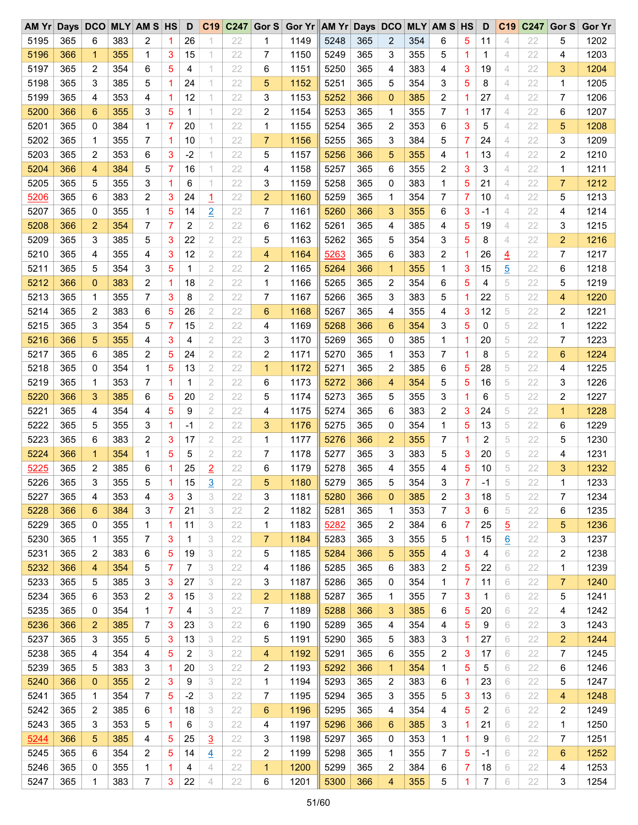| AM Yr Days DCO MLY AM S HS |     |                |     |                |   | D    | C <sub>19</sub> |    |                | C247 Gor S Gor Yr AM Yr Days DCO |      |     |                         |     | <b>MLY AM S HS</b> |                | D            | C <sub>19</sub> | C247 | Gor S       | <b>Gor Yr</b> |
|----------------------------|-----|----------------|-----|----------------|---|------|-----------------|----|----------------|----------------------------------|------|-----|-------------------------|-----|--------------------|----------------|--------------|-----------------|------|-------------|---------------|
| 5195                       | 365 | 6              | 383 | 2              | 1 | 26   |                 | 22 | 1              | 1149                             | 5248 | 365 | $\overline{2}$          | 354 | 6                  | 5              | 11           | 4               | 22   | 5           | 1202          |
| 5196                       | 366 | $\mathbf{1}$   | 355 | 1              | 3 | 15   | 1               | 22 | 7              | 1150                             | 5249 | 365 | 3                       | 355 | 5                  | 1              | 1            | 4               | 22   | 4           | 1203          |
| 5197                       | 365 | 2              | 354 | 6              | 5 | 4    | 1               | 22 | 6              | 1151                             | 5250 | 365 | 4                       | 383 | 4                  | 3              | 19           | 4               | 22   | 3           | 1204          |
| 5198                       | 365 | 3              | 385 | 5              | 1 | 24   | 1               | 22 | 5              | 1152                             | 5251 | 365 | 5                       | 354 | 3                  | 5              | 8            | 4               | 22   | 1           | 1205          |
| 5199                       | 365 | 4              | 353 | 4              | 1 | 12   | 1               | 22 | 3              | 1153                             | 5252 | 366 | $\mathbf{0}$            | 385 | 2                  | 1              | 27           | 4               | 22   | 7           | 1206          |
| 5200                       | 366 | 6              | 355 | 3              | 5 | 1    | 1               | 22 | 2              | 1154                             | 5253 | 365 | 1                       | 355 | 7                  | 1              | 17           | 4               | 22   | 6           | 1207          |
| 5201                       | 365 | 0              | 384 | 1              | 7 | 20   | 1               | 22 | 1              | 1155                             | 5254 | 365 | $\overline{\mathbf{c}}$ | 353 | 6                  | 3              | 5            | 4               | 22   | 5           | 1208          |
| 5202                       | 365 | 1              | 355 | $\overline{7}$ | 1 | 10   | 1               | 22 | $\overline{7}$ | 1156                             | 5255 | 365 | 3                       | 384 | 5                  | 7              | 24           | 4               | 22   | 3           | 1209          |
| 5203                       | 365 | 2              | 353 | 6              | 3 | $-2$ | 1               | 22 | 5              | 1157                             | 5256 | 366 | 5                       | 355 | 4                  | 1              | 13           | 4               | 22   | 2           | 1210          |
| 5204                       | 366 | 4              | 384 | 5              | 7 | 16   | 1               | 22 | 4              | 1158                             | 5257 | 365 | 6                       | 355 | 2                  | 3              | 3            | 4               | 22   | 1           | 1211          |
| 5205                       | 365 | 5              | 355 | 3              | 1 | 6    | 1               | 22 | 3              | 1159                             | 5258 | 365 | 0                       | 383 | 1                  | 5              | 21           | 4               | 22   | 7           | 1212          |
| 5206                       | 365 | 6              | 383 | $\overline{c}$ | 3 | 24   | $\overline{1}$  | 22 | $\overline{2}$ | 1160                             | 5259 | 365 | 1                       | 354 | 7                  | 7              | 10           | $\overline{4}$  | 22   | 5           | 1213          |
| 5207                       | 365 | 0              | 355 | 1              | 5 | 14   | $\overline{2}$  | 22 | 7              | 1161                             | 5260 | 366 | 3                       | 355 | 6                  | 3              | -1           | 4               | 22   | 4           | 1214          |
| 5208                       | 366 | $\overline{2}$ | 354 | 7              | 7 | 2    | $\overline{2}$  | 22 | 6              | 1162                             | 5261 | 365 | 4                       | 385 | 4                  | 5              | 19           | 4               | 22   | 3           | 1215          |
| 5209                       | 365 | 3              | 385 | 5              | 3 | 22   | 2               | 22 | 5              | 1163                             | 5262 | 365 | 5                       | 354 | 3                  | 5              | 8            | 4               | 22   | 2           | 1216          |
| 5210                       | 365 | 4              | 355 | 4              | 3 | 12   | 2               | 22 | 4              | 1164                             | 5263 | 365 | 6                       | 383 | 2                  | 1              | 26           |                 | 22   | 7           | 1217          |
| 5211                       | 365 | 5              | 354 | 3              | 5 | 1    | 2               | 22 | 2              | 1165                             | 5264 | 366 | $\mathbf{1}$            | 355 | 1                  | 3              | 15           | $\overline{4}$  | 22   | 6           | 1218          |
|                            |     |                |     |                |   |      |                 |    |                |                                  |      |     |                         |     |                    |                |              | 5               |      |             |               |
| 5212                       | 366 | $\mathbf{0}$   | 383 | 2              | 1 | 18   | $\mathbf{2}$    | 22 | 1              | 1166                             | 5265 | 365 | $\overline{c}$          | 354 | 6                  | 5              | 4            | 5               | 22   | 5           | 1219          |
| 5213                       | 365 | 1              | 355 | $\overline{7}$ | 3 | 8    | $\mathbf{2}$    | 22 | 7              | 1167                             | 5266 | 365 | 3                       | 383 | 5                  | 1              | 22           | 5               | 22   | 4           | 1220          |
| 5214                       | 365 | 2              | 383 | 6              | 5 | 26   | 2               | 22 | 6              | 1168                             | 5267 | 365 | 4                       | 355 | 4                  | 3              | 12           | 5               | 22   | 2           | 1221          |
| 5215                       | 365 | 3              | 354 | 5              | 7 | 15   | 2               | 22 | 4              | 1169                             | 5268 | 366 | 6                       | 354 | 3                  | 5              | 0            | 5               | 22   | 1           | 1222          |
| 5216                       | 366 | 5              | 355 | 4              | 3 | 4    | $\mathbf{2}$    | 22 | 3              | 1170                             | 5269 | 365 | 0                       | 385 | 1                  | 1              | 20           | 5               | 22   | 7           | 1223          |
| 5217                       | 365 | 6              | 385 | 2              | 5 | 24   | 2               | 22 | 2              | 1171                             | 5270 | 365 | $\mathbf 1$             | 353 | 7                  | 1              | 8            | 5               | 22   | 6           | 1224          |
| 5218                       | 365 | 0              | 354 | 1              | 5 | 13   | 2               | 22 | $\mathbf{1}$   | 1172                             | 5271 | 365 | 2                       | 385 | 6                  | 5              | 28           | 5               | 22   | 4           | 1225          |
| 5219                       | 365 | 1              | 353 | 7              | 1 | 1    | $\mathbf{2}$    | 22 | 6              | 1173                             | 5272 | 366 | 4                       | 354 | 5                  | 5              | 16           | 5               | 22   | 3           | 1226          |
| 5220                       | 366 | 3              | 385 | 6              | 5 | 20   | $\mathbf{2}$    | 22 | 5              | 1174                             | 5273 | 365 | 5                       | 355 | 3                  | 1              | 6            | 5               | 22   | 2           | 1227          |
| 5221                       | 365 | 4              | 354 | 4              | 5 | 9    | $\mathbf{2}$    | 22 | 4              | 1175                             | 5274 | 365 | 6                       | 383 | 2                  | 3              | 24           | 5               | 22   | $\mathbf 1$ | 1228          |
| 5222                       | 365 | 5              | 355 | 3              | 1 | $-1$ | $\mathbf{2}$    | 22 | 3              | 1176                             | 5275 | 365 | 0                       | 354 | 1                  | 5              | 13           | 5               | 22   | 6           | 1229          |
| 5223                       | 365 | 6              | 383 | 2              | 3 | 17   | 2               | 22 | 1              | 1177                             | 5276 | 366 | $\overline{2}$          | 355 | 7                  | 1              | 2            | 5               | 22   | 5           | 1230          |
| 5224                       | 366 | $\mathbf{1}$   | 354 | 1              | 5 | 5    | 2               | 22 | 7              | 1178                             | 5277 | 365 | 3                       | 383 | 5                  | 3              | 20           | 5               | 22   | 4           | 1231          |
| 5225                       | 365 | 2              | 385 | 6              | 1 | 25   | $\overline{2}$  | 22 | 6              | 1179                             | 5278 | 365 | 4                       | 355 | 4                  | 5              | 10           | 5               | 22   | 3           | 1232          |
| 5226                       | 365 | 3              | 355 | 5              | 1 | 15   | 3               | 22 | 5              | 1180                             | 5279 | 365 | 5                       | 354 | 3                  | $\overline{7}$ | $-1$         | 5               | 22   | 1           | 1233          |
| 5227                       | 365 | 4              | 353 | 4              | 3 | 3    | 3               | 22 | 3              | 1181                             | 5280 | 366 | 0                       | 385 | 2                  | 3              | 18           | 5               | 22   | 7           | 1234          |
| 5228                       | 366 | 6              | 384 | 3              | 7 | 21   | 3               | 22 | 2              | 1182                             | 5281 | 365 | 1                       | 353 | 7                  | 3              | 6            | 5               | 22   | 6           | 1235          |
| 5229                       | 365 | 0              | 355 | 1              | 1 | 11   | 3               | 22 | 1              | 1183                             | 5282 | 365 | 2                       | 384 | 6                  | 7              | 25           | $\overline{5}$  | 22   | 5           | 1236          |
| 5230                       | 365 | 1              | 355 | 7              | 3 | 1    | 3               | 22 | 7              | 1184                             | 5283 | 365 | 3                       | 355 | 5                  | 1              | 15           | $\underline{6}$ | 22   | 3           | 1237          |
| 5231                       | 365 | 2              | 383 | 6              | 5 | 19   | 3               | 22 | 5              | 1185                             | 5284 | 366 | 5                       | 355 | 4                  | 3              | 4            | 6               | 22   | 2           | 1238          |
| 5232                       | 366 | 4              | 354 | 5              | 7 | 7    | 3               | 22 | 4              | 1186                             | 5285 | 365 | 6                       | 383 | 2                  | 5              | 22           | 6               | 22   | 1           | 1239          |
| 5233                       | 365 | 5              | 385 | 3              | 3 | 27   | 3               | 22 | 3              | 1187                             | 5286 | 365 | 0                       | 354 | 1                  | 7              | 11           | 6               | 22   | 7           | 1240          |
| 5234                       | 365 | 6              | 353 | 2              | 3 | 15   | 3               | 22 | 2              | 1188                             | 5287 | 365 | 1                       | 355 | 7                  | 3              | $\mathbf{1}$ | 6               | 22   | 5           | 1241          |
| 5235                       | 365 | 0              | 354 | 1              | 7 | 4    | 3               | 22 | 7              | 1189                             | 5288 | 366 | 3                       | 385 | 6                  | 5              | 20           | 6               | 22   | 4           | 1242          |
| 5236                       | 366 | $\overline{2}$ | 385 | 7              | 3 | 23   | 3               | 22 | 6              | 1190                             | 5289 | 365 | 4                       | 354 | 4                  | 5              | 9            | 6               | 22   | 3           | 1243          |
| 5237                       | 365 | 3              | 355 | 5              | 3 | 13   | 3               | 22 | 5              | 1191                             | 5290 | 365 | 5                       | 383 | 3                  | 1              | 27           | 6               | 22   | 2           | 1244          |
| 5238                       | 365 | 4              | 354 | 4              | 5 | 2    | 3               | 22 | 4              | 1192                             | 5291 | 365 | 6                       | 355 | 2                  | 3              | 17           | 6               | 22   | 7           | 1245          |
| 5239                       | 365 | 5              | 383 | 3              | 1 | 20   | 3               | 22 | 2              | 1193                             | 5292 | 366 | $\mathbf{1}$            | 354 | 1                  | 5              | 5            | 6               | 22   | 6           | 1246          |
| 5240                       | 366 | $\mathbf 0$    | 355 | 2              | 3 | 9    | 3               | 22 | 1              | 1194                             | 5293 | 365 | 2                       | 383 | 6                  | 1              | 23           | 6               | 22   | 5           | 1247          |
| 5241                       | 365 | 1              | 354 | 7              | 5 | $-2$ | 3               | 22 | 7              | 1195                             | 5294 | 365 | 3                       | 355 | 5                  | 3              | 13           | 6               | 22   | 4           | 1248          |
| 5242                       | 365 | 2              | 385 | 6              | 1 | 18   | 3               | 22 | 6              | 1196                             | 5295 | 365 | 4                       | 354 | 4                  | 5              | 2            | 6               | 22   | 2           | 1249          |
| 5243                       | 365 | 3              | 353 | 5              | 1 | 6    | 3               | 22 | 4              | 1197                             | 5296 | 366 | 6                       | 385 | 3                  | $\mathbf 1$    | 21           | 6               | 22   | 1           | 1250          |
| 5244                       | 366 | 5              | 385 | 4              | 5 | 25   |                 | 22 | 3              | 1198                             | 5297 | 365 | 0                       | 353 | 1                  | 1              | 9            | 6               | 22   | 7           | 1251          |
| 5245                       | 365 |                | 354 |                |   | 14   | $\overline{3}$  | 22 |                | 1199                             |      | 365 |                         | 355 |                    |                |              | 6               | 22   |             | 1252          |
|                            |     | 6              |     | 2              | 5 |      | $\overline{4}$  |    | 2              |                                  | 5298 |     | 1                       |     | 7                  | 5              | -1           |                 |      | 6           |               |
| 5246                       | 365 | 0              | 355 | 1              | 1 | 4    | 4               | 22 | $\mathbf{1}$   | 1200                             | 5299 | 365 | 2                       | 384 | 6                  | 7              | 18           | 6               | 22   | 4           | 1253          |
| 5247                       | 365 | 1              | 383 | 7              | 3 | 22   | 4               | 22 | 6              | 1201                             | 5300 | 366 | 4                       | 355 | 5                  | 1              | 7            | 6               | 22   | 3           | 1254          |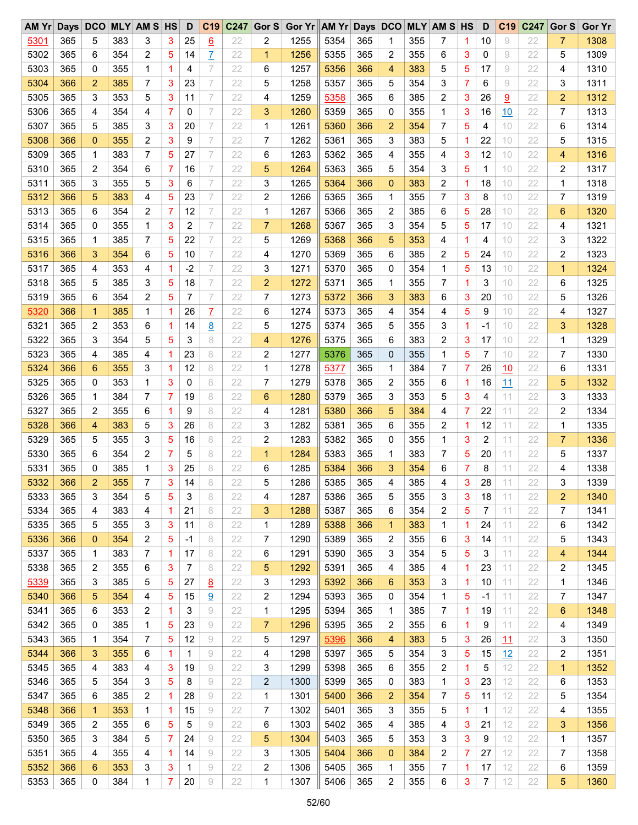| AM Yr Days DCO MLY AM S HS |     |                |     |   |   | D    | C <sub>19</sub> | C247 | Gor S          | Gor Yr AM Yr Days DCO MLY AM S HS |      |     |                |     |              |   | D            | C <sub>19</sub> | C247 | Gor S          | <b>Gor Yr</b> |
|----------------------------|-----|----------------|-----|---|---|------|-----------------|------|----------------|-----------------------------------|------|-----|----------------|-----|--------------|---|--------------|-----------------|------|----------------|---------------|
| 5301                       | 365 | 5              | 383 | 3 | 3 | 25   | 6               | 22   | 2              | 1255                              | 5354 | 365 | 1              | 355 | 7            | 1 | 10           | 9               | 22   | $\overline{7}$ | 1308          |
| 5302                       | 365 | 6              | 354 | 2 | 5 | 14   | Z               | 22   | 1              | 1256                              | 5355 | 365 | 2              | 355 | 6            | 3 | 0            | 9               | 22   | 5              | 1309          |
| 5303                       | 365 | 0              | 355 | 1 | 1 | 4    | 7               | 22   | 6              | 1257                              | 5356 | 366 | 4              | 383 | 5            | 5 | 17           | 9               | 22   | 4              | 1310          |
| 5304                       | 366 | 2              | 385 | 7 | 3 | 23   | 7               | 22   | 5              | 1258                              | 5357 | 365 | 5              | 354 | 3            | 7 | 6            | 9               | 22   | 3              | 1311          |
| 5305                       | 365 | 3              | 353 | 5 | 3 | 11   | 7               | 22   | 4              | 1259                              | 5358 | 365 | 6              | 385 | 2            | 3 | 26           | 9               | 22   | $\overline{2}$ | 1312          |
| 5306                       | 365 | 4              | 354 | 4 | 7 | 0    | 7               | 22   | 3              | 1260                              | 5359 | 365 | 0              | 355 | 1            | 3 | 16           | 10              | 22   | 7              | 1313          |
| 5307                       | 365 | 5              | 385 | 3 | 3 | 20   | $\overline{ }$  | 22   | 1              | 1261                              | 5360 | 366 | $\overline{2}$ | 354 | 7            | 5 | 4            | 10              | 22   | 6              | 1314          |
| 5308                       | 366 | 0              | 355 | 2 | 3 | 9    | 7               | 22   | 7              | 1262                              | 5361 | 365 | 3              | 383 | 5            | 1 | 22           | 10              | 22   | 5              | 1315          |
| 5309                       | 365 | 1              | 383 | 7 | 5 | 27   | 7               | 22   | 6              | 1263                              | 5362 | 365 | 4              | 355 | 4            | 3 | 12           | 10              | 22   | 4              | 1316          |
| 5310                       | 365 | 2              | 354 | 6 | 7 | 16   | 7               | 22   | 5              | 1264                              | 5363 | 365 | 5              | 354 | 3            | 5 | $\mathbf{1}$ | 10              | 22   | 2              | 1317          |
| 5311                       | 365 | 3              | 355 | 5 | 3 | 6    | 7               | 22   | 3              | 1265                              | 5364 | 366 | $\mathbf 0$    | 383 | 2            | 1 | 18           | 10              | 22   | 1              | 1318          |
| 5312                       | 366 | 5              | 383 | 4 | 5 | 23   | 7               | 22   | 2              | 1266                              | 5365 | 365 | 1              | 355 | 7            | 3 | 8            | 10              | 22   | 7              | 1319          |
| 5313                       | 365 | 6              | 354 | 2 | 7 | 12   | 7               | 22   | 1              | 1267                              | 5366 | 365 | 2              | 385 | 6            | 5 | 28           | 10              | 22   | 6              | 1320          |
| 5314                       | 365 | 0              | 355 | 1 | 3 | 2    | $\overline{ }$  | 22   | $\overline{7}$ | 1268                              | 5367 | 365 | 3              | 354 | 5            | 5 | 17           | 10              | 22   | 4              | 1321          |
| 5315                       | 365 | 1              | 385 | 7 | 5 | 22   | 7               | 22   | 5              | 1269                              | 5368 | 366 | 5              | 353 | 4            | 1 | 4            | 10              | 22   | 3              | 1322          |
| 5316                       | 366 | 3              | 354 | 6 | 5 | 10   | 7               | 22   | 4              | 1270                              | 5369 | 365 | 6              | 385 | 2            | 5 | 24           | 10              | 22   | 2              | 1323          |
| 5317                       | 365 | 4              | 353 | 4 | 1 | $-2$ | 7               | 22   | 3              | 1271                              | 5370 | 365 | 0              | 354 | $\mathbf{1}$ | 5 | 13           | 10              | 22   | $\mathbf{1}$   | 1324          |
| 5318                       | 365 | 5              | 385 | 3 | 5 | 18   | 7               | 22   | $\overline{2}$ | 1272                              | 5371 | 365 | 1              | 355 | 7            | 1 | 3            | 10              | 22   | 6              | 1325          |
| 5319                       | 365 | 6              | 354 | 2 | 5 | 7    | 7               | 22   | 7              | 1273                              | 5372 | 366 | 3              | 383 | 6            | 3 | 20           | 10              | 22   | 5              | 1326          |
| 5320                       | 366 | $\mathbf{1}$   | 385 | 1 | 1 | 26   | $\mathbf{Z}$    | 22   | 6              | 1274                              | 5373 | 365 | 4              | 354 | 4            | 5 | 9            | 10              | 22   | 4              | 1327          |
| 5321                       | 365 | 2              | 353 | 6 | 1 | 14   | 8               | 22   | 5              | 1275                              | 5374 | 365 | 5              | 355 | 3            | 1 | $-1$         | 10              | 22   | 3              | 1328          |
| 5322                       | 365 | 3              | 354 | 5 | 5 | 3    | 8               | 22   | 4              | 1276                              | 5375 | 365 | 6              | 383 | 2            | 3 | 17           | 10              | 22   | 1              | 1329          |
| 5323                       | 365 | 4              | 385 | 4 | 1 | 23   | 8               | 22   | 2              | 1277                              | 5376 | 365 | $\mathbf 0$    | 355 | 1            | 5 | 7            | 10              | 22   | 7              | 1330          |
| 5324                       | 366 | 6              | 355 | 3 | 1 | 12   | 8               | 22   | 1              | 1278                              | 5377 | 365 | 1              | 384 | 7            | 7 | 26           | 10              | 22   | 6              | 1331          |
| 5325                       | 365 | 0              | 353 | 1 | 3 | 0    | 8               | 22   | 7              | 1279                              | 5378 | 365 | 2              | 355 | 6            | 1 | 16           | 11              | 22   | 5              | 1332          |
| 5326                       | 365 | 1              | 384 | 7 | 7 | 19   | 8               | 22   | 6              | 1280                              | 5379 | 365 | 3              | 353 | 5            | 3 | 4            | 11              | 22   | 3              | 1333          |
| 5327                       | 365 | 2              | 355 | 6 | 1 | 9    | 8               | 22   | 4              | 1281                              | 5380 | 366 | 5              | 384 | 4            | 7 | 22           | 11              | 22   | 2              | 1334          |
| 5328                       | 366 | 4              | 383 | 5 | 3 | 26   | 8               | 22   | 3              | 1282                              | 5381 | 365 | 6              | 355 | 2            | 1 | 12           | 11              | 22   | 1              | 1335          |
| 5329                       | 365 | 5              | 355 | 3 | 5 | 16   | 8               | 22   | 2              | 1283                              | 5382 | 365 | 0              | 355 | $\mathbf 1$  | 3 | 2            | 11              | 22   | 7              | 1336          |
| 5330                       | 365 | 6              | 354 | 2 | 7 | 5    | 8               | 22   | $\mathbf{1}$   | 1284                              | 5383 | 365 | 1              | 383 | 7            | 5 | 20           | 11              | 22   | 5              | 1337          |
| 5331                       | 365 | 0              | 385 | 1 | 3 | 25   | 8               | 22   | 6              | 1285                              | 5384 | 366 | 3              | 354 | 6            | 7 | 8            | 11              | 22   | 4              | 1338          |
| 5332                       | 366 | $\overline{2}$ | 355 | 7 | 3 | 14   | 8               | 22   | 5              | 1286                              | 5385 | 365 | 4              | 385 | 4            | 3 | 28           | 11              | 22   | 3              | 1339          |
| 5333                       | 365 | 3              | 354 | 5 | 5 | 3    | 8               | 22   | 4              | 1287                              | 5386 | 365 | 5              | 355 | 3            | 3 | 18           | 11              | 22   | $\overline{2}$ | 1340          |
| 5334                       | 365 | 4              | 383 | 4 | 1 | 21   | 8               | 22   | 3              | 1288                              | 5387 | 365 | 6              | 354 | 2            | 5 | 7            | 11              | 22   | 7              | 1341          |
| 5335                       | 365 | 5              | 355 | 3 | 3 | 11   | 8               | 22   | 1              | 1289                              | 5388 | 366 | $\mathbf{1}$   | 383 | 1            | 1 | 24           | 11              | 22   | 6              | 1342          |
| 5336                       | 366 | 0              | 354 | 2 | 5 | $-1$ | 8               | 22   | 7              | 1290                              | 5389 | 365 | 2              | 355 | 6            | 3 | 14           | 11              | 22   | 5              | 1343          |
| 5337                       | 365 | 1              | 383 | 7 | 1 | 17   | 8               | 22   | 6              | 1291                              | 5390 | 365 | 3              | 354 | 5            | 5 | 3            | 11              | 22   | 4              | 1344          |
| 5338                       | 365 | 2              | 355 | 6 | 3 | 7    | 8               | 22   | 5              | 1292                              | 5391 | 365 | 4              | 385 | 4            | 1 | 23           | 11              | 22   | 2              | 1345          |
| 5339                       | 365 | 3              | 385 | 5 | 5 | 27   | 8               | 22   | 3              | 1293                              | 5392 | 366 | 6              | 353 | 3            | 1 | 10           | 11              | 22   | 1              | 1346          |
| 5340                       | 366 | 5              | 354 | 4 | 5 | 15   | 9               | 22   | 2              | 1294                              | 5393 | 365 | 0              | 354 | 1            | 5 | -1           | 11              | 22   | 7              | 1347          |
| 5341                       | 365 | 6              | 353 | 2 | 1 | 3    | 9               | 22   | 1              | 1295                              | 5394 | 365 | 1              | 385 | 7            | 1 | 19           | 11              | 22   | 6              | 1348          |
| 5342                       | 365 | 0              | 385 | 1 | 5 | 23   | 9               | 22   | 7              | 1296                              | 5395 | 365 | 2              | 355 | 6            | 1 | 9            | 11              | 22   | 4              | 1349          |
| 5343                       | 365 | 1              | 354 | 7 | 5 | 12   | 9               | 22   | 5              | 1297                              | 5396 | 366 | 4              | 383 | 5            | 3 | 26           | 11              | 22   | 3              | 1350          |
| 5344                       | 366 | 3              | 355 | 6 | 1 | 1    | 9               | 22   | 4              | 1298                              | 5397 | 365 | 5              | 354 | 3            | 5 | 15           | 12              | 22   | 2              | 1351          |
| 5345                       | 365 | 4              | 383 | 4 | 3 | 19   | 9               | 22   | 3              | 1299                              | 5398 | 365 | 6              | 355 | 2            | 1 | 5            | 12              | 22   | $\mathbf{1}$   | 1352          |
| 5346                       | 365 | 5              | 354 | 3 | 5 | 8    | 9               | 22   | $\overline{c}$ | 1300                              | 5399 | 365 | 0              | 383 | 1            | 3 | 23           | 12              | 22   | 6              | 1353          |
| 5347                       | 365 | 6              | 385 | 2 | 1 | 28   | 9               | 22   | 1              | 1301                              | 5400 | 366 | $\overline{c}$ | 354 | 7            | 5 | 11           | 12              | 22   | 5              | 1354          |
| 5348                       | 366 | $\mathbf{1}$   | 353 | 1 | 1 | 15   | 9               | 22   | 7              | 1302                              | 5401 | 365 | 3              | 355 | 5            | 1 | 1            | 12              | 22   | 4              | 1355          |
| 5349                       | 365 | 2              | 355 | 6 | 5 | 5    | 9               | 22   | 6              | 1303                              | 5402 | 365 | 4              | 385 | 4            | 3 | 21           | 12              | 22   | 3              | 1356          |
| 5350                       | 365 | 3              | 384 | 5 | 7 | 24   | 9               | 22   | 5              | 1304                              | 5403 | 365 | 5              | 353 | 3            | 3 | 9            | 12              | 22   | 1              | 1357          |
| 5351                       | 365 | 4              | 355 | 4 | 1 | 14   | 9               | 22   | 3              | 1305                              | 5404 | 366 | $\mathbf 0$    | 384 | 2            | 7 | 27           | 12              | 22   | 7              | 1358          |
| 5352                       | 366 | 6              | 353 | 3 | 3 | 1    | 9               | 22   | 2              | 1306                              | 5405 | 365 | 1              | 355 | 7            | 1 | 17           | 12              | 22   | 6              | 1359          |
| 5353                       | 365 | 0              | 384 | 1 | 7 | 20   | 9               | 22   | 1              | 1307                              | 5406 | 365 | $\overline{2}$ | 355 | 6            | 3 | 7            | 12              | 22   | 5              | 1360          |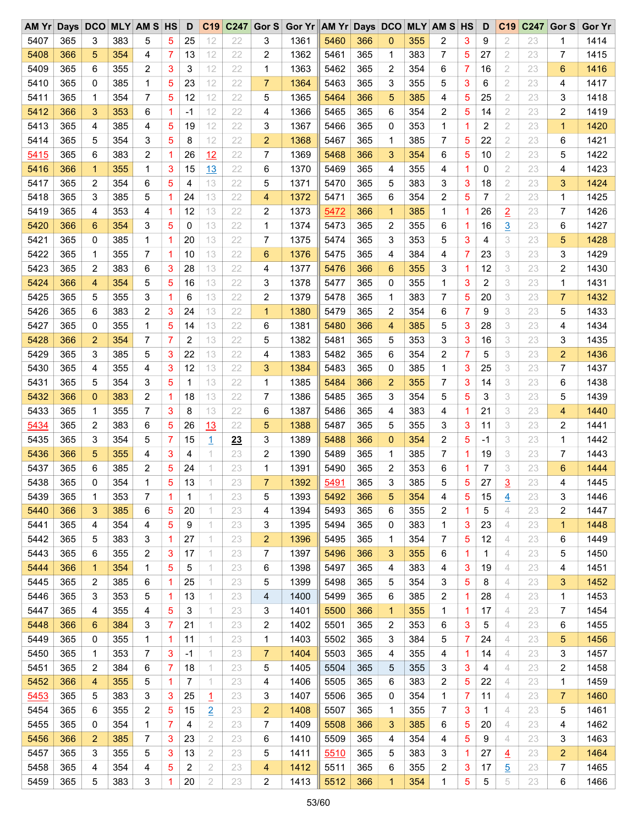| AM Yr | Days DCO |              |     | <b>MLY AM S HS</b> |             | D              | C <sub>19</sub> | C247 | Gor S          | Gor Yr AM Yr Days DCO |      |     |                |     | <b>MLY AM S HS</b> |   | D    | C <sub>19</sub> | C247 | Gor S          | <b>Gor Yr</b> |
|-------|----------|--------------|-----|--------------------|-------------|----------------|-----------------|------|----------------|-----------------------|------|-----|----------------|-----|--------------------|---|------|-----------------|------|----------------|---------------|
| 5407  | 365      | 3            | 383 | 5                  | 5           | 25             | 12              | 22   | 3              | 1361                  | 5460 | 366 | 0              | 355 | 2                  | 3 | 9    | 2               | 23   | 1              | 1414          |
| 5408  | 366      | 5            | 354 | 4                  | 7           | 13             | 12              | 22   | 2              | 1362                  | 5461 | 365 | 1              | 383 | 7                  | 5 | 27   | 2               | 23   | 7              | 1415          |
| 5409  | 365      | 6            | 355 | $\overline{c}$     | 3           | 3              | 12              | 22   | 1              | 1363                  | 5462 | 365 | 2              | 354 | 6                  | 7 | 16   | 2               | 23   | 6              | 1416          |
| 5410  | 365      | 0            | 385 | 1                  | 5           | 23             | 12              | 22   | $\overline{7}$ | 1364                  | 5463 | 365 | 3              | 355 | 5                  | 3 | 6    | 2               | 23   | 4              | 1417          |
| 5411  | 365      | 1            | 354 | 7                  | 5           | 12             | 12              | 22   | 5              | 1365                  | 5464 | 366 | 5              | 385 | 4                  | 5 | 25   | 2               | 23   | 3              | 1418          |
| 5412  | 366      | 3            | 353 | 6                  | 1           | -1             | 12              | 22   | 4              | 1366                  | 5465 | 365 | 6              | 354 | 2                  | 5 | 14   | 2               | 23   | 2              | 1419          |
| 5413  | 365      | 4            | 385 | 4                  | 5           | 19             | 12              | 22   | 3              | 1367                  | 5466 | 365 | 0              | 353 | 1                  | 1 | 2    | $\overline{2}$  | 23   | $\mathbf{1}$   | 1420          |
| 5414  | 365      | 5            | 354 | 3                  | 5           | 8              | 12              | 22   | $\overline{2}$ | 1368                  | 5467 | 365 | $\mathbf 1$    | 385 | 7                  | 5 | 22   | 2               | 23   | 6              | 1421          |
| 5415  | 365      | 6            | 383 | 2                  | 1           | 26             | 12              | 22   | 7              | 1369                  | 5468 | 366 | 3              | 354 | 6                  | 5 | 10   | 2               | 23   | 5              | 1422          |
| 5416  | 366      | $\mathbf{1}$ | 355 | 1                  | 3           | 15             | 13              | 22   | 6              | 1370                  | 5469 | 365 | 4              | 355 | 4                  | 1 | 0    | $\overline{2}$  | 23   | 4              | 1423          |
| 5417  | 365      | 2            | 354 | 6                  | 5           | 4              | 13              | 22   | 5              | 1371                  | 5470 | 365 | 5              | 383 | 3                  | 3 | 18   | 2               | 23   | 3              | 1424          |
| 5418  | 365      | 3            | 385 | 5                  | 1           | 24             | 13              | 22   | 4              | 1372                  | 5471 | 365 | 6              | 354 | 2                  | 5 | 7    | 2               | 23   | 1              | 1425          |
| 5419  | 365      | 4            | 353 | 4                  | 1           | 12             | 13              | 22   | 2              | 1373                  | 5472 | 366 | $\mathbf{1}$   | 385 | 1                  | 1 | 26   | $\overline{2}$  | 23   | 7              | 1426          |
| 5420  | 366      | 6            | 354 | 3                  | 5           | 0              | 13              | 22   | 1              | 1374                  | 5473 | 365 | 2              | 355 | 6                  | 1 | 16   | $\overline{3}$  | 23   | 6              | 1427          |
| 5421  | 365      | 0            | 385 | 1                  | 1           | 20             | 13              | 22   | 7              | 1375                  | 5474 | 365 | 3              | 353 | 5                  | 3 | 4    | 3               | 23   | 5              | 1428          |
| 5422  | 365      | 1            | 355 | 7                  | 1           | 10             | 13              | 22   | 6              | 1376                  | 5475 | 365 | 4              | 384 | 4                  | 7 | 23   | 3               | 23   | 3              | 1429          |
| 5423  | 365      | 2            | 383 | 6                  | 3           | 28             | 13              | 22   | 4              | 1377                  | 5476 | 366 | 6              | 355 | 3                  | 1 | 12   | 3               | 23   | 2              | 1430          |
|       |          |              |     |                    |             |                |                 |      |                |                       |      |     |                |     |                    |   |      |                 |      |                |               |
| 5424  | 366      | 4            | 354 | 5                  | 5           | 16             | 13              | 22   | 3              | 1378                  | 5477 | 365 | 0              | 355 | 1                  | 3 | 2    | 3               | 23   | 1              | 1431          |
| 5425  | 365      | 5            | 355 | 3                  | 1           | 6              | 13              | 22   | 2              | 1379                  | 5478 | 365 | 1              | 383 | 7                  | 5 | 20   | 3               | 23   | $\overline{7}$ | 1432          |
| 5426  | 365      | 6            | 383 | 2                  | 3           | 24             | 13              | 22   | $\mathbf{1}$   | 1380                  | 5479 | 365 | 2              | 354 | 6                  | 7 | 9    | 3               | 23   | 5              | 1433          |
| 5427  | 365      | 0            | 355 | 1                  | 5           | 14             | 13              | 22   | 6              | 1381                  | 5480 | 366 | 4              | 385 | 5                  | 3 | 28   | 3               | 23   | 4              | 1434          |
| 5428  | 366      | 2            | 354 | 7                  | 7           | 2              | 13              | 22   | 5              | 1382                  | 5481 | 365 | 5              | 353 | 3                  | 3 | 16   | 3               | 23   | 3              | 1435          |
| 5429  | 365      | 3            | 385 | 5                  | 3           | 22             | 13              | 22   | 4              | 1383                  | 5482 | 365 | 6              | 354 | 2                  | 7 | 5    | 3               | 23   | 2              | 1436          |
| 5430  | 365      | 4            | 355 | 4                  | 3           | 12             | 13              | 22   | 3              | 1384                  | 5483 | 365 | 0              | 385 | 1                  | 3 | 25   | 3               | 23   | 7              | 1437          |
| 5431  | 365      | 5            | 354 | 3                  | 5           | 1              | 13              | 22   | $\mathbf 1$    | 1385                  | 5484 | 366 | $\overline{2}$ | 355 | 7                  | 3 | 14   | 3               | 23   | 6              | 1438          |
| 5432  | 366      | $\mathbf 0$  | 383 | 2                  | 1           | 18             | 13              | 22   | 7              | 1386                  | 5485 | 365 | 3              | 354 | 5                  | 5 | 3    | 3               | 23   | 5              | 1439          |
| 5433  | 365      | 1            | 355 | 7                  | 3           | 8              | 13              | 22   | 6              | 1387                  | 5486 | 365 | 4              | 383 | 4                  | 1 | 21   | 3               | 23   | 4              | 1440          |
| 5434  | 365      | 2            | 383 | 6                  | 5           | 26             | 13              | 22   | 5              | 1388                  | 5487 | 365 | 5              | 355 | 3                  | 3 | 11   | 3               | 23   | 2              | 1441          |
| 5435  | 365      | 3            | 354 | 5                  | 7           | 15             | $\overline{1}$  | 23   | 3              | 1389                  | 5488 | 366 | 0              | 354 | 2                  | 5 | $-1$ | 3               | 23   | 1              | 1442          |
| 5436  | 366      | 5            | 355 | 4                  | 3           | 4              | 1               | 23   | 2              | 1390                  | 5489 | 365 | 1              | 385 | 7                  | 1 | 19   | 3               | 23   | 7              | 1443          |
| 5437  | 365      | 6            | 385 | 2                  | 5           | 24             | 1               | 23   | 1              | 1391                  | 5490 | 365 | 2              | 353 | 6                  | 1 | 7    | 3               | 23   | 6              | 1444          |
| 5438  | 365      | 0            | 354 | 1                  | 5           | 13             |                 | 23   | $\overline{7}$ | 1392                  | 5491 | 365 | 3              | 385 | 5                  | 5 | 27   | 3               | 23   | 4              | 1445          |
| 5439  | 365      | 1            | 353 | 7                  | 1           | 1              | 1               | 23   | 5              | 1393                  | 5492 | 366 | 5              | 354 | 4                  | 5 | 15   | $\overline{4}$  | 23   | 3              | 1446          |
| 5440  | 366      | 3            | 385 | 6                  | 5           | 20             | 1               | 23   | 4              | 1394                  | 5493 | 365 | 6              | 355 | 2                  | 1 | 5    | 4               | 23   | 2              | 1447          |
| 5441  | 365      | 4            | 354 | 4                  | 5           | 9              | 1               | 23   | 3              | 1395                  | 5494 | 365 | 0              | 383 | 1                  | 3 | 23   | 4               | 23   | $\mathbf{1}$   | 1448          |
| 5442  | 365      | 5            | 383 | 3                  | 1           | 27             | 1               | 23   | $\overline{c}$ | 1396                  | 5495 | 365 | 1              | 354 | 7                  | 5 | 12   | 4               | 23   | 6              | 1449          |
| 5443  | 365      | 6            | 355 | 2                  | 3           | 17             | 1               | 23   | 7              | 1397                  | 5496 | 366 | 3              | 355 | 6                  | 1 | 1    | 4               | 23   | 5              | 1450          |
| 5444  | 366      | $\mathbf{1}$ | 354 | 1                  | 5           | 5              | 1               | 23   | 6              | 1398                  | 5497 | 365 | 4              | 383 | 4                  | 3 | 19   | 4               | 23   | 4              | 1451          |
| 5445  | 365      | 2            | 385 | 6                  | $\mathbf 1$ | 25             | 1               | 23   | 5              | 1399                  | 5498 | 365 | 5              | 354 | 3                  | 5 | 8    | 4               | 23   | 3              | 1452          |
| 5446  | 365      | 3            | 353 | 5                  | 1           | 13             | 1               | 23   | 4              | 1400                  | 5499 | 365 | 6              | 385 | 2                  | 1 | 28   | 4               | 23   | 1              | 1453          |
| 5447  | 365      | 4            | 355 | 4                  | 5           | 3              | 1               | 23   | 3              | 1401                  | 5500 | 366 | $\mathbf{1}$   | 355 | 1                  | 1 | 17   | 4               | 23   | 7              | 1454          |
| 5448  | 366      | 6            | 384 | 3                  | 7           | 21             | 1               | 23   | 2              | 1402                  | 5501 | 365 | 2              | 353 | 6                  | 3 | 5    | 4               | 23   | 6              | 1455          |
| 5449  | 365      | 0            | 355 | 1                  | 1           | 11             | 1               | 23   | 1              | 1403                  | 5502 | 365 | 3              | 384 | 5                  | 7 | 24   | 4               | 23   | 5              | 1456          |
| 5450  | 365      | 1            | 353 | 7                  | 3           | $-1$           | 1               | 23   | $\overline{7}$ | 1404                  | 5503 | 365 | 4              | 355 | 4                  | 1 | 14   | 4               | 23   | 3              | 1457          |
| 5451  | 365      | 2            | 384 | 6                  | 7           | 18             | 1               | 23   | 5              | 1405                  | 5504 | 365 | 5              | 355 | 3                  | 3 | 4    | 4               | 23   | 2              | 1458          |
| 5452  | 366      | 4            | 355 | 5                  | $\mathbf 1$ | $\overline{7}$ | 1               | 23   | 4              | 1406                  | 5505 | 365 | 6              | 383 | 2                  | 5 | 22   | 4               | 23   | 1              | 1459          |
| 5453  | 365      | 5            | 383 | 3                  | 3           | 25             | $\overline{1}$  | 23   | 3              | 1407                  | 5506 | 365 | 0              | 354 | 1                  | 7 | 11   | 4               | 23   | 7              | 1460          |
| 5454  | 365      | 6            | 355 | 2                  | 5           | 15             | $\overline{2}$  | 23   | 2              | 1408                  | 5507 | 365 | 1              | 355 | 7                  | 3 | 1    | 4               | 23   | 5              | 1461          |
| 5455  | 365      | 0            | 354 | 1                  | 7           | 4              | $\overline{2}$  | 23   | 7              | 1409                  | 5508 | 366 | 3              | 385 | 6                  | 5 | 20   | 4               | 23   | 4              | 1462          |
| 5456  | 366      | 2            | 385 | 7                  | 3           | 23             | $\overline{2}$  | 23   | 6              | 1410                  | 5509 | 365 | 4              | 354 | 4                  | 5 | 9    | 4               | 23   | 3              | 1463          |
| 5457  | 365      | 3            | 355 | 5                  | 3           | 13             | $\overline{2}$  | 23   | 5              | 1411                  | 5510 | 365 | 5              | 383 | 3                  | 1 | 27   | 4               | 23   | 2              | 1464          |
| 5458  | 365      | 4            | 354 | 4                  | 5           | 2              | 2               | 23   | 4              | 1412                  | 5511 | 365 | 6              | 355 | 2                  | 3 | 17   | <u>5</u>        | 23   | 7              | 1465          |
| 5459  | 365      | 5            | 383 | 3                  | 1           | 20             | $\mathfrak 2$   | 23   | $\overline{c}$ | 1413                  | 5512 | 366 | 1              | 354 | 1                  | 5 | 5    | 5               | 23   | 6              | 1466          |
|       |          |              |     |                    |             |                |                 |      |                |                       |      |     |                |     |                    |   |      |                 |      |                |               |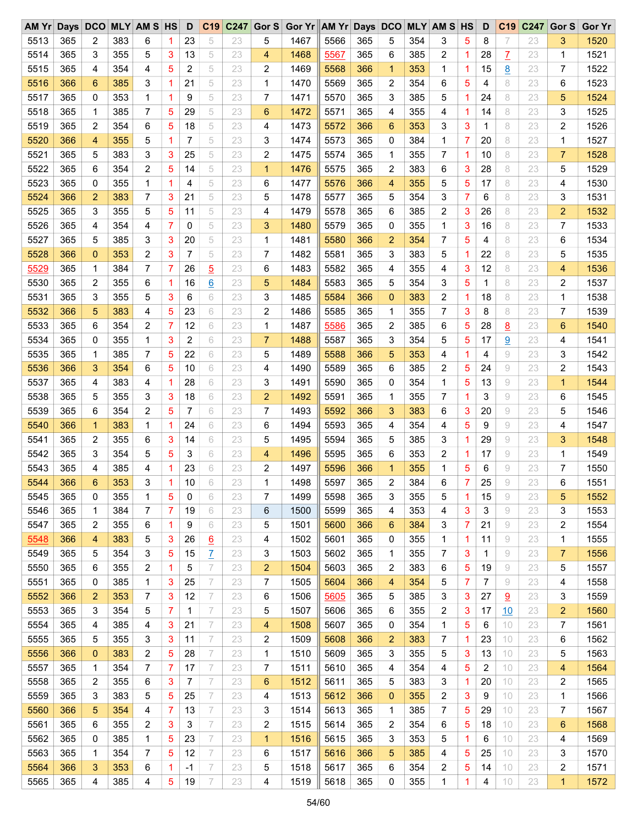| AM Yr | Days DCO |              |     | <b>MLY AM S HS</b> |                | D  | C19             | C247 | Gor S          | Gor Yr AM Yr Days DCO |      |     |                |     | <b>MLY AM S HS</b> |   | D            | C <sub>19</sub> | C247 | Gor S          | <b>Gor Yr</b> |
|-------|----------|--------------|-----|--------------------|----------------|----|-----------------|------|----------------|-----------------------|------|-----|----------------|-----|--------------------|---|--------------|-----------------|------|----------------|---------------|
| 5513  | 365      | 2            | 383 | 6                  | 1              | 23 | 5               | 23   | 5              | 1467                  | 5566 | 365 | 5              | 354 | 3                  | 5 | 8            | 7               | 23   | 3              | 1520          |
| 5514  | 365      | 3            | 355 | 5                  | 3              | 13 | 5               | 23   | 4              | 1468                  | 5567 | 365 | 6              | 385 | 2                  | 1 | 28           | Z               | 23   | $\mathbf 1$    | 1521          |
| 5515  | 365      | 4            | 354 | 4                  | 5              | 2  | 5               | 23   | 2              | 1469                  | 5568 | 366 | 1              | 353 | 1                  | 1 | 15           | <u>8</u>        | 23   | 7              | 1522          |
| 5516  | 366      | 6            | 385 | 3                  | 1              | 21 | 5               | 23   | 1              | 1470                  | 5569 | 365 | 2              | 354 | 6                  | 5 | 4            | 8               | 23   | 6              | 1523          |
| 5517  | 365      | 0            | 353 | 1                  | 1              | 9  | 5               | 23   | 7              | 1471                  | 5570 | 365 | 3              | 385 | 5                  | 1 | 24           | 8               | 23   | 5              | 1524          |
| 5518  | 365      | 1            | 385 | 7                  | 5              | 29 | 5               | 23   | 6              | 1472                  | 5571 | 365 | 4              | 355 | 4                  | 1 | 14           | 8               | 23   | 3              | 1525          |
| 5519  | 365      | 2            | 354 | 6                  | 5              | 18 | 5               | 23   | 4              | 1473                  | 5572 | 366 | 6              | 353 | 3                  | 3 | $\mathbf{1}$ | 8               | 23   | 2              | 1526          |
| 5520  | 366      | 4            | 355 | 5                  | 1              | 7  | 5               | 23   | 3              | 1474                  | 5573 | 365 | 0              | 384 | 1                  | 7 | 20           | 8               | 23   | 1              | 1527          |
| 5521  | 365      | 5            | 383 | 3                  | 3              | 25 | 5               | 23   | 2              | 1475                  | 5574 | 365 | 1              | 355 | 7                  | 1 | 10           | 8               | 23   | $\overline{7}$ | 1528          |
| 5522  | 365      | 6            | 354 | $\overline{c}$     | 5              | 14 | 5               | 23   | $\mathbf{1}$   | 1476                  | 5575 | 365 | 2              | 383 | 6                  | 3 | 28           | 8               | 23   | 5              | 1529          |
| 5523  | 365      | 0            | 355 | 1                  | 1              | 4  | 5               | 23   | 6              | 1477                  | 5576 | 366 | 4              | 355 | 5                  | 5 | 17           | 8               | 23   | 4              | 1530          |
| 5524  | 366      | 2            | 383 | 7                  | 3              | 21 | 5               | 23   | 5              | 1478                  | 5577 | 365 | 5              | 354 | 3                  | 7 | 6            | 8               | 23   | 3              | 1531          |
| 5525  | 365      | 3            | 355 | 5                  | 5              | 11 | 5               | 23   | 4              | 1479                  | 5578 | 365 | 6              | 385 | 2                  | 3 | 26           | 8               | 23   | 2              | 1532          |
| 5526  | 365      | 4            | 354 | 4                  | $\overline{7}$ | 0  | 5               | 23   | 3              | 1480                  | 5579 | 365 | 0              | 355 | 1                  | 3 | 16           | 8               | 23   | 7              | 1533          |
| 5527  | 365      | 5            | 385 | 3                  | 3              | 20 | 5               | 23   | 1              | 1481                  | 5580 | 366 | 2              | 354 | 7                  | 5 | 4            | 8               | 23   | 6              | 1534          |
| 5528  | 366      | 0            | 353 | 2                  | 3              | 7  | 5               | 23   | 7              | 1482                  | 5581 | 365 | 3              | 383 | 5                  | 1 | 22           | 8               | 23   | 5              | 1535          |
|       |          |              |     | 7                  | 7              |    |                 |      | 6              |                       |      | 365 |                |     | 4                  |   |              | 8               |      |                |               |
| 5529  | 365      | 1            | 384 |                    |                | 26 | $\overline{5}$  | 23   |                | 1483                  | 5582 |     | 4              | 355 |                    | 3 | 12           |                 | 23   | 4              | 1536          |
| 5530  | 365      | 2            | 355 | 6                  | 1              | 16 | $6\overline{6}$ | 23   | 5              | 1484                  | 5583 | 365 | 5              | 354 | 3                  | 5 | 1            | 8               | 23   | 2              | 1537          |
| 5531  | 365      | 3            | 355 | 5                  | 3              | 6  | 6               | 23   | 3              | 1485                  | 5584 | 366 | $\overline{0}$ | 383 | 2                  | 1 | 18           | 8               | 23   | 1              | 1538          |
| 5532  | 366      | 5            | 383 | 4                  | 5              | 23 | 6               | 23   | 2              | 1486                  | 5585 | 365 | 1              | 355 | 7                  | 3 | 8            | 8               | 23   | 7              | 1539          |
| 5533  | 365      | 6            | 354 | $\overline{c}$     | 7              | 12 | 6               | 23   | 1              | 1487                  | 5586 | 365 | 2              | 385 | 6                  | 5 | 28           | <u>8</u>        | 23   | 6              | 1540          |
| 5534  | 365      | 0            | 355 | 1                  | 3              | 2  | 6               | 23   | $\overline{7}$ | 1488                  | 5587 | 365 | 3              | 354 | 5                  | 5 | 17           | $\overline{9}$  | 23   | 4              | 1541          |
| 5535  | 365      | 1            | 385 | 7                  | 5              | 22 | 6               | 23   | 5              | 1489                  | 5588 | 366 | 5              | 353 | 4                  | 1 | 4            | 9               | 23   | 3              | 1542          |
| 5536  | 366      | 3            | 354 | 6                  | 5              | 10 | 6               | 23   | 4              | 1490                  | 5589 | 365 | 6              | 385 | 2                  | 5 | 24           | 9               | 23   | 2              | 1543          |
| 5537  | 365      | 4            | 383 | 4                  | 1              | 28 | 6               | 23   | 3              | 1491                  | 5590 | 365 | $\mathbf 0$    | 354 | 1                  | 5 | 13           | 9               | 23   | $\mathbf{1}$   | 1544          |
| 5538  | 365      | 5            | 355 | 3                  | 3              | 18 | 6               | 23   | $\overline{2}$ | 1492                  | 5591 | 365 | 1              | 355 | 7                  | 1 | 3            | 9               | 23   | 6              | 1545          |
| 5539  | 365      | 6            | 354 | 2                  | 5              | 7  | 6               | 23   | 7              | 1493                  | 5592 | 366 | 3              | 383 | 6                  | 3 | 20           | 9               | 23   | 5              | 1546          |
| 5540  | 366      | $\mathbf{1}$ | 383 | 1                  | 1              | 24 | 6               | 23   | 6              | 1494                  | 5593 | 365 | 4              | 354 | 4                  | 5 | 9            | 9               | 23   | 4              | 1547          |
| 5541  | 365      | 2            | 355 | 6                  | 3              | 14 | 6               | 23   | 5              | 1495                  | 5594 | 365 | 5              | 385 | 3                  | 1 | 29           | 9               | 23   | 3              | 1548          |
| 5542  | 365      | 3            | 354 | 5                  | 5              | 3  | 6               | 23   | 4              | 1496                  | 5595 | 365 | 6              | 353 | 2                  | 1 | 17           | 9               | 23   | 1              | 1549          |
| 5543  | 365      | 4            | 385 | 4                  | 1              | 23 | 6               | 23   | 2              | 1497                  | 5596 | 366 | 1              | 355 | 1                  | 5 | 6            | 9               | 23   | 7              | 1550          |
| 5544  | 366      | 6            | 353 | 3                  | 1              | 10 | 6               | 23   | 1              | 1498                  | 5597 | 365 | $\overline{2}$ | 384 | 6                  | 7 | 25           | 9               | 23   | 6              | 1551          |
| 5545  | 365      | 0            | 355 | 1                  | 5              | 0  | 6               | 23   | 7              | 1499                  | 5598 | 365 | 3              | 355 | 5                  | 1 | 15           | 9               | 23   | 5              | 1552          |
| 5546  | 365      | 1            | 384 | 7                  | 7              | 19 | 6               | 23   | 6              | 1500                  | 5599 | 365 | 4              | 353 | 4                  | 3 | 3            | 9               | 23   | 3              | 1553          |
| 5547  | 365      | 2            | 355 | 6                  | 1              | 9  | 6               | 23   | 5              | 1501                  | 5600 | 366 | 6              | 384 | 3                  | 7 | 21           | 9               | 23   | 2              | 1554          |
| 5548  | 366      | 4            | 383 | 5                  | 3              | 26 | $\underline{6}$ | 23   | 4              | 1502                  | 5601 | 365 | 0              | 355 | 1                  | 1 | 11           | 9               | 23   | 1              | 1555          |
| 5549  | 365      | 5            | 354 | 3                  | 5              | 15 | $\overline{I}$  | 23   | 3              | 1503                  | 5602 | 365 | 1              | 355 | 7                  | 3 | 1            | 9               | 23   | 7              | 1556          |
| 5550  | 365      | 6            | 355 | 2                  | 1              | 5  | 7               | 23   | $\overline{2}$ | 1504                  | 5603 | 365 | 2              | 383 | 6                  | 5 | 19           | 9               | 23   | 5              | 1557          |
| 5551  | 365      | 0            | 385 | 1                  | 3              | 25 | 7               | 23   | 7              | 1505                  | 5604 | 366 | 4              | 354 | 5                  | 7 | 7            | 9               | 23   | 4              | 1558          |
| 5552  | 366      | 2            | 353 | 7                  | 3              | 12 | 7               | 23   | 6              | 1506                  | 5605 | 365 | 5              | 385 | 3                  | 3 | 27           | $\overline{6}$  | 23   | 3              | 1559          |
| 5553  | 365      | 3            | 354 | 5                  | 7              | 1  | 7               | 23   | 5              | 1507                  | 5606 | 365 | 6              | 355 | 2                  | 3 | 17           | 10              | 23   | 2              | 1560          |
| 5554  | 365      | 4            | 385 | 4                  | 3              | 21 | 7               | 23   | 4              | 1508                  | 5607 | 365 | 0              | 354 | $\mathbf{1}$       | 5 | 6            | 10              | 23   | 7              | 1561          |
| 5555  | 365      | 5            | 355 | 3                  | 3              | 11 | 7               | 23   | 2              | 1509                  | 5608 | 366 | 2              | 383 | 7                  | 1 | 23           | 10              | 23   | 6              | 1562          |
| 5556  | 366      | 0            | 383 | 2                  | 5              | 28 | 7               | 23   | 1              | 1510                  | 5609 | 365 | 3              | 355 | 5                  | 3 | 13           | 10              | 23   | 5              | 1563          |
| 5557  | 365      | 1            | 354 | 7                  | 7              | 17 | 7               | 23   | 7              | 1511                  | 5610 | 365 | 4              | 354 | 4                  | 5 | 2            | 10              | 23   | 4              | 1564          |
| 5558  | 365      | 2            | 355 | 6                  | 3              | 7  | $\overline{ }$  | 23   | 6              | 1512                  | 5611 | 365 | 5              | 383 | 3                  | 1 | 20           | 10              | 23   | 2              | 1565          |
| 5559  | 365      | 3            | 383 | 5                  | 5              | 25 | 7               | 23   | 4              | 1513                  | 5612 | 366 | 0              | 355 | 2                  | 3 | 9            | 10              | 23   | 1              | 1566          |
| 5560  | 366      | 5            | 354 | 4                  | 7              | 13 | 7               | 23   | 3              | 1514                  | 5613 | 365 | 1              | 385 | 7                  | 5 | 29           | 10              | 23   | 7              | 1567          |
| 5561  | 365      | 6            | 355 | 2                  | 3              | 3  | 7               | 23   | 2              | 1515                  | 5614 | 365 | 2              | 354 | 6                  | 5 | 18           | 10              | 23   | 6              | 1568          |
| 5562  | 365      | 0            | 385 | 1                  | 5              | 23 | 7               | 23   | $\mathbf{1}$   | 1516                  | 5615 | 365 | 3              | 353 | 5                  | 1 | 6            | 10              | 23   | 4              | 1569          |
| 5563  | 365      | 1            | 354 | 7                  | 5              | 12 | 7               | 23   | 6              | 1517                  | 5616 | 366 | 5              | 385 | 4                  | 5 | 25           | 10              | 23   | 3              | 1570          |
| 5564  | 366      | 3            | 353 | 6                  | 1              | -1 | 7               | 23   | 5              | 1518                  | 5617 | 365 | 6              | 354 | 2                  | 5 | 14           | 10              | 23   | 2              | 1571          |
| 5565  | 365      | 4            | 385 | 4                  | 5              | 19 | 7               | 23   | 4              | 1519                  | 5618 | 365 | 0              | 355 | 1                  | 1 | 4            | 10              | 23   | $\mathbf{1}$   | 1572          |
|       |          |              |     |                    |                |    |                 |      |                |                       |      |     |                |     |                    |   |              |                 |      |                |               |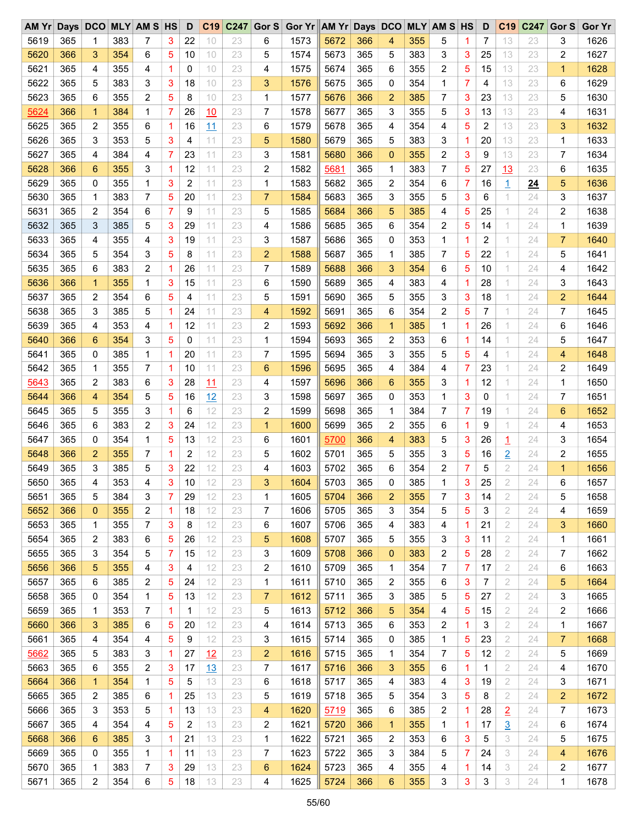| $AM$ $Yr$ |     |              |     | Days DCO MLY AM S HS |   | D  | C19       | C247 | Gor $S$        | Gor Yr AM Yr Days DCO |      |     |                |     | <b>MLY AM S HS</b> |   | D  | C <sub>19</sub> | C247 | Gor S          | <b>Gor Yr</b> |
|-----------|-----|--------------|-----|----------------------|---|----|-----------|------|----------------|-----------------------|------|-----|----------------|-----|--------------------|---|----|-----------------|------|----------------|---------------|
| 5619      | 365 | 1            | 383 | 7                    | 3 | 22 | 10        | 23   | 6              | 1573                  | 5672 | 366 | 4              | 355 | 5                  | 1 | 7  | 13              | 23   | 3              | 1626          |
| 5620      | 366 | 3            | 354 | 6                    | 5 | 10 | 10        | 23   | 5              | 1574                  | 5673 | 365 | 5              | 383 | 3                  | 3 | 25 | 13              | 23   | 2              | 1627          |
| 5621      | 365 | 4            | 355 | 4                    | 1 | 0  | 10        | 23   | 4              | 1575                  | 5674 | 365 | 6              | 355 | 2                  | 5 | 15 | 13              | 23   | $\mathbf{1}$   | 1628          |
| 5622      | 365 | 5            | 383 | 3                    | 3 | 18 | 10        | 23   | 3              | 1576                  | 5675 | 365 | 0              | 354 | 1                  | 7 | 4  | 13              | 23   | 6              | 1629          |
| 5623      | 365 | 6            | 355 | 2                    | 5 | 8  | 10        | 23   | 1              | 1577                  | 5676 | 366 | $\overline{2}$ | 385 | 7                  | 3 | 23 | 13              | 23   | 5              | 1630          |
| 5624      | 366 | $\mathbf{1}$ | 384 | 1                    | 7 | 26 | 10        | 23   | 7              | 1578                  | 5677 | 365 | 3              | 355 | 5                  | 3 | 13 | 13              | 23   | 4              | 1631          |
| 5625      | 365 | 2            | 355 | 6                    | 1 | 16 | 11        | 23   | 6              | 1579                  | 5678 | 365 | 4              | 354 | 4                  | 5 | 2  | 13              | 23   | 3              | 1632          |
| 5626      | 365 | 3            | 353 | 5                    | 3 | 4  | 11        | 23   | 5              | 1580                  | 5679 | 365 | 5              | 383 | 3                  | 1 | 20 | 13              | 23   | 1              | 1633          |
| 5627      | 365 | 4            | 384 | 4                    | 7 | 23 | 11        | 23   | 3              | 1581                  | 5680 | 366 | $\overline{0}$ | 355 | $\overline{c}$     | 3 | 9  | 13              | 23   | 7              | 1634          |
| 5628      | 366 | 6            | 355 | 3                    | 1 | 12 | 11        | 23   | 2              | 1582                  | 5681 | 365 | 1              | 383 | 7                  | 5 | 27 | 13              | 23   | 6              | 1635          |
| 5629      | 365 | 0            | 355 | 1                    | 3 | 2  | 11        | 23   | 1              | 1583                  | 5682 | 365 | $\overline{c}$ | 354 | 6                  | 7 | 16 | $\overline{1}$  | 24   | 5              | 1636          |
| 5630      | 365 | 1            | 383 | 7                    | 5 | 20 | 11        | 23   | $\overline{7}$ | 1584                  | 5683 | 365 | 3              | 355 | 5                  | 3 | 6  | 1               | 24   | 3              | 1637          |
| 5631      | 365 | 2            | 354 | 6                    | 7 | 9  | 11        | 23   | 5              | 1585                  | 5684 | 366 | 5              | 385 | 4                  | 5 | 25 | 1               | 24   | 2              | 1638          |
| 5632      | 365 | 3            | 385 | 5                    | 3 | 29 | 11        | 23   | 4              | 1586                  | 5685 | 365 | 6              | 354 | 2                  | 5 | 14 | 1               | 24   | $\mathbf 1$    | 1639          |
| 5633      | 365 | 4            | 355 | 4                    | 3 | 19 | 11        | 23   | 3              | 1587                  | 5686 | 365 | 0              | 353 | 1                  | 1 | 2  | 1               | 24   | $\overline{7}$ | 1640          |
|           | 365 |              |     |                      |   |    |           |      |                |                       |      |     |                |     | 7                  |   |    |                 |      |                |               |
| 5634      |     | 5            | 354 | 3                    | 5 | 8  | 11        | 23   | $\overline{2}$ | 1588                  | 5687 | 365 | 1              | 385 |                    | 5 | 22 | 1               | 24   | 5              | 1641          |
| 5635      | 365 | 6            | 383 | $\overline{c}$       | 1 | 26 | 11        | 23   | 7              | 1589                  | 5688 | 366 | 3              | 354 | 6                  | 5 | 10 | 1               | 24   | 4              | 1642          |
| 5636      | 366 | $\mathbf{1}$ | 355 | 1                    | 3 | 15 | 11        | 23   | 6              | 1590                  | 5689 | 365 | 4              | 383 | 4                  |   | 28 | 1               | 24   | 3              | 1643          |
| 5637      | 365 | 2            | 354 | 6                    | 5 | 4  | 11        | 23   | 5              | 1591                  | 5690 | 365 | 5              | 355 | 3                  | 3 | 18 | 1               | 24   | $\overline{c}$ | 1644          |
| 5638      | 365 | 3            | 385 | 5                    | 1 | 24 | 11        | 23   | 4              | 1592                  | 5691 | 365 | 6              | 354 | 2                  | 5 | 7  | 1               | 24   | 7              | 1645          |
| 5639      | 365 | 4            | 353 | 4                    | 1 | 12 | 11        | 23   | 2              | 1593                  | 5692 | 366 | 1              | 385 | $\mathbf{1}$       | 1 | 26 | 1               | 24   | 6              | 1646          |
| 5640      | 366 | 6            | 354 | 3                    | 5 | 0  | 11        | 23   | 1              | 1594                  | 5693 | 365 | 2              | 353 | 6                  | 1 | 14 | 1               | 24   | 5              | 1647          |
| 5641      | 365 | 0            | 385 | 1                    | 1 | 20 | 11        | 23   | 7              | 1595                  | 5694 | 365 | 3              | 355 | 5                  | 5 | 4  | 1               | 24   | 4              | 1648          |
| 5642      | 365 | 1            | 355 | 7                    | 1 | 10 | 11        | 23   | 6              | 1596                  | 5695 | 365 | 4              | 384 | 4                  | 7 | 23 | 1               | 24   | 2              | 1649          |
| 5643      | 365 | 2            | 383 | 6                    | 3 | 28 | 11        | 23   | 4              | 1597                  | 5696 | 366 | 6              | 355 | 3                  | 1 | 12 | 1               | 24   | 1              | 1650          |
| 5644      | 366 | 4            | 354 | 5                    | 5 | 16 | 12        | 23   | 3              | 1598                  | 5697 | 365 | 0              | 353 | $\mathbf{1}$       | 3 | 0  | 1               | 24   | 7              | 1651          |
| 5645      | 365 | 5            | 355 | 3                    | 1 | 6  | 12        | 23   | 2              | 1599                  | 5698 | 365 | 1              | 384 | 7                  | 7 | 19 | 1               | 24   | 6              | 1652          |
| 5646      | 365 | 6            | 383 | $\overline{c}$       | 3 | 24 | 12        | 23   | $\mathbf{1}$   | 1600                  | 5699 | 365 | 2              | 355 | 6                  | 1 | 9  | 1               | 24   | 4              | 1653          |
| 5647      | 365 | 0            | 354 | 1                    | 5 | 13 | 12        | 23   | 6              | 1601                  | 5700 | 366 | 4              | 383 | 5                  | 3 | 26 | 1               | 24   | 3              | 1654          |
| 5648      | 366 | 2            | 355 | 7                    | 1 | 2  | 12        | 23   | 5              | 1602                  | 5701 | 365 | 5              | 355 | 3                  | 5 | 16 | $\overline{2}$  | 24   | 2              | 1655          |
| 5649      | 365 | 3            | 385 | 5                    | 3 | 22 | 12        | 23   | 4              | 1603                  | 5702 | 365 | 6              | 354 | 2                  | 7 | 5  | 2               | 24   | $\mathbf{1}$   | 1656          |
| 5650      | 365 | 4            | 353 | 4                    | 3 | 10 | 12        | 23   | 3              | 1604                  | 5703 | 365 | 0              | 385 | $\mathbf 1$        | 3 | 25 | $\overline{2}$  | 24   | 6              | 1657          |
| 5651      | 365 | 5            | 384 | 3                    | 7 | 29 | 12        | 23   | 1              | 1605                  | 5704 | 366 | $\overline{2}$ | 355 | 7                  | 3 | 14 | 2               | 24   | 5              | 1658          |
| 5652      | 366 | 0            | 355 | 2                    | 1 | 18 | 12        | 23   | 7              | 1606                  | 5705 | 365 | 3              | 354 | 5                  | 5 | 3  | 2               | 24   | 4              | 1659          |
| 5653      | 365 | 1            | 355 | 7                    | 3 | 8  | 12        | 23   | 6              | 1607                  | 5706 | 365 | 4              | 383 | 4                  | 1 | 21 | 2               | 24   | 3              | 1660          |
| 5654      | 365 | 2            | 383 | 6                    | 5 | 26 | 12        | 23   | 5              | 1608                  | 5707 | 365 | 5              | 355 | 3                  | 3 | 11 | 2               | 24   | 1              | 1661          |
| 5655      | 365 | 3            | 354 | 5                    | 7 | 15 | 12        | 23   | 3              | 1609                  | 5708 | 366 | 0              | 383 | 2                  | 5 | 28 | 2               | 24   | 7              | 1662          |
| 5656      | 366 | 5            | 355 | 4                    | 3 | 4  | 12        | 23   | 2              | 1610                  | 5709 | 365 | 1              | 354 | 7                  | 7 | 17 | 2               | 24   | 6              | 1663          |
| 5657      | 365 | 6            | 385 | 2                    | 5 | 24 | 12        | 23   | 1              | 1611                  | 5710 | 365 | 2              | 355 | 6                  | 3 | 7  | 2               | 24   | 5              | 1664          |
| 5658      | 365 | 0            | 354 | 1                    | 5 | 13 | 12        | 23   | 7              | 1612                  | 5711 | 365 | 3              | 385 | 5                  | 5 | 27 | 2               | 24   | 3              | 1665          |
| 5659      | 365 | 1            | 353 | 7                    | 1 | 1  | 12        | 23   | 5              | 1613                  | 5712 | 366 | 5              | 354 | 4                  | 5 | 15 | 2               | 24   | 2              | 1666          |
| 5660      | 366 | 3            | 385 | 6                    | 5 | 20 | 12        | 23   | 4              | 1614                  | 5713 | 365 | 6              | 353 | 2                  | 1 | 3  | 2               | 24   | 1              | 1667          |
| 5661      | 365 | 4            | 354 | 4                    | 5 | 9  | 12        | 23   | 3              | 1615                  | 5714 | 365 | 0              | 385 | 1                  | 5 | 23 | 2               | 24   | 7              | 1668          |
| 5662      | 365 | 5            | 383 | 3                    | 1 | 27 | 12        | 23   | $\overline{c}$ | 1616                  | 5715 | 365 | 1              | 354 | 7                  | 5 | 12 | 2               | 24   | 5              | 1669          |
| 5663      | 365 | 6            | 355 | 2                    | 3 | 17 | <u>13</u> | 23   | 7              | 1617                  | 5716 | 366 | 3              | 355 | 6                  | 1 | 1  | 2               | 24   | 4              | 1670          |
| 5664      | 366 | $\mathbf{1}$ | 354 | 1                    | 5 | 5  | 13        | 23   | 6              | 1618                  |      | 365 |                | 383 | 4                  | 3 |    | 2               | 24   |                | 1671          |
|           |     |              |     |                      |   |    |           |      |                |                       | 5717 |     | 4              |     |                    |   | 19 |                 |      | 3              |               |
| 5665      | 365 | 2            | 385 | 6                    | 1 | 25 | 13        | 23   | 5              | 1619                  | 5718 | 365 | 5              | 354 | 3                  | 5 | 8  | 2               | 24   | 2              | 1672          |
| 5666      | 365 | 3            | 353 | 5                    | 1 | 13 | 13        | 23   | 4              | 1620                  | 5719 | 365 | 6              | 385 | 2                  | 1 | 28 | $\overline{2}$  | 24   | 7              | 1673          |
| 5667      | 365 | 4            | 354 | 4                    | 5 | 2  | 13        | 23   | 2              | 1621                  | 5720 | 366 | 1              | 355 | 1                  | 1 | 17 | $\overline{3}$  | 24   | 6              | 1674          |
| 5668      | 366 | 6            | 385 | 3                    | 1 | 21 | 13        | 23   | 1              | 1622                  | 5721 | 365 | 2              | 353 | 6                  | 3 | 5  | 3               | 24   | 5              | 1675          |
| 5669      | 365 | 0            | 355 | 1                    | 1 | 11 | 13        | 23   | 7              | 1623                  | 5722 | 365 | 3              | 384 | 5                  | 7 | 24 | 3               | 24   | 4              | 1676          |
| 5670      | 365 | 1            | 383 | 7                    | 3 | 29 | 13        | 23   | 6              | 1624                  | 5723 | 365 | 4              | 355 | 4                  | 1 | 14 | 3               | 24   | 2              | 1677          |
| 5671      | 365 | 2            | 354 | 6                    | 5 | 18 | 13        | 23   | 4              | 1625                  | 5724 | 366 | 6              | 355 | 3                  | 3 | 3  | 3               | 24   | 1              | 1678          |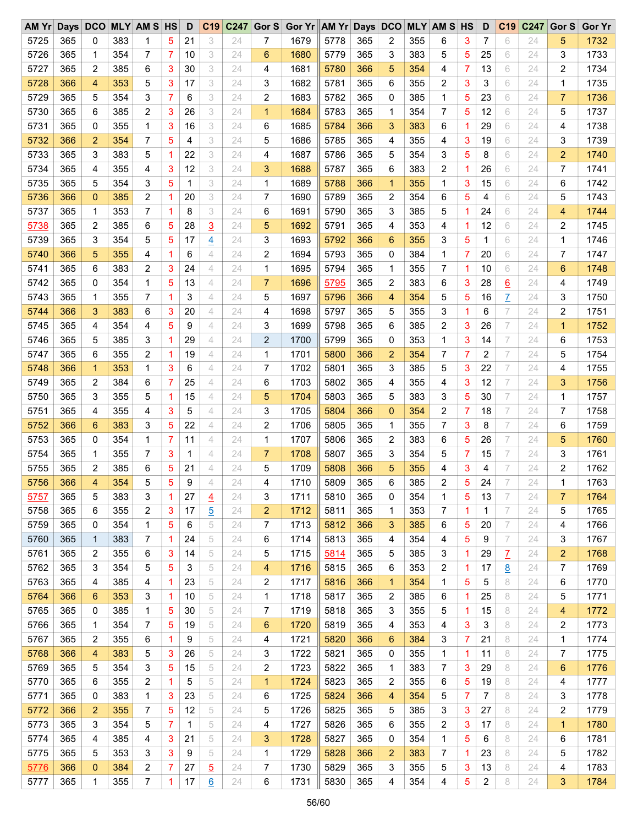| AM Yr Days DCO MLY AM S HS |     |              |     |                |    | D  |                 | $C19$ $C247$ | Gor S          | Gor Yr AM Yr Days DCO MLY AM S HS |      |     |                |     |                |   | D            |                | C19 C247 | Gor S          | <b>Gor Yr</b> |
|----------------------------|-----|--------------|-----|----------------|----|----|-----------------|--------------|----------------|-----------------------------------|------|-----|----------------|-----|----------------|---|--------------|----------------|----------|----------------|---------------|
| 5725                       | 365 | 0            | 383 | 1              | 5  | 21 | 3               | 24           | 7              | 1679                              | 5778 | 365 | 2              | 355 | 6              | 3 | 7            | 6              | 24       | 5              | 1732          |
| 5726                       | 365 | 1            | 354 | 7              | 7  | 10 | 3               | 24           | 6              | 1680                              | 5779 | 365 | 3              | 383 | 5              | 5 | 25           | 6              | 24       | 3              | 1733          |
| 5727                       | 365 | 2            | 385 | 6              | 3  | 30 | 3               | 24           | 4              | 1681                              | 5780 | 366 | 5              | 354 | 4              | 7 | 13           | 6              | 24       | 2              | 1734          |
| 5728                       | 366 | 4            | 353 | 5              | 3  | 17 | 3               | 24           | 3              | 1682                              | 5781 | 365 | 6              | 355 | 2              | 3 | 3            | 6              | 24       | 1              | 1735          |
| 5729                       | 365 | 5            | 354 | 3              | 7  | 6  | 3               | 24           | 2              | 1683                              | 5782 | 365 | 0              | 385 | 1              | 5 | 23           | 6              | 24       | $\overline{7}$ | 1736          |
| 5730                       | 365 | 6            | 385 | 2              | 3  | 26 | 3               | 24           | $\mathbf{1}$   | 1684                              | 5783 | 365 | 1              | 354 | 7              | 5 | 12           | 6              | 24       | 5              | 1737          |
| 5731                       | 365 | 0            | 355 | 1              | 3  | 16 | 3               | 24           | 6              | 1685                              | 5784 | 366 | 3              | 383 | 6              | 1 | 29           | 6              | 24       | 4              | 1738          |
| 5732                       | 366 | 2            | 354 | 7              | 5  | 4  | 3               | 24           | 5              | 1686                              | 5785 | 365 | 4              | 355 | 4              | 3 | 19           | 6              | 24       | 3              | 1739          |
| 5733                       | 365 | 3            | 383 | 5              | 1  | 22 | 3               | 24           | 4              | 1687                              | 5786 | 365 | 5              | 354 | 3              | 5 | 8            | 6              | 24       | $\overline{2}$ | 1740          |
| 5734                       | 365 | 4            | 355 | 4              | 3  | 12 | 3               | 24           | 3              | 1688                              | 5787 | 365 | 6              | 383 | 2              | 1 | 26           | 6              | 24       | $\overline{7}$ | 1741          |
| 5735                       | 365 | 5            | 354 | 3              | 5  | 1  | 3               | 24           | 1              | 1689                              | 5788 | 366 | 1              | 355 | 1              | 3 | 15           | 6              | 24       | 6              | 1742          |
| 5736                       | 366 | $\mathbf{0}$ | 385 | 2              | 1  | 20 | 3               | 24           | 7              | 1690                              | 5789 | 365 | $\overline{2}$ | 354 | 6              | 5 | 4            | 6              | 24       | 5              | 1743          |
| 5737                       | 365 | 1            | 353 | 7              | 1  | 8  | 3               | 24           | 6              | 1691                              | 5790 | 365 | 3              | 385 | 5              | 1 | 24           | 6              | 24       | 4              | 1744          |
| 5738                       | 365 | 2            | 385 | 6              | 5  | 28 | $\overline{3}$  | 24           | 5              | 1692                              | 5791 | 365 | 4              | 353 | 4              | 1 | 12           | 6              | 24       | 2              | 1745          |
| 5739                       | 365 | 3            | 354 | 5              | 5  | 17 | $\overline{4}$  | 24           | 3              | 1693                              | 5792 | 366 | 6              | 355 | 3              | 5 | $\mathbf{1}$ | 6              | 24       | 1              | 1746          |
| 5740                       | 366 | 5            | 355 | 4              | 1  | 6  | 4               | 24           | 2              | 1694                              | 5793 | 365 | 0              | 384 | 1              | 7 | 20           | 6              | 24       | 7              | 1747          |
| 5741                       | 365 | 6            | 383 | $\overline{c}$ | 3  | 24 | 4               | 24           | $\mathbf{1}$   | 1695                              | 5794 | 365 | 1              | 355 | 7              | 1 | 10           | 6              | 24       | 6              | 1748          |
|                            |     |              |     |                |    |    |                 |              |                |                                   |      |     |                |     |                |   |              |                |          |                |               |
| 5742                       | 365 | 0            | 354 | 1              | 5  | 13 | $\overline{4}$  | 24           | $\overline{7}$ | 1696                              | 5795 | 365 | 2              | 383 | 6              | 3 | 28           | 6              | 24       | 4              | 1749          |
| 5743                       | 365 | 1            | 355 | 7              | 1  | 3  | 4               | 24           | 5              | 1697                              | 5796 | 366 | 4              | 354 | 5              | 5 | 16           | $\overline{1}$ | 24       | 3              | 1750          |
| 5744                       | 366 | 3            | 383 | 6              | 3  | 20 | 4               | 24           | 4              | 1698                              | 5797 | 365 | 5              | 355 | 3              | 1 | 6            | 7              | 24       | 2              | 1751          |
| 5745                       | 365 | 4            | 354 | 4              | 5  | 9  | $\overline{4}$  | 24           | 3              | 1699                              | 5798 | 365 | 6              | 385 | $\overline{2}$ | 3 | 26           | 7              | 24       | $\mathbf{1}$   | 1752          |
| 5746                       | 365 | 5            | 385 | 3              | 1  | 29 | 4               | 24           | $\overline{2}$ | 1700                              | 5799 | 365 | 0              | 353 | 1              | 3 | 14           | 7              | 24       | 6              | 1753          |
| 5747                       | 365 | 6            | 355 | 2              | 1  | 19 | 4               | 24           | 1              | 1701                              | 5800 | 366 | 2              | 354 | 7              | 7 | 2            | 7              | 24       | 5              | 1754          |
| 5748                       | 366 | $\mathbf{1}$ | 353 | 1              | 3  | 6  | 4               | 24           | 7              | 1702                              | 5801 | 365 | 3              | 385 | 5              | 3 | 22           | 7              | 24       | 4              | 1755          |
| 5749                       | 365 | 2            | 384 | 6              | 7  | 25 | 4               | 24           | 6              | 1703                              | 5802 | 365 | 4              | 355 | 4              | 3 | 12           | 7              | 24       | 3              | 1756          |
| 5750                       | 365 | 3            | 355 | 5              | 1  | 15 | 4               | 24           | 5              | 1704                              | 5803 | 365 | 5              | 383 | 3              | 5 | 30           | 7              | 24       | 1              | 1757          |
| 5751                       | 365 | 4            | 355 | 4              | 3  | 5  | 4               | 24           | 3              | 1705                              | 5804 | 366 | $\mathbf 0$    | 354 | 2              | 7 | 18           | 7              | 24       | 7              | 1758          |
| 5752                       | 366 | 6            | 383 | 3              | 5  | 22 | 4               | 24           | $\overline{2}$ | 1706                              | 5805 | 365 | 1              | 355 | 7              | 3 | 8            | 7              | 24       | 6              | 1759          |
| 5753                       | 365 | 0            | 354 | 1              | 7  | 11 | $\overline{4}$  | 24           | 1              | 1707                              | 5806 | 365 | 2              | 383 | 6              | 5 | 26           | 7              | 24       | 5              | 1760          |
| 5754                       | 365 | 1            | 355 | 7              | 3  | 1  | 4               | 24           | $\overline{7}$ | 1708                              | 5807 | 365 | 3              | 354 | 5              | 7 | 15           | 7              | 24       | 3              | 1761          |
| 5755                       | 365 | 2            | 385 | 6              | 5  | 21 | 4               | 24           | 5              | 1709                              | 5808 | 366 | 5              | 355 | 4              | 3 | 4            | 7              | 24       | 2              | 1762          |
| 5756                       | 366 | 4            | 354 | 5              | 5  | 9  | 4               | 24           | 4              | 1710                              | 5809 | 365 | 6              | 385 | 2              | 5 | 24           | 7              | 24       | 1              | 1763          |
| 5757                       | 365 | 5            | 383 | 3              | 1  | 27 | $\overline{4}$  | 24           | 3              | 1711                              | 5810 | 365 | 0              | 354 | 1              | 5 | 13           | 7              | 24       | 7              | 1764          |
| 5758                       | 365 | 6            | 355 | 2              | 3  | 17 | 5               | 24           | 2              | 1712                              | 5811 | 365 | 1              | 353 | 7              | 1 | 1            | 7              | 24       | 5              | 1765          |
| 5759                       | 365 | 0            | 354 | $\mathbf 1$    | 5  | 6  | 5               | 24           | 7              | 1713                              | 5812 | 366 | 3              | 385 | 6              | 5 | 20           | 7              | 24       | 4              | 1766          |
| 5760                       | 365 | 1            | 383 | 7              | 1  | 24 | 5               | 24           | 6              | 1714                              | 5813 | 365 | 4              | 354 | 4              | 5 | 9            | 7              | 24       | 3              | 1767          |
| 5761                       | 365 | 2            | 355 | 6              | 3  | 14 | 5               | 24           | 5              | 1715                              | 5814 | 365 | 5              | 385 | 3              | 1 | 29           | Z              | 24       | $\overline{2}$ | 1768          |
| 5762                       | 365 | 3            | 354 | 5              | 5  | 3  | 5               | 24           | 4              | 1716                              | 5815 | 365 | 6              | 353 | 2              | 1 | 17           | 8              | 24       | 7              | 1769          |
| 5763                       | 365 | 4            | 385 | 4              | 1  | 23 | 5               | 24           | 2              | 1717                              | 5816 | 366 | $\mathbf 1$    | 354 | 1              | 5 | 5            | 8              | 24       | 6              | 1770          |
| 5764                       | 366 | 6            | 353 | 3              | -1 | 10 | 5               | 24           | 1              | 1718                              | 5817 | 365 | 2              | 385 | 6              | 1 | 25           | 8              | 24       | 5              | 1771          |
| 5765                       | 365 | 0            | 385 | 1              | 5  | 30 | 5               | 24           | 7              | 1719                              | 5818 | 365 | 3              | 355 | 5              | 1 | 15           | 8              | 24       | 4              | 1772          |
| 5766                       | 365 | 1            | 354 | 7              | 5  | 19 | 5               | 24           | 6              | 1720                              | 5819 | 365 | 4              | 353 | 4              | 3 | 3            | 8              | 24       | 2              | 1773          |
| 5767                       | 365 | 2            | 355 | 6              | 1  | 9  | 5               | 24           | 4              | 1721                              | 5820 | 366 | 6              | 384 | 3              | 7 | 21           | 8              | 24       | 1              | 1774          |
| 5768                       | 366 | 4            | 383 | 5              | 3  | 26 | 5               | 24           | 3              | 1722                              | 5821 | 365 | 0              | 355 | 1              | 1 | 11           | 8              | 24       | 7              | 1775          |
| 5769                       | 365 | 5            | 354 | 3              | 5  | 15 | 5               | 24           | 2              | 1723                              | 5822 | 365 | 1              | 383 | 7              | 3 | 29           | 8              | 24       | 6              | 1776          |
| 5770                       | 365 | 6            | 355 | 2              | 1  | 5  | 5               | 24           | $\mathbf{1}$   | 1724                              | 5823 | 365 | 2              | 355 | 6              | 5 | 19           | 8              | 24       | 4              | 1777          |
| 5771                       | 365 | 0            | 383 | 1              | 3  | 23 | 5               | 24           | 6              | 1725                              | 5824 | 366 | 4              | 354 | 5              | 7 | 7            | 8              | 24       | 3              | 1778          |
| 5772                       | 366 | 2            | 355 | 7              | 5  | 12 | 5               | 24           | 5              | 1726                              | 5825 | 365 | 5              | 385 | 3              | 3 | 27           | 8              | 24       | 2              | 1779          |
| 5773                       | 365 | 3            | 354 | 5              | 7  | 1  | 5               | 24           | 4              | 1727                              | 5826 | 365 | 6              | 355 | 2              | 3 | 17           | 8              | 24       | $\mathbf{1}$   | 1780          |
| 5774                       | 365 | 4            | 385 | 4              | 3  | 21 | 5               | 24           | 3              | 1728                              | 5827 | 365 | 0              | 354 | 1              | 5 | 6            | 8              | 24       | 6              | 1781          |
| 5775                       | 365 | 5            | 353 | 3              | 3  | 9  | 5               | 24           | 1              | 1729                              | 5828 | 366 | 2              | 383 | 7              | 1 | 23           | 8              | 24       | 5              | 1782          |
| 5776                       | 366 | 0            | 384 | 2              | 7  | 27 | $\overline{5}$  | 24           | 7              | 1730                              | 5829 | 365 | 3              | 355 | 5              | 3 | 13           | 8              | 24       | 4              | 1783          |
| 5777                       | 365 | 1            | 355 | 7              | 1  | 17 | $\underline{6}$ | 24           | 6              | 1731                              | 5830 | 365 | 4              | 354 | 4              | 5 | 2            | 8              | 24       | 3              | 1784          |
|                            |     |              |     |                |    |    |                 |              |                |                                   |      |     |                |     |                |   |              |                |          |                |               |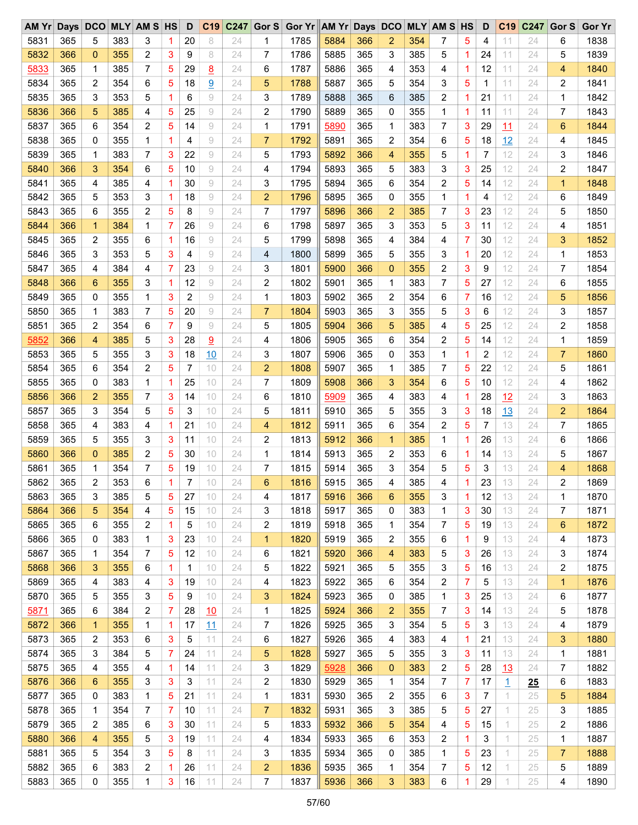| AM Yr Days DCO |     |              |     | <b>MLY AM S HS</b> |   | D  | C <sub>19</sub> | C247 | Gor S          | Gor Yr AM Yr Days DCO |      |     |                |     | <b>MLY AM S HS</b> |    | D  | C <sub>19</sub> | C247 | Gor S | <b>Gor Yr</b> |
|----------------|-----|--------------|-----|--------------------|---|----|-----------------|------|----------------|-----------------------|------|-----|----------------|-----|--------------------|----|----|-----------------|------|-------|---------------|
| 5831           | 365 | 5            | 383 | 3                  | 1 | 20 | 8               | 24   | 1              | 1785                  | 5884 | 366 | 2              | 354 | 7                  | 5  | 4  | 11              | 24   | 6     | 1838          |
| 5832           | 366 | 0            | 355 | 2                  | 3 | 9  | 8               | 24   | 7              | 1786                  | 5885 | 365 | 3              | 385 | 5                  | 1. | 24 | 11              | 24   | 5     | 1839          |
| 5833           | 365 | 1            | 385 | 7                  | 5 | 29 | 8               | 24   | 6              | 1787                  | 5886 | 365 | 4              | 353 | 4                  | 1  | 12 | 11              | 24   | 4     | 1840          |
| 5834           | 365 | 2            | 354 | 6                  | 5 | 18 | 9               | 24   | 5              | 1788                  | 5887 | 365 | 5              | 354 | 3                  | 5  | 1  | 11              | 24   | 2     | 1841          |
| 5835           | 365 | 3            | 353 | 5                  | 1 | 6  | 9               | 24   | 3              | 1789                  | 5888 | 365 | 6              | 385 | 2                  | 1. | 21 | 11              | 24   | 1     | 1842          |
| 5836           | 366 | 5            | 385 | 4                  | 5 | 25 | 9               | 24   | 2              | 1790                  | 5889 | 365 | 0              | 355 | 1                  | 1  | 11 | 11              | 24   | 7     | 1843          |
| 5837           | 365 | 6            | 354 | $\overline{c}$     | 5 | 14 | 9               | 24   | 1              | 1791                  | 5890 | 365 | 1              | 383 | 7                  | 3  | 29 | 11              | 24   | 6     | 1844          |
| 5838           | 365 | 0            | 355 | 1                  | 1 | 4  | 9               | 24   | $\overline{7}$ | 1792                  | 5891 | 365 | 2              | 354 | 6                  | 5  | 18 | 12              | 24   | 4     | 1845          |
| 5839           | 365 | 1            | 383 | 7                  | 3 | 22 | 9               | 24   | 5              | 1793                  | 5892 | 366 | 4              | 355 | 5                  | 1. | 7  | 12              | 24   | 3     | 1846          |
| 5840           | 366 | 3            | 354 | 6                  | 5 | 10 | 9               | 24   | 4              | 1794                  | 5893 | 365 | 5              | 383 | 3                  | 3  | 25 | 12              | 24   | 2     | 1847          |
| 5841           | 365 | 4            | 385 | 4                  | 1 | 30 | 9               | 24   | 3              | 1795                  | 5894 | 365 | 6              | 354 | 2                  | 5  | 14 | 12              | 24   | 1     | 1848          |
| 5842           | 365 | 5            | 353 | 3                  | 1 | 18 | 9               | 24   | $\overline{2}$ | 1796                  | 5895 | 365 | 0              | 355 | 1                  | 1. | 4  | 12              | 24   | 6     | 1849          |
| 5843           | 365 | 6            | 355 | $\overline{c}$     | 5 | 8  | 9               | 24   | 7              | 1797                  | 5896 | 366 | $\overline{2}$ | 385 | 7                  | 3  | 23 | 12              | 24   | 5     | 1850          |
| 5844           | 366 | $\mathbf{1}$ | 384 | 1                  | 7 | 26 | 9               | 24   | 6              | 1798                  | 5897 | 365 | 3              | 353 | 5                  | 3  | 11 | 12              | 24   | 4     | 1851          |
| 5845           | 365 | 2            | 355 | 6                  | 1 | 16 | 9               | 24   | 5              | 1799                  | 5898 | 365 | 4              | 384 | 4                  | 7  | 30 | 12              | 24   | 3     | 1852          |
| 5846           | 365 | 3            | 353 | 5                  | 3 | 4  | 9               | 24   | 4              | 1800                  | 5899 | 365 | 5              | 355 | 3                  | 1  | 20 | 12              | 24   | 1     | 1853          |
| 5847           | 365 | 4            | 384 | 4                  | 7 | 23 | 9               | 24   | 3              | 1801                  | 5900 | 366 | $\mathbf{0}$   | 355 | 2                  | 3  | 9  | 12              | 24   | 7     | 1854          |
| 5848           | 366 | 6            | 355 | 3                  | 1 | 12 | 9               | 24   | 2              | 1802                  | 5901 | 365 | 1              | 383 | 7                  | 5  | 27 | 12              | 24   | 6     | 1855          |
| 5849           | 365 | 0            | 355 | 1                  | 3 | 2  | 9               | 24   | 1              | 1803                  | 5902 | 365 | 2              | 354 | 6                  | 7  | 16 | 12              | 24   | 5     | 1856          |
| 5850           | 365 | 1            | 383 | 7                  | 5 | 20 | 9               | 24   | $\overline{7}$ | 1804                  | 5903 | 365 | 3              | 355 | 5                  | 3  | 6  | 12              | 24   |       | 1857          |
|                |     | 2            |     | 6                  | 7 | 9  | 9               |      | 5              |                       | 5904 | 366 |                |     |                    |    |    |                 |      | 3     |               |
| 5851           | 365 |              | 354 |                    |   |    |                 | 24   |                | 1805                  |      |     | 5              | 385 | 4                  | 5  | 25 | 12              | 24   | 2     | 1858          |
| 5852           | 366 | 4            | 385 | 5                  | 3 | 28 | 9               | 24   | 4              | 1806                  | 5905 | 365 | 6              | 354 | 2                  | 5  | 14 | 12              | 24   | 1     | 1859          |
| 5853           | 365 | 5            | 355 | 3                  | 3 | 18 | 10              | 24   | 3              | 1807                  | 5906 | 365 | 0              | 353 | 1                  | 1. | 2  | 12              | 24   | 7     | 1860          |
| 5854           | 365 | 6            | 354 | $\overline{c}$     | 5 | 7  | 10              | 24   | $\overline{2}$ | 1808                  | 5907 | 365 | 1              | 385 | 7                  | 5  | 22 | 12              | 24   | 5     | 1861          |
| 5855           | 365 | 0            | 383 | 1                  | 1 | 25 | 10              | 24   | 7              | 1809                  | 5908 | 366 | 3              | 354 | 6                  | 5  | 10 | 12              | 24   | 4     | 1862          |
| 5856           | 366 | 2            | 355 | 7                  | 3 | 14 | 10              | 24   | 6              | 1810                  | 5909 | 365 | 4              | 383 | 4                  | 1. | 28 | 12              | 24   | 3     | 1863          |
| 5857           | 365 | 3            | 354 | 5                  | 5 | 3  | 10              | 24   | 5              | 1811                  | 5910 | 365 | 5              | 355 | 3                  | 3  | 18 | <u>13</u>       | 24   | 2     | 1864          |
| 5858           | 365 | 4            | 383 | 4                  | 1 | 21 | 10              | 24   | 4              | 1812                  | 5911 | 365 | 6              | 354 | 2                  | 5  | 7  | 13              | 24   | 7     | 1865          |
| 5859           | 365 | 5            | 355 | 3                  | 3 | 11 | 10              | 24   | 2              | 1813                  | 5912 | 366 | 1              | 385 | 1                  | 1  | 26 | 13              | 24   | 6     | 1866          |
| 5860           | 366 | 0            | 385 | 2                  | 5 | 30 | 10              | 24   | 1              | 1814                  | 5913 | 365 | 2              | 353 | 6                  | 1. | 14 | 13              | 24   | 5     | 1867          |
| 5861           | 365 | 1            | 354 | 7                  | 5 | 19 | 10              | 24   | 7              | 1815                  | 5914 | 365 | 3              | 354 | 5                  | 5  | 3  | 13              | 24   | 4     | 1868          |
| 5862           | 365 | 2            | 353 | 6                  | 1 | 7  | 10              | 24   | 6              | 1816                  | 5915 | 365 | 4              | 385 | 4                  | 1  | 23 | 13              | 24   | 2     | 1869          |
| 5863           | 365 | 3            | 385 | 5                  | 5 | 27 | 10              | 24   | 4              | 1817                  | 5916 | 366 | 6              | 355 | 3                  | 1. | 12 | 13              | 24   | 1     | 1870          |
| 5864           | 366 | 5            | 354 | 4                  | 5 | 15 | 10              | 24   | 3              | 1818                  | 5917 | 365 | 0              | 383 | 1                  | 3  | 30 | 13              | 24   | 7     | 1871          |
| 5865           | 365 | 6            | 355 | 2                  | 1 | 5  | 10              | 24   | 2              | 1819                  | 5918 | 365 | 1              | 354 | 7                  | 5  | 19 | 13              | 24   | 6     | 1872          |
| 5866           | 365 | 0            | 383 | 1                  | 3 | 23 | 10              | 24   | 1              | 1820                  | 5919 | 365 | 2              | 355 | 6                  | 1  | 9  | 13              | 24   | 4     | 1873          |
| 5867           | 365 | 1            | 354 | 7                  | 5 | 12 | 10              | 24   | 6              | 1821                  | 5920 | 366 | 4              | 383 | 5                  | 3  | 26 | 13              | 24   | 3     | 1874          |
| 5868           | 366 | 3            | 355 | 6                  | 1 | 1  | 10              | 24   | 5              | 1822                  | 5921 | 365 | 5              | 355 | 3                  | 5  | 16 | 13              | 24   | 2     | 1875          |
| 5869           | 365 | 4            | 383 | 4                  | 3 | 19 | 10              | 24   | 4              | 1823                  | 5922 | 365 | 6              | 354 | 2                  | 7  | 5  | 13              | 24   | 1     | 1876          |
| 5870           | 365 | 5            | 355 | 3                  | 5 | 9  | 10              | 24   | 3              | 1824                  | 5923 | 365 | 0              | 385 | 1                  | 3  | 25 | 13              | 24   | 6     | 1877          |
| 5871           | 365 | 6            | 384 | 2                  | 7 | 28 | 10              | 24   | 1              | 1825                  | 5924 | 366 | $\overline{c}$ | 355 | 7                  | 3  | 14 | 13              | 24   | 5     | 1878          |
| 5872           | 366 | $\mathbf{1}$ | 355 | 1                  | 1 | 17 | 11              | 24   | 7              | 1826                  | 5925 | 365 | 3              | 354 | 5                  | 5  | 3  | 13              | 24   | 4     | 1879          |
| 5873           | 365 | 2            | 353 | 6                  | 3 | 5  | 11              | 24   | 6              | 1827                  | 5926 | 365 | 4              | 383 | 4                  | 1  | 21 | 13              | 24   | 3     | 1880          |
| 5874           | 365 | 3            | 384 | 5                  | 7 | 24 | 11              | 24   | 5              | 1828                  | 5927 | 365 | 5              | 355 | 3                  | 3  | 11 | 13              | 24   | 1     | 1881          |
| 5875           | 365 | 4            | 355 | 4                  | 1 | 14 | 11              | 24   | 3              | 1829                  | 5928 | 366 | $\mathbf 0$    | 383 | 2                  | 5  | 28 | <u> 13</u>      | 24   | 7     | 1882          |
| 5876           | 366 | 6            | 355 | 3                  | 3 | 3  | 11              | 24   | 2              | 1830                  | 5929 | 365 | 1              | 354 | 7                  | 7  | 17 | $\overline{1}$  | 25   | 6     | 1883          |
| 5877           | 365 | 0            | 383 | 1                  | 5 | 21 | 11              | 24   | 1              | 1831                  | 5930 | 365 | 2              | 355 | 6                  | 3  | 7  | 1               | 25   | 5     | 1884          |
| 5878           | 365 | 1            | 354 | 7                  | 7 | 10 | 11              | 24   | $\overline{7}$ | 1832                  | 5931 | 365 | 3              | 385 | 5                  | 5  | 27 | 1               | 25   | 3     | 1885          |
| 5879           | 365 | 2            | 385 | 6                  | 3 | 30 | 11              | 24   | 5              | 1833                  | 5932 | 366 | 5              | 354 | 4                  | 5  | 15 | 1               | 25   | 2     | 1886          |
| 5880           | 366 | 4            | 355 | 5                  | 3 | 19 | 11              | 24   | 4              | 1834                  | 5933 | 365 | 6              | 353 | 2                  | 1  | 3  | 1               | 25   | 1     | 1887          |
| 5881           | 365 | 5            | 354 | 3                  | 5 | 8  | 11              | 24   | 3              | 1835                  | 5934 | 365 | 0              | 385 | 1                  | 5  | 23 | 1               | 25   | 7     | 1888          |
| 5882           | 365 | 6            | 383 | 2                  | 1 | 26 | 11              | 24   | $\overline{2}$ | 1836                  | 5935 | 365 | 1              | 354 | 7                  | 5  | 12 | 1.              | 25   | 5     | 1889          |
| 5883           | 365 | 0            | 355 | 1                  | 3 | 16 | 11              | 24   | 7              | 1837                  | 5936 | 366 | 3              | 383 | 6                  | 1  | 29 | 1               | 25   | 4     | 1890          |
|                |     |              |     |                    |   |    |                 |      |                |                       |      |     |                |     |                    |    |    |                 |      |       |               |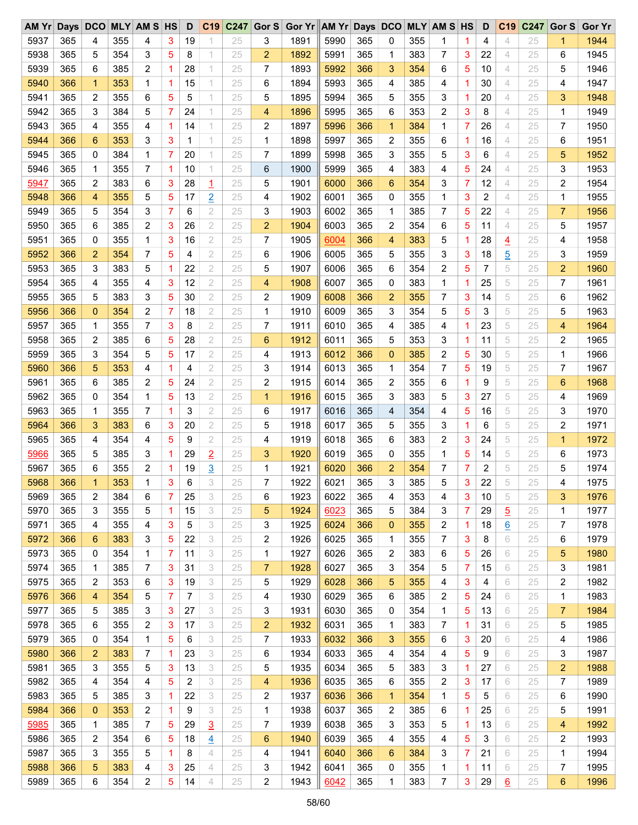| AMYr | Days DCO |                |     | <b>MLY AM S HS</b> |   | D  | C <sub>19</sub> | C247 | Gor S          | Gor Yr AM Yr Days DCO |      |            |                |     | <b>MLY AM S HS</b> |   | D              | C <sub>19</sub> | C247 | Gor S          | <b>Gor Yr</b> |
|------|----------|----------------|-----|--------------------|---|----|-----------------|------|----------------|-----------------------|------|------------|----------------|-----|--------------------|---|----------------|-----------------|------|----------------|---------------|
| 5937 | 365      | 4              | 355 | 4                  | 3 | 19 |                 | 25   | 3              | 1891                  | 5990 | 365        | 0              | 355 | 1                  | 1 | 4              | 4               | 25   | 1              | 1944          |
| 5938 | 365      | 5              | 354 | 3                  | 5 | 8  | 1               | 25   | $\overline{2}$ | 1892                  | 5991 | 365        | 1              | 383 | 7                  | 3 | 22             | 4               | 25   | 6              | 1945          |
| 5939 | 365      | 6              | 385 | $\overline{c}$     | 1 | 28 | 1               | 25   | 7              | 1893                  | 5992 | 366        | 3              | 354 | 6                  | 5 | 10             | 4               | 25   | 5              | 1946          |
| 5940 | 366      | $\mathbf 1$    | 353 | 1                  | 1 | 15 | 1               | 25   | 6              | 1894                  | 5993 | 365        | 4              | 385 | 4                  | 1 | 30             | 4               | 25   | 4              | 1947          |
| 5941 | 365      | 2              | 355 | 6                  | 5 | 5  | 1               | 25   | 5              | 1895                  | 5994 | 365        | 5              | 355 | 3                  | 1 | 20             | 4               | 25   | 3              | 1948          |
| 5942 | 365      | 3              | 384 | 5                  | 7 | 24 | 1               | 25   | 4              | 1896                  | 5995 | 365        | 6              | 353 | 2                  | 3 | 8              | 4               | 25   | 1              | 1949          |
| 5943 | 365      | 4              | 355 | 4                  | 1 | 14 | 1               | 25   | 2              | 1897                  | 5996 | 366        | $\mathbf 1$    | 384 | 1                  | 7 | 26             | 4               | 25   | 7              | 1950          |
| 5944 | 366      | 6              | 353 | 3                  | 3 | 1  | 1               | 25   | 1              | 1898                  | 5997 | 365        | 2              | 355 | 6                  | 1 | 16             | 4               | 25   | 6              | 1951          |
| 5945 | 365      | 0              | 384 | 1                  | 7 | 20 | 1               | 25   | 7              | 1899                  | 5998 | 365        | 3              | 355 | 5                  | 3 | 6              | 4               | 25   | 5              | 1952          |
| 5946 | 365      | 1              | 355 | 7                  | 1 | 10 | 1               | 25   | 6              | 1900                  | 5999 | 365        | 4              | 383 | 4                  | 5 | 24             | 4               | 25   | 3              | 1953          |
| 5947 | 365      | 2              | 383 | 6                  | 3 | 28 | $\overline{1}$  | 25   | 5              | 1901                  | 6000 | 366        | 6              | 354 | 3                  | 7 | 12             | 4               | 25   | 2              | 1954          |
| 5948 | 366      | 4              | 355 | 5                  | 5 | 17 | $\overline{2}$  | 25   | 4              | 1902                  | 6001 | 365        | 0              | 355 | 1                  | 3 | $\overline{c}$ | 4               | 25   | 1              | 1955          |
| 5949 | 365      | 5              | 354 | 3                  | 7 | 6  | 2               | 25   | 3              | 1903                  | 6002 | 365        | 1              | 385 | 7                  | 5 | 22             | 4               | 25   | 7              | 1956          |
| 5950 | 365      | 6              | 385 | $\overline{c}$     | 3 | 26 | $\sqrt{2}$      | 25   | $\overline{2}$ | 1904                  | 6003 | 365        | 2              | 354 | 6                  | 5 | 11             | 4               | 25   | 5              | 1957          |
| 5951 | 365      | 0              | 355 | 1                  | 3 | 16 | $\overline{2}$  | 25   | 7              | 1905                  | 6004 | 366        | 4              | 383 | 5                  | 1 | 28             | $\overline{4}$  | 25   | 4              | 1958          |
| 5952 | 366      | $\overline{2}$ | 354 | 7                  | 5 | 4  | 2               | 25   | 6              | 1906                  | 6005 | 365        | 5              | 355 | 3                  | 3 | 18             | $\overline{5}$  | 25   | 3              | 1959          |
| 5953 | 365      | 3              | 383 | 5                  | 1 | 22 | $\overline{2}$  | 25   | 5              | 1907                  | 6006 | 365        | 6              | 354 | 2                  | 5 | 7              | 5               | 25   | $\overline{c}$ | 1960          |
| 5954 | 365      | 4              | 355 | 4                  | 3 | 12 | 2               | 25   | 4              | 1908                  | 6007 | 365        | 0              | 383 | 1                  | 1 | 25             | 5               | 25   | 7              | 1961          |
| 5955 | 365      | 5              | 383 | 3                  | 5 | 30 | $\overline{2}$  | 25   | 2              | 1909                  | 6008 | 366        | $\overline{2}$ | 355 | 7                  | 3 | 14             | 5               | 25   | 6              | 1962          |
|      |          |                |     |                    |   |    |                 |      |                |                       | 6009 |            |                |     |                    |   |                |                 |      |                |               |
| 5956 | 366      | 0              | 354 | 2                  | 7 | 18 | $\overline{2}$  | 25   | 1              | 1910                  |      | 365<br>365 | 3              | 354 | 5                  | 5 | 3              | 5               | 25   | 5              | 1963          |
| 5957 | 365      | 1              | 355 | 7                  | 3 | 8  | $\overline{2}$  | 25   | $\overline{7}$ | 1911                  | 6010 |            | 4              | 385 | 4                  | 1 | 23             | 5               | 25   | 4              | 1964          |
| 5958 | 365      | 2              | 385 | 6                  | 5 | 28 | $\overline{2}$  | 25   | 6              | 1912                  | 6011 | 365        | 5              | 353 | 3                  | 1 | 11             | 5               | 25   | 2              | 1965          |
| 5959 | 365      | 3              | 354 | 5                  | 5 | 17 | $\overline{2}$  | 25   | 4              | 1913                  | 6012 | 366        | $\mathbf 0$    | 385 | 2                  | 5 | 30             | 5               | 25   | $\mathbf 1$    | 1966          |
| 5960 | 366      | 5              | 353 | 4                  | 1 | 4  | $\overline{2}$  | 25   | 3              | 1914                  | 6013 | 365        | 1              | 354 | 7                  | 5 | 19             | 5               | 25   | 7              | 1967          |
| 5961 | 365      | 6              | 385 | 2                  | 5 | 24 | $\overline{2}$  | 25   | 2              | 1915                  | 6014 | 365        | 2              | 355 | 6                  | 1 | 9              | 5               | 25   | 6              | 1968          |
| 5962 | 365      | 0              | 354 | 1                  | 5 | 13 | $\overline{2}$  | 25   | $\mathbf{1}$   | 1916                  | 6015 | 365        | 3              | 383 | 5                  | 3 | 27             | 5               | 25   | 4              | 1969          |
| 5963 | 365      | 1              | 355 | 7                  | 1 | 3  | 2               | 25   | 6              | 1917                  | 6016 | 365        | 4              | 354 | 4                  | 5 | 16             | 5               | 25   | 3              | 1970          |
| 5964 | 366      | 3              | 383 | 6                  | 3 | 20 | $\overline{2}$  | 25   | 5              | 1918                  | 6017 | 365        | 5              | 355 | 3                  | 1 | 6              | 5               | 25   | 2              | 1971          |
| 5965 | 365      | 4              | 354 | 4                  | 5 | 9  | $\overline{2}$  | 25   | 4              | 1919                  | 6018 | 365        | 6              | 383 | 2                  | 3 | 24             | 5               | 25   | $\mathbf{1}$   | 1972          |
| 5966 | 365      | 5              | 385 | 3                  | 1 | 29 | $\overline{2}$  | 25   | 3              | 1920                  | 6019 | 365        | 0              | 355 | 1                  | 5 | 14             | 5               | 25   | 6              | 1973          |
| 5967 | 365      | 6              | 355 | 2                  | 1 | 19 | $\overline{3}$  | 25   | $\mathbf 1$    | 1921                  | 6020 | 366        | $\overline{2}$ | 354 | 7                  | 7 | 2              | 5               | 25   | 5              | 1974          |
| 5968 | 366      | $\mathbf{1}$   | 353 | 1                  | 3 | 6  | 3               | 25   | $\overline{7}$ | 1922                  | 6021 | 365        | 3              | 385 | 5                  | 3 | 22             | 5               | 25   | 4              | 1975          |
| 5969 | 365      | 2              | 384 | 6                  | 7 | 25 | 3               | 25   | 6              | 1923                  | 6022 | 365        | 4              | 353 | 4                  | 3 | 10             | 5               | 25   | 3              | 1976          |
| 5970 | 365      | 3              | 355 | 5                  | 1 | 15 | 3               | 25   | 5              | 1924                  | 6023 | 365        | 5              | 384 | 3                  | 7 | 29             | $\overline{5}$  | 25   | 1              | 1977          |
| 5971 | 365      | 4              | 355 | 4                  | 3 | 5  | 3               | 25   | 3              | 1925                  | 6024 | 366        | $\mathbf 0$    | 355 | 2                  | 1 | 18             | $\underline{6}$ | 25   | 7              | 1978          |
| 5972 | 366      | 6              | 383 | 3                  | 5 | 22 | 3               | 25   | 2              | 1926                  | 6025 | 365        | 1              | 355 | 7                  | 3 | 8              | 6               | 25   | 6              | 1979          |
| 5973 | 365      | 0              | 354 | 1                  | 7 | 11 | 3               | 25   | 1              | 1927                  | 6026 | 365        | 2              | 383 | 6                  | 5 | 26             | 6               | 25   | 5              | 1980          |
| 5974 | 365      | 1              | 385 | 7                  | 3 | 31 | 3               | 25   | $\overline{7}$ | 1928                  | 6027 | 365        | 3              | 354 | 5                  | 7 | 15             | 6               | 25   | 3              | 1981          |
| 5975 | 365      | 2              | 353 | 6                  | 3 | 19 | 3               | 25   | 5              | 1929                  | 6028 | 366        | 5              | 355 | 4                  | 3 | 4              | 6               | 25   | 2              | 1982          |
| 5976 | 366      | 4              | 354 | 5                  | 7 | 7  | 3               | 25   | 4              | 1930                  | 6029 | 365        | 6              | 385 | 2                  | 5 | 24             | 6               | 25   | 1              | 1983          |
| 5977 | 365      | 5              | 385 | 3                  | 3 | 27 | 3               | 25   | 3              | 1931                  | 6030 | 365        | 0              | 354 | 1                  | 5 | 13             | 6               | 25   | 7              | 1984          |
| 5978 | 365      | 6              | 355 | 2                  | 3 | 17 | 3               | 25   | $\overline{2}$ | 1932                  | 6031 | 365        | 1              | 383 | 7                  | 1 | 31             | 6               | 25   | 5              | 1985          |
| 5979 | 365      | 0              | 354 | 1                  | 5 | 6  | 3               | 25   | 7              | 1933                  | 6032 | 366        | 3              | 355 | 6                  | 3 | 20             | 6               | 25   | 4              | 1986          |
| 5980 | 366      | 2              | 383 | 7                  | 1 | 23 | 3               | 25   | 6              | 1934                  | 6033 | 365        | 4              | 354 | 4                  | 5 | 9              | 6               | 25   | 3              | 1987          |
| 5981 | 365      | 3              | 355 | 5                  | 3 | 13 | 3               | 25   | 5              | 1935                  | 6034 | 365        | 5              | 383 | 3                  | 1 | 27             | 6               | 25   | 2              | 1988          |
| 5982 | 365      | 4              | 354 | 4                  | 5 | 2  | 3               | 25   | 4              | 1936                  | 6035 | 365        | 6              | 355 | 2                  | 3 | 17             | 6               | 25   | 7              | 1989          |
| 5983 | 365      | 5              | 385 | 3                  | 1 | 22 | 3               | 25   | 2              | 1937                  | 6036 | 366        | $\mathbf 1$    | 354 | 1                  | 5 | 5              | 6               | 25   | 6              | 1990          |
| 5984 | 366      | 0              | 353 | 2                  | 1 | 9  | 3               | 25   | 1              | 1938                  | 6037 | 365        | 2              | 385 | 6                  | 1 | 25             | 6               | 25   | 5              | 1991          |
| 5985 | 365      | 1              | 385 | 7                  | 5 | 29 | $\underline{3}$ | 25   | 7              | 1939                  | 6038 | 365        | 3              | 353 | 5                  | 1 | 13             | 6               | 25   | 4              | 1992          |
| 5986 | 365      | 2              | 354 | 6                  | 5 | 18 | $\overline{4}$  | 25   | 6              | 1940                  | 6039 | 365        | 4              | 355 | 4                  | 5 | 3              | 6               | 25   | 2              | 1993          |
| 5987 | 365      | 3              | 355 | 5                  | 1 | 8  | 4               | 25   | 4              | 1941                  | 6040 | 366        | 6              | 384 | 3                  | 7 | 21             | 6               | 25   | 1              | 1994          |
| 5988 | 366      | 5              | 383 | 4                  | 3 | 25 | 4               | 25   | 3              | 1942                  | 6041 | 365        | 0              | 355 | 1                  | 1 | 11             | 6               | 25   | 7              | 1995          |
| 5989 | 365      | 6              | 354 | 2                  | 5 | 14 | 4               | 25   | 2              | 1943                  | 6042 | 365        | 1              | 383 | 7                  | 3 | 29             | $6\overline{6}$ | 25   | 6              | 1996          |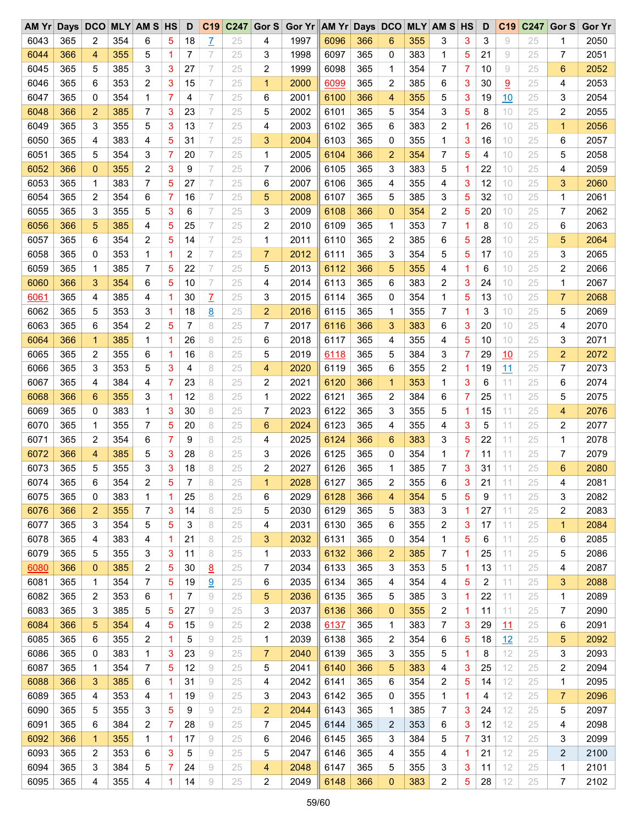| $AM$ $Yr$ |     | Days DCO       |     | <b>MLY AM S HS</b> |   | D  | C19                  | C247 | Gor S          | Gor Yr AM Yr Days DCO |      |     |                         |     | <b>MLY AM S HS</b> |   | D  | C <sub>19</sub> | C247 | Gor S          | <b>Gor Yr</b> |
|-----------|-----|----------------|-----|--------------------|---|----|----------------------|------|----------------|-----------------------|------|-----|-------------------------|-----|--------------------|---|----|-----------------|------|----------------|---------------|
| 6043      | 365 | 2              | 354 | 6                  | 5 | 18 | Z                    | 25   | 4              | 1997                  | 6096 | 366 | 6                       | 355 | 3                  | 3 | 3  | 9               | 25   | 1              | 2050          |
| 6044      | 366 | 4              | 355 | 5                  | 1 | 7  | 7                    | 25   | 3              | 1998                  | 6097 | 365 | 0                       | 383 | 1                  | 5 | 21 | 9               | 25   | 7              | 2051          |
| 6045      | 365 | 5              | 385 | 3                  | 3 | 27 | 7                    | 25   | 2              | 1999                  | 6098 | 365 | 1                       | 354 | 7                  | 7 | 10 | 9               | 25   | 6              | 2052          |
| 6046      | 365 | 6              | 353 | 2                  | 3 | 15 | 7                    | 25   | $\mathbf{1}$   | 2000                  | 6099 | 365 | 2                       | 385 | 6                  | 3 | 30 | $\overline{9}$  | 25   | 4              | 2053          |
| 6047      | 365 | 0              | 354 | 1                  | 7 | 4  | 7                    | 25   | 6              | 2001                  | 6100 | 366 | 4                       | 355 | 5                  | 3 | 19 | 10              | 25   | 3              | 2054          |
| 6048      | 366 | $\overline{2}$ | 385 | 7                  | 3 | 23 | 7                    | 25   | 5              | 2002                  | 6101 | 365 | 5                       | 354 | 3                  | 5 | 8  | 10              | 25   | 2              | 2055          |
| 6049      | 365 | 3              | 355 | 5                  | 3 | 13 | 7                    | 25   | 4              | 2003                  | 6102 | 365 | 6                       | 383 | 2                  | 1 | 26 | 10              | 25   | $\mathbf{1}$   | 2056          |
| 6050      | 365 | 4              | 383 | 4                  | 5 | 31 | 7                    | 25   | 3              | 2004                  | 6103 | 365 | 0                       | 355 | $\mathbf{1}$       | 3 | 16 | 10              | 25   | 6              | 2057          |
| 6051      | 365 | 5              | 354 | 3                  | 7 | 20 | 7                    | 25   | 1              | 2005                  | 6104 | 366 | $\overline{2}$          | 354 | 7                  | 5 | 4  | 10              | 25   | 5              | 2058          |
| 6052      | 366 | $\overline{0}$ | 355 | $\overline{c}$     | 3 | 9  | 7                    | 25   | 7              | 2006                  | 6105 | 365 | 3                       | 383 | 5                  | 1 | 22 | 10              | 25   | 4              | 2059          |
| 6053      | 365 | 1              | 383 | 7                  | 5 | 27 | 7                    | 25   | 6              | 2007                  | 6106 | 365 | 4                       | 355 | 4                  | 3 | 12 | 10              | 25   | 3              | 2060          |
| 6054      | 365 | 2              | 354 | 6                  | 7 | 16 | 7                    | 25   | 5              | 2008                  | 6107 | 365 | 5                       | 385 | 3                  | 5 | 32 | 10              | 25   | 1              | 2061          |
| 6055      | 365 | 3              | 355 | 5                  | 3 | 6  | 7                    | 25   | 3              | 2009                  | 6108 | 366 | $\mathbf 0$             | 354 | 2                  | 5 | 20 | 10              | 25   | 7              | 2062          |
| 6056      | 366 | 5              | 385 | 4                  | 5 | 25 | 7                    | 25   | 2              | 2010                  | 6109 | 365 | 1                       | 353 | 7                  | 1 | 8  | 10              | 25   | 6              | 2063          |
| 6057      | 365 | 6              | 354 | 2                  | 5 | 14 | 7                    | 25   | 1              | 2011                  | 6110 | 365 | 2                       | 385 | 6                  | 5 | 28 | 10              | 25   | 5              | 2064          |
| 6058      | 365 | 0              | 353 | 1                  | 1 | 2  | 7                    | 25   | $\overline{7}$ | 2012                  | 6111 | 365 | 3                       | 354 | 5                  | 5 | 17 | 10              | 25   | 3              | 2065          |
| 6059      | 365 | 1              | 385 | 7                  | 5 | 22 | 7                    | 25   | 5              | 2013                  | 6112 | 366 | 5                       | 355 | 4                  | 1 | 6  | 10              | 25   | 2              | 2066          |
| 6060      | 366 | 3              | 354 | 6                  | 5 | 10 | 7                    | 25   | 4              | 2014                  | 6113 | 365 | 6                       | 383 | 2                  | 3 | 24 | 10              | 25   | 1              | 2067          |
| 6061      | 365 | 4              | 385 | 4                  | 1 | 30 |                      | 25   | 3              | 2015                  | 6114 | 365 | 0                       | 354 | $\mathbf{1}$       | 5 | 13 | 10              | 25   | $\overline{7}$ | 2068          |
| 6062      | 365 |                | 353 | 3                  | 1 | 18 | $\overline{L}$       | 25   | $\overline{2}$ | 2016                  | 6115 | 365 |                         | 355 | 7                  | 1 | 3  | 10              | 25   |                | 2069          |
| 6063      | 365 | 5<br>6         | 354 | $\overline{c}$     | 5 | 7  | $\underline{8}$<br>8 | 25   | 7              | 2017                  | 6116 | 366 | 1<br>3                  | 383 | 6                  | 3 | 20 | 10              | 25   | 5              | 2070          |
|           |     |                |     |                    |   |    |                      |      |                |                       |      |     |                         |     |                    |   |    |                 |      | 4              |               |
| 6064      | 366 | $\mathbf{1}$   | 385 | 1                  | 1 | 26 | 8                    | 25   | 6              | 2018                  | 6117 | 365 | 4                       | 355 | 4                  | 5 | 10 | 10              | 25   | 3              | 2071          |
| 6065      | 365 | 2              | 355 | 6                  | 1 | 16 | 8                    | 25   | 5              | 2019                  | 6118 | 365 | 5                       | 384 | 3                  | 7 | 29 | 10              | 25   | 2              | 2072          |
| 6066      | 365 | 3              | 353 | 5                  | 3 | 4  | 8                    | 25   | 4              | 2020                  | 6119 | 365 | 6                       | 355 | 2                  | 1 | 19 | 11              | 25   | 7              | 2073          |
| 6067      | 365 | 4              | 384 | 4                  | 7 | 23 | 8                    | 25   | 2              | 2021                  | 6120 | 366 | 1                       | 353 | $\mathbf{1}$       | 3 | 6  | 11              | 25   | 6              | 2074          |
| 6068      | 366 | 6              | 355 | 3                  | 1 | 12 | 8                    | 25   | 1              | 2022                  | 6121 | 365 | 2                       | 384 | 6                  | 7 | 25 | 11              | 25   | 5              | 2075          |
| 6069      | 365 | 0              | 383 | 1                  | 3 | 30 | 8                    | 25   | 7              | 2023                  | 6122 | 365 | 3                       | 355 | 5                  | 1 | 15 | 11              | 25   | 4              | 2076          |
| 6070      | 365 | 1              | 355 | 7                  | 5 | 20 | 8                    | 25   | 6              | 2024                  | 6123 | 365 | 4                       | 355 | 4                  | 3 | 5  | 11              | 25   | 2              | 2077          |
| 6071      | 365 | 2              | 354 | 6                  | 7 | 9  | 8                    | 25   | 4              | 2025                  | 6124 | 366 | 6                       | 383 | 3                  | 5 | 22 | 11              | 25   | 1              | 2078          |
| 6072      | 366 | 4              | 385 | 5                  | 3 | 28 | 8                    | 25   | 3              | 2026                  | 6125 | 365 | 0                       | 354 | 1                  | 7 | 11 | 11              | 25   | 7              | 2079          |
| 6073      | 365 | 5              | 355 | 3                  | 3 | 18 | 8                    | 25   | 2              | 2027                  | 6126 | 365 | 1                       | 385 | 7                  | 3 | 31 | 11              | 25   | 6              | 2080          |
| 6074      | 365 | 6              | 354 | 2                  | 5 | 7  | 8                    | 25   | $\mathbf 1$    | 2028                  | 6127 | 365 | $\overline{2}$          | 355 | 6                  | 3 | 21 | 11              | 25   | 4              | 2081          |
| 6075      | 365 | 0              | 383 | 1                  | 1 | 25 | 8                    | 25   | 6              | 2029                  | 6128 | 366 | 4                       | 354 | 5                  | 5 | 9  | 11              | 25   | 3              | 2082          |
| 6076      | 366 | 2              | 355 | 7                  | 3 | 14 | 8                    | 25   | 5              | 2030                  | 6129 | 365 | 5                       | 383 | 3                  | 1 | 27 | 11              | 25   | 2              | 2083          |
| 6077      | 365 | 3              | 354 | 5                  | 5 | 3  | 8                    | 25   | 4              | 2031                  | 6130 | 365 | 6                       | 355 | 2                  | 3 | 17 | 11              | 25   | $\mathbf{1}$   | 2084          |
| 6078      | 365 | 4              | 383 | 4                  | 1 | 21 | 8                    | 25   | 3              | 2032                  | 6131 | 365 | 0                       | 354 | 1                  | 5 | 6  | 11              | 25   | 6              | 2085          |
| 6079      | 365 | 5              | 355 | 3                  | 3 | 11 | 8                    | 25   | 1              | 2033                  | 6132 | 366 | 2                       | 385 | 7                  | 1 | 25 | 11              | 25   | 5              | 2086          |
| 6080      | 366 | 0              | 385 | 2                  | 5 | 30 | 8                    | 25   | 7              | 2034                  | 6133 | 365 | 3                       | 353 | 5                  | 1 | 13 | 11              | 25   | 4              | 2087          |
| 6081      | 365 | 1              | 354 | 7                  | 5 | 19 | 9                    | 25   | 6              | 2035                  | 6134 | 365 | 4                       | 354 | 4                  | 5 | 2  | 11              | 25   | 3              | 2088          |
| 6082      | 365 | 2              | 353 | 6                  | 1 | 7  | 9                    | 25   | 5              | 2036                  | 6135 | 365 | 5                       | 385 | 3                  | 1 | 22 | 11              | 25   | 1              | 2089          |
| 6083      | 365 | 3              | 385 | 5                  | 5 | 27 | 9                    | 25   | 3              | 2037                  | 6136 | 366 | $\mathbf 0$             | 355 | 2                  | 1 | 11 | 11              | 25   | 7              | 2090          |
| 6084      | 366 | 5              | 354 | 4                  | 5 | 15 | 9                    | 25   | 2              | 2038                  | 6137 | 365 | 1                       | 383 | 7                  | 3 | 29 | 11              | 25   | 6              | 2091          |
| 6085      | 365 | 6              | 355 | 2                  | 1 | 5  | 9                    | 25   | 1              | 2039                  | 6138 | 365 | 2                       | 354 | 6                  | 5 | 18 | 12              | 25   | 5              | 2092          |
| 6086      | 365 | 0              | 383 | 1                  | 3 | 23 | 9                    | 25   | $\overline{7}$ | 2040                  | 6139 | 365 | 3                       | 355 | 5                  | 1 | 8  | 12              | 25   | 3              | 2093          |
| 6087      | 365 | 1              | 354 | 7                  | 5 | 12 | 9                    | 25   | 5              | 2041                  | 6140 | 366 | 5                       | 383 | 4                  | 3 | 25 | 12              | 25   | 2              | 2094          |
| 6088      | 366 | 3              | 385 | 6                  | 1 | 31 | 9                    | 25   | 4              | 2042                  | 6141 | 365 | 6                       | 354 | 2                  | 5 | 14 | 12              | 25   | 1              | 2095          |
| 6089      | 365 | 4              | 353 | 4                  | 1 | 19 | 9                    | 25   | 3              | 2043                  | 6142 | 365 | 0                       | 355 | 1                  | 1 | 4  | 12              | 25   | 7              | 2096          |
| 6090      | 365 | 5              | 355 | 3                  | 5 | 9  | 9                    | 25   | 2              | 2044                  | 6143 | 365 | 1                       | 385 | 7                  | 3 | 24 | 12              | 25   | 5              | 2097          |
| 6091      | 365 | 6              | 384 | 2                  | 7 | 28 | 9                    | 25   | 7              | 2045                  | 6144 | 365 | $\overline{\mathbf{c}}$ | 353 | 6                  | 3 | 12 | 12              | 25   | 4              | 2098          |
| 6092      | 366 | $\mathbf{1}$   | 355 | 1                  | 1 | 17 | 9                    | 25   | 6              | 2046                  | 6145 | 365 | 3                       | 384 | 5                  | 7 | 31 | 12              | 25   | 3              | 2099          |
| 6093      | 365 | 2              | 353 | 6                  | 3 | 5  | 9                    | 25   | 5              | 2047                  | 6146 | 365 | 4                       | 355 | 4                  | 1 | 21 | 12              | 25   | 2              | 2100          |
| 6094      | 365 | 3              | 384 | 5                  | 7 | 24 | 9                    | 25   | 4              | 2048                  | 6147 | 365 | 5                       | 355 | 3                  | 3 | 11 | 12              | 25   | 1              | 2101          |
| 6095      | 365 | 4              | 355 | 4                  | 1 | 14 | 9                    | 25   | 2              | 2049                  | 6148 | 366 | $\mathbf 0$             | 383 | 2                  | 5 | 28 | 12              | 25   | 7              | 2102          |